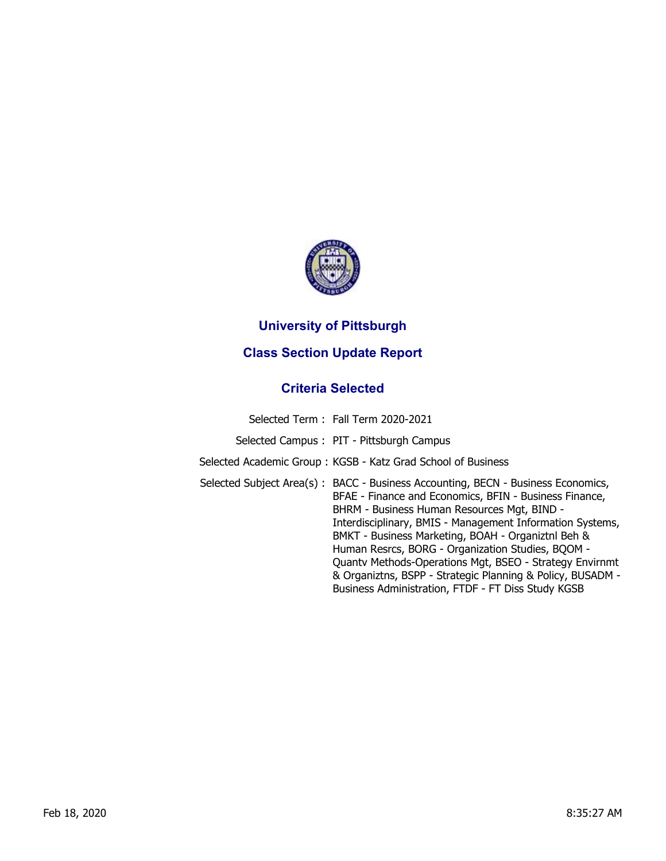

## **University of Pittsburgh**

## **Class Section Update Report**

## **Criteria Selected**

| Selected Term: Fall Term 2020-2021                                                                                                                                                                                                                                                                                                                                                                                                                                                                                                               |
|--------------------------------------------------------------------------------------------------------------------------------------------------------------------------------------------------------------------------------------------------------------------------------------------------------------------------------------------------------------------------------------------------------------------------------------------------------------------------------------------------------------------------------------------------|
| Selected Campus: PIT - Pittsburgh Campus                                                                                                                                                                                                                                                                                                                                                                                                                                                                                                         |
| Selected Academic Group: KGSB - Katz Grad School of Business                                                                                                                                                                                                                                                                                                                                                                                                                                                                                     |
| Selected Subject Area(s): BACC - Business Accounting, BECN - Business Economics,<br>BFAE - Finance and Economics, BFIN - Business Finance,<br>BHRM - Business Human Resources Mgt, BIND -<br>Interdisciplinary, BMIS - Management Information Systems,<br>BMKT - Business Marketing, BOAH - Organiztnl Beh &<br>Human Resrcs, BORG - Organization Studies, BQOM -<br>Quanty Methods-Operations Mgt, BSEO - Strategy Envirnmt<br>& Organiztns, BSPP - Strategic Planning & Policy, BUSADM -<br>Business Administration, FTDF - FT Diss Study KGSB |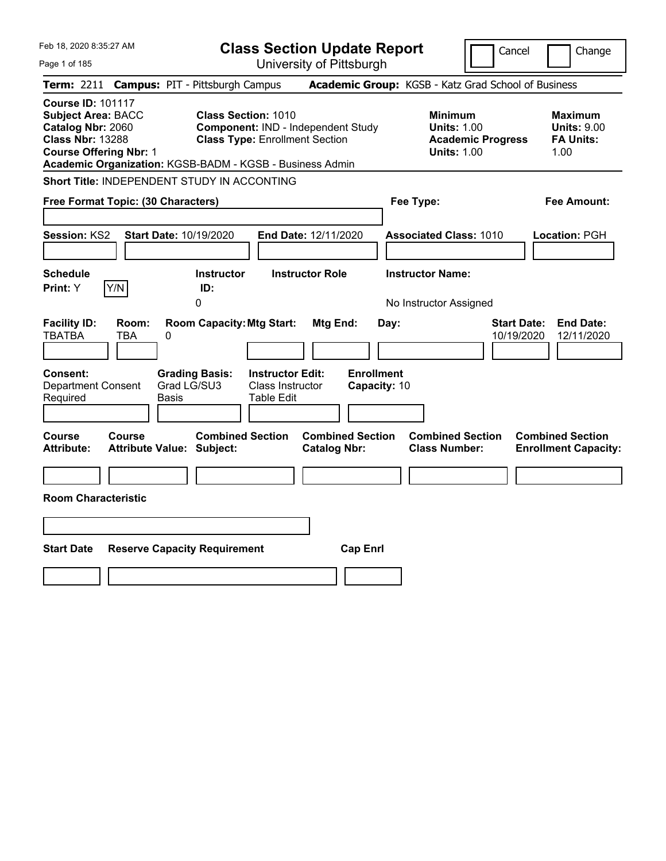| Feb 18, 2020 8:35:27 AM                                                                                                                | <b>Class Section Update Report</b>                                                                                                                                    |                                                                                        | Cancel<br>Change                                                   |
|----------------------------------------------------------------------------------------------------------------------------------------|-----------------------------------------------------------------------------------------------------------------------------------------------------------------------|----------------------------------------------------------------------------------------|--------------------------------------------------------------------|
| Page 1 of 185                                                                                                                          | University of Pittsburgh                                                                                                                                              |                                                                                        |                                                                    |
| <b>Term: 2211</b>                                                                                                                      | <b>Campus: PIT - Pittsburgh Campus</b>                                                                                                                                | Academic Group: KGSB - Katz Grad School of Business                                    |                                                                    |
| <b>Course ID: 101117</b><br><b>Subject Area: BACC</b><br>Catalog Nbr: 2060<br><b>Class Nbr: 13288</b><br><b>Course Offering Nbr: 1</b> | <b>Class Section: 1010</b><br>Component: IND - Independent Study<br><b>Class Type: Enrollment Section</b><br>Academic Organization: KGSB-BADM - KGSB - Business Admin | <b>Minimum</b><br><b>Units: 1.00</b><br><b>Academic Progress</b><br><b>Units: 1.00</b> | <b>Maximum</b><br><b>Units: 9.00</b><br><b>FA Units:</b><br>1.00   |
| Short Title: INDEPENDENT STUDY IN ACCONTING                                                                                            |                                                                                                                                                                       |                                                                                        |                                                                    |
| Free Format Topic: (30 Characters)                                                                                                     |                                                                                                                                                                       | Fee Type:                                                                              | Fee Amount:                                                        |
| <b>Session: KS2</b><br><b>Start Date: 10/19/2020</b>                                                                                   | <b>End Date: 12/11/2020</b>                                                                                                                                           | <b>Associated Class: 1010</b>                                                          | Location: PGH                                                      |
| <b>Schedule</b><br>Y/N<br>Print: Y                                                                                                     | <b>Instructor</b><br><b>Instructor Role</b><br>ID:<br>$\Omega$                                                                                                        | <b>Instructor Name:</b><br>No Instructor Assigned                                      |                                                                    |
| <b>Facility ID:</b><br>Room:<br><b>TBATBA</b><br><b>TBA</b><br>0                                                                       | <b>Room Capacity: Mtg Start:</b><br>Mtg End:                                                                                                                          | Day:                                                                                   | <b>Start Date:</b><br><b>End Date:</b><br>10/19/2020<br>12/11/2020 |
| Consent:<br><b>Department Consent</b><br>Required<br>Basis                                                                             | <b>Enrollment</b><br><b>Grading Basis:</b><br><b>Instructor Edit:</b><br>Grad LG/SU3<br>Class Instructor<br>Capacity: 10<br>Table Edit                                |                                                                                        |                                                                    |
| Course<br>Course<br><b>Attribute Value: Subject:</b><br><b>Attribute:</b>                                                              | <b>Combined Section</b><br><b>Combined Section</b><br><b>Catalog Nbr:</b>                                                                                             | <b>Combined Section</b><br><b>Class Number:</b>                                        | <b>Combined Section</b><br><b>Enrollment Capacity:</b>             |
| <b>Room Characteristic</b>                                                                                                             |                                                                                                                                                                       |                                                                                        |                                                                    |
|                                                                                                                                        |                                                                                                                                                                       |                                                                                        |                                                                    |
|                                                                                                                                        |                                                                                                                                                                       |                                                                                        |                                                                    |
| <b>Start Date</b><br><b>Reserve Capacity Requirement</b>                                                                               | <b>Cap Enrl</b>                                                                                                                                                       |                                                                                        |                                                                    |
|                                                                                                                                        |                                                                                                                                                                       |                                                                                        |                                                                    |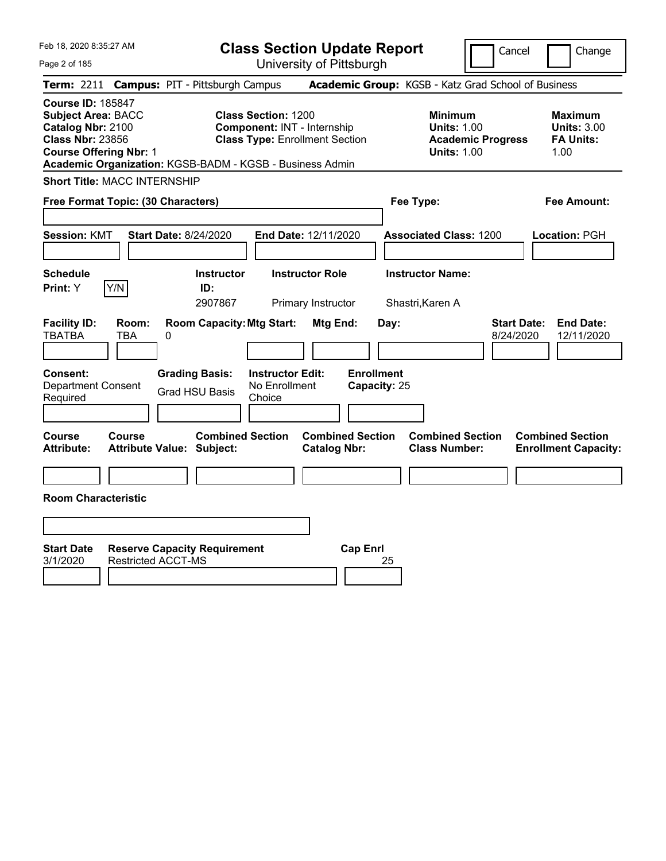Feb 18, 2020 8:35:27 AM

Page 2 of 185

**Class Section Update Report**

University of Pittsburgh

Cancel | Change

**Term:** 2211 **Campus:** PIT - Pittsburgh Campus **Academic Group:** KGSB - Katz Grad School of Business **Course ID:** 185847 **Subject Area:** BACC **Class Section:** 1200 **Minimum Maximum Catalog Nbr:** 2100 **Component:** INT - Internship **Units:** 1.00 **Units:** 3.00 **Class Nbr:** 23856 **Class Type:** Enrollment Section **Academic Progress FA Units: Course Offering Nbr:** 1 **Units:** 1.00 1.00 **Academic Organization:** KGSB-BADM - KGSB - Business Admin **Short Title:** MACC INTERNSHIP **Free Format Topic: (30 Characters) Fee Type: Fee Amount: Session:** KMT **Start Date:** 8/24/2020 **End Date:** 12/11/2020 **Associated Class:** 1200 **Location:** PGH **Schedule Instructor Instructor Role Instructor Name: Print:**  $Y$   $|Y/N|$  **ID:** 2907867 Primary Instructor Shastri,Karen A **Facility ID: Room: Room Capacity:Mtg Start: Mtg End: Day: Start Date: End Date:** TBATBA TBA 0 8/24/2020 12/11/2020 **Consent: Grading Basis: Instructor Edit: Enrollment** Department Consent Required Grad HSU Basis No Enrollment Choice **Capacity:** 25 **Course Course Combined Section Combined Section Combined Section Combined Section Attribute: Attribute Value: Subject: Catalog Nbr: Class Number: Enrollment Capacity: Room Characteristic Start Date Reserve Capacity Requirement Cap Enrl** 3/1/2020 Restricted ACCT-MS 25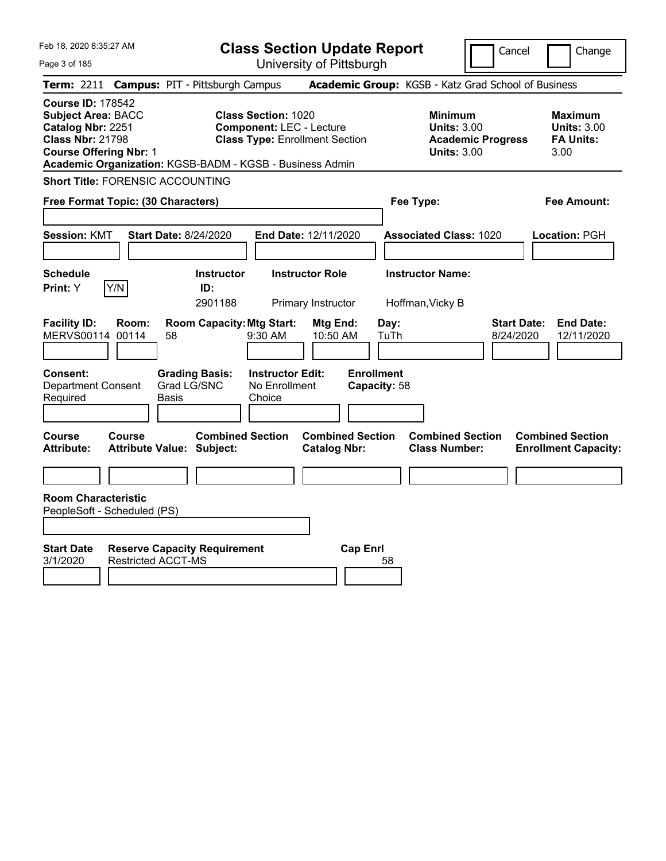| Feb 18, 2020 8:35:27 AM<br>Page 3 of 185                                                                                                                                                           |                              |                                                             | <b>Class Section Update Report</b>                                                                     | University of Pittsburgh                       |                                   |                                                            | Cancel                          | Change                                                           |
|----------------------------------------------------------------------------------------------------------------------------------------------------------------------------------------------------|------------------------------|-------------------------------------------------------------|--------------------------------------------------------------------------------------------------------|------------------------------------------------|-----------------------------------|------------------------------------------------------------|---------------------------------|------------------------------------------------------------------|
| Term: 2211 Campus: PIT - Pittsburgh Campus                                                                                                                                                         |                              |                                                             |                                                                                                        |                                                |                                   | Academic Group: KGSB - Katz Grad School of Business        |                                 |                                                                  |
| <b>Course ID: 178542</b><br><b>Subject Area: BACC</b><br>Catalog Nbr: 2251<br><b>Class Nbr: 21798</b><br><b>Course Offering Nbr: 1</b><br>Academic Organization: KGSB-BADM - KGSB - Business Admin |                              |                                                             | <b>Class Section: 1020</b><br><b>Component: LEC - Lecture</b><br><b>Class Type: Enrollment Section</b> |                                                |                                   | <b>Minimum</b><br><b>Units: 3.00</b><br><b>Units: 3.00</b> | <b>Academic Progress</b>        | <b>Maximum</b><br><b>Units: 3.00</b><br><b>FA Units:</b><br>3.00 |
| <b>Short Title: FORENSIC ACCOUNTING</b>                                                                                                                                                            |                              |                                                             |                                                                                                        |                                                |                                   |                                                            |                                 |                                                                  |
| Free Format Topic: (30 Characters)                                                                                                                                                                 |                              |                                                             |                                                                                                        |                                                |                                   | Fee Type:                                                  |                                 | Fee Amount:                                                      |
| <b>Session: KMT</b>                                                                                                                                                                                | <b>Start Date: 8/24/2020</b> |                                                             |                                                                                                        | End Date: 12/11/2020                           |                                   | <b>Associated Class: 1020</b>                              |                                 | Location: PGH                                                    |
| <b>Schedule</b>                                                                                                                                                                                    |                              | Instructor                                                  |                                                                                                        | <b>Instructor Role</b>                         |                                   | <b>Instructor Name:</b>                                    |                                 |                                                                  |
| Y/N<br>Print: Y                                                                                                                                                                                    |                              | ID:<br>2901188                                              |                                                                                                        | Primary Instructor                             |                                   | Hoffman, Vicky B                                           |                                 |                                                                  |
| <b>Facility ID:</b><br>Room:<br><b>MERVS00114</b><br>00114                                                                                                                                         | 58                           | <b>Room Capacity: Mtg Start:</b>                            | 9:30 AM                                                                                                | Mtg End:<br>10:50 AM                           | Day:<br>TuTh                      |                                                            | <b>Start Date:</b><br>8/24/2020 | <b>End Date:</b><br>12/11/2020                                   |
| <b>Consent:</b><br><b>Department Consent</b><br>Required                                                                                                                                           | <b>Basis</b>                 | <b>Grading Basis:</b><br>Grad LG/SNC                        | <b>Instructor Edit:</b><br>No Enrollment<br>Choice                                                     |                                                | <b>Enrollment</b><br>Capacity: 58 |                                                            |                                 |                                                                  |
| <b>Course</b><br>Course<br><b>Attribute:</b>                                                                                                                                                       |                              | <b>Combined Section</b><br><b>Attribute Value: Subject:</b> |                                                                                                        | <b>Combined Section</b><br><b>Catalog Nbr:</b> |                                   | <b>Combined Section</b><br><b>Class Number:</b>            |                                 | <b>Combined Section</b><br><b>Enrollment Capacity:</b>           |
|                                                                                                                                                                                                    |                              |                                                             |                                                                                                        |                                                |                                   |                                                            |                                 |                                                                  |
| <b>Room Characteristic</b><br>PeopleSoft - Scheduled (PS)                                                                                                                                          |                              |                                                             |                                                                                                        |                                                |                                   |                                                            |                                 |                                                                  |
| <b>Start Date</b><br>3/1/2020                                                                                                                                                                      | <b>Restricted ACCT-MS</b>    | <b>Reserve Capacity Requirement</b>                         |                                                                                                        |                                                | <b>Cap Enrl</b><br>58             |                                                            |                                 |                                                                  |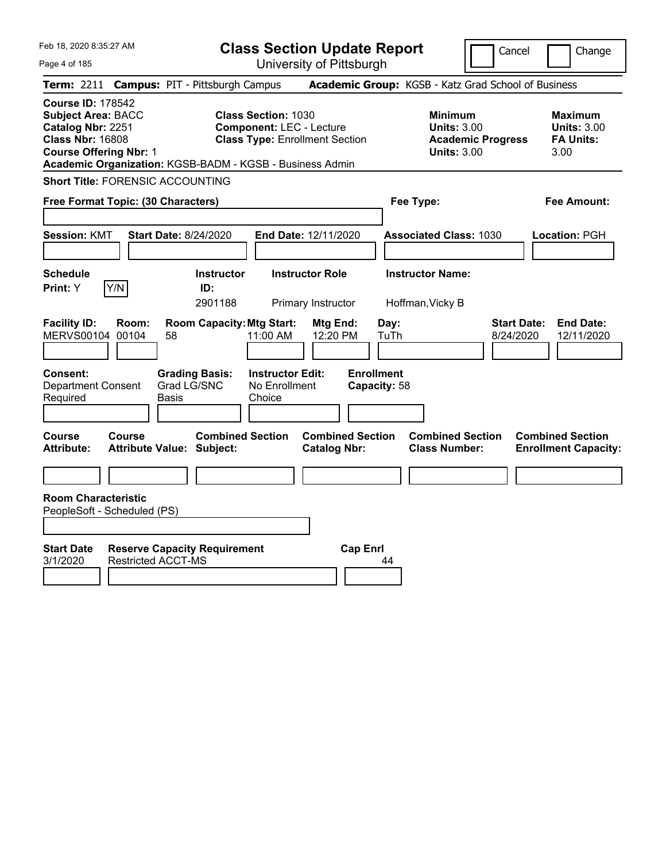|  | Feb 18, 2020 8:35:27 AM |  |
|--|-------------------------|--|
|  |                         |  |

**Class Section Update Report** University of Pittsburgh

Cancel Change

Page 4 of 185

|                                                                                                                                        |                | <b>Term: 2211 Campus: PIT - Pittsburgh Campus</b>                |                                                                                                        |                                                |                                   |              | <b>Academic Group:</b> KGSB - Katz Grad School of Business                             |                                 |                                                                  |
|----------------------------------------------------------------------------------------------------------------------------------------|----------------|------------------------------------------------------------------|--------------------------------------------------------------------------------------------------------|------------------------------------------------|-----------------------------------|--------------|----------------------------------------------------------------------------------------|---------------------------------|------------------------------------------------------------------|
| <b>Course ID: 178542</b><br><b>Subject Area: BACC</b><br>Catalog Nbr: 2251<br><b>Class Nbr: 16808</b><br><b>Course Offering Nbr: 1</b> |                | Academic Organization: KGSB-BADM - KGSB - Business Admin         | <b>Class Section: 1030</b><br><b>Component: LEC - Lecture</b><br><b>Class Type: Enrollment Section</b> |                                                |                                   |              | <b>Minimum</b><br><b>Units: 3.00</b><br><b>Academic Progress</b><br><b>Units: 3.00</b> |                                 | <b>Maximum</b><br><b>Units: 3.00</b><br><b>FA Units:</b><br>3.00 |
| <b>Short Title: FORENSIC ACCOUNTING</b>                                                                                                |                |                                                                  |                                                                                                        |                                                |                                   |              |                                                                                        |                                 |                                                                  |
| Free Format Topic: (30 Characters)                                                                                                     |                |                                                                  |                                                                                                        |                                                |                                   | Fee Type:    |                                                                                        |                                 | <b>Fee Amount:</b>                                               |
| <b>Session: KMT</b>                                                                                                                    |                | <b>Start Date: 8/24/2020</b>                                     |                                                                                                        | End Date: 12/11/2020                           |                                   |              | <b>Associated Class: 1030</b>                                                          |                                 | Location: PGH                                                    |
| <b>Schedule</b><br>Y/N<br>Print: Y                                                                                                     |                | <b>Instructor</b><br>ID:<br>2901188                              |                                                                                                        | <b>Instructor Role</b><br>Primary Instructor   |                                   |              | <b>Instructor Name:</b><br>Hoffman, Vicky B                                            |                                 |                                                                  |
| <b>Facility ID:</b><br><b>MERVS00104</b>                                                                                               | Room:<br>00104 | <b>Room Capacity: Mtg Start:</b><br>58                           | 11:00 AM                                                                                               | Mtg End:<br>12:20 PM                           |                                   | Day:<br>TuTh |                                                                                        | <b>Start Date:</b><br>8/24/2020 | <b>End Date:</b><br>12/11/2020                                   |
| <b>Consent:</b><br><b>Department Consent</b><br>Required                                                                               |                | <b>Grading Basis:</b><br>Grad LG/SNC<br>Basis                    | <b>Instructor Edit:</b><br>No Enrollment<br>Choice                                                     |                                                | <b>Enrollment</b><br>Capacity: 58 |              |                                                                                        |                                 |                                                                  |
| <b>Course</b><br><b>Attribute:</b>                                                                                                     | <b>Course</b>  | <b>Combined Section</b><br><b>Attribute Value: Subject:</b>      |                                                                                                        | <b>Combined Section</b><br><b>Catalog Nbr:</b> |                                   |              | <b>Combined Section</b><br><b>Class Number:</b>                                        |                                 | <b>Combined Section</b><br><b>Enrollment Capacity:</b>           |
| <b>Room Characteristic</b><br>PeopleSoft - Scheduled (PS)                                                                              |                |                                                                  |                                                                                                        |                                                |                                   |              |                                                                                        |                                 |                                                                  |
| <b>Start Date</b><br>3/1/2020                                                                                                          |                | <b>Reserve Capacity Requirement</b><br><b>Restricted ACCT-MS</b> |                                                                                                        |                                                | <b>Cap Enrl</b>                   | 44           |                                                                                        |                                 |                                                                  |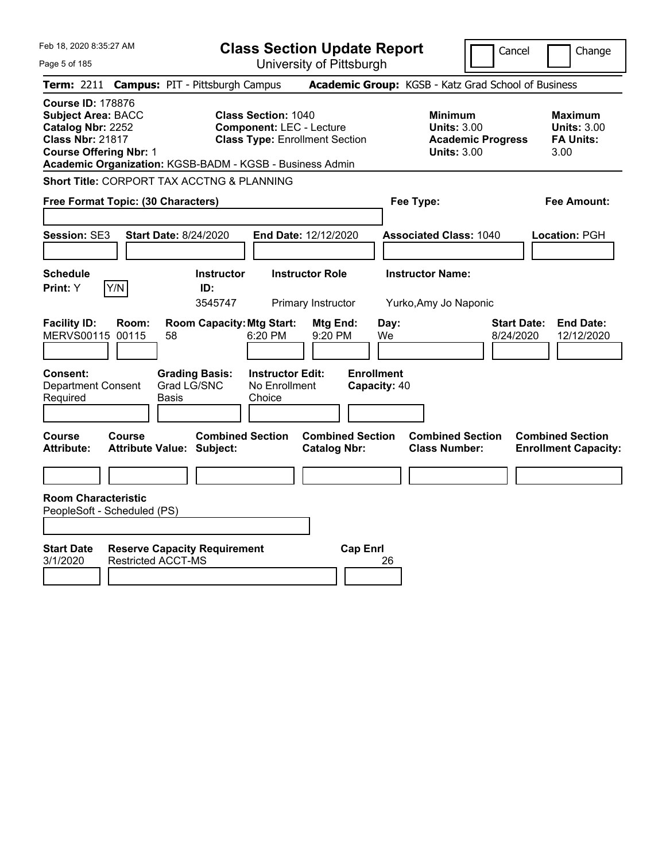| Feb 18, 2020 8:35:27 AM                                                                                                                                                                            | <b>Class Section Update Report</b>                                                                     | Cancel                                                                                 | Change                                                           |
|----------------------------------------------------------------------------------------------------------------------------------------------------------------------------------------------------|--------------------------------------------------------------------------------------------------------|----------------------------------------------------------------------------------------|------------------------------------------------------------------|
| Page 5 of 185                                                                                                                                                                                      | University of Pittsburgh                                                                               |                                                                                        |                                                                  |
| <b>Term: 2211</b><br><b>Campus: PIT - Pittsburgh Campus</b>                                                                                                                                        |                                                                                                        | Academic Group: KGSB - Katz Grad School of Business                                    |                                                                  |
| <b>Course ID: 178876</b><br><b>Subject Area: BACC</b><br>Catalog Nbr: 2252<br><b>Class Nbr: 21817</b><br><b>Course Offering Nbr: 1</b><br>Academic Organization: KGSB-BADM - KGSB - Business Admin | <b>Class Section: 1040</b><br><b>Component: LEC - Lecture</b><br><b>Class Type: Enrollment Section</b> | <b>Minimum</b><br><b>Units: 3.00</b><br><b>Academic Progress</b><br><b>Units: 3.00</b> | <b>Maximum</b><br><b>Units: 3.00</b><br><b>FA Units:</b><br>3.00 |
| Short Title: CORPORT TAX ACCTNG & PLANNING                                                                                                                                                         |                                                                                                        |                                                                                        |                                                                  |
| Free Format Topic: (30 Characters)                                                                                                                                                                 |                                                                                                        | Fee Type:                                                                              | Fee Amount:                                                      |
| <b>Start Date: 8/24/2020</b><br>Session: SE3                                                                                                                                                       | End Date: 12/12/2020                                                                                   | <b>Associated Class: 1040</b>                                                          | Location: PGH                                                    |
| <b>Schedule</b><br>Y/N<br>Print: Y                                                                                                                                                                 | <b>Instructor</b><br><b>Instructor Role</b><br>ID:<br>3545747<br>Primary Instructor                    | <b>Instructor Name:</b><br>Yurko, Amy Jo Naponic                                       |                                                                  |
| <b>Facility ID:</b><br>Room:<br>MERVS00115 00115<br>58                                                                                                                                             | <b>Room Capacity: Mtg Start:</b><br>Mtg End:<br>6:20 PM<br>9:20 PM                                     | <b>Start Date:</b><br>Day:<br>We<br>8/24/2020                                          | <b>End Date:</b><br>12/12/2020                                   |
| Consent:<br><b>Grading Basis:</b><br>Grad LG/SNC<br><b>Department Consent</b><br>Required<br>Basis                                                                                                 | <b>Enrollment</b><br><b>Instructor Edit:</b><br>No Enrollment<br>Capacity: 40<br>Choice                |                                                                                        |                                                                  |
| Course<br>Course<br><b>Attribute:</b><br><b>Attribute Value: Subject:</b>                                                                                                                          | <b>Combined Section</b><br><b>Combined Section</b><br><b>Catalog Nbr:</b>                              | <b>Combined Section</b><br><b>Class Number:</b>                                        | <b>Combined Section</b><br><b>Enrollment Capacity:</b>           |
|                                                                                                                                                                                                    |                                                                                                        |                                                                                        |                                                                  |
| <b>Room Characteristic</b><br>PeopleSoft - Scheduled (PS)                                                                                                                                          |                                                                                                        |                                                                                        |                                                                  |
| <b>Start Date</b><br><b>Reserve Capacity Requirement</b><br><b>Restricted ACCT-MS</b><br>3/1/2020                                                                                                  | <b>Cap Enrl</b>                                                                                        | 26                                                                                     |                                                                  |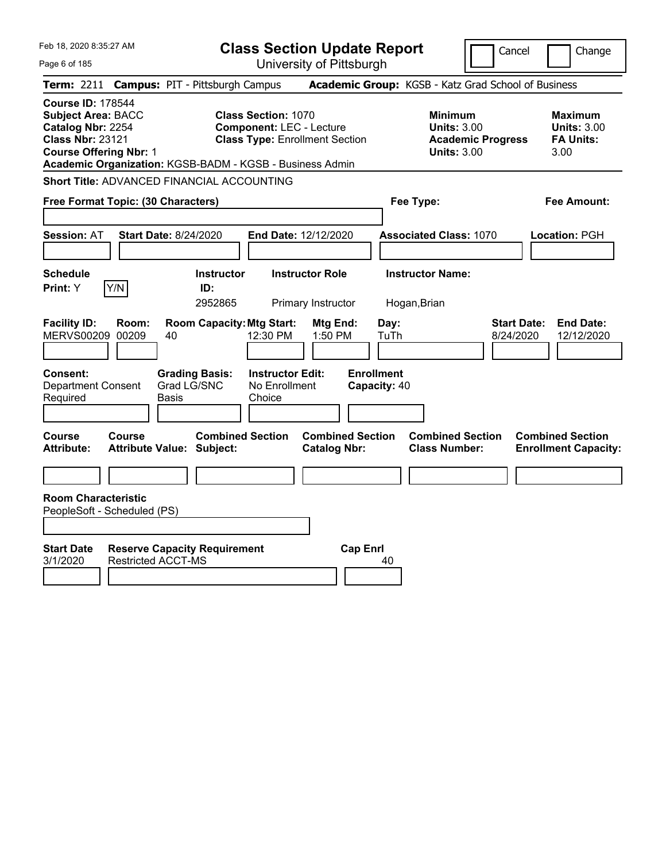| Feb 18, 2020 8:35:27 AM                                                                                                                |                                                                  | <b>Class Section Update Report</b>                                                                                                                                 |                                                            | Cancel                          | Change                                                           |
|----------------------------------------------------------------------------------------------------------------------------------------|------------------------------------------------------------------|--------------------------------------------------------------------------------------------------------------------------------------------------------------------|------------------------------------------------------------|---------------------------------|------------------------------------------------------------------|
| Page 6 of 185                                                                                                                          |                                                                  | University of Pittsburgh                                                                                                                                           |                                                            |                                 |                                                                  |
|                                                                                                                                        | Term: 2211 Campus: PIT - Pittsburgh Campus                       |                                                                                                                                                                    | Academic Group: KGSB - Katz Grad School of Business        |                                 |                                                                  |
| <b>Course ID: 178544</b><br><b>Subject Area: BACC</b><br>Catalog Nbr: 2254<br><b>Class Nbr: 23121</b><br><b>Course Offering Nbr: 1</b> |                                                                  | <b>Class Section: 1070</b><br><b>Component: LEC - Lecture</b><br><b>Class Type: Enrollment Section</b><br>Academic Organization: KGSB-BADM - KGSB - Business Admin | <b>Minimum</b><br><b>Units: 3.00</b><br><b>Units: 3.00</b> | <b>Academic Progress</b>        | <b>Maximum</b><br><b>Units: 3.00</b><br><b>FA Units:</b><br>3.00 |
|                                                                                                                                        | Short Title: ADVANCED FINANCIAL ACCOUNTING                       |                                                                                                                                                                    |                                                            |                                 |                                                                  |
| Free Format Topic: (30 Characters)                                                                                                     |                                                                  |                                                                                                                                                                    | Fee Type:                                                  |                                 | <b>Fee Amount:</b>                                               |
| <b>Session: AT</b>                                                                                                                     | <b>Start Date: 8/24/2020</b>                                     | End Date: 12/12/2020                                                                                                                                               | <b>Associated Class: 1070</b>                              |                                 | Location: PGH                                                    |
| <b>Schedule</b><br>Print: Y<br>Y/N                                                                                                     | <b>Instructor</b><br>ID:<br>2952865                              | <b>Instructor Role</b><br>Primary Instructor                                                                                                                       | <b>Instructor Name:</b><br>Hogan, Brian                    |                                 |                                                                  |
| <b>Facility ID:</b><br>Room:<br>MERVS00209 00209                                                                                       | <b>Room Capacity: Mtg Start:</b><br>40                           | Mtg End:<br>1:50 PM<br>12:30 PM                                                                                                                                    | Day:<br>TuTh                                               | <b>Start Date:</b><br>8/24/2020 | <b>End Date:</b><br>12/12/2020                                   |
| <b>Consent:</b><br><b>Department Consent</b><br>Required                                                                               | <b>Grading Basis:</b><br>Grad LG/SNC<br>Basis                    | <b>Instructor Edit:</b><br>No Enrollment<br>Choice                                                                                                                 | <b>Enrollment</b><br>Capacity: 40                          |                                 |                                                                  |
| <b>Course</b><br>Course<br><b>Attribute:</b>                                                                                           | <b>Attribute Value: Subject:</b>                                 | <b>Combined Section</b><br><b>Combined Section</b><br><b>Catalog Nbr:</b>                                                                                          | <b>Combined Section</b><br><b>Class Number:</b>            |                                 | <b>Combined Section</b><br><b>Enrollment Capacity:</b>           |
|                                                                                                                                        |                                                                  |                                                                                                                                                                    |                                                            |                                 |                                                                  |
| <b>Room Characteristic</b><br>PeopleSoft - Scheduled (PS)<br><b>Start Date</b><br>3/1/2020                                             | <b>Reserve Capacity Requirement</b><br><b>Restricted ACCT-MS</b> |                                                                                                                                                                    | <b>Cap Enrl</b><br>40                                      |                                 |                                                                  |
|                                                                                                                                        |                                                                  |                                                                                                                                                                    |                                                            |                                 |                                                                  |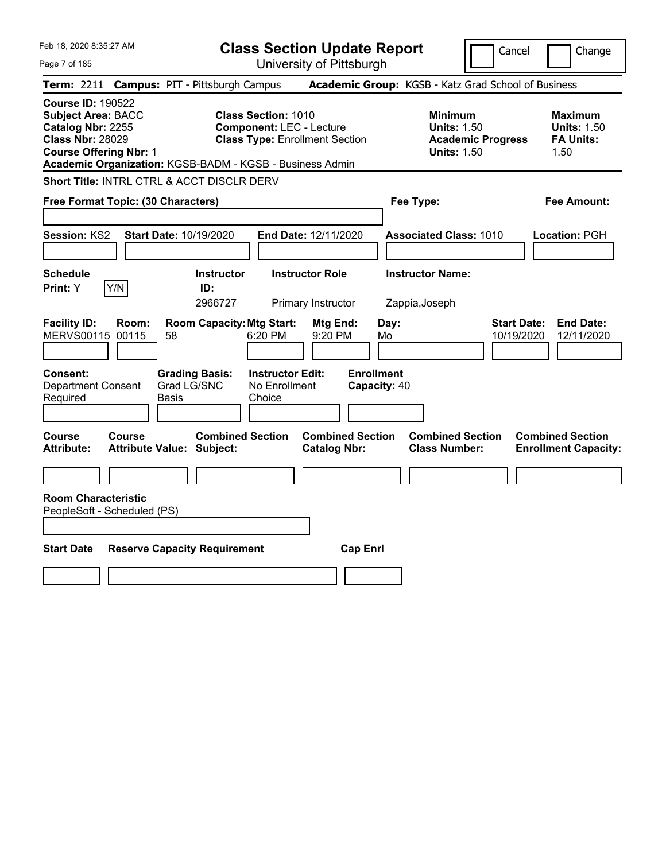| Feb 18, 2020 8:35:27 AM                                                                                                                                                                            | <b>Class Section Update Report</b>                                                                     | Cancel                                                                                 | Change                                                           |
|----------------------------------------------------------------------------------------------------------------------------------------------------------------------------------------------------|--------------------------------------------------------------------------------------------------------|----------------------------------------------------------------------------------------|------------------------------------------------------------------|
| Page 7 of 185                                                                                                                                                                                      | University of Pittsburgh                                                                               |                                                                                        |                                                                  |
| <b>Campus: PIT - Pittsburgh Campus</b><br><b>Term: 2211</b>                                                                                                                                        |                                                                                                        | Academic Group: KGSB - Katz Grad School of Business                                    |                                                                  |
| <b>Course ID: 190522</b><br><b>Subject Area: BACC</b><br>Catalog Nbr: 2255<br><b>Class Nbr: 28029</b><br><b>Course Offering Nbr: 1</b><br>Academic Organization: KGSB-BADM - KGSB - Business Admin | <b>Class Section: 1010</b><br><b>Component: LEC - Lecture</b><br><b>Class Type: Enrollment Section</b> | <b>Minimum</b><br><b>Units: 1.50</b><br><b>Academic Progress</b><br><b>Units: 1.50</b> | <b>Maximum</b><br><b>Units: 1.50</b><br><b>FA Units:</b><br>1.50 |
| Short Title: INTRL CTRL & ACCT DISCLR DERV                                                                                                                                                         |                                                                                                        |                                                                                        |                                                                  |
| Free Format Topic: (30 Characters)                                                                                                                                                                 |                                                                                                        | Fee Type:                                                                              | Fee Amount:                                                      |
| <b>Session: KS2</b><br>Start Date: 10/19/2020                                                                                                                                                      | End Date: 12/11/2020                                                                                   | <b>Associated Class: 1010</b>                                                          | Location: PGH                                                    |
| <b>Schedule</b><br>Print: Y<br>Y/N                                                                                                                                                                 | <b>Instructor</b><br><b>Instructor Role</b><br>ID:<br>2966727<br>Primary Instructor                    | <b>Instructor Name:</b><br>Zappia, Joseph                                              |                                                                  |
| <b>Facility ID:</b><br>Room:<br>MERVS00115 00115<br>58                                                                                                                                             | <b>Room Capacity: Mtg Start:</b><br>Mtg End:<br>6:20 PM<br>9:20 PM                                     | Day:<br><b>Start Date:</b><br>Mo<br>10/19/2020                                         | <b>End Date:</b><br>12/11/2020                                   |
| Consent:<br><b>Grading Basis:</b><br>Grad LG/SNC<br><b>Department Consent</b><br>Required<br>Basis                                                                                                 | <b>Enrollment</b><br><b>Instructor Edit:</b><br>No Enrollment<br>Capacity: 40<br>Choice                |                                                                                        |                                                                  |
| <b>Course</b><br>Course<br><b>Attribute:</b><br><b>Attribute Value: Subject:</b>                                                                                                                   | <b>Combined Section</b><br><b>Combined Section</b><br><b>Catalog Nbr:</b>                              | <b>Combined Section</b><br><b>Class Number:</b>                                        | <b>Combined Section</b><br><b>Enrollment Capacity:</b>           |
|                                                                                                                                                                                                    |                                                                                                        |                                                                                        |                                                                  |
| <b>Room Characteristic</b><br>PeopleSoft - Scheduled (PS)<br><b>Start Date</b><br><b>Reserve Capacity Requirement</b>                                                                              |                                                                                                        |                                                                                        |                                                                  |
|                                                                                                                                                                                                    | <b>Cap Enrl</b>                                                                                        |                                                                                        |                                                                  |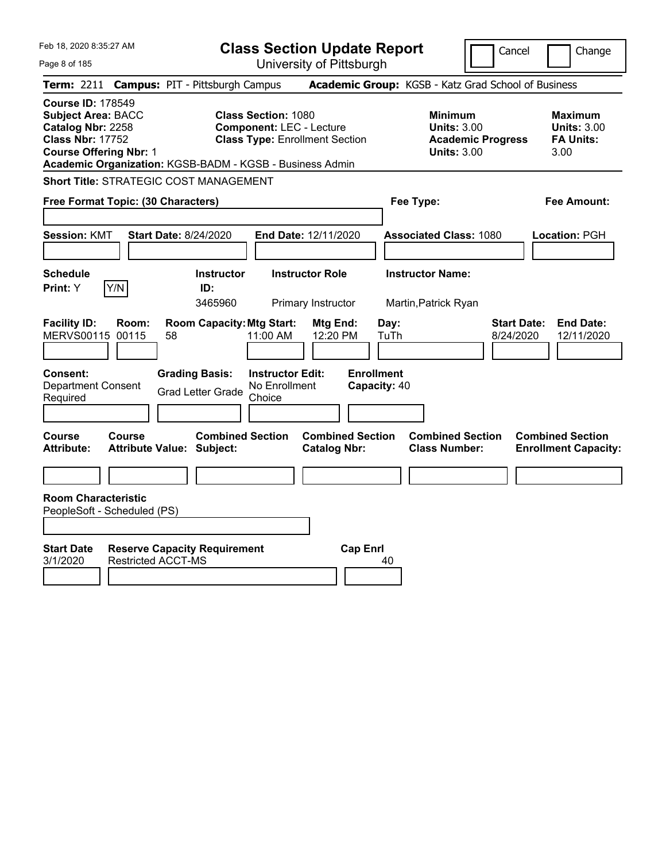| Feb 18, 2020 8:35:27 AM                                                                                                                                                                            | <b>Class Section Update Report</b>                                                                                                                              | Cancel                                                                                 | Change                                                           |
|----------------------------------------------------------------------------------------------------------------------------------------------------------------------------------------------------|-----------------------------------------------------------------------------------------------------------------------------------------------------------------|----------------------------------------------------------------------------------------|------------------------------------------------------------------|
| Page 8 of 185                                                                                                                                                                                      | University of Pittsburgh                                                                                                                                        |                                                                                        |                                                                  |
| <b>Campus: PIT - Pittsburgh Campus</b><br><b>Term: 2211</b>                                                                                                                                        |                                                                                                                                                                 | Academic Group: KGSB - Katz Grad School of Business                                    |                                                                  |
| <b>Course ID: 178549</b><br><b>Subject Area: BACC</b><br>Catalog Nbr: 2258<br><b>Class Nbr: 17752</b><br><b>Course Offering Nbr: 1</b><br>Academic Organization: KGSB-BADM - KGSB - Business Admin | <b>Class Section: 1080</b><br><b>Component: LEC - Lecture</b><br><b>Class Type: Enrollment Section</b>                                                          | <b>Minimum</b><br><b>Units: 3.00</b><br><b>Academic Progress</b><br><b>Units: 3.00</b> | <b>Maximum</b><br><b>Units: 3.00</b><br><b>FA Units:</b><br>3.00 |
| <b>Short Title: STRATEGIC COST MANAGEMENT</b>                                                                                                                                                      |                                                                                                                                                                 |                                                                                        |                                                                  |
| Free Format Topic: (30 Characters)                                                                                                                                                                 |                                                                                                                                                                 | Fee Type:                                                                              | Fee Amount:                                                      |
| <b>Session: KMT</b><br><b>Start Date: 8/24/2020</b>                                                                                                                                                | End Date: 12/11/2020                                                                                                                                            | <b>Associated Class: 1080</b>                                                          | Location: PGH                                                    |
| <b>Schedule</b>                                                                                                                                                                                    | <b>Instructor</b><br><b>Instructor Role</b>                                                                                                                     | <b>Instructor Name:</b>                                                                |                                                                  |
| Y/N<br>Print: Y                                                                                                                                                                                    | ID:<br>3465960<br>Primary Instructor                                                                                                                            | Martin, Patrick Ryan                                                                   |                                                                  |
| <b>Facility ID:</b><br>Room:<br>MERVS00115 00115<br>58<br><b>Grading Basis:</b><br>Consent:<br><b>Department Consent</b><br><b>Grad Letter Grade</b><br>Required                                   | <b>Room Capacity: Mtg Start:</b><br>Mtg End:<br>11:00 AM<br>12:20 PM<br><b>Instructor Edit:</b><br><b>Enrollment</b><br>No Enrollment<br>Capacity: 40<br>Choice | <b>Start Date:</b><br>Day:<br>TuTh<br>8/24/2020                                        | <b>End Date:</b><br>12/11/2020                                   |
| Course<br>Course<br><b>Attribute Value: Subject:</b><br><b>Attribute:</b>                                                                                                                          | <b>Combined Section</b><br><b>Combined Section</b><br><b>Catalog Nbr:</b>                                                                                       | <b>Combined Section</b><br><b>Class Number:</b>                                        | <b>Combined Section</b><br><b>Enrollment Capacity:</b>           |
|                                                                                                                                                                                                    |                                                                                                                                                                 |                                                                                        |                                                                  |
| <b>Room Characteristic</b><br>PeopleSoft - Scheduled (PS)                                                                                                                                          |                                                                                                                                                                 |                                                                                        |                                                                  |
| <b>Start Date</b><br><b>Reserve Capacity Requirement</b><br><b>Restricted ACCT-MS</b><br>3/1/2020                                                                                                  | <b>Cap Enrl</b>                                                                                                                                                 | 40                                                                                     |                                                                  |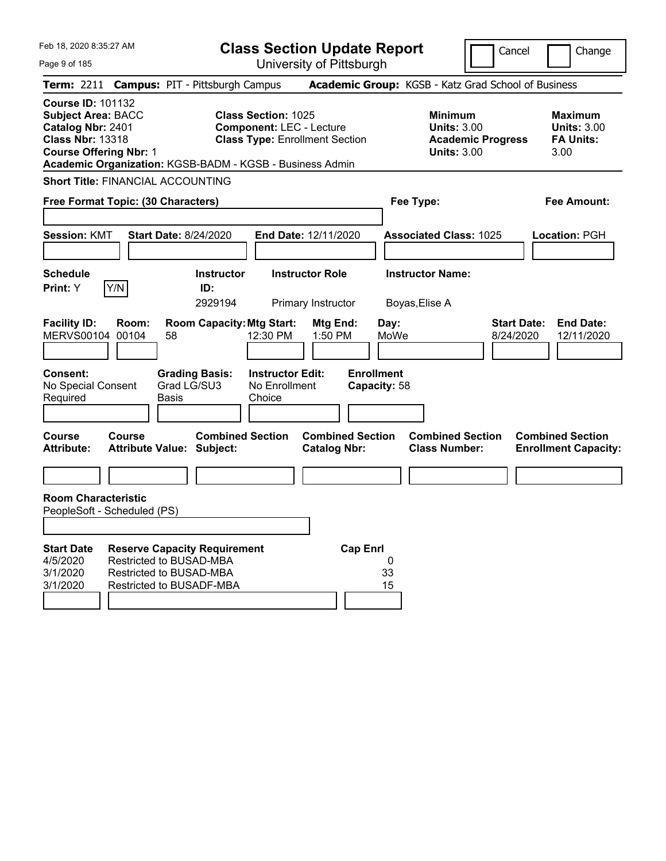|  | Feb 18, 2020 8:35:27 AM |  |
|--|-------------------------|--|
|  |                         |  |

**Class Section Update Report** University of Pittsburgh

Cancel Change

Page 9 of 185

|                                                                                                                                        |        | Term: 2211 Campus: PIT - Pittsburgh Campus                                                                            |                                                               |                                                |                                   | Academic Group: KGSB - Katz Grad School of Business                                    |                                                                   |
|----------------------------------------------------------------------------------------------------------------------------------------|--------|-----------------------------------------------------------------------------------------------------------------------|---------------------------------------------------------------|------------------------------------------------|-----------------------------------|----------------------------------------------------------------------------------------|-------------------------------------------------------------------|
| <b>Course ID: 101132</b><br><b>Subject Area: BACC</b><br>Catalog Nbr: 2401<br><b>Class Nbr: 13318</b><br><b>Course Offering Nbr: 1</b> |        | Academic Organization: KGSB-BADM - KGSB - Business Admin                                                              | <b>Class Section: 1025</b><br><b>Component: LEC - Lecture</b> | <b>Class Type: Enrollment Section</b>          |                                   | <b>Minimum</b><br><b>Units: 3.00</b><br><b>Academic Progress</b><br><b>Units: 3.00</b> | <b>Maximum</b><br><b>Units: 3.00</b><br><b>FA Units:</b><br>3.00  |
|                                                                                                                                        |        | <b>Short Title: FINANCIAL ACCOUNTING</b>                                                                              |                                                               |                                                |                                   |                                                                                        |                                                                   |
|                                                                                                                                        |        | Free Format Topic: (30 Characters)                                                                                    |                                                               |                                                |                                   | Fee Type:                                                                              | <b>Fee Amount:</b>                                                |
| <b>Session: KMT</b>                                                                                                                    |        | <b>Start Date: 8/24/2020</b>                                                                                          |                                                               | End Date: 12/11/2020                           |                                   | <b>Associated Class: 1025</b>                                                          | Location: PGH                                                     |
| <b>Schedule</b><br>Print: Y                                                                                                            | Y/N    | <b>Instructor</b><br>ID:<br>2929194                                                                                   |                                                               | <b>Instructor Role</b><br>Primary Instructor   |                                   | <b>Instructor Name:</b><br>Boyas, Elise A                                              |                                                                   |
| <b>Facility ID:</b><br>MERVS00104 00104                                                                                                | Room:  | <b>Room Capacity: Mtg Start:</b><br>58                                                                                | 12:30 PM                                                      | Mtg End:<br>1:50 PM                            | Day:<br>MoWe                      |                                                                                        | <b>End Date:</b><br><b>Start Date:</b><br>8/24/2020<br>12/11/2020 |
| <b>Consent:</b><br>No Special Consent<br>Required                                                                                      |        | <b>Grading Basis:</b><br>Grad LG/SU3<br>Basis                                                                         | <b>Instructor Edit:</b><br>No Enrollment<br>Choice            |                                                | <b>Enrollment</b><br>Capacity: 58 |                                                                                        |                                                                   |
| Course<br>Attribute:                                                                                                                   | Course | <b>Combined Section</b><br><b>Attribute Value: Subject:</b>                                                           |                                                               | <b>Combined Section</b><br><b>Catalog Nbr:</b> |                                   | <b>Combined Section</b><br><b>Class Number:</b>                                        | <b>Combined Section</b><br><b>Enrollment Capacity:</b>            |
| <b>Room Characteristic</b><br>PeopleSoft - Scheduled (PS)                                                                              |        |                                                                                                                       |                                                               |                                                |                                   |                                                                                        |                                                                   |
| <b>Start Date</b><br>4/5/2020<br>3/1/2020<br>3/1/2020                                                                                  |        | <b>Reserve Capacity Requirement</b><br>Restricted to BUSAD-MBA<br>Restricted to BUSAD-MBA<br>Restricted to BUSADF-MBA |                                                               | <b>Cap Enrl</b>                                | 0<br>33<br>15                     |                                                                                        |                                                                   |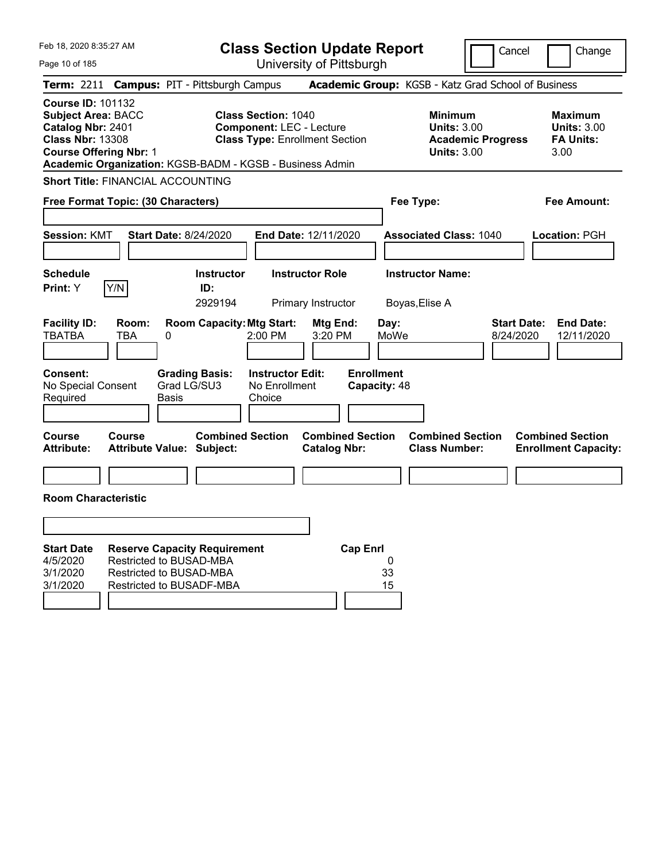Feb 18, 2020 8:35:27 AM Page 10 of 185 **Class Section Update Report** University of Pittsburgh Cancel Change **Term:** 2211 **Campus:** PIT - Pittsburgh Campus **Academic Group:** KGSB - Katz Grad School of Business **Course ID:** 101132 **Subject Area:** BACC **Class Section:** 1040 **Minimum Maximum Catalog Nbr:** 2401 **Component:** LEC - Lecture **Units:** 3.00 **Units:** 3.00 **Class Nbr:** 13308 **Class Type:** Enrollment Section **Academic Progress FA Units: Course Offering Nbr:** 1 **Units:** 3.00 3.00 **Academic Organization:** KGSB-BADM - KGSB - Business Admin **Short Title:** FINANCIAL ACCOUNTING **Free Format Topic: (30 Characters) Fee Type: Fee Amount: Session:** KMT **Start Date:** 8/24/2020 **End Date:** 12/11/2020 **Associated Class:** 1040 **Location:** PGH **Schedule Instructor Instructor Role Instructor Name: Print:**  $Y$   $|Y/N|$  **ID:** 2929194 Primary Instructor Boyas,Elise A **Facility ID: Room: Room Capacity:Mtg Start: Mtg End: Day: Start Date: End Date:** TBATBA TBA 0 2:00 PM 3:20 PM MoWe 8/24/2020 12/11/2020 **Consent: Grading Basis: Instructor Edit: Enrollment** No Special Consent Required Grad LG/SU3 Basis No Enrollment Choice **Capacity:** 48 **Course Course Combined Section Combined Section Combined Section Combined Section Attribute: Attribute Value: Subject: Catalog Nbr: Class Number: Enrollment Capacity: Room Characteristic Start Date Reserve Capacity Requirement Cap Enrl** 4/5/2020 Restricted to BUSAD-MBA 0 3/1/2020 Restricted to BUSAD-MBA 33 3/1/2020 Restricted to BUSADF-MBA 15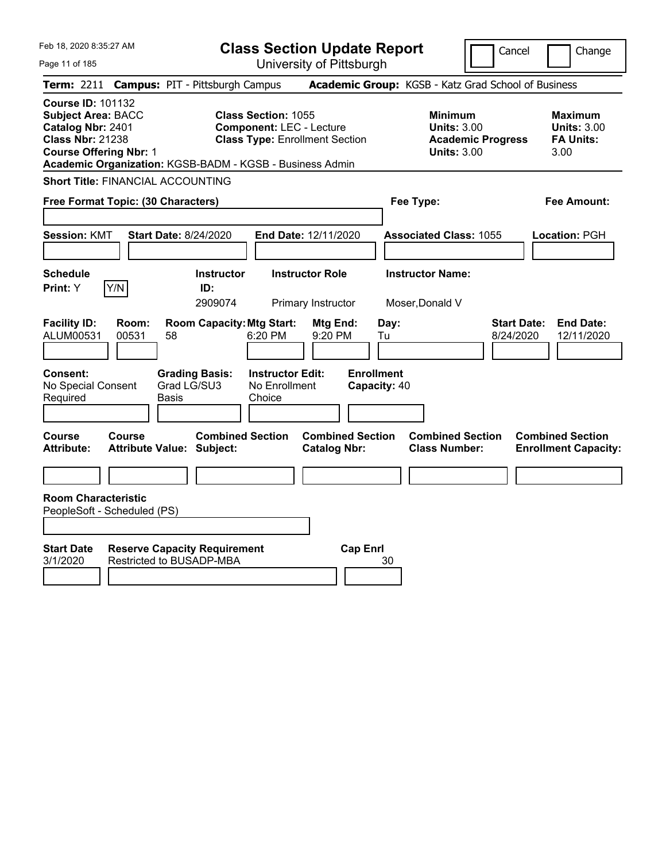|  | Feb 18, 2020 8:35:27 AM |  |
|--|-------------------------|--|
|  |                         |  |

**Class Section Update Report**

Cancel Change

Page 11 of 185

University of Pittsburgh **Term:** 2211 **Campus:** PIT - Pittsburgh Campus **Academic Group:** KGSB - Katz Grad School of Business **Course ID:** 101132 **Subject Area:** BACC **Class Section:** 1055 **Minimum Maximum Catalog Nbr:** 2401 **Component:** LEC - Lecture **Units:** 3.00 **Units:** 3.00 **Class Nbr:** 21238 **Class Type:** Enrollment Section **Academic Progress FA Units: Course Offering Nbr:** 1 **Units:** 3.00 3.00 **Academic Organization:** KGSB-BADM - KGSB - Business Admin **Short Title:** FINANCIAL ACCOUNTING **Free Format Topic: (30 Characters) Fee Type: Fee Amount: Session:** KMT **Start Date:** 8/24/2020 **End Date:** 12/11/2020 **Associated Class:** 1055 **Location:** PGH **Schedule Instructor Instructor Role Instructor Name: Print:**  $Y$   $|Y/N|$  **ID:** 2909074 Primary Instructor Moser,Donald V **Facility ID: Room: Room Capacity:Mtg Start: Mtg End: Day: Start Date: End Date:** ALUM00531 00531 58 6:20 PM 9:20 PM Tu 8/24/2020 12/11/2020 **Consent: Grading Basis: Instructor Edit: Enrollment** No Special Consent Required Grad LG/SU3 Basis No Enrollment Choice **Capacity:** 40 **Course Course Combined Section Combined Section Combined Section Combined Section Attribute: Attribute Value: Subject: Catalog Nbr: Class Number: Enrollment Capacity: Room Characteristic** PeopleSoft - Scheduled (PS) **Start Date Reserve Capacity Requirement Cap Enrl** 3/1/2020 Restricted to BUSADP-MBA 30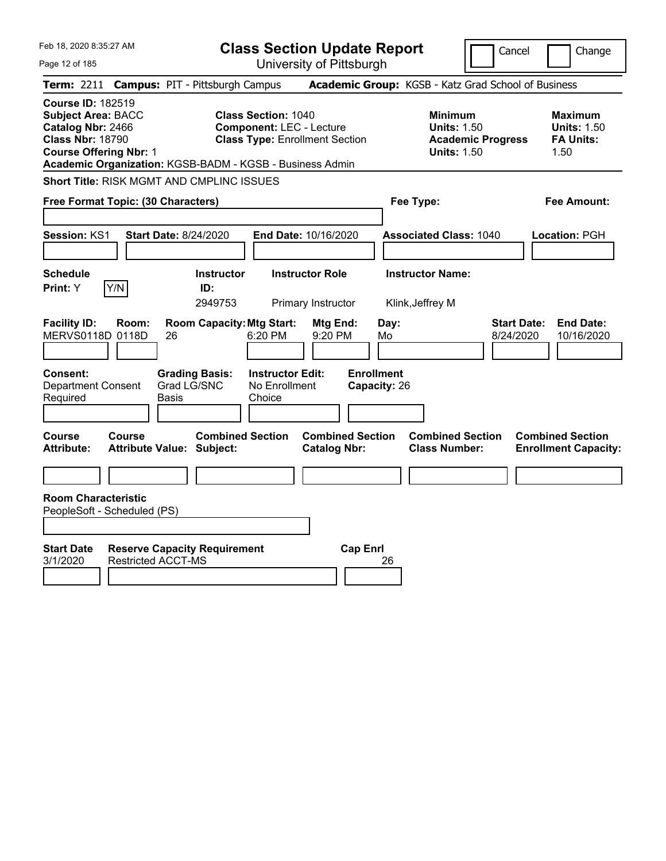| Feb 18, 2020 8:35:27 AM                                                                                                                                                                            |                                                                  |                                     | <b>Class Section Update Report</b>                                                                     |                                                |                                   |            |                                                            |                          | Cancel                          | Change                                                           |
|----------------------------------------------------------------------------------------------------------------------------------------------------------------------------------------------------|------------------------------------------------------------------|-------------------------------------|--------------------------------------------------------------------------------------------------------|------------------------------------------------|-----------------------------------|------------|------------------------------------------------------------|--------------------------|---------------------------------|------------------------------------------------------------------|
| Page 12 of 185                                                                                                                                                                                     |                                                                  |                                     | University of Pittsburgh                                                                               |                                                |                                   |            |                                                            |                          |                                 |                                                                  |
| <b>Term: 2211</b>                                                                                                                                                                                  | <b>Campus: PIT - Pittsburgh Campus</b>                           |                                     |                                                                                                        |                                                |                                   |            | Academic Group: KGSB - Katz Grad School of Business        |                          |                                 |                                                                  |
| <b>Course ID: 182519</b><br><b>Subject Area: BACC</b><br>Catalog Nbr: 2466<br><b>Class Nbr: 18790</b><br><b>Course Offering Nbr: 1</b><br>Academic Organization: KGSB-BADM - KGSB - Business Admin |                                                                  |                                     | <b>Class Section: 1040</b><br><b>Component: LEC - Lecture</b><br><b>Class Type: Enrollment Section</b> |                                                |                                   |            | <b>Minimum</b><br><b>Units: 1.50</b><br><b>Units: 1.50</b> | <b>Academic Progress</b> |                                 | <b>Maximum</b><br><b>Units: 1.50</b><br><b>FA Units:</b><br>1.50 |
| Short Title: RISK MGMT AND CMPLINC ISSUES                                                                                                                                                          |                                                                  |                                     |                                                                                                        |                                                |                                   |            |                                                            |                          |                                 |                                                                  |
|                                                                                                                                                                                                    | Free Format Topic: (30 Characters)                               |                                     |                                                                                                        |                                                |                                   |            | Fee Type:                                                  |                          |                                 | Fee Amount:                                                      |
| Session: KS1                                                                                                                                                                                       | <b>Start Date: 8/24/2020</b>                                     |                                     | End Date: 10/16/2020                                                                                   |                                                |                                   |            | <b>Associated Class: 1040</b>                              |                          |                                 | Location: PGH                                                    |
| <b>Schedule</b><br>Y/N<br>Print: Y                                                                                                                                                                 |                                                                  | <b>Instructor</b><br>ID:<br>2949753 |                                                                                                        | <b>Instructor Role</b><br>Primary Instructor   |                                   |            | <b>Instructor Name:</b><br>Klink, Jeffrey M                |                          |                                 |                                                                  |
| <b>Facility ID:</b><br>MERVS0118D 0118D                                                                                                                                                            | Room:<br>26                                                      | <b>Room Capacity: Mtg Start:</b>    | 6:20 PM                                                                                                | Mtg End:<br>9:20 PM                            |                                   | Day:<br>Mo |                                                            |                          | <b>Start Date:</b><br>8/24/2020 | <b>End Date:</b><br>10/16/2020                                   |
| Consent:<br><b>Department Consent</b><br>Required                                                                                                                                                  | Grad LG/SNC<br>Basis                                             | <b>Grading Basis:</b>               | <b>Instructor Edit:</b><br>No Enrollment<br>Choice                                                     |                                                | <b>Enrollment</b><br>Capacity: 26 |            |                                                            |                          |                                 |                                                                  |
| <b>Course</b><br><b>Attribute:</b>                                                                                                                                                                 | <b>Course</b><br><b>Attribute Value: Subject:</b>                | <b>Combined Section</b>             |                                                                                                        | <b>Combined Section</b><br><b>Catalog Nbr:</b> |                                   |            | <b>Combined Section</b><br><b>Class Number:</b>            |                          |                                 | <b>Combined Section</b><br><b>Enrollment Capacity:</b>           |
|                                                                                                                                                                                                    |                                                                  |                                     |                                                                                                        |                                                |                                   |            |                                                            |                          |                                 |                                                                  |
| <b>Room Characteristic</b><br>PeopleSoft - Scheduled (PS)                                                                                                                                          |                                                                  |                                     |                                                                                                        |                                                |                                   |            |                                                            |                          |                                 |                                                                  |
| <b>Start Date</b><br>3/1/2020                                                                                                                                                                      | <b>Reserve Capacity Requirement</b><br><b>Restricted ACCT-MS</b> |                                     |                                                                                                        |                                                | <b>Cap Enrl</b>                   | 26         |                                                            |                          |                                 |                                                                  |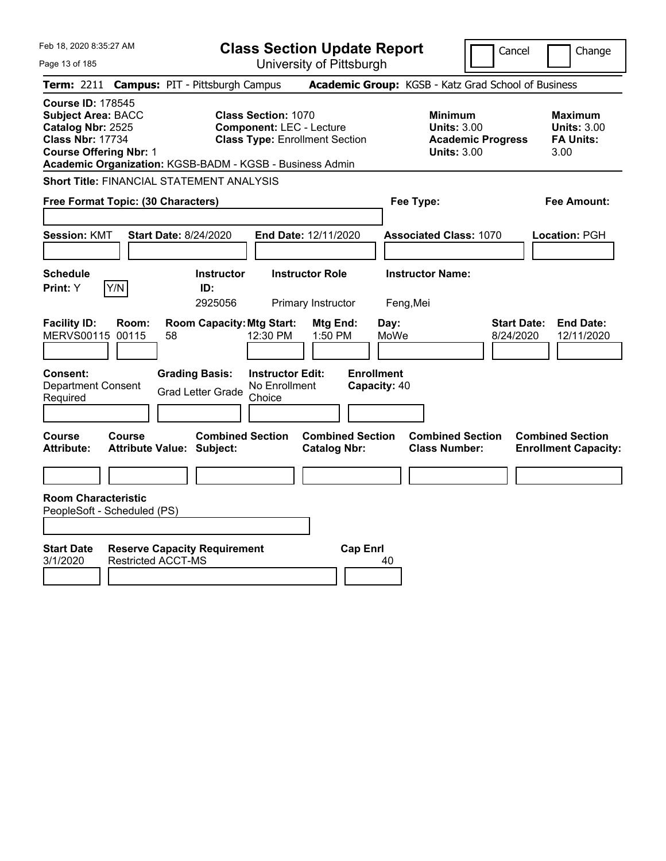| Feb 18, 2020 8:35:27 AM                                                                                                                                                                            |                                                                  |                                                   |                                                               | <b>Class Section Update Report</b>             |                                   |                                                            | Cancel                          | Change                                                           |
|----------------------------------------------------------------------------------------------------------------------------------------------------------------------------------------------------|------------------------------------------------------------------|---------------------------------------------------|---------------------------------------------------------------|------------------------------------------------|-----------------------------------|------------------------------------------------------------|---------------------------------|------------------------------------------------------------------|
| Page 13 of 185                                                                                                                                                                                     |                                                                  |                                                   |                                                               | University of Pittsburgh                       |                                   |                                                            |                                 |                                                                  |
| <b>Term:</b> 2211                                                                                                                                                                                  | <b>Campus: PIT - Pittsburgh Campus</b>                           |                                                   |                                                               |                                                |                                   | Academic Group: KGSB - Katz Grad School of Business        |                                 |                                                                  |
| <b>Course ID: 178545</b><br><b>Subject Area: BACC</b><br>Catalog Nbr: 2525<br><b>Class Nbr: 17734</b><br><b>Course Offering Nbr: 1</b><br>Academic Organization: KGSB-BADM - KGSB - Business Admin |                                                                  |                                                   | <b>Class Section: 1070</b><br><b>Component: LEC - Lecture</b> | <b>Class Type: Enrollment Section</b>          |                                   | <b>Minimum</b><br><b>Units: 3.00</b><br><b>Units: 3.00</b> | <b>Academic Progress</b>        | <b>Maximum</b><br><b>Units: 3.00</b><br><b>FA Units:</b><br>3.00 |
| Short Title: FINANCIAL STATEMENT ANALYSIS                                                                                                                                                          |                                                                  |                                                   |                                                               |                                                |                                   |                                                            |                                 |                                                                  |
|                                                                                                                                                                                                    | Free Format Topic: (30 Characters)                               |                                                   |                                                               |                                                |                                   | Fee Type:                                                  |                                 | Fee Amount:                                                      |
| <b>Session: KMT</b>                                                                                                                                                                                | <b>Start Date: 8/24/2020</b>                                     |                                                   |                                                               | End Date: 12/11/2020                           |                                   | <b>Associated Class: 1070</b>                              |                                 | Location: PGH                                                    |
| <b>Schedule</b><br>Y/N<br>Print: Y                                                                                                                                                                 |                                                                  | <b>Instructor</b><br>ID:<br>2925056               |                                                               | <b>Instructor Role</b><br>Primary Instructor   |                                   | <b>Instructor Name:</b><br>Feng, Mei                       |                                 |                                                                  |
| <b>Facility ID:</b><br>MERVS00115 00115                                                                                                                                                            | Room:<br>58                                                      | <b>Room Capacity: Mtg Start:</b>                  | 12:30 PM                                                      | Mtg End:<br>1:50 PM                            | Day:<br>MoWe                      |                                                            | <b>Start Date:</b><br>8/24/2020 | <b>End Date:</b><br>12/11/2020                                   |
| Consent:<br><b>Department Consent</b><br>Required                                                                                                                                                  |                                                                  | <b>Grading Basis:</b><br><b>Grad Letter Grade</b> | <b>Instructor Edit:</b><br>No Enrollment<br>Choice            |                                                | <b>Enrollment</b><br>Capacity: 40 |                                                            |                                 |                                                                  |
| Course<br><b>Attribute:</b>                                                                                                                                                                        | Course<br><b>Attribute Value: Subject:</b>                       | <b>Combined Section</b>                           |                                                               | <b>Combined Section</b><br><b>Catalog Nbr:</b> |                                   | <b>Combined Section</b><br><b>Class Number:</b>            |                                 | <b>Combined Section</b><br><b>Enrollment Capacity:</b>           |
|                                                                                                                                                                                                    |                                                                  |                                                   |                                                               |                                                |                                   |                                                            |                                 |                                                                  |
| <b>Room Characteristic</b><br>PeopleSoft - Scheduled (PS)                                                                                                                                          |                                                                  |                                                   |                                                               |                                                |                                   |                                                            |                                 |                                                                  |
| <b>Start Date</b><br>3/1/2020                                                                                                                                                                      | <b>Reserve Capacity Requirement</b><br><b>Restricted ACCT-MS</b> |                                                   |                                                               |                                                | <b>Cap Enrl</b><br>40             |                                                            |                                 |                                                                  |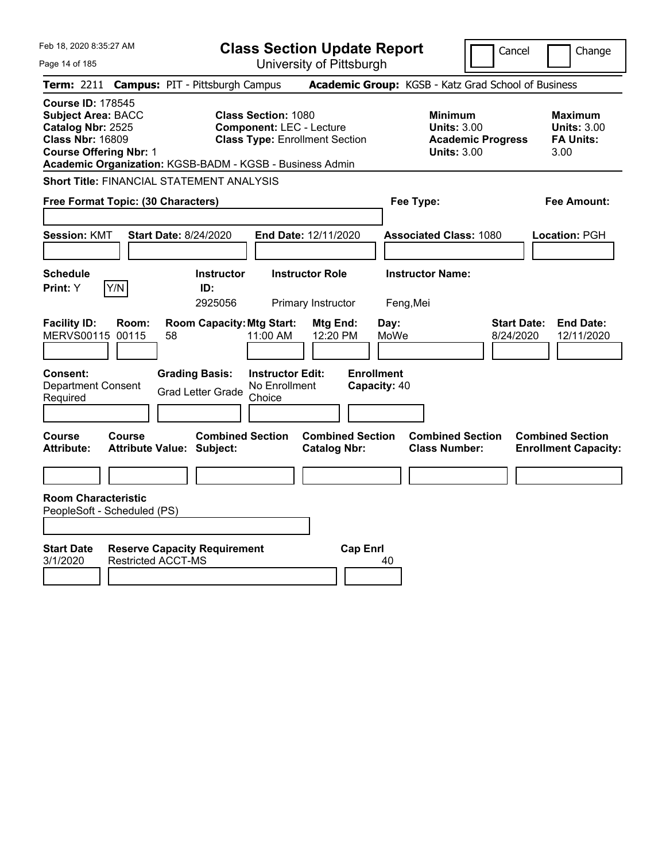| Feb 18, 2020 8:35:27 AM                                                                                                                | <b>Class Section Update Report</b>                                                                                                                                 |                                                                                        | Cancel<br>Change                                                  |
|----------------------------------------------------------------------------------------------------------------------------------------|--------------------------------------------------------------------------------------------------------------------------------------------------------------------|----------------------------------------------------------------------------------------|-------------------------------------------------------------------|
| Page 14 of 185                                                                                                                         | University of Pittsburgh                                                                                                                                           |                                                                                        |                                                                   |
| Term: 2211                                                                                                                             | <b>Campus: PIT - Pittsburgh Campus</b>                                                                                                                             | Academic Group: KGSB - Katz Grad School of Business                                    |                                                                   |
| <b>Course ID: 178545</b><br><b>Subject Area: BACC</b><br>Catalog Nbr: 2525<br><b>Class Nbr: 16809</b><br><b>Course Offering Nbr: 1</b> | <b>Class Section: 1080</b><br><b>Component: LEC - Lecture</b><br><b>Class Type: Enrollment Section</b><br>Academic Organization: KGSB-BADM - KGSB - Business Admin | <b>Minimum</b><br><b>Units: 3.00</b><br><b>Academic Progress</b><br><b>Units: 3.00</b> | <b>Maximum</b><br><b>Units: 3.00</b><br><b>FA Units:</b><br>3.00  |
| Short Title: FINANCIAL STATEMENT ANALYSIS                                                                                              |                                                                                                                                                                    |                                                                                        |                                                                   |
| Free Format Topic: (30 Characters)                                                                                                     |                                                                                                                                                                    | Fee Type:                                                                              | Fee Amount:                                                       |
| <b>Session: KMT</b>                                                                                                                    | <b>Start Date: 8/24/2020</b><br>End Date: 12/11/2020                                                                                                               | <b>Associated Class: 1080</b>                                                          | Location: PGH                                                     |
| <b>Schedule</b><br>Y/N<br>Print: Y                                                                                                     | <b>Instructor</b><br><b>Instructor Role</b><br>ID:<br>2925056<br>Primary Instructor                                                                                | <b>Instructor Name:</b><br>Feng, Mei                                                   |                                                                   |
| <b>Facility ID:</b><br>Room:<br>MERVS00115 00115<br>58                                                                                 | <b>Room Capacity: Mtg Start:</b><br>Mtg End:<br>11:00 AM<br>12:20 PM                                                                                               | Day:<br>MoWe                                                                           | <b>Start Date:</b><br><b>End Date:</b><br>8/24/2020<br>12/11/2020 |
| Consent:<br><b>Department Consent</b><br>Required                                                                                      | <b>Grading Basis:</b><br><b>Instructor Edit:</b><br>No Enrollment<br><b>Grad Letter Grade</b><br>Choice                                                            | <b>Enrollment</b><br>Capacity: 40                                                      |                                                                   |
| <b>Course</b><br><b>Course</b><br><b>Attribute:</b><br><b>Attribute Value: Subject:</b>                                                | <b>Combined Section</b><br><b>Catalog Nbr:</b>                                                                                                                     | <b>Combined Section</b><br><b>Combined Section</b><br><b>Class Number:</b>             | <b>Combined Section</b><br><b>Enrollment Capacity:</b>            |
|                                                                                                                                        |                                                                                                                                                                    |                                                                                        |                                                                   |
| <b>Room Characteristic</b><br>PeopleSoft - Scheduled (PS)                                                                              |                                                                                                                                                                    |                                                                                        |                                                                   |
| <b>Start Date</b><br><b>Restricted ACCT-MS</b><br>3/1/2020                                                                             | <b>Reserve Capacity Requirement</b>                                                                                                                                | <b>Cap Enrl</b><br>40                                                                  |                                                                   |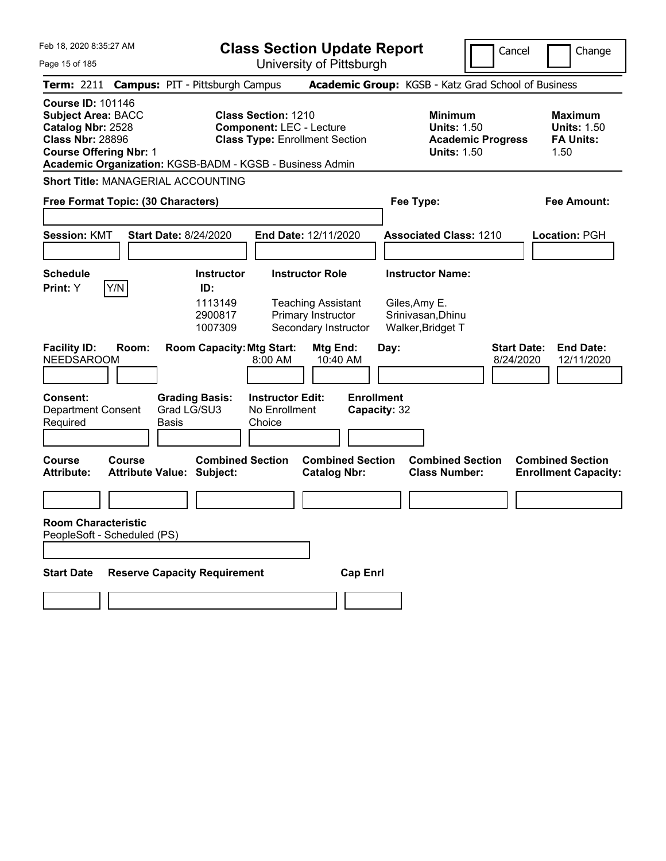| Feb 18, 2020 8:35:27 AM<br><b>Class Section Update Report</b><br>University of Pittsburgh<br>Page 15 of 185                                                                                        |               |                             |                                                             |                                                                                                        |                                                                                                   |                                   |      | Cancel                                                                             | Change                   |                                 |                                                                  |
|----------------------------------------------------------------------------------------------------------------------------------------------------------------------------------------------------|---------------|-----------------------------|-------------------------------------------------------------|--------------------------------------------------------------------------------------------------------|---------------------------------------------------------------------------------------------------|-----------------------------------|------|------------------------------------------------------------------------------------|--------------------------|---------------------------------|------------------------------------------------------------------|
| Term: 2211 Campus: PIT - Pittsburgh Campus                                                                                                                                                         |               |                             |                                                             |                                                                                                        |                                                                                                   |                                   |      | Academic Group: KGSB - Katz Grad School of Business                                |                          |                                 |                                                                  |
| <b>Course ID: 101146</b><br><b>Subject Area: BACC</b><br>Catalog Nbr: 2528<br><b>Class Nbr: 28896</b><br><b>Course Offering Nbr: 1</b><br>Academic Organization: KGSB-BADM - KGSB - Business Admin |               |                             |                                                             | <b>Class Section: 1210</b><br><b>Component: LEC - Lecture</b><br><b>Class Type: Enrollment Section</b> |                                                                                                   |                                   |      | <b>Minimum</b><br><b>Units: 1.50</b><br><b>Units: 1.50</b>                         | <b>Academic Progress</b> |                                 | <b>Maximum</b><br><b>Units: 1.50</b><br><b>FA Units:</b><br>1.50 |
| <b>Short Title: MANAGERIAL ACCOUNTING</b>                                                                                                                                                          |               |                             |                                                             |                                                                                                        |                                                                                                   |                                   |      |                                                                                    |                          |                                 |                                                                  |
| Free Format Topic: (30 Characters)                                                                                                                                                                 |               |                             |                                                             |                                                                                                        |                                                                                                   |                                   |      | <b>Fee Amount:</b><br>Fee Type:                                                    |                          |                                 |                                                                  |
| <b>Session: KMT</b>                                                                                                                                                                                |               |                             | <b>Start Date: 8/24/2020</b>                                |                                                                                                        | <b>End Date: 12/11/2020</b>                                                                       |                                   |      | <b>Associated Class: 1210</b>                                                      |                          |                                 | Location: PGH                                                    |
| <b>Schedule</b><br>Print: Y                                                                                                                                                                        | Y/N           |                             | <b>Instructor</b><br>ID:<br>1113149<br>2900817<br>1007309   |                                                                                                        | <b>Instructor Role</b><br><b>Teaching Assistant</b><br>Primary Instructor<br>Secondary Instructor |                                   |      | <b>Instructor Name:</b><br>Giles, Amy E.<br>Srinivasan, Dhinu<br>Walker, Bridget T |                          |                                 |                                                                  |
| <b>Facility ID:</b><br>NEEDSAROOM                                                                                                                                                                  | Room:         |                             | <b>Room Capacity: Mtg Start:</b>                            | 8:00 AM                                                                                                | Mtg End:<br>10:40 AM                                                                              |                                   | Day: |                                                                                    |                          | <b>Start Date:</b><br>8/24/2020 | <b>End Date:</b><br>12/11/2020                                   |
| <b>Consent:</b><br>Department Consent<br>Required                                                                                                                                                  |               | Grad LG/SU3<br><b>Basis</b> | <b>Grading Basis:</b>                                       | <b>Instructor Edit:</b><br>No Enrollment<br>Choice                                                     |                                                                                                   | <b>Enrollment</b><br>Capacity: 32 |      |                                                                                    |                          |                                 |                                                                  |
| <b>Course</b><br><b>Attribute:</b>                                                                                                                                                                 | <b>Course</b> |                             | <b>Combined Section</b><br><b>Attribute Value: Subject:</b> |                                                                                                        | <b>Combined Section</b><br><b>Catalog Nbr:</b>                                                    |                                   |      | <b>Combined Section</b><br><b>Class Number:</b>                                    |                          |                                 | <b>Combined Section</b><br><b>Enrollment Capacity:</b>           |
|                                                                                                                                                                                                    |               |                             |                                                             |                                                                                                        |                                                                                                   |                                   |      |                                                                                    |                          |                                 |                                                                  |
| <b>Room Characteristic</b><br>PeopleSoft - Scheduled (PS)                                                                                                                                          |               |                             |                                                             |                                                                                                        |                                                                                                   |                                   |      |                                                                                    |                          |                                 |                                                                  |
| <b>Start Date</b>                                                                                                                                                                                  |               |                             | <b>Reserve Capacity Requirement</b>                         |                                                                                                        |                                                                                                   | <b>Cap Enrl</b>                   |      |                                                                                    |                          |                                 |                                                                  |
|                                                                                                                                                                                                    |               |                             |                                                             |                                                                                                        |                                                                                                   |                                   |      |                                                                                    |                          |                                 |                                                                  |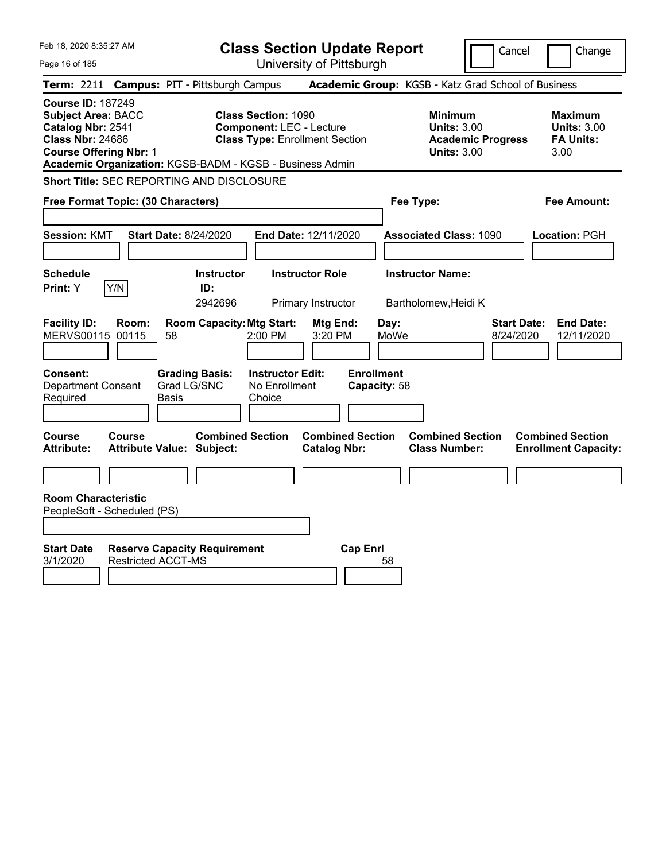| Feb 18, 2020 8:35:27 AM                                                                                                                                                                            |                                                             | <b>Class Section Update Report</b>                                       |                                                                                        | Cancel<br>Change                                                  |
|----------------------------------------------------------------------------------------------------------------------------------------------------------------------------------------------------|-------------------------------------------------------------|--------------------------------------------------------------------------|----------------------------------------------------------------------------------------|-------------------------------------------------------------------|
| Page 16 of 185                                                                                                                                                                                     |                                                             | University of Pittsburgh                                                 |                                                                                        |                                                                   |
| <b>Term:</b> 2211                                                                                                                                                                                  | <b>Campus: PIT - Pittsburgh Campus</b>                      |                                                                          | Academic Group: KGSB - Katz Grad School of Business                                    |                                                                   |
| <b>Course ID: 187249</b><br><b>Subject Area: BACC</b><br>Catalog Nbr: 2541<br><b>Class Nbr: 24686</b><br><b>Course Offering Nbr: 1</b><br>Academic Organization: KGSB-BADM - KGSB - Business Admin | <b>Class Section: 1090</b>                                  | <b>Component: LEC - Lecture</b><br><b>Class Type: Enrollment Section</b> | <b>Minimum</b><br><b>Units: 3.00</b><br><b>Academic Progress</b><br><b>Units: 3.00</b> | <b>Maximum</b><br><b>Units: 3.00</b><br><b>FA Units:</b><br>3.00  |
| <b>Short Title: SEC REPORTING AND DISCLOSURE</b>                                                                                                                                                   |                                                             |                                                                          |                                                                                        |                                                                   |
| Free Format Topic: (30 Characters)                                                                                                                                                                 |                                                             |                                                                          | Fee Type:                                                                              | Fee Amount:                                                       |
| <b>Session: KMT</b>                                                                                                                                                                                | <b>Start Date: 8/24/2020</b>                                | End Date: 12/11/2020                                                     | <b>Associated Class: 1090</b>                                                          | Location: PGH                                                     |
| <b>Schedule</b><br>Y/N<br>Print: Y                                                                                                                                                                 | <b>Instructor</b><br>ID:                                    | <b>Instructor Role</b>                                                   | <b>Instructor Name:</b>                                                                |                                                                   |
|                                                                                                                                                                                                    | 2942696                                                     | Primary Instructor                                                       | Bartholomew, Heidi K                                                                   |                                                                   |
| <b>Facility ID:</b><br>Room:<br>MERVS00115 00115                                                                                                                                                   | <b>Room Capacity: Mtg Start:</b><br>2:00 PM<br>58           | Mtg End:<br>3:20 PM                                                      | Day:<br>MoWe                                                                           | <b>Start Date:</b><br><b>End Date:</b><br>8/24/2020<br>12/11/2020 |
| Consent:<br><b>Department Consent</b>                                                                                                                                                              | <b>Grading Basis:</b><br>Grad LG/SNC                        | <b>Enrollment</b><br><b>Instructor Edit:</b><br>No Enrollment            | Capacity: 58                                                                           |                                                                   |
| Required                                                                                                                                                                                           | Basis<br>Choice                                             |                                                                          |                                                                                        |                                                                   |
| <b>Course</b><br><b>Course</b><br><b>Attribute:</b>                                                                                                                                                | <b>Combined Section</b><br><b>Attribute Value: Subject:</b> | <b>Combined Section</b><br><b>Catalog Nbr:</b>                           | <b>Combined Section</b><br><b>Class Number:</b>                                        | <b>Combined Section</b><br><b>Enrollment Capacity:</b>            |
|                                                                                                                                                                                                    |                                                             |                                                                          |                                                                                        |                                                                   |
| <b>Room Characteristic</b><br>PeopleSoft - Scheduled (PS)                                                                                                                                          |                                                             |                                                                          |                                                                                        |                                                                   |
| <b>Start Date</b><br>3/1/2020<br><b>Restricted ACCT-MS</b>                                                                                                                                         | <b>Reserve Capacity Requirement</b>                         | <b>Cap Enrl</b>                                                          | 58                                                                                     |                                                                   |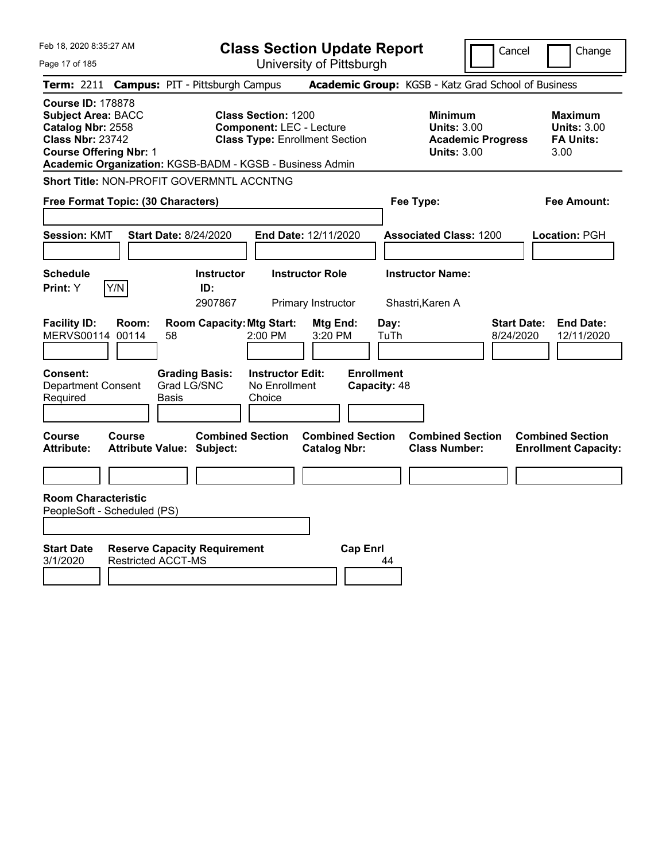| Feb 18, 2020 8:35:27 AM                                                                                                                                                                            |                                                                  | <b>Class Section Update Report</b>                                                                     |                                                                                        | Cancel<br>Change                                                  |
|----------------------------------------------------------------------------------------------------------------------------------------------------------------------------------------------------|------------------------------------------------------------------|--------------------------------------------------------------------------------------------------------|----------------------------------------------------------------------------------------|-------------------------------------------------------------------|
| Page 17 of 185                                                                                                                                                                                     |                                                                  | University of Pittsburgh                                                                               |                                                                                        |                                                                   |
| <b>Term: 2211</b>                                                                                                                                                                                  | <b>Campus: PIT - Pittsburgh Campus</b>                           |                                                                                                        | Academic Group: KGSB - Katz Grad School of Business                                    |                                                                   |
| <b>Course ID: 178878</b><br><b>Subject Area: BACC</b><br>Catalog Nbr: 2558<br><b>Class Nbr: 23742</b><br><b>Course Offering Nbr: 1</b><br>Academic Organization: KGSB-BADM - KGSB - Business Admin |                                                                  | <b>Class Section: 1200</b><br><b>Component: LEC - Lecture</b><br><b>Class Type: Enrollment Section</b> | <b>Minimum</b><br><b>Units: 3.00</b><br><b>Academic Progress</b><br><b>Units: 3.00</b> | <b>Maximum</b><br><b>Units: 3.00</b><br><b>FA Units:</b><br>3.00  |
| Short Title: NON-PROFIT GOVERMNTL ACCNTNG                                                                                                                                                          |                                                                  |                                                                                                        |                                                                                        |                                                                   |
| Free Format Topic: (30 Characters)                                                                                                                                                                 |                                                                  |                                                                                                        | Fee Type:                                                                              | Fee Amount:                                                       |
| <b>Session: KMT</b>                                                                                                                                                                                | <b>Start Date: 8/24/2020</b>                                     | <b>End Date: 12/11/2020</b>                                                                            | <b>Associated Class: 1200</b>                                                          | Location: PGH                                                     |
| <b>Schedule</b><br>Y/N<br>Print: Y                                                                                                                                                                 | <b>Instructor</b><br>ID:<br>2907867                              | <b>Instructor Role</b><br>Primary Instructor                                                           | <b>Instructor Name:</b><br>Shastri, Karen A                                            |                                                                   |
| <b>Facility ID:</b><br>Room:<br>MERVS00114 00114                                                                                                                                                   | <b>Room Capacity: Mtg Start:</b><br>58                           | Mtg End:<br>2:00 PM<br>3:20 PM                                                                         | Day:<br>TuTh                                                                           | <b>Start Date:</b><br><b>End Date:</b><br>8/24/2020<br>12/11/2020 |
| Consent:<br><b>Department Consent</b><br>Required                                                                                                                                                  | <b>Grading Basis:</b><br>Grad LG/SNC<br>Basis                    | <b>Instructor Edit:</b><br>No Enrollment<br>Choice                                                     | <b>Enrollment</b><br>Capacity: 48                                                      |                                                                   |
| <b>Course</b><br>Course<br><b>Attribute:</b>                                                                                                                                                       | <b>Combined Section</b><br><b>Attribute Value: Subject:</b>      | <b>Combined Section</b><br><b>Catalog Nbr:</b>                                                         | <b>Combined Section</b><br><b>Class Number:</b>                                        | <b>Combined Section</b><br><b>Enrollment Capacity:</b>            |
|                                                                                                                                                                                                    |                                                                  |                                                                                                        |                                                                                        |                                                                   |
| <b>Room Characteristic</b><br>PeopleSoft - Scheduled (PS)                                                                                                                                          |                                                                  |                                                                                                        |                                                                                        |                                                                   |
| <b>Start Date</b><br>3/1/2020                                                                                                                                                                      | <b>Reserve Capacity Requirement</b><br><b>Restricted ACCT-MS</b> | <b>Cap Enrl</b>                                                                                        | 44                                                                                     |                                                                   |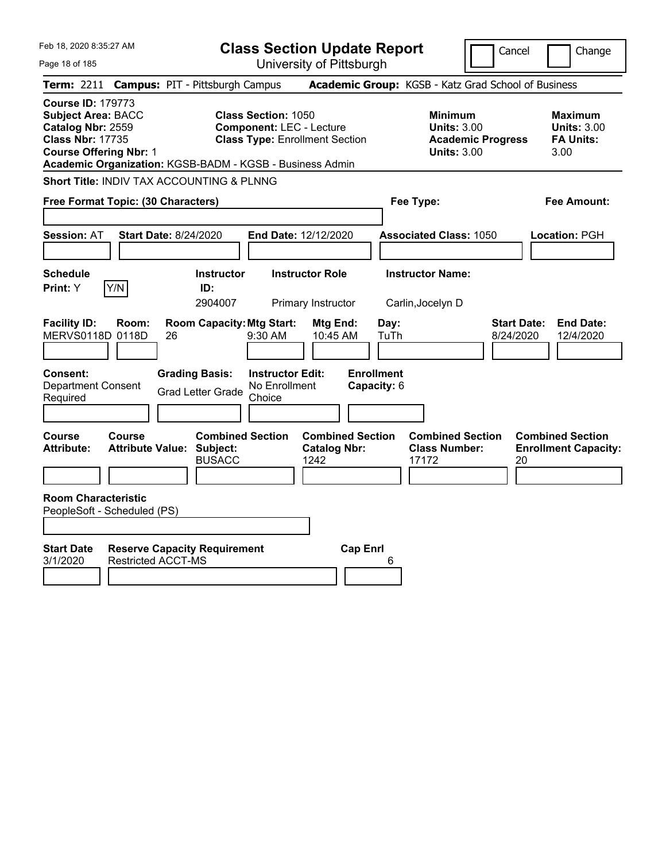| Feb 18, 2020 8:35:27 AM                                                                                                                                                                            |                                                      | <b>Class Section Update Report</b>                                                                     |                                                |                                                                                        | Cancel<br>Change                                                 |
|----------------------------------------------------------------------------------------------------------------------------------------------------------------------------------------------------|------------------------------------------------------|--------------------------------------------------------------------------------------------------------|------------------------------------------------|----------------------------------------------------------------------------------------|------------------------------------------------------------------|
| Page 18 of 185                                                                                                                                                                                     |                                                      | University of Pittsburgh                                                                               |                                                |                                                                                        |                                                                  |
| <b>Term: 2211</b>                                                                                                                                                                                  | <b>Campus: PIT - Pittsburgh Campus</b>               |                                                                                                        |                                                | Academic Group: KGSB - Katz Grad School of Business                                    |                                                                  |
| <b>Course ID: 179773</b><br><b>Subject Area: BACC</b><br>Catalog Nbr: 2559<br><b>Class Nbr: 17735</b><br><b>Course Offering Nbr: 1</b><br>Academic Organization: KGSB-BADM - KGSB - Business Admin |                                                      | <b>Class Section: 1050</b><br><b>Component: LEC - Lecture</b><br><b>Class Type: Enrollment Section</b> |                                                | <b>Minimum</b><br><b>Units: 3.00</b><br><b>Academic Progress</b><br><b>Units: 3.00</b> | <b>Maximum</b><br><b>Units: 3.00</b><br><b>FA Units:</b><br>3.00 |
| Short Title: INDIV TAX ACCOUNTING & PLNNG                                                                                                                                                          |                                                      |                                                                                                        |                                                |                                                                                        |                                                                  |
| Free Format Topic: (30 Characters)                                                                                                                                                                 |                                                      |                                                                                                        |                                                | Fee Type:                                                                              | Fee Amount:                                                      |
| <b>Session: AT</b>                                                                                                                                                                                 | <b>Start Date: 8/24/2020</b>                         | End Date: 12/12/2020                                                                                   |                                                | <b>Associated Class: 1050</b>                                                          | Location: PGH                                                    |
| <b>Schedule</b><br>Y/N<br><b>Print:</b> Y                                                                                                                                                          | <b>Instructor</b><br>ID:<br>2904007                  | <b>Instructor Role</b><br>Primary Instructor                                                           |                                                | <b>Instructor Name:</b><br>Carlin, Jocelyn D                                           |                                                                  |
| <b>Facility ID:</b><br>Room:<br>MERVS0118D 0118D                                                                                                                                                   | <b>Room Capacity: Mtg Start:</b><br>26               | 9:30 AM                                                                                                | Mtg End:<br>Day:<br>10:45 AM<br>TuTh           |                                                                                        | <b>Start Date:</b><br><b>End Date:</b><br>8/24/2020<br>12/4/2020 |
| Consent:<br><b>Department Consent</b><br>Required                                                                                                                                                  | <b>Grading Basis:</b><br><b>Grad Letter Grade</b>    | <b>Instructor Edit:</b><br>No Enrollment<br>Choice                                                     | <b>Enrollment</b><br>Capacity: 6               |                                                                                        |                                                                  |
| Course<br><b>Course</b><br><b>Attribute Value:</b><br><b>Attribute:</b>                                                                                                                            | <b>Combined Section</b><br>Subject:<br><b>BUSACC</b> | 1242                                                                                                   | <b>Combined Section</b><br><b>Catalog Nbr:</b> | <b>Combined Section</b><br><b>Class Number:</b><br>17172                               | <b>Combined Section</b><br><b>Enrollment Capacity:</b><br>20     |
| <b>Room Characteristic</b><br>PeopleSoft - Scheduled (PS)                                                                                                                                          |                                                      |                                                                                                        |                                                |                                                                                        |                                                                  |
| <b>Start Date</b><br><b>Restricted ACCT-MS</b><br>3/1/2020                                                                                                                                         | <b>Reserve Capacity Requirement</b>                  |                                                                                                        | <b>Cap Enrl</b><br>6                           |                                                                                        |                                                                  |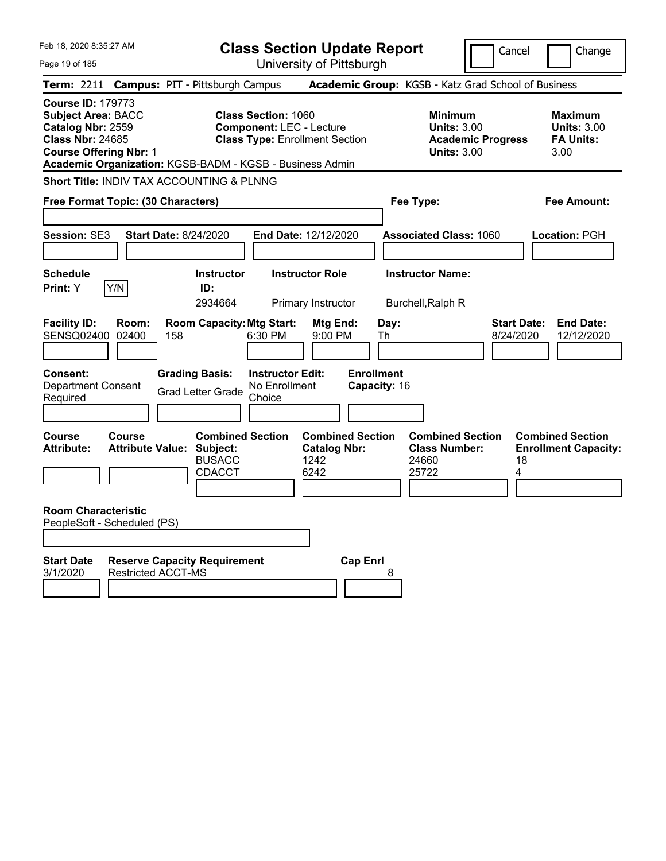| Feb 18, 2020 8:35:27 AM<br><b>Class Section Update Report</b>                                                                          |                                                                    |                                                                                                                                                                    |                                   |                                                                                        | Cancel<br>Change                                                  |  |  |
|----------------------------------------------------------------------------------------------------------------------------------------|--------------------------------------------------------------------|--------------------------------------------------------------------------------------------------------------------------------------------------------------------|-----------------------------------|----------------------------------------------------------------------------------------|-------------------------------------------------------------------|--|--|
| Page 19 of 185                                                                                                                         |                                                                    | University of Pittsburgh                                                                                                                                           |                                   |                                                                                        |                                                                   |  |  |
| <b>Term: 2211</b>                                                                                                                      | <b>Campus: PIT - Pittsburgh Campus</b>                             |                                                                                                                                                                    |                                   | Academic Group: KGSB - Katz Grad School of Business                                    |                                                                   |  |  |
| <b>Course ID: 179773</b><br><b>Subject Area: BACC</b><br>Catalog Nbr: 2559<br><b>Class Nbr: 24685</b><br><b>Course Offering Nbr: 1</b> |                                                                    | <b>Class Section: 1060</b><br><b>Component: LEC - Lecture</b><br><b>Class Type: Enrollment Section</b><br>Academic Organization: KGSB-BADM - KGSB - Business Admin |                                   | <b>Minimum</b><br><b>Units: 3.00</b><br><b>Academic Progress</b><br><b>Units: 3.00</b> | <b>Maximum</b><br><b>Units: 3.00</b><br><b>FA Units:</b><br>3.00  |  |  |
|                                                                                                                                        | <b>Short Title: INDIV TAX ACCOUNTING &amp; PLNNG</b>               |                                                                                                                                                                    |                                   |                                                                                        |                                                                   |  |  |
| Free Format Topic: (30 Characters)                                                                                                     |                                                                    |                                                                                                                                                                    |                                   | Fee Type:<br>Fee Amount:                                                               |                                                                   |  |  |
| Session: SE3                                                                                                                           | <b>Start Date: 8/24/2020</b>                                       | End Date: 12/12/2020                                                                                                                                               |                                   | <b>Associated Class: 1060</b>                                                          | Location: PGH                                                     |  |  |
| <b>Schedule</b><br>Y/N<br>Print: Y                                                                                                     | <b>Instructor</b><br>ID:<br>2934664                                | <b>Instructor Role</b><br>Primary Instructor                                                                                                                       |                                   | <b>Instructor Name:</b><br>Burchell, Ralph R                                           |                                                                   |  |  |
| <b>Facility ID:</b><br>Room:<br>SENSQ02400<br>02400                                                                                    | <b>Room Capacity: Mtg Start:</b><br>158                            | Mtg End:<br>6:30 PM<br>9:00 PM                                                                                                                                     | Day:<br>Th                        |                                                                                        | <b>Start Date:</b><br><b>End Date:</b><br>8/24/2020<br>12/12/2020 |  |  |
| <b>Consent:</b><br><b>Department Consent</b><br>Required                                                                               | <b>Grading Basis:</b><br><b>Grad Letter Grade</b>                  | <b>Instructor Edit:</b><br>No Enrollment<br>Choice                                                                                                                 | <b>Enrollment</b><br>Capacity: 16 |                                                                                        |                                                                   |  |  |
| <b>Course</b><br>Course<br><b>Attribute:</b>                                                                                           | <b>Attribute Value: Subject:</b><br><b>BUSACC</b><br><b>CDACCT</b> | <b>Combined Section</b><br><b>Catalog Nbr:</b><br>1242<br>6242                                                                                                     | <b>Combined Section</b>           | <b>Combined Section</b><br><b>Class Number:</b><br>24660<br>25722                      | <b>Combined Section</b><br><b>Enrollment Capacity:</b><br>18<br>4 |  |  |
| <b>Room Characteristic</b><br>PeopleSoft - Scheduled (PS)                                                                              |                                                                    |                                                                                                                                                                    |                                   |                                                                                        |                                                                   |  |  |
| <b>Start Date</b><br>3/1/2020                                                                                                          | <b>Reserve Capacity Requirement</b><br><b>Restricted ACCT-MS</b>   |                                                                                                                                                                    | <b>Cap Enrl</b><br>8              |                                                                                        |                                                                   |  |  |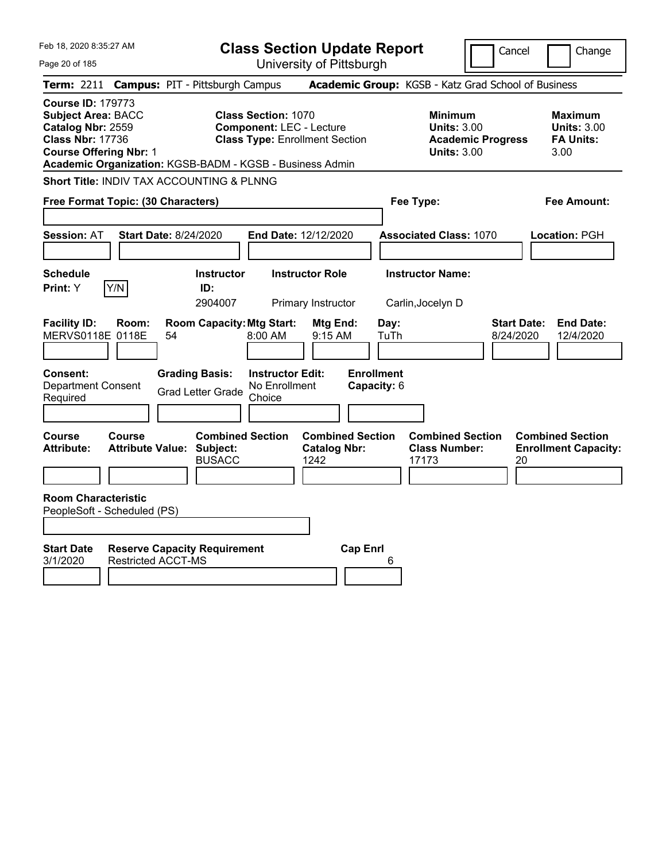| Feb 18, 2020 8:35:27 AM                                                                                                                                                                            |                                                                              | <b>Class Section Update Report</b>                                                                     |                                                |                                                     | Cancel                                                               | Change                                                           |
|----------------------------------------------------------------------------------------------------------------------------------------------------------------------------------------------------|------------------------------------------------------------------------------|--------------------------------------------------------------------------------------------------------|------------------------------------------------|-----------------------------------------------------|----------------------------------------------------------------------|------------------------------------------------------------------|
| Page 20 of 185                                                                                                                                                                                     |                                                                              |                                                                                                        | University of Pittsburgh                       |                                                     |                                                                      |                                                                  |
| <b>Term:</b> 2211                                                                                                                                                                                  | <b>Campus: PIT - Pittsburgh Campus</b>                                       |                                                                                                        |                                                | Academic Group: KGSB - Katz Grad School of Business |                                                                      |                                                                  |
| <b>Course ID: 179773</b><br><b>Subject Area: BACC</b><br>Catalog Nbr: 2559<br><b>Class Nbr: 17736</b><br><b>Course Offering Nbr: 1</b><br>Academic Organization: KGSB-BADM - KGSB - Business Admin |                                                                              | <b>Class Section: 1070</b><br><b>Component: LEC - Lecture</b><br><b>Class Type: Enrollment Section</b> |                                                | <b>Minimum</b>                                      | <b>Units: 3.00</b><br><b>Academic Progress</b><br><b>Units: 3.00</b> | <b>Maximum</b><br><b>Units: 3.00</b><br><b>FA Units:</b><br>3.00 |
| Short Title: INDIV TAX ACCOUNTING & PLNNG                                                                                                                                                          |                                                                              |                                                                                                        |                                                |                                                     |                                                                      |                                                                  |
| Free Format Topic: (30 Characters)                                                                                                                                                                 |                                                                              |                                                                                                        |                                                | Fee Type:                                           |                                                                      | Fee Amount:                                                      |
| <b>Session: AT</b>                                                                                                                                                                                 | <b>Start Date: 8/24/2020</b>                                                 | End Date: 12/12/2020                                                                                   |                                                | <b>Associated Class: 1070</b>                       |                                                                      | Location: PGH                                                    |
| <b>Schedule</b><br>Y/N<br>Print: Y                                                                                                                                                                 | <b>Instructor</b><br>ID:<br>2904007                                          | <b>Instructor Role</b><br>Primary Instructor                                                           |                                                | <b>Instructor Name:</b><br>Carlin, Jocelyn D        |                                                                      |                                                                  |
| <b>Facility ID:</b><br>Room:<br>MERVS0118E 0118E                                                                                                                                                   | <b>Room Capacity: Mtg Start:</b><br>54                                       | 8:00 AM                                                                                                | Mtg End:<br>$9:15$ AM                          | Day:<br>TuTh                                        | <b>Start Date:</b><br>8/24/2020                                      | <b>End Date:</b><br>12/4/2020                                    |
| Consent:<br><b>Department Consent</b><br>Required                                                                                                                                                  | <b>Grading Basis:</b><br><b>Grad Letter Grade</b>                            | <b>Instructor Edit:</b><br>No Enrollment<br>Choice                                                     | <b>Enrollment</b><br>Capacity: 6               |                                                     |                                                                      |                                                                  |
| <b>Course</b><br>Course<br><b>Attribute:</b>                                                                                                                                                       | <b>Combined Section</b><br><b>Attribute Value: Subject:</b><br><b>BUSACC</b> | 1242                                                                                                   | <b>Combined Section</b><br><b>Catalog Nbr:</b> | <b>Class Number:</b><br>17173                       | <b>Combined Section</b><br>20                                        | <b>Combined Section</b><br><b>Enrollment Capacity:</b>           |
| <b>Room Characteristic</b><br>PeopleSoft - Scheduled (PS)                                                                                                                                          |                                                                              |                                                                                                        |                                                |                                                     |                                                                      |                                                                  |
| <b>Start Date</b><br>3/1/2020                                                                                                                                                                      | <b>Reserve Capacity Requirement</b><br><b>Restricted ACCT-MS</b>             |                                                                                                        | <b>Cap Enrl</b>                                | 6                                                   |                                                                      |                                                                  |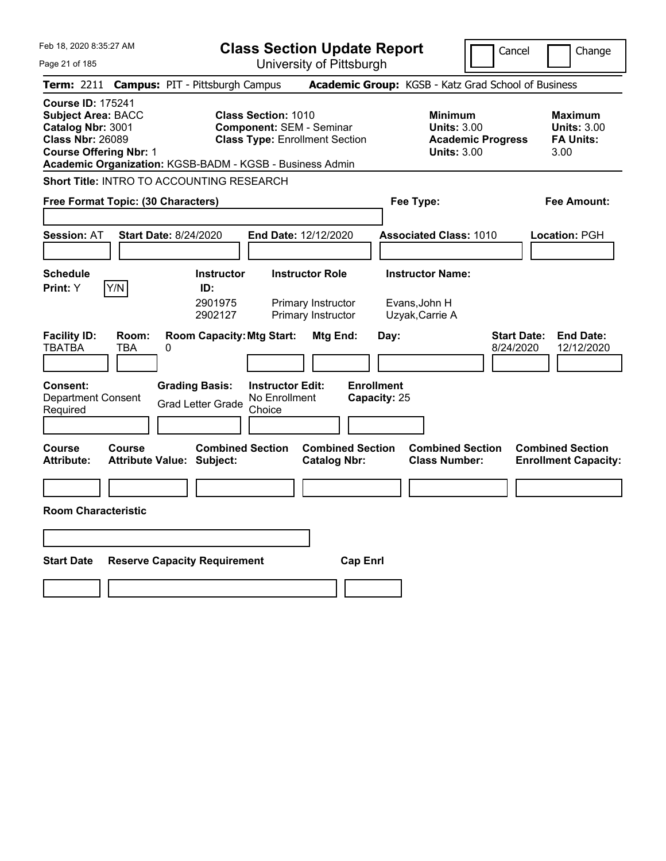| Feb 18, 2020 8:35:27 AM                                                                                                                                                                            | <b>Class Section Update Report</b>                                                                     |                                                                            | Cancel<br>Change                                                                             |  |  |  |
|----------------------------------------------------------------------------------------------------------------------------------------------------------------------------------------------------|--------------------------------------------------------------------------------------------------------|----------------------------------------------------------------------------|----------------------------------------------------------------------------------------------|--|--|--|
| Page 21 of 185                                                                                                                                                                                     | University of Pittsburgh                                                                               |                                                                            |                                                                                              |  |  |  |
| <b>Campus: PIT - Pittsburgh Campus</b><br>Term: 2211                                                                                                                                               |                                                                                                        | Academic Group: KGSB - Katz Grad School of Business                        |                                                                                              |  |  |  |
| <b>Course ID: 175241</b><br><b>Subject Area: BACC</b><br>Catalog Nbr: 3001<br><b>Class Nbr: 26089</b><br><b>Course Offering Nbr: 1</b><br>Academic Organization: KGSB-BADM - KGSB - Business Admin | <b>Class Section: 1010</b><br><b>Component: SEM - Seminar</b><br><b>Class Type: Enrollment Section</b> | <b>Minimum</b><br><b>Units: 3.00</b><br><b>Units: 3.00</b>                 | <b>Maximum</b><br><b>Units: 3.00</b><br><b>FA Units:</b><br><b>Academic Progress</b><br>3.00 |  |  |  |
| Short Title: INTRO TO ACCOUNTING RESEARCH                                                                                                                                                          |                                                                                                        |                                                                            |                                                                                              |  |  |  |
| Free Format Topic: (30 Characters)                                                                                                                                                                 |                                                                                                        | Fee Type:                                                                  | <b>Fee Amount:</b>                                                                           |  |  |  |
| <b>Session: AT</b><br><b>Start Date: 8/24/2020</b>                                                                                                                                                 | End Date: 12/12/2020                                                                                   | <b>Associated Class: 1010</b>                                              | <b>Location: PGH</b>                                                                         |  |  |  |
| <b>Schedule</b>                                                                                                                                                                                    | <b>Instructor Role</b><br><b>Instructor</b>                                                            | <b>Instructor Name:</b>                                                    |                                                                                              |  |  |  |
| Y/N<br>Print: Y                                                                                                                                                                                    | ID:<br>2901975<br>Primary Instructor<br>2902127<br>Primary Instructor                                  | Evans, John H<br>Uzyak, Carrie A                                           |                                                                                              |  |  |  |
| <b>Facility ID:</b><br>Room:<br><b>TBATBA</b><br>TBA<br>0<br><b>Grading Basis:</b><br><b>Consent:</b>                                                                                              | <b>Room Capacity: Mtg Start:</b><br>Mtg End:<br><b>Instructor Edit:</b>                                | Day:<br><b>Enrollment</b>                                                  | <b>Start Date:</b><br><b>End Date:</b><br>8/24/2020<br>12/12/2020                            |  |  |  |
| <b>Department Consent</b><br>Required                                                                                                                                                              | No Enrollment<br><b>Grad Letter Grade</b><br>Choice                                                    | Capacity: 25                                                               |                                                                                              |  |  |  |
| <b>Course</b><br><b>Course</b><br><b>Attribute:</b><br><b>Attribute Value: Subject:</b>                                                                                                            | <b>Combined Section</b><br><b>Catalog Nbr:</b>                                                         | <b>Combined Section</b><br><b>Combined Section</b><br><b>Class Number:</b> | <b>Combined Section</b><br><b>Enrollment Capacity:</b>                                       |  |  |  |
|                                                                                                                                                                                                    |                                                                                                        |                                                                            |                                                                                              |  |  |  |
| <b>Room Characteristic</b>                                                                                                                                                                         |                                                                                                        |                                                                            |                                                                                              |  |  |  |
|                                                                                                                                                                                                    |                                                                                                        |                                                                            |                                                                                              |  |  |  |
| <b>Start Date</b><br><b>Reserve Capacity Requirement</b>                                                                                                                                           |                                                                                                        | <b>Cap Enrl</b>                                                            |                                                                                              |  |  |  |
|                                                                                                                                                                                                    |                                                                                                        |                                                                            |                                                                                              |  |  |  |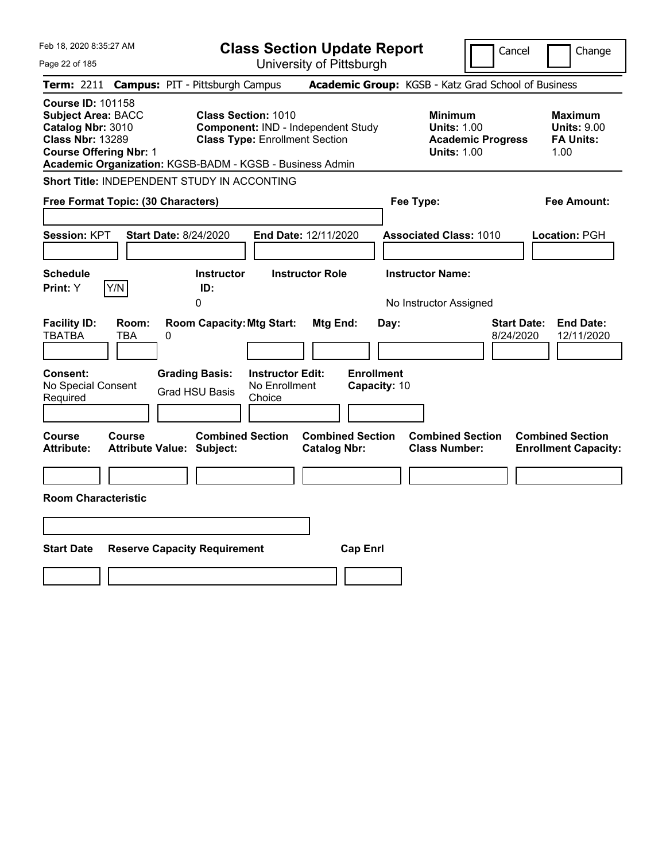| Feb 18, 2020 8:35:27 AM                                                                                                                                                                            |                                                   |                                                                                    |                                                    | <b>Class Section Update Report</b>             |                                           |                                                            | Cancel                                              | Change                                                           |
|----------------------------------------------------------------------------------------------------------------------------------------------------------------------------------------------------|---------------------------------------------------|------------------------------------------------------------------------------------|----------------------------------------------------|------------------------------------------------|-------------------------------------------|------------------------------------------------------------|-----------------------------------------------------|------------------------------------------------------------------|
| Page 22 of 185                                                                                                                                                                                     |                                                   |                                                                                    |                                                    | University of Pittsburgh                       |                                           |                                                            |                                                     |                                                                  |
| <b>Term: 2211</b>                                                                                                                                                                                  | <b>Campus: PIT - Pittsburgh Campus</b>            |                                                                                    |                                                    |                                                |                                           |                                                            | Academic Group: KGSB - Katz Grad School of Business |                                                                  |
| <b>Course ID: 101158</b><br><b>Subject Area: BACC</b><br>Catalog Nbr: 3010<br><b>Class Nbr: 13289</b><br><b>Course Offering Nbr: 1</b><br>Academic Organization: KGSB-BADM - KGSB - Business Admin |                                                   | <b>Class Section: 1010</b><br><b>Class Type: Enrollment Section</b>                |                                                    | Component: IND - Independent Study             |                                           | <b>Minimum</b><br><b>Units: 1.00</b><br><b>Units: 1.00</b> | <b>Academic Progress</b>                            | <b>Maximum</b><br><b>Units: 9.00</b><br><b>FA Units:</b><br>1.00 |
| Short Title: INDEPENDENT STUDY IN ACCONTING                                                                                                                                                        |                                                   |                                                                                    |                                                    |                                                |                                           |                                                            |                                                     |                                                                  |
| Free Format Topic: (30 Characters)                                                                                                                                                                 |                                                   |                                                                                    |                                                    |                                                |                                           | Fee Type:                                                  |                                                     | Fee Amount:                                                      |
| Session: KPT<br><b>Schedule</b>                                                                                                                                                                    | <b>Start Date: 8/24/2020</b>                      | <b>Instructor</b>                                                                  |                                                    | End Date: 12/11/2020<br><b>Instructor Role</b> |                                           | <b>Associated Class: 1010</b><br><b>Instructor Name:</b>   |                                                     | Location: PGH                                                    |
| Y/N<br>Print: Y                                                                                                                                                                                    |                                                   | ID:<br>0                                                                           |                                                    |                                                |                                           |                                                            |                                                     |                                                                  |
| <b>Facility ID:</b><br><b>TBATBA</b><br>Consent:<br>No Special Consent<br>Required                                                                                                                 | Room:<br>TBA<br>0                                 | <b>Room Capacity: Mtg Start:</b><br><b>Grading Basis:</b><br><b>Grad HSU Basis</b> | <b>Instructor Edit:</b><br>No Enrollment<br>Choice | <b>Mtg End:</b>                                | Day:<br><b>Enrollment</b><br>Capacity: 10 | No Instructor Assigned                                     | <b>Start Date:</b><br>8/24/2020                     | <b>End Date:</b><br>12/11/2020                                   |
| Course<br><b>Attribute:</b>                                                                                                                                                                        | <b>Course</b><br><b>Attribute Value: Subject:</b> | <b>Combined Section</b>                                                            |                                                    | <b>Combined Section</b><br><b>Catalog Nbr:</b> |                                           | <b>Combined Section</b><br><b>Class Number:</b>            |                                                     | <b>Combined Section</b><br><b>Enrollment Capacity:</b>           |
|                                                                                                                                                                                                    |                                                   |                                                                                    |                                                    |                                                |                                           |                                                            |                                                     |                                                                  |
| <b>Room Characteristic</b>                                                                                                                                                                         |                                                   |                                                                                    |                                                    |                                                |                                           |                                                            |                                                     |                                                                  |
|                                                                                                                                                                                                    |                                                   |                                                                                    |                                                    |                                                |                                           |                                                            |                                                     |                                                                  |
| <b>Start Date</b>                                                                                                                                                                                  | <b>Reserve Capacity Requirement</b>               |                                                                                    |                                                    |                                                | <b>Cap Enrl</b>                           |                                                            |                                                     |                                                                  |
|                                                                                                                                                                                                    |                                                   |                                                                                    |                                                    |                                                |                                           |                                                            |                                                     |                                                                  |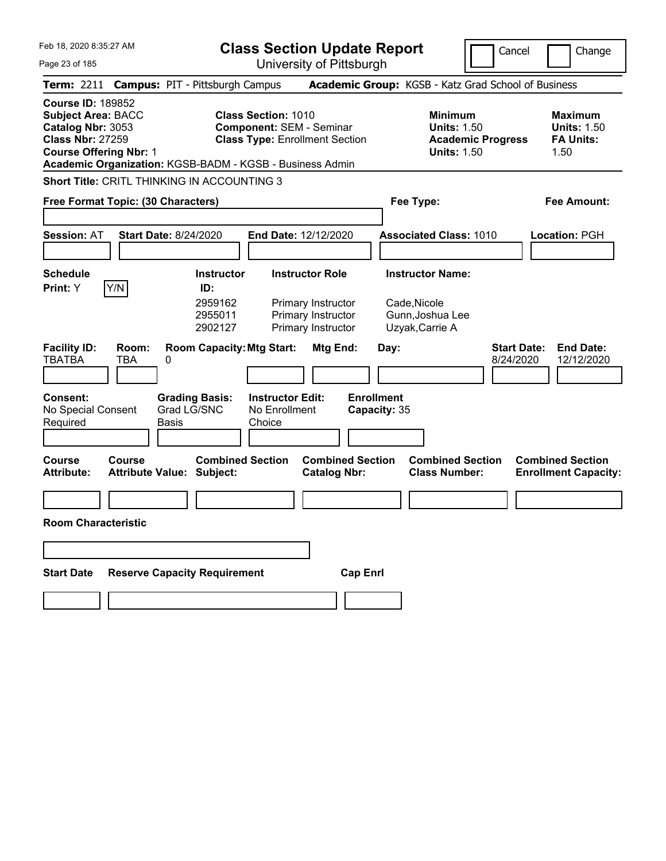| Feb 18, 2020 8:35:27 AM                                                                                                                                                                            |                                                                               | <b>Class Section Update Report</b>                                                                     |                                                     | Cancel<br>Change                                           |                                 |                                                                  |  |  |
|----------------------------------------------------------------------------------------------------------------------------------------------------------------------------------------------------|-------------------------------------------------------------------------------|--------------------------------------------------------------------------------------------------------|-----------------------------------------------------|------------------------------------------------------------|---------------------------------|------------------------------------------------------------------|--|--|
| Page 23 of 185                                                                                                                                                                                     |                                                                               | University of Pittsburgh                                                                               |                                                     |                                                            |                                 |                                                                  |  |  |
| <b>Term: 2211</b>                                                                                                                                                                                  | <b>Campus: PIT - Pittsburgh Campus</b>                                        |                                                                                                        | Academic Group: KGSB - Katz Grad School of Business |                                                            |                                 |                                                                  |  |  |
| <b>Course ID: 189852</b><br><b>Subject Area: BACC</b><br>Catalog Nbr: 3053<br><b>Class Nbr: 27259</b><br><b>Course Offering Nbr: 1</b><br>Academic Organization: KGSB-BADM - KGSB - Business Admin |                                                                               | <b>Class Section: 1010</b><br><b>Component: SEM - Seminar</b><br><b>Class Type: Enrollment Section</b> |                                                     | <b>Minimum</b><br><b>Units: 1.50</b><br><b>Units: 1.50</b> | <b>Academic Progress</b>        | <b>Maximum</b><br><b>Units: 1.50</b><br><b>FA Units:</b><br>1.50 |  |  |
| Short Title: CRITL THINKING IN ACCOUNTING 3                                                                                                                                                        |                                                                               |                                                                                                        |                                                     |                                                            |                                 |                                                                  |  |  |
| Free Format Topic: (30 Characters)                                                                                                                                                                 |                                                                               |                                                                                                        |                                                     | Fee Type:                                                  |                                 | Fee Amount:                                                      |  |  |
|                                                                                                                                                                                                    |                                                                               |                                                                                                        |                                                     |                                                            |                                 |                                                                  |  |  |
| <b>Session: AT</b>                                                                                                                                                                                 | <b>Start Date: 8/24/2020</b>                                                  | End Date: 12/12/2020                                                                                   |                                                     | <b>Associated Class: 1010</b>                              |                                 | <b>Location: PGH</b>                                             |  |  |
|                                                                                                                                                                                                    |                                                                               |                                                                                                        |                                                     |                                                            |                                 |                                                                  |  |  |
| <b>Schedule</b>                                                                                                                                                                                    | <b>Instructor</b>                                                             | <b>Instructor Role</b>                                                                                 |                                                     | <b>Instructor Name:</b>                                    |                                 |                                                                  |  |  |
| Y/N<br>Print: Y<br><b>Facility ID:</b><br>Room:<br><b>TBATBA</b><br>TBA                                                                                                                            | ID:<br>2959162<br>2955011<br>2902127<br><b>Room Capacity: Mtg Start:</b><br>0 | Primary Instructor<br>Primary Instructor<br>Primary Instructor                                         | Mtg End:<br>Day:                                    | Cade, Nicole<br>Gunn, Joshua Lee<br>Uzyak, Carrie A        | <b>Start Date:</b><br>8/24/2020 | <b>End Date:</b><br>12/12/2020                                   |  |  |
|                                                                                                                                                                                                    |                                                                               |                                                                                                        |                                                     |                                                            |                                 |                                                                  |  |  |
| <b>Consent:</b><br>No Special Consent<br>Required                                                                                                                                                  | <b>Grading Basis:</b><br>Grad LG/SNC<br>Basis                                 | <b>Instructor Edit:</b><br>No Enrollment<br>Choice                                                     | <b>Enrollment</b><br>Capacity: 35                   |                                                            |                                 |                                                                  |  |  |
| <b>Course</b><br>Course<br><b>Attribute:</b>                                                                                                                                                       | <b>Combined Section</b><br><b>Attribute Value: Subject:</b>                   |                                                                                                        | <b>Combined Section</b><br><b>Catalog Nbr:</b>      | <b>Combined Section</b><br><b>Class Number:</b>            |                                 | <b>Combined Section</b><br><b>Enrollment Capacity:</b>           |  |  |
|                                                                                                                                                                                                    |                                                                               |                                                                                                        |                                                     |                                                            |                                 |                                                                  |  |  |
| <b>Room Characteristic</b>                                                                                                                                                                         |                                                                               |                                                                                                        |                                                     |                                                            |                                 |                                                                  |  |  |
|                                                                                                                                                                                                    |                                                                               |                                                                                                        |                                                     |                                                            |                                 |                                                                  |  |  |
| <b>Start Date</b>                                                                                                                                                                                  | <b>Reserve Capacity Requirement</b>                                           |                                                                                                        | <b>Cap Enrl</b>                                     |                                                            |                                 |                                                                  |  |  |
|                                                                                                                                                                                                    |                                                                               |                                                                                                        |                                                     |                                                            |                                 |                                                                  |  |  |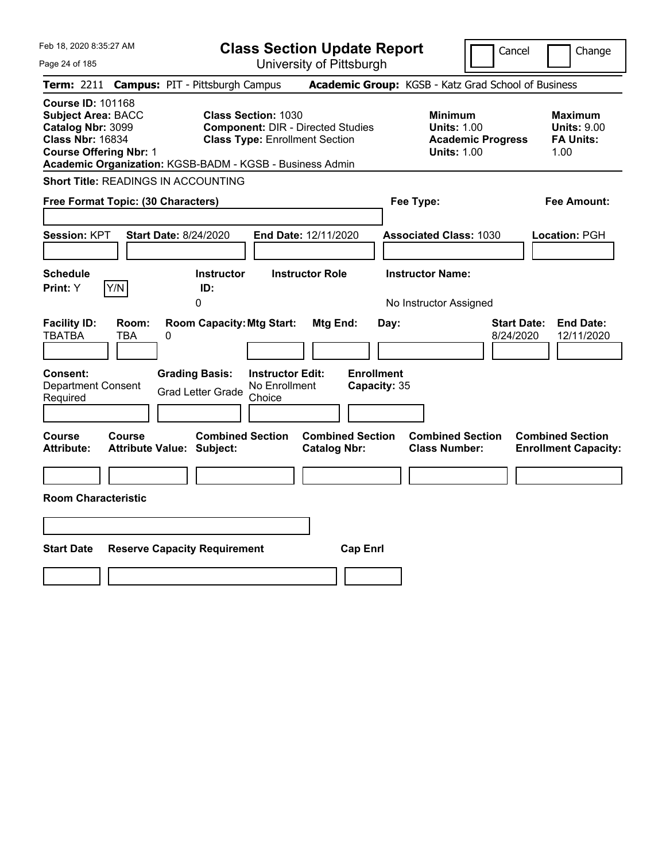| Feb 18, 2020 8:35:27 AM<br>Page 24 of 185                                                                                              | <b>Class Section Update Report</b><br>University of Pittsburgh                                                                                                              |                                                                            | Cancel<br>Change                                                                             |
|----------------------------------------------------------------------------------------------------------------------------------------|-----------------------------------------------------------------------------------------------------------------------------------------------------------------------------|----------------------------------------------------------------------------|----------------------------------------------------------------------------------------------|
| Term: 2211 Campus: PIT - Pittsburgh Campus                                                                                             |                                                                                                                                                                             | Academic Group: KGSB - Katz Grad School of Business                        |                                                                                              |
| <b>Course ID: 101168</b><br><b>Subject Area: BACC</b><br>Catalog Nbr: 3099<br><b>Class Nbr: 16834</b><br><b>Course Offering Nbr: 1</b> | <b>Class Section: 1030</b><br><b>Component: DIR - Directed Studies</b><br><b>Class Type: Enrollment Section</b><br>Academic Organization: KGSB-BADM - KGSB - Business Admin | <b>Minimum</b><br><b>Units: 1.00</b><br><b>Units: 1.00</b>                 | <b>Maximum</b><br><b>Units: 9.00</b><br><b>FA Units:</b><br><b>Academic Progress</b><br>1.00 |
| Short Title: READINGS IN ACCOUNTING                                                                                                    |                                                                                                                                                                             |                                                                            |                                                                                              |
| Free Format Topic: (30 Characters)                                                                                                     |                                                                                                                                                                             | Fee Type:                                                                  | <b>Fee Amount:</b>                                                                           |
| <b>Session: KPT</b><br><b>Start Date: 8/24/2020</b><br><b>Schedule</b><br>Y/N<br>Print: Y                                              | End Date: 12/11/2020<br><b>Instructor</b><br><b>Instructor Role</b><br>ID:                                                                                                  | <b>Associated Class: 1030</b><br><b>Instructor Name:</b>                   | Location: PGH                                                                                |
| <b>Facility ID:</b><br>Room:<br><b>TBATBA</b><br>TBA<br>0                                                                              | 0<br><b>Room Capacity: Mtg Start:</b><br>Mtg End:                                                                                                                           | No Instructor Assigned<br>Day:                                             | <b>Start Date:</b><br><b>End Date:</b><br>8/24/2020<br>12/11/2020                            |
| <b>Consent:</b><br><b>Department Consent</b><br>Required                                                                               | <b>Grading Basis:</b><br><b>Instructor Edit:</b><br>No Enrollment<br><b>Grad Letter Grade</b><br>Choice                                                                     | <b>Enrollment</b><br>Capacity: 35                                          |                                                                                              |
| Course<br>Course<br><b>Attribute:</b><br><b>Attribute Value: Subject:</b>                                                              | <b>Combined Section</b><br><b>Catalog Nbr:</b>                                                                                                                              | <b>Combined Section</b><br><b>Combined Section</b><br><b>Class Number:</b> | <b>Combined Section</b><br><b>Enrollment Capacity:</b>                                       |
| <b>Room Characteristic</b>                                                                                                             |                                                                                                                                                                             |                                                                            |                                                                                              |
|                                                                                                                                        |                                                                                                                                                                             |                                                                            |                                                                                              |
| <b>Start Date</b><br><b>Reserve Capacity Requirement</b>                                                                               |                                                                                                                                                                             | <b>Cap Enrl</b>                                                            |                                                                                              |
|                                                                                                                                        |                                                                                                                                                                             |                                                                            |                                                                                              |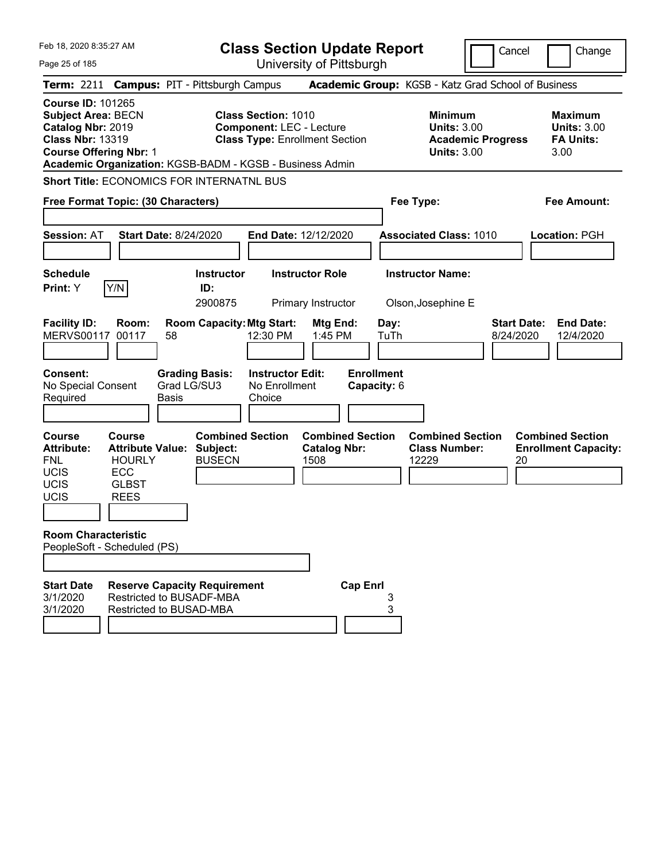| Feb 18, 2020 8:35:27 AM<br>Page 25 of 185                                                                                              |                                                                                          |                                                                                            | <b>Class Section Update Report</b>                                                                     | University of Pittsburgh                               |                   |              |                                                            |                          | Cancel                          | Change                                                           |
|----------------------------------------------------------------------------------------------------------------------------------------|------------------------------------------------------------------------------------------|--------------------------------------------------------------------------------------------|--------------------------------------------------------------------------------------------------------|--------------------------------------------------------|-------------------|--------------|------------------------------------------------------------|--------------------------|---------------------------------|------------------------------------------------------------------|
|                                                                                                                                        |                                                                                          | Term: 2211 Campus: PIT - Pittsburgh Campus                                                 |                                                                                                        |                                                        |                   |              | Academic Group: KGSB - Katz Grad School of Business        |                          |                                 |                                                                  |
| <b>Course ID: 101265</b><br><b>Subject Area: BECN</b><br>Catalog Nbr: 2019<br><b>Class Nbr: 13319</b><br><b>Course Offering Nbr: 1</b> |                                                                                          | Academic Organization: KGSB-BADM - KGSB - Business Admin                                   | <b>Class Section: 1010</b><br><b>Component: LEC - Lecture</b><br><b>Class Type: Enrollment Section</b> |                                                        |                   |              | <b>Minimum</b><br><b>Units: 3.00</b><br><b>Units: 3.00</b> | <b>Academic Progress</b> |                                 | <b>Maximum</b><br><b>Units: 3.00</b><br><b>FA Units:</b><br>3.00 |
|                                                                                                                                        |                                                                                          | <b>Short Title: ECONOMICS FOR INTERNATNL BUS</b>                                           |                                                                                                        |                                                        |                   |              |                                                            |                          |                                 |                                                                  |
| Free Format Topic: (30 Characters)                                                                                                     |                                                                                          |                                                                                            |                                                                                                        |                                                        |                   |              | Fee Type:                                                  |                          |                                 | <b>Fee Amount:</b>                                               |
| <b>Session: AT</b>                                                                                                                     |                                                                                          | <b>Start Date: 8/24/2020</b>                                                               | End Date: 12/12/2020                                                                                   |                                                        |                   |              | <b>Associated Class: 1010</b>                              |                          |                                 | <b>Location: PGH</b>                                             |
| <b>Schedule</b><br>Print: Y                                                                                                            | Y/N                                                                                      | <b>Instructor</b><br>ID:<br>2900875                                                        |                                                                                                        | <b>Instructor Role</b><br>Primary Instructor           |                   |              | <b>Instructor Name:</b><br>Olson, Josephine E              |                          |                                 |                                                                  |
| <b>Facility ID:</b><br><b>MERVS00117</b>                                                                                               | Room:<br>00117                                                                           | <b>Room Capacity: Mtg Start:</b><br>58                                                     | 12:30 PM                                                                                               | Mtg End:<br>1:45 PM                                    |                   | Day:<br>TuTh |                                                            |                          | <b>Start Date:</b><br>8/24/2020 | <b>End Date:</b><br>12/4/2020                                    |
| <b>Consent:</b><br>No Special Consent<br>Required                                                                                      |                                                                                          | <b>Grading Basis:</b><br>Grad LG/SU3<br><b>Basis</b>                                       | <b>Instructor Edit:</b><br>No Enrollment<br>Choice                                                     |                                                        | <b>Enrollment</b> | Capacity: 6  |                                                            |                          |                                 |                                                                  |
| <b>Course</b><br><b>Attribute:</b><br><b>FNL</b><br>UCIS<br>UCIS<br>UCIS                                                               | Course<br><b>Attribute Value:</b><br><b>HOURLY</b><br>ECC<br><b>GLBST</b><br><b>REES</b> | <b>Combined Section</b><br>Subject:<br><b>BUSECN</b>                                       |                                                                                                        | <b>Combined Section</b><br><b>Catalog Nbr:</b><br>1508 |                   |              | <b>Combined Section</b><br><b>Class Number:</b><br>12229   |                          | 20                              | <b>Combined Section</b><br><b>Enrollment Capacity:</b>           |
| <b>Room Characteristic</b><br>PeopleSoft - Scheduled (PS)                                                                              |                                                                                          |                                                                                            |                                                                                                        |                                                        |                   |              |                                                            |                          |                                 |                                                                  |
| <b>Start Date</b><br>3/1/2020<br>3/1/2020                                                                                              |                                                                                          | <b>Reserve Capacity Requirement</b><br>Restricted to BUSADF-MBA<br>Restricted to BUSAD-MBA |                                                                                                        |                                                        | <b>Cap Enrl</b>   | 3<br>3       |                                                            |                          |                                 |                                                                  |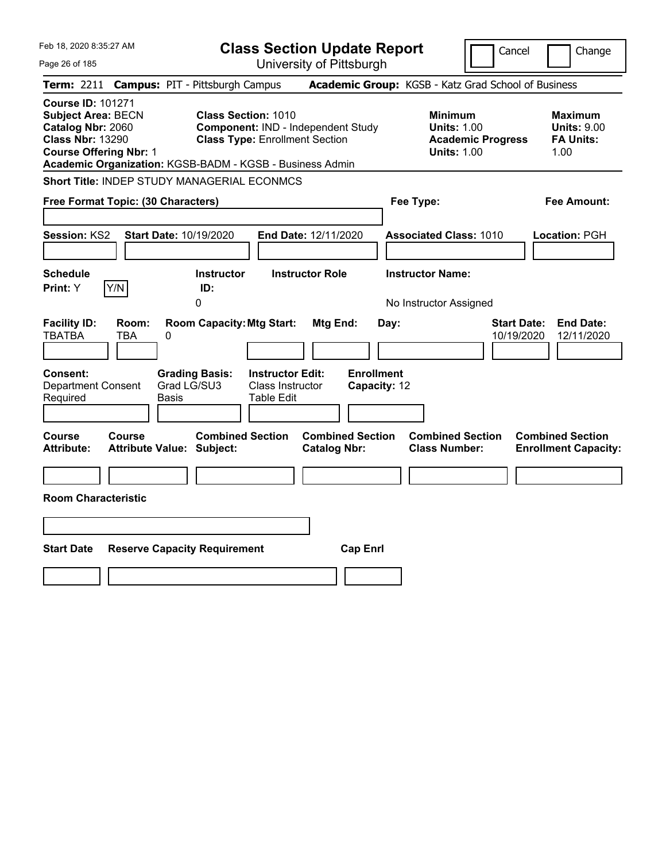| Feb 18, 2020 8:35:27 AM                                                                                                                                                                            |                                                                                        | <b>Class Section Update Report</b>                                                                               |                                                       |                                                            | Cancel                           | Change                                                           |
|----------------------------------------------------------------------------------------------------------------------------------------------------------------------------------------------------|----------------------------------------------------------------------------------------|------------------------------------------------------------------------------------------------------------------|-------------------------------------------------------|------------------------------------------------------------|----------------------------------|------------------------------------------------------------------|
| Page 26 of 185                                                                                                                                                                                     |                                                                                        |                                                                                                                  | University of Pittsburgh                              |                                                            |                                  |                                                                  |
| Term: 2211                                                                                                                                                                                         | <b>Campus: PIT - Pittsburgh Campus</b>                                                 |                                                                                                                  | Academic Group: KGSB - Katz Grad School of Business   |                                                            |                                  |                                                                  |
| <b>Course ID: 101271</b><br><b>Subject Area: BECN</b><br>Catalog Nbr: 2060<br><b>Class Nbr: 13290</b><br><b>Course Offering Nbr: 1</b><br>Academic Organization: KGSB-BADM - KGSB - Business Admin |                                                                                        | <b>Class Section: 1010</b><br><b>Component: IND - Independent Study</b><br><b>Class Type: Enrollment Section</b> |                                                       | <b>Minimum</b><br><b>Units: 1.00</b><br><b>Units: 1.00</b> | <b>Academic Progress</b>         | <b>Maximum</b><br><b>Units: 9.00</b><br><b>FA Units:</b><br>1.00 |
| Short Title: INDEP STUDY MANAGERIAL ECONMCS                                                                                                                                                        |                                                                                        |                                                                                                                  |                                                       |                                                            |                                  |                                                                  |
| Free Format Topic: (30 Characters)                                                                                                                                                                 |                                                                                        |                                                                                                                  |                                                       | Fee Type:                                                  |                                  | Fee Amount:                                                      |
| Session: KS2<br><b>Schedule</b>                                                                                                                                                                    | Start Date: 10/19/2020<br><b>Instructor</b>                                            | End Date: 12/11/2020<br><b>Instructor Role</b>                                                                   |                                                       | <b>Associated Class: 1010</b><br><b>Instructor Name:</b>   |                                  | Location: PGH                                                    |
| Y/N<br>Print: Y                                                                                                                                                                                    | ID:<br>0                                                                               |                                                                                                                  |                                                       | No Instructor Assigned                                     |                                  |                                                                  |
| <b>Facility ID:</b><br>Room:<br><b>TBATBA</b><br><b>TBA</b><br>Consent:<br><b>Department Consent</b><br>Required                                                                                   | <b>Room Capacity: Mtg Start:</b><br>0<br><b>Grading Basis:</b><br>Grad LG/SU3<br>Basis | <b>Instructor Edit:</b><br>Class Instructor<br>Table Edit                                                        | Mtg End:<br>Day:<br><b>Enrollment</b><br>Capacity: 12 |                                                            | <b>Start Date:</b><br>10/19/2020 | <b>End Date:</b><br>12/11/2020                                   |
| <b>Course</b><br><b>Course</b><br><b>Attribute:</b>                                                                                                                                                | <b>Combined Section</b><br><b>Attribute Value: Subject:</b>                            |                                                                                                                  | <b>Combined Section</b><br><b>Catalog Nbr:</b>        | <b>Combined Section</b><br><b>Class Number:</b>            |                                  | <b>Combined Section</b><br><b>Enrollment Capacity:</b>           |
|                                                                                                                                                                                                    |                                                                                        |                                                                                                                  |                                                       |                                                            |                                  |                                                                  |
| <b>Room Characteristic</b>                                                                                                                                                                         |                                                                                        |                                                                                                                  |                                                       |                                                            |                                  |                                                                  |
|                                                                                                                                                                                                    |                                                                                        |                                                                                                                  |                                                       |                                                            |                                  |                                                                  |
| <b>Start Date</b>                                                                                                                                                                                  | <b>Reserve Capacity Requirement</b>                                                    |                                                                                                                  | <b>Cap Enrl</b>                                       |                                                            |                                  |                                                                  |
|                                                                                                                                                                                                    |                                                                                        |                                                                                                                  |                                                       |                                                            |                                  |                                                                  |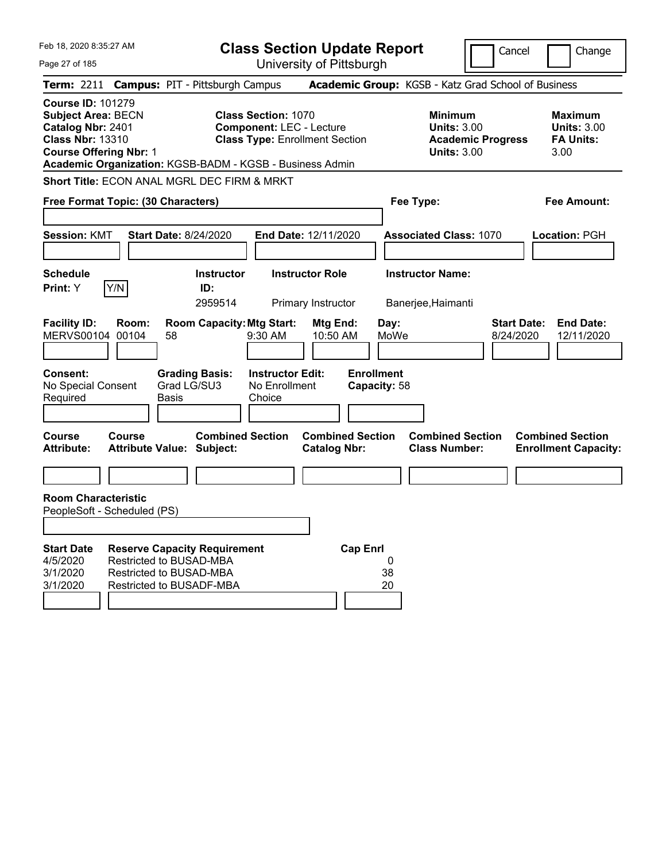| Feb 18, 2020 8:35:27 AM                                                                                                                                                                            |                                                                                                        | <b>Class Section Update Report</b>             |                                                            | Cancel                          | Change                                                           |
|----------------------------------------------------------------------------------------------------------------------------------------------------------------------------------------------------|--------------------------------------------------------------------------------------------------------|------------------------------------------------|------------------------------------------------------------|---------------------------------|------------------------------------------------------------------|
| Page 27 of 185                                                                                                                                                                                     |                                                                                                        | University of Pittsburgh                       |                                                            |                                 |                                                                  |
| Term: 2211 Campus: PIT - Pittsburgh Campus                                                                                                                                                         |                                                                                                        |                                                | Academic Group: KGSB - Katz Grad School of Business        |                                 |                                                                  |
| <b>Course ID: 101279</b><br><b>Subject Area: BECN</b><br>Catalog Nbr: 2401<br><b>Class Nbr: 13310</b><br><b>Course Offering Nbr: 1</b><br>Academic Organization: KGSB-BADM - KGSB - Business Admin | <b>Class Section: 1070</b><br><b>Component: LEC - Lecture</b><br><b>Class Type: Enrollment Section</b> |                                                | <b>Minimum</b><br><b>Units: 3.00</b><br><b>Units: 3.00</b> | <b>Academic Progress</b>        | <b>Maximum</b><br><b>Units: 3.00</b><br><b>FA Units:</b><br>3.00 |
| Short Title: ECON ANAL MGRL DEC FIRM & MRKT                                                                                                                                                        |                                                                                                        |                                                |                                                            |                                 |                                                                  |
| Free Format Topic: (30 Characters)                                                                                                                                                                 |                                                                                                        |                                                | Fee Type:                                                  |                                 | <b>Fee Amount:</b>                                               |
|                                                                                                                                                                                                    |                                                                                                        |                                                |                                                            |                                 |                                                                  |
| <b>Start Date: 8/24/2020</b><br><b>Session: KMT</b>                                                                                                                                                |                                                                                                        | End Date: 12/11/2020                           | <b>Associated Class: 1070</b>                              |                                 | Location: PGH                                                    |
| <b>Schedule</b>                                                                                                                                                                                    | <b>Instructor</b>                                                                                      | <b>Instructor Role</b>                         | <b>Instructor Name:</b>                                    |                                 |                                                                  |
| Y/N<br>Print: Y                                                                                                                                                                                    | ID:                                                                                                    |                                                |                                                            |                                 |                                                                  |
|                                                                                                                                                                                                    | 2959514                                                                                                | Primary Instructor                             | Banerjee, Haimanti                                         |                                 |                                                                  |
| <b>Facility ID:</b><br>Room:<br>MERVS00104 00104<br>58                                                                                                                                             | <b>Room Capacity: Mtg Start:</b><br>9:30 AM                                                            | Mtg End:<br>10:50 AM                           | Day:<br>MoWe                                               | <b>Start Date:</b><br>8/24/2020 | <b>End Date:</b><br>12/11/2020                                   |
| <b>Consent:</b><br>Grad LG/SU3<br>No Special Consent<br>Required<br><b>Basis</b>                                                                                                                   | <b>Grading Basis:</b><br><b>Instructor Edit:</b><br>No Enrollment<br>Choice                            | <b>Enrollment</b>                              | Capacity: 58                                               |                                 |                                                                  |
| <b>Course</b><br>Course<br><b>Attribute Value: Subject:</b><br><b>Attribute:</b>                                                                                                                   | <b>Combined Section</b>                                                                                | <b>Combined Section</b><br><b>Catalog Nbr:</b> | <b>Combined Section</b><br><b>Class Number:</b>            |                                 | <b>Combined Section</b><br><b>Enrollment Capacity:</b>           |
|                                                                                                                                                                                                    |                                                                                                        |                                                |                                                            |                                 |                                                                  |
| <b>Room Characteristic</b><br>PeopleSoft - Scheduled (PS)                                                                                                                                          |                                                                                                        |                                                |                                                            |                                 |                                                                  |
|                                                                                                                                                                                                    |                                                                                                        |                                                |                                                            |                                 |                                                                  |
| <b>Start Date</b><br><b>Reserve Capacity Requirement</b><br>4/5/2020<br>Restricted to BUSAD-MBA<br>3/1/2020<br>Restricted to BUSAD-MBA<br>3/1/2020<br>Restricted to BUSADF-MBA                     |                                                                                                        | <b>Cap Enrl</b>                                | 0<br>38<br>20                                              |                                 |                                                                  |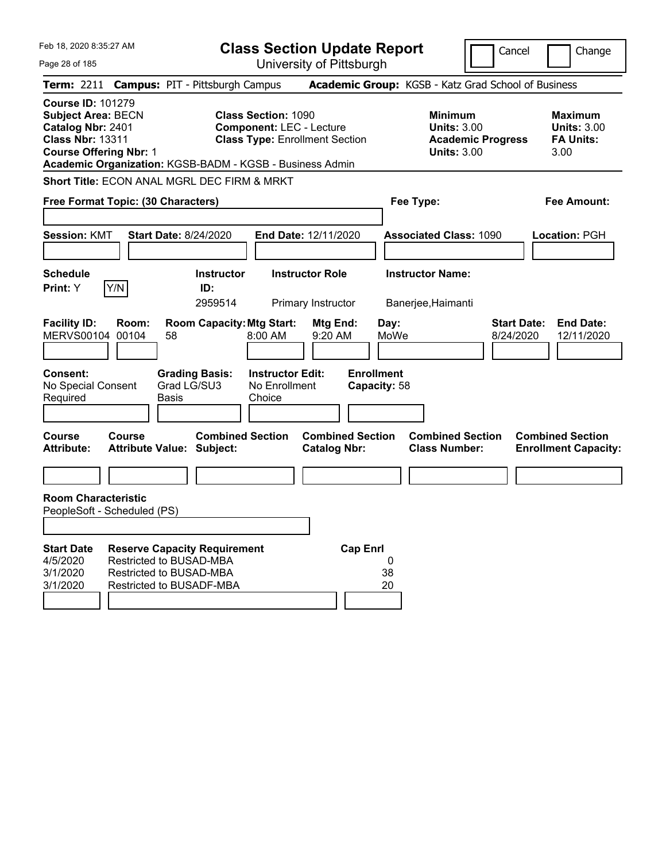| Feb 18, 2020 8:35:27 AM                                                                                                                                                                            |                                                                                |                                      | <b>Class Section Update Report</b>                                                                     |                          |                                   |               |                                                            |                          | Cancel                          | Change                                                           |
|----------------------------------------------------------------------------------------------------------------------------------------------------------------------------------------------------|--------------------------------------------------------------------------------|--------------------------------------|--------------------------------------------------------------------------------------------------------|--------------------------|-----------------------------------|---------------|------------------------------------------------------------|--------------------------|---------------------------------|------------------------------------------------------------------|
| Page 28 of 185                                                                                                                                                                                     |                                                                                |                                      |                                                                                                        | University of Pittsburgh |                                   |               |                                                            |                          |                                 |                                                                  |
| Term: 2211 Campus: PIT - Pittsburgh Campus                                                                                                                                                         |                                                                                |                                      |                                                                                                        |                          |                                   |               | Academic Group: KGSB - Katz Grad School of Business        |                          |                                 |                                                                  |
| <b>Course ID: 101279</b><br><b>Subject Area: BECN</b><br>Catalog Nbr: 2401<br><b>Class Nbr: 13311</b><br><b>Course Offering Nbr: 1</b><br>Academic Organization: KGSB-BADM - KGSB - Business Admin |                                                                                |                                      | <b>Class Section: 1090</b><br><b>Component: LEC - Lecture</b><br><b>Class Type: Enrollment Section</b> |                          |                                   |               | <b>Minimum</b><br><b>Units: 3.00</b><br><b>Units: 3.00</b> | <b>Academic Progress</b> |                                 | <b>Maximum</b><br><b>Units: 3.00</b><br><b>FA Units:</b><br>3.00 |
| Short Title: ECON ANAL MGRL DEC FIRM & MRKT                                                                                                                                                        |                                                                                |                                      |                                                                                                        |                          |                                   |               |                                                            |                          |                                 |                                                                  |
| Free Format Topic: (30 Characters)                                                                                                                                                                 |                                                                                |                                      |                                                                                                        |                          |                                   |               | Fee Type:                                                  |                          |                                 | <b>Fee Amount:</b>                                               |
|                                                                                                                                                                                                    |                                                                                |                                      |                                                                                                        |                          |                                   |               |                                                            |                          |                                 |                                                                  |
| <b>Session: KMT</b>                                                                                                                                                                                | <b>Start Date: 8/24/2020</b>                                                   |                                      |                                                                                                        | End Date: 12/11/2020     |                                   |               | <b>Associated Class: 1090</b>                              |                          |                                 | <b>Location: PGH</b>                                             |
| <b>Schedule</b>                                                                                                                                                                                    |                                                                                | <b>Instructor</b>                    |                                                                                                        | <b>Instructor Role</b>   |                                   |               | <b>Instructor Name:</b>                                    |                          |                                 |                                                                  |
| Y/N<br>Print: Y                                                                                                                                                                                    |                                                                                | ID:                                  |                                                                                                        |                          |                                   |               |                                                            |                          |                                 |                                                                  |
|                                                                                                                                                                                                    |                                                                                | 2959514                              |                                                                                                        | Primary Instructor       |                                   |               | Banerjee, Haimanti                                         |                          |                                 |                                                                  |
| <b>Facility ID:</b><br>MERVS00104 00104                                                                                                                                                            | Room:<br>58                                                                    | <b>Room Capacity: Mtg Start:</b>     | $8:00$ AM                                                                                              | Mtg End:<br>9:20 AM      |                                   | Day:<br>MoWe  |                                                            |                          | <b>Start Date:</b><br>8/24/2020 | <b>End Date:</b><br>12/11/2020                                   |
| <b>Consent:</b><br>No Special Consent<br>Required                                                                                                                                                  | <b>Basis</b>                                                                   | <b>Grading Basis:</b><br>Grad LG/SU3 | <b>Instructor Edit:</b><br>No Enrollment<br>Choice                                                     |                          | <b>Enrollment</b><br>Capacity: 58 |               |                                                            |                          |                                 |                                                                  |
| <b>Course</b><br>Course<br><b>Attribute:</b>                                                                                                                                                       | <b>Attribute Value: Subject:</b>                                               | <b>Combined Section</b>              |                                                                                                        | <b>Catalog Nbr:</b>      | <b>Combined Section</b>           |               | <b>Combined Section</b><br><b>Class Number:</b>            |                          |                                 | <b>Combined Section</b><br><b>Enrollment Capacity:</b>           |
|                                                                                                                                                                                                    |                                                                                |                                      |                                                                                                        |                          |                                   |               |                                                            |                          |                                 |                                                                  |
| <b>Room Characteristic</b><br>PeopleSoft - Scheduled (PS)                                                                                                                                          |                                                                                |                                      |                                                                                                        |                          |                                   |               |                                                            |                          |                                 |                                                                  |
|                                                                                                                                                                                                    |                                                                                |                                      |                                                                                                        |                          |                                   |               |                                                            |                          |                                 |                                                                  |
| <b>Start Date</b><br>4/5/2020<br>3/1/2020<br>3/1/2020                                                                                                                                              | Restricted to BUSAD-MBA<br>Restricted to BUSAD-MBA<br>Restricted to BUSADF-MBA | <b>Reserve Capacity Requirement</b>  |                                                                                                        |                          | <b>Cap Enrl</b>                   | 0<br>38<br>20 |                                                            |                          |                                 |                                                                  |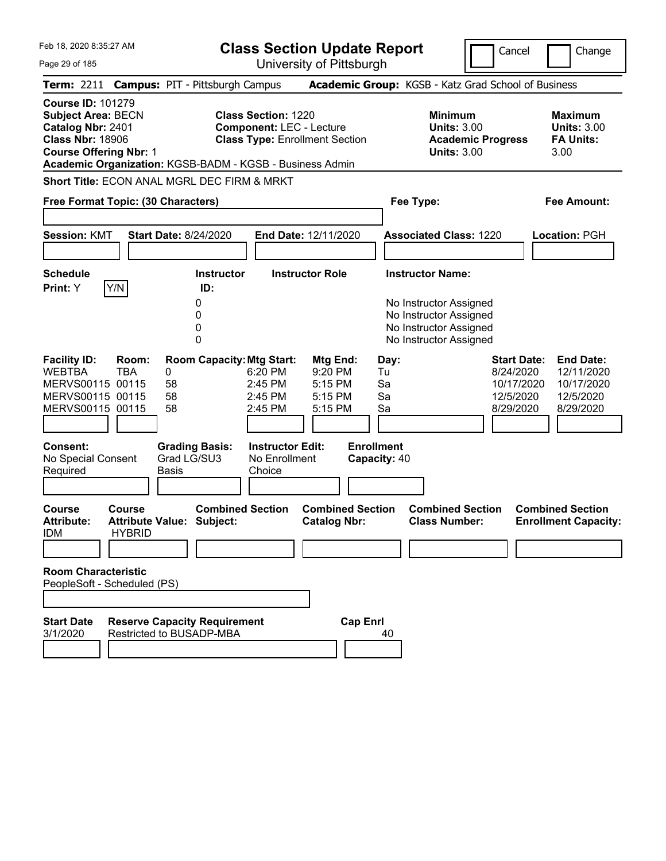|  | Feb 18, 2020 8:35:27 AM |  |
|--|-------------------------|--|
|  |                         |  |

**Class Section Update Report** University of Pittsburgh

Cancel Change

Page 29 of 185

|                                                                          |                                                                                 | Term: 2211 Campus: PIT - Pittsburgh Campus                      |                                                               |                                                        |                                                                                                      | Academic Group: KGSB - Katz Grad School of Business                                    |                                                                        |
|--------------------------------------------------------------------------|---------------------------------------------------------------------------------|-----------------------------------------------------------------|---------------------------------------------------------------|--------------------------------------------------------|------------------------------------------------------------------------------------------------------|----------------------------------------------------------------------------------------|------------------------------------------------------------------------|
| <b>Course ID: 101279</b><br>Catalog Nbr: 2401<br><b>Class Nbr: 18906</b> | <b>Subject Area: BECN</b><br><b>Course Offering Nbr: 1</b>                      | Academic Organization: KGSB-BADM - KGSB - Business Admin        | <b>Class Section: 1220</b><br><b>Component: LEC - Lecture</b> | <b>Class Type: Enrollment Section</b>                  |                                                                                                      | <b>Minimum</b><br><b>Units: 3.00</b><br><b>Academic Progress</b><br><b>Units: 3.00</b> | <b>Maximum</b><br><b>Units: 3.00</b><br><b>FA Units:</b><br>3.00       |
|                                                                          |                                                                                 | Short Title: ECON ANAL MGRL DEC FIRM & MRKT                     |                                                               |                                                        |                                                                                                      |                                                                                        |                                                                        |
|                                                                          |                                                                                 | Free Format Topic: (30 Characters)                              |                                                               |                                                        | Fee Type:                                                                                            |                                                                                        | <b>Fee Amount:</b>                                                     |
| <b>Session: KMT</b>                                                      |                                                                                 | <b>Start Date: 8/24/2020</b>                                    |                                                               | End Date: 12/11/2020                                   |                                                                                                      | <b>Associated Class: 1220</b>                                                          | Location: PGH                                                          |
| <b>Schedule</b>                                                          |                                                                                 | <b>Instructor</b>                                               |                                                               | <b>Instructor Role</b>                                 | <b>Instructor Name:</b>                                                                              |                                                                                        |                                                                        |
| Print: Y                                                                 | Y/N                                                                             | ID:<br>0<br>0<br>0<br>0                                         |                                                               |                                                        | No Instructor Assigned<br>No Instructor Assigned<br>No Instructor Assigned<br>No Instructor Assigned |                                                                                        |                                                                        |
| <b>Facility ID:</b><br><b>WEBTBA</b>                                     | Room:<br><b>TBA</b><br>MERVS00115 00115<br>MERVS00115 00115<br>MERVS00115 00115 | <b>Room Capacity: Mtg Start:</b><br>0<br>58<br>58<br>58         | 6:20 PM<br>$2:45$ PM<br>2:45 PM<br>2:45 PM                    | Mtg End:<br>9:20 PM<br>5:15 PM<br>$5:15$ PM<br>5:15 PM | Day:<br>Tu<br>Sa<br>Sa<br>Sa                                                                         | <b>Start Date:</b><br>8/24/2020<br>10/17/2020<br>12/5/2020<br>8/29/2020                | <b>End Date:</b><br>12/11/2020<br>10/17/2020<br>12/5/2020<br>8/29/2020 |
| <b>Consent:</b><br>No Special Consent<br>Required                        |                                                                                 | <b>Grading Basis:</b><br>Grad LG/SU3<br><b>Basis</b>            | <b>Instructor Edit:</b><br>No Enrollment<br>Choice            |                                                        | <b>Enrollment</b><br>Capacity: 40                                                                    |                                                                                        |                                                                        |
| <b>Course</b><br><b>Attribute:</b><br><b>IDM</b>                         | Course<br><b>HYBRID</b>                                                         | <b>Combined Section</b><br><b>Attribute Value: Subject:</b>     |                                                               | <b>Combined Section</b><br><b>Catalog Nbr:</b>         |                                                                                                      | <b>Combined Section</b><br><b>Class Number:</b>                                        | <b>Combined Section</b><br><b>Enrollment Capacity:</b>                 |
|                                                                          | <b>Room Characteristic</b><br>PeopleSoft - Scheduled (PS)                       |                                                                 |                                                               |                                                        |                                                                                                      |                                                                                        |                                                                        |
| <b>Start Date</b><br>3/1/2020                                            |                                                                                 | <b>Reserve Capacity Requirement</b><br>Restricted to BUSADP-MBA |                                                               | <b>Cap Enrl</b>                                        | 40                                                                                                   |                                                                                        |                                                                        |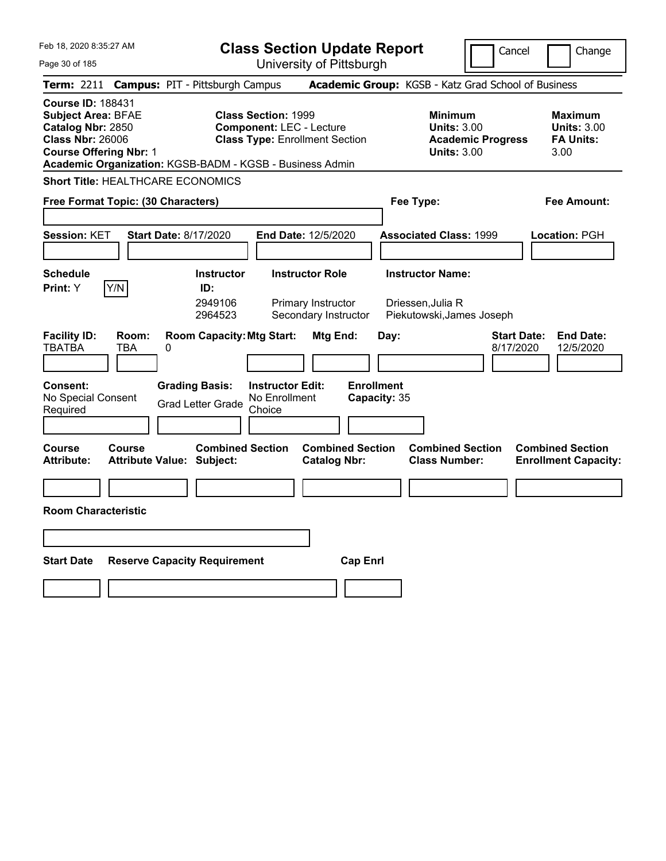Feb 18, 2020 8:35:27 AM Page 30 of 185 **Class Section Update Report** University of Pittsburgh Cancel Change **Term:** 2211 **Campus:** PIT - Pittsburgh Campus **Academic Group:** KGSB - Katz Grad School of Business **Course ID:** 188431 **Subject Area:** BFAE **Class Section:** 1999 **Minimum Maximum Catalog Nbr:** 2850 **Component:** LEC - Lecture **Units:** 3.00 **Units:** 3.00 **Class Nbr:** 26006 **Class Type:** Enrollment Section **Academic Progress FA Units: Course Offering Nbr:** 1 **Units:** 3.00 3.00 **Academic Organization:** KGSB-BADM - KGSB - Business Admin **Short Title:** HEALTHCARE ECONOMICS **Free Format Topic: (30 Characters) Fee Type: Fee Amount: Session:** KET **Start Date:** 8/17/2020 **End Date:** 12/5/2020 **Associated Class:** 1999 **Location:** PGH **Schedule Instructor Instructor Role Instructor Name: Print:**  $Y$   $|Y/N|$  **ID:** 2949106 Primary Instructor Driessen, Julia R<br>2964523 Secondary Instructor Piekutowski, Jam 2964523 Secondary Instructor Piekutowski,James Joseph **Facility ID: Room: Room Capacity:Mtg Start: Mtg End: Day: Start Date: End Date:** TBATBA TBA 0 8/17/2020 12/5/2020 **Consent: Grading Basis: Instructor Edit: Enrollment** No Special Consent No Special Consent Grad Letter Grade No Enrollment<br>Required Choice Choice **Capacity:** 35 **Course Course Combined Section Combined Section Combined Section Combined Section**  Attribute: Attribute Value: Subject: Catalog Nbr: Class Number: Enrollment Capacity: **Room Characteristic Start Date Reserve Capacity Requirement Cap Enrl**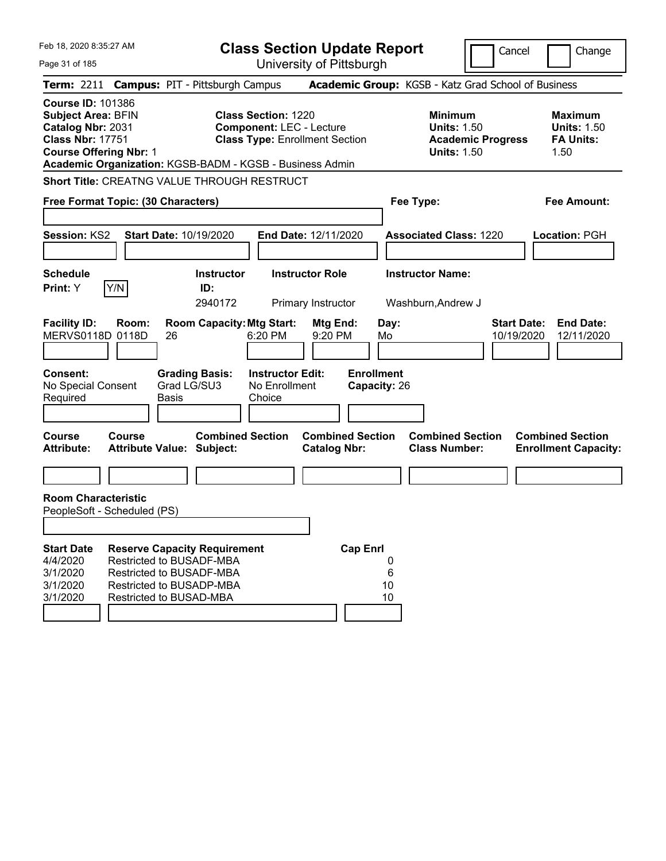| Feb 18, 2020 8:35:27 AM                                                                                                                                                                            |                                                                                                             |                             |                                     | <b>Class Section Update Report</b>                                                                     |                                              |                                   |                    |                                                                                        | Cancel                           |                          | Change                               |
|----------------------------------------------------------------------------------------------------------------------------------------------------------------------------------------------------|-------------------------------------------------------------------------------------------------------------|-----------------------------|-------------------------------------|--------------------------------------------------------------------------------------------------------|----------------------------------------------|-----------------------------------|--------------------|----------------------------------------------------------------------------------------|----------------------------------|--------------------------|--------------------------------------|
| Page 31 of 185                                                                                                                                                                                     |                                                                                                             |                             |                                     |                                                                                                        | University of Pittsburgh                     |                                   |                    |                                                                                        |                                  |                          |                                      |
| Term: 2211 Campus: PIT - Pittsburgh Campus                                                                                                                                                         |                                                                                                             |                             |                                     |                                                                                                        |                                              |                                   |                    | Academic Group: KGSB - Katz Grad School of Business                                    |                                  |                          |                                      |
| <b>Course ID: 101386</b><br><b>Subject Area: BFIN</b><br>Catalog Nbr: 2031<br><b>Class Nbr: 17751</b><br><b>Course Offering Nbr: 1</b><br>Academic Organization: KGSB-BADM - KGSB - Business Admin |                                                                                                             |                             |                                     | <b>Class Section: 1220</b><br><b>Component: LEC - Lecture</b><br><b>Class Type: Enrollment Section</b> |                                              |                                   |                    | <b>Minimum</b><br><b>Units: 1.50</b><br><b>Academic Progress</b><br><b>Units: 1.50</b> |                                  | <b>FA Units:</b><br>1.50 | <b>Maximum</b><br><b>Units: 1.50</b> |
| Short Title: CREATNG VALUE THROUGH RESTRUCT                                                                                                                                                        |                                                                                                             |                             |                                     |                                                                                                        |                                              |                                   |                    |                                                                                        |                                  |                          |                                      |
| Free Format Topic: (30 Characters)                                                                                                                                                                 |                                                                                                             |                             |                                     |                                                                                                        |                                              |                                   |                    | Fee Type:                                                                              |                                  |                          | <b>Fee Amount:</b>                   |
| Session: KS2                                                                                                                                                                                       |                                                                                                             |                             | Start Date: 10/19/2020              |                                                                                                        | End Date: 12/11/2020                         |                                   |                    | <b>Associated Class: 1220</b>                                                          |                                  | <b>Location: PGH</b>     |                                      |
| <b>Schedule</b><br>Print: Y                                                                                                                                                                        | Y/N                                                                                                         |                             | <b>Instructor</b><br>ID:<br>2940172 |                                                                                                        | <b>Instructor Role</b><br>Primary Instructor |                                   |                    | <b>Instructor Name:</b><br>Washburn, Andrew J                                          |                                  |                          |                                      |
| <b>Facility ID:</b><br>MERVS0118D 0118D                                                                                                                                                            | Room:                                                                                                       | 26                          | <b>Room Capacity: Mtg Start:</b>    | 6:20 PM                                                                                                | Mtg End:<br>9:20 PM                          |                                   | Day:<br>Mo         |                                                                                        | <b>Start Date:</b><br>10/19/2020 |                          | <b>End Date:</b><br>12/11/2020       |
| <b>Consent:</b><br>No Special Consent<br>Required                                                                                                                                                  |                                                                                                             | Grad LG/SU3<br><b>Basis</b> | <b>Grading Basis:</b>               | <b>Instructor Edit:</b><br>No Enrollment<br>Choice                                                     |                                              | <b>Enrollment</b><br>Capacity: 26 |                    |                                                                                        |                                  |                          |                                      |
| Course<br><b>Attribute:</b>                                                                                                                                                                        | Course<br><b>Attribute Value: Subject:</b>                                                                  |                             | <b>Combined Section</b>             |                                                                                                        | <b>Catalog Nbr:</b>                          | <b>Combined Section</b>           |                    | <b>Combined Section</b><br><b>Class Number:</b>                                        |                                  | <b>Combined Section</b>  | <b>Enrollment Capacity:</b>          |
|                                                                                                                                                                                                    |                                                                                                             |                             |                                     |                                                                                                        |                                              |                                   |                    |                                                                                        |                                  |                          |                                      |
| <b>Room Characteristic</b><br>PeopleSoft - Scheduled (PS)                                                                                                                                          |                                                                                                             |                             |                                     |                                                                                                        |                                              |                                   |                    |                                                                                        |                                  |                          |                                      |
|                                                                                                                                                                                                    |                                                                                                             |                             |                                     |                                                                                                        |                                              |                                   |                    |                                                                                        |                                  |                          |                                      |
| <b>Start Date</b><br>4/4/2020<br>3/1/2020<br>3/1/2020<br>3/1/2020                                                                                                                                  | Restricted to BUSADF-MBA<br>Restricted to BUSADF-MBA<br>Restricted to BUSADP-MBA<br>Restricted to BUSAD-MBA |                             | <b>Reserve Capacity Requirement</b> |                                                                                                        |                                              | <b>Cap Enrl</b>                   | 0<br>6<br>10<br>10 |                                                                                        |                                  |                          |                                      |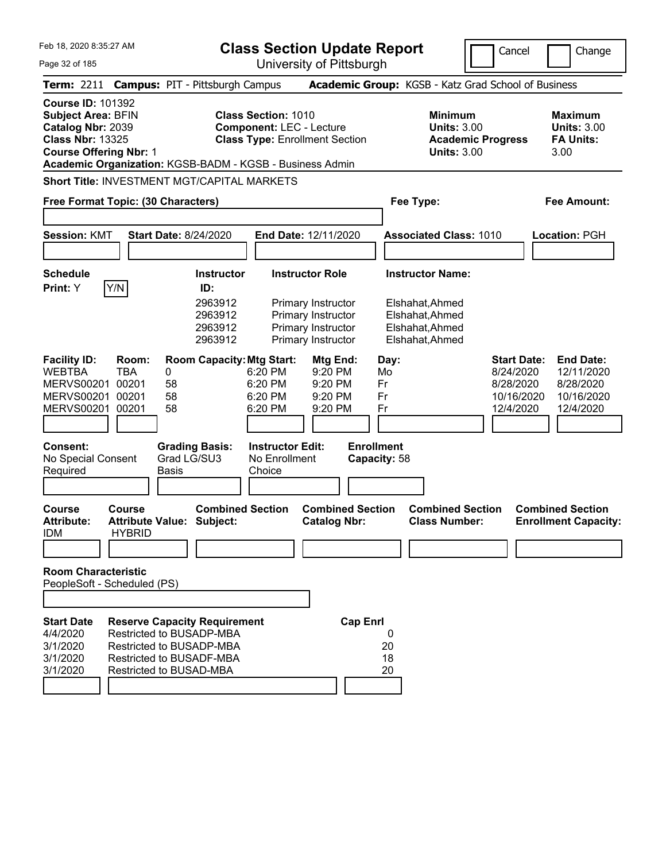| Feb 18, 2020 8:35:27 AM<br>Page 32 of 185                                                                                              |                                       |                                                                                                                                                           |                                                               | <b>Class Section Update Report</b><br>University of Pittsburgh                       |                                   |                                                                          |                          | Cancel                                                                  | Change                                                                 |
|----------------------------------------------------------------------------------------------------------------------------------------|---------------------------------------|-----------------------------------------------------------------------------------------------------------------------------------------------------------|---------------------------------------------------------------|--------------------------------------------------------------------------------------|-----------------------------------|--------------------------------------------------------------------------|--------------------------|-------------------------------------------------------------------------|------------------------------------------------------------------------|
|                                                                                                                                        |                                       | Term: 2211 Campus: PIT - Pittsburgh Campus                                                                                                                |                                                               |                                                                                      |                                   | Academic Group: KGSB - Katz Grad School of Business                      |                          |                                                                         |                                                                        |
| <b>Course ID: 101392</b><br><b>Subject Area: BFIN</b><br>Catalog Nbr: 2039<br><b>Class Nbr: 13325</b><br><b>Course Offering Nbr: 1</b> |                                       | Academic Organization: KGSB-BADM - KGSB - Business Admin                                                                                                  | <b>Class Section: 1010</b><br><b>Component: LEC - Lecture</b> | <b>Class Type: Enrollment Section</b>                                                |                                   | <b>Minimum</b><br><b>Units: 3.00</b><br><b>Units: 3.00</b>               | <b>Academic Progress</b> |                                                                         | <b>Maximum</b><br><b>Units: 3.00</b><br><b>FA Units:</b><br>3.00       |
|                                                                                                                                        |                                       | <b>Short Title: INVESTMENT MGT/CAPITAL MARKETS</b>                                                                                                        |                                                               |                                                                                      |                                   |                                                                          |                          |                                                                         |                                                                        |
| Free Format Topic: (30 Characters)                                                                                                     |                                       |                                                                                                                                                           |                                                               |                                                                                      |                                   | Fee Type:                                                                |                          |                                                                         | <b>Fee Amount:</b>                                                     |
|                                                                                                                                        |                                       |                                                                                                                                                           |                                                               |                                                                                      |                                   |                                                                          |                          |                                                                         |                                                                        |
| <b>Session: KMT</b>                                                                                                                    |                                       | <b>Start Date: 8/24/2020</b>                                                                                                                              |                                                               | End Date: 12/11/2020                                                                 |                                   | <b>Associated Class: 1010</b>                                            |                          |                                                                         | Location: PGH                                                          |
| <b>Schedule</b>                                                                                                                        |                                       | <b>Instructor</b>                                                                                                                                         |                                                               | <b>Instructor Role</b>                                                               |                                   | <b>Instructor Name:</b>                                                  |                          |                                                                         |                                                                        |
| Print: Y                                                                                                                               | Y/N                                   | ID:<br>2963912<br>2963912<br>2963912<br>2963912                                                                                                           |                                                               | Primary Instructor<br>Primary Instructor<br>Primary Instructor<br>Primary Instructor |                                   | Elshahat, Ahmed<br>Elshahat, Ahmed<br>Elshahat, Ahmed<br>Elshahat, Ahmed |                          |                                                                         |                                                                        |
| <b>Facility ID:</b><br><b>WEBTBA</b><br><b>MERVS00201</b><br><b>MERVS00201</b><br>MERVS00201 00201                                     | Room:<br><b>TBA</b><br>00201<br>00201 | <b>Room Capacity: Mtg Start:</b><br>0<br>58<br>58<br>58                                                                                                   | 6:20 PM<br>6:20 PM<br>6:20 PM<br>6:20 PM                      | Mtg End:<br>9:20 PM<br>9:20 PM<br>9:20 PM<br>9:20 PM                                 | Day:<br>Mo<br>Fr<br>Fr<br>Fr      |                                                                          |                          | <b>Start Date:</b><br>8/24/2020<br>8/28/2020<br>10/16/2020<br>12/4/2020 | <b>End Date:</b><br>12/11/2020<br>8/28/2020<br>10/16/2020<br>12/4/2020 |
| <b>Consent:</b><br>No Special Consent<br>Required                                                                                      |                                       | <b>Grading Basis:</b><br>Grad LG/SU3<br><b>Basis</b>                                                                                                      | <b>Instructor Edit:</b><br>No Enrollment<br>Choice            |                                                                                      | <b>Enrollment</b><br>Capacity: 58 |                                                                          |                          |                                                                         |                                                                        |
| Course<br><b>Attribute:</b><br><b>IDM</b>                                                                                              | <b>Course</b><br><b>HYBRID</b>        | <b>Combined Section</b><br><b>Attribute Value: Subject:</b>                                                                                               |                                                               | <b>Combined Section</b><br><b>Catalog Nbr:</b>                                       |                                   | <b>Combined Section</b><br><b>Class Number:</b>                          |                          |                                                                         | <b>Combined Section</b><br><b>Enrollment Capacity:</b>                 |
| <b>Room Characteristic</b><br>PeopleSoft - Scheduled (PS)                                                                              |                                       |                                                                                                                                                           |                                                               |                                                                                      |                                   |                                                                          |                          |                                                                         |                                                                        |
| <b>Start Date</b><br>4/4/2020<br>3/1/2020<br>3/1/2020<br>3/1/2020                                                                      |                                       | <b>Reserve Capacity Requirement</b><br>Restricted to BUSADP-MBA<br>Restricted to BUSADP-MBA<br><b>Restricted to BUSADF-MBA</b><br>Restricted to BUSAD-MBA |                                                               | <b>Cap Enrl</b>                                                                      | 0<br>20<br>18<br>20               |                                                                          |                          |                                                                         |                                                                        |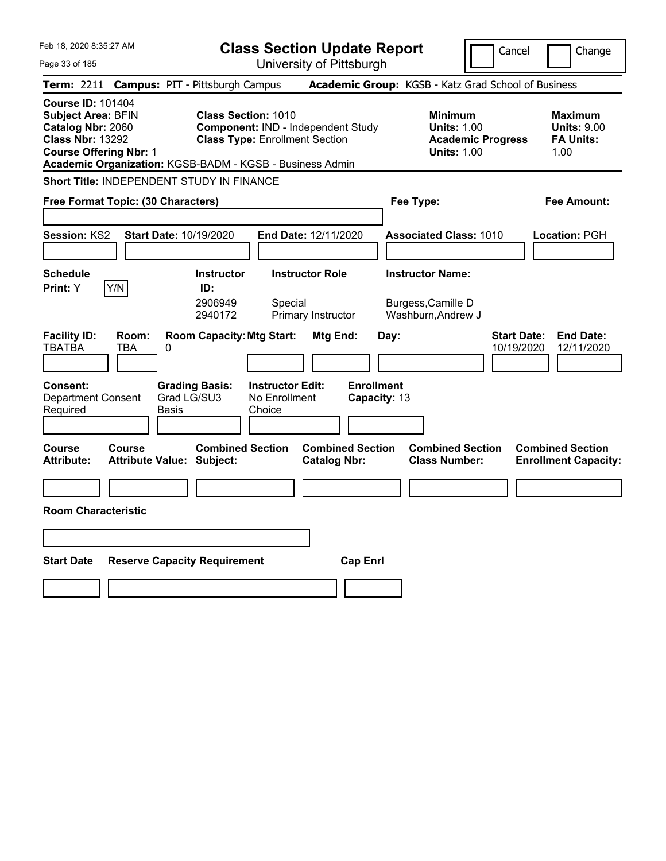| Feb 18, 2020 8:35:27 AM<br><b>Class Section Update Report</b><br>University of Pittsburgh<br>Page 33 of 185                                                                                                                                                                                                            | Cancel<br>Change                                                                                                                                           |
|------------------------------------------------------------------------------------------------------------------------------------------------------------------------------------------------------------------------------------------------------------------------------------------------------------------------|------------------------------------------------------------------------------------------------------------------------------------------------------------|
| Term: 2211 Campus: PIT - Pittsburgh Campus                                                                                                                                                                                                                                                                             | Academic Group: KGSB - Katz Grad School of Business                                                                                                        |
| <b>Course ID: 101404</b><br><b>Subject Area: BFIN</b><br><b>Class Section: 1010</b><br>Catalog Nbr: 2060<br><b>Component: IND - Independent Study</b><br><b>Class Nbr: 13292</b><br><b>Class Type: Enrollment Section</b><br><b>Course Offering Nbr: 1</b><br>Academic Organization: KGSB-BADM - KGSB - Business Admin | <b>Minimum</b><br><b>Maximum</b><br><b>Units: 1.00</b><br><b>Units: 9.00</b><br><b>FA Units:</b><br><b>Academic Progress</b><br><b>Units: 1.00</b><br>1.00 |
| Short Title: INDEPENDENT STUDY IN FINANCE                                                                                                                                                                                                                                                                              |                                                                                                                                                            |
| Free Format Topic: (30 Characters)                                                                                                                                                                                                                                                                                     | Fee Type:<br>Fee Amount:                                                                                                                                   |
| Session: KS2<br>Start Date: 10/19/2020<br>End Date: 12/11/2020                                                                                                                                                                                                                                                         | <b>Associated Class: 1010</b><br>Location: PGH                                                                                                             |
| <b>Schedule</b><br><b>Instructor Role</b><br><b>Instructor</b><br>Y/N<br>ID:<br><b>Print:</b> Y<br>2906949<br>Special                                                                                                                                                                                                  | <b>Instructor Name:</b><br>Burgess, Camille D                                                                                                              |
| 2940172<br>Primary Instructor<br><b>Facility ID:</b><br>Room:<br><b>Room Capacity: Mtg Start:</b><br>Mtg End:<br><b>TBATBA</b><br><b>TBA</b><br>0<br><b>Enrollment</b><br><b>Consent:</b><br><b>Grading Basis:</b><br><b>Instructor Edit:</b><br>Grad LG/SU3<br>No Enrollment<br><b>Department Consent</b>             | Washburn, Andrew J<br><b>End Date:</b><br><b>Start Date:</b><br>Day:<br>10/19/2020<br>12/11/2020<br>Capacity: 13                                           |
| Required<br><b>Basis</b><br>Choice                                                                                                                                                                                                                                                                                     |                                                                                                                                                            |
| <b>Combined Section</b><br><b>Combined Section</b><br><b>Course</b><br>Course<br><b>Attribute:</b><br><b>Attribute Value: Subject:</b><br><b>Catalog Nbr:</b>                                                                                                                                                          | <b>Combined Section</b><br><b>Combined Section</b><br><b>Class Number:</b><br><b>Enrollment Capacity:</b>                                                  |
|                                                                                                                                                                                                                                                                                                                        |                                                                                                                                                            |
| <b>Room Characteristic</b>                                                                                                                                                                                                                                                                                             |                                                                                                                                                            |
|                                                                                                                                                                                                                                                                                                                        |                                                                                                                                                            |
| <b>Reserve Capacity Requirement</b><br><b>Cap Enrl</b><br><b>Start Date</b>                                                                                                                                                                                                                                            |                                                                                                                                                            |
|                                                                                                                                                                                                                                                                                                                        |                                                                                                                                                            |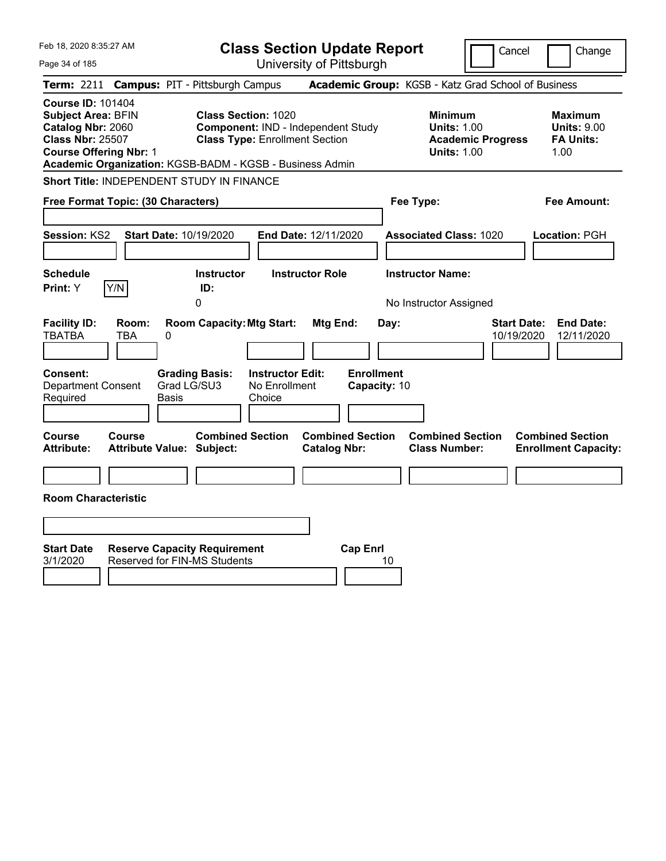| Feb 18, 2020 8:35:27 AM<br>Page 34 of 185                                                                                                                                                          | <b>Class Section Update Report</b><br>University of Pittsburgh                                            |                                                                                        | Cancel<br>Change                                                   |
|----------------------------------------------------------------------------------------------------------------------------------------------------------------------------------------------------|-----------------------------------------------------------------------------------------------------------|----------------------------------------------------------------------------------------|--------------------------------------------------------------------|
| Term: 2211 Campus: PIT - Pittsburgh Campus                                                                                                                                                         |                                                                                                           | Academic Group: KGSB - Katz Grad School of Business                                    |                                                                    |
| <b>Course ID: 101404</b><br><b>Subject Area: BFIN</b><br>Catalog Nbr: 2060<br><b>Class Nbr: 25507</b><br><b>Course Offering Nbr: 1</b><br>Academic Organization: KGSB-BADM - KGSB - Business Admin | <b>Class Section: 1020</b><br>Component: IND - Independent Study<br><b>Class Type: Enrollment Section</b> | <b>Minimum</b><br><b>Units: 1.00</b><br><b>Academic Progress</b><br><b>Units: 1.00</b> | <b>Maximum</b><br><b>Units: 9.00</b><br><b>FA Units:</b><br>1.00   |
| <b>Short Title: INDEPENDENT STUDY IN FINANCE</b>                                                                                                                                                   |                                                                                                           |                                                                                        |                                                                    |
| Free Format Topic: (30 Characters)                                                                                                                                                                 |                                                                                                           | Fee Type:                                                                              | Fee Amount:                                                        |
| Session: KS2<br>Start Date: 10/19/2020                                                                                                                                                             | End Date: 12/11/2020                                                                                      | <b>Associated Class: 1020</b>                                                          | Location: PGH                                                      |
| <b>Schedule</b>                                                                                                                                                                                    | <b>Instructor</b><br><b>Instructor Role</b>                                                               | <b>Instructor Name:</b>                                                                |                                                                    |
| Y/N<br>Print: Y<br>0                                                                                                                                                                               | ID:                                                                                                       | No Instructor Assigned                                                                 |                                                                    |
| <b>Facility ID:</b><br>Room:<br><b>TBATBA</b><br>TBA<br>0<br>Consent:<br><b>Grading Basis:</b>                                                                                                     | <b>Room Capacity: Mtg Start:</b><br><b>Mtg End:</b><br><b>Instructor Edit:</b>                            | Day:<br><b>Enrollment</b>                                                              | <b>Start Date:</b><br><b>End Date:</b><br>10/19/2020<br>12/11/2020 |
| Grad LG/SU3<br><b>Department Consent</b><br>Required<br>Basis                                                                                                                                      | No Enrollment<br>Choice                                                                                   | Capacity: 10                                                                           |                                                                    |
| Course<br>Course<br><b>Attribute:</b><br><b>Attribute Value: Subject:</b>                                                                                                                          | <b>Combined Section</b><br><b>Combined Section</b><br><b>Catalog Nbr:</b>                                 | <b>Combined Section</b><br><b>Class Number:</b>                                        | <b>Combined Section</b><br><b>Enrollment Capacity:</b>             |
|                                                                                                                                                                                                    |                                                                                                           |                                                                                        |                                                                    |
| <b>Room Characteristic</b>                                                                                                                                                                         |                                                                                                           |                                                                                        |                                                                    |
|                                                                                                                                                                                                    |                                                                                                           |                                                                                        |                                                                    |
| <b>Start Date</b><br><b>Reserve Capacity Requirement</b><br><b>Reserved for FIN-MS Students</b><br>3/1/2020                                                                                        | <b>Cap Enrl</b>                                                                                           | 10                                                                                     |                                                                    |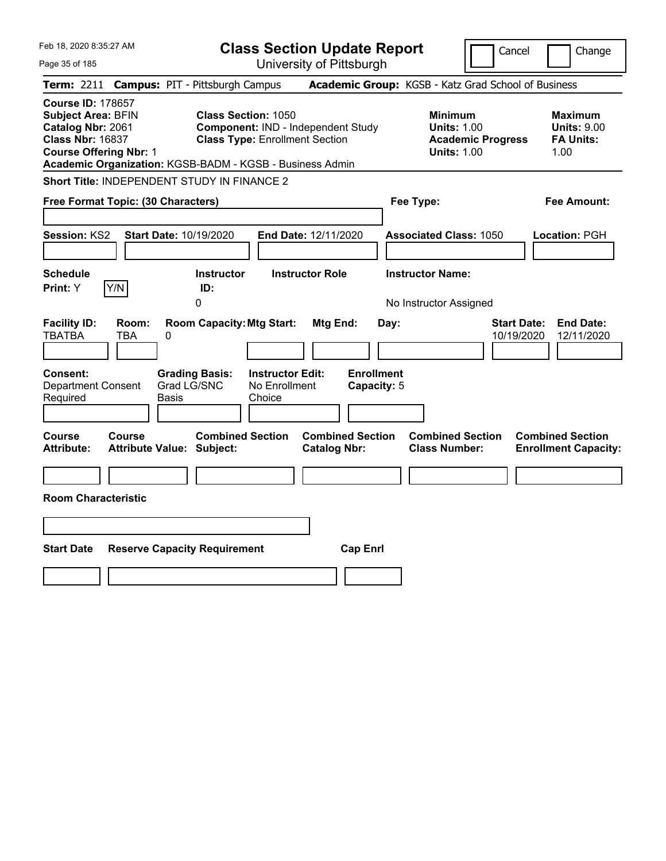| Feb 18, 2020 8:35:27 AM<br>Page 35 of 185                                                                                                             | <b>Class Section Update Report</b><br>University of Pittsburgh                                                                                                        | Cancel                                                                                 | Change                                                           |
|-------------------------------------------------------------------------------------------------------------------------------------------------------|-----------------------------------------------------------------------------------------------------------------------------------------------------------------------|----------------------------------------------------------------------------------------|------------------------------------------------------------------|
| <b>Term: 2211</b>                                                                                                                                     | <b>Campus: PIT - Pittsburgh Campus</b>                                                                                                                                | Academic Group: KGSB - Katz Grad School of Business                                    |                                                                  |
| <b>Course ID: 178657</b><br><b>Subject Area: BFIN</b><br>Catalog Nbr: 2061<br><b>Class Nbr: 16837</b><br><b>Course Offering Nbr: 1</b>                | <b>Class Section: 1050</b><br>Component: IND - Independent Study<br><b>Class Type: Enrollment Section</b><br>Academic Organization: KGSB-BADM - KGSB - Business Admin | <b>Minimum</b><br><b>Units: 1.00</b><br><b>Academic Progress</b><br><b>Units: 1.00</b> | <b>Maximum</b><br><b>Units: 9.00</b><br><b>FA Units:</b><br>1.00 |
| <b>Short Title: INDEPENDENT STUDY IN FINANCE 2</b>                                                                                                    |                                                                                                                                                                       |                                                                                        |                                                                  |
| Free Format Topic: (30 Characters)                                                                                                                    |                                                                                                                                                                       | Fee Type:                                                                              | Fee Amount:                                                      |
| <b>Session: KS2</b><br><b>Start Date: 10/19/2020</b>                                                                                                  | End Date: 12/11/2020                                                                                                                                                  | <b>Associated Class: 1050</b>                                                          | Location: PGH                                                    |
| <b>Schedule</b>                                                                                                                                       | <b>Instructor Role</b><br><b>Instructor</b>                                                                                                                           | <b>Instructor Name:</b>                                                                |                                                                  |
| Y/N<br>Print: Y                                                                                                                                       | ID:<br>0                                                                                                                                                              | No Instructor Assigned                                                                 |                                                                  |
| <b>Facility ID:</b><br>Room:<br><b>TBATBA</b><br>TBA<br>$\pmb{0}$<br><b>Consent:</b><br>Grad LG/SNC<br><b>Department Consent</b><br>Required<br>Basis | <b>Room Capacity: Mtg Start:</b><br>Mtg End:<br><b>Enrollment</b><br><b>Instructor Edit:</b><br><b>Grading Basis:</b><br>No Enrollment<br>Capacity: 5<br>Choice       | <b>Start Date:</b><br>Day:<br>10/19/2020                                               | <b>End Date:</b><br>12/11/2020                                   |
| Course<br><b>Course</b><br><b>Attribute:</b><br><b>Attribute Value: Subject:</b>                                                                      | <b>Combined Section</b><br><b>Combined Section</b><br><b>Catalog Nbr:</b>                                                                                             | <b>Combined Section</b><br><b>Class Number:</b>                                        | <b>Combined Section</b><br><b>Enrollment Capacity:</b>           |
|                                                                                                                                                       |                                                                                                                                                                       |                                                                                        |                                                                  |
| <b>Room Characteristic</b>                                                                                                                            |                                                                                                                                                                       |                                                                                        |                                                                  |
|                                                                                                                                                       |                                                                                                                                                                       |                                                                                        |                                                                  |
| <b>Start Date</b><br><b>Reserve Capacity Requirement</b>                                                                                              | <b>Cap Enrl</b>                                                                                                                                                       |                                                                                        |                                                                  |
|                                                                                                                                                       |                                                                                                                                                                       |                                                                                        |                                                                  |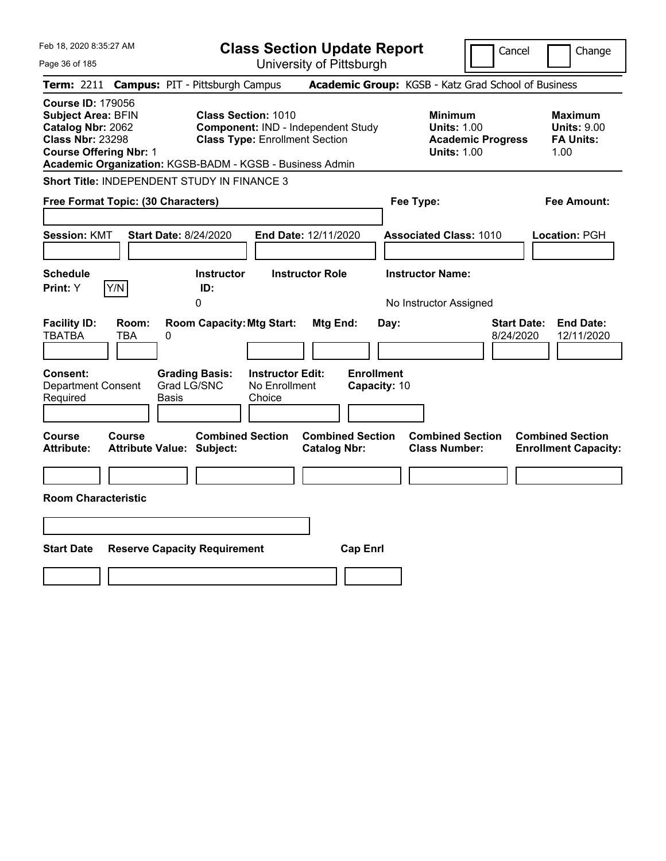| Feb 18, 2020 8:35:27 AM<br>Page 36 of 185                                                                                              |              |                                                                                        |                                                    | <b>Class Section Update Report</b><br>University of Pittsburgh |              |                                                                                        | Cancel                          | Change                                                           |
|----------------------------------------------------------------------------------------------------------------------------------------|--------------|----------------------------------------------------------------------------------------|----------------------------------------------------|----------------------------------------------------------------|--------------|----------------------------------------------------------------------------------------|---------------------------------|------------------------------------------------------------------|
|                                                                                                                                        |              | Term: 2211 Campus: PIT - Pittsburgh Campus                                             |                                                    |                                                                |              | Academic Group: KGSB - Katz Grad School of Business                                    |                                 |                                                                  |
| <b>Course ID: 179056</b><br><b>Subject Area: BFIN</b><br>Catalog Nbr: 2062<br><b>Class Nbr: 23298</b><br><b>Course Offering Nbr: 1</b> |              | <b>Class Section: 1010</b><br>Academic Organization: KGSB-BADM - KGSB - Business Admin | <b>Class Type: Enrollment Section</b>              | Component: IND - Independent Study                             |              | <b>Minimum</b><br><b>Units: 1.00</b><br><b>Academic Progress</b><br><b>Units: 1.00</b> |                                 | <b>Maximum</b><br><b>Units: 9.00</b><br><b>FA Units:</b><br>1.00 |
|                                                                                                                                        |              | Short Title: INDEPENDENT STUDY IN FINANCE 3                                            |                                                    |                                                                |              |                                                                                        |                                 |                                                                  |
| Free Format Topic: (30 Characters)                                                                                                     |              |                                                                                        |                                                    |                                                                |              | Fee Type:                                                                              |                                 | <b>Fee Amount:</b>                                               |
| <b>Session: KMT</b><br><b>Schedule</b>                                                                                                 |              | <b>Start Date: 8/24/2020</b><br><b>Instructor</b>                                      | <b>End Date: 12/11/2020</b>                        | <b>Instructor Role</b>                                         |              | <b>Associated Class: 1010</b><br><b>Instructor Name:</b>                               |                                 | Location: PGH                                                    |
| Print: Y                                                                                                                               | Y/N          | ID:                                                                                    |                                                    |                                                                |              |                                                                                        |                                 |                                                                  |
|                                                                                                                                        |              | 0                                                                                      |                                                    |                                                                |              | No Instructor Assigned                                                                 |                                 |                                                                  |
| <b>Facility ID:</b><br><b>TBATBA</b>                                                                                                   | Room:<br>TBA | <b>Room Capacity: Mtg Start:</b><br>0                                                  |                                                    | Mtg End:                                                       | Day:         |                                                                                        | <b>Start Date:</b><br>8/24/2020 | <b>End Date:</b><br>12/11/2020                                   |
| <b>Consent:</b><br><b>Department Consent</b><br>Required                                                                               |              | <b>Grading Basis:</b><br>Grad LG/SNC<br>Basis                                          | <b>Instructor Edit:</b><br>No Enrollment<br>Choice | <b>Enrollment</b>                                              | Capacity: 10 |                                                                                        |                                 |                                                                  |
| Course<br><b>Attribute:</b>                                                                                                            | Course       | <b>Combined Section</b><br><b>Attribute Value: Subject:</b>                            |                                                    | <b>Combined Section</b><br><b>Catalog Nbr:</b>                 |              | <b>Combined Section</b><br><b>Class Number:</b>                                        |                                 | <b>Combined Section</b><br><b>Enrollment Capacity:</b>           |
|                                                                                                                                        |              |                                                                                        |                                                    |                                                                |              |                                                                                        |                                 |                                                                  |
| <b>Room Characteristic</b>                                                                                                             |              |                                                                                        |                                                    |                                                                |              |                                                                                        |                                 |                                                                  |
|                                                                                                                                        |              |                                                                                        |                                                    |                                                                |              |                                                                                        |                                 |                                                                  |
| <b>Start Date</b>                                                                                                                      |              | <b>Reserve Capacity Requirement</b>                                                    |                                                    | <b>Cap Enrl</b>                                                |              |                                                                                        |                                 |                                                                  |
|                                                                                                                                        |              |                                                                                        |                                                    |                                                                |              |                                                                                        |                                 |                                                                  |
|                                                                                                                                        |              |                                                                                        |                                                    |                                                                |              |                                                                                        |                                 |                                                                  |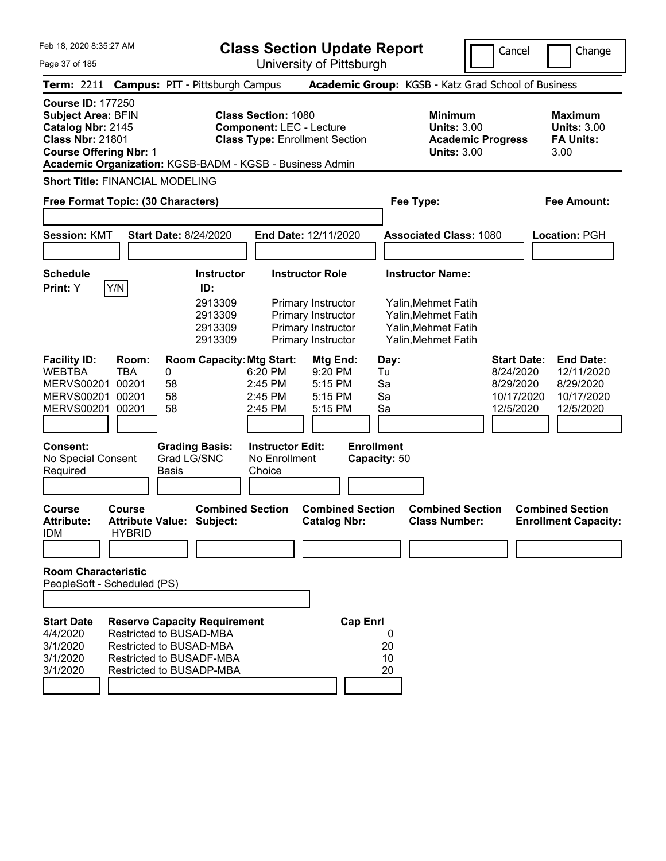Feb 18, 2020 8:35:27 AM

**Class Section Update Report** University of Pittsburgh

Cancel Change

Page 37 of 185

| Term: 2211 Campus: PIT - Pittsburgh Campus                                                                                                                                                         |                                       |       |                      |                                                                                                                                                                 |                                                                                                        |                                                                                      |                                                      |                                   | Academic Group: KGSB - Katz Grad School of Business                                      |                                                                      |                                                                         |      |                                                                        |
|----------------------------------------------------------------------------------------------------------------------------------------------------------------------------------------------------|---------------------------------------|-------|----------------------|-----------------------------------------------------------------------------------------------------------------------------------------------------------------|--------------------------------------------------------------------------------------------------------|--------------------------------------------------------------------------------------|------------------------------------------------------|-----------------------------------|------------------------------------------------------------------------------------------|----------------------------------------------------------------------|-------------------------------------------------------------------------|------|------------------------------------------------------------------------|
| <b>Course ID: 177250</b><br><b>Subject Area: BFIN</b><br>Catalog Nbr: 2145<br><b>Class Nbr: 21801</b><br><b>Course Offering Nbr: 1</b><br>Academic Organization: KGSB-BADM - KGSB - Business Admin |                                       |       |                      |                                                                                                                                                                 | <b>Class Section: 1080</b><br><b>Component: LEC - Lecture</b><br><b>Class Type: Enrollment Section</b> |                                                                                      |                                                      |                                   | <b>Minimum</b>                                                                           | <b>Units: 3.00</b><br><b>Academic Progress</b><br><b>Units: 3.00</b> |                                                                         | 3.00 | <b>Maximum</b><br><b>Units: 3.00</b><br><b>FA Units:</b>               |
| <b>Short Title: FINANCIAL MODELING</b>                                                                                                                                                             |                                       |       |                      |                                                                                                                                                                 |                                                                                                        |                                                                                      |                                                      |                                   |                                                                                          |                                                                      |                                                                         |      |                                                                        |
| Free Format Topic: (30 Characters)                                                                                                                                                                 |                                       |       |                      |                                                                                                                                                                 |                                                                                                        |                                                                                      |                                                      |                                   | Fee Type:                                                                                |                                                                      |                                                                         |      | Fee Amount:                                                            |
|                                                                                                                                                                                                    |                                       |       |                      |                                                                                                                                                                 |                                                                                                        |                                                                                      |                                                      |                                   |                                                                                          |                                                                      |                                                                         |      |                                                                        |
| <b>Session: KMT</b>                                                                                                                                                                                |                                       |       |                      | <b>Start Date: 8/24/2020</b>                                                                                                                                    | End Date: 12/11/2020                                                                                   |                                                                                      |                                                      |                                   | <b>Associated Class: 1080</b>                                                            |                                                                      |                                                                         |      | Location: PGH                                                          |
| <b>Schedule</b>                                                                                                                                                                                    |                                       |       |                      | <b>Instructor</b>                                                                                                                                               |                                                                                                        | <b>Instructor Role</b>                                                               |                                                      |                                   | <b>Instructor Name:</b>                                                                  |                                                                      |                                                                         |      |                                                                        |
| Print: Y                                                                                                                                                                                           | Y/N                                   |       |                      | ID:<br>2913309<br>2913309<br>2913309<br>2913309                                                                                                                 |                                                                                                        | Primary Instructor<br>Primary Instructor<br>Primary Instructor<br>Primary Instructor |                                                      |                                   | Yalin, Mehmet Fatih<br>Yalin, Mehmet Fatih<br>Yalin, Mehmet Fatih<br>Yalin, Mehmet Fatih |                                                                      |                                                                         |      |                                                                        |
| <b>Facility ID:</b><br><b>WEBTBA</b><br><b>MERVS00201</b><br><b>MERVS00201</b><br><b>MERVS00201</b>                                                                                                | <b>TBA</b><br>00201<br>00201<br>00201 | Room: | 0<br>58<br>58<br>58  | <b>Room Capacity: Mtg Start:</b>                                                                                                                                | 6:20 PM<br>2:45 PM<br>2:45 PM<br>2:45 PM                                                               |                                                                                      | Mtg End:<br>9:20 PM<br>5:15 PM<br>5:15 PM<br>5:15 PM | Day:<br>Tu<br>Sa<br>Sa<br>Sa      |                                                                                          |                                                                      | <b>Start Date:</b><br>8/24/2020<br>8/29/2020<br>10/17/2020<br>12/5/2020 |      | <b>End Date:</b><br>12/11/2020<br>8/29/2020<br>10/17/2020<br>12/5/2020 |
| <b>Consent:</b><br>No Special Consent<br>Required                                                                                                                                                  |                                       |       | Grad LG/SNC<br>Basis | <b>Grading Basis:</b>                                                                                                                                           | <b>Instructor Edit:</b><br>No Enrollment<br>Choice                                                     |                                                                                      |                                                      | <b>Enrollment</b><br>Capacity: 50 |                                                                                          |                                                                      |                                                                         |      |                                                                        |
| <b>Course</b><br><b>Attribute:</b><br>idm                                                                                                                                                          | <b>Course</b><br><b>HYBRID</b>        |       |                      | <b>Combined Section</b><br><b>Attribute Value: Subject:</b>                                                                                                     |                                                                                                        |                                                                                      | <b>Combined Section</b><br><b>Catalog Nbr:</b>       |                                   | <b>Combined Section</b><br><b>Class Number:</b>                                          |                                                                      |                                                                         |      | <b>Combined Section</b><br><b>Enrollment Capacity:</b>                 |
| <b>Room Characteristic</b><br>PeopleSoft - Scheduled (PS)                                                                                                                                          |                                       |       |                      |                                                                                                                                                                 |                                                                                                        |                                                                                      |                                                      |                                   |                                                                                          |                                                                      |                                                                         |      |                                                                        |
| <b>Start Date</b><br>4/4/2020<br>3/1/2020<br>3/1/2020<br>3/1/2020                                                                                                                                  |                                       |       |                      | <b>Reserve Capacity Requirement</b><br><b>Restricted to BUSAD-MBA</b><br><b>Restricted to BUSAD-MBA</b><br>Restricted to BUSADF-MBA<br>Restricted to BUSADP-MBA |                                                                                                        |                                                                                      | <b>Cap Enrl</b>                                      | 0<br>20<br>10<br>20               |                                                                                          |                                                                      |                                                                         |      |                                                                        |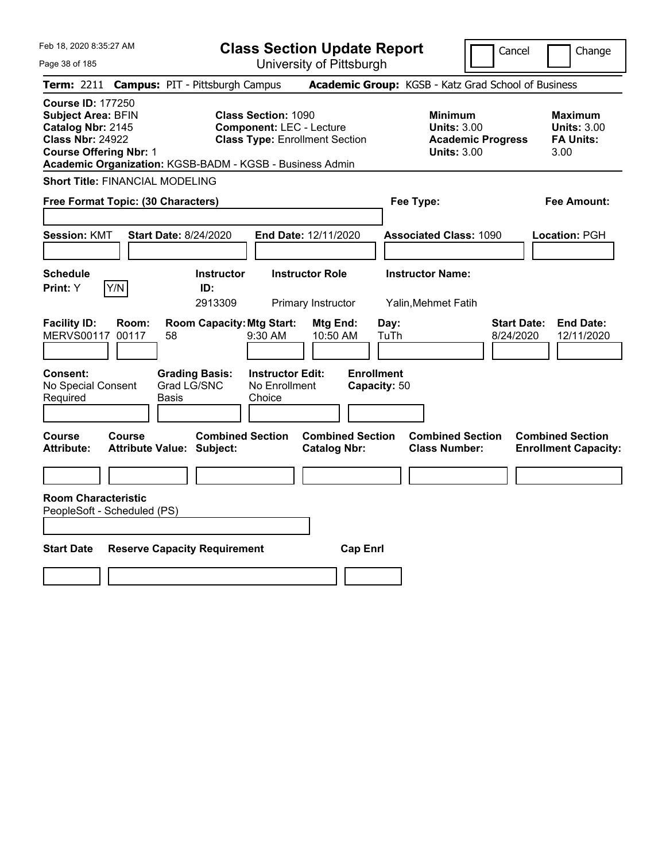Feb 18, 2020 8:35:27 AM

Page 38 of 185

**Class Section Update Report**

Cancel Change

University of Pittsburgh

|                                                                                                                                        |        | Term: 2211 Campus: PIT - Pittsburgh Campus                  |                                                               |                                                |                                   | Academic Group: KGSB - Katz Grad School of Business                                    |                                 |                                                          |
|----------------------------------------------------------------------------------------------------------------------------------------|--------|-------------------------------------------------------------|---------------------------------------------------------------|------------------------------------------------|-----------------------------------|----------------------------------------------------------------------------------------|---------------------------------|----------------------------------------------------------|
| <b>Course ID: 177250</b><br><b>Subject Area: BFIN</b><br>Catalog Nbr: 2145<br><b>Class Nbr: 24922</b><br><b>Course Offering Nbr: 1</b> |        | Academic Organization: KGSB-BADM - KGSB - Business Admin    | <b>Class Section: 1090</b><br><b>Component: LEC - Lecture</b> | <b>Class Type: Enrollment Section</b>          |                                   | <b>Minimum</b><br><b>Units: 3.00</b><br><b>Academic Progress</b><br><b>Units: 3.00</b> | 3.00                            | <b>Maximum</b><br><b>Units: 3.00</b><br><b>FA Units:</b> |
| <b>Short Title: FINANCIAL MODELING</b>                                                                                                 |        |                                                             |                                                               |                                                |                                   |                                                                                        |                                 |                                                          |
| Free Format Topic: (30 Characters)                                                                                                     |        |                                                             |                                                               |                                                |                                   | Fee Type:                                                                              |                                 | <b>Fee Amount:</b>                                       |
| <b>Session: KMT</b>                                                                                                                    |        | <b>Start Date: 8/24/2020</b>                                |                                                               | End Date: 12/11/2020                           |                                   | <b>Associated Class: 1090</b>                                                          |                                 | Location: PGH                                            |
| <b>Schedule</b><br>Print: Y                                                                                                            | Y/N    | <b>Instructor</b><br>ID:<br>2913309                         |                                                               | <b>Instructor Role</b><br>Primary Instructor   |                                   | <b>Instructor Name:</b><br>Yalin, Mehmet Fatih                                         |                                 |                                                          |
| <b>Facility ID:</b><br>MERVS00117 00117                                                                                                | Room:  | <b>Room Capacity: Mtg Start:</b><br>58                      | 9:30 AM                                                       | Mtg End:<br>10:50 AM                           | Day:<br>TuTh                      |                                                                                        | <b>Start Date:</b><br>8/24/2020 | <b>End Date:</b><br>12/11/2020                           |
| <b>Consent:</b><br>No Special Consent<br>Required                                                                                      |        | <b>Grading Basis:</b><br>Grad LG/SNC<br><b>Basis</b>        | <b>Instructor Edit:</b><br>No Enrollment<br>Choice            |                                                | <b>Enrollment</b><br>Capacity: 50 |                                                                                        |                                 |                                                          |
| <b>Course</b><br><b>Attribute:</b>                                                                                                     | Course | <b>Combined Section</b><br><b>Attribute Value: Subject:</b> |                                                               | <b>Combined Section</b><br><b>Catalog Nbr:</b> |                                   | <b>Combined Section</b><br><b>Class Number:</b>                                        | <b>Combined Section</b>         | <b>Enrollment Capacity:</b>                              |
|                                                                                                                                        |        |                                                             |                                                               |                                                |                                   |                                                                                        |                                 |                                                          |
| <b>Room Characteristic</b><br>PeopleSoft - Scheduled (PS)<br><b>Start Date</b>                                                         |        | <b>Reserve Capacity Requirement</b>                         |                                                               | <b>Cap Enrl</b>                                |                                   |                                                                                        |                                 |                                                          |
|                                                                                                                                        |        |                                                             |                                                               |                                                |                                   |                                                                                        |                                 |                                                          |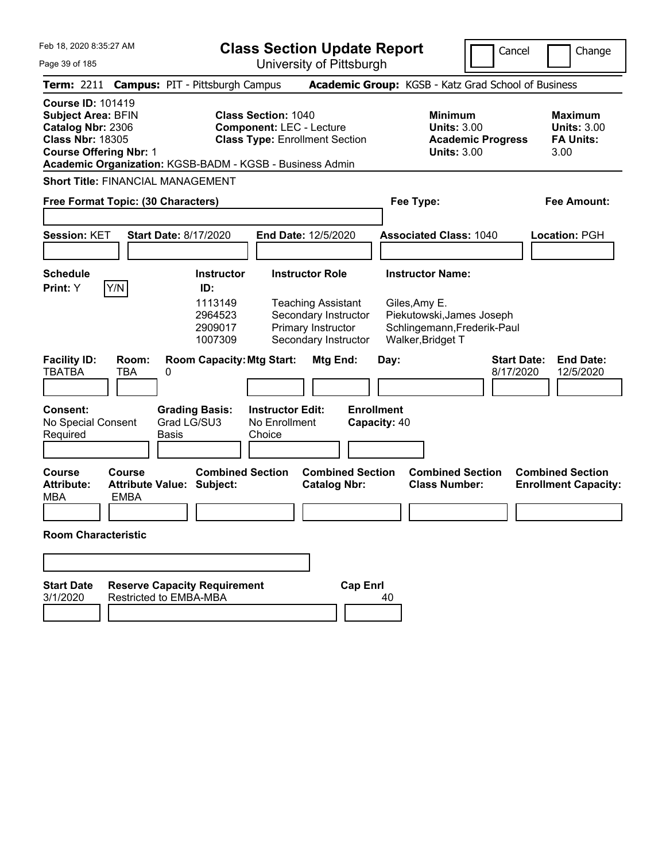|  | Feb 18, 2020 8:35:27 AM |  |
|--|-------------------------|--|
|  |                         |  |

**Class Section Update Report** University of Pittsburgh

Cancel Change

Page 39 of 185

| Term: 2211 Campus: PIT - Pittsburgh Campus                                                                                                                                                         |                              |                                  |                                                                      |                                                                                                        |                                                                                                                                  |                                   |      | Academic Group: KGSB - Katz Grad School of Business                                                                       |                                 |                                                                  |
|----------------------------------------------------------------------------------------------------------------------------------------------------------------------------------------------------|------------------------------|----------------------------------|----------------------------------------------------------------------|--------------------------------------------------------------------------------------------------------|----------------------------------------------------------------------------------------------------------------------------------|-----------------------------------|------|---------------------------------------------------------------------------------------------------------------------------|---------------------------------|------------------------------------------------------------------|
| <b>Course ID: 101419</b><br><b>Subject Area: BFIN</b><br>Catalog Nbr: 2306<br><b>Class Nbr: 18305</b><br><b>Course Offering Nbr: 1</b><br>Academic Organization: KGSB-BADM - KGSB - Business Admin |                              |                                  |                                                                      | <b>Class Section: 1040</b><br><b>Component: LEC - Lecture</b><br><b>Class Type: Enrollment Section</b> |                                                                                                                                  |                                   |      | <b>Minimum</b><br><b>Units: 3.00</b><br><b>Units: 3.00</b>                                                                | <b>Academic Progress</b>        | <b>Maximum</b><br><b>Units: 3.00</b><br><b>FA Units:</b><br>3.00 |
| <b>Short Title: FINANCIAL MANAGEMENT</b>                                                                                                                                                           |                              |                                  |                                                                      |                                                                                                        |                                                                                                                                  |                                   |      |                                                                                                                           |                                 |                                                                  |
| Free Format Topic: (30 Characters)                                                                                                                                                                 |                              |                                  |                                                                      |                                                                                                        |                                                                                                                                  |                                   |      | Fee Type:                                                                                                                 |                                 | Fee Amount:                                                      |
| <b>Session: KET</b>                                                                                                                                                                                |                              | <b>Start Date: 8/17/2020</b>     |                                                                      | <b>End Date: 12/5/2020</b>                                                                             |                                                                                                                                  |                                   |      | <b>Associated Class: 1040</b>                                                                                             |                                 | Location: PGH                                                    |
| <b>Schedule</b><br>Print: Y                                                                                                                                                                        | Y/N                          |                                  | <b>Instructor</b><br>ID:<br>1113149<br>2964523<br>2909017<br>1007309 |                                                                                                        | <b>Instructor Role</b><br><b>Teaching Assistant</b><br>Secondary Instructor<br><b>Primary Instructor</b><br>Secondary Instructor |                                   |      | <b>Instructor Name:</b><br>Giles, Amy E.<br>Piekutowski, James Joseph<br>Schlingemann, Frederik-Paul<br>Walker, Bridget T |                                 |                                                                  |
| <b>Facility ID:</b><br><b>TBATBA</b>                                                                                                                                                               | Room:<br>ТВА                 | 0                                | <b>Room Capacity: Mtg Start:</b>                                     |                                                                                                        | Mtg End:                                                                                                                         |                                   | Day: |                                                                                                                           | <b>Start Date:</b><br>8/17/2020 | <b>End Date:</b><br>12/5/2020                                    |
| <b>Consent:</b><br>No Special Consent<br>Required                                                                                                                                                  |                              | Grad LG/SU3<br>Basis             | <b>Grading Basis:</b>                                                | <b>Instructor Edit:</b><br>No Enrollment<br>Choice                                                     |                                                                                                                                  | <b>Enrollment</b><br>Capacity: 40 |      |                                                                                                                           |                                 |                                                                  |
| Course<br><b>Attribute:</b><br>MBA                                                                                                                                                                 | <b>Course</b><br><b>EMBA</b> | <b>Attribute Value: Subject:</b> | <b>Combined Section</b>                                              |                                                                                                        | <b>Combined Section</b><br><b>Catalog Nbr:</b>                                                                                   |                                   |      | <b>Combined Section</b><br><b>Class Number:</b>                                                                           |                                 | <b>Combined Section</b><br><b>Enrollment Capacity:</b>           |
| <b>Room Characteristic</b>                                                                                                                                                                         |                              |                                  |                                                                      |                                                                                                        |                                                                                                                                  |                                   |      |                                                                                                                           |                                 |                                                                  |
|                                                                                                                                                                                                    |                              |                                  |                                                                      |                                                                                                        |                                                                                                                                  |                                   |      |                                                                                                                           |                                 |                                                                  |
| <b>Start Date</b><br>3/1/2020                                                                                                                                                                      |                              | <b>Restricted to EMBA-MBA</b>    | <b>Reserve Capacity Requirement</b>                                  |                                                                                                        |                                                                                                                                  | <b>Cap Enrl</b>                   | 40   |                                                                                                                           |                                 |                                                                  |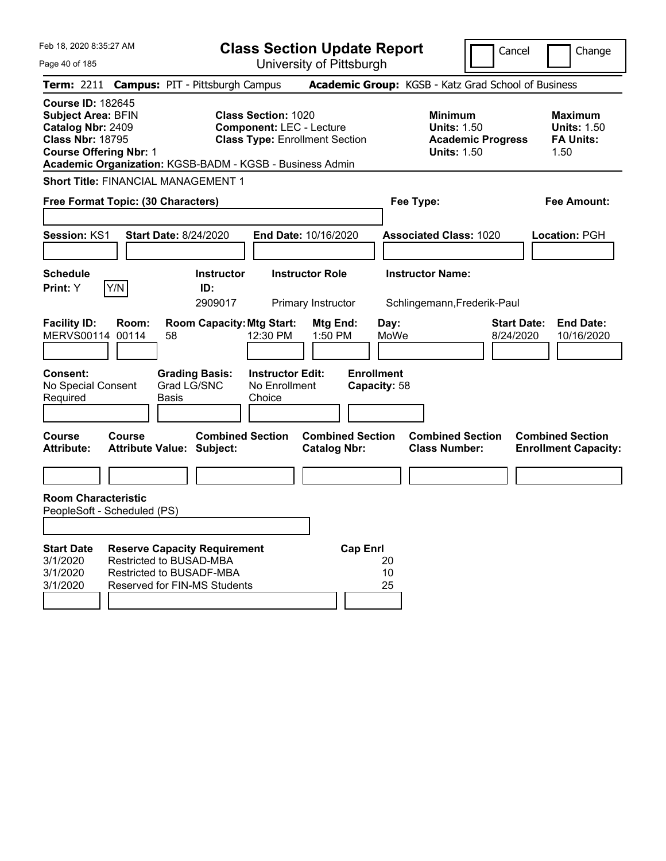| Feb 18, 2020 8:35:27 AM<br>Page 40 of 185                                                                                                                                                          |                                                                                                                                   |                                     | <b>Class Section Update Report</b>                                                                     | University of Pittsburgh                     |                                   |                |                                                                                        | Cancel                          | Change                                                           |
|----------------------------------------------------------------------------------------------------------------------------------------------------------------------------------------------------|-----------------------------------------------------------------------------------------------------------------------------------|-------------------------------------|--------------------------------------------------------------------------------------------------------|----------------------------------------------|-----------------------------------|----------------|----------------------------------------------------------------------------------------|---------------------------------|------------------------------------------------------------------|
| Term: 2211 Campus: PIT - Pittsburgh Campus                                                                                                                                                         |                                                                                                                                   |                                     |                                                                                                        |                                              |                                   |                | Academic Group: KGSB - Katz Grad School of Business                                    |                                 |                                                                  |
| <b>Course ID: 182645</b><br><b>Subject Area: BFIN</b><br>Catalog Nbr: 2409<br><b>Class Nbr: 18795</b><br><b>Course Offering Nbr: 1</b><br>Academic Organization: KGSB-BADM - KGSB - Business Admin |                                                                                                                                   |                                     | <b>Class Section: 1020</b><br><b>Component: LEC - Lecture</b><br><b>Class Type: Enrollment Section</b> |                                              |                                   |                | <b>Minimum</b><br><b>Units: 1.50</b><br><b>Academic Progress</b><br><b>Units: 1.50</b> |                                 | <b>Maximum</b><br><b>Units: 1.50</b><br><b>FA Units:</b><br>1.50 |
| <b>Short Title: FINANCIAL MANAGEMENT 1</b>                                                                                                                                                         |                                                                                                                                   |                                     |                                                                                                        |                                              |                                   |                |                                                                                        |                                 |                                                                  |
| Free Format Topic: (30 Characters)                                                                                                                                                                 |                                                                                                                                   |                                     |                                                                                                        |                                              |                                   |                | Fee Type:                                                                              |                                 | <b>Fee Amount:</b>                                               |
| Session: KS1                                                                                                                                                                                       | <b>Start Date: 8/24/2020</b>                                                                                                      |                                     | End Date: 10/16/2020                                                                                   |                                              |                                   |                | <b>Associated Class: 1020</b>                                                          |                                 | Location: PGH                                                    |
| <b>Schedule</b><br>Y/N<br>Print: Y                                                                                                                                                                 |                                                                                                                                   | <b>Instructor</b><br>ID:<br>2909017 |                                                                                                        | <b>Instructor Role</b><br>Primary Instructor |                                   |                | <b>Instructor Name:</b><br>Schlingemann, Frederik-Paul                                 |                                 |                                                                  |
| <b>Facility ID:</b><br><b>MERVS00114</b><br>00114                                                                                                                                                  | Room:<br>58                                                                                                                       | <b>Room Capacity: Mtg Start:</b>    | 12:30 PM                                                                                               | Mtg End:<br>1:50 PM                          |                                   | Day:<br>MoWe   |                                                                                        | <b>Start Date:</b><br>8/24/2020 | <b>End Date:</b><br>10/16/2020                                   |
| <b>Consent:</b><br>No Special Consent<br>Required                                                                                                                                                  | Grad LG/SNC<br><b>Basis</b>                                                                                                       | <b>Grading Basis:</b>               | <b>Instructor Edit:</b><br>No Enrollment<br>Choice                                                     |                                              | <b>Enrollment</b><br>Capacity: 58 |                |                                                                                        |                                 |                                                                  |
| <b>Course</b><br>Course<br><b>Attribute:</b>                                                                                                                                                       | <b>Attribute Value: Subject:</b>                                                                                                  | <b>Combined Section</b>             |                                                                                                        | <b>Catalog Nbr:</b>                          | <b>Combined Section</b>           |                | <b>Combined Section</b><br><b>Class Number:</b>                                        |                                 | <b>Combined Section</b><br><b>Enrollment Capacity:</b>           |
| <b>Room Characteristic</b><br>PeopleSoft - Scheduled (PS)                                                                                                                                          |                                                                                                                                   |                                     |                                                                                                        |                                              |                                   |                |                                                                                        |                                 |                                                                  |
| <b>Start Date</b><br>3/1/2020<br>3/1/2020<br>3/1/2020                                                                                                                                              | <b>Reserve Capacity Requirement</b><br>Restricted to BUSAD-MBA<br>Restricted to BUSADF-MBA<br><b>Reserved for FIN-MS Students</b> |                                     |                                                                                                        |                                              | <b>Cap Enrl</b>                   | 20<br>10<br>25 |                                                                                        |                                 |                                                                  |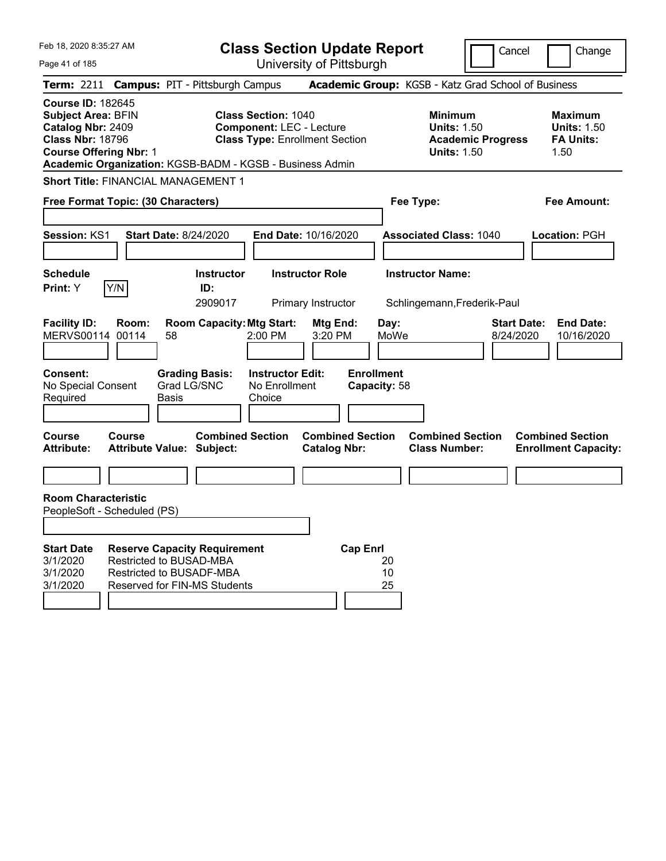Feb 18, 2020 8:35:27 AM Page 41 of 185 **Class Section Update Report** University of Pittsburgh Cancel Change **Term:** 2211 **Campus:** PIT - Pittsburgh Campus **Academic Group:** KGSB - Katz Grad School of Business **Course ID:** 182645 **Subject Area:** BFIN **Class Section:** 1040 **Minimum Maximum Catalog Nbr:** 2409 **Component:** LEC - Lecture **Units:** 1.50 **Units:** 1.50 **Class Nbr:** 18796 **Class Type:** Enrollment Section **Academic Progress FA Units: Course Offering Nbr: 1 1.50 1.50 1.50 1.50 1.50 1.50 Academic Organization:** KGSB-BADM - KGSB - Business Admin **Short Title:** FINANCIAL MANAGEMENT 1 **Free Format Topic: (30 Characters) Fee Type: Fee Amount: Session:** KS1 **Start Date:** 8/24/2020 **End Date:** 10/16/2020 **Associated Class:** 1040 **Location:** PGH **Schedule Instructor Instructor Role Instructor Name: Print:**  $Y$   $|Y/N|$  **ID:** 2909017 Primary Instructor Schlingemann,Frederik-Paul **Facility ID: Room: Room Capacity:Mtg Start: Mtg End: Day: Start Date: End Date:** MERVS00114 00114 58 2:00 PM 3:20 PM MoWe 8/24/2020 10/16/2020 **Consent: Grading Basis: Instructor Edit: Enrollment** No Special Consent Required Grad LG/SNC Basis No Enrollment Choice **Capacity:** 58 **Course Course Combined Section Combined Section Combined Section Combined Section Attribute: Attribute Value: Subject: Catalog Nbr: Class Number: Enrollment Capacity: Room Characteristic** PeopleSoft - Scheduled (PS) **Start Date Reserve Capacity Requirement Cap Enrl** 3/1/2020 Restricted to BUSAD-MBA 20 3/1/2020 Restricted to BUSADF-MBA 10 3/1/2020 Reserved for FIN-MS Students 25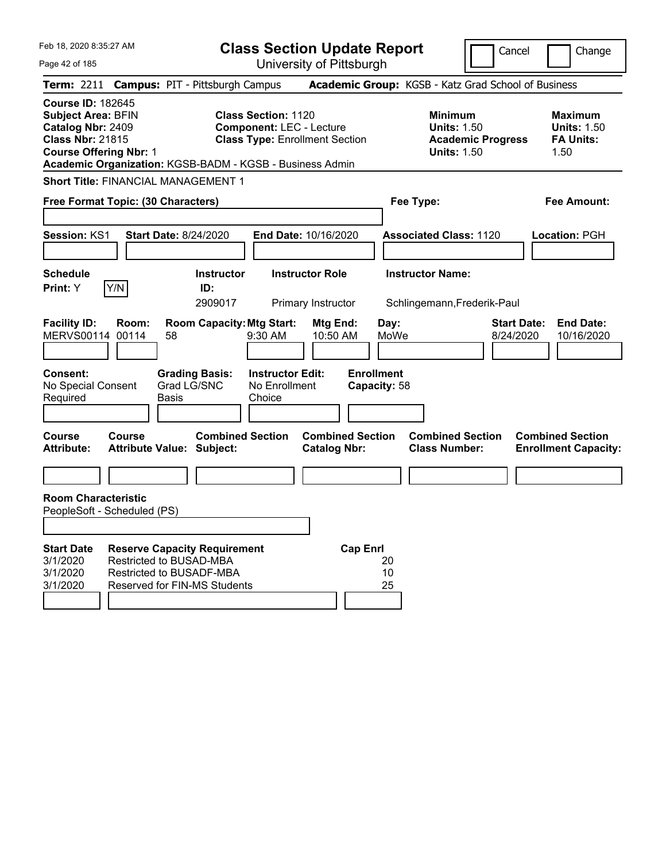| Feb 18, 2020 8:35:27 AM                                                                                                                                                                            | <b>Class Section Update Report</b>                                                                                                             | Cancel                                                                                 | Change                                                           |
|----------------------------------------------------------------------------------------------------------------------------------------------------------------------------------------------------|------------------------------------------------------------------------------------------------------------------------------------------------|----------------------------------------------------------------------------------------|------------------------------------------------------------------|
| Page 42 of 185                                                                                                                                                                                     | University of Pittsburgh                                                                                                                       |                                                                                        |                                                                  |
| Term: 2211 Campus: PIT - Pittsburgh Campus                                                                                                                                                         |                                                                                                                                                | Academic Group: KGSB - Katz Grad School of Business                                    |                                                                  |
| <b>Course ID: 182645</b><br><b>Subject Area: BFIN</b><br>Catalog Nbr: 2409<br><b>Class Nbr: 21815</b><br><b>Course Offering Nbr: 1</b><br>Academic Organization: KGSB-BADM - KGSB - Business Admin | <b>Class Section: 1120</b><br><b>Component: LEC - Lecture</b><br><b>Class Type: Enrollment Section</b>                                         | <b>Minimum</b><br><b>Units: 1.50</b><br><b>Academic Progress</b><br><b>Units: 1.50</b> | <b>Maximum</b><br><b>Units: 1.50</b><br><b>FA Units:</b><br>1.50 |
| <b>Short Title: FINANCIAL MANAGEMENT 1</b>                                                                                                                                                         |                                                                                                                                                |                                                                                        |                                                                  |
| Free Format Topic: (30 Characters)                                                                                                                                                                 |                                                                                                                                                | Fee Type:                                                                              | Fee Amount:                                                      |
|                                                                                                                                                                                                    |                                                                                                                                                |                                                                                        |                                                                  |
| Session: KS1<br><b>Start Date: 8/24/2020</b>                                                                                                                                                       | End Date: 10/16/2020                                                                                                                           | <b>Associated Class: 1120</b>                                                          | Location: PGH                                                    |
|                                                                                                                                                                                                    |                                                                                                                                                |                                                                                        |                                                                  |
| <b>Schedule</b>                                                                                                                                                                                    | <b>Instructor Role</b><br><b>Instructor</b>                                                                                                    | <b>Instructor Name:</b>                                                                |                                                                  |
| Y/N<br>Print: Y                                                                                                                                                                                    | ID:<br>2909017<br>Primary Instructor                                                                                                           | Schlingemann, Frederik-Paul                                                            |                                                                  |
| <b>Facility ID:</b><br>Room:<br>MERVS00114<br>00114<br>58<br><b>Consent:</b><br><b>Grading Basis:</b><br>Grad LG/SNC<br>No Special Consent<br>Required<br><b>Basis</b>                             | <b>Room Capacity: Mtg Start:</b><br>Mtg End:<br>9:30 AM<br>10:50 AM<br><b>Enrollment</b><br><b>Instructor Edit:</b><br>No Enrollment<br>Choice | Day:<br>MoWe<br>8/24/2020<br>Capacity: 58                                              | <b>Start Date:</b><br><b>End Date:</b><br>10/16/2020             |
| <b>Course</b><br>Course<br><b>Attribute:</b><br><b>Attribute Value: Subject:</b>                                                                                                                   | <b>Combined Section</b><br><b>Combined Section</b><br><b>Catalog Nbr:</b>                                                                      | <b>Combined Section</b><br><b>Class Number:</b>                                        | <b>Combined Section</b><br><b>Enrollment Capacity:</b>           |
|                                                                                                                                                                                                    |                                                                                                                                                |                                                                                        |                                                                  |
| <b>Room Characteristic</b><br>PeopleSoft - Scheduled (PS)                                                                                                                                          |                                                                                                                                                |                                                                                        |                                                                  |
| <b>Reserve Capacity Requirement</b><br><b>Start Date</b><br>Restricted to BUSAD-MBA<br>3/1/2020<br>Restricted to BUSADF-MBA<br>3/1/2020<br>3/1/2020<br><b>Reserved for FIN-MS Students</b>         | <b>Cap Enrl</b>                                                                                                                                | 20<br>10<br>25                                                                         |                                                                  |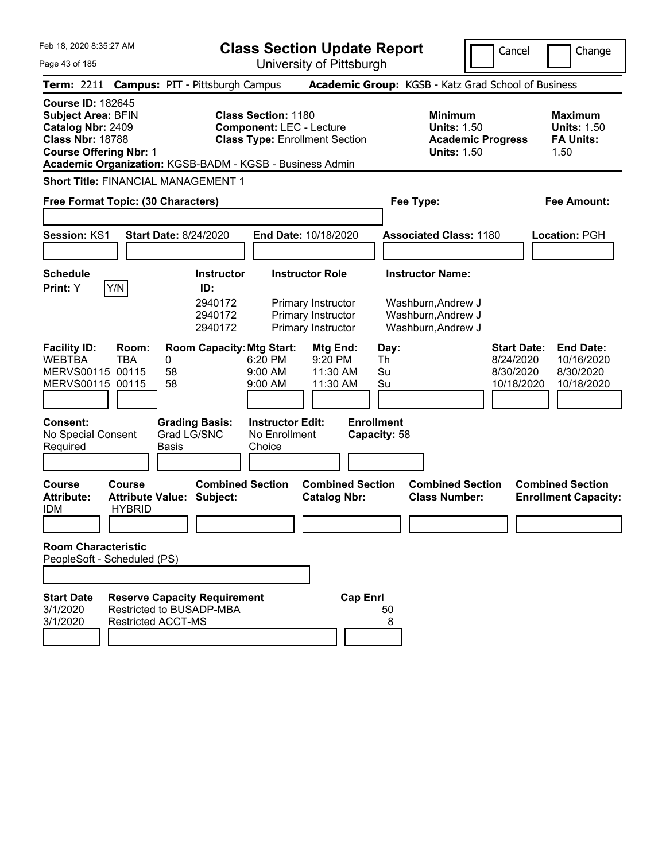| Feb 18, 2020 8:35:27 AM<br>Page 43 of 185                                                                                                                       |                                                                                                                                                                                                                                     | <b>Class Section Update Report</b><br>University of Pittsburgh                                                                                               |                                                                                                                                     | Cancel                                                     | Change                                                           |
|-----------------------------------------------------------------------------------------------------------------------------------------------------------------|-------------------------------------------------------------------------------------------------------------------------------------------------------------------------------------------------------------------------------------|--------------------------------------------------------------------------------------------------------------------------------------------------------------|-------------------------------------------------------------------------------------------------------------------------------------|------------------------------------------------------------|------------------------------------------------------------------|
| Term: 2211 Campus: PIT - Pittsburgh Campus                                                                                                                      |                                                                                                                                                                                                                                     |                                                                                                                                                              | Academic Group: KGSB - Katz Grad School of Business                                                                                 |                                                            |                                                                  |
| <b>Course ID: 182645</b><br><b>Subject Area: BFIN</b><br>Catalog Nbr: 2409<br><b>Class Nbr: 18788</b><br><b>Course Offering Nbr: 1</b>                          | <b>Class Section: 1180</b><br><b>Component: LEC - Lecture</b><br><b>Class Type: Enrollment Section</b><br>Academic Organization: KGSB-BADM - KGSB - Business Admin                                                                  |                                                                                                                                                              | <b>Minimum</b><br><b>Units: 1.50</b><br><b>Units: 1.50</b>                                                                          | <b>Academic Progress</b>                                   | <b>Maximum</b><br><b>Units: 1.50</b><br><b>FA Units:</b><br>1.50 |
| <b>Short Title: FINANCIAL MANAGEMENT 1</b><br>Free Format Topic: (30 Characters)                                                                                |                                                                                                                                                                                                                                     |                                                                                                                                                              | Fee Type:                                                                                                                           |                                                            | Fee Amount:                                                      |
|                                                                                                                                                                 |                                                                                                                                                                                                                                     |                                                                                                                                                              |                                                                                                                                     |                                                            |                                                                  |
| <b>Session: KS1</b>                                                                                                                                             | <b>Start Date: 8/24/2020</b>                                                                                                                                                                                                        | End Date: 10/18/2020                                                                                                                                         | <b>Associated Class: 1180</b>                                                                                                       |                                                            | Location: PGH                                                    |
| <b>Schedule</b>                                                                                                                                                 |                                                                                                                                                                                                                                     |                                                                                                                                                              |                                                                                                                                     |                                                            |                                                                  |
| Y/N<br>Print: Y<br><b>Facility ID:</b><br>Room:<br><b>WEBTBA</b><br><b>TBA</b><br>MERVS00115 00115<br>MERVS00115 00115<br><b>Consent:</b><br>No Special Consent | <b>Instructor</b><br>ID:<br>2940172<br>2940172<br>2940172<br><b>Room Capacity: Mtg Start:</b><br>0<br>6:20 PM<br>58<br>9:00 AM<br>58<br>9:00 AM<br><b>Instructor Edit:</b><br><b>Grading Basis:</b><br>Grad LG/SNC<br>No Enrollment | <b>Instructor Role</b><br>Primary Instructor<br>Primary Instructor<br>Primary Instructor<br>Mtg End:<br>9:20 PM<br>11:30 AM<br>11:30 AM<br><b>Enrollment</b> | <b>Instructor Name:</b><br>Washburn, Andrew J<br>Washburn, Andrew J<br>Washburn, Andrew J<br>Day:<br>Th<br>Su<br>Su<br>Capacity: 58 | <b>Start Date:</b><br>8/24/2020<br>8/30/2020<br>10/18/2020 | <b>End Date:</b><br>10/16/2020<br>8/30/2020<br>10/18/2020        |
| Required                                                                                                                                                        | Basis<br>Choice                                                                                                                                                                                                                     |                                                                                                                                                              |                                                                                                                                     |                                                            |                                                                  |
| Course<br><b>Course</b><br><b>Attribute:</b><br><b>HYBRID</b><br><b>IDM</b><br><b>Room Characteristic</b><br>PeopleSoft - Scheduled (PS)                        | <b>Combined Section</b><br><b>Attribute Value: Subject:</b>                                                                                                                                                                         | <b>Combined Section</b><br><b>Catalog Nbr:</b>                                                                                                               | <b>Combined Section</b><br><b>Class Number:</b>                                                                                     |                                                            | <b>Combined Section</b><br><b>Enrollment Capacity:</b>           |
| <b>Start Date</b><br>3/1/2020<br>3/1/2020<br><b>Restricted ACCT-MS</b>                                                                                          | <b>Reserve Capacity Requirement</b><br>Restricted to BUSADP-MBA                                                                                                                                                                     | <b>Cap Enrl</b>                                                                                                                                              | 50<br>8                                                                                                                             |                                                            |                                                                  |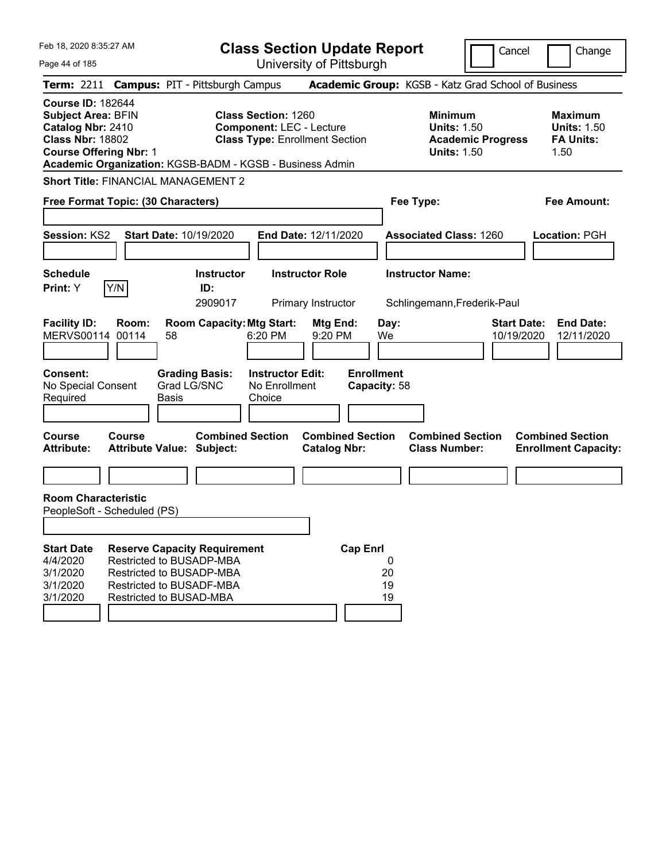Feb 18, 2020 8:35:27 AM Page 44 of 185 **Class Section Update Report** University of Pittsburgh Cancel Change **Term:** 2211 **Campus:** PIT - Pittsburgh Campus **Academic Group:** KGSB - Katz Grad School of Business **Course ID:** 182644 **Subject Area:** BFIN **Class Section:** 1260 **Minimum Maximum Catalog Nbr:** 2410 **Component:** LEC - Lecture **Units:** 1.50 **Units:** 1.50 **Class Nbr:** 18802 **Class Type:** Enrollment Section **Academic Progress FA Units: Course Offering Nbr:** 1 **Units:** 1.50 1.50 **Academic Organization:** KGSB-BADM - KGSB - Business Admin **Short Title:** FINANCIAL MANAGEMENT 2 **Free Format Topic: (30 Characters) Fee Type: Fee Amount: Session:** KS2 **Start Date:** 10/19/2020 **End Date:** 12/11/2020 **Associated Class:** 1260 **Location:** PGH **Schedule Instructor Instructor Role Instructor Name: Print:**  $Y$   $|Y/N|$  **ID:** 2909017 Primary Instructor Schlingemann,Frederik-Paul **Facility ID: Room: Room Capacity:Mtg Start: Mtg End: Day: Start Date: End Date:** MERVS00114 00114 58 6:20 PM 9:20 PM We 10/19/2020 12/11/2020 **Consent: Grading Basis: Instructor Edit: Enrollment** No Special Consent Required Grad LG/SNC Basis No Enrollment Choice **Capacity:** 58 **Course Course Combined Section Combined Section Combined Section Combined Section Attribute: Attribute Value: Subject: Catalog Nbr: Class Number: Enrollment Capacity: Room Characteristic** PeopleSoft - Scheduled (PS) **Start Date Reserve Capacity Requirement Cap Enrl** 4/4/2020 Restricted to BUSADP-MBA 0 3/1/2020 Restricted to BUSADP-MBA 20 3/1/2020 Restricted to BUSADF-MBA 3/1/2020 Restricted to BUSAD-MBA 19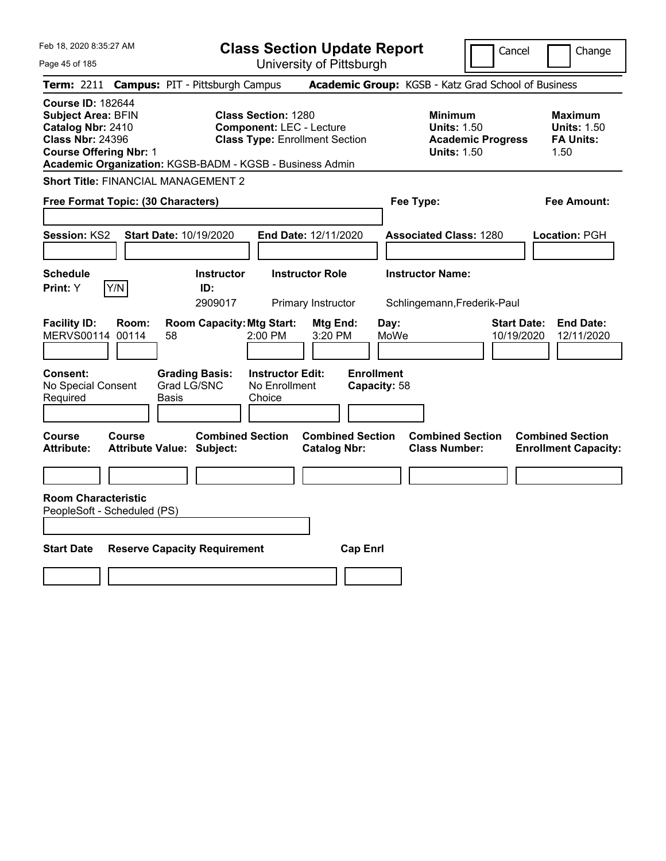|  | Feb 18, 2020 8:35:27 AM |  |
|--|-------------------------|--|
|  |                         |  |

**Class Section Update Report** University of Pittsburgh

Cancel Change

Page 45 of 185

| <b>Term: 2211 Campus: PIT - Pittsburgh Campus</b>                                                                                                                                                  |       |                                                             |                                                               |                                                |                                   | <b>Academic Group:</b> KGSB - Katz Grad School of Business                             |                                  |                                                                  |
|----------------------------------------------------------------------------------------------------------------------------------------------------------------------------------------------------|-------|-------------------------------------------------------------|---------------------------------------------------------------|------------------------------------------------|-----------------------------------|----------------------------------------------------------------------------------------|----------------------------------|------------------------------------------------------------------|
| <b>Course ID: 182644</b><br><b>Subject Area: BFIN</b><br>Catalog Nbr: 2410<br><b>Class Nbr: 24396</b><br><b>Course Offering Nbr: 1</b><br>Academic Organization: KGSB-BADM - KGSB - Business Admin |       |                                                             | <b>Class Section: 1280</b><br><b>Component: LEC - Lecture</b> | <b>Class Type: Enrollment Section</b>          |                                   | <b>Minimum</b><br><b>Units: 1.50</b><br><b>Academic Progress</b><br><b>Units: 1.50</b> |                                  | <b>Maximum</b><br><b>Units: 1.50</b><br><b>FA Units:</b><br>1.50 |
| <b>Short Title: FINANCIAL MANAGEMENT 2</b>                                                                                                                                                         |       |                                                             |                                                               |                                                |                                   |                                                                                        |                                  |                                                                  |
| Free Format Topic: (30 Characters)                                                                                                                                                                 |       |                                                             |                                                               |                                                |                                   | Fee Type:                                                                              |                                  | <b>Fee Amount:</b>                                               |
| Session: KS2                                                                                                                                                                                       |       | Start Date: 10/19/2020                                      |                                                               | End Date: 12/11/2020                           |                                   | <b>Associated Class: 1280</b>                                                          |                                  | Location: PGH                                                    |
| <b>Schedule</b><br>Y/N<br>Print: Y                                                                                                                                                                 |       | <b>Instructor</b><br>ID:<br>2909017                         |                                                               | <b>Instructor Role</b><br>Primary Instructor   |                                   | <b>Instructor Name:</b><br>Schlingemann, Frederik-Paul                                 |                                  |                                                                  |
| <b>Facility ID:</b><br>MERVS00114 00114                                                                                                                                                            | Room: | <b>Room Capacity: Mtg Start:</b><br>58                      | 2:00 PM                                                       | Mtg End:<br>3:20 PM                            | Day:<br>MoWe                      |                                                                                        | <b>Start Date:</b><br>10/19/2020 | <b>End Date:</b><br>12/11/2020                                   |
| <b>Consent:</b><br>No Special Consent<br>Required                                                                                                                                                  |       | <b>Grading Basis:</b><br>Grad LG/SNC<br>Basis               | <b>Instructor Edit:</b><br>No Enrollment<br>Choice            |                                                | <b>Enrollment</b><br>Capacity: 58 |                                                                                        |                                  |                                                                  |
| <b>Course</b><br>Course<br><b>Attribute:</b>                                                                                                                                                       |       | <b>Combined Section</b><br><b>Attribute Value: Subject:</b> |                                                               | <b>Combined Section</b><br><b>Catalog Nbr:</b> |                                   | <b>Combined Section</b><br><b>Class Number:</b>                                        |                                  | <b>Combined Section</b><br><b>Enrollment Capacity:</b>           |
| <b>Room Characteristic</b><br>PeopleSoft - Scheduled (PS)                                                                                                                                          |       |                                                             |                                                               |                                                |                                   |                                                                                        |                                  |                                                                  |
| <b>Start Date</b>                                                                                                                                                                                  |       | <b>Reserve Capacity Requirement</b>                         |                                                               | <b>Cap Enrl</b>                                |                                   |                                                                                        |                                  |                                                                  |
|                                                                                                                                                                                                    |       |                                                             |                                                               |                                                |                                   |                                                                                        |                                  |                                                                  |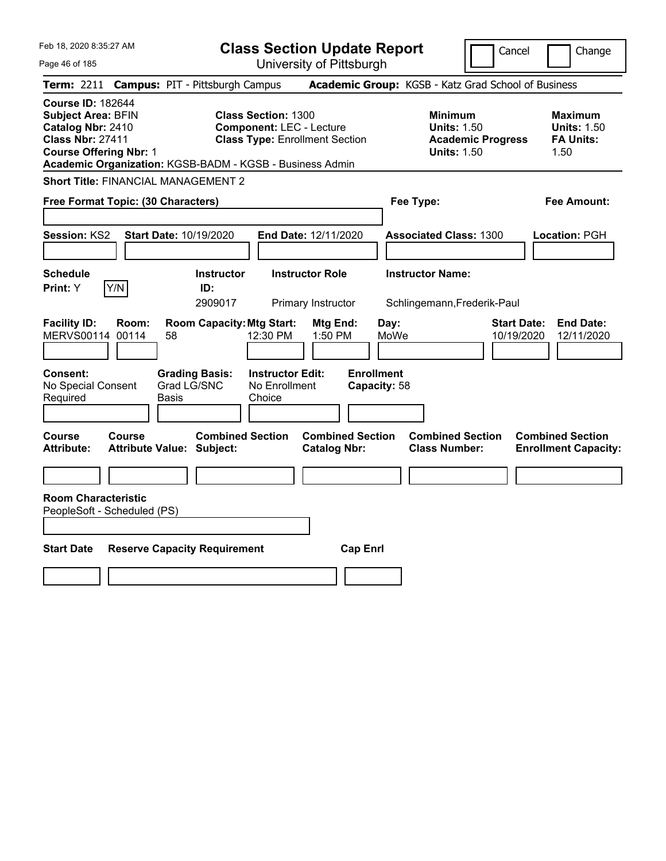|  | Feb 18, 2020 8:35:27 AM |  |
|--|-------------------------|--|
|  |                         |  |

**Class Section Update Report** University of Pittsburgh

Cancel Change

Page 46 of 185

|                                                                                                                                        | Term: 2211 Campus: PIT - Pittsburgh Campus                                                                                                                         |                                                                          | Academic Group: KGSB - Katz Grad School of Business                                    |                                                                  |
|----------------------------------------------------------------------------------------------------------------------------------------|--------------------------------------------------------------------------------------------------------------------------------------------------------------------|--------------------------------------------------------------------------|----------------------------------------------------------------------------------------|------------------------------------------------------------------|
| <b>Course ID: 182644</b><br><b>Subject Area: BFIN</b><br>Catalog Nbr: 2410<br><b>Class Nbr: 27411</b><br><b>Course Offering Nbr: 1</b> | <b>Class Section: 1300</b><br><b>Component: LEC - Lecture</b><br><b>Class Type: Enrollment Section</b><br>Academic Organization: KGSB-BADM - KGSB - Business Admin |                                                                          | <b>Minimum</b><br><b>Units: 1.50</b><br><b>Academic Progress</b><br><b>Units: 1.50</b> | <b>Maximum</b><br><b>Units: 1.50</b><br><b>FA Units:</b><br>1.50 |
| <b>Short Title: FINANCIAL MANAGEMENT 2</b>                                                                                             |                                                                                                                                                                    |                                                                          |                                                                                        |                                                                  |
| Free Format Topic: (30 Characters)                                                                                                     |                                                                                                                                                                    |                                                                          | Fee Type:                                                                              | Fee Amount:                                                      |
| <b>Session: KS2</b>                                                                                                                    | Start Date: 10/19/2020                                                                                                                                             | End Date: 12/11/2020                                                     | <b>Associated Class: 1300</b>                                                          | Location: PGH                                                    |
| <b>Schedule</b>                                                                                                                        | <b>Instructor</b>                                                                                                                                                  | <b>Instructor Role</b>                                                   | <b>Instructor Name:</b>                                                                |                                                                  |
| Y/N<br>Print: Y                                                                                                                        | ID:<br>2909017                                                                                                                                                     | Primary Instructor                                                       | Schlingemann, Frederik-Paul                                                            |                                                                  |
| <b>Facility ID:</b><br>Room:<br>MERVS00114 00114<br>Consent:<br>No Special Consent<br>Required                                         | <b>Room Capacity: Mtg Start:</b><br>12:30 PM<br>58<br><b>Grading Basis:</b><br><b>Instructor Edit:</b><br>Grad LG/SNC<br>No Enrollment<br>Basis<br>Choice          | Mtg End:<br>Day:<br>1:50 PM<br>MoWe<br><b>Enrollment</b><br>Capacity: 58 | <b>Start Date:</b><br>10/19/2020                                                       | <b>End Date:</b><br>12/11/2020                                   |
| Course<br>Course<br>Attribute:                                                                                                         | <b>Combined Section</b><br><b>Attribute Value: Subject:</b>                                                                                                        | <b>Combined Section</b><br><b>Catalog Nbr:</b>                           | <b>Combined Section</b><br><b>Class Number:</b>                                        | <b>Combined Section</b><br><b>Enrollment Capacity:</b>           |
|                                                                                                                                        |                                                                                                                                                                    |                                                                          |                                                                                        |                                                                  |
| <b>Room Characteristic</b><br>PeopleSoft - Scheduled (PS)                                                                              |                                                                                                                                                                    |                                                                          |                                                                                        |                                                                  |
| <b>Start Date</b>                                                                                                                      | <b>Reserve Capacity Requirement</b>                                                                                                                                | <b>Cap Enrl</b>                                                          |                                                                                        |                                                                  |
|                                                                                                                                        |                                                                                                                                                                    |                                                                          |                                                                                        |                                                                  |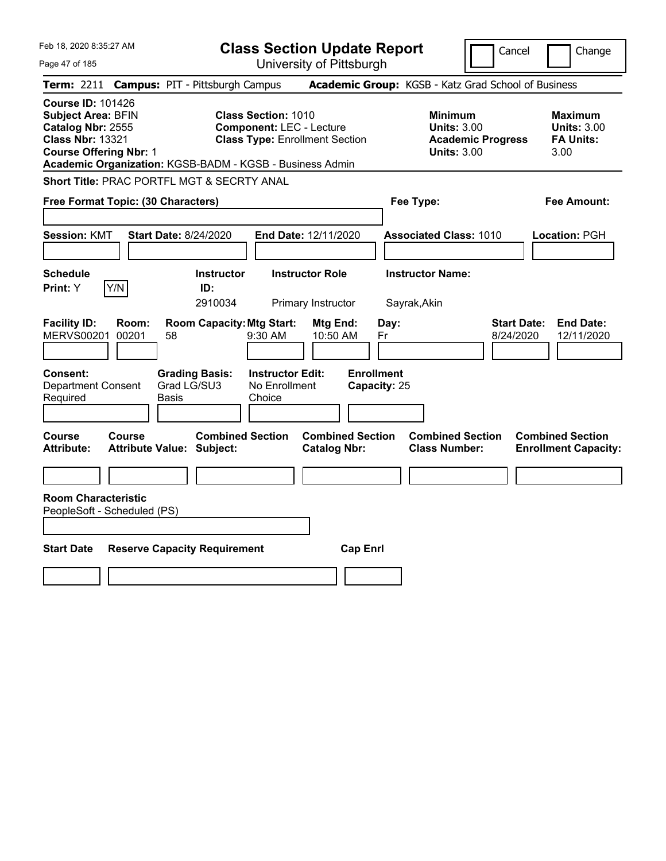Feb 18, 2020 8:35:27 AM Page 47 of 185 **Class Section Update Report** University of Pittsburgh Cancel Change **Term:** 2211 **Campus:** PIT - Pittsburgh Campus **Academic Group:** KGSB - Katz Grad School of Business **Course ID:** 101426 **Subject Area:** BFIN **Class Section:** 1010 **Minimum Maximum Catalog Nbr:** 2555 **Component:** LEC - Lecture **Units:** 3.00 **Units:** 3.00 **Class Nbr:** 13321 **Class Type:** Enrollment Section **Academic Progress FA Units: Course Offering Nbr:** 1 **Units:** 3.00 3.00 **Academic Organization:** KGSB-BADM - KGSB - Business Admin **Short Title:** PRAC PORTFL MGT & SECRTY ANAL **Free Format Topic: (30 Characters) Fee Type: Fee Amount: Session:** KMT **Start Date:** 8/24/2020 **End Date:** 12/11/2020 **Associated Class:** 1010 **Location:** PGH **Schedule Instructor Instructor Role Instructor Name: Print:**  $Y$   $|Y/N|$  **ID:** 2910034 Primary Instructor Sayrak,Akin **Facility ID: Room: Room Capacity:Mtg Start: Mtg End: Day: Start Date: End Date:** MERVS00201 00201 58 9:30 AM 10:50 AM Fr 8/24/2020 12/11/2020 **Consent: Grading Basis: Instructor Edit: Enrollment** Department Consent Required Grad LG/SU3 Basis No Enrollment Choice **Capacity:** 25 **Course Course Combined Section Combined Section Combined Section Combined Section Attribute: Attribute Value: Subject: Catalog Nbr: Class Number: Enrollment Capacity: Room Characteristic** PeopleSoft - Scheduled (PS) **Start Date Reserve Capacity Requirement Cap Enrl**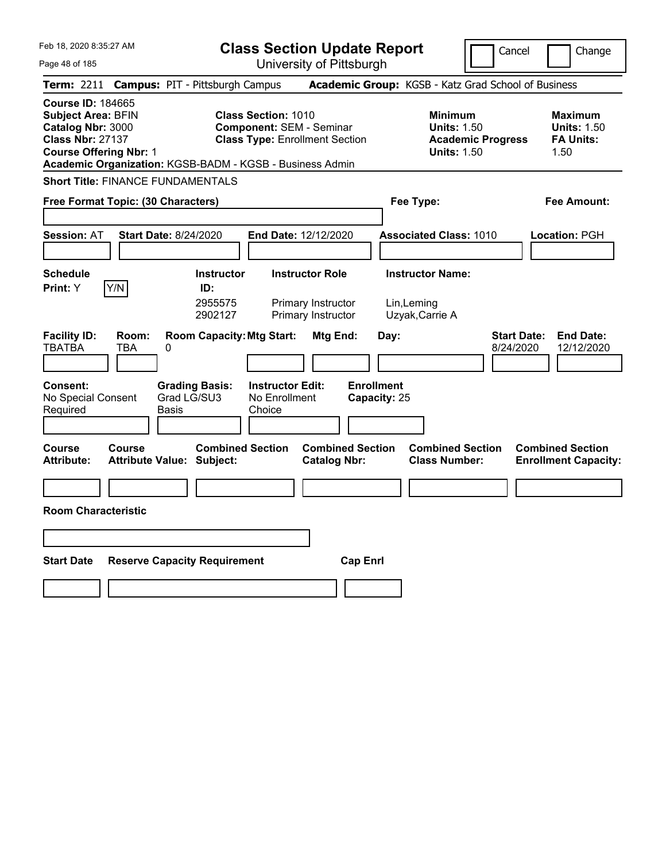| Feb 18, 2020 8:35:27 AM<br>Page 48 of 185                                                                                                                                                          | <b>Class Section Update Report</b><br>University of Pittsburgh                                                                          | Cancel                                                                                 | Change                                                           |
|----------------------------------------------------------------------------------------------------------------------------------------------------------------------------------------------------|-----------------------------------------------------------------------------------------------------------------------------------------|----------------------------------------------------------------------------------------|------------------------------------------------------------------|
| Term: 2211 Campus: PIT - Pittsburgh Campus                                                                                                                                                         |                                                                                                                                         | Academic Group: KGSB - Katz Grad School of Business                                    |                                                                  |
| <b>Course ID: 184665</b><br><b>Subject Area: BFIN</b><br>Catalog Nbr: 3000<br><b>Class Nbr: 27137</b><br><b>Course Offering Nbr: 1</b><br>Academic Organization: KGSB-BADM - KGSB - Business Admin | <b>Class Section: 1010</b><br><b>Component: SEM - Seminar</b><br><b>Class Type: Enrollment Section</b>                                  | <b>Minimum</b><br><b>Units: 1.50</b><br><b>Academic Progress</b><br><b>Units: 1.50</b> | <b>Maximum</b><br><b>Units: 1.50</b><br><b>FA Units:</b><br>1.50 |
| <b>Short Title: FINANCE FUNDAMENTALS</b>                                                                                                                                                           |                                                                                                                                         |                                                                                        |                                                                  |
| Free Format Topic: (30 Characters)                                                                                                                                                                 |                                                                                                                                         | Fee Type:                                                                              | Fee Amount:                                                      |
| <b>Session: AT</b><br><b>Start Date: 8/24/2020</b>                                                                                                                                                 | End Date: 12/12/2020                                                                                                                    | <b>Associated Class: 1010</b>                                                          | <b>Location: PGH</b>                                             |
| <b>Schedule</b><br>Y/N<br>ID:<br><b>Print:</b> Y                                                                                                                                                   | <b>Instructor Role</b><br><b>Instructor</b><br>2955575<br>Primary Instructor<br>2902127<br>Primary Instructor                           | <b>Instructor Name:</b><br>Lin, Leming<br>Uzyak, Carrie A                              |                                                                  |
| <b>Facility ID:</b><br>Room:<br><b>TBATBA</b><br><b>TBA</b><br>0<br><b>Consent:</b><br><b>Grading Basis:</b><br>Grad LG/SU3<br>No Special Consent<br>Required<br><b>Basis</b>                      | <b>Room Capacity: Mtg Start:</b><br>Mtg End:<br><b>Enrollment</b><br><b>Instructor Edit:</b><br>No Enrollment<br>Capacity: 25<br>Choice | <b>Start Date:</b><br>Day:<br>8/24/2020                                                | <b>End Date:</b><br>12/12/2020                                   |
| <b>Course</b><br>Course<br><b>Attribute:</b><br><b>Attribute Value: Subject:</b>                                                                                                                   | <b>Combined Section</b><br><b>Combined Section</b><br><b>Catalog Nbr:</b>                                                               | <b>Combined Section</b><br><b>Class Number:</b>                                        | <b>Combined Section</b><br><b>Enrollment Capacity:</b>           |
|                                                                                                                                                                                                    |                                                                                                                                         |                                                                                        |                                                                  |
| <b>Room Characteristic</b>                                                                                                                                                                         |                                                                                                                                         |                                                                                        |                                                                  |
|                                                                                                                                                                                                    |                                                                                                                                         |                                                                                        |                                                                  |
| <b>Reserve Capacity Requirement</b><br><b>Start Date</b>                                                                                                                                           | <b>Cap Enrl</b>                                                                                                                         |                                                                                        |                                                                  |
|                                                                                                                                                                                                    |                                                                                                                                         |                                                                                        |                                                                  |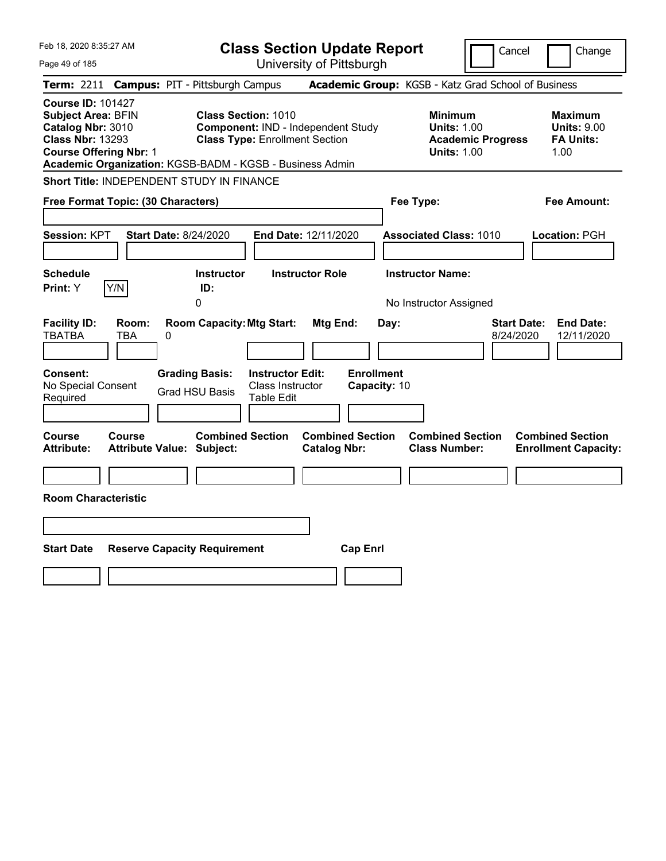| Feb 18, 2020 8:35:27 AM                                                                                                                                                                            | <b>Class Section Update Report</b>                                                                        | Cancel                                                                                 | Change                                                           |
|----------------------------------------------------------------------------------------------------------------------------------------------------------------------------------------------------|-----------------------------------------------------------------------------------------------------------|----------------------------------------------------------------------------------------|------------------------------------------------------------------|
| Page 49 of 185                                                                                                                                                                                     | University of Pittsburgh                                                                                  |                                                                                        |                                                                  |
| <b>Campus: PIT - Pittsburgh Campus</b><br><b>Term: 2211</b>                                                                                                                                        |                                                                                                           | Academic Group: KGSB - Katz Grad School of Business                                    |                                                                  |
| <b>Course ID: 101427</b><br><b>Subject Area: BFIN</b><br>Catalog Nbr: 3010<br><b>Class Nbr: 13293</b><br><b>Course Offering Nbr: 1</b><br>Academic Organization: KGSB-BADM - KGSB - Business Admin | <b>Class Section: 1010</b><br>Component: IND - Independent Study<br><b>Class Type: Enrollment Section</b> | <b>Minimum</b><br><b>Units: 1.00</b><br><b>Academic Progress</b><br><b>Units: 1.00</b> | <b>Maximum</b><br><b>Units: 9.00</b><br><b>FA Units:</b><br>1.00 |
| Short Title: INDEPENDENT STUDY IN FINANCE                                                                                                                                                          |                                                                                                           |                                                                                        |                                                                  |
| Free Format Topic: (30 Characters)                                                                                                                                                                 |                                                                                                           | Fee Type:                                                                              | Fee Amount:                                                      |
| Session: KPT<br><b>Start Date: 8/24/2020</b><br><b>Schedule</b><br>Y/N<br>Print: Y<br>ID:                                                                                                          | End Date: 12/11/2020<br><b>Instructor Role</b><br><b>Instructor</b>                                       | <b>Associated Class: 1010</b><br><b>Instructor Name:</b>                               | Location: PGH                                                    |
| 0                                                                                                                                                                                                  |                                                                                                           | No Instructor Assigned                                                                 |                                                                  |
| <b>Facility ID:</b><br>Room:<br>TBATBA<br>TBA<br>0                                                                                                                                                 | <b>Room Capacity: Mtg Start:</b><br>Mtg End:<br>Day:                                                      | <b>Start Date:</b><br>8/24/2020                                                        | <b>End Date:</b><br>12/11/2020                                   |
| Consent:<br><b>Grading Basis:</b><br>No Special Consent<br><b>Grad HSU Basis</b><br>Required                                                                                                       | <b>Enrollment</b><br><b>Instructor Edit:</b><br>Class Instructor<br>Capacity: 10<br><b>Table Edit</b>     |                                                                                        |                                                                  |
| Course<br>Course<br><b>Attribute:</b><br><b>Attribute Value: Subject:</b>                                                                                                                          | <b>Combined Section</b><br><b>Combined Section</b><br><b>Catalog Nbr:</b>                                 | <b>Combined Section</b><br><b>Class Number:</b>                                        | <b>Combined Section</b><br><b>Enrollment Capacity:</b>           |
|                                                                                                                                                                                                    |                                                                                                           |                                                                                        |                                                                  |
| <b>Room Characteristic</b>                                                                                                                                                                         |                                                                                                           |                                                                                        |                                                                  |
|                                                                                                                                                                                                    |                                                                                                           |                                                                                        |                                                                  |
| <b>Start Date</b><br><b>Reserve Capacity Requirement</b>                                                                                                                                           | <b>Cap Enrl</b>                                                                                           |                                                                                        |                                                                  |
|                                                                                                                                                                                                    |                                                                                                           |                                                                                        |                                                                  |
|                                                                                                                                                                                                    |                                                                                                           |                                                                                        |                                                                  |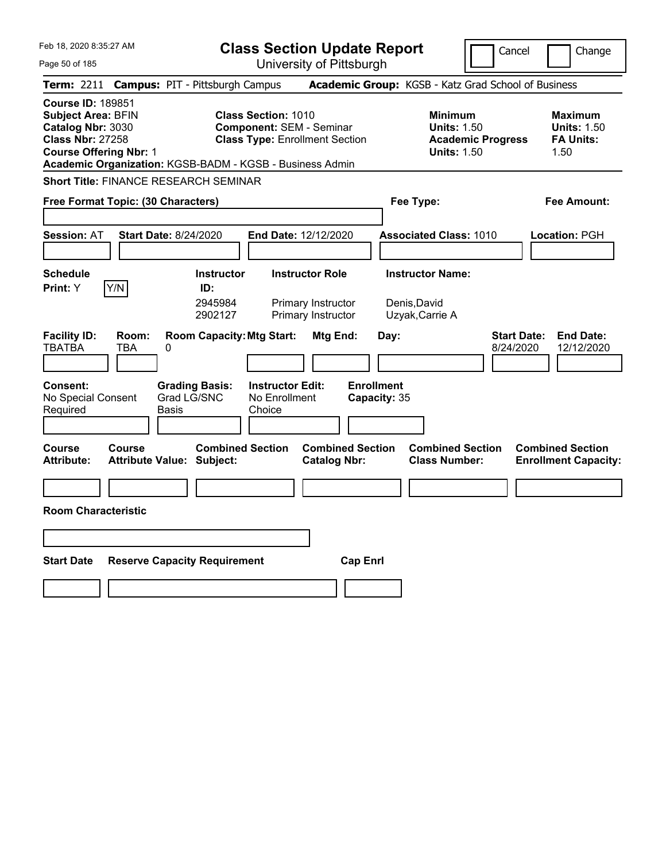| Feb 18, 2020 8:35:27 AM                                                                                                                                                                            | <b>Class Section Update Report</b>                                                                     | Cancel                                                                                 | Change                                                            |
|----------------------------------------------------------------------------------------------------------------------------------------------------------------------------------------------------|--------------------------------------------------------------------------------------------------------|----------------------------------------------------------------------------------------|-------------------------------------------------------------------|
| Page 50 of 185                                                                                                                                                                                     | University of Pittsburgh                                                                               |                                                                                        |                                                                   |
| <b>Campus: PIT - Pittsburgh Campus</b><br>Term: 2211                                                                                                                                               |                                                                                                        | Academic Group: KGSB - Katz Grad School of Business                                    |                                                                   |
| <b>Course ID: 189851</b><br><b>Subject Area: BFIN</b><br>Catalog Nbr: 3030<br><b>Class Nbr: 27258</b><br><b>Course Offering Nbr: 1</b><br>Academic Organization: KGSB-BADM - KGSB - Business Admin | <b>Class Section: 1010</b><br><b>Component: SEM - Seminar</b><br><b>Class Type: Enrollment Section</b> | <b>Minimum</b><br><b>Units: 1.50</b><br><b>Academic Progress</b><br><b>Units: 1.50</b> | <b>Maximum</b><br><b>Units: 1.50</b><br><b>FA Units:</b><br>1.50  |
| <b>Short Title: FINANCE RESEARCH SEMINAR</b>                                                                                                                                                       |                                                                                                        |                                                                                        |                                                                   |
| Free Format Topic: (30 Characters)                                                                                                                                                                 |                                                                                                        | Fee Type:                                                                              | Fee Amount:                                                       |
| <b>Session: AT</b><br><b>Start Date: 8/24/2020</b>                                                                                                                                                 | End Date: 12/12/2020                                                                                   | <b>Associated Class: 1010</b>                                                          | <b>Location: PGH</b>                                              |
| <b>Schedule</b>                                                                                                                                                                                    | <b>Instructor Role</b><br><b>Instructor</b>                                                            | <b>Instructor Name:</b>                                                                |                                                                   |
| Y/N<br><b>Print:</b> Y                                                                                                                                                                             | ID:<br>2945984<br>Primary Instructor<br>2902127<br>Primary Instructor                                  | Denis,David<br>Uzyak, Carrie A                                                         |                                                                   |
| <b>Facility ID:</b><br>Room:<br><b>TBATBA</b><br>TBA<br>0<br><b>Grading Basis:</b><br>Consent:<br>Grad LG/SNC<br>No Special Consent<br>Required<br>Basis                                           | <b>Room Capacity: Mtg Start:</b><br>Mtg End:<br><b>Instructor Edit:</b><br>No Enrollment<br>Choice     | Day:<br><b>Enrollment</b><br>Capacity: 35                                              | <b>Start Date:</b><br><b>End Date:</b><br>8/24/2020<br>12/12/2020 |
|                                                                                                                                                                                                    |                                                                                                        |                                                                                        |                                                                   |
| Course<br>Course<br><b>Attribute:</b><br>Attribute Value: Subject:                                                                                                                                 | <b>Combined Section</b><br><b>Combined Section</b><br><b>Catalog Nbr:</b>                              | <b>Combined Section</b><br><b>Class Number:</b>                                        | <b>Combined Section</b><br><b>Enrollment Capacity:</b>            |
|                                                                                                                                                                                                    |                                                                                                        |                                                                                        |                                                                   |
| <b>Room Characteristic</b>                                                                                                                                                                         |                                                                                                        |                                                                                        |                                                                   |
|                                                                                                                                                                                                    |                                                                                                        |                                                                                        |                                                                   |
|                                                                                                                                                                                                    |                                                                                                        |                                                                                        |                                                                   |
| <b>Start Date</b><br><b>Reserve Capacity Requirement</b>                                                                                                                                           |                                                                                                        | <b>Cap Enri</b>                                                                        |                                                                   |
|                                                                                                                                                                                                    |                                                                                                        |                                                                                        |                                                                   |
|                                                                                                                                                                                                    |                                                                                                        |                                                                                        |                                                                   |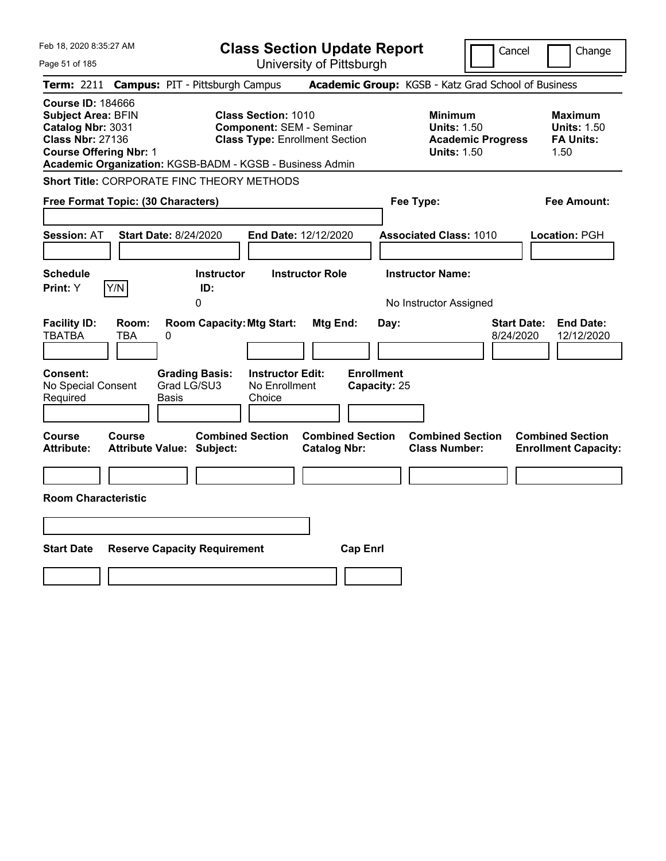| Feb 18, 2020 8:35:27 AM                                                                                                                                                                            |                                            |                                               |                   | <b>Class Section Update Report</b>                                                                     |                        |                         |                                   |                                                            |                          | Cancel                          | Change                                                           |
|----------------------------------------------------------------------------------------------------------------------------------------------------------------------------------------------------|--------------------------------------------|-----------------------------------------------|-------------------|--------------------------------------------------------------------------------------------------------|------------------------|-------------------------|-----------------------------------|------------------------------------------------------------|--------------------------|---------------------------------|------------------------------------------------------------------|
| Page 51 of 185                                                                                                                                                                                     |                                            |                                               |                   | University of Pittsburgh                                                                               |                        |                         |                                   |                                                            |                          |                                 |                                                                  |
| <b>Term: 2211</b>                                                                                                                                                                                  | <b>Campus: PIT - Pittsburgh Campus</b>     |                                               |                   |                                                                                                        |                        |                         |                                   | Academic Group: KGSB - Katz Grad School of Business        |                          |                                 |                                                                  |
| <b>Course ID: 184666</b><br><b>Subject Area: BFIN</b><br>Catalog Nbr: 3031<br><b>Class Nbr: 27136</b><br><b>Course Offering Nbr: 1</b><br>Academic Organization: KGSB-BADM - KGSB - Business Admin |                                            |                                               |                   | <b>Class Section: 1010</b><br><b>Component: SEM - Seminar</b><br><b>Class Type: Enrollment Section</b> |                        |                         |                                   | <b>Minimum</b><br><b>Units: 1.50</b><br><b>Units: 1.50</b> | <b>Academic Progress</b> |                                 | <b>Maximum</b><br><b>Units: 1.50</b><br><b>FA Units:</b><br>1.50 |
| <b>Short Title: CORPORATE FINC THEORY METHODS</b>                                                                                                                                                  |                                            |                                               |                   |                                                                                                        |                        |                         |                                   |                                                            |                          |                                 |                                                                  |
| Free Format Topic: (30 Characters)                                                                                                                                                                 |                                            |                                               |                   |                                                                                                        |                        |                         |                                   | Fee Type:                                                  |                          |                                 | Fee Amount:                                                      |
| <b>Session: AT</b>                                                                                                                                                                                 | <b>Start Date: 8/24/2020</b>               |                                               |                   | End Date: 12/12/2020                                                                                   |                        |                         |                                   | <b>Associated Class: 1010</b>                              |                          |                                 | Location: PGH                                                    |
| <b>Schedule</b><br>Print: Y                                                                                                                                                                        | Y/N                                        | ID:<br>0                                      | <b>Instructor</b> |                                                                                                        | <b>Instructor Role</b> |                         |                                   | <b>Instructor Name:</b><br>No Instructor Assigned          |                          |                                 |                                                                  |
| <b>Facility ID:</b><br><b>TBATBA</b>                                                                                                                                                               | Room:<br>TBA                               | 0                                             |                   | <b>Room Capacity: Mtg Start:</b>                                                                       | Mtg End:               |                         | Day:                              |                                                            |                          | <b>Start Date:</b><br>8/24/2020 | <b>End Date:</b><br>12/12/2020                                   |
| Consent:<br>No Special Consent<br>Required                                                                                                                                                         |                                            | <b>Grading Basis:</b><br>Grad LG/SU3<br>Basis |                   | <b>Instructor Edit:</b><br>No Enrollment<br>Choice                                                     |                        |                         | <b>Enrollment</b><br>Capacity: 25 |                                                            |                          |                                 |                                                                  |
| Course<br><b>Attribute:</b>                                                                                                                                                                        | <b>Course</b><br>Attribute Value: Subject: |                                               |                   | <b>Combined Section</b>                                                                                | <b>Catalog Nbr:</b>    | <b>Combined Section</b> |                                   | <b>Combined Section</b><br><b>Class Number:</b>            |                          |                                 | <b>Combined Section</b><br><b>Enrollment Capacity:</b>           |
| <b>Room Characteristic</b>                                                                                                                                                                         |                                            |                                               |                   |                                                                                                        |                        |                         |                                   |                                                            |                          |                                 |                                                                  |
|                                                                                                                                                                                                    |                                            |                                               |                   |                                                                                                        |                        |                         |                                   |                                                            |                          |                                 |                                                                  |
|                                                                                                                                                                                                    |                                            |                                               |                   |                                                                                                        |                        |                         |                                   |                                                            |                          |                                 |                                                                  |
| <b>Start Date</b>                                                                                                                                                                                  | <b>Reserve Capacity Requirement</b>        |                                               |                   |                                                                                                        |                        | <b>Cap Enrl</b>         |                                   |                                                            |                          |                                 |                                                                  |
|                                                                                                                                                                                                    |                                            |                                               |                   |                                                                                                        |                        |                         |                                   |                                                            |                          |                                 |                                                                  |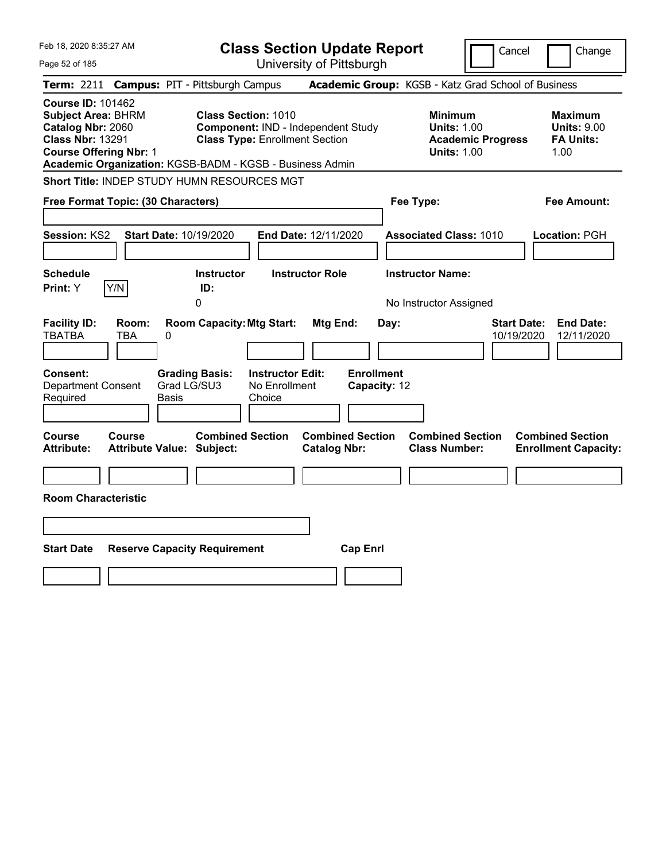| Feb 18, 2020 8:35:27 AM                                                                                                                |                                                                                                                                                                       | <b>Class Section Update Report</b>                    | Cancel                                                                                 | Change                                                           |
|----------------------------------------------------------------------------------------------------------------------------------------|-----------------------------------------------------------------------------------------------------------------------------------------------------------------------|-------------------------------------------------------|----------------------------------------------------------------------------------------|------------------------------------------------------------------|
| Page 52 of 185                                                                                                                         |                                                                                                                                                                       | University of Pittsburgh                              |                                                                                        |                                                                  |
| <b>Term: 2211</b>                                                                                                                      | <b>Campus: PIT - Pittsburgh Campus</b>                                                                                                                                |                                                       | Academic Group: KGSB - Katz Grad School of Business                                    |                                                                  |
| <b>Course ID: 101462</b><br><b>Subject Area: BHRM</b><br>Catalog Nbr: 2060<br><b>Class Nbr: 13291</b><br><b>Course Offering Nbr: 1</b> | <b>Class Section: 1010</b><br>Component: IND - Independent Study<br><b>Class Type: Enrollment Section</b><br>Academic Organization: KGSB-BADM - KGSB - Business Admin |                                                       | <b>Minimum</b><br><b>Units: 1.00</b><br><b>Academic Progress</b><br><b>Units: 1.00</b> | <b>Maximum</b><br><b>Units: 9.00</b><br><b>FA Units:</b><br>1.00 |
|                                                                                                                                        | Short Title: INDEP STUDY HUMN RESOURCES MGT                                                                                                                           |                                                       |                                                                                        |                                                                  |
| Free Format Topic: (30 Characters)                                                                                                     |                                                                                                                                                                       |                                                       | Fee Type:                                                                              | Fee Amount:                                                      |
| <b>Session: KS2</b>                                                                                                                    | Start Date: 10/19/2020                                                                                                                                                | End Date: 12/11/2020                                  | <b>Associated Class: 1010</b>                                                          | Location: PGH                                                    |
| <b>Schedule</b>                                                                                                                        | <b>Instructor</b>                                                                                                                                                     | <b>Instructor Role</b>                                | <b>Instructor Name:</b>                                                                |                                                                  |
| Y/N<br><b>Print: Y</b>                                                                                                                 | ID:<br>0                                                                                                                                                              |                                                       | No Instructor Assigned                                                                 |                                                                  |
| <b>Facility ID:</b><br>Room:<br><b>TBATBA</b><br>TBA<br>Consent:<br>Department Consent<br>Required                                     | <b>Room Capacity: Mtg Start:</b><br>0<br><b>Instructor Edit:</b><br><b>Grading Basis:</b><br>Grad LG/SU3<br>No Enrollment<br>Basis<br>Choice                          | Mtg End:<br>Day:<br><b>Enrollment</b><br>Capacity: 12 | <b>Start Date:</b><br>10/19/2020                                                       | <b>End Date:</b><br>12/11/2020                                   |
| Course<br>Course<br><b>Attribute:</b>                                                                                                  | <b>Combined Section</b><br><b>Attribute Value: Subject:</b>                                                                                                           | <b>Combined Section</b><br><b>Catalog Nbr:</b>        | <b>Combined Section</b><br><b>Class Number:</b>                                        | <b>Combined Section</b><br><b>Enrollment Capacity:</b>           |
|                                                                                                                                        |                                                                                                                                                                       |                                                       |                                                                                        |                                                                  |
| <b>Room Characteristic</b>                                                                                                             |                                                                                                                                                                       |                                                       |                                                                                        |                                                                  |
|                                                                                                                                        |                                                                                                                                                                       |                                                       |                                                                                        |                                                                  |
| <b>Start Date</b>                                                                                                                      | <b>Reserve Capacity Requirement</b>                                                                                                                                   | <b>Cap Enrl</b>                                       |                                                                                        |                                                                  |
|                                                                                                                                        |                                                                                                                                                                       |                                                       |                                                                                        |                                                                  |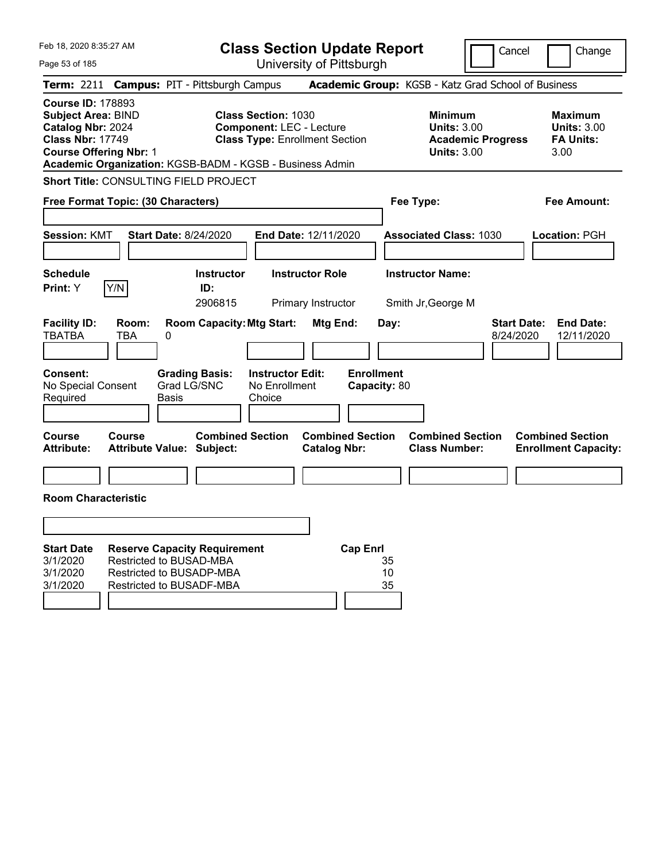| Feb 18, 2020 8:35:27 AM                                                                                                                |                                                                                 |                                                                                        | <b>Class Section Update Report</b>                                       |                                                            | Cancel                          | Change                                                           |
|----------------------------------------------------------------------------------------------------------------------------------------|---------------------------------------------------------------------------------|----------------------------------------------------------------------------------------|--------------------------------------------------------------------------|------------------------------------------------------------|---------------------------------|------------------------------------------------------------------|
| Page 53 of 185                                                                                                                         |                                                                                 |                                                                                        | University of Pittsburgh                                                 |                                                            |                                 |                                                                  |
| <b>Term: 2211</b>                                                                                                                      |                                                                                 | <b>Campus: PIT - Pittsburgh Campus</b>                                                 |                                                                          | Academic Group: KGSB - Katz Grad School of Business        |                                 |                                                                  |
| <b>Course ID: 178893</b><br><b>Subject Area: BIND</b><br>Catalog Nbr: 2024<br><b>Class Nbr: 17749</b><br><b>Course Offering Nbr: 1</b> |                                                                                 | <b>Class Section: 1030</b><br>Academic Organization: KGSB-BADM - KGSB - Business Admin | <b>Component: LEC - Lecture</b><br><b>Class Type: Enrollment Section</b> | <b>Minimum</b><br><b>Units: 3.00</b><br><b>Units: 3.00</b> | <b>Academic Progress</b>        | <b>Maximum</b><br><b>Units: 3.00</b><br><b>FA Units:</b><br>3.00 |
|                                                                                                                                        |                                                                                 | Short Title: CONSULTING FIELD PROJECT                                                  |                                                                          |                                                            |                                 |                                                                  |
|                                                                                                                                        | Free Format Topic: (30 Characters)                                              |                                                                                        |                                                                          | Fee Type:                                                  |                                 | <b>Fee Amount:</b>                                               |
|                                                                                                                                        |                                                                                 |                                                                                        |                                                                          |                                                            |                                 |                                                                  |
| <b>Session: KMT</b>                                                                                                                    |                                                                                 | <b>Start Date: 8/24/2020</b>                                                           | End Date: 12/11/2020                                                     | <b>Associated Class: 1030</b>                              |                                 | Location: PGH                                                    |
| <b>Schedule</b>                                                                                                                        |                                                                                 | <b>Instructor</b>                                                                      | <b>Instructor Role</b>                                                   | <b>Instructor Name:</b>                                    |                                 |                                                                  |
| Print: Y                                                                                                                               | Y/N                                                                             | ID:                                                                                    |                                                                          |                                                            |                                 |                                                                  |
|                                                                                                                                        |                                                                                 | 2906815                                                                                | Primary Instructor                                                       | Smith Jr, George M                                         |                                 |                                                                  |
| <b>Facility ID:</b><br><b>TBATBA</b>                                                                                                   | Room:<br><b>TBA</b><br>0                                                        | <b>Room Capacity: Mtg Start:</b>                                                       | Mtg End:                                                                 | Day:                                                       | <b>Start Date:</b><br>8/24/2020 | <b>End Date:</b><br>12/11/2020                                   |
| <b>Consent:</b><br>No Special Consent<br>Required                                                                                      | <b>Basis</b>                                                                    | <b>Grading Basis:</b><br>Grad LG/SNC<br>Choice                                         | <b>Instructor Edit:</b><br>No Enrollment                                 | <b>Enrollment</b><br>Capacity: 80                          |                                 |                                                                  |
| <b>Course</b><br><b>Attribute:</b>                                                                                                     | Course<br><b>Attribute Value: Subject:</b>                                      | <b>Combined Section</b>                                                                | <b>Combined Section</b><br><b>Catalog Nbr:</b>                           | <b>Combined Section</b><br><b>Class Number:</b>            |                                 | <b>Combined Section</b><br><b>Enrollment Capacity:</b>           |
|                                                                                                                                        |                                                                                 |                                                                                        |                                                                          |                                                            |                                 |                                                                  |
| <b>Room Characteristic</b>                                                                                                             |                                                                                 |                                                                                        |                                                                          |                                                            |                                 |                                                                  |
|                                                                                                                                        |                                                                                 |                                                                                        |                                                                          |                                                            |                                 |                                                                  |
|                                                                                                                                        |                                                                                 |                                                                                        |                                                                          |                                                            |                                 |                                                                  |
| <b>Start Date</b><br>3/1/2020<br>3/1/2020<br>3/1/2020                                                                                  | Restricted to BUSAD-MBA<br>Restricted to BUSADP-MBA<br>Restricted to BUSADF-MBA | <b>Reserve Capacity Requirement</b>                                                    | <b>Cap Enrl</b>                                                          | 35<br>10<br>35                                             |                                 |                                                                  |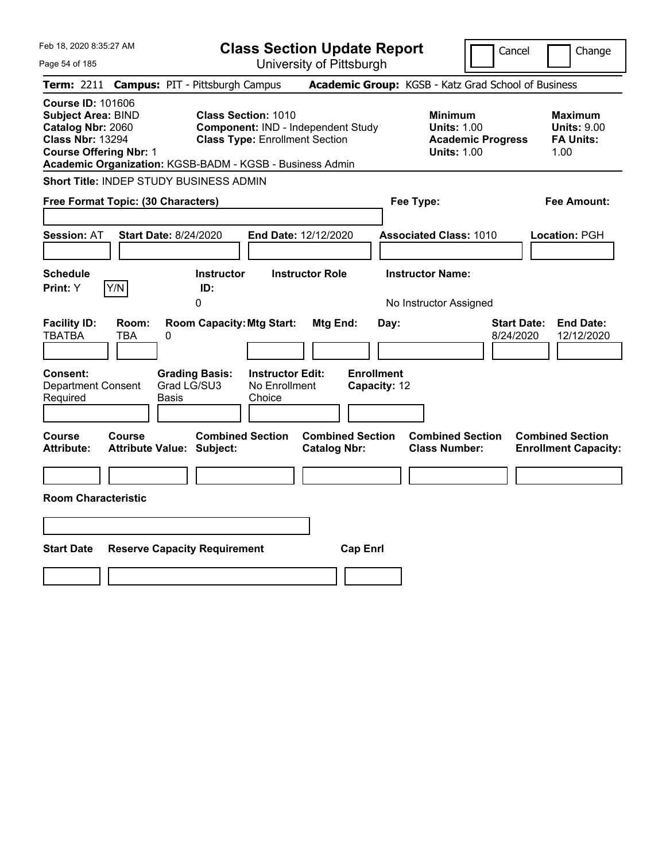| Feb 18, 2020 8:35:27 AM                                                                                                                | <b>Class Section Update Report</b>                                                                                                                                    |                                                                                        | Change<br>Cancel                                                  |
|----------------------------------------------------------------------------------------------------------------------------------------|-----------------------------------------------------------------------------------------------------------------------------------------------------------------------|----------------------------------------------------------------------------------------|-------------------------------------------------------------------|
| Page 54 of 185                                                                                                                         | University of Pittsburgh                                                                                                                                              |                                                                                        |                                                                   |
| Term: 2211                                                                                                                             | <b>Campus: PIT - Pittsburgh Campus</b>                                                                                                                                | Academic Group: KGSB - Katz Grad School of Business                                    |                                                                   |
| <b>Course ID: 101606</b><br><b>Subject Area: BIND</b><br>Catalog Nbr: 2060<br><b>Class Nbr: 13294</b><br><b>Course Offering Nbr: 1</b> | <b>Class Section: 1010</b><br>Component: IND - Independent Study<br><b>Class Type: Enrollment Section</b><br>Academic Organization: KGSB-BADM - KGSB - Business Admin | <b>Minimum</b><br><b>Units: 1.00</b><br><b>Academic Progress</b><br><b>Units: 1.00</b> | <b>Maximum</b><br><b>Units: 9.00</b><br><b>FA Units:</b><br>1.00  |
| Short Title: INDEP STUDY BUSINESS ADMIN                                                                                                |                                                                                                                                                                       |                                                                                        |                                                                   |
| Free Format Topic: (30 Characters)                                                                                                     |                                                                                                                                                                       | Fee Type:                                                                              | Fee Amount:                                                       |
| <b>Start Date: 8/24/2020</b><br><b>Session: AT</b>                                                                                     | End Date: 12/12/2020                                                                                                                                                  | <b>Associated Class: 1010</b>                                                          | Location: PGH                                                     |
| <b>Schedule</b><br>Y/N<br>Print: Y                                                                                                     | <b>Instructor Role</b><br><b>Instructor</b><br>ID:<br>0                                                                                                               | <b>Instructor Name:</b><br>No Instructor Assigned                                      |                                                                   |
| <b>Facility ID:</b><br>Room:<br><b>TBATBA</b><br><b>TBA</b><br>0                                                                       | <b>Room Capacity: Mtg Start:</b><br>Mtg End:                                                                                                                          | Day:                                                                                   | <b>Start Date:</b><br><b>End Date:</b><br>8/24/2020<br>12/12/2020 |
| <b>Consent:</b><br>Grad LG/SU3<br><b>Department Consent</b><br>Required<br>Basis                                                       | <b>Instructor Edit:</b><br><b>Grading Basis:</b><br>No Enrollment<br>Choice                                                                                           | <b>Enrollment</b><br>Capacity: 12                                                      |                                                                   |
| <b>Course</b><br><b>Course</b><br>Attribute Value: Subject:<br><b>Attribute:</b>                                                       | <b>Combined Section</b><br><b>Combined Section</b><br><b>Catalog Nbr:</b>                                                                                             | <b>Combined Section</b><br><b>Class Number:</b>                                        | <b>Combined Section</b><br><b>Enrollment Capacity:</b>            |
| <b>Room Characteristic</b>                                                                                                             |                                                                                                                                                                       |                                                                                        |                                                                   |
|                                                                                                                                        |                                                                                                                                                                       |                                                                                        |                                                                   |
| <b>Start Date</b><br><b>Reserve Capacity Requirement</b>                                                                               |                                                                                                                                                                       | <b>Cap Enrl</b>                                                                        |                                                                   |
|                                                                                                                                        |                                                                                                                                                                       |                                                                                        |                                                                   |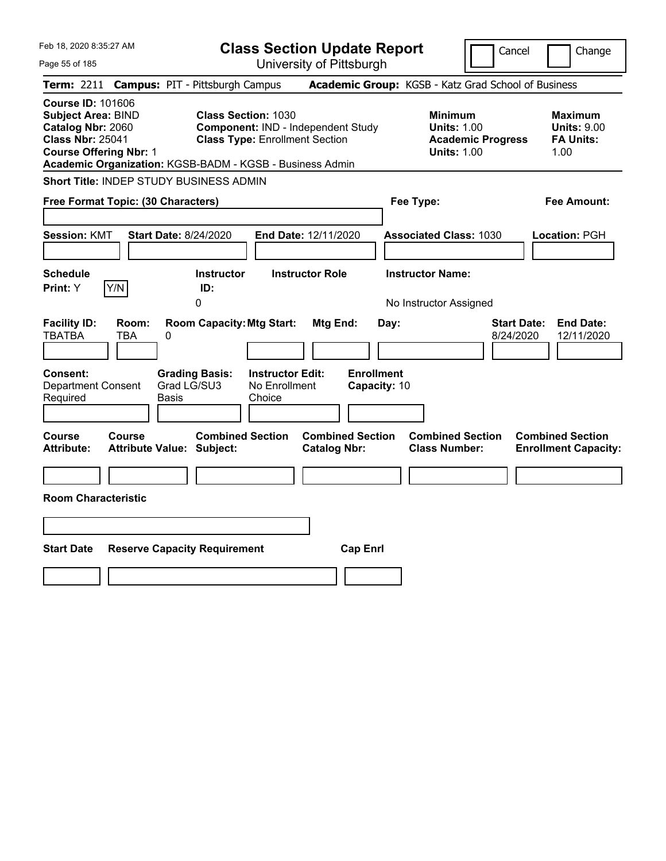| Feb 18, 2020 8:35:27 AM<br>Page 55 of 185                                                                                              | <b>Class Section Update Report</b><br>University of Pittsburgh                                                                                                        |                                                                            | Cancel                          | Change                                                           |
|----------------------------------------------------------------------------------------------------------------------------------------|-----------------------------------------------------------------------------------------------------------------------------------------------------------------------|----------------------------------------------------------------------------|---------------------------------|------------------------------------------------------------------|
| Term: 2211 Campus: PIT - Pittsburgh Campus                                                                                             |                                                                                                                                                                       | Academic Group: KGSB - Katz Grad School of Business                        |                                 |                                                                  |
| <b>Course ID: 101606</b><br><b>Subject Area: BIND</b><br>Catalog Nbr: 2060<br><b>Class Nbr: 25041</b><br><b>Course Offering Nbr: 1</b> | <b>Class Section: 1030</b><br>Component: IND - Independent Study<br><b>Class Type: Enrollment Section</b><br>Academic Organization: KGSB-BADM - KGSB - Business Admin | <b>Minimum</b><br><b>Units: 1.00</b><br><b>Units: 1.00</b>                 | <b>Academic Progress</b>        | <b>Maximum</b><br><b>Units: 9.00</b><br><b>FA Units:</b><br>1.00 |
| <b>Short Title: INDEP STUDY BUSINESS ADMIN</b>                                                                                         |                                                                                                                                                                       |                                                                            |                                 |                                                                  |
| Free Format Topic: (30 Characters)                                                                                                     |                                                                                                                                                                       | Fee Type:                                                                  |                                 | <b>Fee Amount:</b>                                               |
| <b>Session: KMT</b><br><b>Start Date: 8/24/2020</b><br>Schedule<br>Y/N<br>Print: Y                                                     | End Date: 12/11/2020<br>Instructor<br><b>Instructor Role</b><br>ID:                                                                                                   | <b>Associated Class: 1030</b><br><b>Instructor Name:</b>                   |                                 | Location: PGH                                                    |
|                                                                                                                                        | 0                                                                                                                                                                     | No Instructor Assigned                                                     |                                 |                                                                  |
| <b>Facility ID:</b><br>Room:<br>TBATBA<br>TBA<br>0                                                                                     | <b>Room Capacity: Mtg Start:</b><br>Mtg End:                                                                                                                          | Day:                                                                       | <b>Start Date:</b><br>8/24/2020 | <b>End Date:</b><br>12/11/2020                                   |
| Consent:<br>Grad LG/SU3<br>Department Consent<br>Required<br>Basis                                                                     | <b>Grading Basis:</b><br><b>Instructor Edit:</b><br>No Enrollment<br>Choice                                                                                           | <b>Enrollment</b><br>Capacity: 10                                          |                                 |                                                                  |
| <b>Course</b><br><b>Course</b><br><b>Attribute:</b><br><b>Attribute Value: Subject:</b>                                                | <b>Combined Section</b><br><b>Catalog Nbr:</b>                                                                                                                        | <b>Combined Section</b><br><b>Combined Section</b><br><b>Class Number:</b> |                                 | <b>Combined Section</b><br><b>Enrollment Capacity:</b>           |
|                                                                                                                                        |                                                                                                                                                                       |                                                                            |                                 |                                                                  |
| <b>Room Characteristic</b>                                                                                                             |                                                                                                                                                                       |                                                                            |                                 |                                                                  |
|                                                                                                                                        |                                                                                                                                                                       |                                                                            |                                 |                                                                  |
| <b>Start Date</b><br><b>Reserve Capacity Requirement</b>                                                                               |                                                                                                                                                                       | <b>Cap Enrl</b>                                                            |                                 |                                                                  |
|                                                                                                                                        |                                                                                                                                                                       |                                                                            |                                 |                                                                  |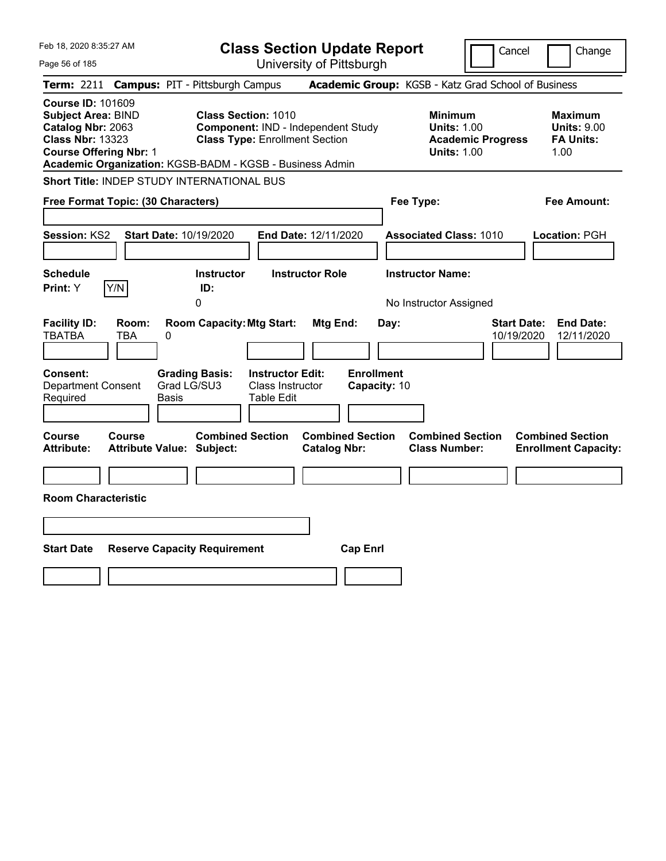| Feb 18, 2020 8:35:27 AM                                                                                                                |                                                   |                                                                                                                                 | <b>Class Section Update Report</b>                      |                                                                                    | Cancel                           | Change                                                           |
|----------------------------------------------------------------------------------------------------------------------------------------|---------------------------------------------------|---------------------------------------------------------------------------------------------------------------------------------|---------------------------------------------------------|------------------------------------------------------------------------------------|----------------------------------|------------------------------------------------------------------|
| Page 56 of 185                                                                                                                         |                                                   |                                                                                                                                 | University of Pittsburgh                                |                                                                                    |                                  |                                                                  |
| Term: 2211                                                                                                                             |                                                   | <b>Campus: PIT - Pittsburgh Campus</b>                                                                                          |                                                         | Academic Group: KGSB - Katz Grad School of Business                                |                                  |                                                                  |
| <b>Course ID: 101609</b><br><b>Subject Area: BIND</b><br>Catalog Nbr: 2063<br><b>Class Nbr: 13323</b><br><b>Course Offering Nbr: 1</b> |                                                   | <b>Class Section: 1010</b><br><b>Class Type: Enrollment Section</b><br>Academic Organization: KGSB-BADM - KGSB - Business Admin | Component: IND - Independent Study                      | <b>Minimum</b><br><b>Units: 1.00</b><br><b>Units: 1.00</b>                         | <b>Academic Progress</b>         | <b>Maximum</b><br><b>Units: 9.00</b><br><b>FA Units:</b><br>1.00 |
|                                                                                                                                        |                                                   | Short Title: INDEP STUDY INTERNATIONAL BUS                                                                                      |                                                         |                                                                                    |                                  |                                                                  |
| Free Format Topic: (30 Characters)                                                                                                     |                                                   |                                                                                                                                 |                                                         | Fee Type:                                                                          |                                  | Fee Amount:                                                      |
| Session: KS2<br><b>Schedule</b><br>Y/N<br>Print: Y                                                                                     | Start Date: 10/19/2020                            | <b>Instructor</b><br>ID:<br>0                                                                                                   | End Date: 12/11/2020<br><b>Instructor Role</b>          | <b>Associated Class: 1010</b><br><b>Instructor Name:</b><br>No Instructor Assigned |                                  | Location: PGH                                                    |
| <b>Facility ID:</b><br><b>TBATBA</b><br>Consent:<br><b>Department Consent</b><br>Required                                              | Room:<br><b>TBA</b><br>0<br>Grad LG/SU3<br>Basis  | <b>Room Capacity: Mtg Start:</b><br><b>Grading Basis:</b><br>Table Edit                                                         | Mtg End:<br><b>Instructor Edit:</b><br>Class Instructor | Day:<br><b>Enrollment</b><br>Capacity: 10                                          | <b>Start Date:</b><br>10/19/2020 | <b>End Date:</b><br>12/11/2020                                   |
| <b>Course</b><br><b>Attribute:</b>                                                                                                     | <b>Course</b><br><b>Attribute Value: Subject:</b> | <b>Combined Section</b>                                                                                                         | <b>Combined Section</b><br><b>Catalog Nbr:</b>          | <b>Combined Section</b><br><b>Class Number:</b>                                    |                                  | <b>Combined Section</b><br><b>Enrollment Capacity:</b>           |
| <b>Room Characteristic</b>                                                                                                             |                                                   |                                                                                                                                 |                                                         |                                                                                    |                                  |                                                                  |
|                                                                                                                                        |                                                   |                                                                                                                                 |                                                         |                                                                                    |                                  |                                                                  |
| <b>Start Date</b>                                                                                                                      |                                                   | <b>Reserve Capacity Requirement</b>                                                                                             | <b>Cap Enrl</b>                                         |                                                                                    |                                  |                                                                  |
|                                                                                                                                        |                                                   |                                                                                                                                 |                                                         |                                                                                    |                                  |                                                                  |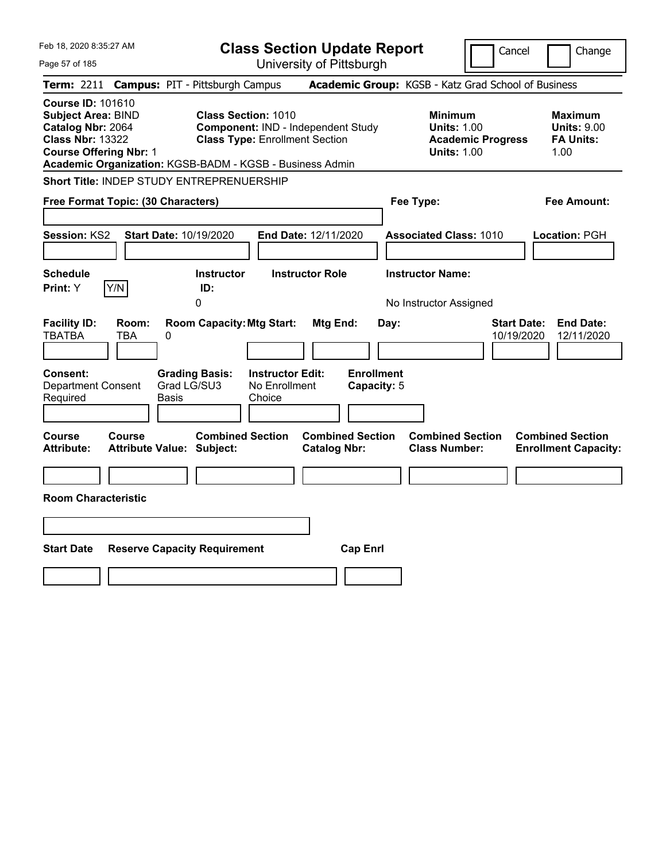| Feb 18, 2020 8:35:27 AM<br>Page 57 of 185                                                                                              | <b>Class Section Update Report</b><br>University of Pittsburgh                                                                                                        | Cancel                                                                                 | Change                                                           |
|----------------------------------------------------------------------------------------------------------------------------------------|-----------------------------------------------------------------------------------------------------------------------------------------------------------------------|----------------------------------------------------------------------------------------|------------------------------------------------------------------|
| <b>Term: 2211</b>                                                                                                                      | <b>Campus: PIT - Pittsburgh Campus</b>                                                                                                                                | Academic Group: KGSB - Katz Grad School of Business                                    |                                                                  |
| <b>Course ID: 101610</b><br><b>Subject Area: BIND</b><br>Catalog Nbr: 2064<br><b>Class Nbr: 13322</b><br><b>Course Offering Nbr: 1</b> | <b>Class Section: 1010</b><br>Component: IND - Independent Study<br><b>Class Type: Enrollment Section</b><br>Academic Organization: KGSB-BADM - KGSB - Business Admin | <b>Minimum</b><br><b>Units: 1.00</b><br><b>Academic Progress</b><br><b>Units: 1.00</b> | <b>Maximum</b><br><b>Units: 9.00</b><br><b>FA Units:</b><br>1.00 |
| <b>Short Title: INDEP STUDY ENTREPRENUERSHIP</b>                                                                                       |                                                                                                                                                                       |                                                                                        |                                                                  |
| Free Format Topic: (30 Characters)                                                                                                     |                                                                                                                                                                       | Fee Type:                                                                              | Fee Amount:                                                      |
| <b>Session: KS2</b><br><b>Start Date: 10/19/2020</b>                                                                                   | End Date: 12/11/2020                                                                                                                                                  | <b>Associated Class: 1010</b>                                                          | Location: PGH                                                    |
| <b>Schedule</b><br>Y/N<br>Print: Y                                                                                                     | <b>Instructor Role</b><br><b>Instructor</b><br>ID:<br>0                                                                                                               | <b>Instructor Name:</b><br>No Instructor Assigned                                      |                                                                  |
| <b>Facility ID:</b><br>Room:<br><b>TBATBA</b><br>TBA<br>$\pmb{0}$                                                                      | <b>Room Capacity: Mtg Start:</b><br>Mtg End:                                                                                                                          | <b>Start Date:</b><br>Day:<br>10/19/2020                                               | <b>End Date:</b><br>12/11/2020                                   |
| <b>Consent:</b><br>Grad LG/SU3<br><b>Department Consent</b><br>Required<br>Basis                                                       | <b>Enrollment</b><br><b>Instructor Edit:</b><br><b>Grading Basis:</b><br>No Enrollment<br>Capacity: 5<br>Choice                                                       |                                                                                        |                                                                  |
| Course<br><b>Course</b><br><b>Attribute:</b><br><b>Attribute Value: Subject:</b>                                                       | <b>Combined Section</b><br><b>Combined Section</b><br><b>Catalog Nbr:</b>                                                                                             | <b>Combined Section</b><br><b>Class Number:</b>                                        | <b>Combined Section</b><br><b>Enrollment Capacity:</b>           |
| <b>Room Characteristic</b>                                                                                                             |                                                                                                                                                                       |                                                                                        |                                                                  |
|                                                                                                                                        |                                                                                                                                                                       |                                                                                        |                                                                  |
| <b>Start Date</b><br><b>Reserve Capacity Requirement</b>                                                                               | <b>Cap Enrl</b>                                                                                                                                                       |                                                                                        |                                                                  |
|                                                                                                                                        |                                                                                                                                                                       |                                                                                        |                                                                  |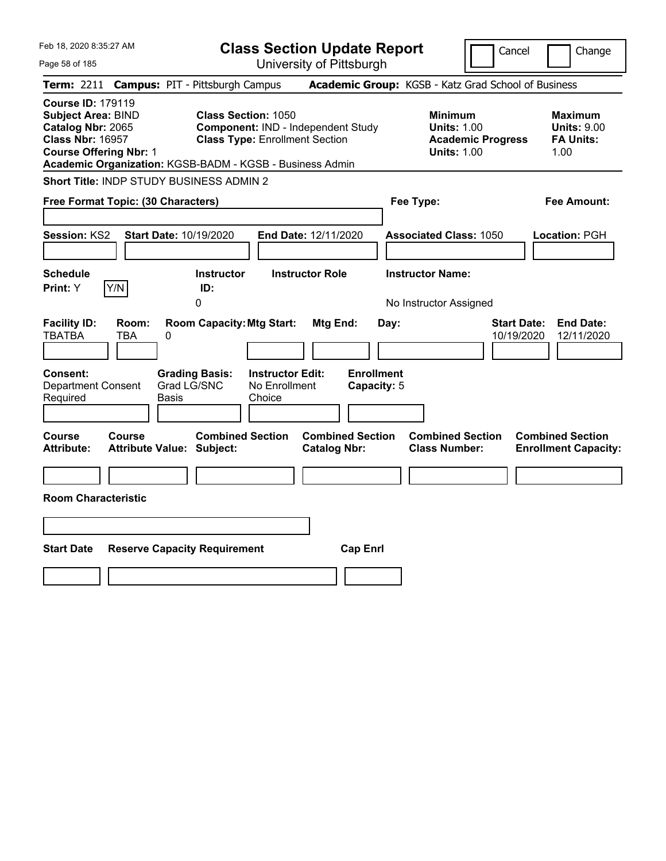| Feb 18, 2020 8:35:27 AM<br>Page 58 of 185                                                                                                                                                          | <b>Class Section Update Report</b><br>University of Pittsburgh                                                                         | Cancel                                                                                 | Change                                                           |
|----------------------------------------------------------------------------------------------------------------------------------------------------------------------------------------------------|----------------------------------------------------------------------------------------------------------------------------------------|----------------------------------------------------------------------------------------|------------------------------------------------------------------|
| Term: 2211 Campus: PIT - Pittsburgh Campus                                                                                                                                                         |                                                                                                                                        | Academic Group: KGSB - Katz Grad School of Business                                    |                                                                  |
| <b>Course ID: 179119</b><br><b>Subject Area: BIND</b><br>Catalog Nbr: 2065<br><b>Class Nbr: 16957</b><br><b>Course Offering Nbr: 1</b><br>Academic Organization: KGSB-BADM - KGSB - Business Admin | <b>Class Section: 1050</b><br>Component: IND - Independent Study<br><b>Class Type: Enrollment Section</b>                              | <b>Minimum</b><br><b>Units: 1.00</b><br><b>Academic Progress</b><br><b>Units: 1.00</b> | <b>Maximum</b><br><b>Units: 9.00</b><br><b>FA Units:</b><br>1.00 |
| Short Title: INDP STUDY BUSINESS ADMIN 2                                                                                                                                                           |                                                                                                                                        |                                                                                        |                                                                  |
| Free Format Topic: (30 Characters)                                                                                                                                                                 |                                                                                                                                        | Fee Type:                                                                              | <b>Fee Amount:</b>                                               |
| <b>Session: KS2</b><br>Start Date: 10/19/2020                                                                                                                                                      | End Date: 12/11/2020                                                                                                                   | <b>Associated Class: 1050</b>                                                          | Location: PGH                                                    |
| Schedule                                                                                                                                                                                           | <b>Instructor Role</b><br><b>Instructor</b>                                                                                            | <b>Instructor Name:</b>                                                                |                                                                  |
| Y/N<br>Print: Y<br>ID:<br>0                                                                                                                                                                        |                                                                                                                                        | No Instructor Assigned                                                                 |                                                                  |
| <b>Facility ID:</b><br>Room:<br><b>TBATBA</b><br>TBA<br>0<br><b>Grading Basis:</b><br><b>Consent:</b><br>Grad LG/SNC<br><b>Department Consent</b><br>Required<br>Basis                             | <b>Room Capacity: Mtg Start:</b><br>Mtg End:<br><b>Enrollment</b><br><b>Instructor Edit:</b><br>No Enrollment<br>Capacity: 5<br>Choice | <b>Start Date:</b><br>Day:<br>10/19/2020                                               | <b>End Date:</b><br>12/11/2020                                   |
| <b>Course</b><br>Course<br><b>Attribute:</b><br><b>Attribute Value: Subject:</b>                                                                                                                   | <b>Combined Section</b><br><b>Combined Section</b><br><b>Catalog Nbr:</b>                                                              | <b>Combined Section</b><br><b>Class Number:</b>                                        | <b>Combined Section</b><br><b>Enrollment Capacity:</b>           |
|                                                                                                                                                                                                    |                                                                                                                                        |                                                                                        |                                                                  |
| <b>Room Characteristic</b>                                                                                                                                                                         |                                                                                                                                        |                                                                                        |                                                                  |
|                                                                                                                                                                                                    |                                                                                                                                        |                                                                                        |                                                                  |
|                                                                                                                                                                                                    |                                                                                                                                        |                                                                                        |                                                                  |
| <b>Start Date</b><br><b>Reserve Capacity Requirement</b>                                                                                                                                           | <b>Cap Enrl</b>                                                                                                                        |                                                                                        |                                                                  |
|                                                                                                                                                                                                    |                                                                                                                                        |                                                                                        |                                                                  |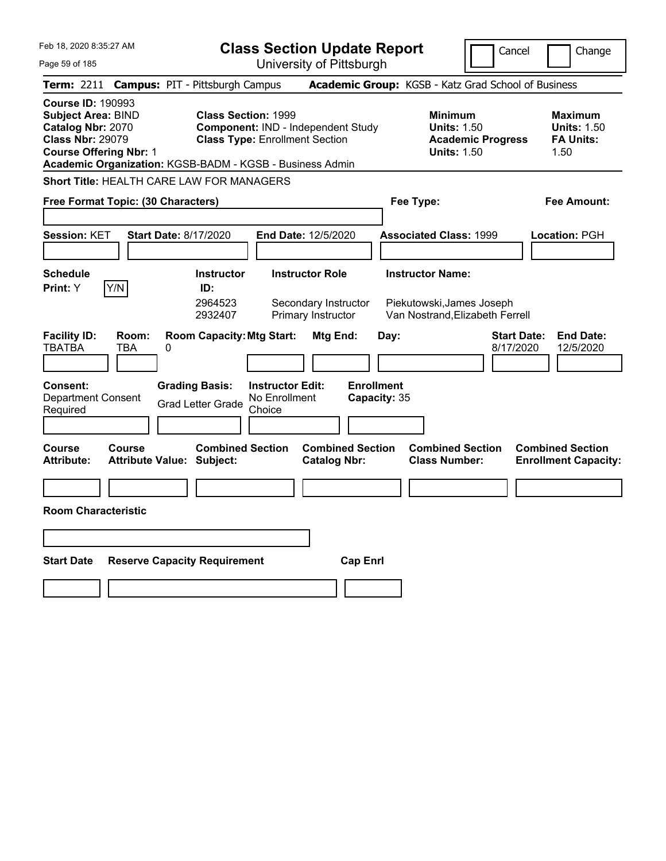| Feb 18, 2020 8:35:27 AM<br>Page 59 of 185                                                                                              | <b>Class Section Update Report</b><br>University of Pittsburgh                                                                                                               |                                                       | Cancel                                                                                 | Change                                                           |
|----------------------------------------------------------------------------------------------------------------------------------------|------------------------------------------------------------------------------------------------------------------------------------------------------------------------------|-------------------------------------------------------|----------------------------------------------------------------------------------------|------------------------------------------------------------------|
| Term: 2211 Campus: PIT - Pittsburgh Campus                                                                                             |                                                                                                                                                                              | Academic Group: KGSB - Katz Grad School of Business   |                                                                                        |                                                                  |
| <b>Course ID: 190993</b><br><b>Subject Area: BIND</b><br>Catalog Nbr: 2070<br><b>Class Nbr: 29079</b><br><b>Course Offering Nbr: 1</b> | <b>Class Section: 1999</b><br><b>Component: IND - Independent Study</b><br><b>Class Type: Enrollment Section</b><br>Academic Organization: KGSB-BADM - KGSB - Business Admin |                                                       | <b>Minimum</b><br><b>Units: 1.50</b><br><b>Academic Progress</b><br><b>Units: 1.50</b> | <b>Maximum</b><br><b>Units: 1.50</b><br><b>FA Units:</b><br>1.50 |
| Short Title: HEALTH CARE LAW FOR MANAGERS                                                                                              |                                                                                                                                                                              |                                                       |                                                                                        |                                                                  |
| Free Format Topic: (30 Characters)                                                                                                     |                                                                                                                                                                              | Fee Type:                                             |                                                                                        | <b>Fee Amount:</b>                                               |
| <b>Session: KET</b>                                                                                                                    | <b>Start Date: 8/17/2020</b><br>End Date: 12/5/2020                                                                                                                          |                                                       | <b>Associated Class: 1999</b>                                                          | Location: PGH                                                    |
| <b>Schedule</b><br>Y/N<br>Print: Y                                                                                                     | <b>Instructor Role</b><br><b>Instructor</b><br>ID:<br>2964523<br>Secondary Instructor<br>2932407<br>Primary Instructor                                                       | <b>Instructor Name:</b>                               | Piekutowski, James Joseph<br>Van Nostrand, Elizabeth Ferrell                           |                                                                  |
| <b>Facility ID:</b><br>Room:<br><b>TBATBA</b><br><b>TBA</b><br>0<br><b>Consent:</b><br>Department Consent<br>Required                  | <b>Room Capacity: Mtg Start:</b><br><b>Grading Basis:</b><br><b>Instructor Edit:</b><br>No Enrollment<br><b>Grad Letter Grade</b><br>Choice                                  | Mtg End:<br>Day:<br><b>Enrollment</b><br>Capacity: 35 | <b>Start Date:</b><br>8/17/2020                                                        | <b>End Date:</b><br>12/5/2020                                    |
| <b>Course</b><br>Course<br><b>Attribute:</b>                                                                                           | <b>Combined Section</b><br><b>Attribute Value: Subject:</b>                                                                                                                  | <b>Combined Section</b><br><b>Catalog Nbr:</b>        | <b>Combined Section</b><br><b>Class Number:</b>                                        | <b>Combined Section</b><br><b>Enrollment Capacity:</b>           |
|                                                                                                                                        |                                                                                                                                                                              |                                                       |                                                                                        |                                                                  |
| <b>Room Characteristic</b>                                                                                                             |                                                                                                                                                                              |                                                       |                                                                                        |                                                                  |
|                                                                                                                                        |                                                                                                                                                                              |                                                       |                                                                                        |                                                                  |
| <b>Start Date</b>                                                                                                                      | <b>Reserve Capacity Requirement</b>                                                                                                                                          | <b>Cap Enrl</b>                                       |                                                                                        |                                                                  |
|                                                                                                                                        |                                                                                                                                                                              |                                                       |                                                                                        |                                                                  |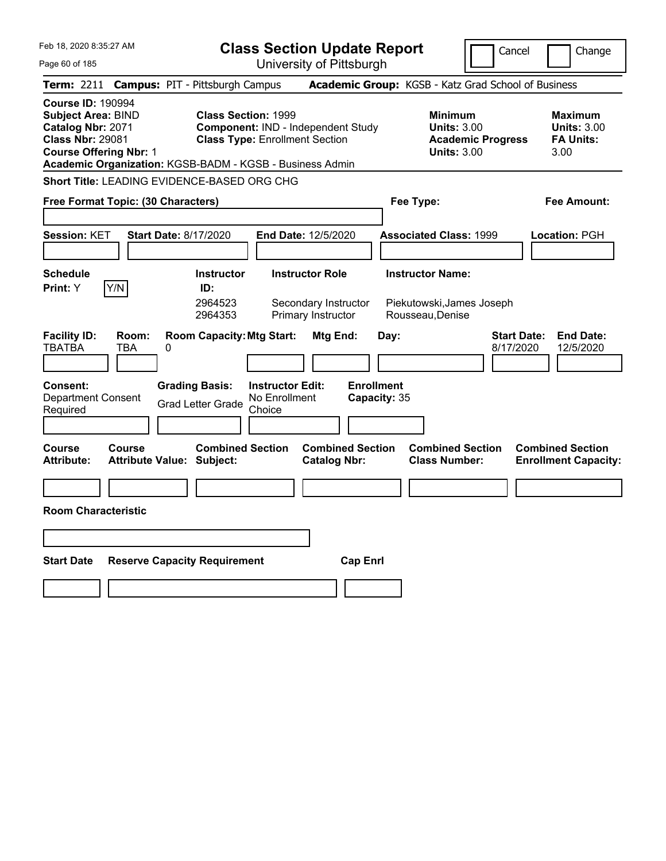| Feb 18, 2020 8:35:27 AM                                                                                                                                                                            | <b>Class Section Update Report</b>                                                                                                                         |                                                                                                   | Cancel                   | Change                                                           |
|----------------------------------------------------------------------------------------------------------------------------------------------------------------------------------------------------|------------------------------------------------------------------------------------------------------------------------------------------------------------|---------------------------------------------------------------------------------------------------|--------------------------|------------------------------------------------------------------|
| Page 60 of 185                                                                                                                                                                                     | University of Pittsburgh                                                                                                                                   |                                                                                                   |                          |                                                                  |
| <b>Term: 2211</b>                                                                                                                                                                                  | <b>Campus: PIT - Pittsburgh Campus</b>                                                                                                                     | Academic Group: KGSB - Katz Grad School of Business                                               |                          |                                                                  |
| <b>Course ID: 190994</b><br><b>Subject Area: BIND</b><br>Catalog Nbr: 2071<br><b>Class Nbr: 29081</b><br><b>Course Offering Nbr: 1</b><br>Academic Organization: KGSB-BADM - KGSB - Business Admin | <b>Class Section: 1999</b><br><b>Component: IND - Independent Study</b><br><b>Class Type: Enrollment Section</b>                                           | <b>Minimum</b><br><b>Units: 3.00</b><br><b>Units: 3.00</b>                                        | <b>Academic Progress</b> | <b>Maximum</b><br><b>Units: 3.00</b><br><b>FA Units:</b><br>3.00 |
| Short Title: LEADING EVIDENCE-BASED ORG CHG                                                                                                                                                        |                                                                                                                                                            |                                                                                                   |                          |                                                                  |
| Free Format Topic: (30 Characters)                                                                                                                                                                 |                                                                                                                                                            | Fee Type:                                                                                         |                          | Fee Amount:                                                      |
| <b>Session: KET</b><br><b>Start Date: 8/17/2020</b>                                                                                                                                                | End Date: 12/5/2020                                                                                                                                        | <b>Associated Class: 1999</b>                                                                     |                          | <b>Location: PGH</b>                                             |
| <b>Schedule</b><br>Y/N<br>Print: Y<br><b>Facility ID:</b><br>Room:                                                                                                                                 | <b>Instructor</b><br><b>Instructor Role</b><br>ID:<br>2964523<br>Secondary Instructor<br>Primary Instructor<br>2964353<br><b>Room Capacity: Mtg Start:</b> | <b>Instructor Name:</b><br>Piekutowski, James Joseph<br>Rousseau, Denise<br>Mtg End:<br>Day:      | <b>Start Date:</b>       | <b>End Date:</b>                                                 |
| <b>TBATBA</b><br>TBA<br>0<br><b>Consent:</b><br><b>Department Consent</b>                                                                                                                          | <b>Grading Basis:</b><br><b>Instructor Edit:</b><br>No Enrollment                                                                                          | <b>Enrollment</b><br>Capacity: 35                                                                 | 8/17/2020                | 12/5/2020                                                        |
| Required                                                                                                                                                                                           | <b>Grad Letter Grade</b><br>Choice                                                                                                                         |                                                                                                   |                          |                                                                  |
| Course<br>Course<br><b>Attribute:</b><br>Attribute Value: Subject:                                                                                                                                 | <b>Combined Section</b>                                                                                                                                    | <b>Combined Section</b><br><b>Combined Section</b><br><b>Catalog Nbr:</b><br><b>Class Number:</b> |                          | <b>Combined Section</b><br><b>Enrollment Capacity:</b>           |
|                                                                                                                                                                                                    |                                                                                                                                                            |                                                                                                   |                          |                                                                  |
| <b>Room Characteristic</b>                                                                                                                                                                         |                                                                                                                                                            |                                                                                                   |                          |                                                                  |
|                                                                                                                                                                                                    |                                                                                                                                                            |                                                                                                   |                          |                                                                  |
| <b>Start Date</b><br><b>Reserve Capacity Requirement</b>                                                                                                                                           |                                                                                                                                                            | <b>Cap Enri</b>                                                                                   |                          |                                                                  |
|                                                                                                                                                                                                    |                                                                                                                                                            |                                                                                                   |                          |                                                                  |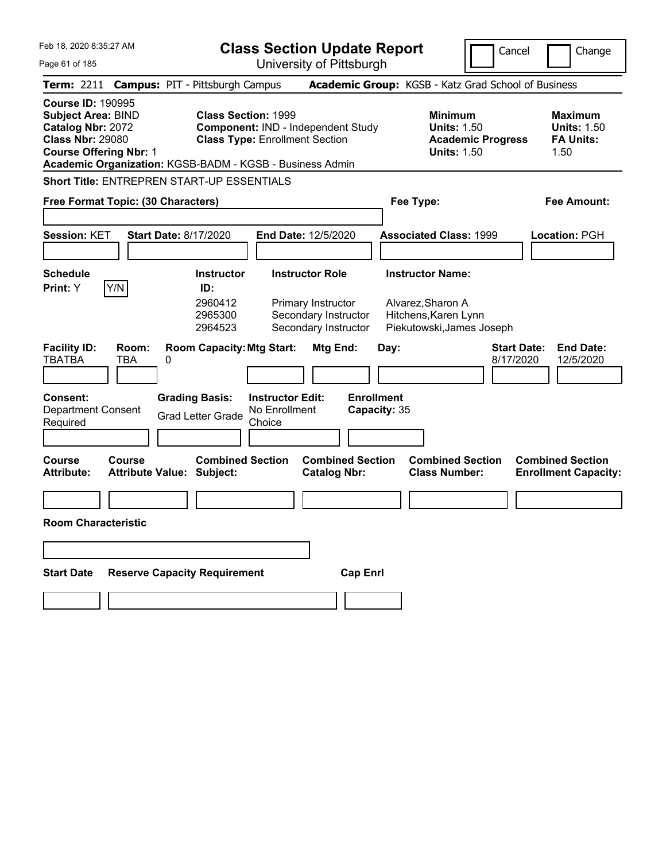| Feb 18, 2020 8:35:27 AM<br>Page 61 of 185                                                                                                                                                          |                                                   |                              |                                                                                                                  | <b>Class Section Update Report</b>                 | University of Pittsburgh                                                                     |                 |                                   |                                                                                                   |                                                                                        | Cancel                          | Change                                                           |
|----------------------------------------------------------------------------------------------------------------------------------------------------------------------------------------------------|---------------------------------------------------|------------------------------|------------------------------------------------------------------------------------------------------------------|----------------------------------------------------|----------------------------------------------------------------------------------------------|-----------------|-----------------------------------|---------------------------------------------------------------------------------------------------|----------------------------------------------------------------------------------------|---------------------------------|------------------------------------------------------------------|
| Term: 2211 Campus: PIT - Pittsburgh Campus                                                                                                                                                         |                                                   |                              |                                                                                                                  |                                                    |                                                                                              |                 |                                   | Academic Group: KGSB - Katz Grad School of Business                                               |                                                                                        |                                 |                                                                  |
| <b>Course ID: 190995</b><br><b>Subject Area: BIND</b><br>Catalog Nbr: 2072<br><b>Class Nbr: 29080</b><br><b>Course Offering Nbr: 1</b><br>Academic Organization: KGSB-BADM - KGSB - Business Admin |                                                   |                              | <b>Class Section: 1999</b><br><b>Component: IND - Independent Study</b><br><b>Class Type: Enrollment Section</b> |                                                    |                                                                                              |                 |                                   |                                                                                                   | <b>Minimum</b><br><b>Units: 1.50</b><br><b>Academic Progress</b><br><b>Units: 1.50</b> |                                 | <b>Maximum</b><br><b>Units: 1.50</b><br><b>FA Units:</b><br>1.50 |
| <b>Short Title: ENTREPREN START-UP ESSENTIALS</b>                                                                                                                                                  |                                                   |                              |                                                                                                                  |                                                    |                                                                                              |                 |                                   |                                                                                                   |                                                                                        |                                 |                                                                  |
| Free Format Topic: (30 Characters)                                                                                                                                                                 |                                                   |                              |                                                                                                                  |                                                    |                                                                                              |                 |                                   | Fee Type:                                                                                         |                                                                                        |                                 | <b>Fee Amount:</b>                                               |
| <b>Session: KET</b>                                                                                                                                                                                |                                                   | <b>Start Date: 8/17/2020</b> |                                                                                                                  |                                                    | End Date: 12/5/2020                                                                          |                 |                                   | <b>Associated Class: 1999</b>                                                                     |                                                                                        |                                 | <b>Location: PGH</b>                                             |
| <b>Schedule</b><br>Print: Y                                                                                                                                                                        | Y/N                                               |                              | <b>Instructor</b><br>ID:<br>2960412<br>2965300<br>2964523                                                        |                                                    | <b>Instructor Role</b><br>Primary Instructor<br>Secondary Instructor<br>Secondary Instructor |                 |                                   | <b>Instructor Name:</b><br>Alvarez, Sharon A<br>Hitchens, Karen Lynn<br>Piekutowski, James Joseph |                                                                                        |                                 |                                                                  |
| <b>Facility ID:</b><br><b>TBATBA</b>                                                                                                                                                               | Room:<br><b>TBA</b>                               | 0                            | <b>Room Capacity: Mtg Start:</b>                                                                                 |                                                    | <b>Mtg End:</b>                                                                              |                 | Day:                              |                                                                                                   |                                                                                        | <b>Start Date:</b><br>8/17/2020 | <b>End Date:</b><br>12/5/2020                                    |
| <b>Consent:</b><br><b>Department Consent</b><br>Required                                                                                                                                           |                                                   |                              | <b>Grading Basis:</b><br><b>Grad Letter Grade</b>                                                                | <b>Instructor Edit:</b><br>No Enrollment<br>Choice |                                                                                              |                 | <b>Enrollment</b><br>Capacity: 35 |                                                                                                   |                                                                                        |                                 |                                                                  |
| <b>Course</b><br><b>Attribute:</b>                                                                                                                                                                 | <b>Course</b><br><b>Attribute Value: Subject:</b> |                              | <b>Combined Section</b>                                                                                          |                                                    | <b>Combined Section</b><br><b>Catalog Nbr:</b>                                               |                 |                                   | <b>Combined Section</b><br><b>Class Number:</b>                                                   |                                                                                        |                                 | <b>Combined Section</b><br><b>Enrollment Capacity:</b>           |
|                                                                                                                                                                                                    |                                                   |                              |                                                                                                                  |                                                    |                                                                                              |                 |                                   |                                                                                                   |                                                                                        |                                 |                                                                  |
| <b>Room Characteristic</b>                                                                                                                                                                         |                                                   |                              |                                                                                                                  |                                                    |                                                                                              |                 |                                   |                                                                                                   |                                                                                        |                                 |                                                                  |
|                                                                                                                                                                                                    |                                                   |                              |                                                                                                                  |                                                    |                                                                                              |                 |                                   |                                                                                                   |                                                                                        |                                 |                                                                  |
| <b>Start Date</b>                                                                                                                                                                                  |                                                   |                              | <b>Reserve Capacity Requirement</b>                                                                              |                                                    |                                                                                              | <b>Cap Enrl</b> |                                   |                                                                                                   |                                                                                        |                                 |                                                                  |
|                                                                                                                                                                                                    |                                                   |                              |                                                                                                                  |                                                    |                                                                                              |                 |                                   |                                                                                                   |                                                                                        |                                 |                                                                  |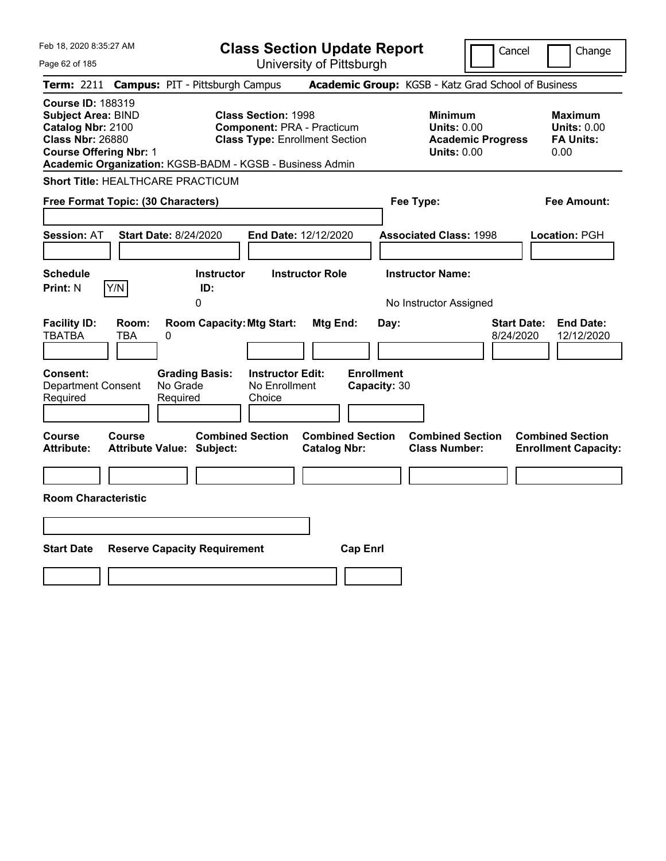| Feb 18, 2020 8:35:27 AM                                                                                                                                                                            | <b>Class Section Update Report</b>                                                                       | Cancel                                                                                 | Change                                                           |
|----------------------------------------------------------------------------------------------------------------------------------------------------------------------------------------------------|----------------------------------------------------------------------------------------------------------|----------------------------------------------------------------------------------------|------------------------------------------------------------------|
| Page 62 of 185                                                                                                                                                                                     | University of Pittsburgh                                                                                 |                                                                                        |                                                                  |
| <b>Term: 2211</b><br><b>Campus: PIT - Pittsburgh Campus</b>                                                                                                                                        |                                                                                                          | Academic Group: KGSB - Katz Grad School of Business                                    |                                                                  |
| <b>Course ID: 188319</b><br><b>Subject Area: BIND</b><br>Catalog Nbr: 2100<br><b>Class Nbr: 26880</b><br><b>Course Offering Nbr: 1</b><br>Academic Organization: KGSB-BADM - KGSB - Business Admin | <b>Class Section: 1998</b><br><b>Component: PRA - Practicum</b><br><b>Class Type: Enrollment Section</b> | <b>Minimum</b><br><b>Units: 0.00</b><br><b>Academic Progress</b><br><b>Units: 0.00</b> | <b>Maximum</b><br><b>Units: 0.00</b><br><b>FA Units:</b><br>0.00 |
| <b>Short Title: HEALTHCARE PRACTICUM</b>                                                                                                                                                           |                                                                                                          |                                                                                        |                                                                  |
| Free Format Topic: (30 Characters)                                                                                                                                                                 |                                                                                                          | Fee Type:                                                                              | <b>Fee Amount:</b>                                               |
| <b>Start Date: 8/24/2020</b><br><b>Session: AT</b>                                                                                                                                                 | End Date: 12/12/2020                                                                                     | <b>Associated Class: 1998</b>                                                          | Location: PGH                                                    |
| <b>Schedule</b><br>Y/N<br>ID:<br><b>Print: N</b><br>0                                                                                                                                              | <b>Instructor Role</b><br><b>Instructor</b>                                                              | <b>Instructor Name:</b><br>No Instructor Assigned                                      |                                                                  |
| <b>Facility ID:</b><br>Room:<br><b>TBATBA</b><br>TBA<br>0                                                                                                                                          | <b>Room Capacity: Mtg Start:</b><br>Mtg End:                                                             | <b>Start Date:</b><br>Day:<br>8/24/2020                                                | <b>End Date:</b><br>12/12/2020                                   |
| Consent:<br><b>Grading Basis:</b><br>No Grade<br>Department Consent<br>Required<br>Required                                                                                                        | <b>Enrollment</b><br><b>Instructor Edit:</b><br>No Enrollment<br>Capacity: 30<br>Choice                  |                                                                                        |                                                                  |
| Course<br><b>Course</b><br><b>Attribute:</b><br><b>Attribute Value: Subject:</b>                                                                                                                   | <b>Combined Section</b><br><b>Combined Section</b><br><b>Catalog Nbr:</b>                                | <b>Combined Section</b><br><b>Class Number:</b>                                        | <b>Combined Section</b><br><b>Enrollment Capacity:</b>           |
| <b>Room Characteristic</b>                                                                                                                                                                         |                                                                                                          |                                                                                        |                                                                  |
|                                                                                                                                                                                                    |                                                                                                          |                                                                                        |                                                                  |
| <b>Start Date</b><br><b>Reserve Capacity Requirement</b>                                                                                                                                           | <b>Cap Enrl</b>                                                                                          |                                                                                        |                                                                  |
|                                                                                                                                                                                                    |                                                                                                          |                                                                                        |                                                                  |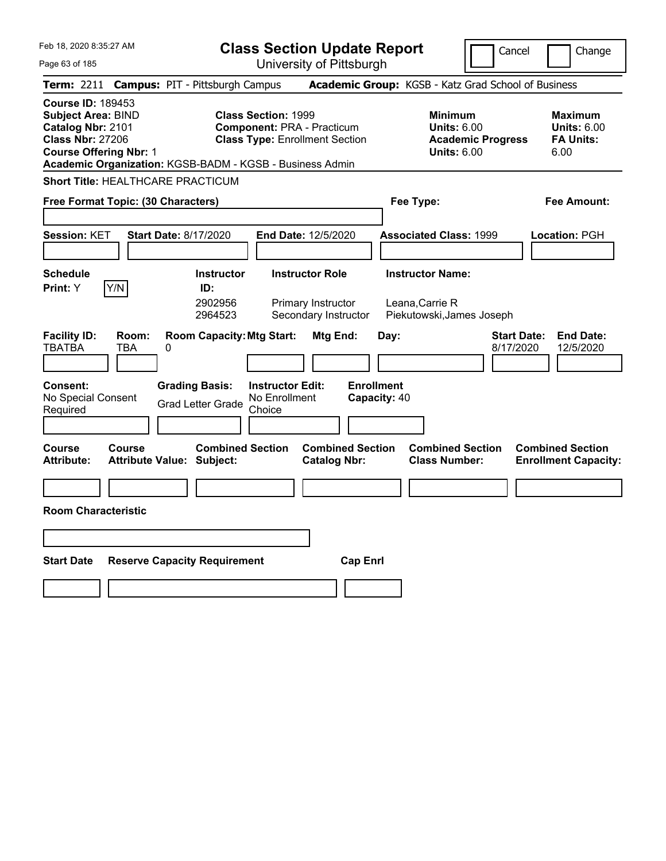| Feb 18, 2020 8:35:27 AM<br>Page 63 of 185                                                                                                                                                          | <b>Class Section Update Report</b><br>University of Pittsburgh                                                  | Cancel                                                                                 | Change                                                           |
|----------------------------------------------------------------------------------------------------------------------------------------------------------------------------------------------------|-----------------------------------------------------------------------------------------------------------------|----------------------------------------------------------------------------------------|------------------------------------------------------------------|
| Term: 2211 Campus: PIT - Pittsburgh Campus                                                                                                                                                         |                                                                                                                 | Academic Group: KGSB - Katz Grad School of Business                                    |                                                                  |
| <b>Course ID: 189453</b><br><b>Subject Area: BIND</b><br>Catalog Nbr: 2101<br><b>Class Nbr: 27206</b><br><b>Course Offering Nbr: 1</b><br>Academic Organization: KGSB-BADM - KGSB - Business Admin | <b>Class Section: 1999</b><br><b>Component: PRA - Practicum</b><br><b>Class Type: Enrollment Section</b>        | <b>Minimum</b><br><b>Units: 6.00</b><br><b>Academic Progress</b><br><b>Units: 6.00</b> | <b>Maximum</b><br><b>Units: 6.00</b><br><b>FA Units:</b><br>6.00 |
| <b>Short Title: HEALTHCARE PRACTICUM</b>                                                                                                                                                           |                                                                                                                 |                                                                                        |                                                                  |
| Free Format Topic: (30 Characters)                                                                                                                                                                 |                                                                                                                 | Fee Type:                                                                              | <b>Fee Amount:</b>                                               |
| <b>Session: KET</b><br><b>Start Date: 8/17/2020</b>                                                                                                                                                | End Date: 12/5/2020                                                                                             | <b>Associated Class: 1999</b>                                                          | Location: PGH                                                    |
| <b>Schedule</b><br>Y/N<br>ID:<br><b>Print:</b> Y                                                                                                                                                   | <b>Instructor Role</b><br><b>Instructor</b><br>2902956<br>Primary Instructor<br>2964523<br>Secondary Instructor | <b>Instructor Name:</b><br>Leana, Carrie R<br>Piekutowski, James Joseph                |                                                                  |
| <b>Facility ID:</b><br>Room:<br><b>TBATBA</b><br><b>TBA</b><br>0<br><b>Consent:</b><br><b>Grading Basis:</b>                                                                                       | <b>Room Capacity: Mtg Start:</b><br><b>Mtg End:</b><br><b>Enrollment</b><br><b>Instructor Edit:</b>             | <b>Start Date:</b><br>Day:<br>8/17/2020                                                | <b>End Date:</b><br>12/5/2020                                    |
| No Special Consent<br><b>Grad Letter Grade</b><br>Required                                                                                                                                         | Capacity: 40<br>No Enrollment<br>Choice                                                                         |                                                                                        |                                                                  |
| <b>Course</b><br>Course<br><b>Attribute:</b><br><b>Attribute Value: Subject:</b>                                                                                                                   | <b>Combined Section</b><br><b>Combined Section</b><br><b>Catalog Nbr:</b>                                       | <b>Combined Section</b><br><b>Class Number:</b>                                        | <b>Combined Section</b><br><b>Enrollment Capacity:</b>           |
|                                                                                                                                                                                                    |                                                                                                                 |                                                                                        |                                                                  |
| <b>Room Characteristic</b>                                                                                                                                                                         |                                                                                                                 |                                                                                        |                                                                  |
|                                                                                                                                                                                                    |                                                                                                                 |                                                                                        |                                                                  |
| <b>Reserve Capacity Requirement</b><br><b>Start Date</b>                                                                                                                                           | <b>Cap Enrl</b>                                                                                                 |                                                                                        |                                                                  |
|                                                                                                                                                                                                    |                                                                                                                 |                                                                                        |                                                                  |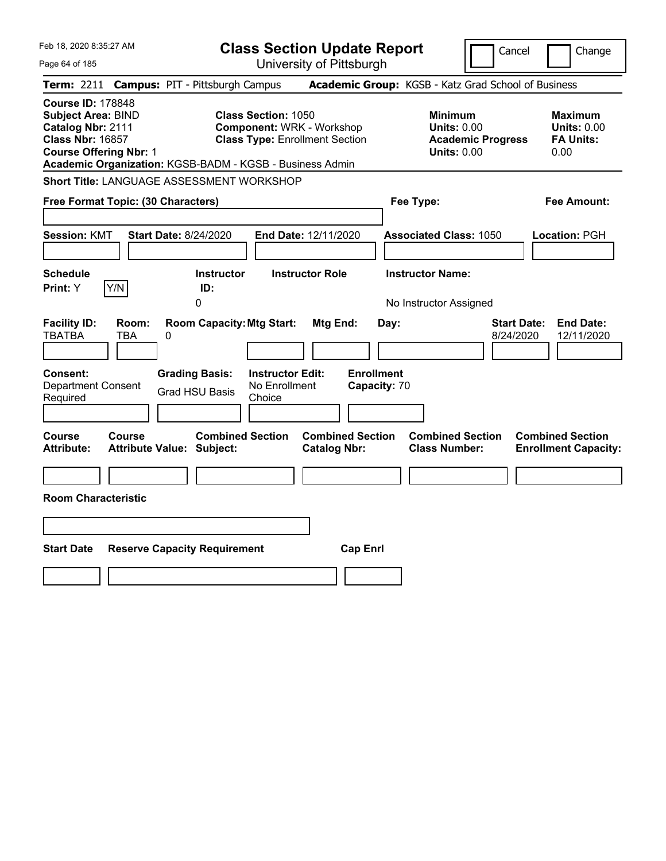| Feb 18, 2020 8:35:27 AM                                                                                                                                                                            | <b>Class Section Update Report</b>                                                                                                       |                                                                                                   | Cancel<br>Change                                                                             |
|----------------------------------------------------------------------------------------------------------------------------------------------------------------------------------------------------|------------------------------------------------------------------------------------------------------------------------------------------|---------------------------------------------------------------------------------------------------|----------------------------------------------------------------------------------------------|
| Page 64 of 185                                                                                                                                                                                     | University of Pittsburgh                                                                                                                 |                                                                                                   |                                                                                              |
| <b>Term: 2211</b>                                                                                                                                                                                  | <b>Campus: PIT - Pittsburgh Campus</b>                                                                                                   | Academic Group: KGSB - Katz Grad School of Business                                               |                                                                                              |
| <b>Course ID: 178848</b><br><b>Subject Area: BIND</b><br>Catalog Nbr: 2111<br><b>Class Nbr: 16857</b><br><b>Course Offering Nbr: 1</b><br>Academic Organization: KGSB-BADM - KGSB - Business Admin | <b>Class Section: 1050</b><br><b>Component: WRK - Workshop</b><br><b>Class Type: Enrollment Section</b>                                  | <b>Minimum</b><br><b>Units: 0.00</b><br><b>Units: 0.00</b>                                        | <b>Maximum</b><br><b>Units: 0.00</b><br><b>FA Units:</b><br><b>Academic Progress</b><br>0.00 |
| <b>Short Title: LANGUAGE ASSESSMENT WORKSHOP</b>                                                                                                                                                   |                                                                                                                                          |                                                                                                   |                                                                                              |
| Free Format Topic: (30 Characters)                                                                                                                                                                 |                                                                                                                                          | Fee Type:                                                                                         | Fee Amount:                                                                                  |
| <b>Session: KMT</b><br><b>Start Date: 8/24/2020</b><br><b>Schedule</b>                                                                                                                             | End Date: 12/11/2020<br><b>Instructor Role</b><br><b>Instructor</b>                                                                      | <b>Associated Class: 1050</b><br><b>Instructor Name:</b>                                          | Location: PGH                                                                                |
| Y/N<br>Print: Y                                                                                                                                                                                    | ID:                                                                                                                                      |                                                                                                   |                                                                                              |
| <b>Facility ID:</b><br>Room:<br><b>TBATBA</b><br>TBA<br>0<br>Consent:<br><b>Department Consent</b><br>Required                                                                                     | <b>Room Capacity: Mtg Start:</b><br><b>Grading Basis:</b><br><b>Instructor Edit:</b><br>No Enrollment<br><b>Grad HSU Basis</b><br>Choice | Mtg End:<br>Day:<br><b>Enrollment</b><br>Capacity: 70                                             | <b>Start Date:</b><br><b>End Date:</b><br>8/24/2020<br>12/11/2020                            |
|                                                                                                                                                                                                    |                                                                                                                                          |                                                                                                   |                                                                                              |
| Course<br>Course<br><b>Attribute Value: Subject:</b><br>Attribute:<br><b>Room Characteristic</b>                                                                                                   | <b>Combined Section</b>                                                                                                                  | <b>Combined Section</b><br><b>Combined Section</b><br><b>Catalog Nbr:</b><br><b>Class Number:</b> | <b>Combined Section</b><br><b>Enrollment Capacity:</b>                                       |
|                                                                                                                                                                                                    |                                                                                                                                          |                                                                                                   |                                                                                              |
|                                                                                                                                                                                                    |                                                                                                                                          |                                                                                                   |                                                                                              |
| <b>Start Date</b><br><b>Reserve Capacity Requirement</b>                                                                                                                                           |                                                                                                                                          | <b>Cap Enrl</b>                                                                                   |                                                                                              |
|                                                                                                                                                                                                    |                                                                                                                                          |                                                                                                   |                                                                                              |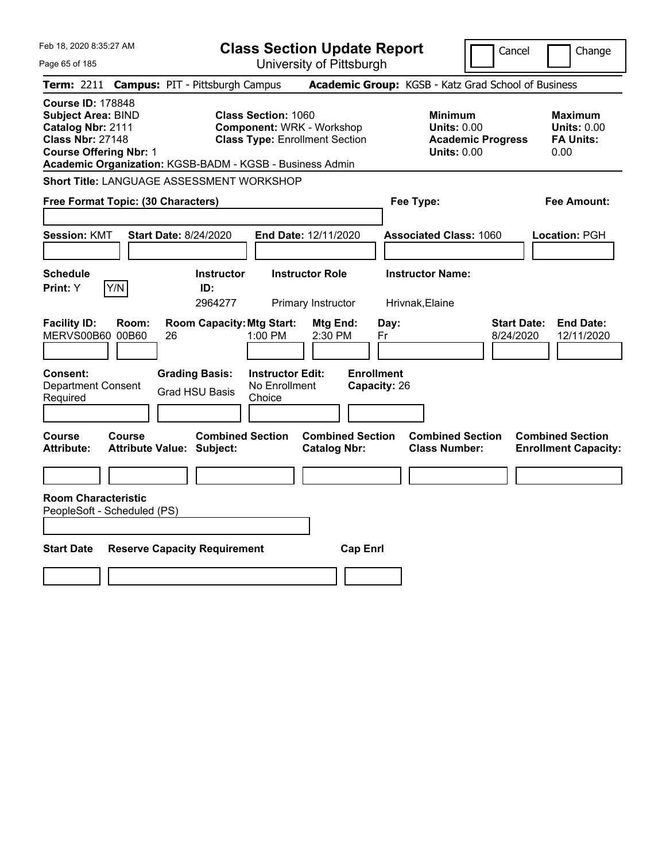| Feb 18, 2020 8:35:27 AM                                                                                                                                                                            |                                                                                                         | <b>Class Section Update Report</b>             |                                                                                        | Cancel<br>Change                                                  |
|----------------------------------------------------------------------------------------------------------------------------------------------------------------------------------------------------|---------------------------------------------------------------------------------------------------------|------------------------------------------------|----------------------------------------------------------------------------------------|-------------------------------------------------------------------|
| Page 65 of 185                                                                                                                                                                                     |                                                                                                         | University of Pittsburgh                       |                                                                                        |                                                                   |
| <b>Term:</b> 2211                                                                                                                                                                                  | <b>Campus: PIT - Pittsburgh Campus</b>                                                                  |                                                | Academic Group: KGSB - Katz Grad School of Business                                    |                                                                   |
| <b>Course ID: 178848</b><br><b>Subject Area: BIND</b><br>Catalog Nbr: 2111<br><b>Class Nbr: 27148</b><br><b>Course Offering Nbr: 1</b><br>Academic Organization: KGSB-BADM - KGSB - Business Admin | <b>Class Section: 1060</b><br><b>Component: WRK - Workshop</b><br><b>Class Type: Enrollment Section</b> |                                                | <b>Minimum</b><br><b>Units: 0.00</b><br><b>Academic Progress</b><br><b>Units: 0.00</b> | <b>Maximum</b><br><b>Units: 0.00</b><br><b>FA Units:</b><br>0.00  |
| Short Title: LANGUAGE ASSESSMENT WORKSHOP                                                                                                                                                          |                                                                                                         |                                                |                                                                                        |                                                                   |
| Free Format Topic: (30 Characters)                                                                                                                                                                 |                                                                                                         |                                                | Fee Type:                                                                              | Fee Amount:                                                       |
| <b>Session: KMT</b><br><b>Start Date: 8/24/2020</b>                                                                                                                                                |                                                                                                         | End Date: 12/11/2020                           | <b>Associated Class: 1060</b>                                                          | Location: PGH                                                     |
| <b>Schedule</b><br>Y/N<br>Print: Y                                                                                                                                                                 | <b>Instructor</b><br>ID:<br>2964277                                                                     | <b>Instructor Role</b><br>Primary Instructor   | <b>Instructor Name:</b><br>Hrivnak, Elaine                                             |                                                                   |
| <b>Facility ID:</b><br>Room:<br>MERVS00B60 00B60<br>26                                                                                                                                             | <b>Room Capacity: Mtg Start:</b><br>1:00 PM                                                             | Mtg End:<br>Day:<br>2:30 PM<br>Fr              |                                                                                        | <b>Start Date:</b><br><b>End Date:</b><br>8/24/2020<br>12/11/2020 |
| Consent:<br><b>Department Consent</b><br>Required                                                                                                                                                  | <b>Grading Basis:</b><br><b>Instructor Edit:</b><br>No Enrollment<br><b>Grad HSU Basis</b><br>Choice    | <b>Enrollment</b><br>Capacity: 26              |                                                                                        |                                                                   |
| <b>Course</b><br>Course<br><b>Attribute:</b><br><b>Attribute Value: Subject:</b>                                                                                                                   | <b>Combined Section</b>                                                                                 | <b>Combined Section</b><br><b>Catalog Nbr:</b> | <b>Combined Section</b><br><b>Class Number:</b>                                        | <b>Combined Section</b><br><b>Enrollment Capacity:</b>            |
|                                                                                                                                                                                                    |                                                                                                         |                                                |                                                                                        |                                                                   |
| <b>Room Characteristic</b><br>PeopleSoft - Scheduled (PS)                                                                                                                                          |                                                                                                         |                                                |                                                                                        |                                                                   |
| <b>Start Date</b><br><b>Reserve Capacity Requirement</b>                                                                                                                                           |                                                                                                         | <b>Cap Enrl</b>                                |                                                                                        |                                                                   |
|                                                                                                                                                                                                    |                                                                                                         |                                                |                                                                                        |                                                                   |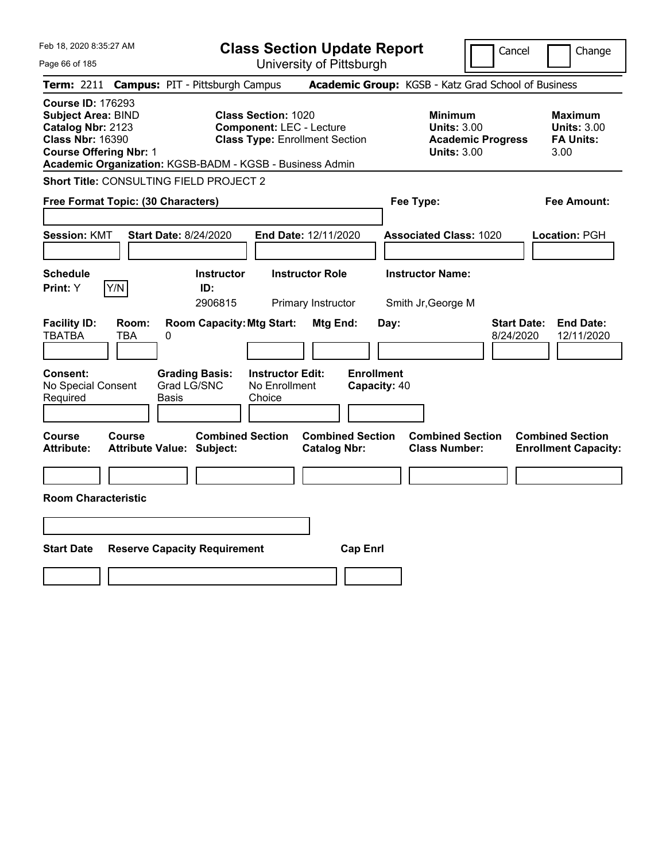| Feb 18, 2020 8:35:27 AM                                                                                                                | <b>Class Section Update Report</b>                                                                                                                                 | Cancel                                                                                 | Change                                                           |
|----------------------------------------------------------------------------------------------------------------------------------------|--------------------------------------------------------------------------------------------------------------------------------------------------------------------|----------------------------------------------------------------------------------------|------------------------------------------------------------------|
| Page 66 of 185                                                                                                                         | University of Pittsburgh                                                                                                                                           |                                                                                        |                                                                  |
| Term: 2211                                                                                                                             | <b>Campus: PIT - Pittsburgh Campus</b>                                                                                                                             | Academic Group: KGSB - Katz Grad School of Business                                    |                                                                  |
| <b>Course ID: 176293</b><br><b>Subject Area: BIND</b><br>Catalog Nbr: 2123<br><b>Class Nbr: 16390</b><br><b>Course Offering Nbr: 1</b> | <b>Class Section: 1020</b><br><b>Component: LEC - Lecture</b><br><b>Class Type: Enrollment Section</b><br>Academic Organization: KGSB-BADM - KGSB - Business Admin | <b>Minimum</b><br><b>Units: 3.00</b><br><b>Academic Progress</b><br><b>Units: 3.00</b> | <b>Maximum</b><br><b>Units: 3.00</b><br><b>FA Units:</b><br>3.00 |
| Short Title: CONSULTING FIELD PROJECT 2                                                                                                |                                                                                                                                                                    |                                                                                        |                                                                  |
| Free Format Topic: (30 Characters)                                                                                                     |                                                                                                                                                                    | Fee Type:                                                                              | Fee Amount:                                                      |
| <b>Session: KMT</b><br><b>Start Date: 8/24/2020</b>                                                                                    | <b>End Date: 12/11/2020</b>                                                                                                                                        | <b>Associated Class: 1020</b>                                                          | Location: PGH                                                    |
| <b>Schedule</b><br>Y/N<br>Print: Y                                                                                                     | <b>Instructor</b><br><b>Instructor Role</b><br>ID:<br>2906815<br>Primary Instructor                                                                                | <b>Instructor Name:</b><br>Smith Jr, George M                                          |                                                                  |
| <b>Facility ID:</b><br>Room:<br><b>TBATBA</b><br><b>TBA</b><br>0                                                                       | <b>Room Capacity: Mtg Start:</b><br>Mtg End:                                                                                                                       | Day:<br>8/24/2020                                                                      | <b>Start Date:</b><br><b>End Date:</b><br>12/11/2020             |
| Consent:<br><b>Grading Basis:</b><br>Grad LG/SNC<br>No Special Consent<br>Required<br>Basis                                            | <b>Enrollment</b><br><b>Instructor Edit:</b><br>No Enrollment<br>Capacity: 40<br>Choice                                                                            |                                                                                        |                                                                  |
| Course<br>Course<br>Attribute Value: Subject:<br><b>Attribute:</b>                                                                     | <b>Combined Section</b><br><b>Combined Section</b><br><b>Catalog Nbr:</b>                                                                                          | <b>Combined Section</b><br><b>Class Number:</b>                                        | <b>Combined Section</b><br><b>Enrollment Capacity:</b>           |
|                                                                                                                                        |                                                                                                                                                                    |                                                                                        |                                                                  |
| <b>Room Characteristic</b>                                                                                                             |                                                                                                                                                                    |                                                                                        |                                                                  |
|                                                                                                                                        |                                                                                                                                                                    |                                                                                        |                                                                  |
| <b>Start Date</b><br><b>Reserve Capacity Requirement</b>                                                                               | <b>Cap Enrl</b>                                                                                                                                                    |                                                                                        |                                                                  |
|                                                                                                                                        |                                                                                                                                                                    |                                                                                        |                                                                  |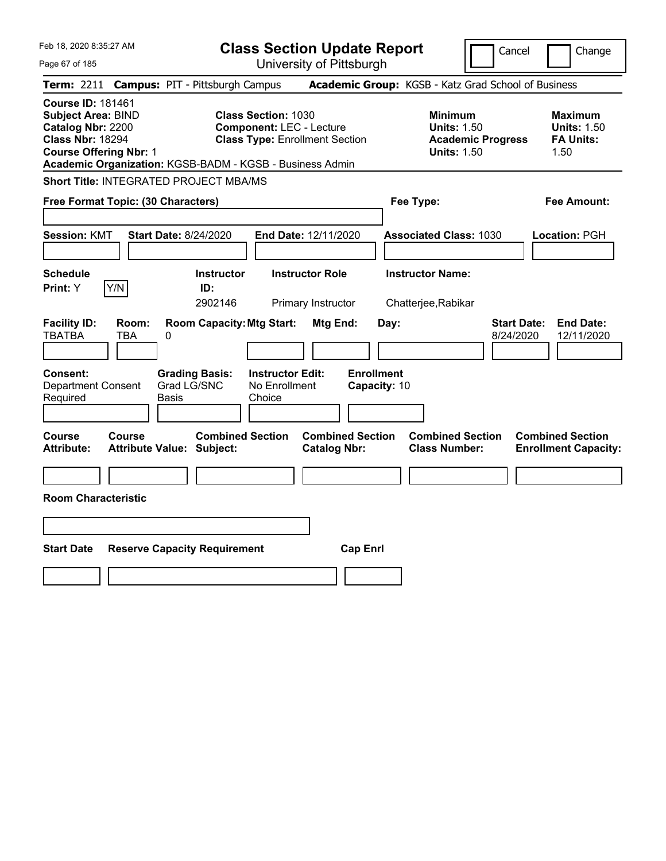| Feb 18, 2020 8:35:27 AM<br>Page 67 of 185                                                                                              |                                                                                          | <b>Class Section Update Report</b><br>University of Pittsburgh                                         |                                                       |                                                                                        | Cancel<br>Change                                                  |
|----------------------------------------------------------------------------------------------------------------------------------------|------------------------------------------------------------------------------------------|--------------------------------------------------------------------------------------------------------|-------------------------------------------------------|----------------------------------------------------------------------------------------|-------------------------------------------------------------------|
|                                                                                                                                        | Term: 2211 Campus: PIT - Pittsburgh Campus                                               |                                                                                                        |                                                       | Academic Group: KGSB - Katz Grad School of Business                                    |                                                                   |
| <b>Course ID: 181461</b><br><b>Subject Area: BIND</b><br>Catalog Nbr: 2200<br><b>Class Nbr: 18294</b><br><b>Course Offering Nbr: 1</b> | Academic Organization: KGSB-BADM - KGSB - Business Admin                                 | <b>Class Section: 1030</b><br><b>Component: LEC - Lecture</b><br><b>Class Type: Enrollment Section</b> |                                                       | <b>Minimum</b><br><b>Units: 1.50</b><br><b>Academic Progress</b><br><b>Units: 1.50</b> | <b>Maximum</b><br><b>Units: 1.50</b><br><b>FA Units:</b><br>1.50  |
|                                                                                                                                        | Short Title: INTEGRATED PROJECT MBA/MS                                                   |                                                                                                        |                                                       |                                                                                        |                                                                   |
| Free Format Topic: (30 Characters)                                                                                                     |                                                                                          |                                                                                                        |                                                       | Fee Type:                                                                              | Fee Amount:                                                       |
| <b>Session: KMT</b><br><b>Schedule</b><br>Y/N<br><b>Print:</b> Y                                                                       | <b>Start Date: 8/24/2020</b><br><b>Instructor</b><br>ID:                                 | End Date: 12/11/2020<br><b>Instructor Role</b>                                                         |                                                       | <b>Associated Class: 1030</b><br><b>Instructor Name:</b>                               | Location: PGH                                                     |
| Room:<br><b>Facility ID:</b><br><b>TBATBA</b><br>TBA<br><b>Consent:</b><br>Department Consent                                          | 2902146<br><b>Room Capacity: Mtg Start:</b><br>0<br><b>Grading Basis:</b><br>Grad LG/SNC | Primary Instructor<br><b>Instructor Edit:</b><br>No Enrollment                                         | Mtg End:<br>Day:<br><b>Enrollment</b><br>Capacity: 10 | Chatterjee, Rabikar                                                                    | <b>Start Date:</b><br><b>End Date:</b><br>8/24/2020<br>12/11/2020 |
| Required                                                                                                                               | Basis                                                                                    | Choice                                                                                                 |                                                       |                                                                                        |                                                                   |
| Course<br>Course<br><b>Attribute:</b>                                                                                                  | <b>Combined Section</b><br><b>Attribute Value: Subject:</b>                              |                                                                                                        | <b>Combined Section</b><br><b>Catalog Nbr:</b>        | <b>Combined Section</b><br><b>Class Number:</b>                                        | <b>Combined Section</b><br><b>Enrollment Capacity:</b>            |
|                                                                                                                                        |                                                                                          |                                                                                                        |                                                       |                                                                                        |                                                                   |
| <b>Room Characteristic</b>                                                                                                             |                                                                                          |                                                                                                        |                                                       |                                                                                        |                                                                   |
|                                                                                                                                        |                                                                                          |                                                                                                        |                                                       |                                                                                        |                                                                   |
| <b>Start Date</b>                                                                                                                      | <b>Reserve Capacity Requirement</b>                                                      |                                                                                                        | <b>Cap Enrl</b>                                       |                                                                                        |                                                                   |
|                                                                                                                                        |                                                                                          |                                                                                                        |                                                       |                                                                                        |                                                                   |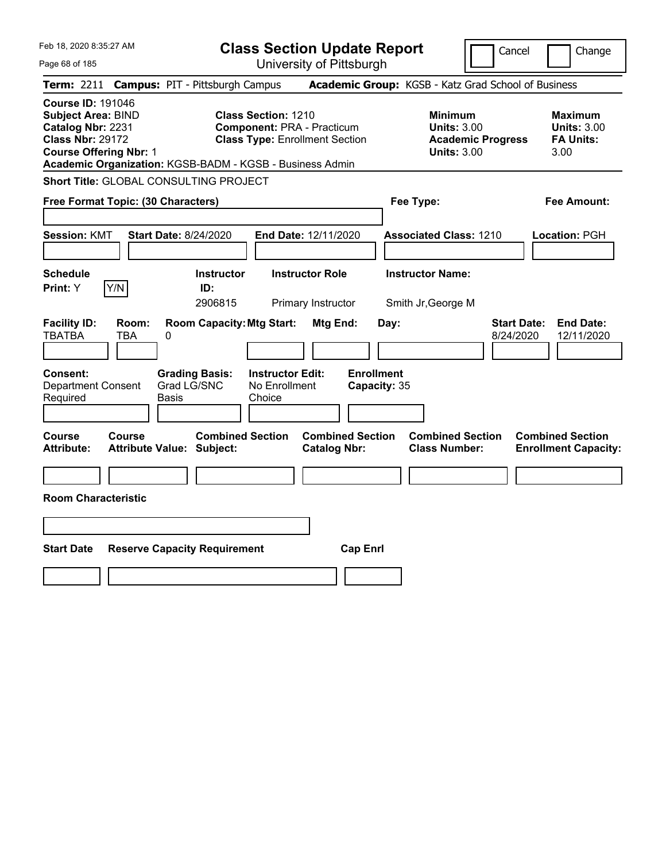| Feb 18, 2020 8:35:27 AM                                                                                                                                                                            | <b>Class Section Update Report</b>                                                                                             |                                                       |                                                                                        | Cancel<br>Change                                                  |
|----------------------------------------------------------------------------------------------------------------------------------------------------------------------------------------------------|--------------------------------------------------------------------------------------------------------------------------------|-------------------------------------------------------|----------------------------------------------------------------------------------------|-------------------------------------------------------------------|
| Page 68 of 185                                                                                                                                                                                     |                                                                                                                                | University of Pittsburgh                              |                                                                                        |                                                                   |
| <b>Term:</b> 2211                                                                                                                                                                                  | <b>Campus: PIT - Pittsburgh Campus</b>                                                                                         |                                                       | Academic Group: KGSB - Katz Grad School of Business                                    |                                                                   |
| <b>Course ID: 191046</b><br><b>Subject Area: BIND</b><br>Catalog Nbr: 2231<br><b>Class Nbr: 29172</b><br><b>Course Offering Nbr: 1</b><br>Academic Organization: KGSB-BADM - KGSB - Business Admin | <b>Class Section: 1210</b><br><b>Component: PRA - Practicum</b><br><b>Class Type: Enrollment Section</b>                       |                                                       | <b>Minimum</b><br><b>Units: 3.00</b><br><b>Academic Progress</b><br><b>Units: 3.00</b> | <b>Maximum</b><br><b>Units: 3.00</b><br><b>FA Units:</b><br>3.00  |
| Short Title: GLOBAL CONSULTING PROJECT                                                                                                                                                             |                                                                                                                                |                                                       |                                                                                        |                                                                   |
| Free Format Topic: (30 Characters)                                                                                                                                                                 |                                                                                                                                |                                                       | Fee Type:                                                                              | Fee Amount:                                                       |
| <b>Session: KMT</b><br><b>Start Date: 8/24/2020</b>                                                                                                                                                | End Date: 12/11/2020                                                                                                           |                                                       | <b>Associated Class: 1210</b>                                                          | Location: PGH                                                     |
| <b>Schedule</b>                                                                                                                                                                                    | <b>Instructor Role</b><br><b>Instructor</b>                                                                                    |                                                       | <b>Instructor Name:</b>                                                                |                                                                   |
| Y/N<br>Print: Y                                                                                                                                                                                    | ID:<br>2906815                                                                                                                 | Primary Instructor                                    | Smith Jr, George M                                                                     |                                                                   |
| <b>Facility ID:</b><br>Room:<br><b>TBATBA</b><br>TBA<br>0<br>Consent:<br><b>Department Consent</b><br>Required<br>Basis                                                                            | <b>Room Capacity: Mtg Start:</b><br><b>Grading Basis:</b><br><b>Instructor Edit:</b><br>Grad LG/SNC<br>No Enrollment<br>Choice | Mtg End:<br>Day:<br><b>Enrollment</b><br>Capacity: 35 |                                                                                        | <b>Start Date:</b><br><b>End Date:</b><br>8/24/2020<br>12/11/2020 |
| Course<br><b>Course</b><br><b>Attribute:</b><br><b>Attribute Value: Subject:</b>                                                                                                                   | <b>Combined Section</b>                                                                                                        | <b>Combined Section</b><br><b>Catalog Nbr:</b>        | <b>Combined Section</b><br><b>Class Number:</b>                                        | <b>Combined Section</b><br><b>Enrollment Capacity:</b>            |
|                                                                                                                                                                                                    |                                                                                                                                |                                                       |                                                                                        |                                                                   |
| <b>Room Characteristic</b>                                                                                                                                                                         |                                                                                                                                |                                                       |                                                                                        |                                                                   |
|                                                                                                                                                                                                    |                                                                                                                                |                                                       |                                                                                        |                                                                   |
| <b>Start Date</b><br><b>Reserve Capacity Requirement</b>                                                                                                                                           |                                                                                                                                | <b>Cap Enrl</b>                                       |                                                                                        |                                                                   |
|                                                                                                                                                                                                    |                                                                                                                                |                                                       |                                                                                        |                                                                   |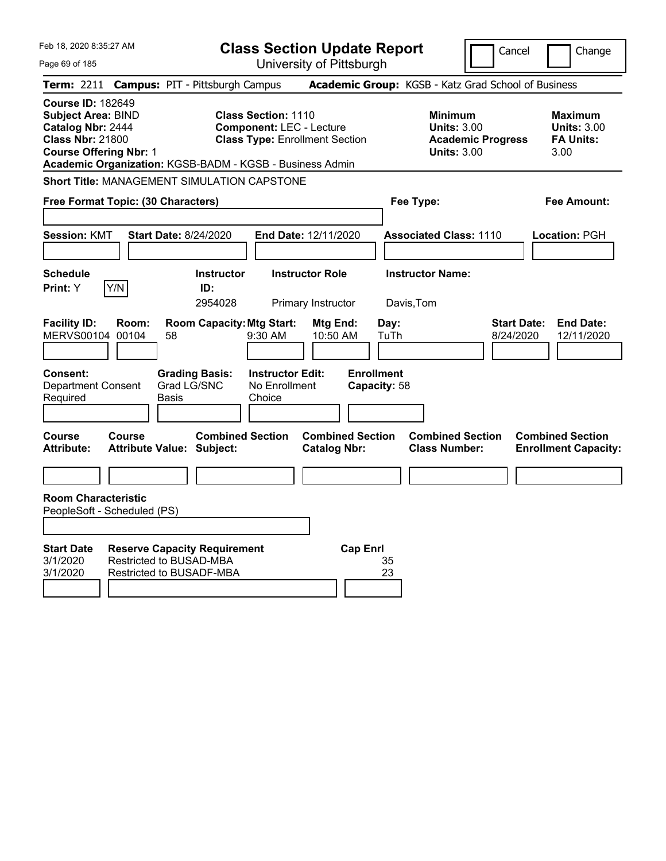| Feb 18, 2020 8:35:27 AM<br>Page 69 of 185                                                                                       |        |                                                                                                   |                                                               | <b>Class Section Update Report</b><br>University of Pittsburgh |                                                   |                                                     |                          | Cancel                          | Change                                                           |
|---------------------------------------------------------------------------------------------------------------------------------|--------|---------------------------------------------------------------------------------------------------|---------------------------------------------------------------|----------------------------------------------------------------|---------------------------------------------------|-----------------------------------------------------|--------------------------|---------------------------------|------------------------------------------------------------------|
| <b>Term: 2211</b>                                                                                                               |        | <b>Campus: PIT - Pittsburgh Campus</b>                                                            |                                                               |                                                                |                                                   | Academic Group: KGSB - Katz Grad School of Business |                          |                                 |                                                                  |
| <b>Course ID: 182649</b><br>Subject Area: BIND<br>Catalog Nbr: 2444<br><b>Class Nbr: 21800</b><br><b>Course Offering Nbr: 1</b> |        | Academic Organization: KGSB-BADM - KGSB - Business Admin                                          | <b>Class Section: 1110</b><br><b>Component: LEC - Lecture</b> | <b>Class Type: Enrollment Section</b>                          |                                                   | Minimum<br><b>Units: 3.00</b><br><b>Units: 3.00</b> | <b>Academic Progress</b> |                                 | <b>Maximum</b><br><b>Units: 3.00</b><br><b>FA Units:</b><br>3.00 |
|                                                                                                                                 |        | <b>Short Title: MANAGEMENT SIMULATION CAPSTONE</b>                                                |                                                               |                                                                |                                                   |                                                     |                          |                                 |                                                                  |
| Free Format Topic: (30 Characters)                                                                                              |        |                                                                                                   |                                                               |                                                                |                                                   | Fee Type:                                           |                          |                                 | Fee Amount:                                                      |
| <b>Session: KMT</b>                                                                                                             |        | <b>Start Date: 8/24/2020</b>                                                                      |                                                               | <b>End Date: 12/11/2020</b>                                    |                                                   | <b>Associated Class: 1110</b>                       |                          |                                 | Location: PGH                                                    |
| <b>Schedule</b>                                                                                                                 |        | <b>Instructor</b>                                                                                 |                                                               | <b>Instructor Role</b>                                         |                                                   | <b>Instructor Name:</b>                             |                          |                                 |                                                                  |
| Print: Y                                                                                                                        | Y/N    | ID:<br>2954028                                                                                    |                                                               | Primary Instructor                                             | Davis,Tom                                         |                                                     |                          |                                 |                                                                  |
| <b>Facility ID:</b><br>MERVS00104 00104<br><b>Consent:</b><br><b>Department Consent</b><br>Required                             | Room:  | <b>Room Capacity: Mtg Start:</b><br>58<br><b>Grading Basis:</b><br>Grad LG/SNC<br>Basis           | 9:30 AM<br><b>Instructor Edit:</b><br>No Enrollment<br>Choice | Mtg End:<br>10:50 AM                                           | Day:<br>TuTh<br><b>Enrollment</b><br>Capacity: 58 |                                                     |                          | <b>Start Date:</b><br>8/24/2020 | <b>End Date:</b><br>12/11/2020                                   |
| Course<br><b>Attribute:</b>                                                                                                     | Course | <b>Attribute Value: Subject:</b>                                                                  | <b>Combined Section</b>                                       | <b>Combined Section</b><br><b>Catalog Nbr:</b>                 |                                                   | <b>Combined Section</b><br><b>Class Number:</b>     |                          |                                 | <b>Combined Section</b><br><b>Enrollment Capacity:</b>           |
|                                                                                                                                 |        |                                                                                                   |                                                               |                                                                |                                                   |                                                     |                          |                                 |                                                                  |
| <b>Room Characteristic</b><br>PeopleSoft - Scheduled (PS)                                                                       |        |                                                                                                   |                                                               |                                                                |                                                   |                                                     |                          |                                 |                                                                  |
| <b>Start Date</b><br>3/1/2020<br>3/1/2020                                                                                       |        | <b>Reserve Capacity Requirement</b><br><b>Restricted to BUSAD-MBA</b><br>Restricted to BUSADF-MBA |                                                               |                                                                | <b>Cap Enrl</b><br>35<br>23                       |                                                     |                          |                                 |                                                                  |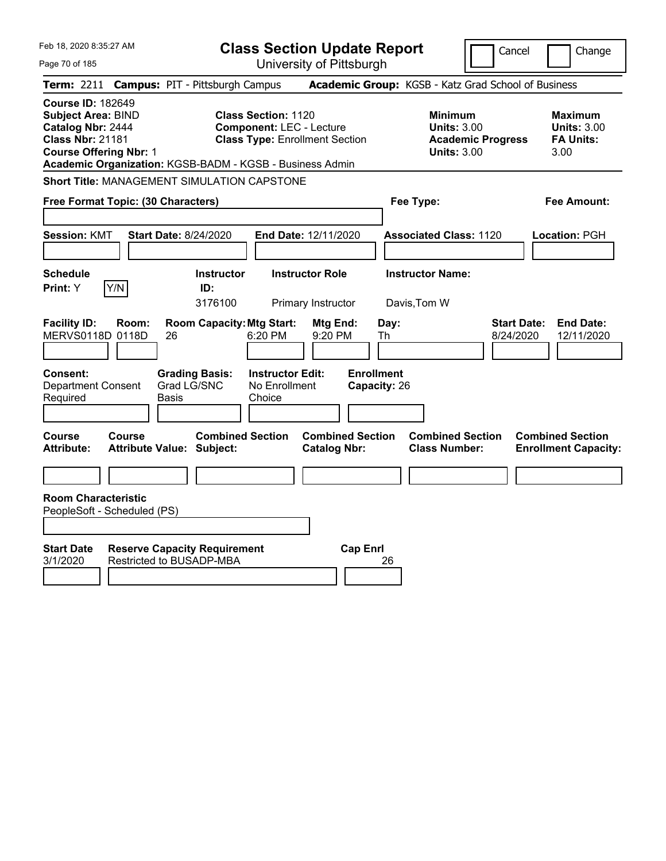| Feb 18, 2020 8:35:27 AM                                                                                                                | <b>Class Section Update Report</b>                                                                                                                                 |                                                |                                                                                        | Cancel<br>Change                                                  |
|----------------------------------------------------------------------------------------------------------------------------------------|--------------------------------------------------------------------------------------------------------------------------------------------------------------------|------------------------------------------------|----------------------------------------------------------------------------------------|-------------------------------------------------------------------|
| Page 70 of 185                                                                                                                         |                                                                                                                                                                    | University of Pittsburgh                       |                                                                                        |                                                                   |
| <b>Term: 2211</b>                                                                                                                      | <b>Campus: PIT - Pittsburgh Campus</b>                                                                                                                             |                                                | Academic Group: KGSB - Katz Grad School of Business                                    |                                                                   |
| <b>Course ID: 182649</b><br><b>Subject Area: BIND</b><br>Catalog Nbr: 2444<br><b>Class Nbr: 21181</b><br><b>Course Offering Nbr: 1</b> | <b>Class Section: 1120</b><br><b>Component: LEC - Lecture</b><br><b>Class Type: Enrollment Section</b><br>Academic Organization: KGSB-BADM - KGSB - Business Admin |                                                | <b>Minimum</b><br><b>Units: 3.00</b><br><b>Academic Progress</b><br><b>Units: 3.00</b> | <b>Maximum</b><br><b>Units: 3.00</b><br><b>FA Units:</b><br>3.00  |
| <b>Short Title: MANAGEMENT SIMULATION CAPSTONE</b>                                                                                     |                                                                                                                                                                    |                                                |                                                                                        |                                                                   |
| Free Format Topic: (30 Characters)                                                                                                     |                                                                                                                                                                    |                                                | Fee Type:                                                                              | Fee Amount:                                                       |
| <b>Session: KMT</b><br><b>Start Date: 8/24/2020</b>                                                                                    | End Date: 12/11/2020                                                                                                                                               |                                                | <b>Associated Class: 1120</b>                                                          | Location: PGH                                                     |
| <b>Schedule</b><br>Y/N<br>Print: Y                                                                                                     | <b>Instructor Role</b><br><b>Instructor</b><br>ID:<br>3176100<br>Primary Instructor                                                                                |                                                | <b>Instructor Name:</b><br>Davis, Tom W                                                |                                                                   |
| <b>Facility ID:</b><br>Room:<br>MERVS0118D 0118D<br>26                                                                                 | <b>Room Capacity: Mtg Start:</b><br>6:20 PM                                                                                                                        | Mtg End:<br>Day:<br>9:20 PM<br>Th              |                                                                                        | <b>Start Date:</b><br><b>End Date:</b><br>8/24/2020<br>12/11/2020 |
| Consent:<br><b>Department Consent</b><br>Required<br>Basis                                                                             | <b>Grading Basis:</b><br><b>Instructor Edit:</b><br>Grad LG/SNC<br>No Enrollment<br>Choice                                                                         | <b>Enrollment</b><br>Capacity: 26              |                                                                                        |                                                                   |
| <b>Course</b><br>Course<br><b>Attribute:</b><br><b>Attribute Value: Subject:</b>                                                       | <b>Combined Section</b>                                                                                                                                            | <b>Combined Section</b><br><b>Catalog Nbr:</b> | <b>Combined Section</b><br><b>Class Number:</b>                                        | <b>Combined Section</b><br><b>Enrollment Capacity:</b>            |
|                                                                                                                                        |                                                                                                                                                                    |                                                |                                                                                        |                                                                   |
| <b>Room Characteristic</b><br>PeopleSoft - Scheduled (PS)                                                                              |                                                                                                                                                                    |                                                |                                                                                        |                                                                   |
| <b>Start Date</b><br>Restricted to BUSADP-MBA<br>3/1/2020                                                                              | <b>Reserve Capacity Requirement</b>                                                                                                                                | <b>Cap Enrl</b><br>26                          |                                                                                        |                                                                   |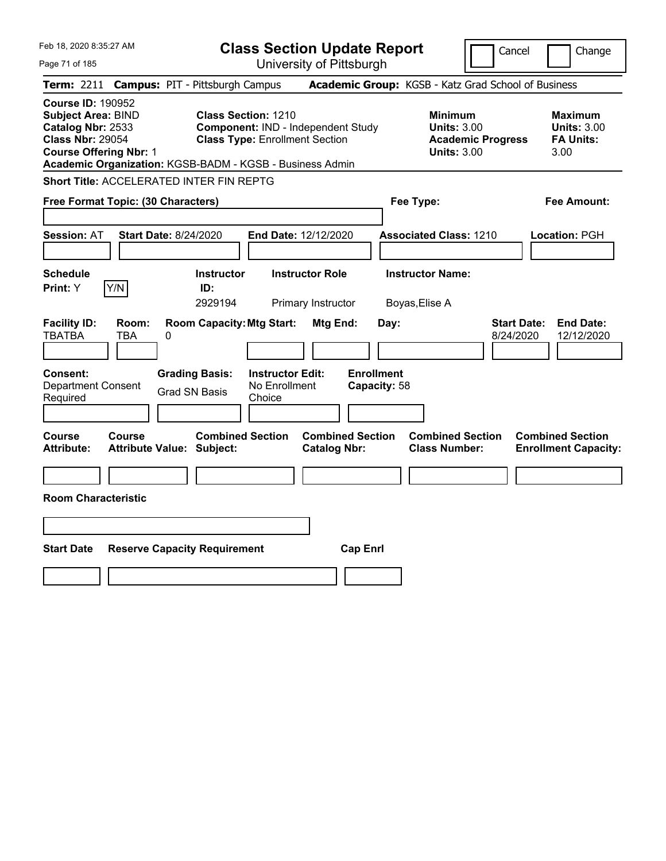| Feb 18, 2020 8:35:27 AM                                                                                                                                                                            |                                                      |                                                                             | <b>Class Section Update Report</b>             |                                                            | Cancel                          | Change                                                           |
|----------------------------------------------------------------------------------------------------------------------------------------------------------------------------------------------------|------------------------------------------------------|-----------------------------------------------------------------------------|------------------------------------------------|------------------------------------------------------------|---------------------------------|------------------------------------------------------------------|
| Page 71 of 185                                                                                                                                                                                     |                                                      |                                                                             | University of Pittsburgh                       |                                                            |                                 |                                                                  |
| Term: 2211                                                                                                                                                                                         | <b>Campus: PIT - Pittsburgh Campus</b>               |                                                                             |                                                | Academic Group: KGSB - Katz Grad School of Business        |                                 |                                                                  |
| <b>Course ID: 190952</b><br><b>Subject Area: BIND</b><br>Catalog Nbr: 2533<br><b>Class Nbr: 29054</b><br><b>Course Offering Nbr: 1</b><br>Academic Organization: KGSB-BADM - KGSB - Business Admin | Class Section: 1210                                  | Component: IND - Independent Study<br><b>Class Type: Enrollment Section</b> |                                                | <b>Minimum</b><br><b>Units: 3.00</b><br><b>Units: 3.00</b> | <b>Academic Progress</b>        | <b>Maximum</b><br><b>Units: 3.00</b><br><b>FA Units:</b><br>3.00 |
| Short Title: ACCELERATED INTER FIN REPTG                                                                                                                                                           |                                                      |                                                                             |                                                |                                                            |                                 |                                                                  |
| Free Format Topic: (30 Characters)                                                                                                                                                                 |                                                      |                                                                             |                                                | Fee Type:                                                  |                                 | Fee Amount:                                                      |
| <b>Session: AT</b>                                                                                                                                                                                 | Start Date: 8/24/2020                                | <b>End Date: 12/12/2020</b>                                                 |                                                | <b>Associated Class: 1210</b>                              |                                 | Location: PGH                                                    |
| <b>Schedule</b><br>Y/N<br>Print: Y                                                                                                                                                                 | <b>Instructor</b><br>ID:<br>2929194                  | <b>Instructor Role</b><br>Primary Instructor                                |                                                | <b>Instructor Name:</b><br>Boyas, Elise A                  |                                 |                                                                  |
| <b>Facility ID:</b><br>Room:<br><b>TBATBA</b><br><b>TBA</b>                                                                                                                                        | <b>Room Capacity: Mtg Start:</b><br>0                |                                                                             | Mtg End:<br>Day:                               |                                                            | <b>Start Date:</b><br>8/24/2020 | <b>End Date:</b><br>12/12/2020                                   |
| Consent:<br><b>Department Consent</b><br>Required                                                                                                                                                  | <b>Grading Basis:</b><br><b>Grad SN Basis</b>        | <b>Instructor Edit:</b><br>No Enrollment<br>Choice                          | <b>Enrollment</b><br>Capacity: 58              |                                                            |                                 |                                                                  |
| Course<br>Course<br><b>Attribute:</b>                                                                                                                                                              | <b>Combined Section</b><br>Attribute Value: Subject: |                                                                             | <b>Combined Section</b><br><b>Catalog Nbr:</b> | <b>Combined Section</b><br><b>Class Number:</b>            |                                 | <b>Combined Section</b><br><b>Enrollment Capacity:</b>           |
| <b>Room Characteristic</b>                                                                                                                                                                         |                                                      |                                                                             |                                                |                                                            |                                 |                                                                  |
|                                                                                                                                                                                                    |                                                      |                                                                             |                                                |                                                            |                                 |                                                                  |
| <b>Start Date</b>                                                                                                                                                                                  | <b>Reserve Capacity Requirement</b>                  |                                                                             | <b>Cap Enrl</b>                                |                                                            |                                 |                                                                  |
|                                                                                                                                                                                                    |                                                      |                                                                             |                                                |                                                            |                                 |                                                                  |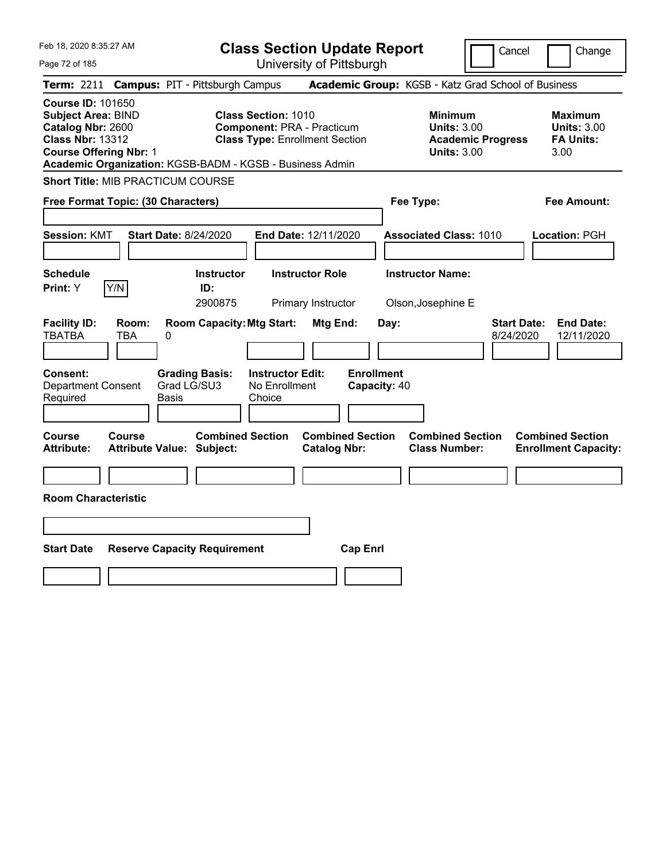|  | Feb 18, 2020 8:35:27 AM |  |
|--|-------------------------|--|
|  |                         |  |

| Feb 18, 2020 8:35:27 AM                                                                                                                |                                                                                                                                                                      | <b>Class Section Update Report</b>             |                                                                                        | Cancel                          | Change                                                           |
|----------------------------------------------------------------------------------------------------------------------------------------|----------------------------------------------------------------------------------------------------------------------------------------------------------------------|------------------------------------------------|----------------------------------------------------------------------------------------|---------------------------------|------------------------------------------------------------------|
| Page 72 of 185                                                                                                                         |                                                                                                                                                                      | University of Pittsburgh                       |                                                                                        |                                 |                                                                  |
|                                                                                                                                        | Term: 2211 Campus: PIT - Pittsburgh Campus                                                                                                                           |                                                | Academic Group: KGSB - Katz Grad School of Business                                    |                                 |                                                                  |
| <b>Course ID: 101650</b><br><b>Subject Area: BIND</b><br>Catalog Nbr: 2600<br><b>Class Nbr: 13312</b><br><b>Course Offering Nbr: 1</b> | <b>Class Section: 1010</b><br><b>Component: PRA - Practicum</b><br><b>Class Type: Enrollment Section</b><br>Academic Organization: KGSB-BADM - KGSB - Business Admin |                                                | <b>Minimum</b><br><b>Units: 3.00</b><br><b>Academic Progress</b><br><b>Units: 3.00</b> |                                 | <b>Maximum</b><br><b>Units: 3.00</b><br><b>FA Units:</b><br>3.00 |
| <b>Short Title: MIB PRACTICUM COURSE</b>                                                                                               |                                                                                                                                                                      |                                                |                                                                                        |                                 |                                                                  |
| Free Format Topic: (30 Characters)                                                                                                     |                                                                                                                                                                      |                                                | Fee Type:                                                                              |                                 | Fee Amount:                                                      |
| <b>Session: KMT</b>                                                                                                                    | <b>Start Date: 8/24/2020</b>                                                                                                                                         | End Date: 12/11/2020                           | <b>Associated Class: 1010</b>                                                          |                                 | Location: PGH                                                    |
| <b>Schedule</b><br>Y/N<br>Print: Y                                                                                                     | <b>Instructor</b><br>ID:<br>2900875                                                                                                                                  | <b>Instructor Role</b><br>Primary Instructor   | <b>Instructor Name:</b><br>Olson, Josephine E                                          |                                 |                                                                  |
| <b>Facility ID:</b><br>Room:<br><b>TBATBA</b><br>TBA                                                                                   | <b>Room Capacity: Mtg Start:</b><br>0                                                                                                                                | Mtg End:                                       | Day:                                                                                   | <b>Start Date:</b><br>8/24/2020 | <b>End Date:</b><br>12/11/2020                                   |
| Consent:<br><b>Department Consent</b><br>Required                                                                                      | <b>Instructor Edit:</b><br><b>Grading Basis:</b><br>Grad LG/SU3<br>No Enrollment<br>Basis<br>Choice                                                                  |                                                | <b>Enrollment</b><br>Capacity: 40                                                      |                                 |                                                                  |
| <b>Course</b><br>Course<br><b>Attribute:</b>                                                                                           | <b>Combined Section</b><br><b>Attribute Value: Subject:</b>                                                                                                          | <b>Combined Section</b><br><b>Catalog Nbr:</b> | <b>Combined Section</b><br><b>Class Number:</b>                                        |                                 | <b>Combined Section</b><br><b>Enrollment Capacity:</b>           |
|                                                                                                                                        |                                                                                                                                                                      |                                                |                                                                                        |                                 |                                                                  |
| <b>Room Characteristic</b>                                                                                                             |                                                                                                                                                                      |                                                |                                                                                        |                                 |                                                                  |
|                                                                                                                                        |                                                                                                                                                                      |                                                |                                                                                        |                                 |                                                                  |
| <b>Start Date</b>                                                                                                                      | <b>Reserve Capacity Requirement</b>                                                                                                                                  | <b>Cap Enrl</b>                                |                                                                                        |                                 |                                                                  |
|                                                                                                                                        |                                                                                                                                                                      |                                                |                                                                                        |                                 |                                                                  |
|                                                                                                                                        |                                                                                                                                                                      |                                                |                                                                                        |                                 |                                                                  |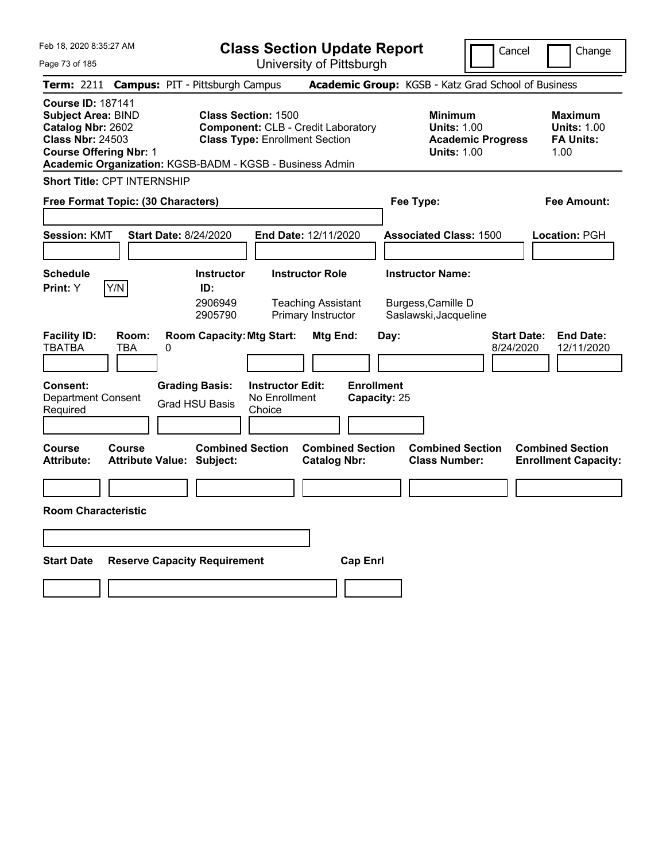Feb 18, 2020 8:35:27 AM

**Class Section Update Report**

Cancel **Change** 

| Page 73 of 185                                                                                                                         | University of Pittsburgh                                                                                                                                                     |                                                |                                                                                        |                                                                  |
|----------------------------------------------------------------------------------------------------------------------------------------|------------------------------------------------------------------------------------------------------------------------------------------------------------------------------|------------------------------------------------|----------------------------------------------------------------------------------------|------------------------------------------------------------------|
| <b>Term: 2211</b>                                                                                                                      | <b>Campus: PIT - Pittsburgh Campus</b>                                                                                                                                       |                                                | Academic Group: KGSB - Katz Grad School of Business                                    |                                                                  |
| <b>Course ID: 187141</b><br><b>Subject Area: BIND</b><br>Catalog Nbr: 2602<br><b>Class Nbr: 24503</b><br><b>Course Offering Nbr: 1</b> | <b>Class Section: 1500</b><br><b>Component: CLB - Credit Laboratory</b><br><b>Class Type: Enrollment Section</b><br>Academic Organization: KGSB-BADM - KGSB - Business Admin |                                                | <b>Minimum</b><br><b>Units: 1.00</b><br><b>Academic Progress</b><br><b>Units: 1.00</b> | <b>Maximum</b><br><b>Units: 1.00</b><br><b>FA Units:</b><br>1.00 |
| <b>Short Title: CPT INTERNSHIP</b>                                                                                                     |                                                                                                                                                                              |                                                |                                                                                        |                                                                  |
| Free Format Topic: (30 Characters)                                                                                                     |                                                                                                                                                                              |                                                | Fee Type:                                                                              | Fee Amount:                                                      |
| <b>Session: KMT</b>                                                                                                                    | <b>Start Date: 8/24/2020</b><br>End Date: 12/11/2020                                                                                                                         |                                                | <b>Associated Class: 1500</b>                                                          | Location: PGH                                                    |
| <b>Schedule</b><br>Y/N<br>Print: Y                                                                                                     | <b>Instructor</b><br><b>Instructor Role</b><br>ID:<br>2906949<br><b>Teaching Assistant</b><br>Primary Instructor<br>2905790                                                  |                                                | <b>Instructor Name:</b><br>Burgess, Camille D<br>Saslawski, Jacqueline                 |                                                                  |
| <b>Facility ID:</b><br>Room:<br><b>TBATBA</b><br><b>TBA</b>                                                                            | <b>Room Capacity: Mtg Start:</b><br>0                                                                                                                                        | Mtg End:<br>Day:                               | <b>Start Date:</b><br>8/24/2020                                                        | <b>End Date:</b><br>12/11/2020                                   |
| Consent:<br><b>Department Consent</b><br>Required                                                                                      | <b>Grading Basis:</b><br><b>Instructor Edit:</b><br>No Enrollment<br><b>Grad HSU Basis</b><br>Choice                                                                         | <b>Enrollment</b><br>Capacity: 25              |                                                                                        |                                                                  |
| Course<br>Course<br><b>Attribute:</b>                                                                                                  | <b>Combined Section</b><br>Attribute Value: Subject:                                                                                                                         | <b>Combined Section</b><br><b>Catalog Nbr:</b> | <b>Combined Section</b><br><b>Class Number:</b>                                        | <b>Combined Section</b><br><b>Enrollment Capacity:</b>           |
|                                                                                                                                        |                                                                                                                                                                              |                                                |                                                                                        |                                                                  |
| <b>Room Characteristic</b>                                                                                                             |                                                                                                                                                                              |                                                |                                                                                        |                                                                  |
|                                                                                                                                        |                                                                                                                                                                              |                                                |                                                                                        |                                                                  |
| <b>Start Date</b>                                                                                                                      | <b>Reserve Capacity Requirement</b>                                                                                                                                          | <b>Cap Enrl</b>                                |                                                                                        |                                                                  |
|                                                                                                                                        |                                                                                                                                                                              |                                                |                                                                                        |                                                                  |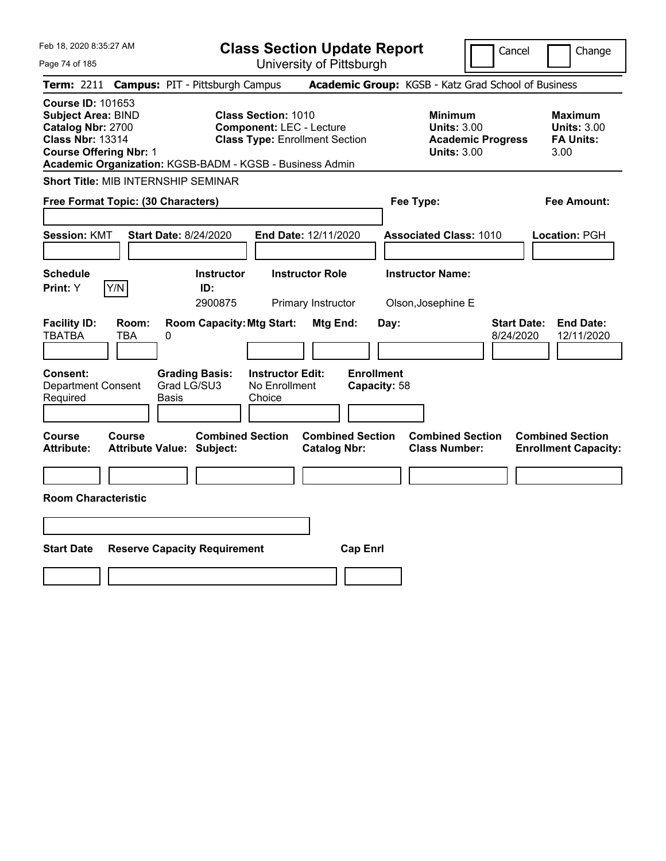| Feb 18, 2020 8:35:27 AM |  |
|-------------------------|--|
|                         |  |

**Class Section Update Report** University of Pittsburgh

Cancel Change

Page 74 of 185

|                                                                                                                                        |                     | <b>Term: 2211 Campus: PIT - Pittsburgh Campus</b>           |                                                               |                                                |                                   | <b>Academic Group:</b> KGSB - Katz Grad School of Business                             |                                 |                                                                  |
|----------------------------------------------------------------------------------------------------------------------------------------|---------------------|-------------------------------------------------------------|---------------------------------------------------------------|------------------------------------------------|-----------------------------------|----------------------------------------------------------------------------------------|---------------------------------|------------------------------------------------------------------|
| <b>Course ID: 101653</b><br><b>Subject Area: BIND</b><br>Catalog Nbr: 2700<br><b>Class Nbr: 13314</b><br><b>Course Offering Nbr: 1</b> |                     | Academic Organization: KGSB-BADM - KGSB - Business Admin    | <b>Class Section: 1010</b><br><b>Component: LEC - Lecture</b> | <b>Class Type: Enrollment Section</b>          |                                   | <b>Minimum</b><br><b>Units: 3.00</b><br><b>Academic Progress</b><br><b>Units: 3.00</b> |                                 | <b>Maximum</b><br><b>Units: 3.00</b><br><b>FA Units:</b><br>3.00 |
|                                                                                                                                        |                     | Short Title: MIB INTERNSHIP SEMINAR                         |                                                               |                                                |                                   |                                                                                        |                                 |                                                                  |
|                                                                                                                                        |                     | Free Format Topic: (30 Characters)                          |                                                               |                                                | Fee Type:                         |                                                                                        |                                 | <b>Fee Amount:</b>                                               |
| <b>Session: KMT</b>                                                                                                                    |                     | <b>Start Date: 8/24/2020</b>                                |                                                               | End Date: 12/11/2020                           |                                   | <b>Associated Class: 1010</b>                                                          |                                 | Location: PGH                                                    |
| <b>Schedule</b><br>Print: Y                                                                                                            | Y/N                 | <b>Instructor</b><br>ID:<br>2900875                         |                                                               | <b>Instructor Role</b><br>Primary Instructor   |                                   | <b>Instructor Name:</b><br>Olson, Josephine E                                          |                                 |                                                                  |
| <b>Facility ID:</b><br><b>TBATBA</b>                                                                                                   | Room:<br><b>TBA</b> | <b>Room Capacity: Mtg Start:</b><br>0                       |                                                               | Mtg End:                                       | Day:                              |                                                                                        | <b>Start Date:</b><br>8/24/2020 | <b>End Date:</b><br>12/11/2020                                   |
| <b>Consent:</b><br>Department Consent<br>Required                                                                                      |                     | <b>Grading Basis:</b><br>Grad LG/SU3<br>Basis               | <b>Instructor Edit:</b><br>No Enrollment<br>Choice            |                                                | <b>Enrollment</b><br>Capacity: 58 |                                                                                        |                                 |                                                                  |
| <b>Course</b><br><b>Attribute:</b>                                                                                                     | Course              | <b>Combined Section</b><br><b>Attribute Value: Subject:</b> |                                                               | <b>Combined Section</b><br><b>Catalog Nbr:</b> |                                   | <b>Combined Section</b><br><b>Class Number:</b>                                        |                                 | <b>Combined Section</b><br><b>Enrollment Capacity:</b>           |
| <b>Room Characteristic</b>                                                                                                             |                     |                                                             |                                                               |                                                |                                   |                                                                                        |                                 |                                                                  |
| <b>Start Date</b>                                                                                                                      |                     | <b>Reserve Capacity Requirement</b>                         |                                                               | <b>Cap Enrl</b>                                |                                   |                                                                                        |                                 |                                                                  |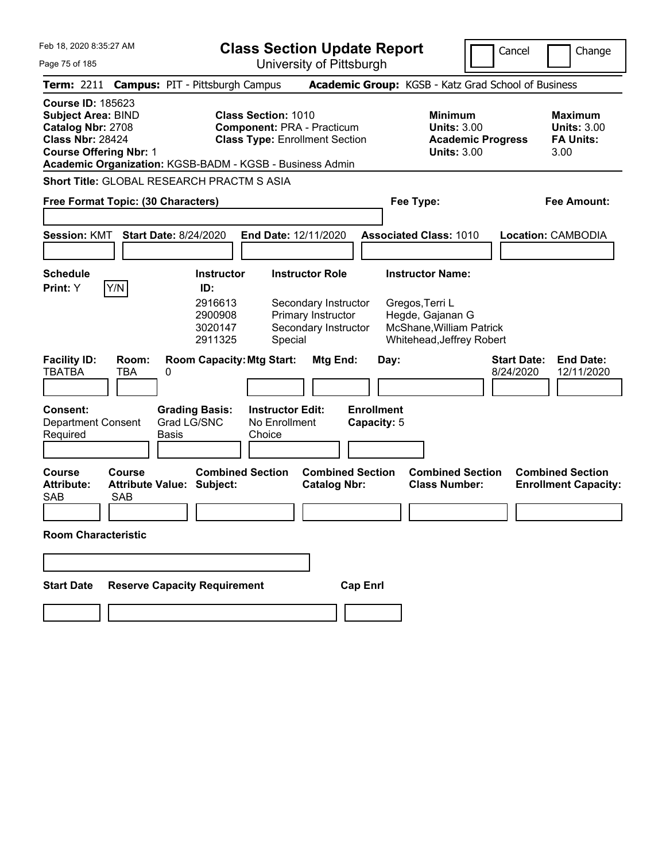| Feb 18, 2020 8:35:27 AM                                                                                                                                                                            |                                                                                                          | <b>Class Section Update Report</b>                                                           |                                                                                                                         | Cancel<br>Change                                                  |
|----------------------------------------------------------------------------------------------------------------------------------------------------------------------------------------------------|----------------------------------------------------------------------------------------------------------|----------------------------------------------------------------------------------------------|-------------------------------------------------------------------------------------------------------------------------|-------------------------------------------------------------------|
| Page 75 of 185                                                                                                                                                                                     |                                                                                                          | University of Pittsburgh                                                                     |                                                                                                                         |                                                                   |
| <b>Term: 2211</b>                                                                                                                                                                                  | <b>Campus: PIT - Pittsburgh Campus</b>                                                                   |                                                                                              | Academic Group: KGSB - Katz Grad School of Business                                                                     |                                                                   |
| <b>Course ID: 185623</b><br><b>Subject Area: BIND</b><br>Catalog Nbr: 2708<br><b>Class Nbr: 28424</b><br><b>Course Offering Nbr: 1</b><br>Academic Organization: KGSB-BADM - KGSB - Business Admin | <b>Class Section: 1010</b><br><b>Component: PRA - Practicum</b><br><b>Class Type: Enrollment Section</b> |                                                                                              | <b>Minimum</b><br><b>Units: 3.00</b><br><b>Academic Progress</b><br><b>Units: 3.00</b>                                  | <b>Maximum</b><br><b>Units: 3.00</b><br><b>FA Units:</b><br>3.00  |
| <b>Short Title: GLOBAL RESEARCH PRACTM S ASIA</b>                                                                                                                                                  |                                                                                                          |                                                                                              |                                                                                                                         |                                                                   |
| Free Format Topic: (30 Characters)                                                                                                                                                                 |                                                                                                          |                                                                                              | Fee Type:                                                                                                               | <b>Fee Amount:</b>                                                |
| <b>Session: KMT</b><br><b>Start Date: 8/24/2020</b>                                                                                                                                                | End Date: 12/11/2020                                                                                     |                                                                                              | <b>Associated Class: 1010</b>                                                                                           | Location: CAMBODIA                                                |
| <b>Schedule</b><br>Y/N<br>Print: Y                                                                                                                                                                 | <b>Instructor</b><br>ID:<br>2916613<br>2900908<br>3020147<br>2911325<br>Special                          | <b>Instructor Role</b><br>Secondary Instructor<br>Primary Instructor<br>Secondary Instructor | <b>Instructor Name:</b><br>Gregos, Terri L<br>Hegde, Gajanan G<br>McShane, William Patrick<br>Whitehead, Jeffrey Robert |                                                                   |
| <b>Facility ID:</b><br>Room:<br><b>TBATBA</b><br>TBA<br>0                                                                                                                                          | <b>Room Capacity: Mtg Start:</b>                                                                         | Mtg End:<br>Day:                                                                             |                                                                                                                         | <b>Start Date:</b><br><b>End Date:</b><br>8/24/2020<br>12/11/2020 |
| <b>Consent:</b><br><b>Department Consent</b><br><b>Basis</b><br>Required                                                                                                                           | <b>Grading Basis:</b><br><b>Instructor Edit:</b><br>Grad LG/SNC<br>No Enrollment<br>Choice               | <b>Enrollment</b><br>Capacity: 5                                                             |                                                                                                                         |                                                                   |
| <b>Course</b><br>Course<br><b>Attribute:</b><br><b>Attribute Value: Subject:</b><br><b>SAB</b><br><b>SAB</b>                                                                                       | <b>Combined Section</b>                                                                                  | <b>Combined Section</b><br><b>Catalog Nbr:</b>                                               | <b>Combined Section</b><br><b>Class Number:</b>                                                                         | <b>Combined Section</b><br><b>Enrollment Capacity:</b>            |
| <b>Room Characteristic</b>                                                                                                                                                                         |                                                                                                          |                                                                                              |                                                                                                                         |                                                                   |
|                                                                                                                                                                                                    |                                                                                                          |                                                                                              |                                                                                                                         |                                                                   |
| <b>Start Date</b>                                                                                                                                                                                  | <b>Reserve Capacity Requirement</b>                                                                      | <b>Cap Enrl</b>                                                                              |                                                                                                                         |                                                                   |
|                                                                                                                                                                                                    |                                                                                                          |                                                                                              |                                                                                                                         |                                                                   |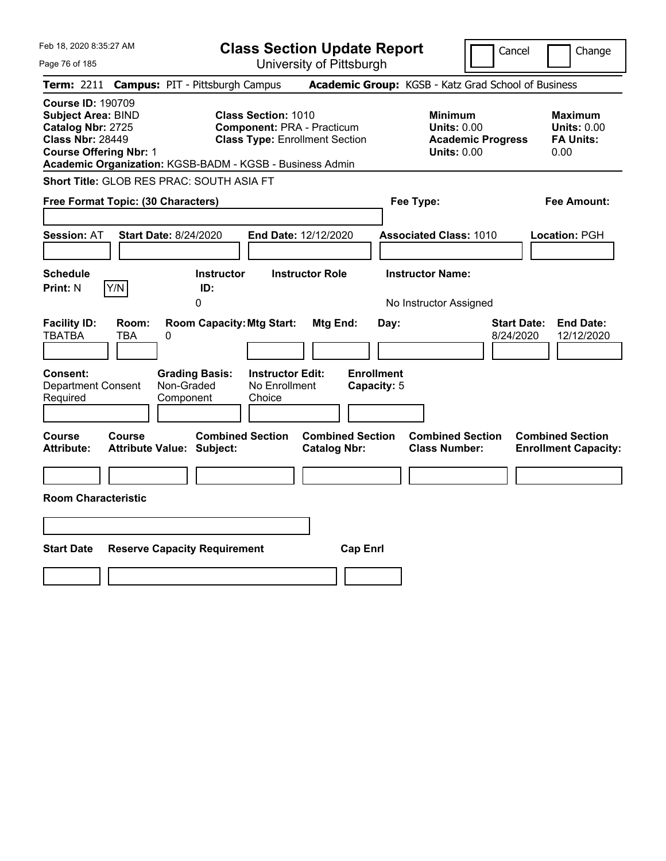| Feb 18, 2020 8:35:27 AM                                                                                                                                                                            |                                                  |                                                                                                          | <b>Class Section Update Report</b>             |                                                                                        | Cancel<br>Change                                                  |
|----------------------------------------------------------------------------------------------------------------------------------------------------------------------------------------------------|--------------------------------------------------|----------------------------------------------------------------------------------------------------------|------------------------------------------------|----------------------------------------------------------------------------------------|-------------------------------------------------------------------|
| Page 76 of 185                                                                                                                                                                                     |                                                  |                                                                                                          | University of Pittsburgh                       |                                                                                        |                                                                   |
| Term: 2211                                                                                                                                                                                         | <b>Campus: PIT - Pittsburgh Campus</b>           |                                                                                                          |                                                | Academic Group: KGSB - Katz Grad School of Business                                    |                                                                   |
| <b>Course ID: 190709</b><br><b>Subject Area: BIND</b><br>Catalog Nbr: 2725<br><b>Class Nbr: 28449</b><br><b>Course Offering Nbr: 1</b><br>Academic Organization: KGSB-BADM - KGSB - Business Admin |                                                  | <b>Class Section: 1010</b><br><b>Component: PRA - Practicum</b><br><b>Class Type: Enrollment Section</b> |                                                | <b>Minimum</b><br><b>Units: 0.00</b><br><b>Academic Progress</b><br><b>Units: 0.00</b> | <b>Maximum</b><br><b>Units: 0.00</b><br><b>FA Units:</b><br>0.00  |
| Short Title: GLOB RES PRAC: SOUTH ASIA FT                                                                                                                                                          |                                                  |                                                                                                          |                                                |                                                                                        |                                                                   |
| Free Format Topic: (30 Characters)                                                                                                                                                                 |                                                  |                                                                                                          |                                                | Fee Type:                                                                              | Fee Amount:                                                       |
| <b>Session: AT</b>                                                                                                                                                                                 | Start Date: 8/24/2020                            | End Date: 12/12/2020                                                                                     |                                                | <b>Associated Class: 1010</b>                                                          | Location: PGH                                                     |
| <b>Schedule</b><br>Y/N<br><b>Print: N</b>                                                                                                                                                          | <b>Instructor</b><br>ID:<br>0                    | <b>Instructor Role</b>                                                                                   |                                                | <b>Instructor Name:</b><br>No Instructor Assigned                                      |                                                                   |
| <b>Facility ID:</b><br>Room:<br><b>TBATBA</b><br>TBA                                                                                                                                               | 0                                                | <b>Room Capacity: Mtg Start:</b>                                                                         | Mtg End:<br>Day:                               |                                                                                        | <b>Start Date:</b><br><b>End Date:</b><br>8/24/2020<br>12/12/2020 |
| Consent:<br><b>Department Consent</b><br>Required                                                                                                                                                  | <b>Grading Basis:</b><br>Non-Graded<br>Component | <b>Instructor Edit:</b><br>No Enrollment<br>Choice                                                       | <b>Enrollment</b><br>Capacity: 5               |                                                                                        |                                                                   |
| Course<br><b>Course</b><br><b>Attribute:</b>                                                                                                                                                       | Attribute Value: Subject:                        | <b>Combined Section</b>                                                                                  | <b>Combined Section</b><br><b>Catalog Nbr:</b> | <b>Combined Section</b><br><b>Class Number:</b>                                        | <b>Combined Section</b><br><b>Enrollment Capacity:</b>            |
| <b>Room Characteristic</b>                                                                                                                                                                         |                                                  |                                                                                                          |                                                |                                                                                        |                                                                   |
|                                                                                                                                                                                                    |                                                  |                                                                                                          |                                                |                                                                                        |                                                                   |
| <b>Start Date</b>                                                                                                                                                                                  | <b>Reserve Capacity Requirement</b>              |                                                                                                          | <b>Cap Enrl</b>                                |                                                                                        |                                                                   |
|                                                                                                                                                                                                    |                                                  |                                                                                                          |                                                |                                                                                        |                                                                   |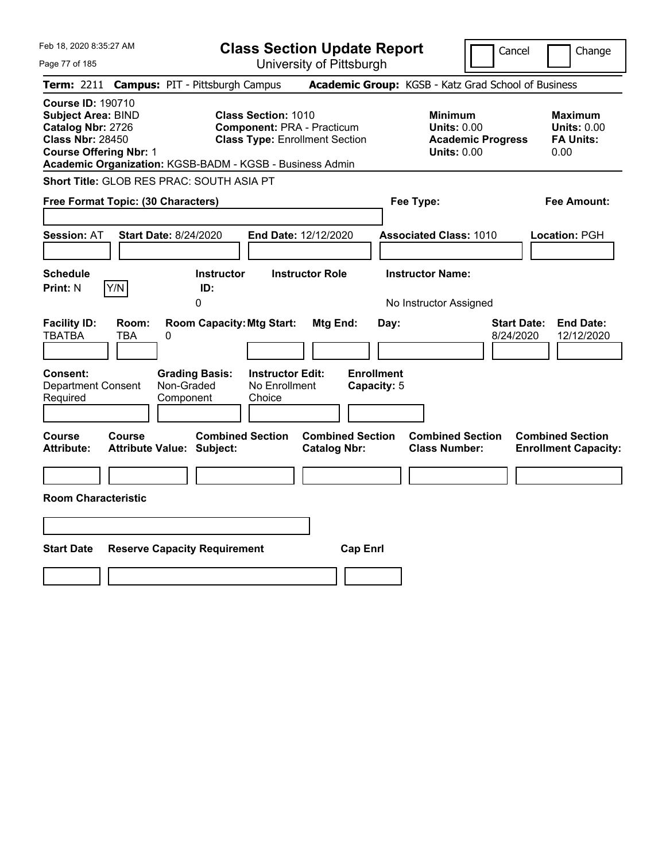| Feb 18, 2020 8:35:27 AM                                                                                                                                                                            |                                                                                                          | <b>Class Section Update Report</b>             |                                                                                        | Cancel<br>Change                                                  |
|----------------------------------------------------------------------------------------------------------------------------------------------------------------------------------------------------|----------------------------------------------------------------------------------------------------------|------------------------------------------------|----------------------------------------------------------------------------------------|-------------------------------------------------------------------|
| Page 77 of 185                                                                                                                                                                                     |                                                                                                          | University of Pittsburgh                       |                                                                                        |                                                                   |
| Term: 2211                                                                                                                                                                                         | <b>Campus: PIT - Pittsburgh Campus</b>                                                                   |                                                | Academic Group: KGSB - Katz Grad School of Business                                    |                                                                   |
| <b>Course ID: 190710</b><br><b>Subject Area: BIND</b><br>Catalog Nbr: 2726<br><b>Class Nbr: 28450</b><br><b>Course Offering Nbr: 1</b><br>Academic Organization: KGSB-BADM - KGSB - Business Admin | <b>Class Section: 1010</b><br><b>Component: PRA - Practicum</b><br><b>Class Type: Enrollment Section</b> |                                                | <b>Minimum</b><br><b>Units: 0.00</b><br><b>Academic Progress</b><br><b>Units: 0.00</b> | <b>Maximum</b><br><b>Units: 0.00</b><br><b>FA Units:</b><br>0.00  |
| Short Title: GLOB RES PRAC: SOUTH ASIA PT                                                                                                                                                          |                                                                                                          |                                                |                                                                                        |                                                                   |
| Free Format Topic: (30 Characters)                                                                                                                                                                 |                                                                                                          |                                                | Fee Type:                                                                              | Fee Amount:                                                       |
| <b>Session: AT</b><br>Start Date: 8/24/2020                                                                                                                                                        | <b>End Date: 12/12/2020</b>                                                                              |                                                | <b>Associated Class: 1010</b>                                                          | Location: PGH                                                     |
| <b>Schedule</b><br>Y/N<br><b>Print: N</b>                                                                                                                                                          | <b>Instructor</b><br><b>Instructor Role</b><br>ID:<br>0                                                  |                                                | <b>Instructor Name:</b><br>No Instructor Assigned                                      |                                                                   |
| <b>Facility ID:</b><br>Room:<br><b>TBATBA</b><br><b>TBA</b><br>0                                                                                                                                   | <b>Room Capacity: Mtg Start:</b>                                                                         | Mtg End:<br>Day:                               |                                                                                        | <b>Start Date:</b><br><b>End Date:</b><br>8/24/2020<br>12/12/2020 |
| Consent:<br>Non-Graded<br><b>Department Consent</b><br>Required<br>Component                                                                                                                       | <b>Grading Basis:</b><br><b>Instructor Edit:</b><br>No Enrollment<br>Choice                              | <b>Enrollment</b><br>Capacity: 5               |                                                                                        |                                                                   |
| Course<br>Course<br>Attribute Value: Subject:<br><b>Attribute:</b>                                                                                                                                 | <b>Combined Section</b>                                                                                  | <b>Combined Section</b><br><b>Catalog Nbr:</b> | <b>Combined Section</b><br><b>Class Number:</b>                                        | <b>Combined Section</b><br><b>Enrollment Capacity:</b>            |
| <b>Room Characteristic</b>                                                                                                                                                                         |                                                                                                          |                                                |                                                                                        |                                                                   |
|                                                                                                                                                                                                    |                                                                                                          |                                                |                                                                                        |                                                                   |
| <b>Start Date</b><br><b>Reserve Capacity Requirement</b>                                                                                                                                           |                                                                                                          | <b>Cap Enrl</b>                                |                                                                                        |                                                                   |
|                                                                                                                                                                                                    |                                                                                                          |                                                |                                                                                        |                                                                   |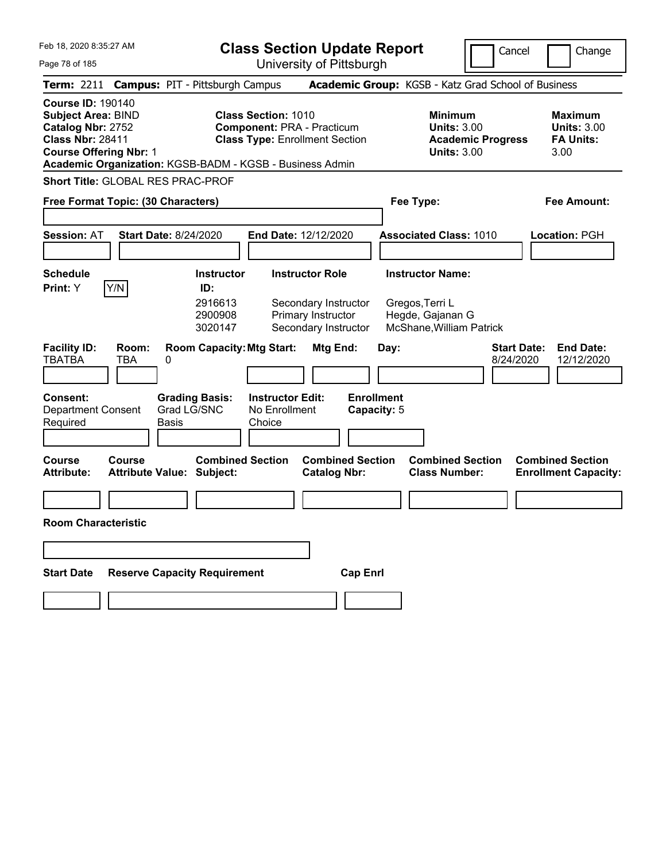Feb 18, 2020 8:35:27 AM Page 78 of 185 **Class Section Update Report** University of Pittsburgh Cancel Change **Term:** 2211 **Campus:** PIT - Pittsburgh Campus **Academic Group:** KGSB - Katz Grad School of Business **Course ID:** 190140 **Subject Area:** BIND **Class Section:** 1010 **Minimum Maximum Catalog Nbr:** 2752 **Component:** PRA - Practicum **Units:** 3.00 **Units:** 3.00 **Class Nbr:** 28411 **Class Type:** Enrollment Section **Academic Progress FA Units: Course Offering Nbr:** 1 **Units:** 3.00 3.00 **Academic Organization:** KGSB-BADM - KGSB - Business Admin **Short Title:** GLOBAL RES PRAC-PROF **Free Format Topic: (30 Characters) Fee Type: Fee Amount: Session:** AT **Start Date:** 8/24/2020 **End Date:** 12/12/2020 **Associated Class:** 1010 **Location:** PGH **Schedule Instructor Instructor Role Instructor Name: Print:**  $Y$   $|Y/N|$  **ID:** 2916613 Secondary Instructor Gregos,Terri L 2900908 Primary Instructor Hegde, Gajanan G 3020147 Secondary Instructor McShane,William Patrick **Facility ID: Room: Room Capacity:Mtg Start: Mtg End: Day: Start Date: End Date:** TBATBA TBA 0 8/24/2020 12/12/2020 **Consent: Grading Basis: Instructor Edit: Enrollment** Department Consent Required Grad LG/SNC Basis No Enrollment **Choice Capacity:** 5 **Course Course Combined Section Combined Section Combined Section Combined Section**  Attribute: Attribute Value: Subject: Catalog Nbr: Class Number: Enrollment Capacity: **Room Characteristic Start Date Reserve Capacity Requirement Cap Enrl**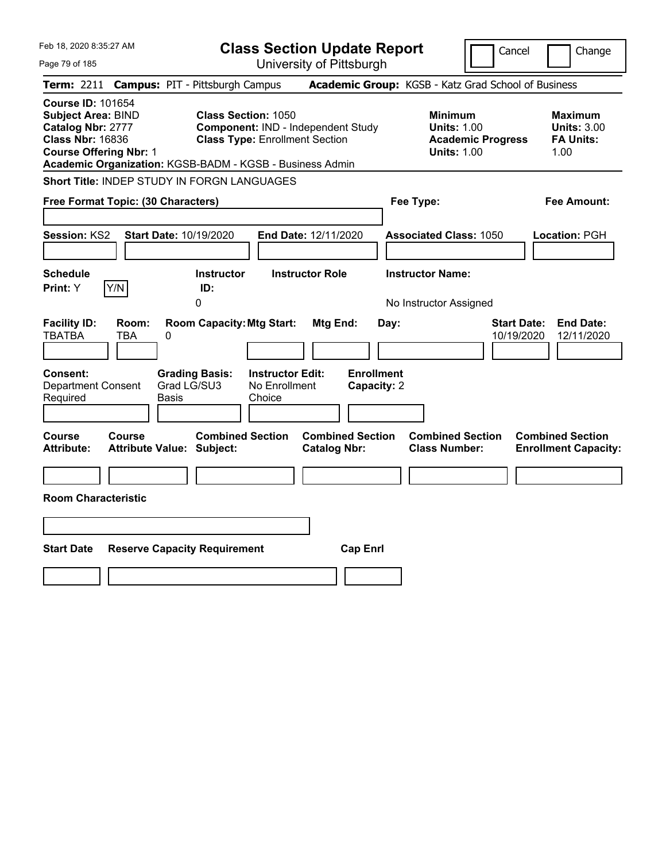| Feb 18, 2020 8:35:27 AM                                                                                                                                                                            |                                                                                        | <b>Class Section Update Report</b>                                                                        |                                                      |                                                                                        | Cancel<br>Change                                                   |
|----------------------------------------------------------------------------------------------------------------------------------------------------------------------------------------------------|----------------------------------------------------------------------------------------|-----------------------------------------------------------------------------------------------------------|------------------------------------------------------|----------------------------------------------------------------------------------------|--------------------------------------------------------------------|
| Page 79 of 185                                                                                                                                                                                     |                                                                                        | University of Pittsburgh                                                                                  |                                                      |                                                                                        |                                                                    |
| Term: 2211                                                                                                                                                                                         | <b>Campus: PIT - Pittsburgh Campus</b>                                                 |                                                                                                           |                                                      | Academic Group: KGSB - Katz Grad School of Business                                    |                                                                    |
| <b>Course ID: 101654</b><br><b>Subject Area: BIND</b><br>Catalog Nbr: 2777<br><b>Class Nbr: 16836</b><br><b>Course Offering Nbr: 1</b><br>Academic Organization: KGSB-BADM - KGSB - Business Admin |                                                                                        | <b>Class Section: 1050</b><br>Component: IND - Independent Study<br><b>Class Type: Enrollment Section</b> |                                                      | <b>Minimum</b><br><b>Units: 1.00</b><br><b>Academic Progress</b><br><b>Units: 1.00</b> | <b>Maximum</b><br><b>Units: 3.00</b><br><b>FA Units:</b><br>1.00   |
| Short Title: INDEP STUDY IN FORGN LANGUAGES                                                                                                                                                        |                                                                                        |                                                                                                           |                                                      |                                                                                        |                                                                    |
| Free Format Topic: (30 Characters)                                                                                                                                                                 |                                                                                        |                                                                                                           |                                                      | Fee Type:                                                                              | Fee Amount:                                                        |
| Session: KS2<br><b>Schedule</b><br>Y/N<br>Print: Y                                                                                                                                                 | Start Date: 10/19/2020<br><b>Instructor</b><br>ID:<br>0                                | End Date: 12/11/2020<br><b>Instructor Role</b>                                                            |                                                      | <b>Associated Class: 1050</b><br><b>Instructor Name:</b><br>No Instructor Assigned     | Location: PGH                                                      |
| <b>Facility ID:</b><br>Room:<br><b>TBATBA</b><br><b>TBA</b><br>Consent:<br><b>Department Consent</b><br>Required                                                                                   | <b>Room Capacity: Mtg Start:</b><br>0<br><b>Grading Basis:</b><br>Grad LG/SU3<br>Basis | <b>Instructor Edit:</b><br>No Enrollment<br>Choice                                                        | Mtg End:<br>Day:<br><b>Enrollment</b><br>Capacity: 2 |                                                                                        | <b>Start Date:</b><br><b>End Date:</b><br>10/19/2020<br>12/11/2020 |
| <b>Course</b><br><b>Course</b><br><b>Attribute:</b><br><b>Room Characteristic</b>                                                                                                                  | <b>Combined Section</b><br><b>Attribute Value: Subject:</b>                            |                                                                                                           | <b>Combined Section</b><br><b>Catalog Nbr:</b>       | <b>Combined Section</b><br><b>Class Number:</b>                                        | <b>Combined Section</b><br><b>Enrollment Capacity:</b>             |
|                                                                                                                                                                                                    |                                                                                        |                                                                                                           |                                                      |                                                                                        |                                                                    |
|                                                                                                                                                                                                    |                                                                                        |                                                                                                           |                                                      |                                                                                        |                                                                    |
| <b>Start Date</b>                                                                                                                                                                                  | <b>Reserve Capacity Requirement</b>                                                    |                                                                                                           | <b>Cap Enrl</b>                                      |                                                                                        |                                                                    |
|                                                                                                                                                                                                    |                                                                                        |                                                                                                           |                                                      |                                                                                        |                                                                    |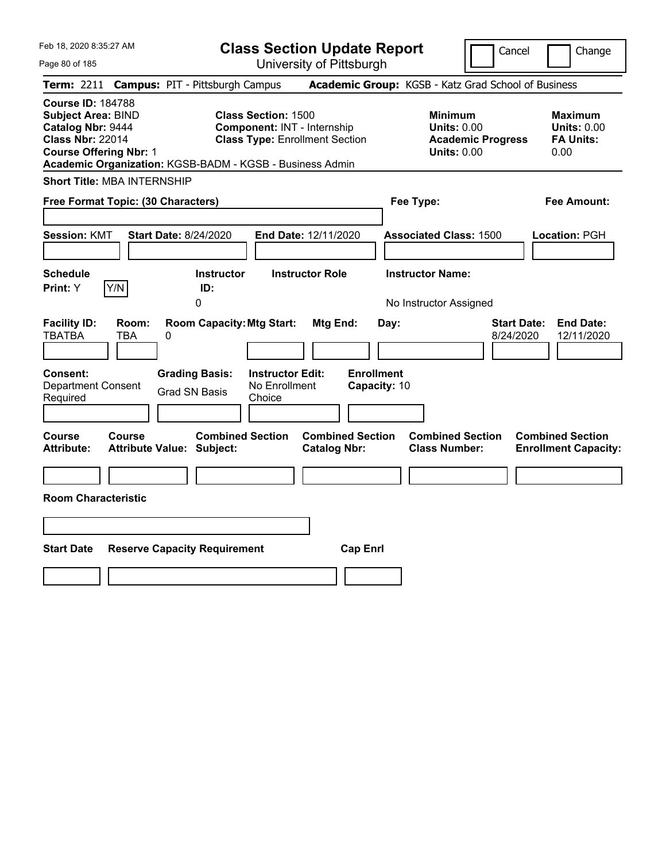Feb 18, 2020 8:35:27 AM

**Class Section Update Report**

Cancel | Change

Page 80 of 185 University of Pittsburgh **Term:** 2211 **Campus:** PIT - Pittsburgh Campus **Academic Group:** KGSB - Katz Grad School of Business **Course ID:** 184788 **Subject Area: BIND Class Section:** 1500 **Minimum Maximum 1500 Minimum 1998 Maximum Catalog Nbr:** 9444 **Component:** INT - Internship **Units:** 0.00 **Minimum Units:** 0.00 **Catalog Nbr:** 9444 **Component:** INT - Internship **Units:** 0.00 **Units:** 0.00 **Class Type: Enrollment Section <b>Academic Progress FA Units: Course Offering Nbr: 1 Discrete Accounts: 0.00 Units: 0.00 0.00 0.00 0.00 Academic Organization:** KGSB-BADM - KGSB - Business Admin **Short Title:** MBA INTERNSHIP **Free Format Topic: (30 Characters) Fee Type: Fee Amount: Session:** KMT **Start Date:** 8/24/2020 **End Date:** 12/11/2020 **Associated Class:** 1500 **Location:** PGH **Schedule Instructor Instructor Role Instructor Name: Print:**  $Y$   $|Y/N|$  **ID:** 0 **No Instructor Assigned Facility ID: Room: Room Capacity:Mtg Start: Mtg End: Day: Start Date: End Date:** TBATBA TBA 0 8/24/2020 12/11/2020 **Consent: Grading Basis: Instructor Edit: Enrollment** Department Consent Required Grad SN Basis No Enrollment Choice **Capacity:** 10 **Course Course Combined Section Combined Section Combined Section Combined Section Attribute: Attribute Value: Subject: Catalog Nbr: Class Number: Enrollment Capacity: Room Characteristic Start Date Reserve Capacity Requirement Cap Enrl**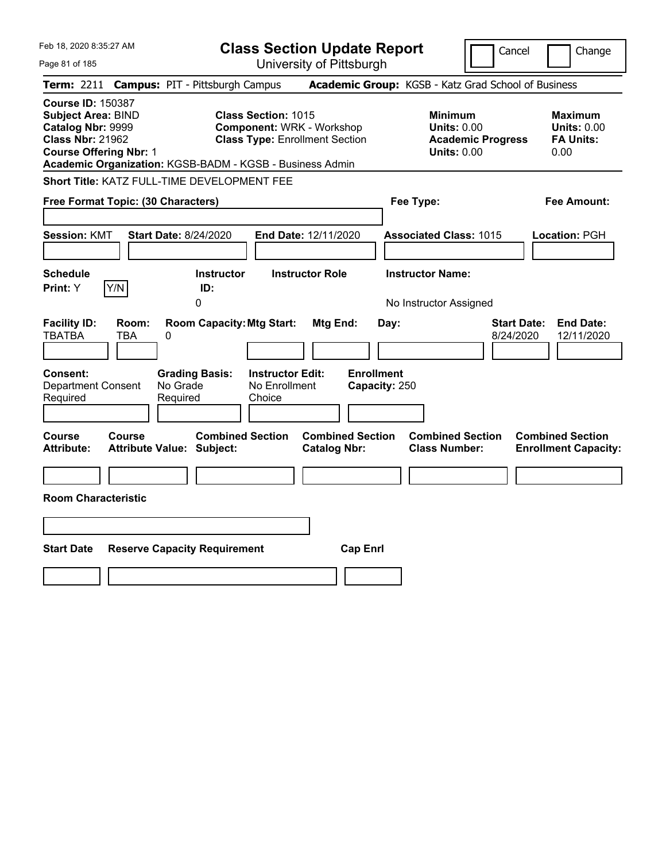| Feb 18, 2020 8:35:27 AM                                                                                                                       | <b>Class Section Update Report</b>                                                                                                                                  | Cancel                                                                                 | Change                                                           |
|-----------------------------------------------------------------------------------------------------------------------------------------------|---------------------------------------------------------------------------------------------------------------------------------------------------------------------|----------------------------------------------------------------------------------------|------------------------------------------------------------------|
| Page 81 of 185                                                                                                                                | University of Pittsburgh                                                                                                                                            |                                                                                        |                                                                  |
| Term: 2211                                                                                                                                    | <b>Campus: PIT - Pittsburgh Campus</b>                                                                                                                              | Academic Group: KGSB - Katz Grad School of Business                                    |                                                                  |
| <b>Course ID: 150387</b><br><b>Subject Area: BIND</b><br>Catalog Nbr: 9999<br><b>Class Nbr: 21962</b><br><b>Course Offering Nbr: 1</b>        | <b>Class Section: 1015</b><br><b>Component: WRK - Workshop</b><br><b>Class Type: Enrollment Section</b><br>Academic Organization: KGSB-BADM - KGSB - Business Admin | <b>Minimum</b><br><b>Units: 0.00</b><br><b>Academic Progress</b><br><b>Units: 0.00</b> | <b>Maximum</b><br><b>Units: 0.00</b><br><b>FA Units:</b><br>0.00 |
| Short Title: KATZ FULL-TIME DEVELOPMENT FEE                                                                                                   |                                                                                                                                                                     |                                                                                        |                                                                  |
| Free Format Topic: (30 Characters)                                                                                                            |                                                                                                                                                                     | Fee Type:                                                                              | Fee Amount:                                                      |
| <b>Start Date: 8/24/2020</b><br><b>Session: KMT</b><br><b>Schedule</b><br>Y/N<br>Print: Y                                                     | End Date: 12/11/2020<br><b>Instructor</b><br><b>Instructor Role</b><br>ID:<br>0                                                                                     | <b>Associated Class: 1015</b><br><b>Instructor Name:</b><br>No Instructor Assigned     | Location: PGH                                                    |
| <b>Facility ID:</b><br>Room:<br><b>TBATBA</b><br><b>TBA</b><br>0<br>Consent:<br><b>Department Consent</b><br>No Grade<br>Required<br>Required | <b>Room Capacity: Mtg Start:</b><br>Mtg End:<br><b>Enrollment</b><br><b>Instructor Edit:</b><br><b>Grading Basis:</b><br>No Enrollment<br>Capacity: 250<br>Choice   | <b>Start Date:</b><br>Day:<br>8/24/2020                                                | <b>End Date:</b><br>12/11/2020                                   |
| Course<br><b>Course</b><br><b>Attribute:</b><br><b>Attribute Value: Subject:</b><br><b>Room Characteristic</b>                                | <b>Combined Section</b><br><b>Combined Section</b><br><b>Catalog Nbr:</b>                                                                                           | <b>Combined Section</b><br><b>Class Number:</b>                                        | <b>Combined Section</b><br><b>Enrollment Capacity:</b>           |
|                                                                                                                                               |                                                                                                                                                                     |                                                                                        |                                                                  |
|                                                                                                                                               |                                                                                                                                                                     |                                                                                        |                                                                  |
| <b>Start Date</b><br><b>Reserve Capacity Requirement</b>                                                                                      | <b>Cap Enrl</b>                                                                                                                                                     |                                                                                        |                                                                  |
|                                                                                                                                               |                                                                                                                                                                     |                                                                                        |                                                                  |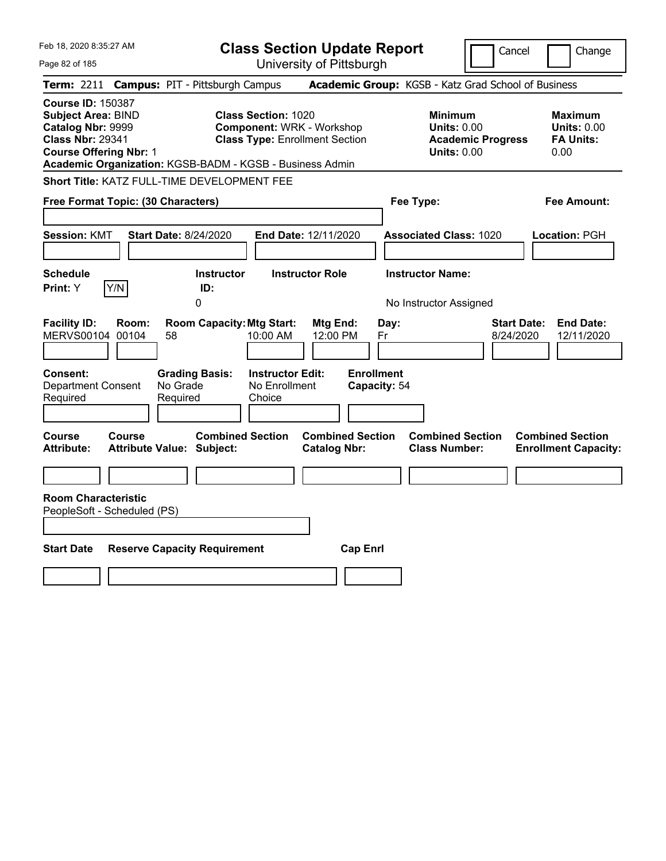| Feb 18, 2020 8:35:27 AM                                                                                                                |        |                                                                                         |                                                                | <b>Class Section Update Report</b>                                        |                                                 |                                                            |                          | Cancel<br>Change                                                  |
|----------------------------------------------------------------------------------------------------------------------------------------|--------|-----------------------------------------------------------------------------------------|----------------------------------------------------------------|---------------------------------------------------------------------------|-------------------------------------------------|------------------------------------------------------------|--------------------------|-------------------------------------------------------------------|
| Page 82 of 185                                                                                                                         |        |                                                                                         |                                                                | University of Pittsburgh                                                  |                                                 |                                                            |                          |                                                                   |
| <b>Term: 2211</b>                                                                                                                      |        | <b>Campus: PIT - Pittsburgh Campus</b>                                                  |                                                                |                                                                           |                                                 |                                                            |                          | Academic Group: KGSB - Katz Grad School of Business               |
| <b>Course ID: 150387</b><br><b>Subject Area: BIND</b><br>Catalog Nbr: 9999<br><b>Class Nbr: 29341</b><br><b>Course Offering Nbr: 1</b> |        | Academic Organization: KGSB-BADM - KGSB - Business Admin                                | <b>Class Section: 1020</b>                                     | <b>Component: WRK - Workshop</b><br><b>Class Type: Enrollment Section</b> |                                                 | <b>Minimum</b><br><b>Units: 0.00</b><br><b>Units: 0.00</b> | <b>Academic Progress</b> | <b>Maximum</b><br><b>Units: 0.00</b><br><b>FA Units:</b><br>0.00  |
|                                                                                                                                        |        | Short Title: KATZ FULL-TIME DEVELOPMENT FEE                                             |                                                                |                                                                           |                                                 |                                                            |                          |                                                                   |
| Free Format Topic: (30 Characters)                                                                                                     |        |                                                                                         |                                                                |                                                                           |                                                 | Fee Type:                                                  |                          | Fee Amount:                                                       |
| <b>Session: KMT</b>                                                                                                                    |        | <b>Start Date: 8/24/2020</b>                                                            |                                                                | End Date: 12/11/2020                                                      |                                                 | <b>Associated Class: 1020</b>                              |                          | Location: PGH                                                     |
| <b>Schedule</b>                                                                                                                        |        | Instructor                                                                              |                                                                | <b>Instructor Role</b>                                                    |                                                 | <b>Instructor Name:</b>                                    |                          |                                                                   |
| Print: Y                                                                                                                               | Y/N    | ID:<br>0                                                                                |                                                                |                                                                           |                                                 | No Instructor Assigned                                     |                          |                                                                   |
| <b>Facility ID:</b><br>MERVS00104 00104<br>Consent:<br><b>Department Consent</b><br>Required                                           | Room:  | <b>Room Capacity: Mtg Start:</b><br>58<br><b>Grading Basis:</b><br>No Grade<br>Required | 10:00 AM<br><b>Instructor Edit:</b><br>No Enrollment<br>Choice | Mtg End:<br>12:00 PM                                                      | Day:<br>Fr<br><b>Enrollment</b><br>Capacity: 54 |                                                            |                          | <b>Start Date:</b><br><b>End Date:</b><br>8/24/2020<br>12/11/2020 |
| Course<br><b>Attribute:</b>                                                                                                            | Course | <b>Attribute Value: Subject:</b>                                                        | <b>Combined Section</b>                                        | <b>Combined Section</b><br><b>Catalog Nbr:</b>                            |                                                 | <b>Combined Section</b><br><b>Class Number:</b>            |                          | <b>Combined Section</b><br><b>Enrollment Capacity:</b>            |
| <b>Room Characteristic</b>                                                                                                             |        |                                                                                         |                                                                |                                                                           |                                                 |                                                            |                          |                                                                   |
| PeopleSoft - Scheduled (PS)                                                                                                            |        |                                                                                         |                                                                |                                                                           |                                                 |                                                            |                          |                                                                   |
|                                                                                                                                        |        |                                                                                         |                                                                |                                                                           |                                                 |                                                            |                          |                                                                   |
| <b>Start Date</b>                                                                                                                      |        | <b>Reserve Capacity Requirement</b>                                                     |                                                                | <b>Cap Enrl</b>                                                           |                                                 |                                                            |                          |                                                                   |
|                                                                                                                                        |        |                                                                                         |                                                                |                                                                           |                                                 |                                                            |                          |                                                                   |
|                                                                                                                                        |        |                                                                                         |                                                                |                                                                           |                                                 |                                                            |                          |                                                                   |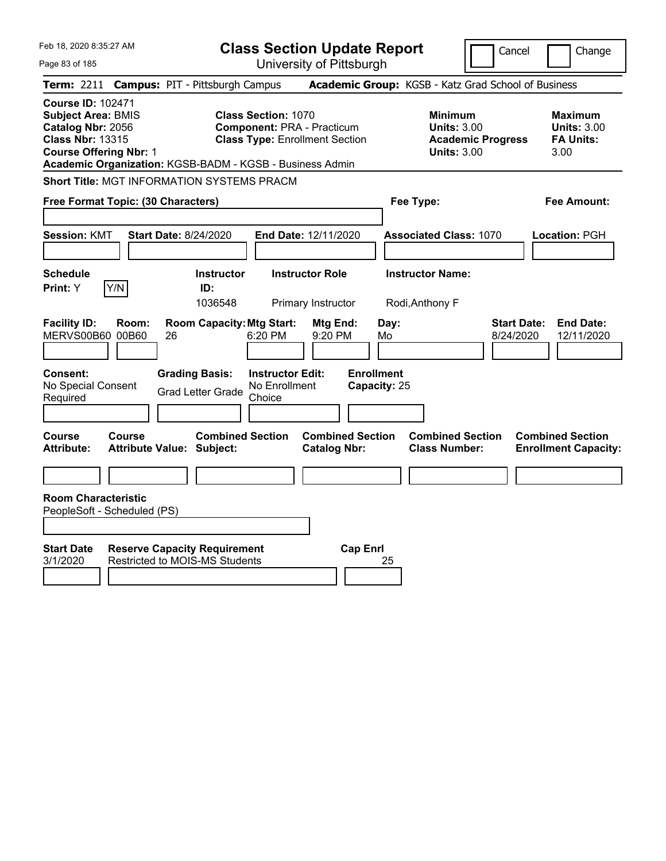| Feb 18, 2020 8:35:27 AM                                                                                                                | <b>Class Section Update Report</b>                                                                                                                                   |                                                |                                                                                        | Cancel<br>Change                                                  |
|----------------------------------------------------------------------------------------------------------------------------------------|----------------------------------------------------------------------------------------------------------------------------------------------------------------------|------------------------------------------------|----------------------------------------------------------------------------------------|-------------------------------------------------------------------|
| Page 83 of 185                                                                                                                         |                                                                                                                                                                      | University of Pittsburgh                       |                                                                                        |                                                                   |
| <b>Term: 2211</b>                                                                                                                      | <b>Campus: PIT - Pittsburgh Campus</b>                                                                                                                               |                                                | Academic Group: KGSB - Katz Grad School of Business                                    |                                                                   |
| <b>Course ID: 102471</b><br><b>Subject Area: BMIS</b><br>Catalog Nbr: 2056<br><b>Class Nbr: 13315</b><br><b>Course Offering Nbr: 1</b> | <b>Class Section: 1070</b><br><b>Component: PRA - Practicum</b><br><b>Class Type: Enrollment Section</b><br>Academic Organization: KGSB-BADM - KGSB - Business Admin |                                                | <b>Minimum</b><br><b>Units: 3.00</b><br><b>Academic Progress</b><br><b>Units: 3.00</b> | <b>Maximum</b><br><b>Units: 3.00</b><br><b>FA Units:</b><br>3.00  |
| Short Title: MGT INFORMATION SYSTEMS PRACM                                                                                             |                                                                                                                                                                      |                                                |                                                                                        |                                                                   |
| Free Format Topic: (30 Characters)                                                                                                     |                                                                                                                                                                      |                                                | Fee Type:                                                                              | Fee Amount:                                                       |
| <b>Session: KMT</b>                                                                                                                    | <b>Start Date: 8/24/2020</b><br>End Date: 12/11/2020                                                                                                                 |                                                | <b>Associated Class: 1070</b>                                                          | Location: PGH                                                     |
| <b>Schedule</b><br>Y/N<br><b>Print:</b> Y                                                                                              | <b>Instructor</b><br><b>Instructor Role</b><br>ID:<br>1036548                                                                                                        | Primary Instructor                             | <b>Instructor Name:</b><br>Rodi, Anthony F                                             |                                                                   |
| <b>Facility ID:</b><br>Room:<br>MERVS00B60 00B60<br>26                                                                                 | <b>Room Capacity: Mtg Start:</b><br>6:20 PM                                                                                                                          | Day:<br>Mtg End:<br>9:20 PM<br>Mo              |                                                                                        | <b>Start Date:</b><br><b>End Date:</b><br>8/24/2020<br>12/11/2020 |
| Consent:<br>No Special Consent<br>Required                                                                                             | <b>Grading Basis:</b><br><b>Instructor Edit:</b><br>No Enrollment<br><b>Grad Letter Grade</b><br>Choice                                                              | <b>Enrollment</b><br>Capacity: 25              |                                                                                        |                                                                   |
| Course<br><b>Course</b><br><b>Attribute:</b><br><b>Attribute Value: Subject:</b>                                                       | <b>Combined Section</b>                                                                                                                                              | <b>Combined Section</b><br><b>Catalog Nbr:</b> | <b>Combined Section</b><br><b>Class Number:</b>                                        | <b>Combined Section</b><br><b>Enrollment Capacity:</b>            |
|                                                                                                                                        |                                                                                                                                                                      |                                                |                                                                                        |                                                                   |
| <b>Room Characteristic</b><br>PeopleSoft - Scheduled (PS)                                                                              |                                                                                                                                                                      |                                                |                                                                                        |                                                                   |
| <b>Start Date</b><br>3/1/2020                                                                                                          | <b>Reserve Capacity Requirement</b><br><b>Restricted to MOIS-MS Students</b>                                                                                         | <b>Cap Enrl</b><br>25                          |                                                                                        |                                                                   |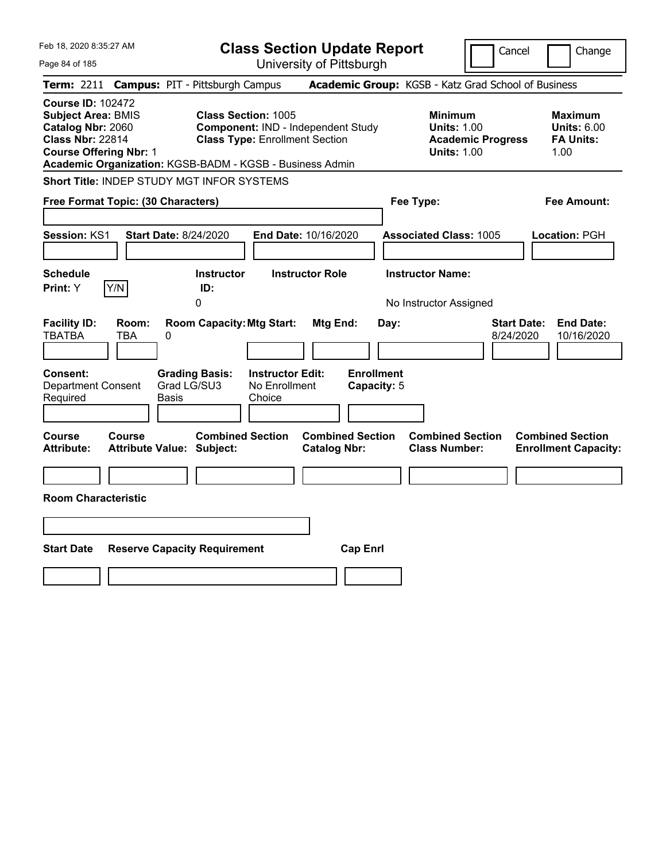| Feb 18, 2020 8:35:27 AM<br>Page 84 of 185                                                                                              | <b>Class Section Update Report</b><br>University of Pittsburgh                                                                                                        | Cancel<br>Change                                                                                                                                           |
|----------------------------------------------------------------------------------------------------------------------------------------|-----------------------------------------------------------------------------------------------------------------------------------------------------------------------|------------------------------------------------------------------------------------------------------------------------------------------------------------|
| <b>Term: 2211</b>                                                                                                                      | <b>Campus: PIT - Pittsburgh Campus</b>                                                                                                                                | Academic Group: KGSB - Katz Grad School of Business                                                                                                        |
| <b>Course ID: 102472</b><br><b>Subject Area: BMIS</b><br>Catalog Nbr: 2060<br><b>Class Nbr: 22814</b><br><b>Course Offering Nbr: 1</b> | <b>Class Section: 1005</b><br>Component: IND - Independent Study<br><b>Class Type: Enrollment Section</b><br>Academic Organization: KGSB-BADM - KGSB - Business Admin | <b>Minimum</b><br><b>Maximum</b><br><b>Units: 1.00</b><br><b>Units: 6.00</b><br><b>FA Units:</b><br><b>Academic Progress</b><br><b>Units: 1.00</b><br>1.00 |
| <b>Short Title: INDEP STUDY MGT INFOR SYSTEMS</b>                                                                                      |                                                                                                                                                                       |                                                                                                                                                            |
| Free Format Topic: (30 Characters)                                                                                                     |                                                                                                                                                                       | Fee Type:<br>Fee Amount:                                                                                                                                   |
| Session: KS1<br><b>Start Date: 8/24/2020</b>                                                                                           | End Date: 10/16/2020                                                                                                                                                  | <b>Associated Class: 1005</b><br>Location: PGH                                                                                                             |
| <b>Schedule</b><br>Y/N<br>Print: Y                                                                                                     | <b>Instructor Role</b><br><b>Instructor</b><br>ID:<br>0                                                                                                               | <b>Instructor Name:</b><br>No Instructor Assigned                                                                                                          |
| <b>Facility ID:</b><br>Room:<br><b>TBATBA</b><br>TBA<br>$\pmb{0}$                                                                      | <b>Room Capacity: Mtg Start:</b><br>Mtg End:<br>Day:                                                                                                                  | <b>End Date:</b><br><b>Start Date:</b><br>8/24/2020<br>10/16/2020                                                                                          |
| <b>Consent:</b><br>Grad LG/SU3<br><b>Department Consent</b><br>Required<br>Basis                                                       | <b>Enrollment</b><br><b>Instructor Edit:</b><br><b>Grading Basis:</b><br>No Enrollment<br>Capacity: 5<br>Choice                                                       |                                                                                                                                                            |
| Course<br><b>Course</b><br><b>Attribute:</b><br><b>Attribute Value: Subject:</b>                                                       | <b>Combined Section</b><br><b>Combined Section</b><br><b>Catalog Nbr:</b>                                                                                             | <b>Combined Section</b><br><b>Combined Section</b><br><b>Class Number:</b><br><b>Enrollment Capacity:</b>                                                  |
| <b>Room Characteristic</b>                                                                                                             |                                                                                                                                                                       |                                                                                                                                                            |
|                                                                                                                                        |                                                                                                                                                                       |                                                                                                                                                            |
| <b>Start Date</b><br><b>Reserve Capacity Requirement</b>                                                                               | <b>Cap Enrl</b>                                                                                                                                                       |                                                                                                                                                            |
|                                                                                                                                        |                                                                                                                                                                       |                                                                                                                                                            |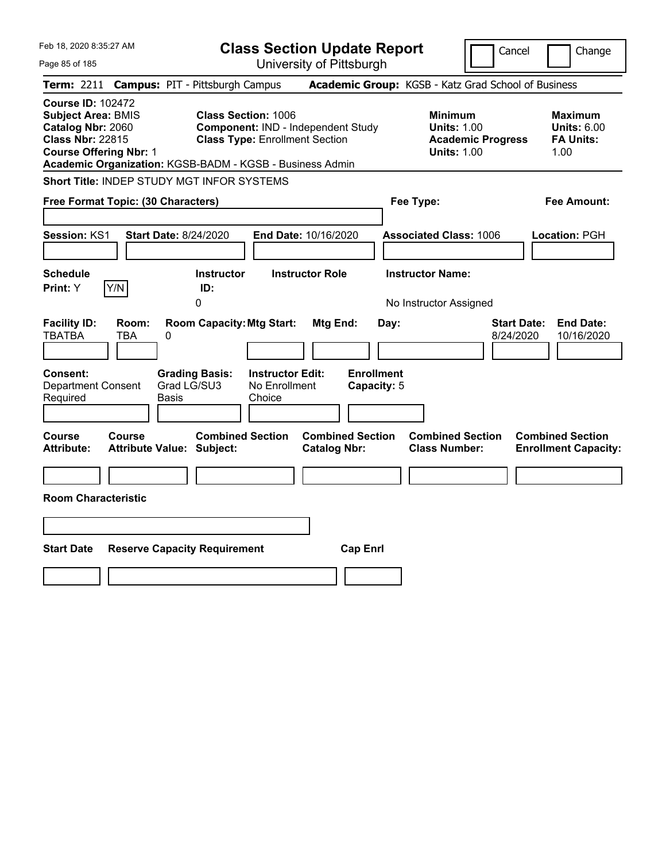| Feb 18, 2020 8:35:27 AM                                                                                                                                                                            | <b>Class Section Update Report</b>                                                                                                   | Cancel<br>Change                                                                                                                                           |
|----------------------------------------------------------------------------------------------------------------------------------------------------------------------------------------------------|--------------------------------------------------------------------------------------------------------------------------------------|------------------------------------------------------------------------------------------------------------------------------------------------------------|
| Page 85 of 185                                                                                                                                                                                     | University of Pittsburgh                                                                                                             |                                                                                                                                                            |
| <b>Campus: PIT - Pittsburgh Campus</b><br><b>Term:</b> 2211                                                                                                                                        |                                                                                                                                      | Academic Group: KGSB - Katz Grad School of Business                                                                                                        |
| <b>Course ID: 102472</b><br><b>Subject Area: BMIS</b><br>Catalog Nbr: 2060<br><b>Class Nbr: 22815</b><br><b>Course Offering Nbr: 1</b><br>Academic Organization: KGSB-BADM - KGSB - Business Admin | <b>Class Section: 1006</b><br>Component: IND - Independent Study<br><b>Class Type: Enrollment Section</b>                            | <b>Minimum</b><br><b>Maximum</b><br><b>Units: 1.00</b><br><b>Units: 6.00</b><br><b>Academic Progress</b><br><b>FA Units:</b><br><b>Units: 1.00</b><br>1.00 |
| <b>Short Title: INDEP STUDY MGT INFOR SYSTEMS</b>                                                                                                                                                  |                                                                                                                                      |                                                                                                                                                            |
| Free Format Topic: (30 Characters)                                                                                                                                                                 |                                                                                                                                      | Fee Type:<br>Fee Amount:                                                                                                                                   |
| <b>Start Date: 8/24/2020</b><br><b>Session: KS1</b>                                                                                                                                                | End Date: 10/16/2020                                                                                                                 | <b>Associated Class: 1006</b><br>Location: PGH                                                                                                             |
| <b>Schedule</b>                                                                                                                                                                                    | <b>Instructor Role</b><br><b>Instructor</b>                                                                                          | <b>Instructor Name:</b>                                                                                                                                    |
| Y/N<br>ID:<br><b>Print:</b> Y<br>0                                                                                                                                                                 |                                                                                                                                      | No Instructor Assigned                                                                                                                                     |
| <b>Facility ID:</b><br>Room:<br>TBATBA<br>TBA<br>0<br><b>Consent:</b><br><b>Grading Basis:</b><br>Grad LG/SU3<br><b>Department Consent</b>                                                         | <b>Room Capacity: Mtg Start:</b><br>Mtg End:<br>Day:<br><b>Enrollment</b><br><b>Instructor Edit:</b><br>No Enrollment<br>Capacity: 5 | <b>Start Date:</b><br><b>End Date:</b><br>8/24/2020<br>10/16/2020                                                                                          |
| Required<br>Basis                                                                                                                                                                                  | Choice                                                                                                                               |                                                                                                                                                            |
| Course<br><b>Course</b><br><b>Attribute:</b><br><b>Attribute Value: Subject:</b>                                                                                                                   | <b>Combined Section</b><br><b>Combined Section</b><br><b>Catalog Nbr:</b>                                                            | <b>Combined Section</b><br><b>Combined Section</b><br><b>Class Number:</b><br><b>Enrollment Capacity:</b>                                                  |
|                                                                                                                                                                                                    |                                                                                                                                      |                                                                                                                                                            |
| <b>Room Characteristic</b>                                                                                                                                                                         |                                                                                                                                      |                                                                                                                                                            |
|                                                                                                                                                                                                    |                                                                                                                                      |                                                                                                                                                            |
| <b>Start Date</b><br><b>Reserve Capacity Requirement</b>                                                                                                                                           | <b>Cap Enrl</b>                                                                                                                      |                                                                                                                                                            |
|                                                                                                                                                                                                    |                                                                                                                                      |                                                                                                                                                            |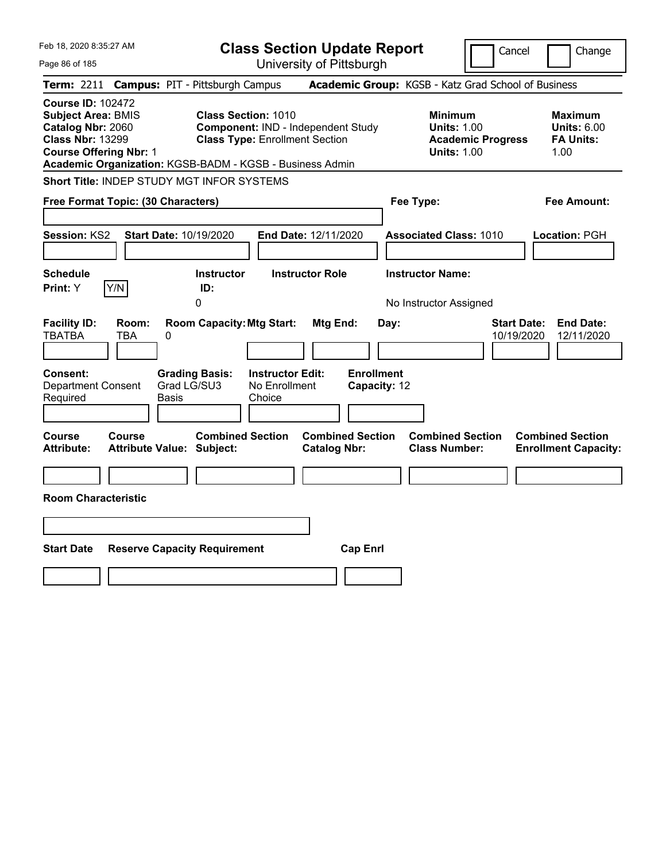| Feb 18, 2020 8:35:27 AM<br>Page 86 of 185                                                                                                                                                          | <b>Class Section Update Report</b><br>University of Pittsburgh                                                                                  | Cancel                                                                                 | Change                                                           |
|----------------------------------------------------------------------------------------------------------------------------------------------------------------------------------------------------|-------------------------------------------------------------------------------------------------------------------------------------------------|----------------------------------------------------------------------------------------|------------------------------------------------------------------|
| <b>Campus: PIT - Pittsburgh Campus</b><br><b>Term: 2211</b>                                                                                                                                        |                                                                                                                                                 | Academic Group: KGSB - Katz Grad School of Business                                    |                                                                  |
| <b>Course ID: 102472</b><br><b>Subject Area: BMIS</b><br>Catalog Nbr: 2060<br><b>Class Nbr: 13299</b><br><b>Course Offering Nbr: 1</b><br>Academic Organization: KGSB-BADM - KGSB - Business Admin | <b>Class Section: 1010</b><br>Component: IND - Independent Study<br><b>Class Type: Enrollment Section</b>                                       | <b>Minimum</b><br><b>Units: 1.00</b><br><b>Academic Progress</b><br><b>Units: 1.00</b> | <b>Maximum</b><br><b>Units: 6.00</b><br><b>FA Units:</b><br>1.00 |
| <b>Short Title: INDEP STUDY MGT INFOR SYSTEMS</b>                                                                                                                                                  |                                                                                                                                                 |                                                                                        |                                                                  |
| Free Format Topic: (30 Characters)                                                                                                                                                                 |                                                                                                                                                 | Fee Type:                                                                              | Fee Amount:                                                      |
| <b>Session: KS2</b><br><b>Start Date: 10/19/2020</b>                                                                                                                                               | End Date: 12/11/2020                                                                                                                            | <b>Associated Class: 1010</b>                                                          | Location: PGH                                                    |
| <b>Schedule</b>                                                                                                                                                                                    | <b>Instructor Role</b><br><b>Instructor</b>                                                                                                     | <b>Instructor Name:</b>                                                                |                                                                  |
| Y/N<br>Print: Y<br>0                                                                                                                                                                               | ID:                                                                                                                                             | No Instructor Assigned                                                                 |                                                                  |
| <b>Facility ID:</b><br>Room:<br><b>TBATBA</b><br>TBA<br>$\pmb{0}$<br><b>Consent:</b><br><b>Grading Basis:</b><br>Grad LG/SU3<br><b>Department Consent</b><br>Required<br>Basis                     | <b>Room Capacity: Mtg Start:</b><br>Mtg End:<br>Day:<br><b>Enrollment</b><br><b>Instructor Edit:</b><br>No Enrollment<br>Capacity: 12<br>Choice | <b>Start Date:</b><br>10/19/2020                                                       | <b>End Date:</b><br>12/11/2020                                   |
| Course<br><b>Course</b><br><b>Attribute:</b><br><b>Attribute Value: Subject:</b>                                                                                                                   | <b>Combined Section</b><br><b>Combined Section</b><br><b>Catalog Nbr:</b>                                                                       | <b>Combined Section</b><br><b>Class Number:</b>                                        | <b>Combined Section</b><br><b>Enrollment Capacity:</b>           |
| <b>Room Characteristic</b>                                                                                                                                                                         |                                                                                                                                                 |                                                                                        |                                                                  |
| <b>Start Date</b><br><b>Reserve Capacity Requirement</b>                                                                                                                                           | <b>Cap Enrl</b>                                                                                                                                 |                                                                                        |                                                                  |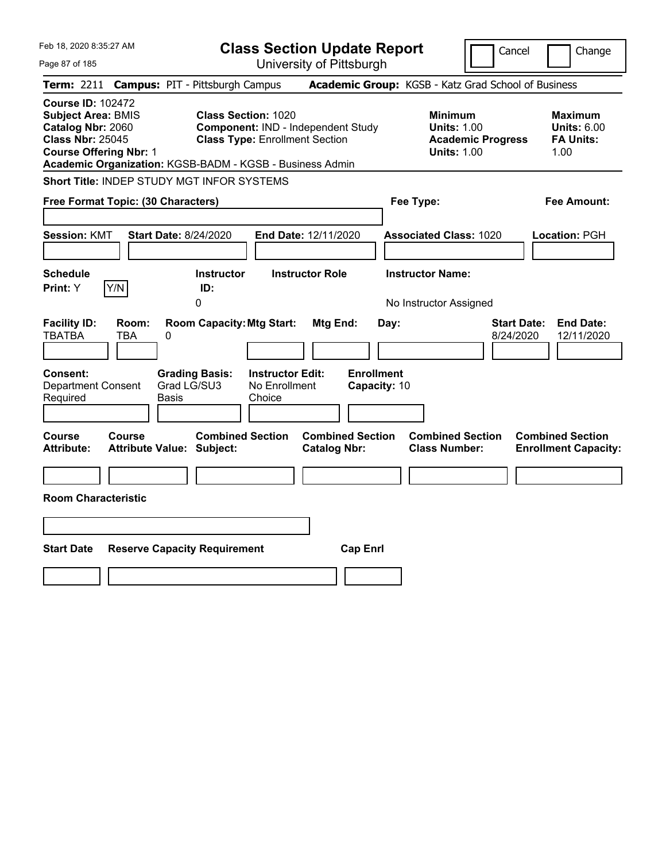| Feb 18, 2020 8:35:27 AM                                                                                                                                         | <b>Class Section Update Report</b>                                                                                                                                    | Cancel<br>Change                                                                                                                                           |
|-----------------------------------------------------------------------------------------------------------------------------------------------------------------|-----------------------------------------------------------------------------------------------------------------------------------------------------------------------|------------------------------------------------------------------------------------------------------------------------------------------------------------|
| Page 87 of 185                                                                                                                                                  | University of Pittsburgh                                                                                                                                              |                                                                                                                                                            |
| <b>Term: 2211</b><br><b>Campus: PIT - Pittsburgh Campus</b>                                                                                                     |                                                                                                                                                                       | Academic Group: KGSB - Katz Grad School of Business                                                                                                        |
| <b>Course ID: 102472</b><br><b>Subject Area: BMIS</b><br>Catalog Nbr: 2060<br><b>Class Nbr: 25045</b><br><b>Course Offering Nbr: 1</b>                          | <b>Class Section: 1020</b><br>Component: IND - Independent Study<br><b>Class Type: Enrollment Section</b><br>Academic Organization: KGSB-BADM - KGSB - Business Admin | <b>Minimum</b><br><b>Maximum</b><br><b>Units: 1.00</b><br><b>Units: 6.00</b><br><b>Academic Progress</b><br><b>FA Units:</b><br><b>Units: 1.00</b><br>1.00 |
| <b>Short Title: INDEP STUDY MGT INFOR SYSTEMS</b>                                                                                                               |                                                                                                                                                                       |                                                                                                                                                            |
| Free Format Topic: (30 Characters)                                                                                                                              |                                                                                                                                                                       | Fee Type:<br>Fee Amount:                                                                                                                                   |
| <b>Session: KMT</b><br><b>Start Date: 8/24/2020</b>                                                                                                             | End Date: 12/11/2020                                                                                                                                                  | <b>Associated Class: 1020</b><br>Location: PGH                                                                                                             |
| <b>Schedule</b>                                                                                                                                                 | <b>Instructor Role</b><br><b>Instructor</b>                                                                                                                           | <b>Instructor Name:</b>                                                                                                                                    |
| Y/N<br>Print: Y<br>0                                                                                                                                            | ID:                                                                                                                                                                   | No Instructor Assigned                                                                                                                                     |
| <b>Facility ID:</b><br>Room:<br><b>TBATBA</b><br>TBA<br>0<br>Consent:<br><b>Grading Basis:</b><br>Grad LG/SU3<br>Department Consent<br>Required<br><b>Basis</b> | <b>Room Capacity: Mtg Start:</b><br>Mtg End:<br>Day:<br><b>Enrollment</b><br><b>Instructor Edit:</b><br>No Enrollment<br>Capacity: 10<br>Choice                       | <b>Start Date:</b><br><b>End Date:</b><br>8/24/2020<br>12/11/2020                                                                                          |
| Course<br><b>Course</b><br><b>Attribute:</b><br><b>Attribute Value: Subject:</b>                                                                                | <b>Combined Section</b><br><b>Combined Section</b><br><b>Catalog Nbr:</b>                                                                                             | <b>Combined Section</b><br><b>Combined Section</b><br><b>Class Number:</b><br><b>Enrollment Capacity:</b>                                                  |
| <b>Room Characteristic</b>                                                                                                                                      |                                                                                                                                                                       |                                                                                                                                                            |
| <b>Start Date</b><br><b>Reserve Capacity Requirement</b>                                                                                                        | <b>Cap Enrl</b>                                                                                                                                                       |                                                                                                                                                            |
|                                                                                                                                                                 |                                                                                                                                                                       |                                                                                                                                                            |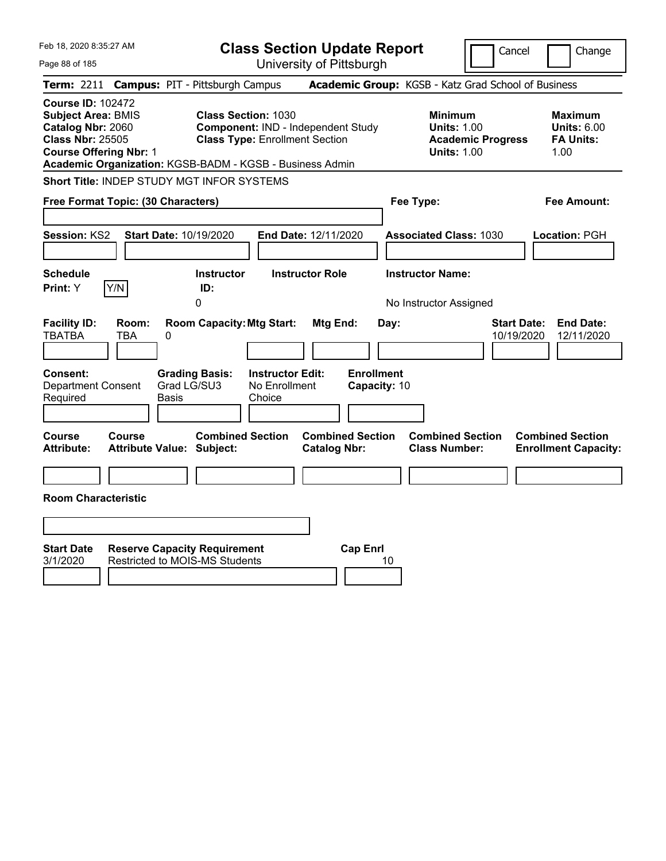| Feb 18, 2020 8:35:27 AM                                                                                                                                                                            | <b>Class Section Update Report</b>                                                                        | Cancel                                                                                 | Change                                                           |
|----------------------------------------------------------------------------------------------------------------------------------------------------------------------------------------------------|-----------------------------------------------------------------------------------------------------------|----------------------------------------------------------------------------------------|------------------------------------------------------------------|
| Page 88 of 185                                                                                                                                                                                     | University of Pittsburgh                                                                                  |                                                                                        |                                                                  |
| <b>Campus: PIT - Pittsburgh Campus</b><br><b>Term: 2211</b>                                                                                                                                        |                                                                                                           | Academic Group: KGSB - Katz Grad School of Business                                    |                                                                  |
| <b>Course ID: 102472</b><br><b>Subject Area: BMIS</b><br>Catalog Nbr: 2060<br><b>Class Nbr: 25505</b><br><b>Course Offering Nbr: 1</b><br>Academic Organization: KGSB-BADM - KGSB - Business Admin | <b>Class Section: 1030</b><br>Component: IND - Independent Study<br><b>Class Type: Enrollment Section</b> | <b>Minimum</b><br><b>Units: 1.00</b><br><b>Academic Progress</b><br><b>Units: 1.00</b> | <b>Maximum</b><br><b>Units: 6.00</b><br><b>FA Units:</b><br>1.00 |
| Short Title: INDEP STUDY MGT INFOR SYSTEMS                                                                                                                                                         |                                                                                                           |                                                                                        |                                                                  |
| Free Format Topic: (30 Characters)                                                                                                                                                                 |                                                                                                           | Fee Type:                                                                              | Fee Amount:                                                      |
| <b>Session: KS2</b><br><b>Start Date: 10/19/2020</b>                                                                                                                                               | End Date: 12/11/2020                                                                                      | <b>Associated Class: 1030</b>                                                          | Location: PGH                                                    |
| <b>Schedule</b><br>Y/N<br>Print: Y<br>ID:<br>0                                                                                                                                                     | <b>Instructor</b><br><b>Instructor Role</b>                                                               | <b>Instructor Name:</b><br>No Instructor Assigned                                      |                                                                  |
| <b>Facility ID:</b><br>Room:<br><b>TBATBA</b><br>TBA<br>0                                                                                                                                          | <b>Room Capacity: Mtg Start:</b><br>Mtg End:                                                              | <b>Start Date:</b><br>Day:<br>10/19/2020                                               | <b>End Date:</b><br>12/11/2020                                   |
| <b>Consent:</b><br><b>Grading Basis:</b><br>Grad LG/SU3<br><b>Department Consent</b><br>Required<br>Basis                                                                                          | <b>Instructor Edit:</b><br><b>Enrollment</b><br>No Enrollment<br>Capacity: 10<br>Choice                   |                                                                                        |                                                                  |
| Course<br>Course<br><b>Attribute:</b><br><b>Attribute Value: Subject:</b>                                                                                                                          | <b>Combined Section</b><br><b>Combined Section</b><br><b>Catalog Nbr:</b>                                 | <b>Combined Section</b><br><b>Class Number:</b>                                        | <b>Combined Section</b><br><b>Enrollment Capacity:</b>           |
|                                                                                                                                                                                                    |                                                                                                           |                                                                                        |                                                                  |
| <b>Room Characteristic</b>                                                                                                                                                                         |                                                                                                           |                                                                                        |                                                                  |
|                                                                                                                                                                                                    |                                                                                                           |                                                                                        |                                                                  |
| <b>Start Date</b><br><b>Reserve Capacity Requirement</b><br><b>Restricted to MOIS-MS Students</b><br>3/1/2020                                                                                      | <b>Cap Enrl</b>                                                                                           | 10                                                                                     |                                                                  |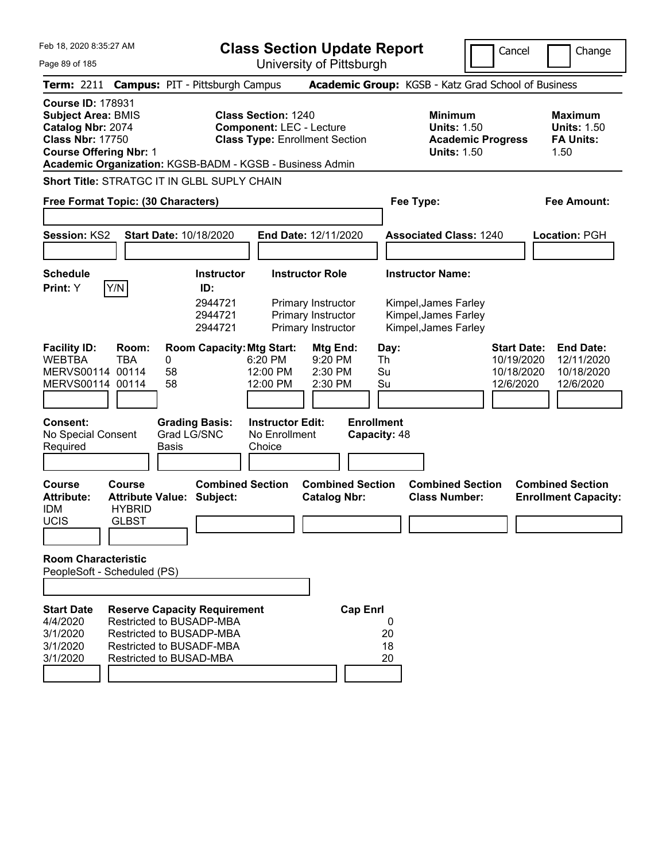Feb 18, 2020 8:35:27 AM Page 89 of 185 **Class Section Update Report** University of Pittsburgh Cancel Change **Term:** 2211 **Campus:** PIT - Pittsburgh Campus **Academic Group:** KGSB - Katz Grad School of Business **Course ID:** 178931 **Subject Area:** BMIS **Class Section:** 1240 **Minimum Maximum Catalog Nbr:** 2074 **Component:** LEC - Lecture **Units:** 1.50 **Units:** 1.50 **Class Nbr:** 17750 **Class Type:** Enrollment Section **Academic Progress FA Units: Course Offering Nbr: 1 1.50 1.50 1.50 1.50 1.50 1.50 Academic Organization:** KGSB-BADM - KGSB - Business Admin **Short Title:** STRATGC IT IN GLBL SUPLY CHAIN **Free Format Topic: (30 Characters) Fee Type: Fee Amount: Session:** KS2 **Start Date:** 10/18/2020 **End Date:** 12/11/2020 **Associated Class:** 1240 **Location:** PGH **Schedule Instructor Instructor Role Instructor Name: Print:**  $Y$   $|Y/N|$  **ID:** 2944721 Primary Instructor Kimpel,James Farley 2944721 Primary Instructor Kimpel,James Farley 2944721 Primary Instructor Kimpel,James Farley **Facility ID: Room: Room Capacity:Mtg Start: Mtg End: Day: Start Date: End Date:** WEBTBA TBA 0 6:20 PM 9:20 PM Th 10/19/2020 12/11/2020 MERVS00114 00114 58 12:00 PM 2:30 PM Su 10/18/2020 10/18/2020 MERVS00114 00114 58 12:00 PM 2:30 PM Su 12/6/2020 12/6/2020 **Consent: Grading Basis: Instructor Edit: Enrollment** No Special Consent Required Grad LG/SNC Basis No Enrollment **Choice Capacity:** 48 **Course Course Combined Section Combined Section Combined Section Combined Section Attribute: Attribute Value: Subject: Catalog Nbr: Class Number: Enrollment Capacity:**  IDM HYBRID UCIS GLBST **Room Characteristic** PeopleSoft - Scheduled (PS) **Start Date Reserve Capacity Requirement Cap Enrl** 4/4/2020 Restricted to BUSADP-MBA 0 3/1/2020 Restricted to BUSADP-MBA 20 3/1/2020 Restricted to BUSADF-MBA 18 3/1/2020 Restricted to BUSAD-MBA 20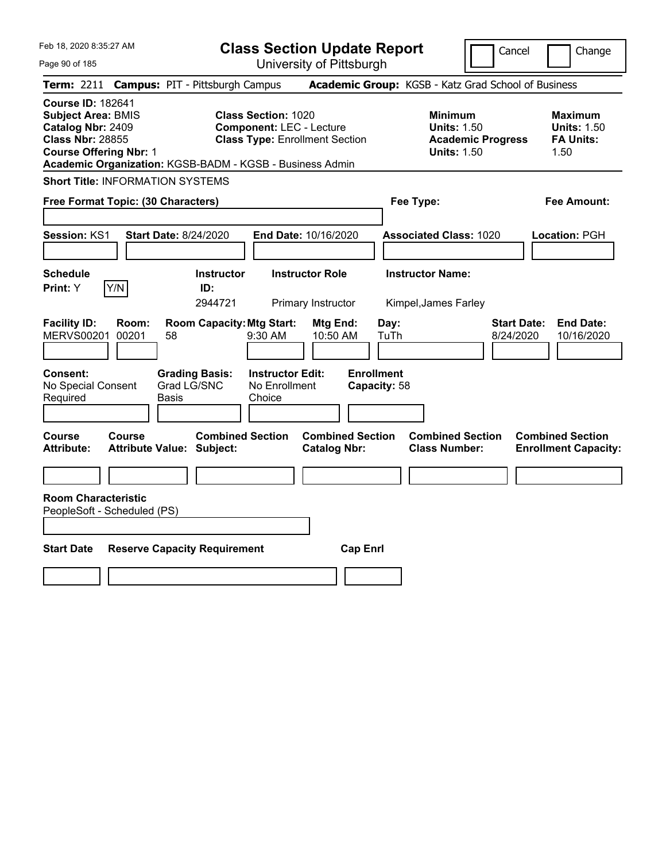Feb 18, 2020 8:35:27 AM Page 90 of 185 **Class Section Update Report** University of Pittsburgh Cancel Change **Term:** 2211 **Campus:** PIT - Pittsburgh Campus **Academic Group:** KGSB - Katz Grad School of Business **Course ID:** 182641 **Subject Area:** BMIS **Class Section:** 1020 **Minimum Maximum Catalog Nbr:** 2409 **Component:** LEC - Lecture **Units:** 1.50 **Units:** 1.50 **Class Nbr:** 28855 **Class Type:** Enrollment Section **Academic Progress FA Units: Course Offering Nbr: 1 1.50 1.50 1.50 1.50 1.50 1.50 Academic Organization:** KGSB-BADM - KGSB - Business Admin **Short Title:** INFORMATION SYSTEMS **Free Format Topic: (30 Characters) Fee Type: Fee Amount: Session:** KS1 **Start Date:** 8/24/2020 **End Date:** 10/16/2020 **Associated Class:** 1020 **Location:** PGH **Schedule Instructor Instructor Role Instructor Name: Print:**  $Y$   $|Y/N|$  **ID:** 2944721 Primary Instructor Kimpel,James Farley **Facility ID: Room: Room Capacity:Mtg Start: Mtg End: Day: Start Date: End Date:** MERVS00201 00201 58 9:30 AM 10:50 AM TuTh 8/24/2020 10/16/2020 **Consent: Grading Basis: Instructor Edit: Enrollment** No Special Consent Required Grad LG/SNC Basis No Enrollment Choice **Capacity:** 58 **Course Course Combined Section Combined Section Combined Section Combined Section Attribute: Attribute Value: Subject: Catalog Nbr: Class Number: Enrollment Capacity: Room Characteristic** PeopleSoft - Scheduled (PS) **Start Date Reserve Capacity Requirement Cap Enrl**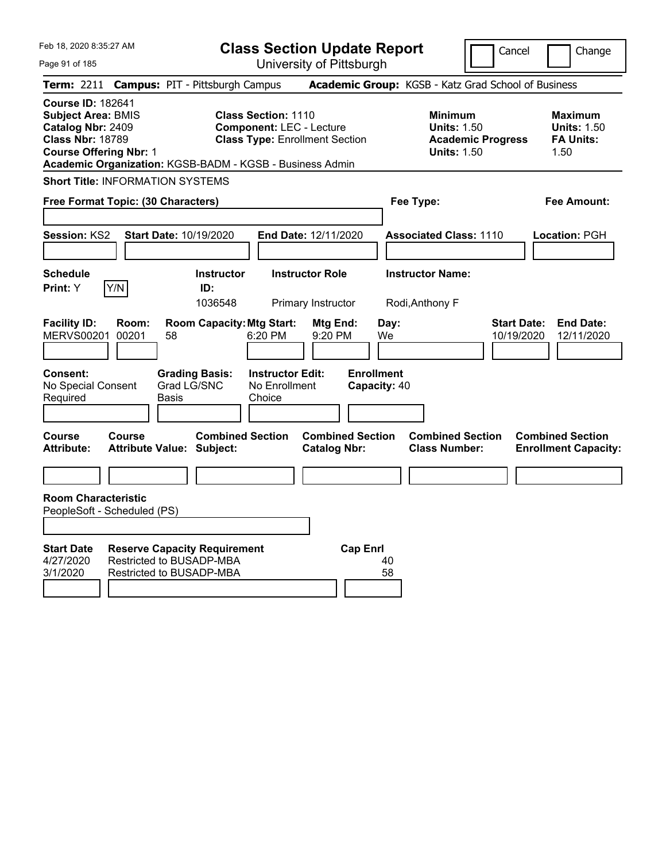| Feb 18, 2020 8:35:27 AM<br>Page 91 of 185                                                                                              |                |                                                                                             |                                                               | <b>Class Section Update Report</b><br>University of Pittsburgh |                                                 |                                                                                        | Cancel                           | Change                                                           |
|----------------------------------------------------------------------------------------------------------------------------------------|----------------|---------------------------------------------------------------------------------------------|---------------------------------------------------------------|----------------------------------------------------------------|-------------------------------------------------|----------------------------------------------------------------------------------------|----------------------------------|------------------------------------------------------------------|
|                                                                                                                                        |                | Term: 2211 Campus: PIT - Pittsburgh Campus                                                  |                                                               |                                                                |                                                 | Academic Group: KGSB - Katz Grad School of Business                                    |                                  |                                                                  |
| <b>Course ID: 182641</b><br><b>Subject Area: BMIS</b><br>Catalog Nbr: 2409<br><b>Class Nbr: 18789</b><br><b>Course Offering Nbr: 1</b> |                | Academic Organization: KGSB-BADM - KGSB - Business Admin                                    | <b>Class Section: 1110</b><br><b>Component: LEC - Lecture</b> | <b>Class Type: Enrollment Section</b>                          |                                                 | <b>Minimum</b><br><b>Units: 1.50</b><br><b>Academic Progress</b><br><b>Units: 1.50</b> |                                  | <b>Maximum</b><br><b>Units: 1.50</b><br><b>FA Units:</b><br>1.50 |
| <b>Short Title: INFORMATION SYSTEMS</b>                                                                                                |                |                                                                                             |                                                               |                                                                |                                                 |                                                                                        |                                  |                                                                  |
| Free Format Topic: (30 Characters)                                                                                                     |                |                                                                                             |                                                               |                                                                |                                                 | Fee Type:                                                                              |                                  | <b>Fee Amount:</b>                                               |
| Session: KS2                                                                                                                           |                | <b>Start Date: 10/19/2020</b>                                                               |                                                               | End Date: 12/11/2020                                           |                                                 | <b>Associated Class: 1110</b>                                                          |                                  | Location: PGH                                                    |
| <b>Schedule</b>                                                                                                                        |                | <b>Instructor</b>                                                                           |                                                               | <b>Instructor Role</b>                                         |                                                 | <b>Instructor Name:</b>                                                                |                                  |                                                                  |
| Print: Y                                                                                                                               | Y/N            | ID:<br>1036548                                                                              |                                                               | Primary Instructor                                             |                                                 | Rodi, Anthony F                                                                        |                                  |                                                                  |
| <b>Facility ID:</b><br><b>MERVS00201</b><br><b>Consent:</b><br>No Special Consent                                                      | Room:<br>00201 | <b>Room Capacity: Mtg Start:</b><br>58<br><b>Grading Basis:</b><br>Grad LG/SNC              | 6:20 PM<br><b>Instructor Edit:</b><br>No Enrollment           | Mtg End:<br>9:20 PM                                            | Day:<br>We<br><b>Enrollment</b><br>Capacity: 40 |                                                                                        | <b>Start Date:</b><br>10/19/2020 | <b>End Date:</b><br>12/11/2020                                   |
| Required                                                                                                                               |                | <b>Basis</b>                                                                                | Choice                                                        |                                                                |                                                 |                                                                                        |                                  |                                                                  |
| <b>Course</b><br><b>Attribute:</b>                                                                                                     | Course         | <b>Combined Section</b><br><b>Attribute Value: Subject:</b>                                 |                                                               | <b>Combined Section</b><br><b>Catalog Nbr:</b>                 |                                                 | <b>Combined Section</b><br><b>Class Number:</b>                                        |                                  | <b>Combined Section</b><br><b>Enrollment Capacity:</b>           |
|                                                                                                                                        |                |                                                                                             |                                                               |                                                                |                                                 |                                                                                        |                                  |                                                                  |
| <b>Room Characteristic</b><br>PeopleSoft - Scheduled (PS)                                                                              |                |                                                                                             |                                                               |                                                                |                                                 |                                                                                        |                                  |                                                                  |
| <b>Start Date</b><br>4/27/2020<br>3/1/2020                                                                                             |                | <b>Reserve Capacity Requirement</b><br>Restricted to BUSADP-MBA<br>Restricted to BUSADP-MBA |                                                               | <b>Cap Enrl</b>                                                | 40<br>58                                        |                                                                                        |                                  |                                                                  |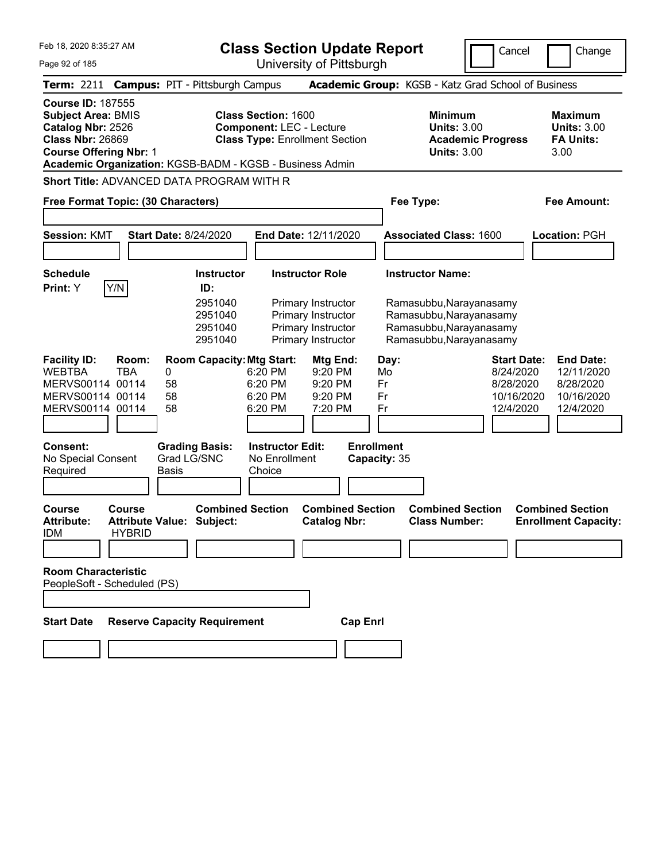|  | Feb 18, 2020 8:35:27 AM |  |
|--|-------------------------|--|
|  |                         |  |

**Course ID:** 187555

**Class Section Update Report**

Cancel | Change

Page 92 of 185

University of Pittsburgh **Term:** 2211 **Campus:** PIT - Pittsburgh Campus **Academic Group:** KGSB - Katz Grad School of Business **Subject Area: BMIS Class Section: 1600 Minimum 1990 Maximum 1990 Maximum Catalog Nbr: 2526 Component: LEC - Lecture** 1990 **Units: 3.00 Units: 3.00 Catalog Nbr:** 2526 **Component:** LEC - Lecture **Units: 3.00** Units: 3.00<br> **Class Nbr:** 26869 **Class Type:** Enrollment Section **Academic Progress** FA Units:

**Class Type: Enrollment Section** 

**Course Offering Nbr: 1 Units: 3.00** 3.00

**Academic Organization:** KGSB-BADM - KGSB - Business Admin

**Short Title:** ADVANCED DATA PROGRAM WITH R

| Free Format Topic: (30 Characters)                                                                                                             |                                                                                            |                                                                                      | Fee Type:                                                                                                | <b>Fee Amount:</b>                                                                                                                                |
|------------------------------------------------------------------------------------------------------------------------------------------------|--------------------------------------------------------------------------------------------|--------------------------------------------------------------------------------------|----------------------------------------------------------------------------------------------------------|---------------------------------------------------------------------------------------------------------------------------------------------------|
| <b>Start Date: 8/24/2020</b><br><b>Session: KMT</b>                                                                                            |                                                                                            | End Date: 12/11/2020                                                                 | <b>Associated Class: 1600</b>                                                                            | Location: PGH                                                                                                                                     |
| <b>Schedule</b>                                                                                                                                | <b>Instructor</b>                                                                          | <b>Instructor Role</b>                                                               | <b>Instructor Name:</b>                                                                                  |                                                                                                                                                   |
| Y/N<br>Print: Y                                                                                                                                | ID:<br>2951040<br>2951040<br>2951040<br>2951040                                            | Primary Instructor<br>Primary Instructor<br>Primary Instructor<br>Primary Instructor | Ramasubbu, Narayanasamy<br>Ramasubbu, Narayanasamy<br>Ramasubbu, Narayanasamy<br>Ramasubbu, Narayanasamy |                                                                                                                                                   |
| <b>Facility ID:</b><br>Room:<br><b>WEBTBA</b><br><b>TBA</b><br>0<br>MERVS00114 00114<br>58<br>MERVS00114 00114<br>58<br>58<br>MERVS00114 00114 | <b>Room Capacity: Mtg Start:</b><br>6:20 PM<br>6:20 PM<br>6:20 PM<br>6:20 PM               | Mtg End:<br>Day:<br>9:20 PM<br>Mo<br>9:20 PM<br>Fr<br>9:20 PM<br>Fr<br>7:20 PM<br>Fr |                                                                                                          | <b>Start Date:</b><br><b>End Date:</b><br>8/24/2020<br>12/11/2020<br>8/28/2020<br>8/28/2020<br>10/16/2020<br>10/16/2020<br>12/4/2020<br>12/4/2020 |
| Consent:<br>No Special Consent<br>Required<br><b>Basis</b>                                                                                     | <b>Grading Basis:</b><br><b>Instructor Edit:</b><br>Grad LG/SNC<br>No Enrollment<br>Choice | <b>Enrollment</b><br>Capacity: 35                                                    |                                                                                                          |                                                                                                                                                   |
| <b>Course</b><br><b>Course</b><br><b>Attribute:</b><br><b>Attribute Value: Subject:</b><br><b>IDM</b><br><b>HYBRID</b>                         | <b>Combined Section</b>                                                                    | <b>Combined Section</b><br><b>Catalog Nbr:</b>                                       | <b>Combined Section</b><br><b>Class Number:</b>                                                          | <b>Combined Section</b><br><b>Enrollment Capacity:</b>                                                                                            |
| <b>Room Characteristic</b><br>PeopleSoft - Scheduled (PS)                                                                                      |                                                                                            |                                                                                      |                                                                                                          |                                                                                                                                                   |
| <b>Start Date</b>                                                                                                                              | <b>Reserve Capacity Requirement</b>                                                        | <b>Cap Enrl</b>                                                                      |                                                                                                          |                                                                                                                                                   |
|                                                                                                                                                |                                                                                            |                                                                                      |                                                                                                          |                                                                                                                                                   |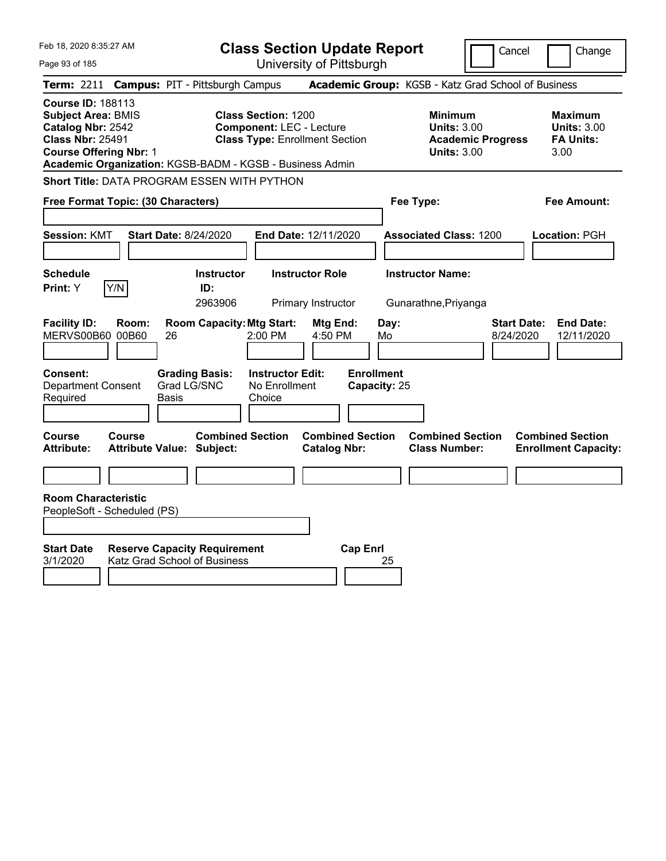| Feb 18, 2020 8:35:27 AM                                                                                                                                                                            |                              |                                                                     | <b>Class Section Update Report</b>                                                                     |                                              |                                   |            |                                                            |                          | Cancel                          | Change                                                           |
|----------------------------------------------------------------------------------------------------------------------------------------------------------------------------------------------------|------------------------------|---------------------------------------------------------------------|--------------------------------------------------------------------------------------------------------|----------------------------------------------|-----------------------------------|------------|------------------------------------------------------------|--------------------------|---------------------------------|------------------------------------------------------------------|
| Page 93 of 185                                                                                                                                                                                     |                              |                                                                     | University of Pittsburgh                                                                               |                                              |                                   |            |                                                            |                          |                                 |                                                                  |
| <b>Term: 2211</b>                                                                                                                                                                                  |                              | <b>Campus: PIT - Pittsburgh Campus</b>                              |                                                                                                        |                                              |                                   |            | Academic Group: KGSB - Katz Grad School of Business        |                          |                                 |                                                                  |
| <b>Course ID: 188113</b><br><b>Subject Area: BMIS</b><br>Catalog Nbr: 2542<br><b>Class Nbr: 25491</b><br><b>Course Offering Nbr: 1</b><br>Academic Organization: KGSB-BADM - KGSB - Business Admin |                              |                                                                     | <b>Class Section: 1200</b><br><b>Component: LEC - Lecture</b><br><b>Class Type: Enrollment Section</b> |                                              |                                   |            | <b>Minimum</b><br><b>Units: 3.00</b><br><b>Units: 3.00</b> | <b>Academic Progress</b> |                                 | <b>Maximum</b><br><b>Units: 3.00</b><br><b>FA Units:</b><br>3.00 |
| Short Title: DATA PROGRAM ESSEN WITH PYTHON                                                                                                                                                        |                              |                                                                     |                                                                                                        |                                              |                                   |            |                                                            |                          |                                 |                                                                  |
| Free Format Topic: (30 Characters)                                                                                                                                                                 |                              |                                                                     |                                                                                                        |                                              |                                   |            | Fee Type:                                                  |                          |                                 | Fee Amount:                                                      |
| <b>Session: KMT</b>                                                                                                                                                                                | <b>Start Date: 8/24/2020</b> |                                                                     | End Date: 12/11/2020                                                                                   |                                              |                                   |            | <b>Associated Class: 1200</b>                              |                          |                                 | Location: PGH                                                    |
| <b>Schedule</b><br>Y/N<br>Print: Y                                                                                                                                                                 |                              | <b>Instructor</b><br>ID:<br>2963906                                 |                                                                                                        | <b>Instructor Role</b><br>Primary Instructor |                                   |            | <b>Instructor Name:</b><br>Gunarathne, Priyanga            |                          |                                 |                                                                  |
| <b>Facility ID:</b><br>Room:<br>MERVS00B60 00B60                                                                                                                                                   | 26                           | <b>Room Capacity: Mtg Start:</b>                                    | 2:00 PM                                                                                                | Mtg End:<br>4:50 PM                          |                                   | Day:<br>Mo |                                                            |                          | <b>Start Date:</b><br>8/24/2020 | <b>End Date:</b><br>12/11/2020                                   |
| <b>Consent:</b><br><b>Department Consent</b><br>Required                                                                                                                                           | Grad LG/SNC<br>Basis         | <b>Grading Basis:</b>                                               | <b>Instructor Edit:</b><br>No Enrollment<br>Choice                                                     |                                              | <b>Enrollment</b><br>Capacity: 25 |            |                                                            |                          |                                 |                                                                  |
| Course<br><b>Course</b><br><b>Attribute:</b>                                                                                                                                                       | Attribute Value: Subject:    | <b>Combined Section</b>                                             |                                                                                                        | <b>Catalog Nbr:</b>                          | <b>Combined Section</b>           |            | <b>Combined Section</b><br><b>Class Number:</b>            |                          |                                 | <b>Combined Section</b><br><b>Enrollment Capacity:</b>           |
|                                                                                                                                                                                                    |                              |                                                                     |                                                                                                        |                                              |                                   |            |                                                            |                          |                                 |                                                                  |
| <b>Room Characteristic</b><br>PeopleSoft - Scheduled (PS)                                                                                                                                          |                              |                                                                     |                                                                                                        |                                              |                                   |            |                                                            |                          |                                 |                                                                  |
| <b>Start Date</b><br>3/1/2020                                                                                                                                                                      |                              | <b>Reserve Capacity Requirement</b><br>Katz Grad School of Business |                                                                                                        |                                              | <b>Cap Enrl</b>                   | 25         |                                                            |                          |                                 |                                                                  |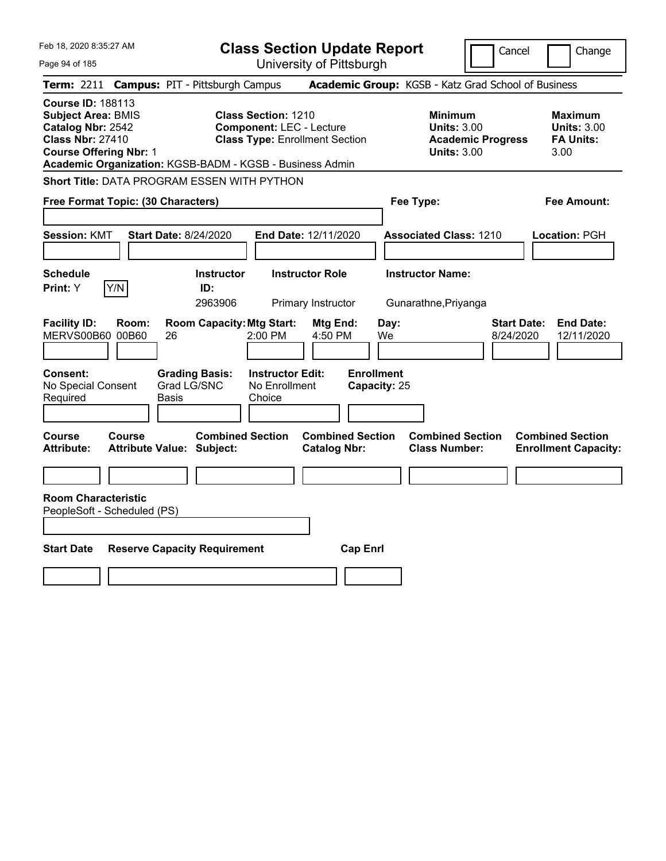| Feb 18, 2020 8:35:27 AM                                                                                                                                                                            |               |                                                             |                                                               | <b>Class Section Update Report</b>                  |                                   |                                                            | Cancel                   | Change                                                           |
|----------------------------------------------------------------------------------------------------------------------------------------------------------------------------------------------------|---------------|-------------------------------------------------------------|---------------------------------------------------------------|-----------------------------------------------------|-----------------------------------|------------------------------------------------------------|--------------------------|------------------------------------------------------------------|
| Page 94 of 185                                                                                                                                                                                     |               |                                                             |                                                               | University of Pittsburgh                            |                                   |                                                            |                          |                                                                  |
| <b>Term: 2211</b>                                                                                                                                                                                  |               | <b>Campus: PIT - Pittsburgh Campus</b>                      |                                                               | Academic Group: KGSB - Katz Grad School of Business |                                   |                                                            |                          |                                                                  |
| <b>Course ID: 188113</b><br><b>Subject Area: BMIS</b><br>Catalog Nbr: 2542<br><b>Class Nbr: 27410</b><br><b>Course Offering Nbr: 1</b><br>Academic Organization: KGSB-BADM - KGSB - Business Admin |               |                                                             | <b>Class Section: 1210</b><br><b>Component: LEC - Lecture</b> | <b>Class Type: Enrollment Section</b>               |                                   | <b>Minimum</b><br><b>Units: 3.00</b><br><b>Units: 3.00</b> | <b>Academic Progress</b> | <b>Maximum</b><br><b>Units: 3.00</b><br><b>FA Units:</b><br>3.00 |
| <b>Short Title: DATA PROGRAM ESSEN WITH PYTHON</b>                                                                                                                                                 |               |                                                             |                                                               |                                                     |                                   |                                                            |                          |                                                                  |
| Free Format Topic: (30 Characters)                                                                                                                                                                 |               |                                                             |                                                               |                                                     |                                   | Fee Type:                                                  |                          | Fee Amount:                                                      |
| <b>Session: KMT</b>                                                                                                                                                                                |               | <b>Start Date: 8/24/2020</b>                                |                                                               | End Date: 12/11/2020                                |                                   | <b>Associated Class: 1210</b>                              |                          | Location: PGH                                                    |
| <b>Schedule</b><br>Y/N<br>Print: Y                                                                                                                                                                 |               | <b>Instructor</b><br>ID:<br>2963906                         |                                                               | <b>Instructor Role</b><br>Primary Instructor        |                                   | <b>Instructor Name:</b><br>Gunarathne, Priyanga            |                          |                                                                  |
| <b>Facility ID:</b><br>MERVS00B60 00B60                                                                                                                                                            | Room:<br>26   | <b>Room Capacity: Mtg Start:</b>                            | 2:00 PM                                                       | Mtg End:<br>4:50 PM                                 | Day:<br>We                        |                                                            | 8/24/2020                | <b>Start Date:</b><br><b>End Date:</b><br>12/11/2020             |
| <b>Consent:</b><br>No Special Consent<br>Required                                                                                                                                                  | Basis         | <b>Grading Basis:</b><br>Grad LG/SNC                        | <b>Instructor Edit:</b><br>No Enrollment<br>Choice            |                                                     | <b>Enrollment</b><br>Capacity: 25 |                                                            |                          |                                                                  |
| Course<br><b>Attribute:</b>                                                                                                                                                                        | <b>Course</b> | <b>Combined Section</b><br><b>Attribute Value: Subject:</b> |                                                               | <b>Combined Section</b><br><b>Catalog Nbr:</b>      |                                   | <b>Combined Section</b><br><b>Class Number:</b>            |                          | <b>Combined Section</b><br><b>Enrollment Capacity:</b>           |
|                                                                                                                                                                                                    |               |                                                             |                                                               |                                                     |                                   |                                                            |                          |                                                                  |
| <b>Room Characteristic</b><br>PeopleSoft - Scheduled (PS)                                                                                                                                          |               |                                                             |                                                               |                                                     |                                   |                                                            |                          |                                                                  |
|                                                                                                                                                                                                    |               |                                                             |                                                               |                                                     |                                   |                                                            |                          |                                                                  |
| <b>Start Date</b>                                                                                                                                                                                  |               | <b>Reserve Capacity Requirement</b>                         |                                                               | <b>Cap Enrl</b>                                     |                                   |                                                            |                          |                                                                  |
|                                                                                                                                                                                                    |               |                                                             |                                                               |                                                     |                                   |                                                            |                          |                                                                  |
|                                                                                                                                                                                                    |               |                                                             |                                                               |                                                     |                                   |                                                            |                          |                                                                  |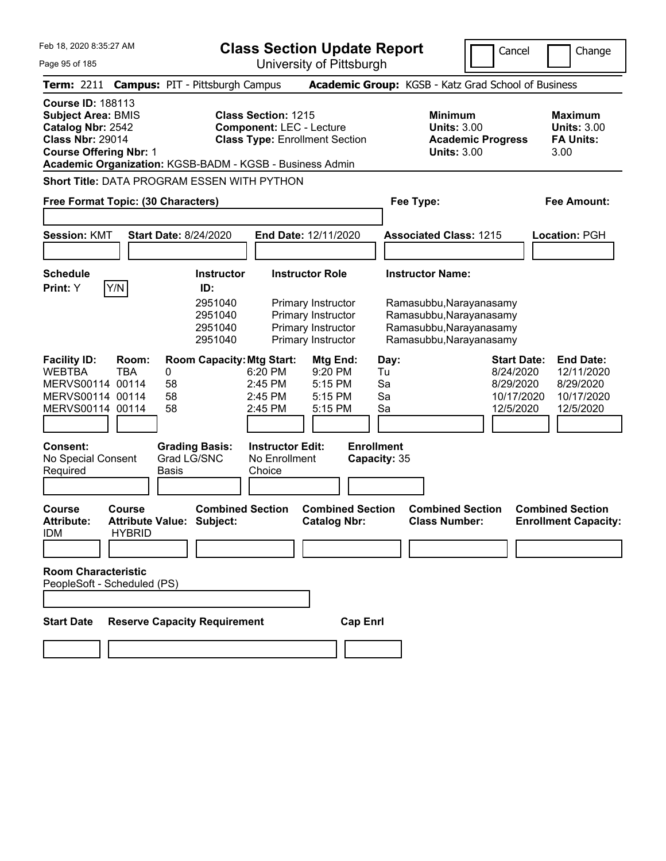|  | Feb 18, 2020 8:35:27 AM |  |
|--|-------------------------|--|
|  |                         |  |

**Class Section Update Report** University of Pittsburgh

Cancel Change

Page 95 of 185

|                                                                                                                                        |                                                    | Term: 2211 Campus: PIT - Pittsburgh Campus               |                                                               |                                                                    | Academic Group: KGSB - Katz Grad School of Business                           |                                                                         |                                                                        |
|----------------------------------------------------------------------------------------------------------------------------------------|----------------------------------------------------|----------------------------------------------------------|---------------------------------------------------------------|--------------------------------------------------------------------|-------------------------------------------------------------------------------|-------------------------------------------------------------------------|------------------------------------------------------------------------|
| <b>Course ID: 188113</b><br><b>Subject Area: BMIS</b><br>Catalog Nbr: 2542<br><b>Class Nbr: 29014</b><br><b>Course Offering Nbr: 1</b> |                                                    | Academic Organization: KGSB-BADM - KGSB - Business Admin | <b>Class Section: 1215</b><br><b>Component: LEC - Lecture</b> | <b>Class Type: Enrollment Section</b>                              | <b>Minimum</b><br><b>Units: 3.00</b><br><b>Units: 3.00</b>                    | <b>Academic Progress</b>                                                | <b>Maximum</b><br><b>Units: 3.00</b><br><b>FA Units:</b><br>3.00       |
| Free Format Topic: (30 Characters)                                                                                                     |                                                    | <b>Short Title: DATA PROGRAM ESSEN WITH PYTHON</b>       |                                                               |                                                                    | Fee Type:                                                                     |                                                                         | <b>Fee Amount:</b>                                                     |
|                                                                                                                                        |                                                    |                                                          |                                                               |                                                                    |                                                                               |                                                                         |                                                                        |
| <b>Session: KMT</b>                                                                                                                    |                                                    | <b>Start Date: 8/24/2020</b>                             |                                                               | End Date: 12/11/2020                                               | <b>Associated Class: 1215</b>                                                 |                                                                         | Location: PGH                                                          |
| <b>Schedule</b><br>Print: Y                                                                                                            | Y/N                                                | <b>Instructor</b><br>ID:<br>2951040<br>2951040           |                                                               | <b>Instructor Role</b><br>Primary Instructor<br>Primary Instructor | <b>Instructor Name:</b><br>Ramasubbu, Narayanasamy<br>Ramasubbu, Narayanasamy |                                                                         |                                                                        |
|                                                                                                                                        |                                                    | 2951040<br>2951040                                       |                                                               | Primary Instructor<br>Primary Instructor                           | Ramasubbu, Narayanasamy<br>Ramasubbu, Narayanasamy                            |                                                                         |                                                                        |
| <b>Facility ID:</b><br><b>WEBTBA</b><br>MERVS00114 00114<br>MERVS00114 00114<br>MERVS00114 00114                                       | Room:<br><b>TBA</b>                                | <b>Room Capacity: Mtg Start:</b><br>0<br>58<br>58<br>58  | 6:20 PM<br>2:45 PM<br>2:45 PM<br>2:45 PM                      | Mtg End:<br>9:20 PM<br>5:15 PM<br>5:15 PM<br>5:15 PM               | Day:<br>Tu<br>Sa<br>Sa<br>Sa                                                  | <b>Start Date:</b><br>8/24/2020<br>8/29/2020<br>10/17/2020<br>12/5/2020 | <b>End Date:</b><br>12/11/2020<br>8/29/2020<br>10/17/2020<br>12/5/2020 |
| Consent:<br>No Special Consent<br>Required                                                                                             |                                                    | <b>Grading Basis:</b><br>Grad LG/SNC<br><b>Basis</b>     | <b>Instructor Edit:</b><br>No Enrollment<br>Choice            |                                                                    | <b>Enrollment</b><br>Capacity: 35                                             |                                                                         |                                                                        |
| <b>Course</b><br><b>Attribute:</b><br><b>IDM</b>                                                                                       | Course<br><b>Attribute Value:</b><br><b>HYBRID</b> | <b>Combined Section</b><br>Subject:                      |                                                               | <b>Combined Section</b><br><b>Catalog Nbr:</b>                     | <b>Combined Section</b><br><b>Class Number:</b>                               |                                                                         | <b>Combined Section</b><br><b>Enrollment Capacity:</b>                 |
| <b>Room Characteristic</b><br>PeopleSoft - Scheduled (PS)                                                                              |                                                    |                                                          |                                                               |                                                                    |                                                                               |                                                                         |                                                                        |
| <b>Start Date</b>                                                                                                                      |                                                    | <b>Reserve Capacity Requirement</b>                      |                                                               | <b>Cap Enrl</b>                                                    |                                                                               |                                                                         |                                                                        |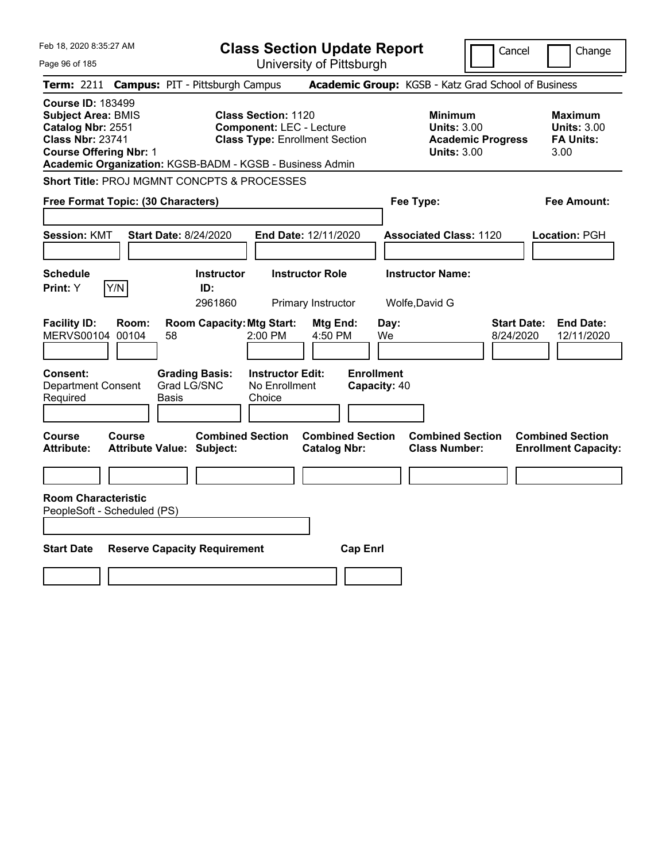| Feb 18, 2020 8:35:27 AM                                                                                                                                                                            |                                               | <b>Class Section Update Report</b>                                                                     |                                                |                                                            | Cancel                          | Change                                                           |
|----------------------------------------------------------------------------------------------------------------------------------------------------------------------------------------------------|-----------------------------------------------|--------------------------------------------------------------------------------------------------------|------------------------------------------------|------------------------------------------------------------|---------------------------------|------------------------------------------------------------------|
| Page 96 of 185                                                                                                                                                                                     |                                               |                                                                                                        | University of Pittsburgh                       |                                                            |                                 |                                                                  |
| <b>Term: 2211</b>                                                                                                                                                                                  | <b>Campus: PIT - Pittsburgh Campus</b>        |                                                                                                        |                                                | Academic Group: KGSB - Katz Grad School of Business        |                                 |                                                                  |
| <b>Course ID: 183499</b><br><b>Subject Area: BMIS</b><br>Catalog Nbr: 2551<br><b>Class Nbr: 23741</b><br><b>Course Offering Nbr: 1</b><br>Academic Organization: KGSB-BADM - KGSB - Business Admin |                                               | <b>Class Section: 1120</b><br><b>Component: LEC - Lecture</b><br><b>Class Type: Enrollment Section</b> |                                                | <b>Minimum</b><br><b>Units: 3.00</b><br><b>Units: 3.00</b> | <b>Academic Progress</b>        | <b>Maximum</b><br><b>Units: 3.00</b><br><b>FA Units:</b><br>3.00 |
| <b>Short Title: PROJ MGMNT CONCPTS &amp; PROCESSES</b>                                                                                                                                             |                                               |                                                                                                        |                                                |                                                            |                                 |                                                                  |
| Free Format Topic: (30 Characters)                                                                                                                                                                 |                                               |                                                                                                        |                                                | Fee Type:                                                  |                                 | <b>Fee Amount:</b>                                               |
| <b>Session: KMT</b>                                                                                                                                                                                | <b>Start Date: 8/24/2020</b>                  |                                                                                                        | End Date: 12/11/2020                           | <b>Associated Class: 1120</b>                              |                                 | Location: PGH                                                    |
| <b>Schedule</b><br>Y/N<br>Print: Y                                                                                                                                                                 | <b>Instructor</b><br>ID:<br>2961860           |                                                                                                        | <b>Instructor Role</b><br>Primary Instructor   | <b>Instructor Name:</b><br>Wolfe, David G                  |                                 |                                                                  |
| <b>Facility ID:</b><br>Room:<br>MERVS00104 00104                                                                                                                                                   | <b>Room Capacity: Mtg Start:</b><br>58        | 2:00 PM                                                                                                | Mtg End:<br>4:50 PM                            | Day:<br>We                                                 | <b>Start Date:</b><br>8/24/2020 | <b>End Date:</b><br>12/11/2020                                   |
| Consent:<br><b>Department Consent</b><br>Required                                                                                                                                                  | <b>Grading Basis:</b><br>Grad LG/SNC<br>Basis | <b>Instructor Edit:</b><br>No Enrollment<br>Choice                                                     |                                                | <b>Enrollment</b><br>Capacity: 40                          |                                 |                                                                  |
| Course<br><b>Course</b><br><b>Attribute:</b>                                                                                                                                                       | <b>Attribute Value: Subject:</b>              | <b>Combined Section</b>                                                                                | <b>Combined Section</b><br><b>Catalog Nbr:</b> | <b>Combined Section</b><br><b>Class Number:</b>            |                                 | <b>Combined Section</b><br><b>Enrollment Capacity:</b>           |
| <b>Room Characteristic</b><br>PeopleSoft - Scheduled (PS)                                                                                                                                          |                                               |                                                                                                        |                                                |                                                            |                                 |                                                                  |
| <b>Start Date</b>                                                                                                                                                                                  | <b>Reserve Capacity Requirement</b>           |                                                                                                        | <b>Cap Enrl</b>                                |                                                            |                                 |                                                                  |
|                                                                                                                                                                                                    |                                               |                                                                                                        |                                                |                                                            |                                 |                                                                  |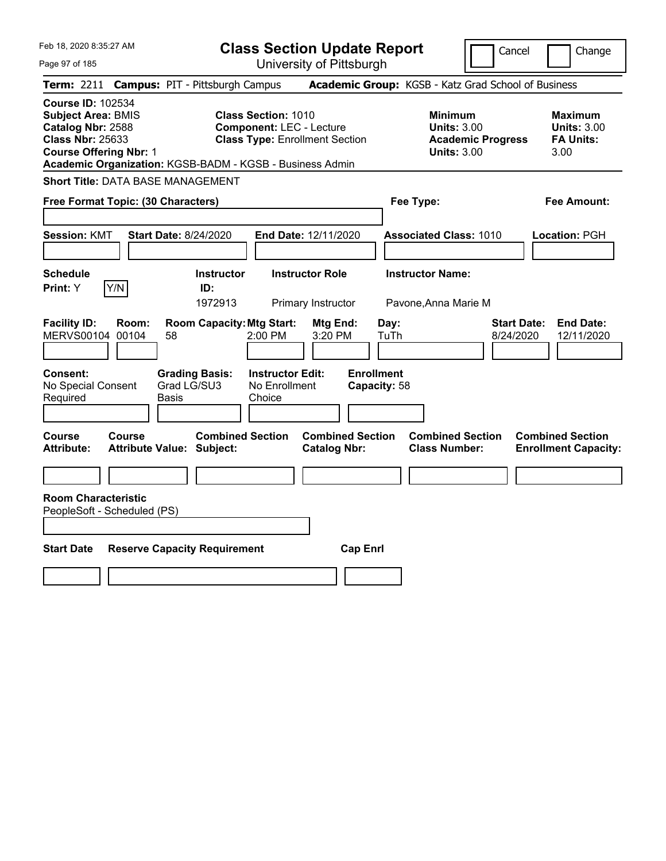Feb 18, 2020 8:35:27 AM Page 97 of 185 **Class Section Update Report** University of Pittsburgh Cancel Change **Term:** 2211 **Campus:** PIT - Pittsburgh Campus **Academic Group:** KGSB - Katz Grad School of Business **Course ID:** 102534 **Subject Area:** BMIS **Class Section:** 1010 **Minimum Maximum Catalog Nbr:** 2588 **Component:** LEC - Lecture **Units:** 3.00 **Units:** 3.00 **Class Nbr:** 25633 **Class Type:** Enrollment Section **Academic Progress FA Units: Course Offering Nbr:** 1 **Units:** 3.00 3.00 **Academic Organization:** KGSB-BADM - KGSB - Business Admin **Short Title:** DATA BASE MANAGEMENT **Free Format Topic: (30 Characters) Fee Type: Fee Amount: Session:** KMT **Start Date:** 8/24/2020 **End Date:** 12/11/2020 **Associated Class:** 1010 **Location:** PGH **Schedule Instructor Instructor Role Instructor Name: Print:**  $Y$   $|Y/N|$  **ID:** 1972913 Primary Instructor Pavone,Anna Marie M **Facility ID: Room: Room Capacity:Mtg Start: Mtg End: Day: Start Date: End Date:** MERVS00104 00104 58 2:00 PM 3:20 PM TuTh 8/24/2020 12/11/2020 **Consent: Grading Basis: Instructor Edit: Enrollment** No Special Consent Required Grad LG/SU3 Basis No Enrollment Choice **Capacity:** 58 **Course Course Combined Section Combined Section Combined Section Combined Section Attribute: Attribute Value: Subject: Catalog Nbr: Class Number: Enrollment Capacity: Room Characteristic** PeopleSoft - Scheduled (PS) **Start Date Reserve Capacity Requirement Cap Enrl**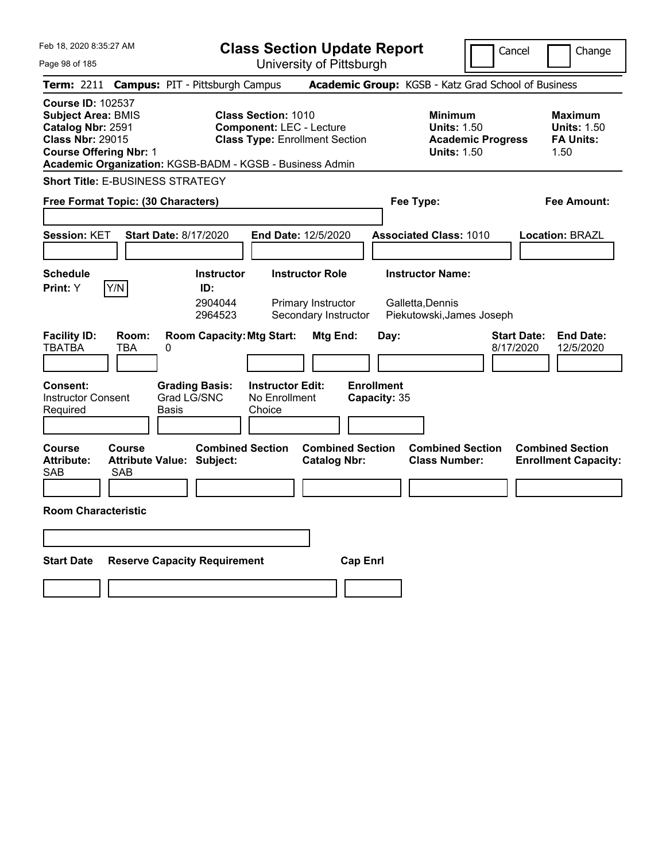| Feb 18, 2020 8:35:27 AM                                                                                                                                                                            | <b>Class Section Update Report</b>                                                                                     | Cancel                                                                                 | Change                                                           |
|----------------------------------------------------------------------------------------------------------------------------------------------------------------------------------------------------|------------------------------------------------------------------------------------------------------------------------|----------------------------------------------------------------------------------------|------------------------------------------------------------------|
| Page 98 of 185                                                                                                                                                                                     | University of Pittsburgh                                                                                               |                                                                                        |                                                                  |
| Term: 2211<br><b>Campus: PIT - Pittsburgh Campus</b>                                                                                                                                               |                                                                                                                        | Academic Group: KGSB - Katz Grad School of Business                                    |                                                                  |
| <b>Course ID: 102537</b><br><b>Subject Area: BMIS</b><br>Catalog Nbr: 2591<br><b>Class Nbr: 29015</b><br><b>Course Offering Nbr: 1</b><br>Academic Organization: KGSB-BADM - KGSB - Business Admin | <b>Class Section: 1010</b><br><b>Component: LEC - Lecture</b><br><b>Class Type: Enrollment Section</b>                 | <b>Minimum</b><br><b>Units: 1.50</b><br><b>Academic Progress</b><br><b>Units: 1.50</b> | <b>Maximum</b><br><b>Units: 1.50</b><br><b>FA Units:</b><br>1.50 |
| <b>Short Title: E-BUSINESS STRATEGY</b>                                                                                                                                                            |                                                                                                                        |                                                                                        |                                                                  |
| Free Format Topic: (30 Characters)                                                                                                                                                                 |                                                                                                                        | Fee Type:                                                                              | Fee Amount:                                                      |
| <b>Session: KET</b><br><b>Start Date: 8/17/2020</b>                                                                                                                                                | End Date: 12/5/2020                                                                                                    | <b>Associated Class: 1010</b>                                                          | <b>Location: BRAZL</b>                                           |
| <b>Schedule</b><br>Y/N<br>Print: Y                                                                                                                                                                 | <b>Instructor Role</b><br><b>Instructor</b><br>ID:<br>2904044<br>Primary Instructor<br>Secondary Instructor<br>2964523 | <b>Instructor Name:</b><br>Galletta,Dennis<br>Piekutowski, James Joseph                |                                                                  |
| <b>Facility ID:</b><br>Room:<br><b>TBATBA</b><br><b>TBA</b><br>0<br>Consent:<br><b>Grading Basis:</b><br>Grad LG/SNC<br><b>Instructor Consent</b><br>Required<br>Basis                             | <b>Room Capacity: Mtg Start:</b><br>Mtg End:<br><b>Instructor Edit:</b><br>No Enrollment<br>Choice                     | Day:<br>8/17/2020<br><b>Enrollment</b><br>Capacity: 35                                 | <b>Start Date:</b><br><b>End Date:</b><br>12/5/2020              |
| Course<br>Course<br><b>Attribute:</b><br><b>Attribute Value: Subject:</b><br>SAB<br><b>SAB</b>                                                                                                     | <b>Combined Section</b><br><b>Combined Section</b><br><b>Catalog Nbr:</b>                                              | <b>Combined Section</b><br><b>Class Number:</b>                                        | <b>Combined Section</b><br><b>Enrollment Capacity:</b>           |
| <b>Room Characteristic</b>                                                                                                                                                                         |                                                                                                                        |                                                                                        |                                                                  |
| <b>Start Date</b><br><b>Reserve Capacity Requirement</b>                                                                                                                                           | <b>Cap Enri</b>                                                                                                        |                                                                                        |                                                                  |
|                                                                                                                                                                                                    |                                                                                                                        |                                                                                        |                                                                  |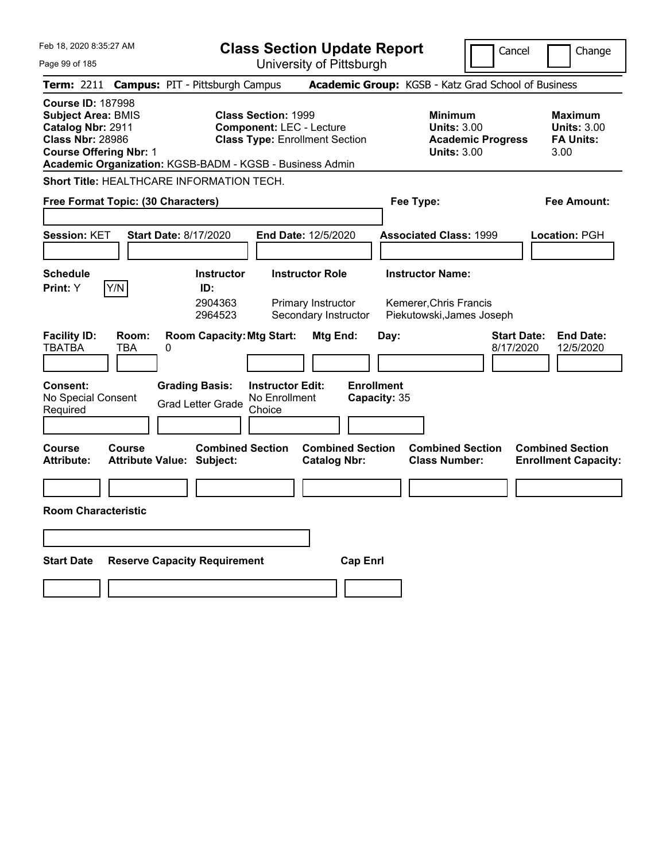| Feb 18, 2020 8:35:27 AM                                                                                                                                                                            | <b>Class Section Update Report</b>                                                                                             |                                                                                | Cancel<br>Change                                                                             |
|----------------------------------------------------------------------------------------------------------------------------------------------------------------------------------------------------|--------------------------------------------------------------------------------------------------------------------------------|--------------------------------------------------------------------------------|----------------------------------------------------------------------------------------------|
| Page 99 of 185                                                                                                                                                                                     | University of Pittsburgh                                                                                                       |                                                                                |                                                                                              |
| <b>Campus: PIT - Pittsburgh Campus</b><br>Term: 2211                                                                                                                                               |                                                                                                                                | Academic Group: KGSB - Katz Grad School of Business                            |                                                                                              |
| <b>Course ID: 187998</b><br><b>Subject Area: BMIS</b><br>Catalog Nbr: 2911<br><b>Class Nbr: 28986</b><br><b>Course Offering Nbr: 1</b><br>Academic Organization: KGSB-BADM - KGSB - Business Admin | <b>Class Section: 1999</b><br><b>Component: LEC - Lecture</b><br><b>Class Type: Enrollment Section</b>                         | <b>Minimum</b><br><b>Units: 3.00</b><br><b>Units: 3.00</b>                     | <b>Maximum</b><br><b>Units: 3.00</b><br><b>FA Units:</b><br><b>Academic Progress</b><br>3.00 |
| Short Title: HEALTHCARE INFORMATION TECH.                                                                                                                                                          |                                                                                                                                |                                                                                |                                                                                              |
| Free Format Topic: (30 Characters)                                                                                                                                                                 |                                                                                                                                | Fee Type:                                                                      | Fee Amount:                                                                                  |
| <b>Start Date: 8/17/2020</b><br><b>Session: KET</b>                                                                                                                                                | End Date: 12/5/2020                                                                                                            | <b>Associated Class: 1999</b>                                                  | Location: PGH                                                                                |
| <b>Schedule</b><br>Y/N<br>Print: Y                                                                                                                                                                 | <b>Instructor</b><br><b>Instructor Role</b><br>ID:<br>2904363<br>Primary Instructor<br>2964523<br>Secondary Instructor         | <b>Instructor Name:</b><br>Kemerer, Chris Francis<br>Piekutowski, James Joseph |                                                                                              |
| <b>Facility ID:</b><br>Room:<br><b>TBATBA</b><br>TBA<br>0<br>Consent:<br><b>Grading Basis:</b><br>No Special Consent<br>Required                                                                   | <b>Room Capacity: Mtg Start:</b><br>Mtg End:<br><b>Instructor Edit:</b><br>No Enrollment<br><b>Grad Letter Grade</b><br>Choice | Day:<br><b>Enrollment</b><br>Capacity: 35                                      | <b>Start Date:</b><br><b>End Date:</b><br>8/17/2020<br>12/5/2020                             |
| Course<br>Course<br><b>Attribute:</b><br><b>Attribute Value: Subject:</b>                                                                                                                          | <b>Combined Section</b><br><b>Catalog Nbr:</b>                                                                                 | <b>Combined Section</b><br><b>Combined Section</b><br><b>Class Number:</b>     | <b>Combined Section</b><br><b>Enrollment Capacity:</b>                                       |
|                                                                                                                                                                                                    |                                                                                                                                |                                                                                |                                                                                              |
| <b>Room Characteristic</b>                                                                                                                                                                         |                                                                                                                                |                                                                                |                                                                                              |
|                                                                                                                                                                                                    |                                                                                                                                |                                                                                |                                                                                              |
| <b>Start Date</b><br><b>Reserve Capacity Requirement</b>                                                                                                                                           |                                                                                                                                | <b>Cap Enri</b>                                                                |                                                                                              |
|                                                                                                                                                                                                    |                                                                                                                                |                                                                                |                                                                                              |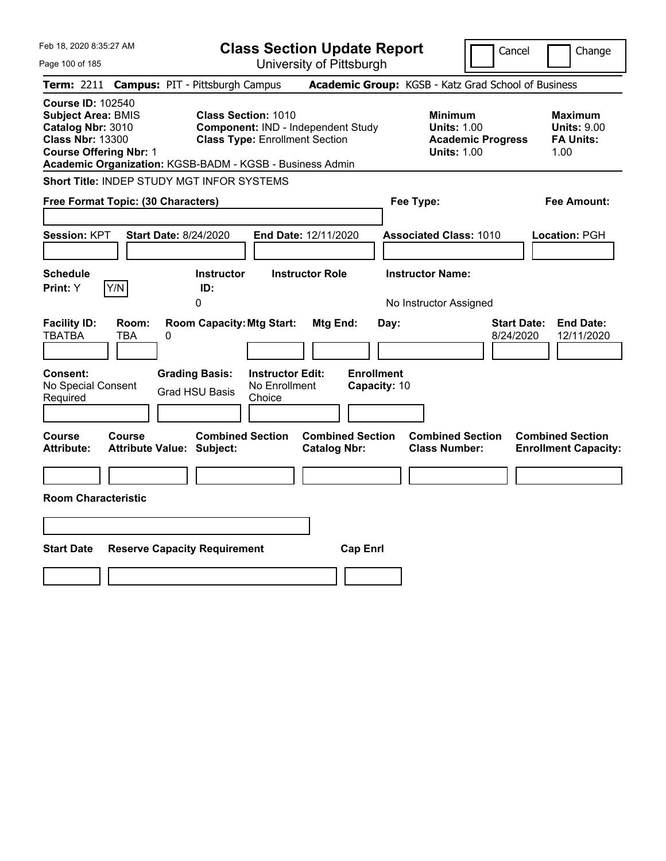| Feb 18, 2020 8:35:27 AM<br><b>Class Section Update Report</b><br>Cancel                                                                                                                                                                                                                                                                                                                                   | Change                                                           |
|-----------------------------------------------------------------------------------------------------------------------------------------------------------------------------------------------------------------------------------------------------------------------------------------------------------------------------------------------------------------------------------------------------------|------------------------------------------------------------------|
| University of Pittsburgh<br>Page 100 of 185                                                                                                                                                                                                                                                                                                                                                               |                                                                  |
| <b>Campus: PIT - Pittsburgh Campus</b><br>Academic Group: KGSB - Katz Grad School of Business<br>Term: 2211                                                                                                                                                                                                                                                                                               |                                                                  |
| <b>Course ID: 102540</b><br><b>Class Section: 1010</b><br><b>Subject Area: BMIS</b><br><b>Minimum</b><br>Catalog Nbr: 3010<br>Component: IND - Independent Study<br><b>Units: 1.00</b><br><b>Class Nbr: 13300</b><br><b>Class Type: Enrollment Section</b><br><b>Academic Progress</b><br><b>Course Offering Nbr: 1</b><br><b>Units: 1.00</b><br>Academic Organization: KGSB-BADM - KGSB - Business Admin | <b>Maximum</b><br><b>Units: 9.00</b><br><b>FA Units:</b><br>1.00 |
| Short Title: INDEP STUDY MGT INFOR SYSTEMS                                                                                                                                                                                                                                                                                                                                                                |                                                                  |
| Free Format Topic: (30 Characters)<br>Fee Type:                                                                                                                                                                                                                                                                                                                                                           | Fee Amount:                                                      |
| <b>Session: KPT</b><br><b>Start Date: 8/24/2020</b><br><b>End Date: 12/11/2020</b><br><b>Associated Class: 1010</b><br><b>Instructor Name:</b><br><b>Schedule</b><br><b>Instructor</b><br><b>Instructor Role</b>                                                                                                                                                                                          | Location: PGH                                                    |
| Y/N<br>ID:<br>Print: Y                                                                                                                                                                                                                                                                                                                                                                                    |                                                                  |
| 0<br>No Instructor Assigned                                                                                                                                                                                                                                                                                                                                                                               |                                                                  |
| <b>Facility ID:</b><br><b>Room Capacity: Mtg Start:</b><br>Mtg End:<br><b>Start Date:</b><br>Room:<br>Day:<br><b>TBATBA</b><br><b>TBA</b><br>0<br>8/24/2020                                                                                                                                                                                                                                               | <b>End Date:</b><br>12/11/2020                                   |
| <b>Enrollment</b><br>Consent:<br><b>Grading Basis:</b><br><b>Instructor Edit:</b><br>No Special Consent<br>No Enrollment<br>Capacity: 10<br><b>Grad HSU Basis</b><br>Required<br>Choice                                                                                                                                                                                                                   |                                                                  |
| <b>Combined Section</b><br><b>Combined Section</b><br><b>Combined Section</b><br>Course<br>Course<br>Attribute Value: Subject:<br><b>Catalog Nbr:</b><br><b>Class Number:</b><br><b>Attribute:</b>                                                                                                                                                                                                        | <b>Combined Section</b><br><b>Enrollment Capacity:</b>           |
|                                                                                                                                                                                                                                                                                                                                                                                                           |                                                                  |
| <b>Room Characteristic</b>                                                                                                                                                                                                                                                                                                                                                                                |                                                                  |
|                                                                                                                                                                                                                                                                                                                                                                                                           |                                                                  |
| <b>Start Date</b><br><b>Reserve Capacity Requirement</b><br><b>Cap Enrl</b>                                                                                                                                                                                                                                                                                                                               |                                                                  |
|                                                                                                                                                                                                                                                                                                                                                                                                           |                                                                  |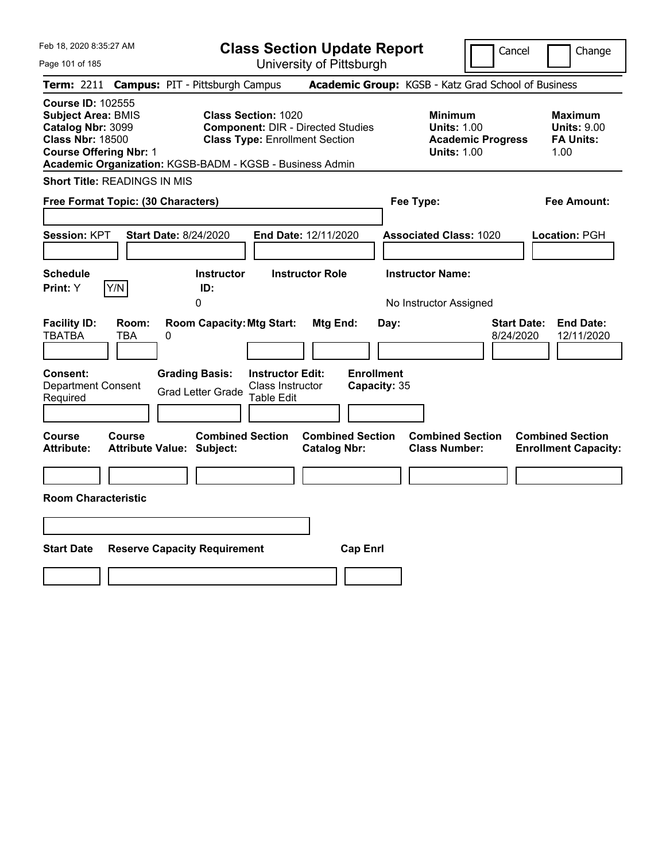Feb 18, 2020 8:35:27 AM

Page 101 of 185

**Class Section Update Report**

Cancel Change

University of Pittsburgh

|                                                                                                                                        |                     | Term: 2211 Campus: PIT - Pittsburgh Campus                  |                                                                                                                 |                                                |                                   |      | Academic Group: KGSB - Katz Grad School of Business                                    |                                 |                                                                  |
|----------------------------------------------------------------------------------------------------------------------------------------|---------------------|-------------------------------------------------------------|-----------------------------------------------------------------------------------------------------------------|------------------------------------------------|-----------------------------------|------|----------------------------------------------------------------------------------------|---------------------------------|------------------------------------------------------------------|
| <b>Course ID: 102555</b><br><b>Subject Area: BMIS</b><br>Catalog Nbr: 3099<br><b>Class Nbr: 18500</b><br><b>Course Offering Nbr: 1</b> |                     | Academic Organization: KGSB-BADM - KGSB - Business Admin    | <b>Class Section: 1020</b><br><b>Component: DIR - Directed Studies</b><br><b>Class Type: Enrollment Section</b> |                                                |                                   |      | <b>Minimum</b><br><b>Units: 1.00</b><br><b>Academic Progress</b><br><b>Units: 1.00</b> |                                 | <b>Maximum</b><br><b>Units: 9.00</b><br><b>FA Units:</b><br>1.00 |
| <b>Short Title: READINGS IN MIS</b>                                                                                                    |                     |                                                             |                                                                                                                 |                                                |                                   |      |                                                                                        |                                 |                                                                  |
| Free Format Topic: (30 Characters)                                                                                                     |                     |                                                             |                                                                                                                 |                                                |                                   |      | Fee Type:                                                                              |                                 | <b>Fee Amount:</b>                                               |
| Session: KPT                                                                                                                           |                     | <b>Start Date: 8/24/2020</b>                                | End Date: 12/11/2020                                                                                            |                                                |                                   |      | <b>Associated Class: 1020</b>                                                          |                                 | Location: PGH                                                    |
| <b>Schedule</b><br>Print: Y                                                                                                            | Y/N                 | <b>Instructor</b><br>ID:<br>0                               |                                                                                                                 | <b>Instructor Role</b>                         |                                   |      | <b>Instructor Name:</b><br>No Instructor Assigned                                      |                                 |                                                                  |
| <b>Facility ID:</b><br><b>TBATBA</b>                                                                                                   | Room:<br><b>TBA</b> | <b>Room Capacity: Mtg Start:</b><br>0                       |                                                                                                                 | Mtg End:                                       |                                   | Day: |                                                                                        | <b>Start Date:</b><br>8/24/2020 | <b>End Date:</b><br>12/11/2020                                   |
| Consent:<br><b>Department Consent</b><br>Required                                                                                      |                     | <b>Grading Basis:</b><br><b>Grad Letter Grade</b>           | <b>Instructor Edit:</b><br>Class Instructor<br><b>Table Edit</b>                                                |                                                | <b>Enrollment</b><br>Capacity: 35 |      |                                                                                        |                                 |                                                                  |
| <b>Course</b><br><b>Attribute:</b>                                                                                                     | Course              | <b>Combined Section</b><br><b>Attribute Value: Subject:</b> |                                                                                                                 | <b>Combined Section</b><br><b>Catalog Nbr:</b> |                                   |      | <b>Combined Section</b><br><b>Class Number:</b>                                        |                                 | <b>Combined Section</b><br><b>Enrollment Capacity:</b>           |
| <b>Room Characteristic</b>                                                                                                             |                     |                                                             |                                                                                                                 |                                                |                                   |      |                                                                                        |                                 |                                                                  |
|                                                                                                                                        |                     |                                                             |                                                                                                                 |                                                |                                   |      |                                                                                        |                                 |                                                                  |
| <b>Start Date</b>                                                                                                                      |                     | <b>Reserve Capacity Requirement</b>                         |                                                                                                                 |                                                | <b>Cap Enrl</b>                   |      |                                                                                        |                                 |                                                                  |
|                                                                                                                                        |                     |                                                             |                                                                                                                 |                                                |                                   |      |                                                                                        |                                 |                                                                  |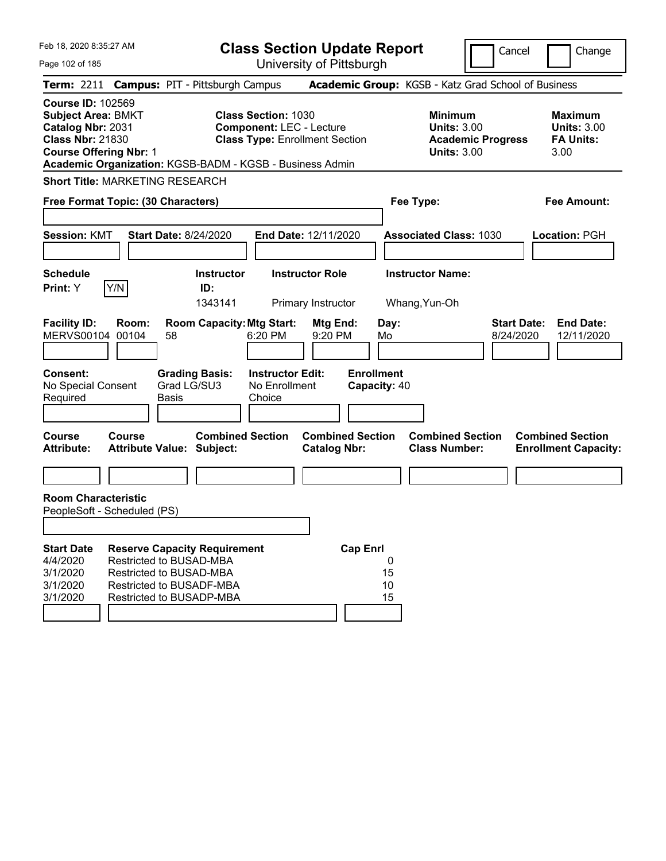| Feb 18, 2020 8:35:27 AM                                                                                                                                                                            |                                                                                                                   |              |                                      | <b>Class Section Update Report</b>                                                                     |                                                |                                   |                     |                                                            |                          | Cancel                          | Change                                                           |
|----------------------------------------------------------------------------------------------------------------------------------------------------------------------------------------------------|-------------------------------------------------------------------------------------------------------------------|--------------|--------------------------------------|--------------------------------------------------------------------------------------------------------|------------------------------------------------|-----------------------------------|---------------------|------------------------------------------------------------|--------------------------|---------------------------------|------------------------------------------------------------------|
| Page 102 of 185                                                                                                                                                                                    |                                                                                                                   |              |                                      |                                                                                                        | University of Pittsburgh                       |                                   |                     |                                                            |                          |                                 |                                                                  |
| Term: 2211 Campus: PIT - Pittsburgh Campus                                                                                                                                                         |                                                                                                                   |              |                                      |                                                                                                        |                                                |                                   |                     | Academic Group: KGSB - Katz Grad School of Business        |                          |                                 |                                                                  |
| <b>Course ID: 102569</b><br><b>Subject Area: BMKT</b><br>Catalog Nbr: 2031<br><b>Class Nbr: 21830</b><br><b>Course Offering Nbr: 1</b><br>Academic Organization: KGSB-BADM - KGSB - Business Admin |                                                                                                                   |              |                                      | <b>Class Section: 1030</b><br><b>Component: LEC - Lecture</b><br><b>Class Type: Enrollment Section</b> |                                                |                                   |                     | <b>Minimum</b><br><b>Units: 3.00</b><br><b>Units: 3.00</b> | <b>Academic Progress</b> |                                 | <b>Maximum</b><br><b>Units: 3.00</b><br><b>FA Units:</b><br>3.00 |
| <b>Short Title: MARKETING RESEARCH</b>                                                                                                                                                             |                                                                                                                   |              |                                      |                                                                                                        |                                                |                                   |                     |                                                            |                          |                                 |                                                                  |
| Free Format Topic: (30 Characters)                                                                                                                                                                 |                                                                                                                   |              |                                      |                                                                                                        |                                                |                                   |                     | Fee Type:                                                  |                          |                                 | <b>Fee Amount:</b>                                               |
| <b>Session: KMT</b>                                                                                                                                                                                |                                                                                                                   |              | <b>Start Date: 8/24/2020</b>         |                                                                                                        | End Date: 12/11/2020                           |                                   |                     | <b>Associated Class: 1030</b>                              |                          |                                 | Location: PGH                                                    |
| <b>Schedule</b><br><b>Print:</b> Y                                                                                                                                                                 | Y/N                                                                                                               |              | <b>Instructor</b><br>ID:             |                                                                                                        | <b>Instructor Role</b>                         |                                   |                     | <b>Instructor Name:</b>                                    |                          |                                 |                                                                  |
|                                                                                                                                                                                                    |                                                                                                                   |              | 1343141                              |                                                                                                        | Primary Instructor                             |                                   |                     | Whang, Yun-Oh                                              |                          |                                 |                                                                  |
| <b>Facility ID:</b><br><b>MERVS00104</b>                                                                                                                                                           | Room:<br>00104                                                                                                    | 58           | <b>Room Capacity: Mtg Start:</b>     | 6:20 PM                                                                                                | Mtg End:<br>9:20 PM                            |                                   | Day:<br>Mo          |                                                            |                          | <b>Start Date:</b><br>8/24/2020 | <b>End Date:</b><br>12/11/2020                                   |
| <b>Consent:</b><br>No Special Consent<br>Required                                                                                                                                                  |                                                                                                                   | <b>Basis</b> | <b>Grading Basis:</b><br>Grad LG/SU3 | <b>Instructor Edit:</b><br>No Enrollment<br>Choice                                                     |                                                | <b>Enrollment</b><br>Capacity: 40 |                     |                                                            |                          |                                 |                                                                  |
| <b>Course</b><br><b>Attribute:</b>                                                                                                                                                                 | Course<br><b>Attribute Value: Subject:</b>                                                                        |              | <b>Combined Section</b>              |                                                                                                        | <b>Combined Section</b><br><b>Catalog Nbr:</b> |                                   |                     | <b>Combined Section</b><br><b>Class Number:</b>            |                          |                                 | <b>Combined Section</b><br><b>Enrollment Capacity:</b>           |
| <b>Room Characteristic</b>                                                                                                                                                                         |                                                                                                                   |              |                                      |                                                                                                        |                                                |                                   |                     |                                                            |                          |                                 |                                                                  |
| PeopleSoft - Scheduled (PS)                                                                                                                                                                        |                                                                                                                   |              |                                      |                                                                                                        |                                                |                                   |                     |                                                            |                          |                                 |                                                                  |
| <b>Start Date</b><br>4/4/2020<br>3/1/2020<br>3/1/2020<br>3/1/2020                                                                                                                                  | <b>Restricted to BUSAD-MBA</b><br>Restricted to BUSAD-MBA<br>Restricted to BUSADF-MBA<br>Restricted to BUSADP-MBA |              | <b>Reserve Capacity Requirement</b>  |                                                                                                        |                                                | <b>Cap Enrl</b>                   | 0<br>15<br>10<br>15 |                                                            |                          |                                 |                                                                  |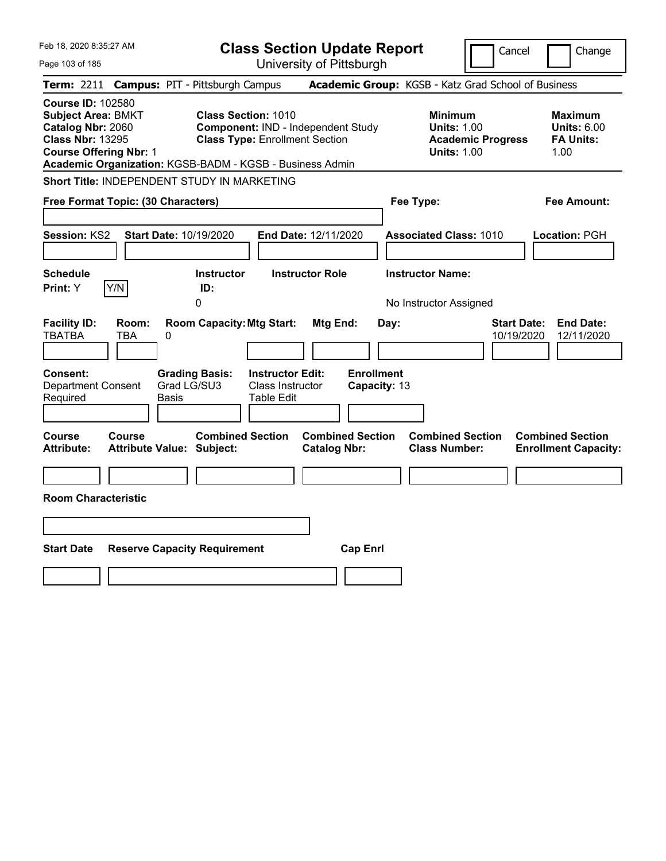| Feb 18, 2020 8:35:27 AM                                                                                                                |                                            |                                                                                                                                                                       | <b>Class Section Update Report</b>             |                                                            | Cancel                           | Change                                                           |
|----------------------------------------------------------------------------------------------------------------------------------------|--------------------------------------------|-----------------------------------------------------------------------------------------------------------------------------------------------------------------------|------------------------------------------------|------------------------------------------------------------|----------------------------------|------------------------------------------------------------------|
| Page 103 of 185                                                                                                                        |                                            |                                                                                                                                                                       | University of Pittsburgh                       |                                                            |                                  |                                                                  |
| <b>Term: 2211</b>                                                                                                                      |                                            | <b>Campus: PIT - Pittsburgh Campus</b>                                                                                                                                |                                                | Academic Group: KGSB - Katz Grad School of Business        |                                  |                                                                  |
| <b>Course ID: 102580</b><br><b>Subject Area: BMKT</b><br>Catalog Nbr: 2060<br><b>Class Nbr: 13295</b><br><b>Course Offering Nbr: 1</b> |                                            | <b>Class Section: 1010</b><br>Component: IND - Independent Study<br><b>Class Type: Enrollment Section</b><br>Academic Organization: KGSB-BADM - KGSB - Business Admin |                                                | <b>Minimum</b><br><b>Units: 1.00</b><br><b>Units: 1.00</b> | <b>Academic Progress</b>         | <b>Maximum</b><br><b>Units: 6.00</b><br><b>FA Units:</b><br>1.00 |
|                                                                                                                                        |                                            | Short Title: INDEPENDENT STUDY IN MARKETING                                                                                                                           |                                                |                                                            |                                  |                                                                  |
|                                                                                                                                        | Free Format Topic: (30 Characters)         |                                                                                                                                                                       |                                                | Fee Type:                                                  |                                  | Fee Amount:                                                      |
| Session: KS2                                                                                                                           | Start Date: 10/19/2020                     |                                                                                                                                                                       | End Date: 12/11/2020                           | <b>Associated Class: 1010</b>                              |                                  | Location: PGH                                                    |
| <b>Schedule</b><br>Print: Y                                                                                                            | Y/N                                        | <b>Instructor</b><br>ID:                                                                                                                                              | <b>Instructor Role</b>                         | <b>Instructor Name:</b>                                    |                                  |                                                                  |
|                                                                                                                                        |                                            | 0                                                                                                                                                                     |                                                | No Instructor Assigned                                     |                                  |                                                                  |
| <b>Facility ID:</b><br><b>TBATBA</b><br>Consent:<br><b>Department Consent</b><br>Required                                              | Room:<br>TBA<br>0<br>Basis                 | <b>Room Capacity: Mtg Start:</b><br><b>Grading Basis:</b><br><b>Instructor Edit:</b><br>Grad LG/SU3<br>Class Instructor<br>Table Edit                                 | Mtg End:<br><b>Enrollment</b><br>Capacity: 13  | Day:                                                       | <b>Start Date:</b><br>10/19/2020 | <b>End Date:</b><br>12/11/2020                                   |
|                                                                                                                                        |                                            |                                                                                                                                                                       |                                                |                                                            |                                  |                                                                  |
| Course<br><b>Attribute:</b>                                                                                                            | <b>Course</b><br>Attribute Value: Subject: | <b>Combined Section</b>                                                                                                                                               | <b>Combined Section</b><br><b>Catalog Nbr:</b> | <b>Combined Section</b><br><b>Class Number:</b>            |                                  | <b>Combined Section</b><br><b>Enrollment Capacity:</b>           |
|                                                                                                                                        |                                            |                                                                                                                                                                       |                                                |                                                            |                                  |                                                                  |
| <b>Room Characteristic</b>                                                                                                             |                                            |                                                                                                                                                                       |                                                |                                                            |                                  |                                                                  |
|                                                                                                                                        |                                            |                                                                                                                                                                       |                                                |                                                            |                                  |                                                                  |
| <b>Start Date</b>                                                                                                                      | <b>Reserve Capacity Requirement</b>        |                                                                                                                                                                       | <b>Cap Enrl</b>                                |                                                            |                                  |                                                                  |
|                                                                                                                                        |                                            |                                                                                                                                                                       |                                                |                                                            |                                  |                                                                  |
|                                                                                                                                        |                                            |                                                                                                                                                                       |                                                |                                                            |                                  |                                                                  |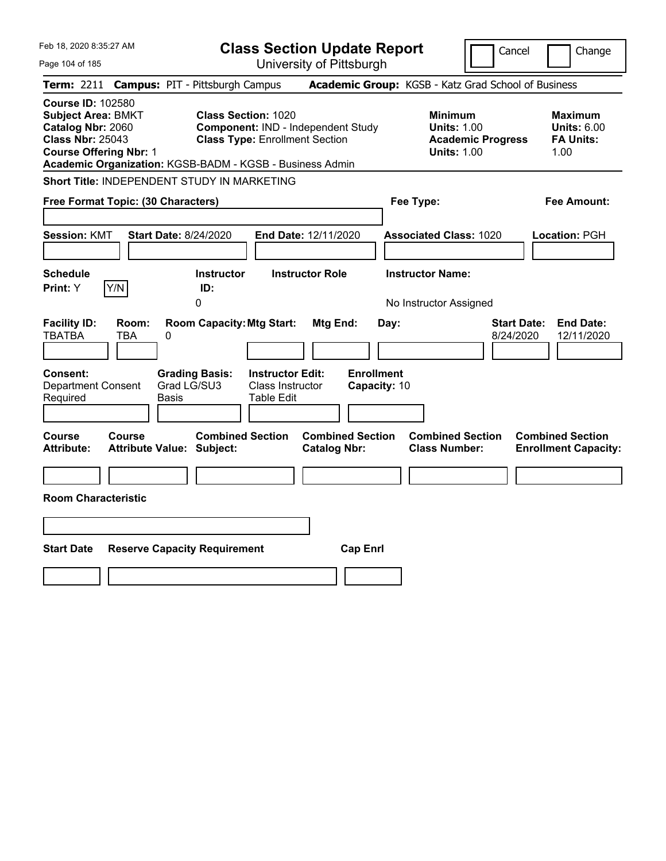| Feb 18, 2020 8:35:27 AM                                                                                                                                                                            |                                                                                             |                                                                     | <b>Class Section Update Report</b>             |                                                          | Cancel                                                                                 | Change                                                           |
|----------------------------------------------------------------------------------------------------------------------------------------------------------------------------------------------------|---------------------------------------------------------------------------------------------|---------------------------------------------------------------------|------------------------------------------------|----------------------------------------------------------|----------------------------------------------------------------------------------------|------------------------------------------------------------------|
| Page 104 of 185                                                                                                                                                                                    |                                                                                             |                                                                     | University of Pittsburgh                       |                                                          |                                                                                        |                                                                  |
| Term: 2211                                                                                                                                                                                         | <b>Campus: PIT - Pittsburgh Campus</b>                                                      |                                                                     |                                                |                                                          | Academic Group: KGSB - Katz Grad School of Business                                    |                                                                  |
| <b>Course ID: 102580</b><br><b>Subject Area: BMKT</b><br>Catalog Nbr: 2060<br><b>Class Nbr: 25043</b><br><b>Course Offering Nbr: 1</b><br>Academic Organization: KGSB-BADM - KGSB - Business Admin |                                                                                             | <b>Class Section: 1020</b><br><b>Class Type: Enrollment Section</b> | <b>Component: IND - Independent Study</b>      |                                                          | <b>Minimum</b><br><b>Units: 1.00</b><br><b>Academic Progress</b><br><b>Units: 1.00</b> | <b>Maximum</b><br><b>Units: 6.00</b><br><b>FA Units:</b><br>1.00 |
| Short Title: INDEPENDENT STUDY IN MARKETING                                                                                                                                                        |                                                                                             |                                                                     |                                                |                                                          |                                                                                        |                                                                  |
| Free Format Topic: (30 Characters)                                                                                                                                                                 |                                                                                             |                                                                     |                                                | Fee Type:                                                |                                                                                        | Fee Amount:                                                      |
| <b>Session: KMT</b><br><b>Schedule</b><br>Y/N<br>Print: Y                                                                                                                                          | <b>Start Date: 8/24/2020</b><br><b>Instructor</b><br>ID:                                    |                                                                     | End Date: 12/11/2020<br><b>Instructor Role</b> | <b>Associated Class: 1020</b><br><b>Instructor Name:</b> |                                                                                        | Location: PGH                                                    |
| <b>Facility ID:</b><br>Room:<br><b>TBATBA</b><br><b>TBA</b><br>Consent:<br><b>Department Consent</b><br>Required                                                                                   | 0<br><b>Room Capacity: Mtg Start:</b><br>0<br><b>Grading Basis:</b><br>Grad LG/SU3<br>Basis | <b>Instructor Edit:</b><br>Class Instructor<br>Table Edit           | Mtg End:<br><b>Enrollment</b><br>Capacity: 10  | No Instructor Assigned<br>Day:                           | <b>Start Date:</b><br>8/24/2020                                                        | <b>End Date:</b><br>12/11/2020                                   |
| <b>Course</b><br><b>Course</b><br><b>Attribute:</b><br><b>Room Characteristic</b>                                                                                                                  | <b>Combined Section</b><br><b>Attribute Value: Subject:</b>                                 |                                                                     | <b>Combined Section</b><br><b>Catalog Nbr:</b> | <b>Class Number:</b>                                     | <b>Combined Section</b>                                                                | <b>Combined Section</b><br><b>Enrollment Capacity:</b>           |
|                                                                                                                                                                                                    |                                                                                             |                                                                     |                                                |                                                          |                                                                                        |                                                                  |
|                                                                                                                                                                                                    |                                                                                             |                                                                     |                                                |                                                          |                                                                                        |                                                                  |
| <b>Start Date</b>                                                                                                                                                                                  | <b>Reserve Capacity Requirement</b>                                                         |                                                                     | <b>Cap Enrl</b>                                |                                                          |                                                                                        |                                                                  |
|                                                                                                                                                                                                    |                                                                                             |                                                                     |                                                |                                                          |                                                                                        |                                                                  |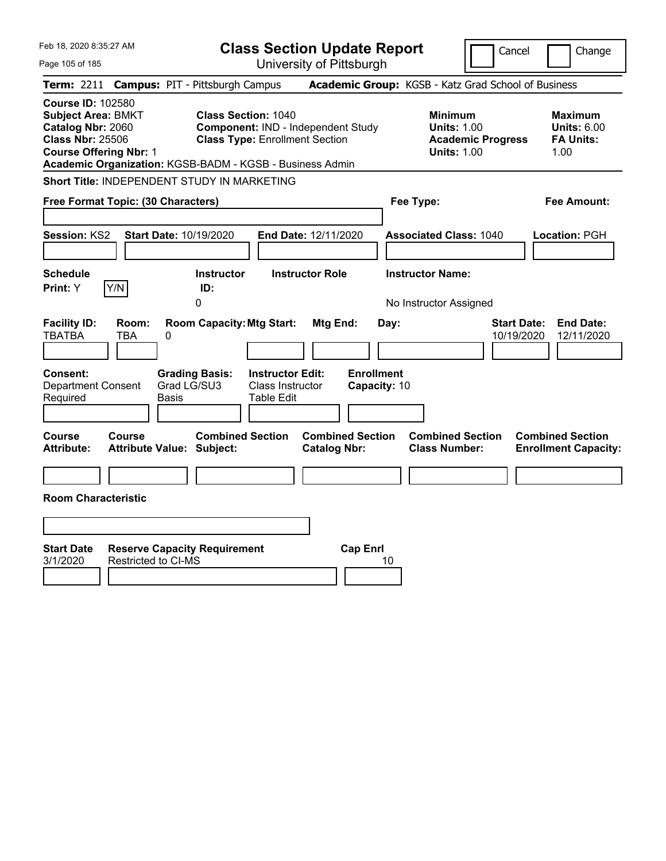| Feb 18, 2020 8:35:27 AM                                                                                                                                                                            |                                                                   |                                                                     |                                                           | <b>Class Section Update Report</b>                  |                                           |                                                            |                          | Cancel                           | Change                                                           |
|----------------------------------------------------------------------------------------------------------------------------------------------------------------------------------------------------|-------------------------------------------------------------------|---------------------------------------------------------------------|-----------------------------------------------------------|-----------------------------------------------------|-------------------------------------------|------------------------------------------------------------|--------------------------|----------------------------------|------------------------------------------------------------------|
| Page 105 of 185                                                                                                                                                                                    |                                                                   |                                                                     |                                                           | University of Pittsburgh                            |                                           |                                                            |                          |                                  |                                                                  |
| <b>Term: 2211</b>                                                                                                                                                                                  | <b>Campus: PIT - Pittsburgh Campus</b>                            |                                                                     |                                                           | Academic Group: KGSB - Katz Grad School of Business |                                           |                                                            |                          |                                  |                                                                  |
| <b>Course ID: 102580</b><br><b>Subject Area: BMKT</b><br>Catalog Nbr: 2060<br><b>Class Nbr: 25506</b><br><b>Course Offering Nbr: 1</b><br>Academic Organization: KGSB-BADM - KGSB - Business Admin |                                                                   | <b>Class Section: 1040</b><br><b>Class Type: Enrollment Section</b> |                                                           | Component: IND - Independent Study                  |                                           | <b>Minimum</b><br><b>Units: 1.00</b><br><b>Units: 1.00</b> | <b>Academic Progress</b> |                                  | <b>Maximum</b><br><b>Units: 6.00</b><br><b>FA Units:</b><br>1.00 |
| Short Title: INDEPENDENT STUDY IN MARKETING                                                                                                                                                        |                                                                   |                                                                     |                                                           |                                                     |                                           |                                                            |                          |                                  |                                                                  |
| Free Format Topic: (30 Characters)                                                                                                                                                                 |                                                                   |                                                                     |                                                           |                                                     |                                           | Fee Type:                                                  |                          |                                  | Fee Amount:                                                      |
| Session: KS2<br><b>Schedule</b><br>Y/N<br>Print: Y                                                                                                                                                 | Start Date: 10/19/2020                                            | <b>Instructor</b><br>ID:                                            |                                                           | End Date: 12/11/2020<br><b>Instructor Role</b>      |                                           | <b>Associated Class: 1040</b><br><b>Instructor Name:</b>   |                          |                                  | Location: PGH                                                    |
| <b>Facility ID:</b><br>Room:<br><b>TBATBA</b><br><b>TBA</b><br><b>Consent:</b><br><b>Department Consent</b><br>Required                                                                            | 0<br><b>Grading Basis:</b><br>Grad LG/SU3<br>Basis                | 0<br><b>Room Capacity: Mtg Start:</b>                               | <b>Instructor Edit:</b><br>Class Instructor<br>Table Edit | Mtg End:                                            | Day:<br><b>Enrollment</b><br>Capacity: 10 | No Instructor Assigned                                     |                          | <b>Start Date:</b><br>10/19/2020 | <b>End Date:</b><br>12/11/2020                                   |
| <b>Course</b><br><b>Course</b><br><b>Attribute:</b><br><b>Room Characteristic</b>                                                                                                                  | Attribute Value: Subject:                                         | <b>Combined Section</b>                                             |                                                           | <b>Combined Section</b><br><b>Catalog Nbr:</b>      |                                           | <b>Combined Section</b><br><b>Class Number:</b>            |                          |                                  | <b>Combined Section</b><br><b>Enrollment Capacity:</b>           |
| <b>Start Date</b><br>3/1/2020                                                                                                                                                                      | <b>Reserve Capacity Requirement</b><br><b>Restricted to CI-MS</b> |                                                                     |                                                           | <b>Cap Enrl</b>                                     | 10                                        |                                                            |                          |                                  |                                                                  |
|                                                                                                                                                                                                    |                                                                   |                                                                     |                                                           |                                                     |                                           |                                                            |                          |                                  |                                                                  |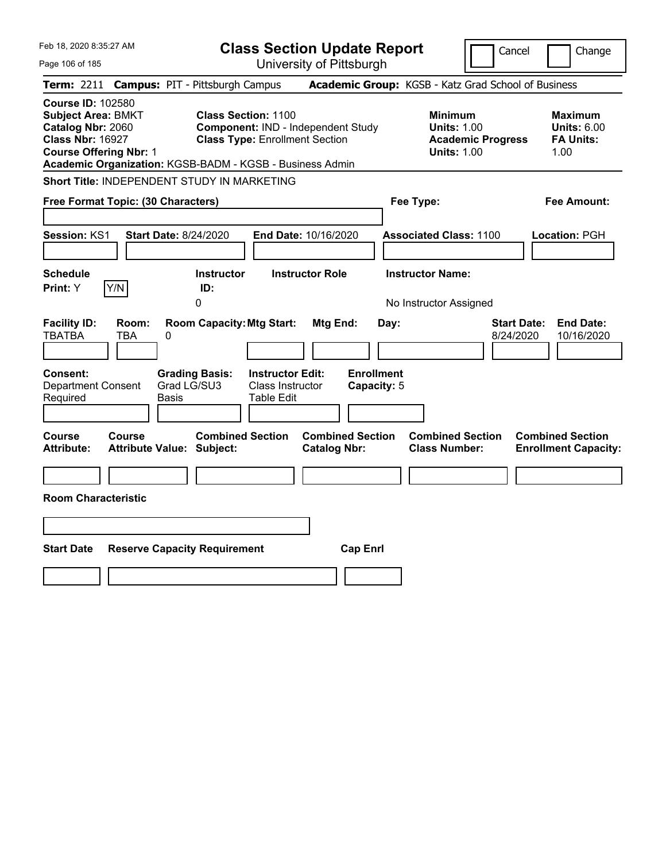| Feb 18, 2020 8:35:27 AM                                                                                                                                                                            |                                                                                                                                       | <b>Class Section Update Report</b>                   | Cancel                                                                                 | Change                                                           |
|----------------------------------------------------------------------------------------------------------------------------------------------------------------------------------------------------|---------------------------------------------------------------------------------------------------------------------------------------|------------------------------------------------------|----------------------------------------------------------------------------------------|------------------------------------------------------------------|
| Page 106 of 185                                                                                                                                                                                    |                                                                                                                                       | University of Pittsburgh                             |                                                                                        |                                                                  |
| Term: 2211                                                                                                                                                                                         | <b>Campus: PIT - Pittsburgh Campus</b>                                                                                                |                                                      | Academic Group: KGSB - Katz Grad School of Business                                    |                                                                  |
| <b>Course ID: 102580</b><br><b>Subject Area: BMKT</b><br>Catalog Nbr: 2060<br><b>Class Nbr: 16927</b><br><b>Course Offering Nbr: 1</b><br>Academic Organization: KGSB-BADM - KGSB - Business Admin | <b>Class Section: 1100</b><br><b>Component: IND - Independent Study</b><br><b>Class Type: Enrollment Section</b>                      |                                                      | <b>Minimum</b><br><b>Units: 1.00</b><br><b>Academic Progress</b><br><b>Units: 1.00</b> | <b>Maximum</b><br><b>Units: 6.00</b><br><b>FA Units:</b><br>1.00 |
| Short Title: INDEPENDENT STUDY IN MARKETING                                                                                                                                                        |                                                                                                                                       |                                                      |                                                                                        |                                                                  |
| Free Format Topic: (30 Characters)                                                                                                                                                                 |                                                                                                                                       |                                                      | Fee Type:                                                                              | Fee Amount:                                                      |
| <b>Start Date: 8/24/2020</b><br>Session: KS1<br><b>Schedule</b><br>Y/N<br>Print: Y                                                                                                                 | <b>Instructor</b><br>ID:<br>0                                                                                                         | End Date: 10/16/2020<br><b>Instructor Role</b>       | <b>Associated Class: 1100</b><br><b>Instructor Name:</b>                               | Location: PGH                                                    |
| <b>Facility ID:</b><br>Room:<br><b>TBATBA</b><br><b>TBA</b><br>0<br>Consent:<br><b>Department Consent</b><br>Required<br>Basis                                                                     | <b>Room Capacity: Mtg Start:</b><br><b>Instructor Edit:</b><br><b>Grading Basis:</b><br>Grad LG/SU3<br>Class Instructor<br>Table Edit | Mtg End:<br>Day:<br><b>Enrollment</b><br>Capacity: 5 | No Instructor Assigned<br>8/24/2020                                                    | <b>Start Date:</b><br><b>End Date:</b><br>10/16/2020             |
| <b>Course</b><br><b>Course</b><br><b>Attribute:</b><br><b>Attribute Value: Subject:</b>                                                                                                            | <b>Combined Section</b>                                                                                                               | <b>Combined Section</b><br><b>Catalog Nbr:</b>       | <b>Combined Section</b><br><b>Class Number:</b>                                        | <b>Combined Section</b><br><b>Enrollment Capacity:</b>           |
| <b>Room Characteristic</b>                                                                                                                                                                         |                                                                                                                                       |                                                      |                                                                                        |                                                                  |
|                                                                                                                                                                                                    |                                                                                                                                       |                                                      |                                                                                        |                                                                  |
| <b>Start Date</b>                                                                                                                                                                                  | <b>Reserve Capacity Requirement</b>                                                                                                   | <b>Cap Enrl</b>                                      |                                                                                        |                                                                  |
|                                                                                                                                                                                                    |                                                                                                                                       |                                                      |                                                                                        |                                                                  |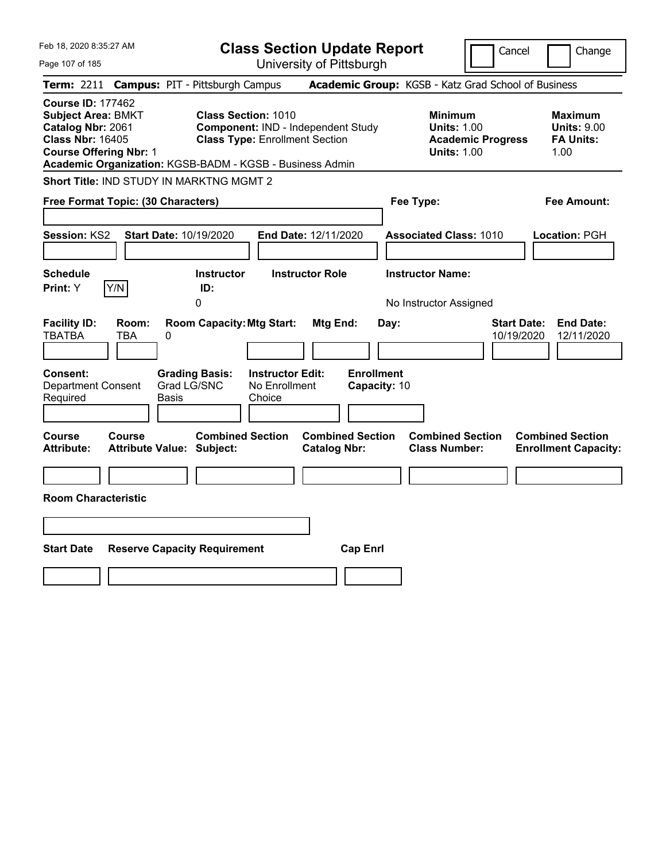| Feb 18, 2020 8:35:27 AM                                                                                                                | <b>Class Section Update Report</b>                                                                                                                                                   | Cancel                                                                                 | Change                                                           |
|----------------------------------------------------------------------------------------------------------------------------------------|--------------------------------------------------------------------------------------------------------------------------------------------------------------------------------------|----------------------------------------------------------------------------------------|------------------------------------------------------------------|
| Page 107 of 185                                                                                                                        | University of Pittsburgh                                                                                                                                                             |                                                                                        |                                                                  |
| Term: 2211                                                                                                                             | <b>Campus: PIT - Pittsburgh Campus</b>                                                                                                                                               | Academic Group: KGSB - Katz Grad School of Business                                    |                                                                  |
| <b>Course ID: 177462</b><br><b>Subject Area: BMKT</b><br>Catalog Nbr: 2061<br><b>Class Nbr: 16405</b><br><b>Course Offering Nbr: 1</b> | <b>Class Section: 1010</b><br><b>Component: IND - Independent Study</b><br><b>Class Type: Enrollment Section</b><br>Academic Organization: KGSB-BADM - KGSB - Business Admin         | <b>Minimum</b><br><b>Units: 1.00</b><br><b>Academic Progress</b><br><b>Units: 1.00</b> | <b>Maximum</b><br><b>Units: 9.00</b><br><b>FA Units:</b><br>1.00 |
| Short Title: IND STUDY IN MARKTNG MGMT 2                                                                                               |                                                                                                                                                                                      |                                                                                        |                                                                  |
| Free Format Topic: (30 Characters)                                                                                                     |                                                                                                                                                                                      | Fee Type:                                                                              | Fee Amount:                                                      |
| Start Date: 10/19/2020<br>Session: KS2<br><b>Schedule</b><br>Y/N<br>Print: Y                                                           | End Date: 12/11/2020<br><b>Instructor</b><br><b>Instructor Role</b><br>ID:                                                                                                           | <b>Associated Class: 1010</b><br><b>Instructor Name:</b>                               | Location: PGH                                                    |
| <b>Facility ID:</b><br>Room:<br><b>TBATBA</b><br><b>TBA</b><br>0<br><b>Consent:</b><br><b>Department Consent</b><br>Required<br>Basis  | 0<br><b>Room Capacity: Mtg Start:</b><br>Mtg End:<br><b>Enrollment</b><br><b>Instructor Edit:</b><br><b>Grading Basis:</b><br>Grad LG/SNC<br>No Enrollment<br>Capacity: 10<br>Choice | No Instructor Assigned<br><b>Start Date:</b><br>Day:<br>10/19/2020                     | <b>End Date:</b><br>12/11/2020                                   |
| <b>Course</b><br>Course<br><b>Attribute:</b><br><b>Attribute Value: Subject:</b><br><b>Room Characteristic</b>                         | <b>Combined Section</b><br><b>Combined Section</b><br><b>Catalog Nbr:</b>                                                                                                            | <b>Combined Section</b><br><b>Class Number:</b>                                        | <b>Combined Section</b><br><b>Enrollment Capacity:</b>           |
|                                                                                                                                        |                                                                                                                                                                                      |                                                                                        |                                                                  |
| <b>Start Date</b><br><b>Reserve Capacity Requirement</b>                                                                               | <b>Cap Enrl</b>                                                                                                                                                                      |                                                                                        |                                                                  |
|                                                                                                                                        |                                                                                                                                                                                      |                                                                                        |                                                                  |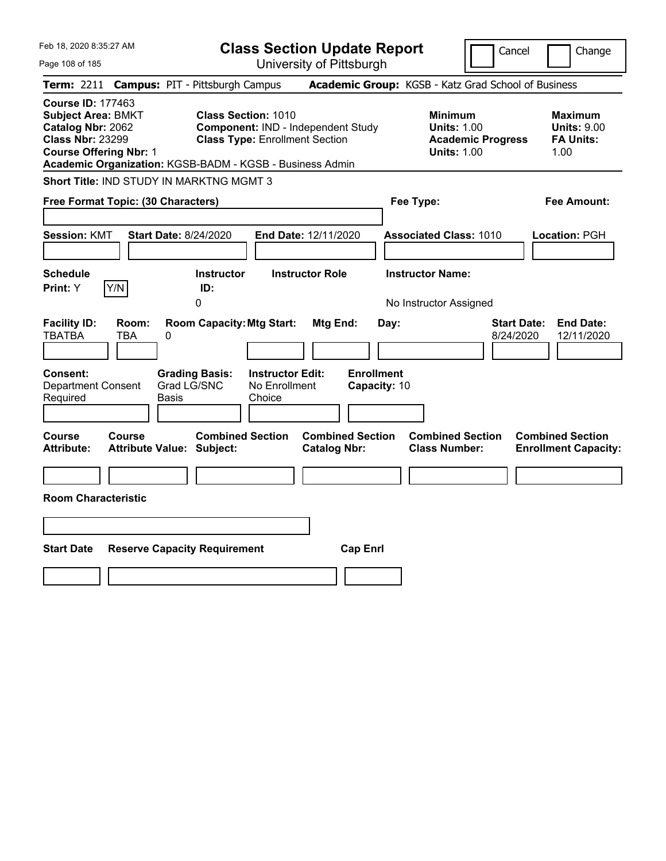| Feb 18, 2020 8:35:27 AM<br><b>Class Section Update Report</b>                                                                                                                                      |                                    |                                                                     |                                                    |                                                     |                                           |                                                            | Cancel                   | Change                                                            |
|----------------------------------------------------------------------------------------------------------------------------------------------------------------------------------------------------|------------------------------------|---------------------------------------------------------------------|----------------------------------------------------|-----------------------------------------------------|-------------------------------------------|------------------------------------------------------------|--------------------------|-------------------------------------------------------------------|
| Page 108 of 185                                                                                                                                                                                    |                                    |                                                                     |                                                    | University of Pittsburgh                            |                                           |                                                            |                          |                                                                   |
| Term: 2211                                                                                                                                                                                         |                                    | <b>Campus: PIT - Pittsburgh Campus</b>                              |                                                    | Academic Group: KGSB - Katz Grad School of Business |                                           |                                                            |                          |                                                                   |
| <b>Course ID: 177463</b><br><b>Subject Area: BMKT</b><br>Catalog Nbr: 2062<br><b>Class Nbr: 23299</b><br><b>Course Offering Nbr: 1</b><br>Academic Organization: KGSB-BADM - KGSB - Business Admin |                                    | <b>Class Section: 1010</b><br><b>Class Type: Enrollment Section</b> |                                                    | Component: IND - Independent Study                  |                                           | <b>Minimum</b><br><b>Units: 1.00</b><br><b>Units: 1.00</b> | <b>Academic Progress</b> | <b>Maximum</b><br><b>Units: 9.00</b><br><b>FA Units:</b><br>1.00  |
| <b>Short Title: IND STUDY IN MARKTNG MGMT 3</b>                                                                                                                                                    |                                    |                                                                     |                                                    |                                                     |                                           |                                                            |                          |                                                                   |
| Free Format Topic: (30 Characters)                                                                                                                                                                 |                                    |                                                                     |                                                    |                                                     |                                           | Fee Type:                                                  |                          | Fee Amount:                                                       |
| <b>Session: KMT</b><br><b>Schedule</b>                                                                                                                                                             | <b>Start Date: 8/24/2020</b>       | <b>Instructor</b>                                                   |                                                    | End Date: 12/11/2020<br><b>Instructor Role</b>      |                                           | <b>Associated Class: 1010</b><br><b>Instructor Name:</b>   |                          | Location: PGH                                                     |
| Y/N<br>Print: Y                                                                                                                                                                                    |                                    | ID:<br>0                                                            |                                                    |                                                     |                                           | No Instructor Assigned                                     |                          |                                                                   |
| <b>Facility ID:</b><br><b>TBATBA</b><br>TBA<br><b>Consent:</b><br>Department Consent<br>Required                                                                                                   | Room:<br>0<br>Grad LG/SNC<br>Basis | <b>Room Capacity: Mtg Start:</b><br><b>Grading Basis:</b>           | <b>Instructor Edit:</b><br>No Enrollment<br>Choice | Mtg End:                                            | Day:<br><b>Enrollment</b><br>Capacity: 10 |                                                            |                          | <b>End Date:</b><br><b>Start Date:</b><br>8/24/2020<br>12/11/2020 |
| <b>Course</b><br><b>Course</b><br><b>Attribute:</b><br><b>Room Characteristic</b>                                                                                                                  | <b>Attribute Value: Subject:</b>   | <b>Combined Section</b>                                             |                                                    | <b>Combined Section</b><br><b>Catalog Nbr:</b>      |                                           | <b>Combined Section</b><br><b>Class Number:</b>            |                          | <b>Combined Section</b><br><b>Enrollment Capacity:</b>            |
|                                                                                                                                                                                                    |                                    |                                                                     |                                                    |                                                     |                                           |                                                            |                          |                                                                   |
|                                                                                                                                                                                                    |                                    |                                                                     |                                                    |                                                     |                                           |                                                            |                          |                                                                   |
| <b>Start Date</b>                                                                                                                                                                                  |                                    | <b>Reserve Capacity Requirement</b>                                 |                                                    | <b>Cap Enrl</b>                                     |                                           |                                                            |                          |                                                                   |
|                                                                                                                                                                                                    |                                    |                                                                     |                                                    |                                                     |                                           |                                                            |                          |                                                                   |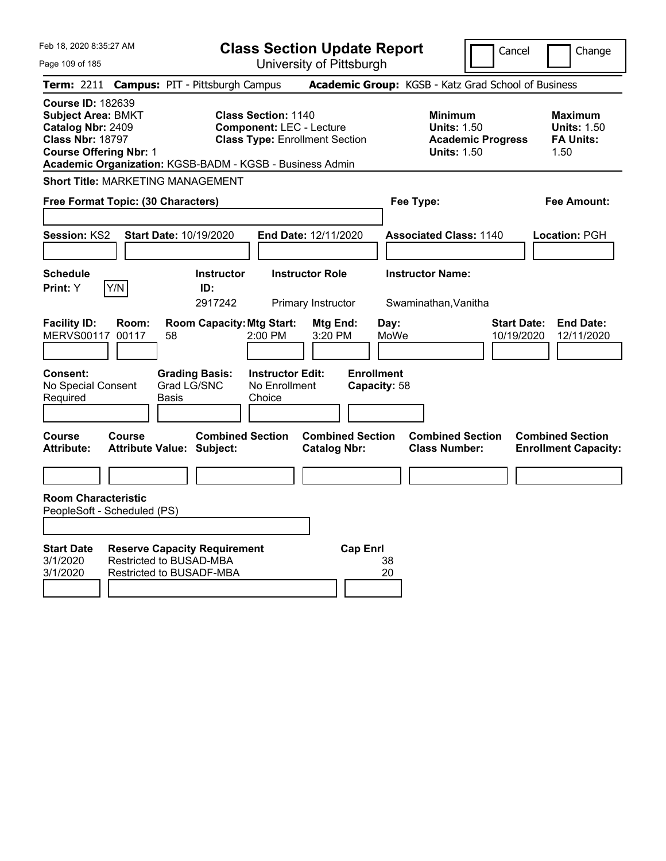| Feb 18, 2020 8:35:27 AM<br><b>Class Section Update Report</b>                                                                                                                                      |                                 |                                                                                                   |                                                                                                                              |                                                |                                                   |                                                            |                          | Cancel<br>Change                                                                              |
|----------------------------------------------------------------------------------------------------------------------------------------------------------------------------------------------------|---------------------------------|---------------------------------------------------------------------------------------------------|------------------------------------------------------------------------------------------------------------------------------|------------------------------------------------|---------------------------------------------------|------------------------------------------------------------|--------------------------|-----------------------------------------------------------------------------------------------|
| Page 109 of 185                                                                                                                                                                                    |                                 |                                                                                                   |                                                                                                                              | University of Pittsburgh                       |                                                   |                                                            |                          |                                                                                               |
| <b>Term:</b> 2211                                                                                                                                                                                  |                                 | <b>Campus: PIT - Pittsburgh Campus</b>                                                            |                                                                                                                              |                                                |                                                   |                                                            |                          | Academic Group: KGSB - Katz Grad School of Business                                           |
| <b>Course ID: 182639</b><br><b>Subject Area: BMKT</b><br>Catalog Nbr: 2409<br><b>Class Nbr: 18797</b><br><b>Course Offering Nbr: 1</b><br>Academic Organization: KGSB-BADM - KGSB - Business Admin |                                 |                                                                                                   | <b>Class Section: 1140</b><br><b>Component: LEC - Lecture</b>                                                                | <b>Class Type: Enrollment Section</b>          |                                                   | <b>Minimum</b><br><b>Units: 1.50</b><br><b>Units: 1.50</b> | <b>Academic Progress</b> | <b>Maximum</b><br><b>Units: 1.50</b><br><b>FA Units:</b><br>1.50                              |
| <b>Short Title: MARKETING MANAGEMENT</b>                                                                                                                                                           |                                 |                                                                                                   |                                                                                                                              |                                                |                                                   |                                                            |                          |                                                                                               |
| Free Format Topic: (30 Characters)                                                                                                                                                                 |                                 |                                                                                                   |                                                                                                                              |                                                | Fee Type:                                         |                                                            | Fee Amount:              |                                                                                               |
|                                                                                                                                                                                                    |                                 |                                                                                                   |                                                                                                                              |                                                |                                                   |                                                            |                          |                                                                                               |
| <b>Session: KS2</b>                                                                                                                                                                                |                                 | Start Date: 10/19/2020                                                                            |                                                                                                                              | End Date: 12/11/2020                           |                                                   | <b>Associated Class: 1140</b>                              |                          | <b>Location: PGH</b>                                                                          |
|                                                                                                                                                                                                    |                                 |                                                                                                   |                                                                                                                              |                                                |                                                   |                                                            |                          |                                                                                               |
| <b>Schedule</b>                                                                                                                                                                                    |                                 | <b>Instructor</b>                                                                                 |                                                                                                                              | <b>Instructor Role</b>                         |                                                   | <b>Instructor Name:</b>                                    |                          |                                                                                               |
| <b>Print:</b> Y                                                                                                                                                                                    | Y/N                             | ID:<br>2917242                                                                                    |                                                                                                                              | Primary Instructor                             |                                                   | Swaminathan, Vanitha                                       |                          |                                                                                               |
| <b>Facility ID:</b><br><b>MERVS00117</b><br><b>Consent:</b><br>No Special Consent<br>Required<br>Course                                                                                            | Room:<br>00117<br><b>Course</b> | 58<br><b>Grading Basis:</b><br>Grad LG/SNC<br>Basis                                               | <b>Room Capacity: Mtg Start:</b><br>2:00 PM<br><b>Instructor Edit:</b><br>No Enrollment<br>Choice<br><b>Combined Section</b> | Mtg End:<br>3:20 PM<br><b>Combined Section</b> | Day:<br>MoWe<br><b>Enrollment</b><br>Capacity: 58 | <b>Combined Section</b>                                    |                          | <b>Start Date:</b><br><b>End Date:</b><br>10/19/2020<br>12/11/2020<br><b>Combined Section</b> |
| <b>Attribute:</b>                                                                                                                                                                                  |                                 | <b>Attribute Value: Subject:</b>                                                                  |                                                                                                                              | <b>Catalog Nbr:</b>                            |                                                   | <b>Class Number:</b>                                       |                          | <b>Enrollment Capacity:</b>                                                                   |
|                                                                                                                                                                                                    |                                 |                                                                                                   |                                                                                                                              |                                                |                                                   |                                                            |                          |                                                                                               |
| <b>Room Characteristic</b><br>PeopleSoft - Scheduled (PS)                                                                                                                                          |                                 |                                                                                                   |                                                                                                                              |                                                |                                                   |                                                            |                          |                                                                                               |
| <b>Start Date</b><br>3/1/2020<br>3/1/2020                                                                                                                                                          |                                 | <b>Reserve Capacity Requirement</b><br><b>Restricted to BUSAD-MBA</b><br>Restricted to BUSADF-MBA |                                                                                                                              |                                                | <b>Cap Enri</b><br>38<br>20                       |                                                            |                          |                                                                                               |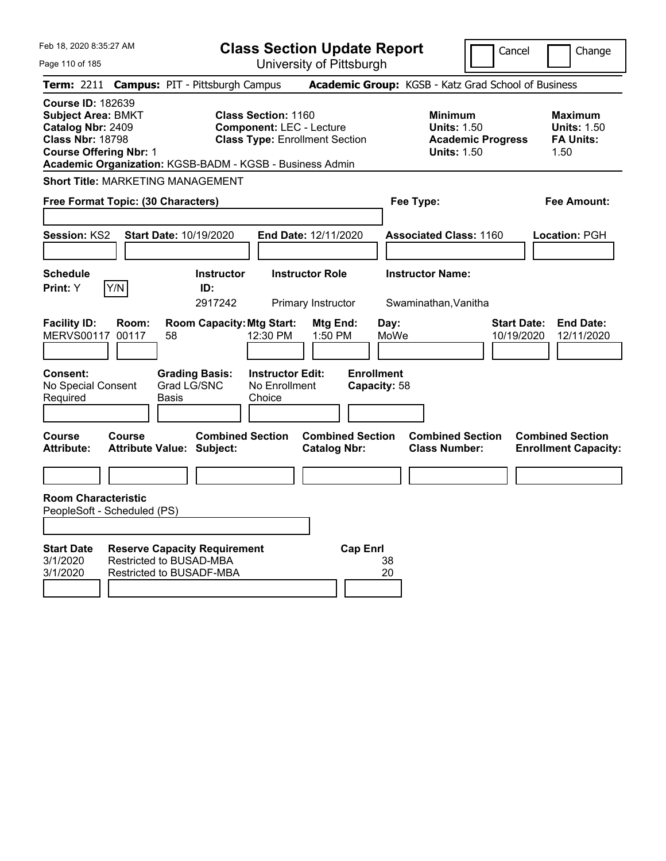| Feb 18, 2020 8:35:27 AM<br><b>Class Section Update Report</b>                                                                                                                                      |                                                                                            |                                                                                                        |                                                     |                                                            | Cancel                           | Change                                                           |
|----------------------------------------------------------------------------------------------------------------------------------------------------------------------------------------------------|--------------------------------------------------------------------------------------------|--------------------------------------------------------------------------------------------------------|-----------------------------------------------------|------------------------------------------------------------|----------------------------------|------------------------------------------------------------------|
| Page 110 of 185                                                                                                                                                                                    |                                                                                            | University of Pittsburgh                                                                               |                                                     |                                                            |                                  |                                                                  |
| <b>Term: 2211</b>                                                                                                                                                                                  | <b>Campus: PIT - Pittsburgh Campus</b>                                                     |                                                                                                        | Academic Group: KGSB - Katz Grad School of Business |                                                            |                                  |                                                                  |
| <b>Course ID: 182639</b><br><b>Subject Area: BMKT</b><br>Catalog Nbr: 2409<br><b>Class Nbr: 18798</b><br><b>Course Offering Nbr: 1</b><br>Academic Organization: KGSB-BADM - KGSB - Business Admin |                                                                                            | <b>Class Section: 1160</b><br><b>Component: LEC - Lecture</b><br><b>Class Type: Enrollment Section</b> |                                                     | <b>Minimum</b><br><b>Units: 1.50</b><br><b>Units: 1.50</b> | <b>Academic Progress</b>         | <b>Maximum</b><br><b>Units: 1.50</b><br><b>FA Units:</b><br>1.50 |
| <b>Short Title: MARKETING MANAGEMENT</b>                                                                                                                                                           |                                                                                            |                                                                                                        |                                                     |                                                            |                                  |                                                                  |
| Free Format Topic: (30 Characters)                                                                                                                                                                 |                                                                                            |                                                                                                        |                                                     | Fee Type:                                                  |                                  | Fee Amount:                                                      |
| <b>Session: KS2</b>                                                                                                                                                                                | <b>Start Date: 10/19/2020</b>                                                              | <b>End Date: 12/11/2020</b>                                                                            |                                                     | <b>Associated Class: 1160</b>                              |                                  | Location: PGH                                                    |
| <b>Schedule</b><br>Y/N<br>Print: Y                                                                                                                                                                 | <b>Instructor</b><br>ID:                                                                   | <b>Instructor Role</b>                                                                                 |                                                     | <b>Instructor Name:</b>                                    |                                  |                                                                  |
|                                                                                                                                                                                                    | 2917242                                                                                    | Primary Instructor                                                                                     |                                                     | Swaminathan, Vanitha                                       |                                  |                                                                  |
| <b>Facility ID:</b><br>Room:<br><b>MERVS00117</b><br>00117                                                                                                                                         | <b>Room Capacity: Mtg Start:</b><br>58                                                     | 12:30 PM<br>1:50 PM                                                                                    | Mtg End:<br>Day:<br>MoWe                            |                                                            | <b>Start Date:</b><br>10/19/2020 | <b>End Date:</b><br>12/11/2020                                   |
| <b>Consent:</b><br>No Special Consent<br>Required                                                                                                                                                  | <b>Grading Basis:</b><br>Grad LG/SNC<br>Basis                                              | <b>Instructor Edit:</b><br>No Enrollment<br>Choice                                                     | <b>Enrollment</b><br>Capacity: 58                   |                                                            |                                  |                                                                  |
| <b>Course</b><br>Course<br><b>Attribute:</b>                                                                                                                                                       | <b>Combined Section</b><br><b>Attribute Value: Subject:</b>                                | <b>Catalog Nbr:</b>                                                                                    | <b>Combined Section</b>                             | <b>Combined Section</b><br><b>Class Number:</b>            |                                  | <b>Combined Section</b><br><b>Enrollment Capacity:</b>           |
|                                                                                                                                                                                                    |                                                                                            |                                                                                                        |                                                     |                                                            |                                  |                                                                  |
| <b>Room Characteristic</b><br>PeopleSoft - Scheduled (PS)                                                                                                                                          |                                                                                            |                                                                                                        |                                                     |                                                            |                                  |                                                                  |
| <b>Start Date</b><br>3/1/2020<br>3/1/2020                                                                                                                                                          | <b>Reserve Capacity Requirement</b><br>Restricted to BUSAD-MBA<br>Restricted to BUSADF-MBA |                                                                                                        | <b>Cap Enrl</b><br>38<br>20                         |                                                            |                                  |                                                                  |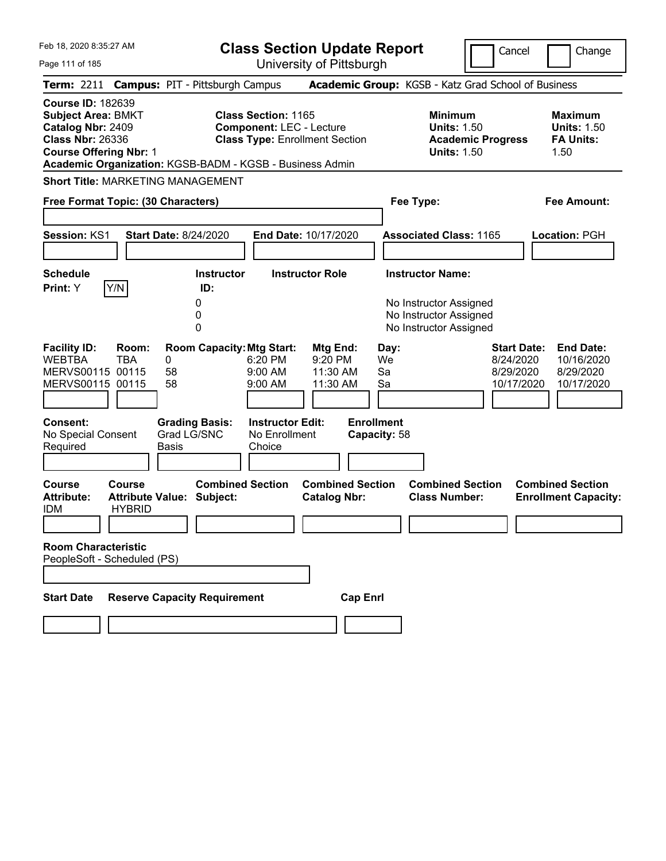| Feb 18, 2020 8:35:27 AM<br><b>Class Section Update Report</b><br>University of Pittsburgh<br>Page 111 of 185                                                                                       |                                      |                                                             |                                                               |                                                |                                   |                                                                                                       | Cancel                                                     | Change                                                           |
|----------------------------------------------------------------------------------------------------------------------------------------------------------------------------------------------------|--------------------------------------|-------------------------------------------------------------|---------------------------------------------------------------|------------------------------------------------|-----------------------------------|-------------------------------------------------------------------------------------------------------|------------------------------------------------------------|------------------------------------------------------------------|
| Term: 2211 Campus: PIT - Pittsburgh Campus                                                                                                                                                         |                                      |                                                             |                                                               |                                                |                                   | Academic Group: KGSB - Katz Grad School of Business                                                   |                                                            |                                                                  |
| <b>Course ID: 182639</b><br><b>Subject Area: BMKT</b><br>Catalog Nbr: 2409<br><b>Class Nbr: 26336</b><br><b>Course Offering Nbr: 1</b><br>Academic Organization: KGSB-BADM - KGSB - Business Admin |                                      |                                                             | <b>Class Section: 1165</b><br><b>Component: LEC - Lecture</b> | <b>Class Type: Enrollment Section</b>          |                                   | <b>Minimum</b><br><b>Units: 1.50</b><br><b>Academic Progress</b><br><b>Units: 1.50</b>                |                                                            | <b>Maximum</b><br><b>Units: 1.50</b><br><b>FA Units:</b><br>1.50 |
| <b>Short Title: MARKETING MANAGEMENT</b>                                                                                                                                                           |                                      |                                                             |                                                               |                                                |                                   |                                                                                                       |                                                            |                                                                  |
| Free Format Topic: (30 Characters)                                                                                                                                                                 |                                      |                                                             |                                                               |                                                | Fee Type:                         |                                                                                                       |                                                            | <b>Fee Amount:</b>                                               |
| Session: KS1                                                                                                                                                                                       | <b>Start Date: 8/24/2020</b>         |                                                             |                                                               | End Date: 10/17/2020                           |                                   | <b>Associated Class: 1165</b>                                                                         |                                                            | <b>Location: PGH</b>                                             |
| <b>Schedule</b><br>Y/N<br>Print: Y                                                                                                                                                                 |                                      | <b>Instructor</b><br>ID:<br>0<br>0<br>0                     |                                                               | <b>Instructor Role</b>                         |                                   | <b>Instructor Name:</b><br>No Instructor Assigned<br>No Instructor Assigned<br>No Instructor Assigned |                                                            |                                                                  |
| <b>Facility ID:</b><br><b>WEBTBA</b><br>MERVS00115 00115<br>MERVS00115 00115                                                                                                                       | Room:<br><b>TBA</b><br>0<br>58<br>58 | <b>Room Capacity: Mtg Start:</b>                            | 6:20 PM<br>9:00 AM<br>$9:00$ AM                               | Mtg End:<br>9:20 PM<br>11:30 AM<br>11:30 AM    | Day:<br>We<br>Sa<br>Sa            |                                                                                                       | <b>Start Date:</b><br>8/24/2020<br>8/29/2020<br>10/17/2020 | <b>End Date:</b><br>10/16/2020<br>8/29/2020<br>10/17/2020        |
| Consent:<br>No Special Consent<br>Required                                                                                                                                                         | Basis                                | <b>Grading Basis:</b><br>Grad LG/SNC                        | <b>Instructor Edit:</b><br>No Enrollment<br>Choice            |                                                | <b>Enrollment</b><br>Capacity: 58 |                                                                                                       |                                                            |                                                                  |
| <b>Course</b><br><b>Attribute:</b><br><b>IDM</b>                                                                                                                                                   | Course<br><b>HYBRID</b>              | <b>Combined Section</b><br><b>Attribute Value: Subject:</b> |                                                               | <b>Combined Section</b><br><b>Catalog Nbr:</b> |                                   | <b>Combined Section</b><br><b>Class Number:</b>                                                       |                                                            | <b>Combined Section</b><br><b>Enrollment Capacity:</b>           |
| <b>Room Characteristic</b><br>PeopleSoft - Scheduled (PS)                                                                                                                                          |                                      |                                                             |                                                               |                                                |                                   |                                                                                                       |                                                            |                                                                  |
| <b>Start Date</b>                                                                                                                                                                                  |                                      | <b>Reserve Capacity Requirement</b>                         |                                                               | <b>Cap Enrl</b>                                |                                   |                                                                                                       |                                                            |                                                                  |
|                                                                                                                                                                                                    |                                      |                                                             |                                                               |                                                |                                   |                                                                                                       |                                                            |                                                                  |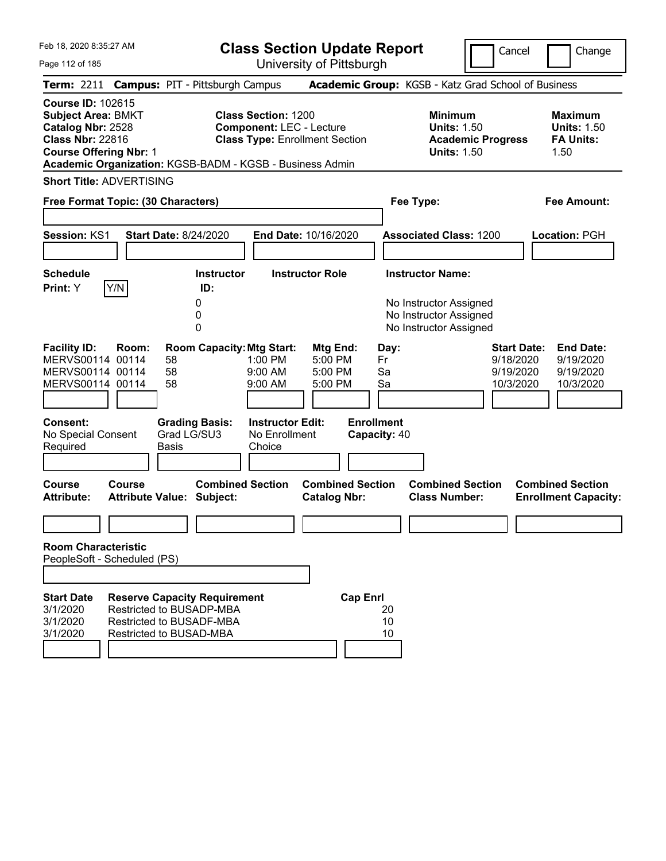|  | Feb 18, 2020 8:35:27 AM |  |
|--|-------------------------|--|
|  |                         |  |

**Class Section Update Report** University of Pittsburgh

Cancel Change

Page 112 of 185

|                                                                                                                                        |        | Term: 2211 Campus: PIT - Pittsburgh Campus                                                                             |                                                               |                                                |                                   | Academic Group: KGSB - Katz Grad School of Business                                    |                                                           |                                                                  |
|----------------------------------------------------------------------------------------------------------------------------------------|--------|------------------------------------------------------------------------------------------------------------------------|---------------------------------------------------------------|------------------------------------------------|-----------------------------------|----------------------------------------------------------------------------------------|-----------------------------------------------------------|------------------------------------------------------------------|
| <b>Course ID: 102615</b><br><b>Subject Area: BMKT</b><br>Catalog Nbr: 2528<br><b>Class Nbr: 22816</b><br><b>Course Offering Nbr: 1</b> |        | Academic Organization: KGSB-BADM - KGSB - Business Admin                                                               | <b>Class Section: 1200</b><br><b>Component: LEC - Lecture</b> | <b>Class Type: Enrollment Section</b>          |                                   | <b>Minimum</b><br><b>Units: 1.50</b><br><b>Academic Progress</b><br><b>Units: 1.50</b> |                                                           | <b>Maximum</b><br><b>Units: 1.50</b><br><b>FA Units:</b><br>1.50 |
| <b>Short Title: ADVERTISING</b>                                                                                                        |        |                                                                                                                        |                                                               |                                                |                                   |                                                                                        |                                                           |                                                                  |
| Free Format Topic: (30 Characters)                                                                                                     |        |                                                                                                                        |                                                               |                                                |                                   | Fee Type:                                                                              |                                                           | Fee Amount:                                                      |
| Session: KS1                                                                                                                           |        | <b>Start Date: 8/24/2020</b>                                                                                           |                                                               | End Date: 10/16/2020                           |                                   | <b>Associated Class: 1200</b>                                                          |                                                           | Location: PGH                                                    |
| <b>Schedule</b>                                                                                                                        |        | <b>Instructor</b>                                                                                                      |                                                               | <b>Instructor Role</b>                         |                                   | <b>Instructor Name:</b>                                                                |                                                           |                                                                  |
| Print: Y                                                                                                                               | Y/N    | ID:<br>0<br>0<br>0                                                                                                     |                                                               |                                                |                                   | No Instructor Assigned<br>No Instructor Assigned<br>No Instructor Assigned             |                                                           |                                                                  |
| <b>Facility ID:</b><br>MERVS00114 00114<br>MERVS00114 00114<br>MERVS00114 00114                                                        | Room:  | <b>Room Capacity: Mtg Start:</b><br>58<br>58<br>58                                                                     | 1:00 PM<br>9:00 AM<br>9:00 AM                                 | Mtg End:<br>5:00 PM<br>5:00 PM<br>5:00 PM      | Day:<br>Fr<br>Sa<br>Sa            |                                                                                        | <b>Start Date:</b><br>9/18/2020<br>9/19/2020<br>10/3/2020 | <b>End Date:</b><br>9/19/2020<br>9/19/2020<br>10/3/2020          |
| <b>Consent:</b><br>No Special Consent<br>Required                                                                                      |        | <b>Grading Basis:</b><br>Grad LG/SU3<br><b>Basis</b>                                                                   | <b>Instructor Edit:</b><br>No Enrollment<br>Choice            |                                                | <b>Enrollment</b><br>Capacity: 40 |                                                                                        |                                                           |                                                                  |
| <b>Course</b><br><b>Attribute:</b>                                                                                                     | Course | <b>Combined Section</b><br><b>Attribute Value: Subject:</b>                                                            |                                                               | <b>Combined Section</b><br><b>Catalog Nbr:</b> |                                   | <b>Combined Section</b><br><b>Class Number:</b>                                        |                                                           | <b>Combined Section</b><br><b>Enrollment Capacity:</b>           |
| <b>Room Characteristic</b><br>PeopleSoft - Scheduled (PS)                                                                              |        |                                                                                                                        |                                                               |                                                |                                   |                                                                                        |                                                           |                                                                  |
|                                                                                                                                        |        |                                                                                                                        |                                                               |                                                |                                   |                                                                                        |                                                           |                                                                  |
| <b>Start Date</b><br>3/1/2020<br>3/1/2020<br>3/1/2020                                                                                  |        | <b>Reserve Capacity Requirement</b><br>Restricted to BUSADP-MBA<br>Restricted to BUSADF-MBA<br>Restricted to BUSAD-MBA |                                                               | <b>Cap Enrl</b>                                | 20<br>10<br>10                    |                                                                                        |                                                           |                                                                  |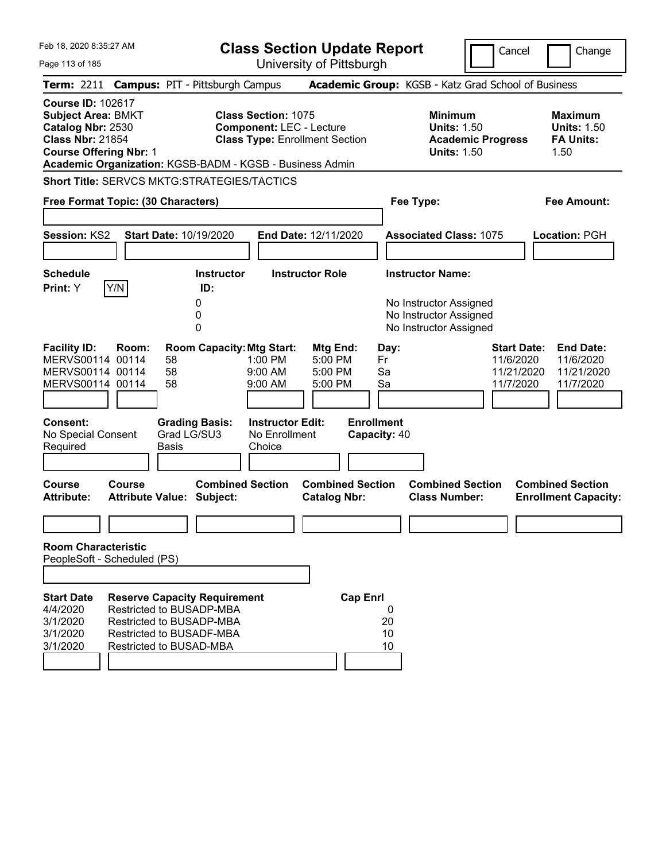| Feb 18, 2020 8:35:27 AM<br>Page 113 of 185                                                                                                                                                         |                                                                                                                    |                |                                      | <b>Class Section Update Report</b>                                                                     | University of Pittsburgh                       |                                   |                        |                                                                            |                          | Cancel                                                     | Change                                                           |
|----------------------------------------------------------------------------------------------------------------------------------------------------------------------------------------------------|--------------------------------------------------------------------------------------------------------------------|----------------|--------------------------------------|--------------------------------------------------------------------------------------------------------|------------------------------------------------|-----------------------------------|------------------------|----------------------------------------------------------------------------|--------------------------|------------------------------------------------------------|------------------------------------------------------------------|
| Term: 2211 Campus: PIT - Pittsburgh Campus                                                                                                                                                         |                                                                                                                    |                |                                      |                                                                                                        |                                                |                                   |                        | Academic Group: KGSB - Katz Grad School of Business                        |                          |                                                            |                                                                  |
| <b>Course ID: 102617</b><br><b>Subject Area: BMKT</b><br>Catalog Nbr: 2530<br><b>Class Nbr: 21854</b><br><b>Course Offering Nbr: 1</b><br>Academic Organization: KGSB-BADM - KGSB - Business Admin |                                                                                                                    |                |                                      | <b>Class Section: 1075</b><br><b>Component: LEC - Lecture</b><br><b>Class Type: Enrollment Section</b> |                                                |                                   |                        | <b>Minimum</b><br><b>Units: 1.50</b><br><b>Units: 1.50</b>                 | <b>Academic Progress</b> |                                                            | <b>Maximum</b><br><b>Units: 1.50</b><br><b>FA Units:</b><br>1.50 |
| <b>Short Title: SERVCS MKTG:STRATEGIES/TACTICS</b><br>Free Format Topic: (30 Characters)                                                                                                           |                                                                                                                    |                |                                      |                                                                                                        |                                                |                                   |                        | Fee Type:                                                                  |                          |                                                            | Fee Amount:                                                      |
| <b>Session: KS2</b>                                                                                                                                                                                |                                                                                                                    |                | <b>Start Date: 10/19/2020</b>        |                                                                                                        | End Date: 12/11/2020                           |                                   |                        | <b>Associated Class: 1075</b>                                              |                          |                                                            | Location: PGH                                                    |
| <b>Schedule</b><br>Print: Y                                                                                                                                                                        | Y/N                                                                                                                |                | <b>Instructor</b><br>ID:             |                                                                                                        | <b>Instructor Role</b>                         |                                   |                        | <b>Instructor Name:</b>                                                    |                          |                                                            |                                                                  |
|                                                                                                                                                                                                    |                                                                                                                    |                | 0<br>0<br>0                          |                                                                                                        |                                                |                                   |                        | No Instructor Assigned<br>No Instructor Assigned<br>No Instructor Assigned |                          |                                                            |                                                                  |
| <b>Facility ID:</b><br>MERVS00114 00114<br>MERVS00114 00114<br>MERVS00114 00114                                                                                                                    | Room:                                                                                                              | 58<br>58<br>58 | <b>Room Capacity: Mtg Start:</b>     | 1:00 PM<br>9:00 AM<br>$9:00$ AM                                                                        | Mtg End:<br>5:00 PM<br>5:00 PM<br>5:00 PM      |                                   | Day:<br>Fr<br>Sa<br>Sa |                                                                            |                          | <b>Start Date:</b><br>11/6/2020<br>11/21/2020<br>11/7/2020 | <b>End Date:</b><br>11/6/2020<br>11/21/2020<br>11/7/2020         |
| <b>Consent:</b><br>No Special Consent<br>Required                                                                                                                                                  |                                                                                                                    | <b>Basis</b>   | <b>Grading Basis:</b><br>Grad LG/SU3 | <b>Instructor Edit:</b><br>No Enrollment<br>Choice                                                     |                                                | <b>Enrollment</b><br>Capacity: 40 |                        |                                                                            |                          |                                                            |                                                                  |
| Course<br><b>Attribute:</b>                                                                                                                                                                        | <b>Course</b><br><b>Attribute Value: Subject:</b>                                                                  |                | <b>Combined Section</b>              |                                                                                                        | <b>Combined Section</b><br><b>Catalog Nbr:</b> |                                   |                        | <b>Combined Section</b><br><b>Class Number:</b>                            |                          |                                                            | <b>Combined Section</b><br><b>Enrollment Capacity:</b>           |
| <b>Room Characteristic</b>                                                                                                                                                                         |                                                                                                                    |                |                                      |                                                                                                        |                                                |                                   |                        |                                                                            |                          |                                                            |                                                                  |
| PeopleSoft - Scheduled (PS)                                                                                                                                                                        |                                                                                                                    |                |                                      |                                                                                                        |                                                |                                   |                        |                                                                            |                          |                                                            |                                                                  |
| <b>Start Date</b><br>4/4/2020<br>3/1/2020<br>3/1/2020<br>3/1/2020                                                                                                                                  | Restricted to BUSADP-MBA<br>Restricted to BUSADP-MBA<br><b>Restricted to BUSADF-MBA</b><br>Restricted to BUSAD-MBA |                | <b>Reserve Capacity Requirement</b>  |                                                                                                        |                                                | <b>Cap Enrl</b>                   | 0<br>20<br>10<br>10    |                                                                            |                          |                                                            |                                                                  |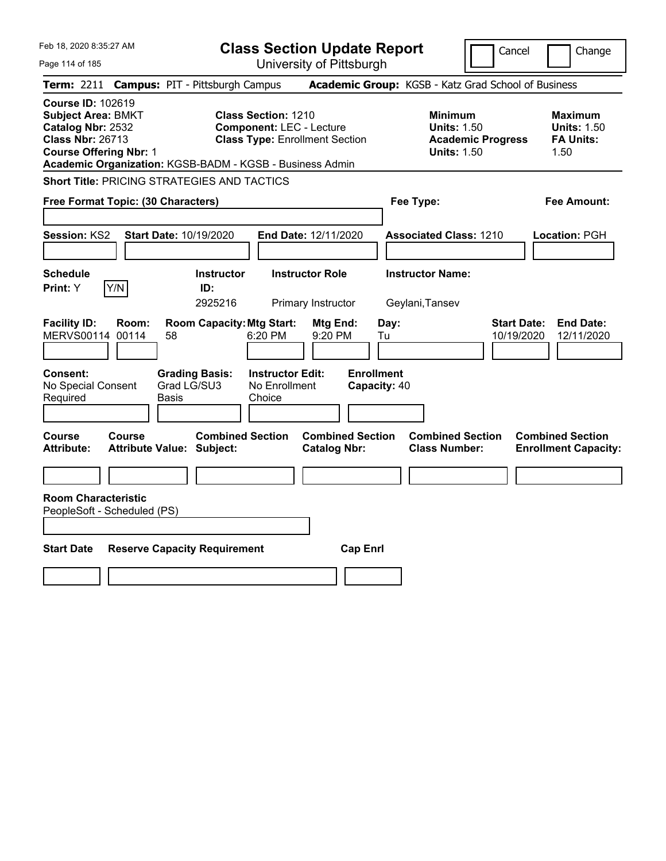| Feb 18, 2020 8:35:27 AM                                                                                                                                                                            |                                                                                                        | <b>Class Section Update Report</b>             |                                                                                        | Cancel<br>Change                                                   |
|----------------------------------------------------------------------------------------------------------------------------------------------------------------------------------------------------|--------------------------------------------------------------------------------------------------------|------------------------------------------------|----------------------------------------------------------------------------------------|--------------------------------------------------------------------|
| Page 114 of 185                                                                                                                                                                                    |                                                                                                        | University of Pittsburgh                       |                                                                                        |                                                                    |
| <b>Term:</b> 2211                                                                                                                                                                                  | <b>Campus: PIT - Pittsburgh Campus</b>                                                                 |                                                | Academic Group: KGSB - Katz Grad School of Business                                    |                                                                    |
| <b>Course ID: 102619</b><br><b>Subject Area: BMKT</b><br>Catalog Nbr: 2532<br><b>Class Nbr: 26713</b><br><b>Course Offering Nbr: 1</b><br>Academic Organization: KGSB-BADM - KGSB - Business Admin | <b>Class Section: 1210</b><br><b>Component: LEC - Lecture</b><br><b>Class Type: Enrollment Section</b> |                                                | <b>Minimum</b><br><b>Units: 1.50</b><br><b>Academic Progress</b><br><b>Units: 1.50</b> | <b>Maximum</b><br><b>Units: 1.50</b><br><b>FA Units:</b><br>1.50   |
| <b>Short Title: PRICING STRATEGIES AND TACTICS</b>                                                                                                                                                 |                                                                                                        |                                                |                                                                                        |                                                                    |
| Free Format Topic: (30 Characters)                                                                                                                                                                 |                                                                                                        |                                                | Fee Type:                                                                              | Fee Amount:                                                        |
| <b>Session: KS2</b><br><b>Start Date: 10/19/2020</b>                                                                                                                                               |                                                                                                        | <b>End Date: 12/11/2020</b>                    | <b>Associated Class: 1210</b>                                                          | Location: PGH                                                      |
| <b>Schedule</b><br>Y/N<br>Print: Y                                                                                                                                                                 | <b>Instructor</b><br>ID:<br>2925216                                                                    | <b>Instructor Role</b><br>Primary Instructor   | <b>Instructor Name:</b><br>Geylani, Tansev                                             |                                                                    |
| <b>Facility ID:</b><br>Room:<br>MERVS00114 00114<br>58                                                                                                                                             | <b>Room Capacity: Mtg Start:</b><br>6:20 PM                                                            | Mtg End:<br>Day:<br>9:20 PM<br>Tu              |                                                                                        | <b>Start Date:</b><br><b>End Date:</b><br>10/19/2020<br>12/11/2020 |
| Consent:<br>No Special Consent<br>Required<br>Basis                                                                                                                                                | <b>Grading Basis:</b><br><b>Instructor Edit:</b><br>Grad LG/SU3<br>No Enrollment<br>Choice             | <b>Enrollment</b><br>Capacity: 40              |                                                                                        |                                                                    |
| <b>Course</b><br>Course<br><b>Attribute:</b><br><b>Attribute Value: Subject:</b>                                                                                                                   | <b>Combined Section</b>                                                                                | <b>Combined Section</b><br><b>Catalog Nbr:</b> | <b>Combined Section</b><br><b>Class Number:</b>                                        | <b>Combined Section</b><br><b>Enrollment Capacity:</b>             |
|                                                                                                                                                                                                    |                                                                                                        |                                                |                                                                                        |                                                                    |
| <b>Room Characteristic</b><br>PeopleSoft - Scheduled (PS)                                                                                                                                          |                                                                                                        |                                                |                                                                                        |                                                                    |
|                                                                                                                                                                                                    |                                                                                                        |                                                |                                                                                        |                                                                    |
| <b>Start Date</b>                                                                                                                                                                                  | <b>Reserve Capacity Requirement</b>                                                                    | <b>Cap Enrl</b>                                |                                                                                        |                                                                    |
|                                                                                                                                                                                                    |                                                                                                        |                                                |                                                                                        |                                                                    |
|                                                                                                                                                                                                    |                                                                                                        |                                                |                                                                                        |                                                                    |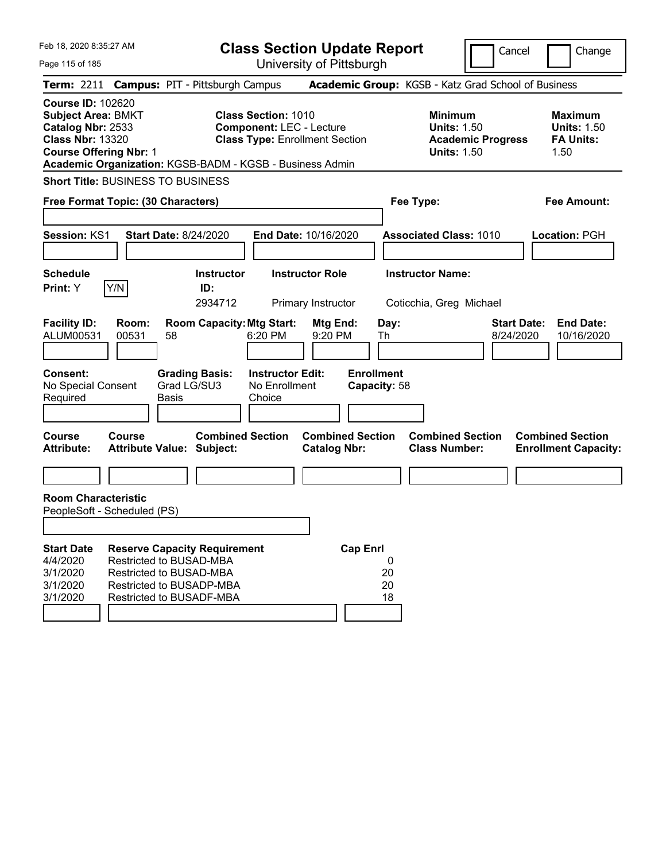| Feb 18, 2020 8:35:27 AM<br><b>Class Section Update Report</b><br>University of Pittsburgh<br>Page 115 of 185                           |                |                                                                                                                                                   |                                                                                                        |                                                                |                                                            | Cancel                          | Change                                                           |
|----------------------------------------------------------------------------------------------------------------------------------------|----------------|---------------------------------------------------------------------------------------------------------------------------------------------------|--------------------------------------------------------------------------------------------------------|----------------------------------------------------------------|------------------------------------------------------------|---------------------------------|------------------------------------------------------------------|
|                                                                                                                                        |                | Term: 2211 Campus: PIT - Pittsburgh Campus                                                                                                        |                                                                                                        |                                                                | Academic Group: KGSB - Katz Grad School of Business        |                                 |                                                                  |
| <b>Course ID: 102620</b><br><b>Subject Area: BMKT</b><br>Catalog Nbr: 2533<br><b>Class Nbr: 13320</b><br><b>Course Offering Nbr: 1</b> |                | Academic Organization: KGSB-BADM - KGSB - Business Admin                                                                                          | <b>Class Section: 1010</b><br><b>Component: LEC - Lecture</b><br><b>Class Type: Enrollment Section</b> |                                                                | <b>Minimum</b><br><b>Units: 1.50</b><br><b>Units: 1.50</b> | <b>Academic Progress</b>        | <b>Maximum</b><br><b>Units: 1.50</b><br><b>FA Units:</b><br>1.50 |
|                                                                                                                                        |                | <b>Short Title: BUSINESS TO BUSINESS</b>                                                                                                          |                                                                                                        |                                                                |                                                            |                                 |                                                                  |
| Free Format Topic: (30 Characters)                                                                                                     |                |                                                                                                                                                   |                                                                                                        | Fee Type:                                                      |                                                            | Fee Amount:                     |                                                                  |
| Session: KS1<br><b>Schedule</b>                                                                                                        |                | <b>Start Date: 8/24/2020</b><br><b>Instructor</b>                                                                                                 | End Date: 10/16/2020<br><b>Instructor Role</b>                                                         |                                                                | <b>Associated Class: 1010</b><br><b>Instructor Name:</b>   |                                 | Location: PGH                                                    |
| <b>Print:</b> Y                                                                                                                        | Y/N            | ID:                                                                                                                                               |                                                                                                        |                                                                |                                                            |                                 |                                                                  |
|                                                                                                                                        |                | 2934712                                                                                                                                           | Primary Instructor                                                                                     |                                                                | Coticchia, Greg Michael                                    |                                 |                                                                  |
| <b>Facility ID:</b><br>ALUM00531<br><b>Consent:</b><br>No Special Consent                                                              | Room:<br>00531 | <b>Room Capacity: Mtg Start:</b><br>58<br><b>Grading Basis:</b><br>Grad LG/SU3                                                                    | 6:20 PM<br><b>Instructor Edit:</b><br>No Enrollment                                                    | Mtg End:<br>9:20 PM<br>Th<br><b>Enrollment</b><br>Capacity: 58 | Day:                                                       | <b>Start Date:</b><br>8/24/2020 | <b>End Date:</b><br>10/16/2020                                   |
| Required                                                                                                                               |                | <b>Basis</b>                                                                                                                                      | Choice                                                                                                 |                                                                |                                                            |                                 |                                                                  |
|                                                                                                                                        |                |                                                                                                                                                   |                                                                                                        |                                                                |                                                            |                                 |                                                                  |
| <b>Course</b><br><b>Attribute:</b>                                                                                                     | <b>Course</b>  | <b>Combined Section</b><br><b>Attribute Value: Subject:</b>                                                                                       |                                                                                                        | <b>Combined Section</b><br><b>Catalog Nbr:</b>                 | <b>Combined Section</b><br><b>Class Number:</b>            |                                 | <b>Combined Section</b><br><b>Enrollment Capacity:</b>           |
| <b>Room Characteristic</b><br>PeopleSoft - Scheduled (PS)                                                                              |                |                                                                                                                                                   |                                                                                                        |                                                                |                                                            |                                 |                                                                  |
| <b>Start Date</b><br>4/4/2020<br>3/1/2020<br>3/1/2020<br>3/1/2020                                                                      |                | <b>Reserve Capacity Requirement</b><br>Restricted to BUSAD-MBA<br>Restricted to BUSAD-MBA<br>Restricted to BUSADP-MBA<br>Restricted to BUSADF-MBA |                                                                                                        | <b>Cap Enrl</b>                                                | 0<br>20<br>20<br>18                                        |                                 |                                                                  |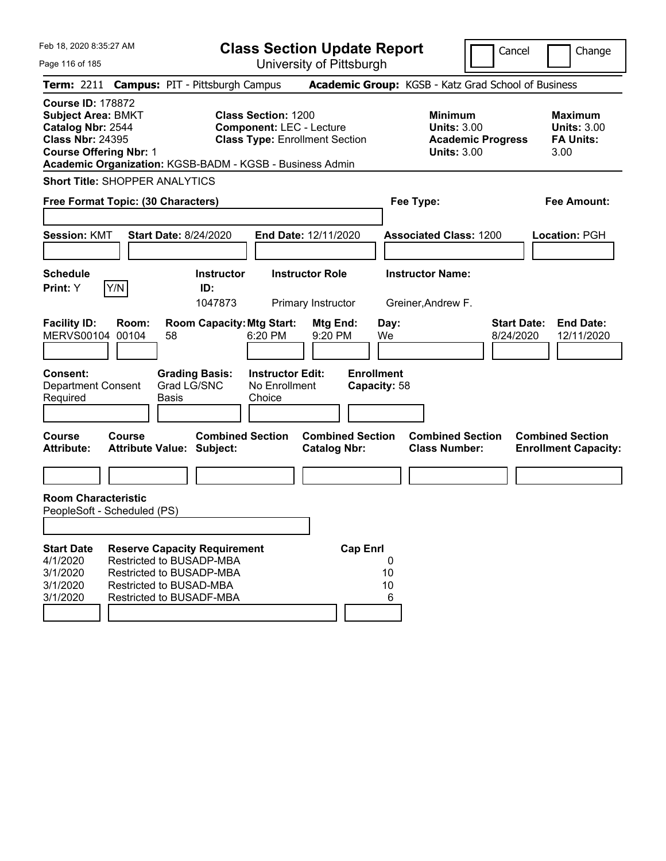| Feb 18, 2020 8:35:27 AM                                                                                                                                                                                                        | <b>Class Section Update Report</b>                                                                     | Cancel<br>Change                                                                                                                                           |
|--------------------------------------------------------------------------------------------------------------------------------------------------------------------------------------------------------------------------------|--------------------------------------------------------------------------------------------------------|------------------------------------------------------------------------------------------------------------------------------------------------------------|
| Page 116 of 185                                                                                                                                                                                                                | University of Pittsburgh                                                                               |                                                                                                                                                            |
| <b>Campus: PIT - Pittsburgh Campus</b><br><b>Term: 2211</b>                                                                                                                                                                    |                                                                                                        | Academic Group: KGSB - Katz Grad School of Business                                                                                                        |
| <b>Course ID: 178872</b><br><b>Subject Area: BMKT</b><br>Catalog Nbr: 2544<br><b>Class Nbr: 24395</b><br><b>Course Offering Nbr: 1</b><br>Academic Organization: KGSB-BADM - KGSB - Business Admin                             | <b>Class Section: 1200</b><br><b>Component: LEC - Lecture</b><br><b>Class Type: Enrollment Section</b> | <b>Minimum</b><br><b>Maximum</b><br><b>Units: 3.00</b><br><b>Units: 3.00</b><br><b>FA Units:</b><br><b>Academic Progress</b><br><b>Units: 3.00</b><br>3.00 |
| <b>Short Title: SHOPPER ANALYTICS</b>                                                                                                                                                                                          |                                                                                                        |                                                                                                                                                            |
| Free Format Topic: (30 Characters)                                                                                                                                                                                             |                                                                                                        | Fee Type:<br>Fee Amount:                                                                                                                                   |
| <b>Session: KMT</b><br><b>Start Date: 8/24/2020</b>                                                                                                                                                                            | End Date: 12/11/2020                                                                                   | <b>Associated Class: 1200</b><br>Location: PGH                                                                                                             |
| <b>Schedule</b><br>Y/N<br>Print: Y                                                                                                                                                                                             | <b>Instructor</b><br><b>Instructor Role</b><br>ID:                                                     | <b>Instructor Name:</b>                                                                                                                                    |
|                                                                                                                                                                                                                                | 1047873<br>Primary Instructor                                                                          | Greiner, Andrew F.                                                                                                                                         |
| <b>Facility ID:</b><br>Room:<br>00104<br><b>MERVS00104</b><br>58                                                                                                                                                               | <b>Room Capacity: Mtg Start:</b><br>Mtg End:<br>6:20 PM<br>9:20 PM                                     | <b>Start Date:</b><br><b>End Date:</b><br>Day:<br>We<br>8/24/2020<br>12/11/2020                                                                            |
| <b>Consent:</b><br><b>Grading Basis:</b><br>Grad LG/SNC<br><b>Department Consent</b><br>Required<br>Basis                                                                                                                      | <b>Instructor Edit:</b><br>No Enrollment<br>Choice                                                     | <b>Enrollment</b><br>Capacity: 58                                                                                                                          |
| Course<br>Course<br><b>Attribute:</b><br><b>Attribute Value: Subject:</b>                                                                                                                                                      | <b>Combined Section</b><br><b>Combined Section</b><br><b>Catalog Nbr:</b>                              | <b>Combined Section</b><br><b>Combined Section</b><br><b>Class Number:</b><br><b>Enrollment Capacity:</b>                                                  |
|                                                                                                                                                                                                                                |                                                                                                        |                                                                                                                                                            |
| <b>Room Characteristic</b><br>PeopleSoft - Scheduled (PS)                                                                                                                                                                      |                                                                                                        |                                                                                                                                                            |
|                                                                                                                                                                                                                                |                                                                                                        |                                                                                                                                                            |
| <b>Start Date</b><br><b>Reserve Capacity Requirement</b><br>Restricted to BUSADP-MBA<br>4/1/2020<br>3/1/2020<br><b>Restricted to BUSADP-MBA</b><br>3/1/2020<br>Restricted to BUSAD-MBA<br>3/1/2020<br>Restricted to BUSADF-MBA | <b>Cap Enrl</b>                                                                                        | 0<br>10<br>10<br>6                                                                                                                                         |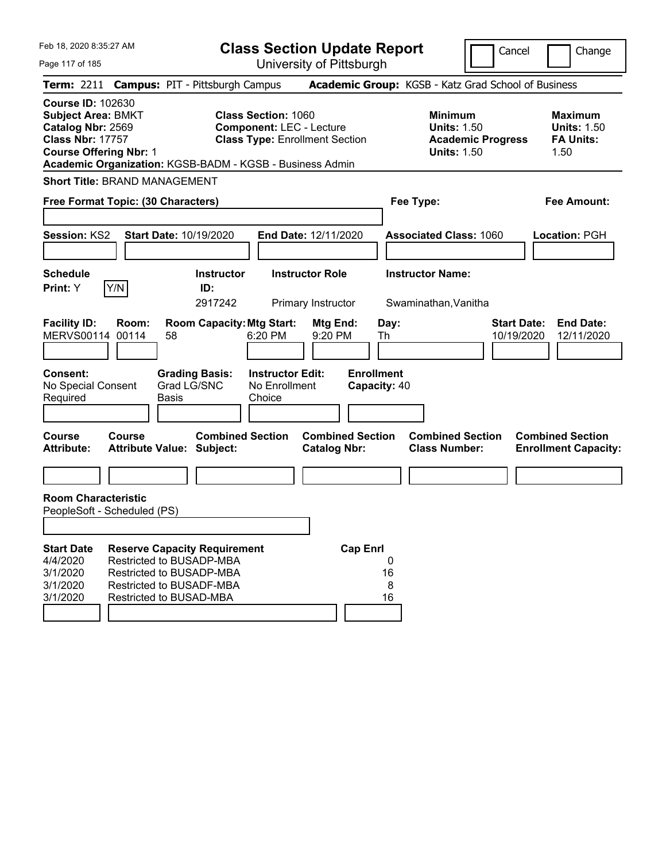Feb 18, 2020 8:35:27 AM Page 117 of 185 **Class Section Update Report** University of Pittsburgh Cancel Change **Term:** 2211 **Campus:** PIT - Pittsburgh Campus **Academic Group:** KGSB - Katz Grad School of Business **Course ID:** 102630 **Subject Area:** BMKT **Class Section:** 1060 **Minimum Maximum Catalog Nbr:** 2569 **Component:** LEC - Lecture **Units:** 1.50 **Units:** 1.50 **Class Nbr:** 17757 **Class Type:** Enrollment Section **Academic Progress FA Units: Course Offering Nbr: 1 1.50 1.50 1.50 1.50 1.50 1.50 Academic Organization:** KGSB-BADM - KGSB - Business Admin **Short Title:** BRAND MANAGEMENT **Free Format Topic: (30 Characters) Fee Type: Fee Amount: Session:** KS2 **Start Date:** 10/19/2020 **End Date:** 12/11/2020 **Associated Class:** 1060 **Location:** PGH **Schedule Instructor Instructor Role Instructor Name: Print:**  $Y$   $|Y/N|$  **ID:** 2917242 Primary Instructor Swaminathan,Vanitha **Facility ID: Room: Room Capacity:Mtg Start: Mtg End: Day: Start Date: End Date:** MERVS00114 00114 58 6:20 PM 9:20 PM Th 10/19/2020 12/11/2020 **Consent: Grading Basis: Instructor Edit: Enrollment** No Special Consent Required Grad LG/SNC Basis No Enrollment Choice **Capacity:** 40 **Course Course Combined Section Combined Section Combined Section Combined Section Attribute: Attribute Value: Subject: Catalog Nbr: Class Number: Enrollment Capacity: Room Characteristic** PeopleSoft - Scheduled (PS) **Start Date Reserve Capacity Requirement Cap Enrl** 4/4/2020 Restricted to BUSADP-MBA 0 3/1/2020 Restricted to BUSADP-MBA 16 3/1/2020 Restricted to BUSADF-MBA 8 3/1/2020 Restricted to BUSAD-MBA 16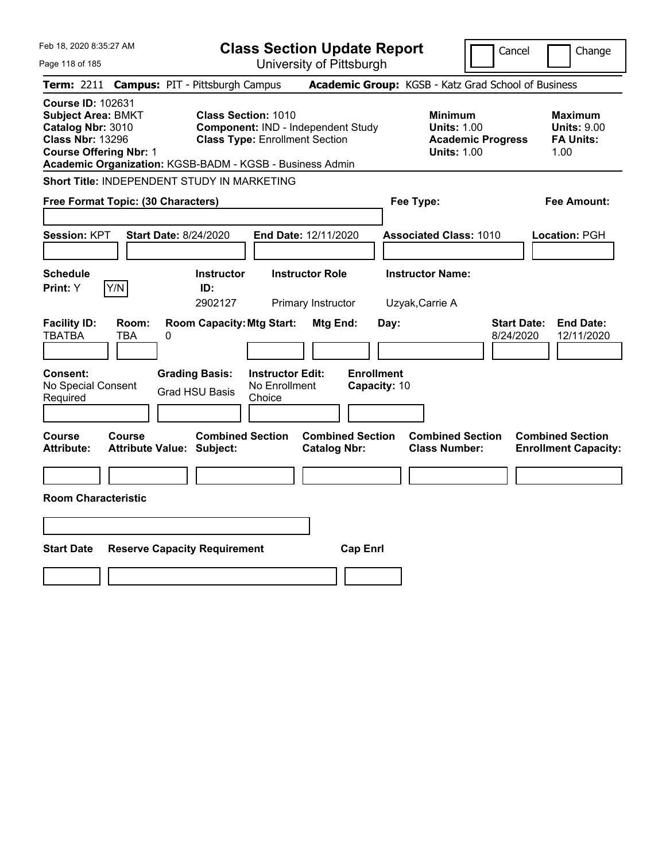| Feb 18, 2020 8:35:27 AM<br><b>Class Section Update Report</b>                                                                          |                                                          |                                                                                                           |                                                    |                                                |                                   |                                                            | Cancel                          | Change                                                           |
|----------------------------------------------------------------------------------------------------------------------------------------|----------------------------------------------------------|-----------------------------------------------------------------------------------------------------------|----------------------------------------------------|------------------------------------------------|-----------------------------------|------------------------------------------------------------|---------------------------------|------------------------------------------------------------------|
| Page 118 of 185                                                                                                                        |                                                          |                                                                                                           |                                                    | University of Pittsburgh                       |                                   |                                                            |                                 |                                                                  |
| <b>Term: 2211</b>                                                                                                                      | <b>Campus: PIT - Pittsburgh Campus</b>                   |                                                                                                           |                                                    |                                                |                                   | Academic Group: KGSB - Katz Grad School of Business        |                                 |                                                                  |
| <b>Course ID: 102631</b><br><b>Subject Area: BMKT</b><br>Catalog Nbr: 3010<br><b>Class Nbr: 13296</b><br><b>Course Offering Nbr: 1</b> | Academic Organization: KGSB-BADM - KGSB - Business Admin | <b>Class Section: 1010</b><br>Component: IND - Independent Study<br><b>Class Type: Enrollment Section</b> |                                                    |                                                |                                   | <b>Minimum</b><br><b>Units: 1.00</b><br><b>Units: 1.00</b> | <b>Academic Progress</b>        | <b>Maximum</b><br><b>Units: 9.00</b><br><b>FA Units:</b><br>1.00 |
|                                                                                                                                        | Short Title: INDEPENDENT STUDY IN MARKETING              |                                                                                                           |                                                    |                                                |                                   |                                                            |                                 |                                                                  |
|                                                                                                                                        | Free Format Topic: (30 Characters)                       |                                                                                                           |                                                    |                                                |                                   | Fee Type:                                                  |                                 | Fee Amount:                                                      |
| Session: KPT                                                                                                                           | <b>Start Date: 8/24/2020</b>                             |                                                                                                           |                                                    | End Date: 12/11/2020                           |                                   | <b>Associated Class: 1010</b>                              |                                 | Location: PGH                                                    |
| <b>Schedule</b>                                                                                                                        |                                                          | <b>Instructor</b>                                                                                         |                                                    | <b>Instructor Role</b>                         |                                   | <b>Instructor Name:</b>                                    |                                 |                                                                  |
| Print: Y                                                                                                                               | Y/N                                                      | ID:<br>2902127                                                                                            |                                                    | Primary Instructor                             |                                   | Uzyak, Carrie A                                            |                                 |                                                                  |
| <b>Facility ID:</b><br><b>TBATBA</b>                                                                                                   | Room:<br>0<br>TBA                                        | <b>Room Capacity: Mtg Start:</b>                                                                          |                                                    | Mtg End:                                       | Day:                              |                                                            | <b>Start Date:</b><br>8/24/2020 | <b>End Date:</b><br>12/11/2020                                   |
| Consent:<br>No Special Consent<br>Required                                                                                             |                                                          | <b>Grading Basis:</b><br><b>Grad HSU Basis</b>                                                            | <b>Instructor Edit:</b><br>No Enrollment<br>Choice |                                                | <b>Enrollment</b><br>Capacity: 10 |                                                            |                                 |                                                                  |
| Course<br><b>Attribute:</b>                                                                                                            | <b>Course</b><br>Attribute Value: Subject:               | <b>Combined Section</b>                                                                                   |                                                    | <b>Combined Section</b><br><b>Catalog Nbr:</b> |                                   | <b>Combined Section</b><br><b>Class Number:</b>            |                                 | <b>Combined Section</b><br><b>Enrollment Capacity:</b>           |
|                                                                                                                                        |                                                          |                                                                                                           |                                                    |                                                |                                   |                                                            |                                 |                                                                  |
| <b>Room Characteristic</b>                                                                                                             |                                                          |                                                                                                           |                                                    |                                                |                                   |                                                            |                                 |                                                                  |
|                                                                                                                                        |                                                          |                                                                                                           |                                                    |                                                |                                   |                                                            |                                 |                                                                  |
| <b>Start Date</b>                                                                                                                      | <b>Reserve Capacity Requirement</b>                      |                                                                                                           |                                                    |                                                | <b>Cap Enrl</b>                   |                                                            |                                 |                                                                  |
|                                                                                                                                        |                                                          |                                                                                                           |                                                    |                                                |                                   |                                                            |                                 |                                                                  |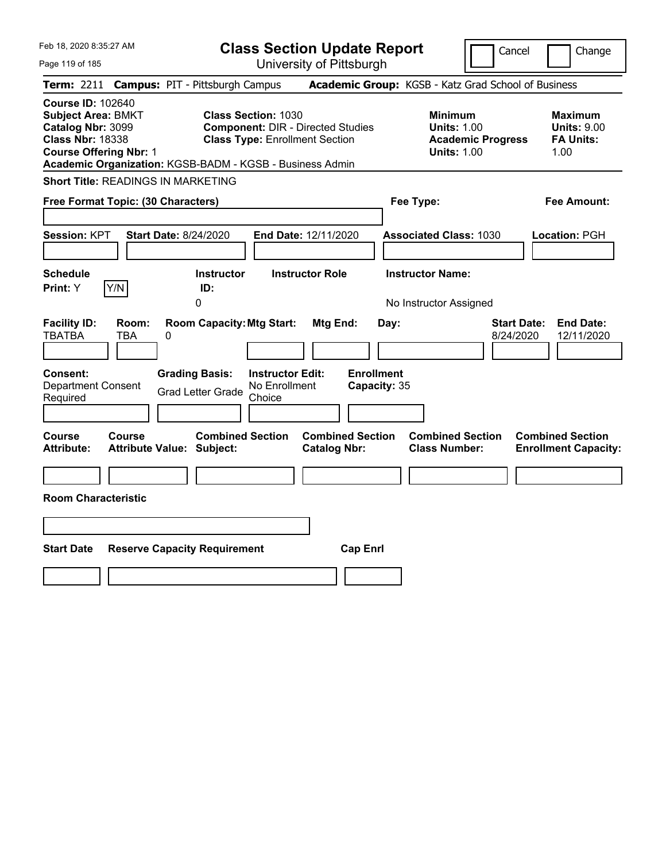| Feb 18, 2020 8:35:27 AM<br><b>Class Section Update Report</b><br>University of Pittsburgh<br>Page 119 of 185                                                                                                                                                                                                          | Cancel                                                                                                 | Change                                                           |
|-----------------------------------------------------------------------------------------------------------------------------------------------------------------------------------------------------------------------------------------------------------------------------------------------------------------------|--------------------------------------------------------------------------------------------------------|------------------------------------------------------------------|
| Term: 2211 Campus: PIT - Pittsburgh Campus                                                                                                                                                                                                                                                                            | Academic Group: KGSB - Katz Grad School of Business                                                    |                                                                  |
| <b>Course ID: 102640</b><br><b>Subject Area: BMKT</b><br><b>Class Section: 1030</b><br>Catalog Nbr: 3099<br><b>Component: DIR - Directed Studies</b><br><b>Class Nbr: 18338</b><br><b>Class Type: Enrollment Section</b><br><b>Course Offering Nbr: 1</b><br>Academic Organization: KGSB-BADM - KGSB - Business Admin | <b>Minimum</b><br><b>Units: 1.00</b><br><b>Academic Progress</b><br><b>Units: 1.00</b>                 | <b>Maximum</b><br><b>Units: 9.00</b><br><b>FA Units:</b><br>1.00 |
| <b>Short Title: READINGS IN MARKETING</b>                                                                                                                                                                                                                                                                             |                                                                                                        |                                                                  |
| Free Format Topic: (30 Characters)                                                                                                                                                                                                                                                                                    | Fee Type:                                                                                              | <b>Fee Amount:</b>                                               |
| Session: KPT<br><b>Start Date: 8/24/2020</b><br><b>End Date: 12/11/2020</b><br><b>Schedule</b><br><b>Instructor</b><br><b>Instructor Role</b>                                                                                                                                                                         | <b>Associated Class: 1030</b><br><b>Instructor Name:</b>                                               | Location: PGH                                                    |
| Y/N<br>Print: Y<br>ID:                                                                                                                                                                                                                                                                                                |                                                                                                        |                                                                  |
| 0<br><b>Room Capacity: Mtg Start:</b><br><b>Mtg End:</b><br><b>Facility ID:</b><br>Room:<br><b>TBATBA</b><br>TBA<br>0<br><b>Grading Basis:</b><br><b>Consent:</b><br><b>Instructor Edit:</b><br><b>Department Consent</b><br>No Enrollment<br><b>Grad Letter Grade</b><br>Choice<br>Required                          | No Instructor Assigned<br><b>Start Date:</b><br>Day:<br>8/24/2020<br><b>Enrollment</b><br>Capacity: 35 | <b>End Date:</b><br>12/11/2020                                   |
|                                                                                                                                                                                                                                                                                                                       |                                                                                                        |                                                                  |
| <b>Combined Section</b><br><b>Combined Section</b><br><b>Course</b><br><b>Course</b><br><b>Catalog Nbr:</b><br><b>Attribute:</b><br><b>Attribute Value: Subject:</b>                                                                                                                                                  | <b>Combined Section</b><br><b>Class Number:</b>                                                        | <b>Combined Section</b><br><b>Enrollment Capacity:</b>           |
|                                                                                                                                                                                                                                                                                                                       |                                                                                                        |                                                                  |
| <b>Room Characteristic</b>                                                                                                                                                                                                                                                                                            |                                                                                                        |                                                                  |
|                                                                                                                                                                                                                                                                                                                       |                                                                                                        |                                                                  |
|                                                                                                                                                                                                                                                                                                                       |                                                                                                        |                                                                  |
| <b>Start Date</b><br><b>Reserve Capacity Requirement</b><br><b>Cap Enrl</b>                                                                                                                                                                                                                                           |                                                                                                        |                                                                  |
|                                                                                                                                                                                                                                                                                                                       |                                                                                                        |                                                                  |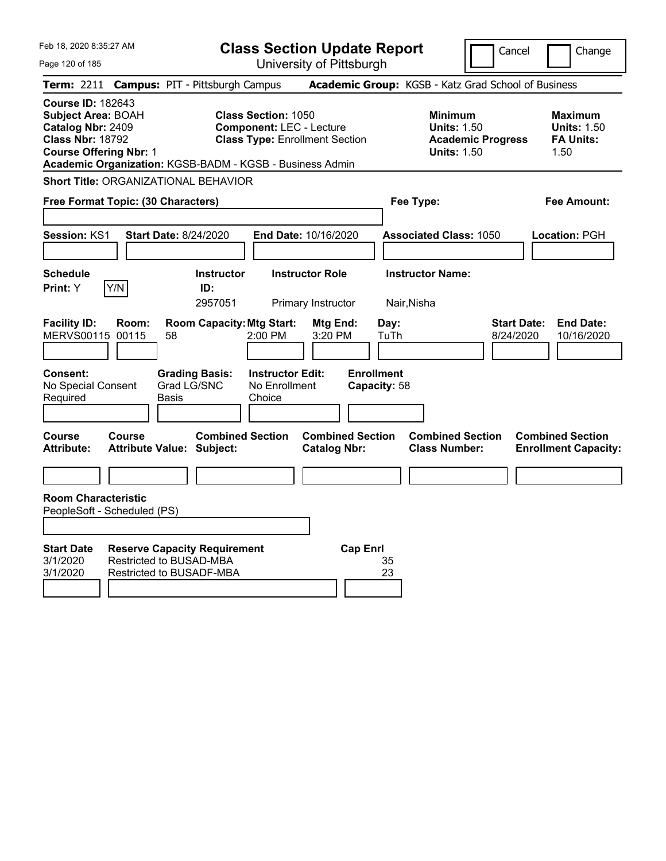| Feb 18, 2020 8:35:27 AM                                                                                                                                                                            |                                                                                                              | <b>Class Section Update Report</b>                                       |                                                            | Cancel                          | Change                                                           |
|----------------------------------------------------------------------------------------------------------------------------------------------------------------------------------------------------|--------------------------------------------------------------------------------------------------------------|--------------------------------------------------------------------------|------------------------------------------------------------|---------------------------------|------------------------------------------------------------------|
| Page 120 of 185                                                                                                                                                                                    |                                                                                                              | University of Pittsburgh                                                 |                                                            |                                 |                                                                  |
| <b>Term:</b> 2211                                                                                                                                                                                  | <b>Campus: PIT - Pittsburgh Campus</b>                                                                       |                                                                          | Academic Group: KGSB - Katz Grad School of Business        |                                 |                                                                  |
| <b>Course ID: 182643</b><br><b>Subject Area: BOAH</b><br>Catalog Nbr: 2409<br><b>Class Nbr: 18792</b><br><b>Course Offering Nbr: 1</b><br>Academic Organization: KGSB-BADM - KGSB - Business Admin | <b>Class Section: 1050</b>                                                                                   | <b>Component: LEC - Lecture</b><br><b>Class Type: Enrollment Section</b> | <b>Minimum</b><br><b>Units: 1.50</b><br><b>Units: 1.50</b> | <b>Academic Progress</b>        | <b>Maximum</b><br><b>Units: 1.50</b><br><b>FA Units:</b><br>1.50 |
| <b>Short Title: ORGANIZATIONAL BEHAVIOR</b>                                                                                                                                                        |                                                                                                              |                                                                          |                                                            |                                 |                                                                  |
| Free Format Topic: (30 Characters)                                                                                                                                                                 |                                                                                                              |                                                                          | Fee Type:                                                  |                                 | Fee Amount:                                                      |
| <b>Session: KS1</b>                                                                                                                                                                                | <b>Start Date: 8/24/2020</b>                                                                                 | <b>End Date: 10/16/2020</b>                                              | <b>Associated Class: 1050</b>                              |                                 | Location: PGH                                                    |
| <b>Schedule</b><br>Y/N<br>Print: Y                                                                                                                                                                 | <b>Instructor</b><br>ID:<br>2957051                                                                          | <b>Instructor Role</b><br>Primary Instructor                             | <b>Instructor Name:</b><br>Nair, Nisha                     |                                 |                                                                  |
| <b>Facility ID:</b><br>Room:<br><b>MERVS00115</b><br>00115<br>Consent:<br>No Special Consent<br>Required                                                                                           | <b>Room Capacity: Mtg Start:</b><br>2:00 PM<br>58<br><b>Grading Basis:</b><br>Grad LG/SNC<br>Choice<br>Basis | Mtg End:<br>3:20 PM<br><b>Instructor Edit:</b><br>No Enrollment          | Day:<br>TuTh<br><b>Enrollment</b><br>Capacity: 58          | <b>Start Date:</b><br>8/24/2020 | <b>End Date:</b><br>10/16/2020                                   |
| Course<br>Course<br><b>Attribute:</b>                                                                                                                                                              | <b>Combined Section</b><br><b>Attribute Value: Subject:</b>                                                  | <b>Combined Section</b><br><b>Catalog Nbr:</b>                           | <b>Combined Section</b><br><b>Class Number:</b>            |                                 | <b>Combined Section</b><br><b>Enrollment Capacity:</b>           |
| <b>Room Characteristic</b><br>PeopleSoft - Scheduled (PS)<br><b>Start Date</b><br>3/1/2020<br>3/1/2020                                                                                             | <b>Reserve Capacity Requirement</b><br><b>Restricted to BUSAD-MBA</b><br><b>Restricted to BUSADF-MBA</b>     | <b>Cap Enrl</b>                                                          | 35<br>23                                                   |                                 |                                                                  |
|                                                                                                                                                                                                    |                                                                                                              |                                                                          |                                                            |                                 |                                                                  |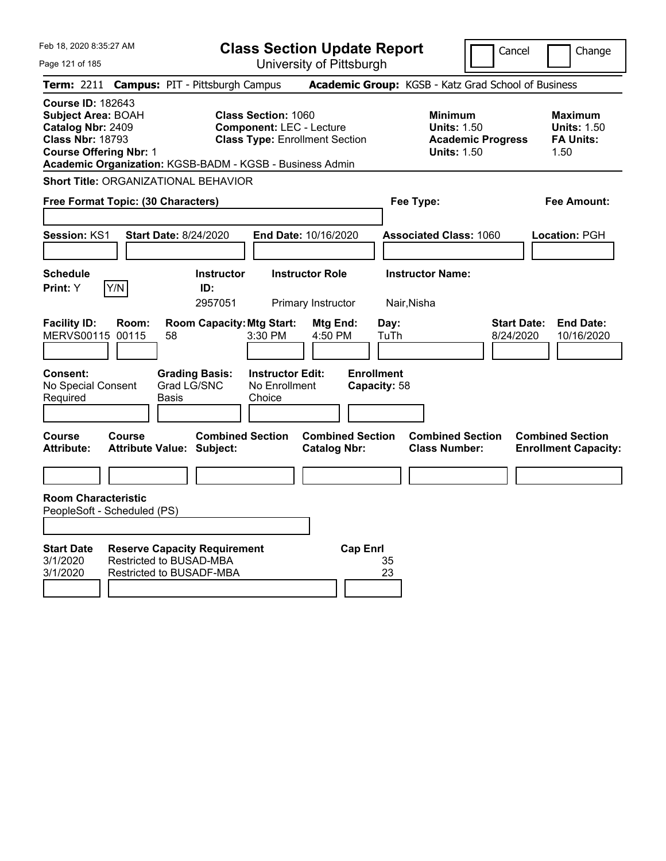| Feb 18, 2020 8:35:27 AM                                                                                                                |                                                                                                          | <b>Class Section Update Report</b>                                                                     |                                                |                                                            | Cancel                          | Change                                                           |
|----------------------------------------------------------------------------------------------------------------------------------------|----------------------------------------------------------------------------------------------------------|--------------------------------------------------------------------------------------------------------|------------------------------------------------|------------------------------------------------------------|---------------------------------|------------------------------------------------------------------|
| Page 121 of 185                                                                                                                        |                                                                                                          | University of Pittsburgh                                                                               |                                                |                                                            |                                 |                                                                  |
| <b>Term:</b> 2211                                                                                                                      | <b>Campus: PIT - Pittsburgh Campus</b>                                                                   |                                                                                                        |                                                | Academic Group: KGSB - Katz Grad School of Business        |                                 |                                                                  |
| <b>Course ID: 182643</b><br><b>Subject Area: BOAH</b><br>Catalog Nbr: 2409<br><b>Class Nbr: 18793</b><br><b>Course Offering Nbr: 1</b> | Academic Organization: KGSB-BADM - KGSB - Business Admin                                                 | <b>Class Section: 1060</b><br><b>Component: LEC - Lecture</b><br><b>Class Type: Enrollment Section</b> |                                                | <b>Minimum</b><br><b>Units: 1.50</b><br><b>Units: 1.50</b> | <b>Academic Progress</b>        | <b>Maximum</b><br><b>Units: 1.50</b><br><b>FA Units:</b><br>1.50 |
|                                                                                                                                        | <b>Short Title: ORGANIZATIONAL BEHAVIOR</b>                                                              |                                                                                                        |                                                |                                                            |                                 |                                                                  |
| Free Format Topic: (30 Characters)                                                                                                     |                                                                                                          |                                                                                                        |                                                | Fee Type:                                                  |                                 | Fee Amount:                                                      |
| <b>Session: KS1</b>                                                                                                                    | <b>Start Date: 8/24/2020</b>                                                                             | <b>End Date: 10/16/2020</b>                                                                            |                                                | <b>Associated Class: 1060</b>                              |                                 | Location: PGH                                                    |
| <b>Schedule</b>                                                                                                                        | <b>Instructor</b>                                                                                        | <b>Instructor Role</b>                                                                                 |                                                | <b>Instructor Name:</b>                                    |                                 |                                                                  |
| Y/N<br>Print: Y                                                                                                                        | ID:<br>2957051                                                                                           | Primary Instructor                                                                                     |                                                | Nair, Nisha                                                |                                 |                                                                  |
| <b>Facility ID:</b><br>Room:<br><b>MERVS00115</b><br>00115<br>Consent:<br>No Special Consent<br>Required                               | <b>Room Capacity: Mtg Start:</b><br>58<br><b>Grading Basis:</b><br>Grad LG/SNC<br>Basis                  | 3:30 PM<br><b>Instructor Edit:</b><br>No Enrollment<br>Choice                                          | Mtg End:<br>4:50 PM<br><b>Enrollment</b>       | Day:<br>TuTh<br>Capacity: 58                               | <b>Start Date:</b><br>8/24/2020 | <b>End Date:</b><br>10/16/2020                                   |
|                                                                                                                                        |                                                                                                          |                                                                                                        |                                                |                                                            |                                 |                                                                  |
| Course<br>Course<br><b>Attribute:</b>                                                                                                  | <b>Attribute Value: Subject:</b>                                                                         | <b>Combined Section</b>                                                                                | <b>Combined Section</b><br><b>Catalog Nbr:</b> | <b>Combined Section</b><br><b>Class Number:</b>            |                                 | <b>Combined Section</b><br><b>Enrollment Capacity:</b>           |
|                                                                                                                                        |                                                                                                          |                                                                                                        |                                                |                                                            |                                 |                                                                  |
| <b>Room Characteristic</b><br>PeopleSoft - Scheduled (PS)                                                                              |                                                                                                          |                                                                                                        |                                                |                                                            |                                 |                                                                  |
| <b>Start Date</b><br>3/1/2020<br>3/1/2020                                                                                              | <b>Reserve Capacity Requirement</b><br><b>Restricted to BUSAD-MBA</b><br><b>Restricted to BUSADF-MBA</b> |                                                                                                        | <b>Cap Enrl</b>                                | 35<br>23                                                   |                                 |                                                                  |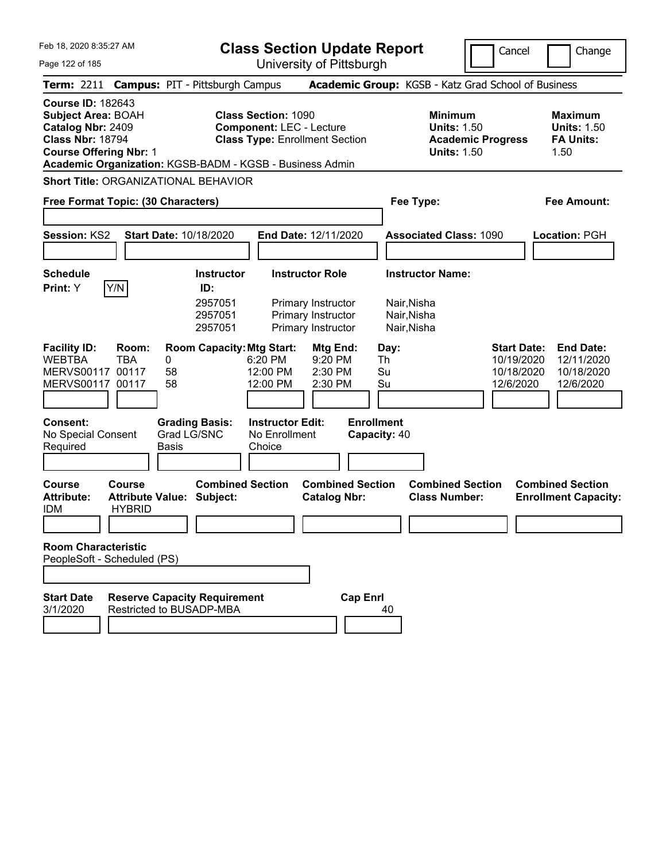| Feb 18, 2020 8:35:27 AM<br>Page 122 of 185                                                                                                                                                                              |                                                             |               |                                                           |                                                               | <b>Class Section Update Report</b><br>University of Pittsburgh                           |                                                                      |                                                                                        | Cancel                                                      | Change                                                           |
|-------------------------------------------------------------------------------------------------------------------------------------------------------------------------------------------------------------------------|-------------------------------------------------------------|---------------|-----------------------------------------------------------|---------------------------------------------------------------|------------------------------------------------------------------------------------------|----------------------------------------------------------------------|----------------------------------------------------------------------------------------|-------------------------------------------------------------|------------------------------------------------------------------|
|                                                                                                                                                                                                                         |                                                             |               |                                                           |                                                               |                                                                                          |                                                                      |                                                                                        |                                                             |                                                                  |
| <b>Term: 2211</b><br><b>Course ID: 182643</b><br><b>Subject Area: BOAH</b><br>Catalog Nbr: 2409<br><b>Class Nbr: 18794</b><br><b>Course Offering Nbr: 1</b><br>Academic Organization: KGSB-BADM - KGSB - Business Admin |                                                             |               | <b>Campus: PIT - Pittsburgh Campus</b>                    | <b>Class Section: 1090</b><br><b>Component: LEC - Lecture</b> | <b>Class Type: Enrollment Section</b>                                                    | Academic Group: KGSB - Katz Grad School of Business                  | <b>Minimum</b><br><b>Units: 1.50</b><br><b>Academic Progress</b><br><b>Units: 1.50</b> |                                                             | <b>Maximum</b><br><b>Units: 1.50</b><br><b>FA Units:</b><br>1.50 |
| Short Title: ORGANIZATIONAL BEHAVIOR                                                                                                                                                                                    |                                                             |               |                                                           |                                                               |                                                                                          |                                                                      |                                                                                        |                                                             |                                                                  |
| Free Format Topic: (30 Characters)                                                                                                                                                                                      |                                                             |               |                                                           |                                                               |                                                                                          | Fee Type:                                                            |                                                                                        |                                                             | Fee Amount:                                                      |
| Session: KS2                                                                                                                                                                                                            |                                                             |               | <b>Start Date: 10/18/2020</b>                             |                                                               | End Date: 12/11/2020                                                                     |                                                                      | <b>Associated Class: 1090</b>                                                          |                                                             | Location: PGH                                                    |
| <b>Schedule</b><br>Print: Y                                                                                                                                                                                             | Y/N                                                         |               | <b>Instructor</b><br>ID:<br>2957051<br>2957051<br>2957051 |                                                               | <b>Instructor Role</b><br>Primary Instructor<br>Primary Instructor<br>Primary Instructor | <b>Instructor Name:</b><br>Nair, Nisha<br>Nair, Nisha<br>Nair, Nisha |                                                                                        |                                                             |                                                                  |
| <b>Facility ID:</b><br><b>WEBTBA</b><br><b>MERVS00117</b><br>MERVS00117 00117                                                                                                                                           | Room:<br><b>TBA</b><br>00117                                | 0<br>58<br>58 | <b>Room Capacity: Mtg Start:</b>                          | 6:20 PM<br>12:00 PM<br>12:00 PM                               | Mtg End:<br>9:20 PM<br>2:30 PM<br>2:30 PM                                                | Day:<br>Th<br>Su<br>Su                                               |                                                                                        | <b>Start Date:</b><br>10/19/2020<br>10/18/2020<br>12/6/2020 | <b>End Date:</b><br>12/11/2020<br>10/18/2020<br>12/6/2020        |
| <b>Consent:</b><br>No Special Consent<br>Required                                                                                                                                                                       |                                                             | <b>Basis</b>  | <b>Grading Basis:</b><br>Grad LG/SNC                      | <b>Instructor Edit:</b><br>No Enrollment<br>Choice            |                                                                                          | <b>Enrollment</b><br>Capacity: 40                                    |                                                                                        |                                                             |                                                                  |
| <b>Course</b><br><b>Attribute:</b><br><b>IDM</b>                                                                                                                                                                        | Course<br><b>Attribute Value: Subject:</b><br><b>HYBRID</b> |               | <b>Combined Section</b>                                   |                                                               | <b>Combined Section</b><br><b>Catalog Nbr:</b>                                           |                                                                      | <b>Combined Section</b><br><b>Class Number:</b>                                        |                                                             | <b>Combined Section</b><br><b>Enrollment Capacity:</b>           |
| <b>Room Characteristic</b><br>PeopleSoft - Scheduled (PS)                                                                                                                                                               |                                                             |               |                                                           |                                                               |                                                                                          |                                                                      |                                                                                        |                                                             |                                                                  |
| <b>Start Date</b><br>3/1/2020                                                                                                                                                                                           | Restricted to BUSADP-MBA                                    |               | <b>Reserve Capacity Requirement</b>                       |                                                               | <b>Cap Enrl</b>                                                                          | 40                                                                   |                                                                                        |                                                             |                                                                  |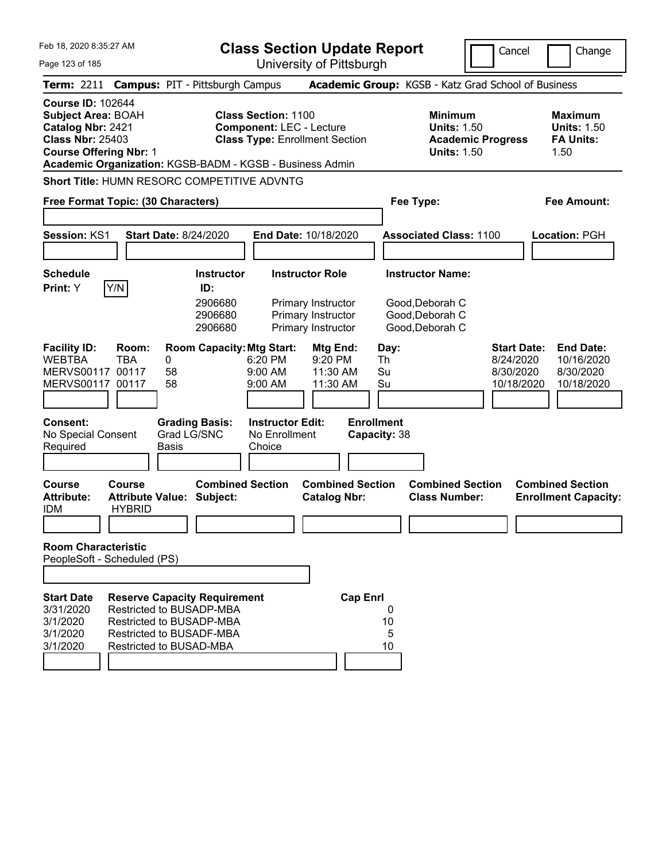| Feb 18, 2020 8:35:27 AM                                                                                                                                                                            |                                                                                                                    |                             |                                        | <b>Class Section Update Report</b>                                                                     |                                                                |                                   |                        |                                                            |                          | Cancel                                                     | Change                                                           |
|----------------------------------------------------------------------------------------------------------------------------------------------------------------------------------------------------|--------------------------------------------------------------------------------------------------------------------|-----------------------------|----------------------------------------|--------------------------------------------------------------------------------------------------------|----------------------------------------------------------------|-----------------------------------|------------------------|------------------------------------------------------------|--------------------------|------------------------------------------------------------|------------------------------------------------------------------|
| Page 123 of 185                                                                                                                                                                                    |                                                                                                                    |                             |                                        |                                                                                                        | University of Pittsburgh                                       |                                   |                        |                                                            |                          |                                                            |                                                                  |
| <b>Term: 2211</b>                                                                                                                                                                                  |                                                                                                                    |                             | <b>Campus: PIT - Pittsburgh Campus</b> |                                                                                                        |                                                                |                                   |                        | Academic Group: KGSB - Katz Grad School of Business        |                          |                                                            |                                                                  |
| <b>Course ID: 102644</b><br><b>Subject Area: BOAH</b><br>Catalog Nbr: 2421<br><b>Class Nbr: 25403</b><br><b>Course Offering Nbr: 1</b><br>Academic Organization: KGSB-BADM - KGSB - Business Admin |                                                                                                                    |                             |                                        | <b>Class Section: 1100</b><br><b>Component: LEC - Lecture</b><br><b>Class Type: Enrollment Section</b> |                                                                |                                   |                        | <b>Minimum</b><br><b>Units: 1.50</b><br><b>Units: 1.50</b> | <b>Academic Progress</b> |                                                            | <b>Maximum</b><br><b>Units: 1.50</b><br><b>FA Units:</b><br>1.50 |
| Short Title: HUMN RESORC COMPETITIVE ADVNTG                                                                                                                                                        |                                                                                                                    |                             |                                        |                                                                                                        |                                                                |                                   |                        |                                                            |                          |                                                            |                                                                  |
| Free Format Topic: (30 Characters)                                                                                                                                                                 |                                                                                                                    |                             |                                        |                                                                                                        |                                                                |                                   |                        | Fee Type:                                                  |                          |                                                            | <b>Fee Amount:</b>                                               |
| Session: KS1                                                                                                                                                                                       |                                                                                                                    |                             | <b>Start Date: 8/24/2020</b>           | End Date: 10/18/2020                                                                                   |                                                                |                                   |                        | <b>Associated Class: 1100</b>                              |                          |                                                            | Location: PGH                                                    |
| <b>Schedule</b><br>Print: Y                                                                                                                                                                        | Y/N                                                                                                                |                             | <b>Instructor</b><br>ID:               |                                                                                                        | <b>Instructor Role</b>                                         |                                   |                        | <b>Instructor Name:</b>                                    |                          |                                                            |                                                                  |
|                                                                                                                                                                                                    |                                                                                                                    |                             | 2906680<br>2906680<br>2906680          |                                                                                                        | Primary Instructor<br>Primary Instructor<br>Primary Instructor |                                   |                        | Good, Deborah C<br>Good, Deborah C<br>Good, Deborah C      |                          |                                                            |                                                                  |
| <b>Facility ID:</b><br><b>WEBTBA</b><br><b>MERVS00117</b><br>MERVS00117 00117                                                                                                                      | Room:<br><b>TBA</b><br>00117                                                                                       | 0<br>58<br>58               | <b>Room Capacity: Mtg Start:</b>       | 6:20 PM<br>9:00 AM<br>9:00 AM                                                                          | Mtg End:<br>9:20 PM<br>11:30 AM<br>11:30 AM                    |                                   | Day:<br>Th<br>Su<br>Su |                                                            |                          | <b>Start Date:</b><br>8/24/2020<br>8/30/2020<br>10/18/2020 | <b>End Date:</b><br>10/16/2020<br>8/30/2020<br>10/18/2020        |
| Consent:<br>No Special Consent<br>Required                                                                                                                                                         |                                                                                                                    | Grad LG/SNC<br><b>Basis</b> | <b>Grading Basis:</b>                  | <b>Instructor Edit:</b><br>No Enrollment<br>Choice                                                     |                                                                | <b>Enrollment</b><br>Capacity: 38 |                        |                                                            |                          |                                                            |                                                                  |
| <b>Course</b><br><b>Attribute:</b><br><b>IDM</b>                                                                                                                                                   | Course<br><b>Attribute Value: Subject:</b><br><b>HYBRID</b>                                                        |                             | <b>Combined Section</b>                |                                                                                                        | <b>Combined Section</b><br><b>Catalog Nbr:</b>                 |                                   |                        | <b>Combined Section</b><br><b>Class Number:</b>            |                          |                                                            | <b>Combined Section</b><br><b>Enrollment Capacity:</b>           |
| <b>Room Characteristic</b><br>PeopleSoft - Scheduled (PS)                                                                                                                                          |                                                                                                                    |                             |                                        |                                                                                                        |                                                                |                                   |                        |                                                            |                          |                                                            |                                                                  |
|                                                                                                                                                                                                    |                                                                                                                    |                             |                                        |                                                                                                        |                                                                |                                   |                        |                                                            |                          |                                                            |                                                                  |
| <b>Start Date</b><br>3/31/2020<br>3/1/2020<br>3/1/2020<br>3/1/2020                                                                                                                                 | Restricted to BUSADP-MBA<br>Restricted to BUSADP-MBA<br><b>Restricted to BUSADF-MBA</b><br>Restricted to BUSAD-MBA |                             | <b>Reserve Capacity Requirement</b>    |                                                                                                        |                                                                | <b>Cap Enrl</b>                   | 0<br>10<br>5<br>10     |                                                            |                          |                                                            |                                                                  |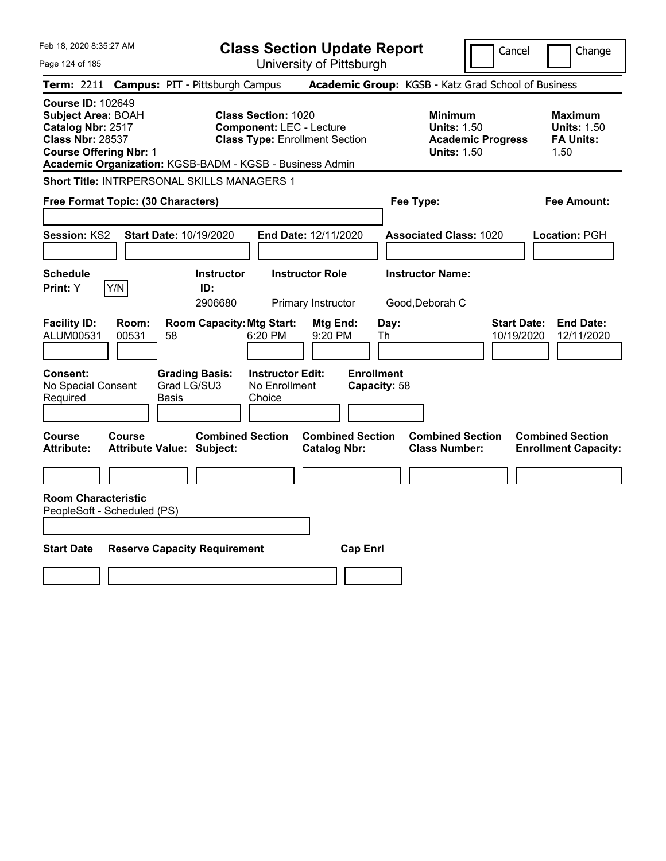| Feb 18, 2020 8:35:27 AM                                                                                                                |                                                   |                                                                                        | <b>Class Section Update Report</b>                                       |                                                |                                   |                                                            |                          | Cancel                           | Change                                                           |
|----------------------------------------------------------------------------------------------------------------------------------------|---------------------------------------------------|----------------------------------------------------------------------------------------|--------------------------------------------------------------------------|------------------------------------------------|-----------------------------------|------------------------------------------------------------|--------------------------|----------------------------------|------------------------------------------------------------------|
| Page 124 of 185                                                                                                                        |                                                   |                                                                                        | University of Pittsburgh                                                 |                                                |                                   |                                                            |                          |                                  |                                                                  |
| <b>Term:</b> 2211                                                                                                                      |                                                   | <b>Campus: PIT - Pittsburgh Campus</b>                                                 |                                                                          |                                                |                                   | Academic Group: KGSB - Katz Grad School of Business        |                          |                                  |                                                                  |
| <b>Course ID: 102649</b><br><b>Subject Area: BOAH</b><br>Catalog Nbr: 2517<br><b>Class Nbr: 28537</b><br><b>Course Offering Nbr: 1</b> |                                                   | <b>Class Section: 1020</b><br>Academic Organization: KGSB-BADM - KGSB - Business Admin | <b>Component: LEC - Lecture</b><br><b>Class Type: Enrollment Section</b> |                                                |                                   | <b>Minimum</b><br><b>Units: 1.50</b><br><b>Units: 1.50</b> | <b>Academic Progress</b> |                                  | <b>Maximum</b><br><b>Units: 1.50</b><br><b>FA Units:</b><br>1.50 |
|                                                                                                                                        |                                                   | Short Title: INTRPERSONAL SKILLS MANAGERS 1                                            |                                                                          |                                                |                                   |                                                            |                          |                                  |                                                                  |
|                                                                                                                                        | Free Format Topic: (30 Characters)                |                                                                                        |                                                                          |                                                |                                   | Fee Type:                                                  |                          |                                  | Fee Amount:                                                      |
| <b>Session: KS2</b>                                                                                                                    | <b>Start Date: 10/19/2020</b>                     |                                                                                        | <b>End Date: 12/11/2020</b>                                              |                                                |                                   | <b>Associated Class: 1020</b>                              |                          |                                  | Location: PGH                                                    |
| <b>Schedule</b><br>Print: Y                                                                                                            | Y/N                                               | <b>Instructor</b><br>ID:<br>2906680                                                    | <b>Instructor Role</b><br>Primary Instructor                             |                                                |                                   | <b>Instructor Name:</b><br>Good, Deborah C                 |                          |                                  |                                                                  |
| <b>Facility ID:</b><br>ALUM00531                                                                                                       | Room:<br>00531<br>58                              | <b>Room Capacity: Mtg Start:</b>                                                       | 6:20 PM                                                                  | Mtg End:<br>9:20 PM                            | Day:<br>Th                        |                                                            |                          | <b>Start Date:</b><br>10/19/2020 | <b>End Date:</b><br>12/11/2020                                   |
| Consent:<br>No Special Consent<br>Required                                                                                             | Basis                                             | <b>Grading Basis:</b><br>Grad LG/SU3<br>Choice                                         | <b>Instructor Edit:</b><br>No Enrollment                                 |                                                | <b>Enrollment</b><br>Capacity: 58 |                                                            |                          |                                  |                                                                  |
| Course<br><b>Attribute:</b>                                                                                                            | <b>Course</b><br><b>Attribute Value: Subject:</b> | <b>Combined Section</b>                                                                |                                                                          | <b>Combined Section</b><br><b>Catalog Nbr:</b> |                                   | <b>Combined Section</b><br><b>Class Number:</b>            |                          |                                  | <b>Combined Section</b><br><b>Enrollment Capacity:</b>           |
| <b>Room Characteristic</b><br>PeopleSoft - Scheduled (PS)                                                                              |                                                   |                                                                                        |                                                                          |                                                |                                   |                                                            |                          |                                  |                                                                  |
| <b>Start Date</b>                                                                                                                      |                                                   | <b>Reserve Capacity Requirement</b>                                                    |                                                                          | <b>Cap Enrl</b>                                |                                   |                                                            |                          |                                  |                                                                  |
|                                                                                                                                        |                                                   |                                                                                        |                                                                          |                                                |                                   |                                                            |                          |                                  |                                                                  |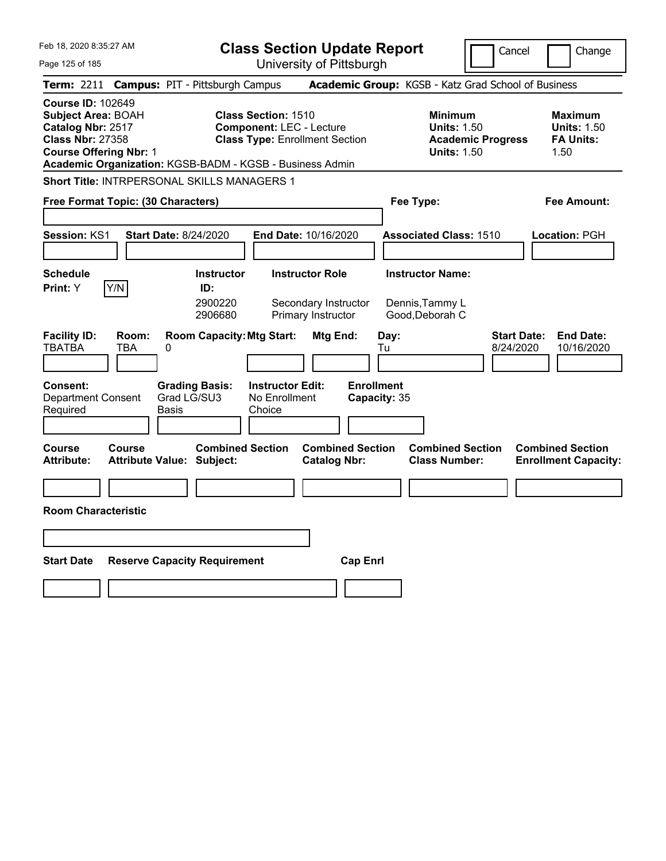|                                                               | Cancel                                                                                                                                                                                                                                                                                                                                                                                   | Change                                                                                                                                                                                                                                                                                                                                                                                                                 |
|---------------------------------------------------------------|------------------------------------------------------------------------------------------------------------------------------------------------------------------------------------------------------------------------------------------------------------------------------------------------------------------------------------------------------------------------------------------|------------------------------------------------------------------------------------------------------------------------------------------------------------------------------------------------------------------------------------------------------------------------------------------------------------------------------------------------------------------------------------------------------------------------|
|                                                               |                                                                                                                                                                                                                                                                                                                                                                                          |                                                                                                                                                                                                                                                                                                                                                                                                                        |
|                                                               |                                                                                                                                                                                                                                                                                                                                                                                          |                                                                                                                                                                                                                                                                                                                                                                                                                        |
| <b>Class Section: 1510</b><br><b>Component: LEC - Lecture</b> | <b>Minimum</b><br><b>Units: 1.50</b><br><b>Academic Progress</b><br><b>Units: 1.50</b>                                                                                                                                                                                                                                                                                                   | <b>Maximum</b><br><b>Units: 1.50</b><br><b>FA Units:</b><br>1.50                                                                                                                                                                                                                                                                                                                                                       |
|                                                               |                                                                                                                                                                                                                                                                                                                                                                                          |                                                                                                                                                                                                                                                                                                                                                                                                                        |
|                                                               | Fee Type:                                                                                                                                                                                                                                                                                                                                                                                | Fee Amount:                                                                                                                                                                                                                                                                                                                                                                                                            |
|                                                               | <b>Associated Class: 1510</b>                                                                                                                                                                                                                                                                                                                                                            | Location: PGH                                                                                                                                                                                                                                                                                                                                                                                                          |
| <b>Instructor Role</b>                                        | <b>Instructor Name:</b><br>Dennis, Tammy L<br>Good, Deborah C<br><b>Start Date:</b><br>Day:<br>8/24/2020<br>Tu                                                                                                                                                                                                                                                                           | <b>End Date:</b><br>10/16/2020                                                                                                                                                                                                                                                                                                                                                                                         |
| <b>Instructor Edit:</b><br>No Enrollment<br>Choice            |                                                                                                                                                                                                                                                                                                                                                                                          |                                                                                                                                                                                                                                                                                                                                                                                                                        |
|                                                               | <b>Combined Section</b><br><b>Class Number:</b>                                                                                                                                                                                                                                                                                                                                          | <b>Combined Section</b><br><b>Enrollment Capacity:</b>                                                                                                                                                                                                                                                                                                                                                                 |
|                                                               |                                                                                                                                                                                                                                                                                                                                                                                          |                                                                                                                                                                                                                                                                                                                                                                                                                        |
|                                                               |                                                                                                                                                                                                                                                                                                                                                                                          |                                                                                                                                                                                                                                                                                                                                                                                                                        |
|                                                               |                                                                                                                                                                                                                                                                                                                                                                                          |                                                                                                                                                                                                                                                                                                                                                                                                                        |
|                                                               |                                                                                                                                                                                                                                                                                                                                                                                          |                                                                                                                                                                                                                                                                                                                                                                                                                        |
|                                                               | <b>Campus: PIT - Pittsburgh Campus</b><br>Short Title: INTRPERSONAL SKILLS MANAGERS 1<br>Free Format Topic: (30 Characters)<br><b>Start Date: 8/24/2020</b><br><b>Instructor</b><br>ID:<br>2900220<br>2906680<br><b>Room Capacity: Mtg Start:</b><br><b>Grading Basis:</b><br>Grad LG/SU3<br><b>Combined Section</b><br>Attribute Value: Subject:<br><b>Reserve Capacity Requirement</b> | <b>Class Section Update Report</b><br>University of Pittsburgh<br>Academic Group: KGSB - Katz Grad School of Business<br><b>Class Type: Enrollment Section</b><br>Academic Organization: KGSB-BADM - KGSB - Business Admin<br>End Date: 10/16/2020<br>Secondary Instructor<br>Primary Instructor<br>Mtg End:<br><b>Enrollment</b><br>Capacity: 35<br><b>Combined Section</b><br><b>Catalog Nbr:</b><br><b>Cap Enrl</b> |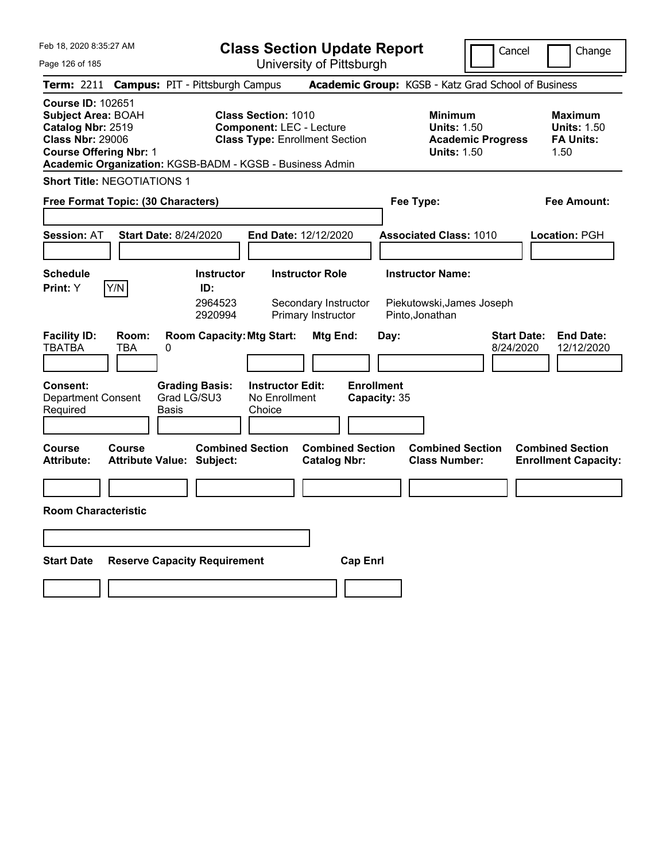|  | Feb 18, 2020 8:35:27 AM |  |
|--|-------------------------|--|
|  |                         |  |

Page 126 of 185

**Class Section Update Report**

University of Pittsburgh

Cancel **Change** 

|                                                                                                                                                                                                    |                                     |                                                |                                                               | UNIVERSITY ULT ITTSDUIYN                                             |                                   |      |                                                                                        |                                 |                                                                  |
|----------------------------------------------------------------------------------------------------------------------------------------------------------------------------------------------------|-------------------------------------|------------------------------------------------|---------------------------------------------------------------|----------------------------------------------------------------------|-----------------------------------|------|----------------------------------------------------------------------------------------|---------------------------------|------------------------------------------------------------------|
| Term: 2211 Campus: PIT - Pittsburgh Campus                                                                                                                                                         |                                     |                                                |                                                               |                                                                      |                                   |      | Academic Group: KGSB - Katz Grad School of Business                                    |                                 |                                                                  |
| <b>Course ID: 102651</b><br><b>Subject Area: BOAH</b><br>Catalog Nbr: 2519<br><b>Class Nbr: 29006</b><br><b>Course Offering Nbr: 1</b><br>Academic Organization: KGSB-BADM - KGSB - Business Admin |                                     |                                                | <b>Class Section: 1010</b><br><b>Component: LEC - Lecture</b> | <b>Class Type: Enrollment Section</b>                                |                                   |      | <b>Minimum</b><br><b>Units: 1.50</b><br><b>Academic Progress</b><br><b>Units: 1.50</b> |                                 | <b>Maximum</b><br><b>Units: 1.50</b><br><b>FA Units:</b><br>1.50 |
| <b>Short Title: NEGOTIATIONS 1</b>                                                                                                                                                                 |                                     |                                                |                                                               |                                                                      |                                   |      |                                                                                        |                                 |                                                                  |
| Free Format Topic: (30 Characters)                                                                                                                                                                 |                                     |                                                |                                                               |                                                                      |                                   |      | Fee Type:                                                                              |                                 | Fee Amount:                                                      |
| <b>Session: AT</b>                                                                                                                                                                                 | <b>Start Date: 8/24/2020</b>        |                                                |                                                               | End Date: 12/12/2020                                                 |                                   |      | <b>Associated Class: 1010</b>                                                          |                                 | Location: PGH                                                    |
| <b>Schedule</b><br>Y/N<br>Print: Y                                                                                                                                                                 |                                     | <b>Instructor</b><br>ID:<br>2964523<br>2920994 |                                                               | <b>Instructor Role</b><br>Secondary Instructor<br>Primary Instructor |                                   |      | <b>Instructor Name:</b><br>Piekutowski, James Joseph<br>Pinto, Jonathan                |                                 |                                                                  |
| <b>Facility ID:</b><br>TBATBA<br>TBA                                                                                                                                                               | Room:<br>0                          | <b>Room Capacity: Mtg Start:</b>               |                                                               | Mtg End:                                                             |                                   | Day: |                                                                                        | <b>Start Date:</b><br>8/24/2020 | <b>End Date:</b><br>12/12/2020                                   |
| <b>Consent:</b><br><b>Department Consent</b><br>Required                                                                                                                                           | Grad LG/SU3<br>Basis                | <b>Grading Basis:</b>                          | <b>Instructor Edit:</b><br>No Enrollment<br>Choice            |                                                                      | <b>Enrollment</b><br>Capacity: 35 |      |                                                                                        |                                 |                                                                  |
| Course<br>Course<br>Attribute:                                                                                                                                                                     | <b>Attribute Value: Subject:</b>    | <b>Combined Section</b>                        |                                                               | <b>Combined Section</b><br><b>Catalog Nbr:</b>                       |                                   |      | <b>Combined Section</b><br><b>Class Number:</b>                                        |                                 | <b>Combined Section</b><br><b>Enrollment Capacity:</b>           |
|                                                                                                                                                                                                    |                                     |                                                |                                                               |                                                                      |                                   |      |                                                                                        |                                 |                                                                  |
| <b>Room Characteristic</b>                                                                                                                                                                         |                                     |                                                |                                                               |                                                                      |                                   |      |                                                                                        |                                 |                                                                  |
|                                                                                                                                                                                                    |                                     |                                                |                                                               |                                                                      |                                   |      |                                                                                        |                                 |                                                                  |
| Start Date                                                                                                                                                                                         | <b>Reserve Capacity Requirement</b> |                                                |                                                               |                                                                      | <b>Cap Enrl</b>                   |      |                                                                                        |                                 |                                                                  |
|                                                                                                                                                                                                    |                                     |                                                |                                                               |                                                                      |                                   |      |                                                                                        |                                 |                                                                  |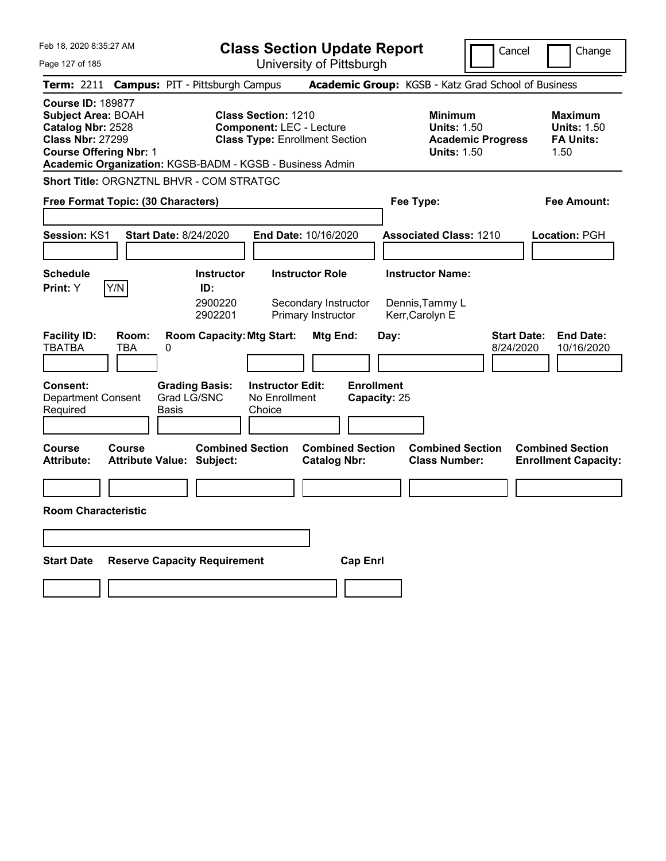| Feb 18, 2020 8:35:27 AM                                                                                                                                                                     |                                                                               | <b>Class Section Update Report</b>                                                                     |                                           |                                                               | Cancel                          | Change                                                           |
|---------------------------------------------------------------------------------------------------------------------------------------------------------------------------------------------|-------------------------------------------------------------------------------|--------------------------------------------------------------------------------------------------------|-------------------------------------------|---------------------------------------------------------------|---------------------------------|------------------------------------------------------------------|
| Page 127 of 185                                                                                                                                                                             |                                                                               | University of Pittsburgh                                                                               |                                           |                                                               |                                 |                                                                  |
| Term: 2211                                                                                                                                                                                  | <b>Campus: PIT - Pittsburgh Campus</b>                                        |                                                                                                        |                                           | Academic Group: KGSB - Katz Grad School of Business           |                                 |                                                                  |
| <b>Course ID: 189877</b><br>Subject Area: BOAH<br>Catalog Nbr: 2528<br><b>Class Nbr: 27299</b><br><b>Course Offering Nbr: 1</b><br>Academic Organization: KGSB-BADM - KGSB - Business Admin |                                                                               | <b>Class Section: 1210</b><br><b>Component: LEC - Lecture</b><br><b>Class Type: Enrollment Section</b> |                                           | <b>Minimum</b><br><b>Units: 1.50</b><br><b>Units: 1.50</b>    | <b>Academic Progress</b>        | <b>Maximum</b><br><b>Units: 1.50</b><br><b>FA Units:</b><br>1.50 |
| <b>Short Title: ORGNZTNL BHVR - COM STRATGC</b>                                                                                                                                             |                                                                               |                                                                                                        |                                           |                                                               |                                 |                                                                  |
| Free Format Topic: (30 Characters)                                                                                                                                                          |                                                                               | Fee Type:                                                                                              |                                           | Fee Amount:                                                   |                                 |                                                                  |
| <b>Session: KS1</b>                                                                                                                                                                         | <b>Start Date: 8/24/2020</b>                                                  | End Date: 10/16/2020                                                                                   |                                           | <b>Associated Class: 1210</b>                                 |                                 | <b>Location: PGH</b>                                             |
| <b>Schedule</b><br>Y/N<br><b>Print:</b> Y                                                                                                                                                   | <b>Instructor</b><br>ID:<br>2900220<br>2902201                                | <b>Instructor Role</b><br>Secondary Instructor<br>Primary Instructor                                   |                                           | <b>Instructor Name:</b><br>Dennis, Tammy L<br>Kerr, Carolyn E |                                 |                                                                  |
| <b>Facility ID:</b><br>Room:<br><b>TBATBA</b><br>TBA<br><b>Consent:</b><br><b>Department Consent</b>                                                                                        | <b>Room Capacity: Mtg Start:</b><br>0<br><b>Grading Basis:</b><br>Grad LG/SNC | Mtg End:<br><b>Instructor Edit:</b><br>No Enrollment                                                   | Day:<br><b>Enrollment</b><br>Capacity: 25 |                                                               | <b>Start Date:</b><br>8/24/2020 | <b>End Date:</b><br>10/16/2020                                   |
| Required                                                                                                                                                                                    | Basis                                                                         | Choice                                                                                                 |                                           |                                                               |                                 |                                                                  |
| Course<br><b>Course</b><br><b>Attribute:</b><br><b>Room Characteristic</b>                                                                                                                  | <b>Combined Section</b><br><b>Attribute Value: Subject:</b>                   | <b>Catalog Nbr:</b>                                                                                    | <b>Combined Section</b>                   | <b>Combined Section</b><br><b>Class Number:</b>               |                                 | <b>Combined Section</b><br><b>Enrollment Capacity:</b>           |
|                                                                                                                                                                                             |                                                                               |                                                                                                        |                                           |                                                               |                                 |                                                                  |
| <b>Start Date</b>                                                                                                                                                                           | <b>Reserve Capacity Requirement</b>                                           |                                                                                                        | <b>Cap Enrl</b>                           |                                                               |                                 |                                                                  |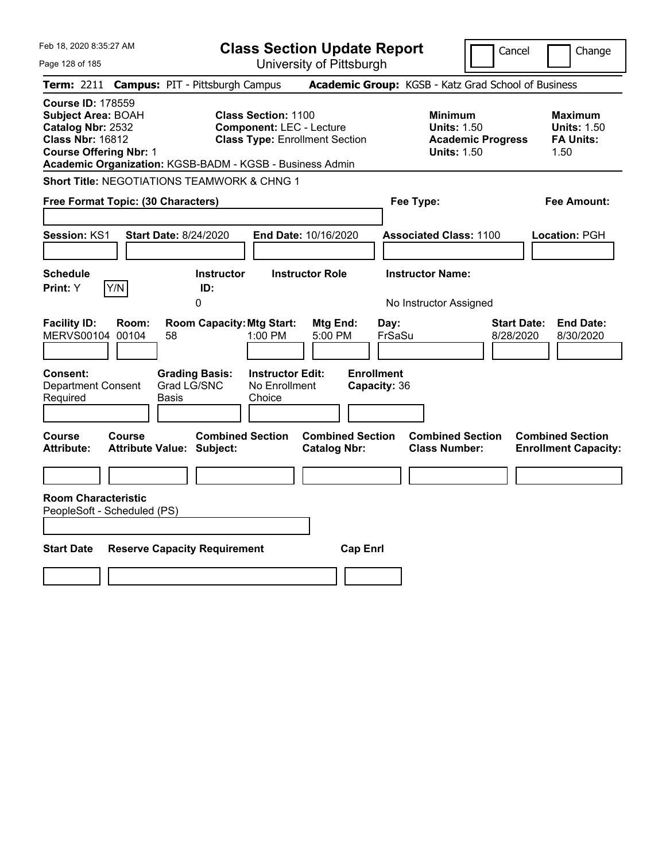| Feb 18, 2020 8:35:27 AM                                                                                                                |                                                                                         | <b>Class Section Update Report</b>                                                                     |                                                                            |                                                                                        | Cancel<br>Change                                                 |
|----------------------------------------------------------------------------------------------------------------------------------------|-----------------------------------------------------------------------------------------|--------------------------------------------------------------------------------------------------------|----------------------------------------------------------------------------|----------------------------------------------------------------------------------------|------------------------------------------------------------------|
| Page 128 of 185                                                                                                                        |                                                                                         | University of Pittsburgh                                                                               |                                                                            |                                                                                        |                                                                  |
| <b>Term:</b> 2211                                                                                                                      | <b>Campus: PIT - Pittsburgh Campus</b>                                                  |                                                                                                        |                                                                            | Academic Group: KGSB - Katz Grad School of Business                                    |                                                                  |
| <b>Course ID: 178559</b><br><b>Subject Area: BOAH</b><br>Catalog Nbr: 2532<br><b>Class Nbr: 16812</b><br><b>Course Offering Nbr: 1</b> | Academic Organization: KGSB-BADM - KGSB - Business Admin                                | <b>Class Section: 1100</b><br><b>Component: LEC - Lecture</b><br><b>Class Type: Enrollment Section</b> |                                                                            | <b>Minimum</b><br><b>Units: 1.50</b><br><b>Academic Progress</b><br><b>Units: 1.50</b> | <b>Maximum</b><br><b>Units: 1.50</b><br><b>FA Units:</b><br>1.50 |
|                                                                                                                                        | <b>Short Title: NEGOTIATIONS TEAMWORK &amp; CHNG 1</b>                                  |                                                                                                        |                                                                            |                                                                                        |                                                                  |
| Free Format Topic: (30 Characters)                                                                                                     |                                                                                         |                                                                                                        |                                                                            | Fee Type:                                                                              | Fee Amount:                                                      |
| <b>Session: KS1</b>                                                                                                                    | <b>Start Date: 8/24/2020</b>                                                            | End Date: 10/16/2020                                                                                   |                                                                            | <b>Associated Class: 1100</b>                                                          | Location: PGH                                                    |
| <b>Schedule</b>                                                                                                                        | <b>Instructor</b>                                                                       | <b>Instructor Role</b>                                                                                 |                                                                            | <b>Instructor Name:</b>                                                                |                                                                  |
| Y/N<br>Print: Y                                                                                                                        | ID:<br>0                                                                                |                                                                                                        |                                                                            | No Instructor Assigned                                                                 |                                                                  |
| <b>Facility ID:</b><br>Room:<br>MERVS00104 00104<br>Consent:<br><b>Department Consent</b><br>Required                                  | <b>Room Capacity: Mtg Start:</b><br>58<br><b>Grading Basis:</b><br>Grad LG/SNC<br>Basis | 1:00 PM<br><b>Instructor Edit:</b><br>No Enrollment<br>Choice                                          | Mtg End:<br>Day:<br>5:00 PM<br>FrSaSu<br><b>Enrollment</b><br>Capacity: 36 |                                                                                        | <b>Start Date:</b><br><b>End Date:</b><br>8/28/2020<br>8/30/2020 |
| Course<br><b>Course</b><br><b>Attribute:</b>                                                                                           | <b>Combined Section</b><br><b>Attribute Value: Subject:</b>                             |                                                                                                        | <b>Combined Section</b><br><b>Catalog Nbr:</b>                             | <b>Combined Section</b><br><b>Class Number:</b>                                        | <b>Combined Section</b><br><b>Enrollment Capacity:</b>           |
| <b>Room Characteristic</b>                                                                                                             |                                                                                         |                                                                                                        |                                                                            |                                                                                        |                                                                  |
| PeopleSoft - Scheduled (PS)                                                                                                            |                                                                                         |                                                                                                        |                                                                            |                                                                                        |                                                                  |
|                                                                                                                                        |                                                                                         |                                                                                                        |                                                                            |                                                                                        |                                                                  |
| <b>Start Date</b>                                                                                                                      | <b>Reserve Capacity Requirement</b>                                                     |                                                                                                        | <b>Cap Enrl</b>                                                            |                                                                                        |                                                                  |
|                                                                                                                                        |                                                                                         |                                                                                                        |                                                                            |                                                                                        |                                                                  |
|                                                                                                                                        |                                                                                         |                                                                                                        |                                                                            |                                                                                        |                                                                  |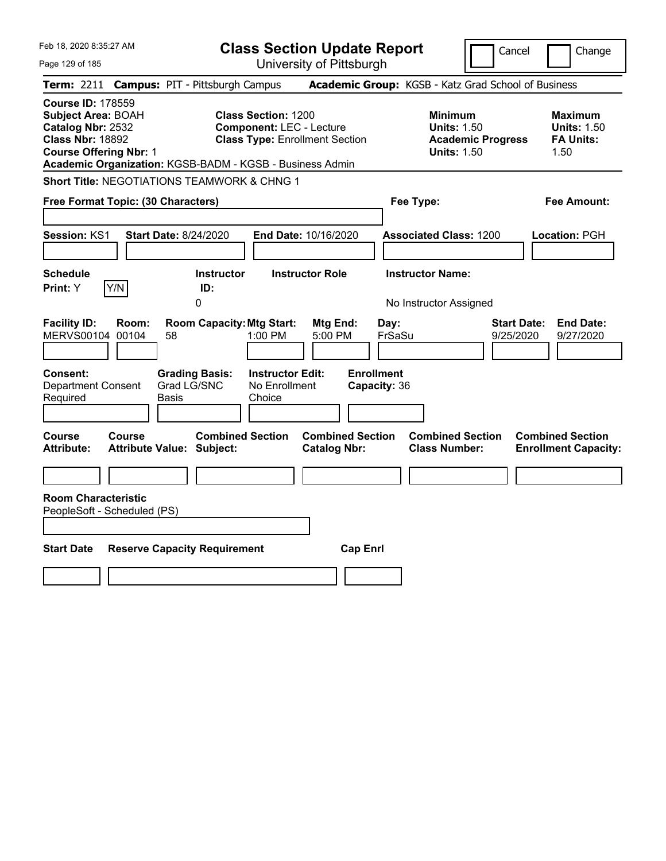| Feb 18, 2020 8:35:27 AM                                                                                                                                                                            |                                                   |                                                                          |                                                               | <b>Class Section Update Report</b>             |                                   |                                                            | Cancel                          | Change                                                           |
|----------------------------------------------------------------------------------------------------------------------------------------------------------------------------------------------------|---------------------------------------------------|--------------------------------------------------------------------------|---------------------------------------------------------------|------------------------------------------------|-----------------------------------|------------------------------------------------------------|---------------------------------|------------------------------------------------------------------|
| Page 129 of 185                                                                                                                                                                                    |                                                   |                                                                          |                                                               | University of Pittsburgh                       |                                   |                                                            |                                 |                                                                  |
| <b>Term:</b> 2211                                                                                                                                                                                  | <b>Campus: PIT - Pittsburgh Campus</b>            |                                                                          |                                                               |                                                |                                   | Academic Group: KGSB - Katz Grad School of Business        |                                 |                                                                  |
| <b>Course ID: 178559</b><br><b>Subject Area: BOAH</b><br>Catalog Nbr: 2532<br><b>Class Nbr: 18892</b><br><b>Course Offering Nbr: 1</b><br>Academic Organization: KGSB-BADM - KGSB - Business Admin |                                                   |                                                                          | <b>Class Section: 1200</b><br><b>Component: LEC - Lecture</b> | <b>Class Type: Enrollment Section</b>          |                                   | <b>Minimum</b><br><b>Units: 1.50</b><br><b>Units: 1.50</b> | <b>Academic Progress</b>        | <b>Maximum</b><br><b>Units: 1.50</b><br><b>FA Units:</b><br>1.50 |
| <b>Short Title: NEGOTIATIONS TEAMWORK &amp; CHNG 1</b>                                                                                                                                             |                                                   |                                                                          |                                                               |                                                |                                   |                                                            |                                 |                                                                  |
| Free Format Topic: (30 Characters)                                                                                                                                                                 |                                                   |                                                                          |                                                               |                                                |                                   | Fee Type:                                                  |                                 | Fee Amount:                                                      |
| <b>Session: KS1</b>                                                                                                                                                                                | <b>Start Date: 8/24/2020</b>                      |                                                                          |                                                               | End Date: 10/16/2020                           |                                   | <b>Associated Class: 1200</b>                              |                                 | Location: PGH                                                    |
| <b>Schedule</b>                                                                                                                                                                                    |                                                   | <b>Instructor</b>                                                        |                                                               | <b>Instructor Role</b>                         |                                   | <b>Instructor Name:</b>                                    |                                 |                                                                  |
| Y/N<br>Print: Y                                                                                                                                                                                    |                                                   | ID:<br>0                                                                 |                                                               |                                                |                                   | No Instructor Assigned                                     |                                 |                                                                  |
| <b>Facility ID:</b><br>MERVS00104 00104<br>Consent:<br><b>Department Consent</b><br>Required                                                                                                       | Room:<br>58<br>Basis                              | <b>Room Capacity: Mtg Start:</b><br><b>Grading Basis:</b><br>Grad LG/SNC | 1:00 PM<br><b>Instructor Edit:</b><br>No Enrollment<br>Choice | Mtg End:<br>5:00 PM                            | <b>Enrollment</b><br>Capacity: 36 | Day:<br>FrSaSu                                             | <b>Start Date:</b><br>9/25/2020 | <b>End Date:</b><br>9/27/2020                                    |
| Course<br><b>Attribute:</b>                                                                                                                                                                        | <b>Course</b><br><b>Attribute Value: Subject:</b> | <b>Combined Section</b>                                                  |                                                               | <b>Combined Section</b><br><b>Catalog Nbr:</b> |                                   | <b>Combined Section</b><br><b>Class Number:</b>            |                                 | <b>Combined Section</b><br><b>Enrollment Capacity:</b>           |
| <b>Room Characteristic</b>                                                                                                                                                                         |                                                   |                                                                          |                                                               |                                                |                                   |                                                            |                                 |                                                                  |
| PeopleSoft - Scheduled (PS)                                                                                                                                                                        |                                                   |                                                                          |                                                               |                                                |                                   |                                                            |                                 |                                                                  |
|                                                                                                                                                                                                    |                                                   |                                                                          |                                                               |                                                |                                   |                                                            |                                 |                                                                  |
| <b>Start Date</b>                                                                                                                                                                                  | <b>Reserve Capacity Requirement</b>               |                                                                          |                                                               |                                                | <b>Cap Enrl</b>                   |                                                            |                                 |                                                                  |
|                                                                                                                                                                                                    |                                                   |                                                                          |                                                               |                                                |                                   |                                                            |                                 |                                                                  |
|                                                                                                                                                                                                    |                                                   |                                                                          |                                                               |                                                |                                   |                                                            |                                 |                                                                  |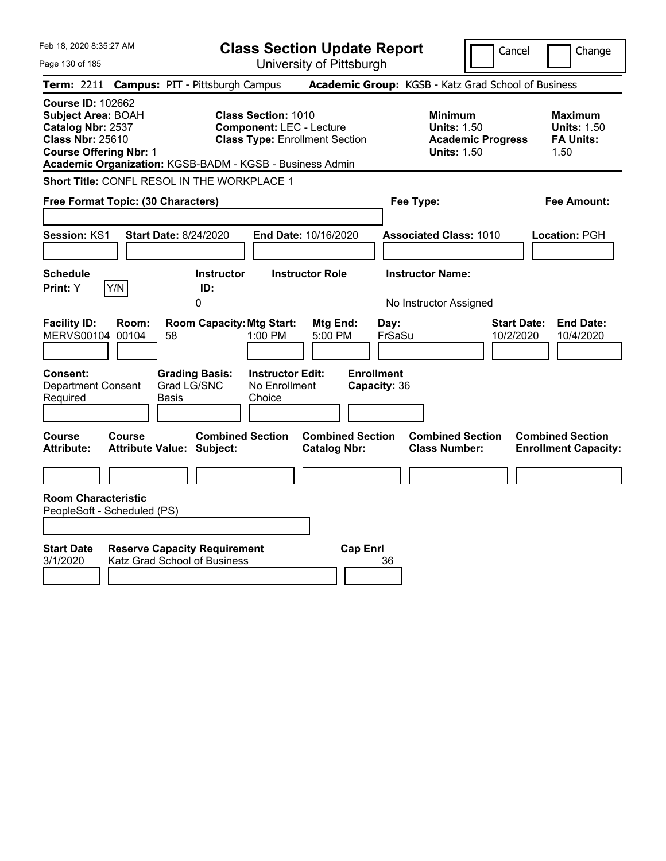| Feb 18, 2020 8:35:27 AM                                                                                                                                                                            | <b>Class Section Update Report</b>                                                                                                             |                                                                            | Cancel                                                                                 | Change                                                           |
|----------------------------------------------------------------------------------------------------------------------------------------------------------------------------------------------------|------------------------------------------------------------------------------------------------------------------------------------------------|----------------------------------------------------------------------------|----------------------------------------------------------------------------------------|------------------------------------------------------------------|
| Page 130 of 185                                                                                                                                                                                    | University of Pittsburgh                                                                                                                       |                                                                            |                                                                                        |                                                                  |
| <b>Term: 2211</b>                                                                                                                                                                                  | <b>Campus: PIT - Pittsburgh Campus</b>                                                                                                         | Academic Group: KGSB - Katz Grad School of Business                        |                                                                                        |                                                                  |
| <b>Course ID: 102662</b><br><b>Subject Area: BOAH</b><br>Catalog Nbr: 2537<br><b>Class Nbr: 25610</b><br><b>Course Offering Nbr: 1</b><br>Academic Organization: KGSB-BADM - KGSB - Business Admin | <b>Class Section: 1010</b><br><b>Component: LEC - Lecture</b><br><b>Class Type: Enrollment Section</b>                                         |                                                                            | <b>Minimum</b><br><b>Units: 1.50</b><br><b>Academic Progress</b><br><b>Units: 1.50</b> | <b>Maximum</b><br><b>Units: 1.50</b><br><b>FA Units:</b><br>1.50 |
| Short Title: CONFL RESOL IN THE WORKPLACE 1                                                                                                                                                        |                                                                                                                                                |                                                                            |                                                                                        |                                                                  |
| Free Format Topic: (30 Characters)                                                                                                                                                                 |                                                                                                                                                | Fee Type:                                                                  |                                                                                        | Fee Amount:                                                      |
| Session: KS1<br><b>Start Date: 8/24/2020</b><br><b>Schedule</b>                                                                                                                                    | End Date: 10/16/2020<br><b>Instructor Role</b><br><b>Instructor</b>                                                                            | <b>Instructor Name:</b>                                                    | <b>Associated Class: 1010</b>                                                          | Location: PGH                                                    |
| Y/N<br>Print: Y                                                                                                                                                                                    | ID:                                                                                                                                            |                                                                            |                                                                                        |                                                                  |
| <b>Facility ID:</b><br>Room:<br>MERVS00104 00104<br>58<br>Consent:<br><b>Department Consent</b><br>Required<br>Basis                                                                               | 0<br><b>Room Capacity: Mtg Start:</b><br>1:00 PM<br><b>Grading Basis:</b><br><b>Instructor Edit:</b><br>Grad LG/SNC<br>No Enrollment<br>Choice | Mtg End:<br>Day:<br>FrSaSu<br>5:00 PM<br><b>Enrollment</b><br>Capacity: 36 | No Instructor Assigned<br><b>Start Date:</b><br>10/2/2020                              | <b>End Date:</b><br>10/4/2020                                    |
| <b>Course</b><br><b>Course</b><br>Attribute Value: Subject:<br><b>Attribute:</b>                                                                                                                   | <b>Combined Section</b>                                                                                                                        | <b>Combined Section</b><br><b>Catalog Nbr:</b>                             | <b>Combined Section</b><br><b>Class Number:</b>                                        | <b>Combined Section</b><br><b>Enrollment Capacity:</b>           |
|                                                                                                                                                                                                    |                                                                                                                                                |                                                                            |                                                                                        |                                                                  |
| <b>Room Characteristic</b><br>PeopleSoft - Scheduled (PS)                                                                                                                                          |                                                                                                                                                |                                                                            |                                                                                        |                                                                  |
| <b>Start Date</b><br><b>Reserve Capacity Requirement</b><br>3/1/2020<br>Katz Grad School of Business                                                                                               |                                                                                                                                                | <b>Cap Enrl</b><br>36                                                      |                                                                                        |                                                                  |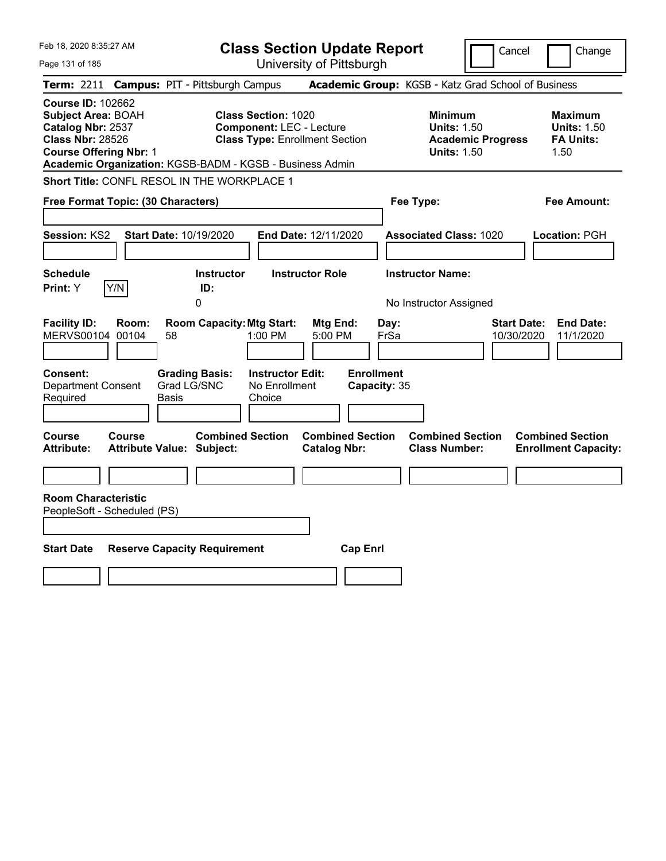| Feb 18, 2020 8:35:27 AM                                                                                                                                                                            |                                                                                                                                             | <b>Class Section Update Report</b>                                       |                                                                                        | Cancel<br>Change                                                  |
|----------------------------------------------------------------------------------------------------------------------------------------------------------------------------------------------------|---------------------------------------------------------------------------------------------------------------------------------------------|--------------------------------------------------------------------------|----------------------------------------------------------------------------------------|-------------------------------------------------------------------|
| Page 131 of 185                                                                                                                                                                                    |                                                                                                                                             | University of Pittsburgh                                                 |                                                                                        |                                                                   |
| <b>Term: 2211</b>                                                                                                                                                                                  | <b>Campus: PIT - Pittsburgh Campus</b>                                                                                                      |                                                                          | Academic Group: KGSB - Katz Grad School of Business                                    |                                                                   |
| <b>Course ID: 102662</b><br><b>Subject Area: BOAH</b><br>Catalog Nbr: 2537<br><b>Class Nbr: 28526</b><br><b>Course Offering Nbr: 1</b><br>Academic Organization: KGSB-BADM - KGSB - Business Admin | <b>Class Section: 1020</b><br><b>Component: LEC - Lecture</b><br><b>Class Type: Enrollment Section</b>                                      |                                                                          | <b>Minimum</b><br><b>Units: 1.50</b><br><b>Academic Progress</b><br><b>Units: 1.50</b> | <b>Maximum</b><br><b>Units: 1.50</b><br><b>FA Units:</b><br>1.50  |
| Short Title: CONFL RESOL IN THE WORKPLACE 1                                                                                                                                                        |                                                                                                                                             |                                                                          |                                                                                        |                                                                   |
| Free Format Topic: (30 Characters)                                                                                                                                                                 |                                                                                                                                             |                                                                          | Fee Type:                                                                              | Fee Amount:                                                       |
| <b>Session: KS2</b>                                                                                                                                                                                | <b>Start Date: 10/19/2020</b>                                                                                                               | End Date: 12/11/2020                                                     | <b>Associated Class: 1020</b>                                                          | Location: PGH                                                     |
| <b>Schedule</b>                                                                                                                                                                                    | <b>Instructor</b>                                                                                                                           | <b>Instructor Role</b>                                                   | <b>Instructor Name:</b>                                                                |                                                                   |
| Y/N<br>Print: Y                                                                                                                                                                                    | ID:<br>0                                                                                                                                    |                                                                          | No Instructor Assigned                                                                 |                                                                   |
| <b>Facility ID:</b><br>Room:<br>MERVS00104 00104<br>58<br>Consent:<br><b>Department Consent</b><br>Required<br>Basis                                                                               | <b>Room Capacity: Mtg Start:</b><br>$1:00$ PM<br><b>Instructor Edit:</b><br><b>Grading Basis:</b><br>Grad LG/SNC<br>No Enrollment<br>Choice | Mtg End:<br>Day:<br>5:00 PM<br>FrSa<br><b>Enrollment</b><br>Capacity: 35 |                                                                                        | <b>End Date:</b><br><b>Start Date:</b><br>11/1/2020<br>10/30/2020 |
| Course<br>Course<br><b>Attribute:</b><br><b>Attribute Value: Subject:</b>                                                                                                                          | <b>Combined Section</b>                                                                                                                     | <b>Combined Section</b><br><b>Catalog Nbr:</b>                           | <b>Combined Section</b><br><b>Class Number:</b>                                        | <b>Combined Section</b><br><b>Enrollment Capacity:</b>            |
| <b>Room Characteristic</b>                                                                                                                                                                         |                                                                                                                                             |                                                                          |                                                                                        |                                                                   |
| PeopleSoft - Scheduled (PS)                                                                                                                                                                        |                                                                                                                                             |                                                                          |                                                                                        |                                                                   |
|                                                                                                                                                                                                    |                                                                                                                                             |                                                                          |                                                                                        |                                                                   |
| <b>Start Date</b>                                                                                                                                                                                  | <b>Reserve Capacity Requirement</b>                                                                                                         | <b>Cap Enrl</b>                                                          |                                                                                        |                                                                   |
|                                                                                                                                                                                                    |                                                                                                                                             |                                                                          |                                                                                        |                                                                   |
|                                                                                                                                                                                                    |                                                                                                                                             |                                                                          |                                                                                        |                                                                   |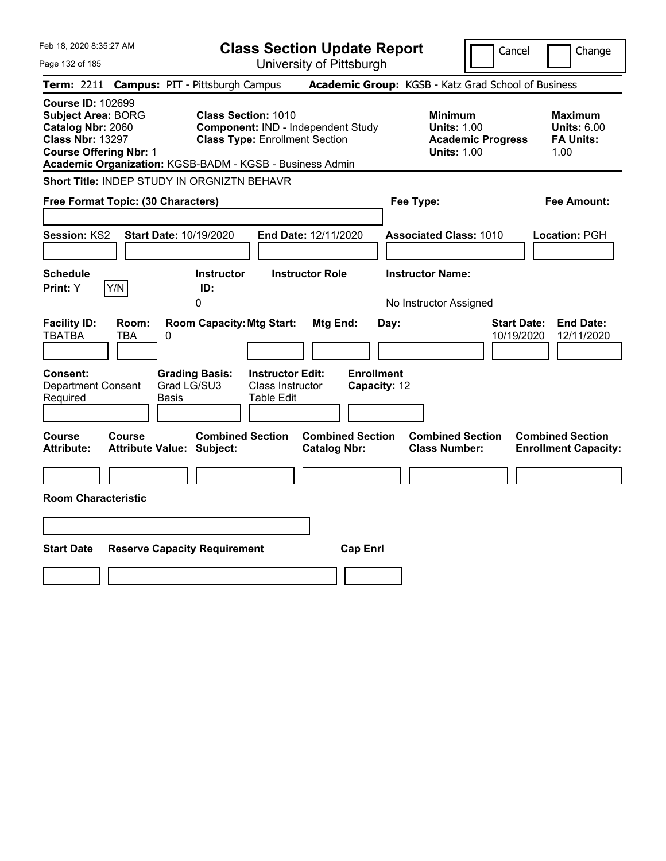| Feb 18, 2020 8:35:27 AM                                                                                                                | <b>Class Section Update Report</b>                                                                                                                                    | Cancel                                                                                 | Change                                                           |
|----------------------------------------------------------------------------------------------------------------------------------------|-----------------------------------------------------------------------------------------------------------------------------------------------------------------------|----------------------------------------------------------------------------------------|------------------------------------------------------------------|
| Page 132 of 185                                                                                                                        | University of Pittsburgh                                                                                                                                              |                                                                                        |                                                                  |
| <b>Term: 2211</b>                                                                                                                      | <b>Campus: PIT - Pittsburgh Campus</b>                                                                                                                                | Academic Group: KGSB - Katz Grad School of Business                                    |                                                                  |
| <b>Course ID: 102699</b><br><b>Subject Area: BORG</b><br>Catalog Nbr: 2060<br><b>Class Nbr: 13297</b><br><b>Course Offering Nbr: 1</b> | <b>Class Section: 1010</b><br>Component: IND - Independent Study<br><b>Class Type: Enrollment Section</b><br>Academic Organization: KGSB-BADM - KGSB - Business Admin | <b>Minimum</b><br><b>Units: 1.00</b><br><b>Academic Progress</b><br><b>Units: 1.00</b> | <b>Maximum</b><br><b>Units: 6.00</b><br><b>FA Units:</b><br>1.00 |
| Short Title: INDEP STUDY IN ORGNIZTN BEHAVR                                                                                            |                                                                                                                                                                       |                                                                                        |                                                                  |
| Free Format Topic: (30 Characters)                                                                                                     |                                                                                                                                                                       | Fee Type:                                                                              | Fee Amount:                                                      |
| Start Date: 10/19/2020<br><b>Session: KS2</b>                                                                                          | End Date: 12/11/2020                                                                                                                                                  | <b>Associated Class: 1010</b>                                                          | Location: PGH                                                    |
| <b>Schedule</b>                                                                                                                        | <b>Instructor</b><br><b>Instructor Role</b>                                                                                                                           | <b>Instructor Name:</b>                                                                |                                                                  |
| Y/N<br><b>Print:</b> Y                                                                                                                 | ID:<br>0                                                                                                                                                              | No Instructor Assigned                                                                 |                                                                  |
| <b>Facility ID:</b><br>Room:<br><b>TBATBA</b><br>TBA<br>0<br>Consent:<br>Department Consent<br>Required<br>Basis                       | <b>Room Capacity: Mtg Start:</b><br>Mtg End:<br><b>Grading Basis:</b><br><b>Instructor Edit:</b><br>Grad LG/SU3<br><b>Class Instructor</b><br>Table Edit              | <b>Start Date:</b><br>Day:<br>10/19/2020<br><b>Enrollment</b><br>Capacity: 12          | <b>End Date:</b><br>12/11/2020                                   |
| Course<br>Course<br><b>Attribute:</b><br><b>Attribute Value: Subject:</b>                                                              | <b>Combined Section</b><br><b>Combined Section</b><br><b>Catalog Nbr:</b>                                                                                             | <b>Combined Section</b><br><b>Class Number:</b>                                        | <b>Combined Section</b><br><b>Enrollment Capacity:</b>           |
|                                                                                                                                        |                                                                                                                                                                       |                                                                                        |                                                                  |
| <b>Room Characteristic</b>                                                                                                             |                                                                                                                                                                       |                                                                                        |                                                                  |
|                                                                                                                                        |                                                                                                                                                                       |                                                                                        |                                                                  |
| <b>Start Date</b>                                                                                                                      | <b>Reserve Capacity Requirement</b>                                                                                                                                   | <b>Cap Enrl</b>                                                                        |                                                                  |
|                                                                                                                                        |                                                                                                                                                                       |                                                                                        |                                                                  |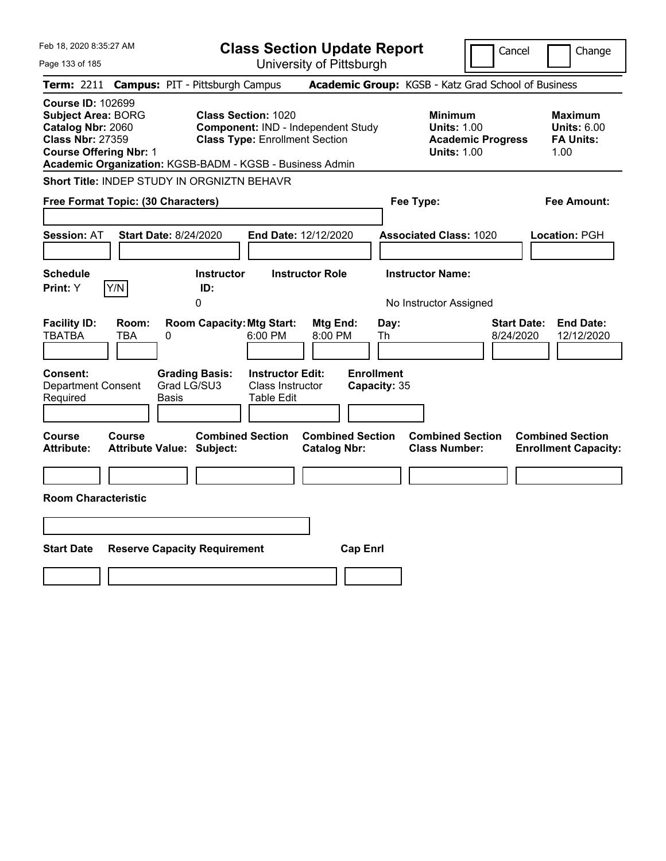| Feb 18, 2020 8:35:27 AM                                                                                                                                                                            |                                                                                                                                                         | <b>Class Section Update Report</b>                                     | Cancel                                                                                 | Change                                                           |
|----------------------------------------------------------------------------------------------------------------------------------------------------------------------------------------------------|---------------------------------------------------------------------------------------------------------------------------------------------------------|------------------------------------------------------------------------|----------------------------------------------------------------------------------------|------------------------------------------------------------------|
| Page 133 of 185                                                                                                                                                                                    |                                                                                                                                                         | University of Pittsburgh                                               |                                                                                        |                                                                  |
| Term: 2211                                                                                                                                                                                         | <b>Campus: PIT - Pittsburgh Campus</b>                                                                                                                  |                                                                        | Academic Group: KGSB - Katz Grad School of Business                                    |                                                                  |
| <b>Course ID: 102699</b><br><b>Subject Area: BORG</b><br>Catalog Nbr: 2060<br><b>Class Nbr: 27359</b><br><b>Course Offering Nbr: 1</b><br>Academic Organization: KGSB-BADM - KGSB - Business Admin | <b>Class Section: 1020</b><br>Component: IND - Independent Study<br><b>Class Type: Enrollment Section</b>                                               |                                                                        | <b>Minimum</b><br><b>Units: 1.00</b><br><b>Academic Progress</b><br><b>Units: 1.00</b> | <b>Maximum</b><br><b>Units: 6.00</b><br><b>FA Units:</b><br>1.00 |
| Short Title: INDEP STUDY IN ORGNIZTN BEHAVR                                                                                                                                                        |                                                                                                                                                         |                                                                        |                                                                                        |                                                                  |
| Free Format Topic: (30 Characters)                                                                                                                                                                 |                                                                                                                                                         |                                                                        | Fee Type:                                                                              | Fee Amount:                                                      |
| <b>Start Date: 8/24/2020</b><br><b>Session: AT</b>                                                                                                                                                 | End Date: 12/12/2020                                                                                                                                    |                                                                        | <b>Associated Class: 1020</b>                                                          | Location: PGH                                                    |
| <b>Schedule</b>                                                                                                                                                                                    | <b>Instructor Role</b><br><b>Instructor</b>                                                                                                             |                                                                        | <b>Instructor Name:</b>                                                                |                                                                  |
| Y/N<br>Print: Y                                                                                                                                                                                    | ID:<br>0                                                                                                                                                |                                                                        | No Instructor Assigned                                                                 |                                                                  |
| <b>Facility ID:</b><br>Room:<br><b>TBATBA</b><br>0<br>TBA<br>Consent:<br><b>Department Consent</b><br>Required<br>Basis                                                                            | <b>Room Capacity: Mtg Start:</b><br>6:00 PM<br><b>Grading Basis:</b><br><b>Instructor Edit:</b><br>Grad LG/SU3<br><b>Class Instructor</b><br>Table Edit | Mtg End:<br>Day:<br>8:00 PM<br>Th<br><b>Enrollment</b><br>Capacity: 35 | <b>Start Date:</b><br>8/24/2020                                                        | <b>End Date:</b><br>12/12/2020                                   |
| <b>Course</b><br>Course<br><b>Attribute:</b><br><b>Attribute Value: Subject:</b>                                                                                                                   | <b>Combined Section</b>                                                                                                                                 | <b>Combined Section</b><br><b>Catalog Nbr:</b>                         | <b>Combined Section</b><br><b>Class Number:</b>                                        | <b>Combined Section</b><br><b>Enrollment Capacity:</b>           |
|                                                                                                                                                                                                    |                                                                                                                                                         |                                                                        |                                                                                        |                                                                  |
| <b>Room Characteristic</b>                                                                                                                                                                         |                                                                                                                                                         |                                                                        |                                                                                        |                                                                  |
|                                                                                                                                                                                                    |                                                                                                                                                         |                                                                        |                                                                                        |                                                                  |
| <b>Start Date</b><br><b>Reserve Capacity Requirement</b>                                                                                                                                           |                                                                                                                                                         | <b>Cap Enrl</b>                                                        |                                                                                        |                                                                  |
|                                                                                                                                                                                                    |                                                                                                                                                         |                                                                        |                                                                                        |                                                                  |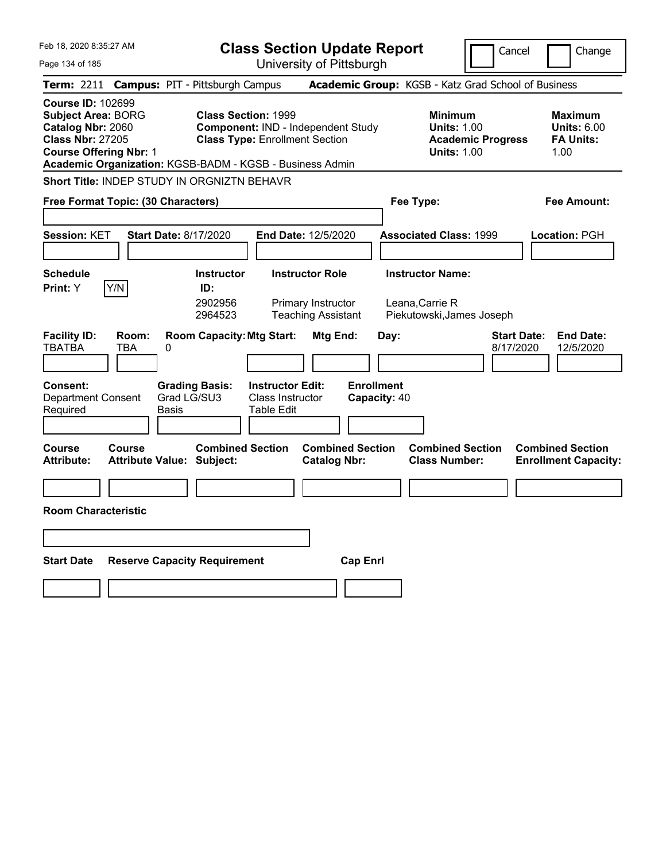| Feb 18, 2020 8:35:27 AM                                                                                                                                                                            |                                                                                                           | <b>Class Section Update Report</b>             | Cancel                                                                                 | Change                                                           |
|----------------------------------------------------------------------------------------------------------------------------------------------------------------------------------------------------|-----------------------------------------------------------------------------------------------------------|------------------------------------------------|----------------------------------------------------------------------------------------|------------------------------------------------------------------|
| Page 134 of 185                                                                                                                                                                                    |                                                                                                           | University of Pittsburgh                       |                                                                                        |                                                                  |
| Term: 2211                                                                                                                                                                                         | <b>Campus: PIT - Pittsburgh Campus</b>                                                                    |                                                | Academic Group: KGSB - Katz Grad School of Business                                    |                                                                  |
| <b>Course ID: 102699</b><br><b>Subject Area: BORG</b><br>Catalog Nbr: 2060<br><b>Class Nbr: 27205</b><br><b>Course Offering Nbr: 1</b><br>Academic Organization: KGSB-BADM - KGSB - Business Admin | <b>Class Section: 1999</b><br>Component: IND - Independent Study<br><b>Class Type: Enrollment Section</b> |                                                | <b>Minimum</b><br><b>Units: 1.00</b><br><b>Academic Progress</b><br><b>Units: 1.00</b> | <b>Maximum</b><br><b>Units: 6.00</b><br><b>FA Units:</b><br>1.00 |
| <b>Short Title: INDEP STUDY IN ORGNIZTN BEHAVR</b>                                                                                                                                                 |                                                                                                           |                                                |                                                                                        |                                                                  |
| Free Format Topic: (30 Characters)                                                                                                                                                                 |                                                                                                           |                                                | Fee Type:                                                                              | Fee Amount:                                                      |
| Session: KET<br><b>Start Date: 8/17/2020</b>                                                                                                                                                       | End Date: 12/5/2020                                                                                       |                                                | <b>Associated Class: 1999</b>                                                          | Location: PGH                                                    |
| <b>Schedule</b>                                                                                                                                                                                    | <b>Instructor Role</b><br><b>Instructor</b>                                                               |                                                | <b>Instructor Name:</b>                                                                |                                                                  |
| Y/N<br><b>Print:</b> Y                                                                                                                                                                             | ID:<br>2902956<br>Primary Instructor<br>2964523                                                           | <b>Teaching Assistant</b>                      | Leana, Carrie R<br>Piekutowski, James Joseph                                           |                                                                  |
| <b>Facility ID:</b><br>Room:<br><b>TBATBA</b><br>TBA<br>0                                                                                                                                          | <b>Room Capacity: Mtg Start:</b>                                                                          | Mtg End:<br>Day:                               | <b>Start Date:</b><br>8/17/2020                                                        | <b>End Date:</b><br>12/5/2020                                    |
| Consent:<br><b>Department Consent</b><br>Required<br>Basis                                                                                                                                         | <b>Grading Basis:</b><br><b>Instructor Edit:</b><br>Grad LG/SU3<br>Class Instructor<br><b>Table Edit</b>  | <b>Enrollment</b><br>Capacity: 40              |                                                                                        |                                                                  |
| Course<br>Course<br><b>Attribute:</b><br>Attribute Value: Subject:                                                                                                                                 | <b>Combined Section</b>                                                                                   | <b>Combined Section</b><br><b>Catalog Nbr:</b> | <b>Combined Section</b><br><b>Class Number:</b>                                        | <b>Combined Section</b><br><b>Enrollment Capacity:</b>           |
|                                                                                                                                                                                                    |                                                                                                           |                                                |                                                                                        |                                                                  |
| <b>Room Characteristic</b>                                                                                                                                                                         |                                                                                                           |                                                |                                                                                        |                                                                  |
|                                                                                                                                                                                                    |                                                                                                           |                                                |                                                                                        |                                                                  |
| <b>Start Date</b><br><b>Reserve Capacity Requirement</b>                                                                                                                                           |                                                                                                           | <b>Cap Enri</b>                                |                                                                                        |                                                                  |
|                                                                                                                                                                                                    |                                                                                                           |                                                |                                                                                        |                                                                  |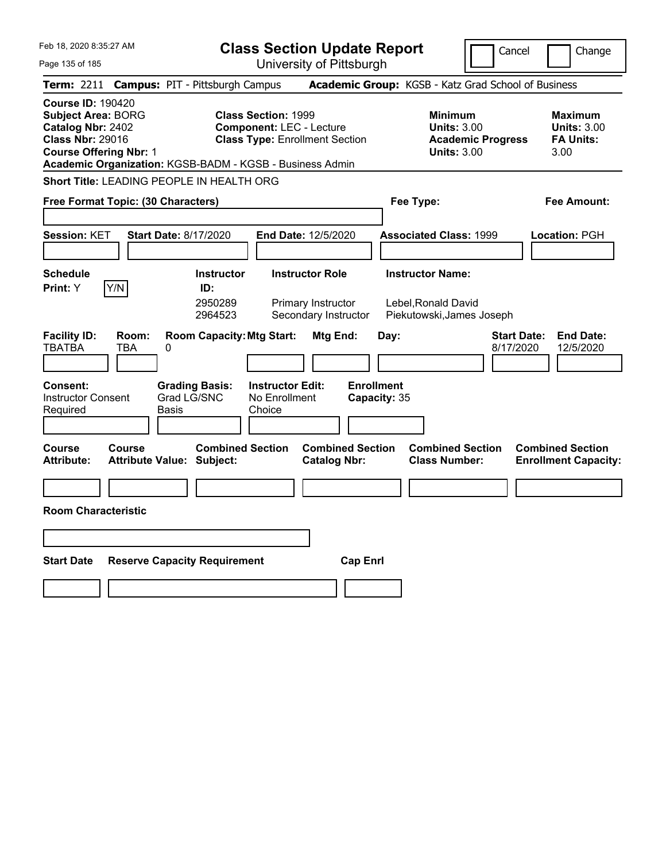| Feb 18, 2020 8:35:27 AM<br><b>Class Section Update Report</b>                                                                                                          |                                                                                                                                                                    |                                                                                        | Cancel<br>Change                                                 |
|------------------------------------------------------------------------------------------------------------------------------------------------------------------------|--------------------------------------------------------------------------------------------------------------------------------------------------------------------|----------------------------------------------------------------------------------------|------------------------------------------------------------------|
| Page 135 of 185                                                                                                                                                        | University of Pittsburgh                                                                                                                                           |                                                                                        |                                                                  |
| <b>Campus: PIT - Pittsburgh Campus</b><br>Term: 2211                                                                                                                   |                                                                                                                                                                    | Academic Group: KGSB - Katz Grad School of Business                                    |                                                                  |
| <b>Course ID: 190420</b><br><b>Subject Area: BORG</b><br>Catalog Nbr: 2402<br><b>Class Nbr: 29016</b><br><b>Course Offering Nbr: 1</b>                                 | <b>Class Section: 1999</b><br><b>Component: LEC - Lecture</b><br><b>Class Type: Enrollment Section</b><br>Academic Organization: KGSB-BADM - KGSB - Business Admin | <b>Minimum</b><br><b>Units: 3.00</b><br><b>Academic Progress</b><br><b>Units: 3.00</b> | <b>Maximum</b><br><b>Units: 3.00</b><br><b>FA Units:</b><br>3.00 |
| <b>Short Title: LEADING PEOPLE IN HEALTH ORG</b>                                                                                                                       |                                                                                                                                                                    |                                                                                        |                                                                  |
| Free Format Topic: (30 Characters)                                                                                                                                     |                                                                                                                                                                    | Fee Type:                                                                              | Fee Amount:                                                      |
| <b>Session: KET</b><br><b>Start Date: 8/17/2020</b>                                                                                                                    | End Date: 12/5/2020                                                                                                                                                | <b>Associated Class: 1999</b>                                                          | Location: PGH                                                    |
| <b>Schedule</b><br>Y/N<br><b>Print:</b> Y                                                                                                                              | <b>Instructor Role</b><br><b>Instructor</b><br>ID:<br>2950289<br>Primary Instructor<br>2964523<br>Secondary Instructor                                             | <b>Instructor Name:</b><br>Lebel, Ronald David<br>Piekutowski, James Joseph            |                                                                  |
| <b>Facility ID:</b><br>Room:<br><b>TBATBA</b><br>TBA<br>0<br><b>Consent:</b><br><b>Grading Basis:</b><br>Grad LG/SNC<br><b>Instructor Consent</b><br>Required<br>Basis | <b>Room Capacity: Mtg Start:</b><br>Mtg End:<br><b>Instructor Edit:</b><br>No Enrollment<br>Choice                                                                 | Day:<br><b>Enrollment</b><br>Capacity: 35                                              | <b>End Date:</b><br><b>Start Date:</b><br>8/17/2020<br>12/5/2020 |
| Course<br>Course<br><b>Attribute Value: Subject:</b><br>Attribute:                                                                                                     | <b>Combined Section</b><br><b>Combined Section</b><br><b>Catalog Nbr:</b>                                                                                          | <b>Combined Section</b><br><b>Class Number:</b>                                        | <b>Combined Section</b><br><b>Enrollment Capacity:</b>           |
|                                                                                                                                                                        |                                                                                                                                                                    |                                                                                        |                                                                  |
| <b>Room Characteristic</b>                                                                                                                                             |                                                                                                                                                                    |                                                                                        |                                                                  |
|                                                                                                                                                                        |                                                                                                                                                                    |                                                                                        |                                                                  |
| <b>Start Date</b><br><b>Reserve Capacity Requirement</b>                                                                                                               |                                                                                                                                                                    | <b>Cap Enri</b>                                                                        |                                                                  |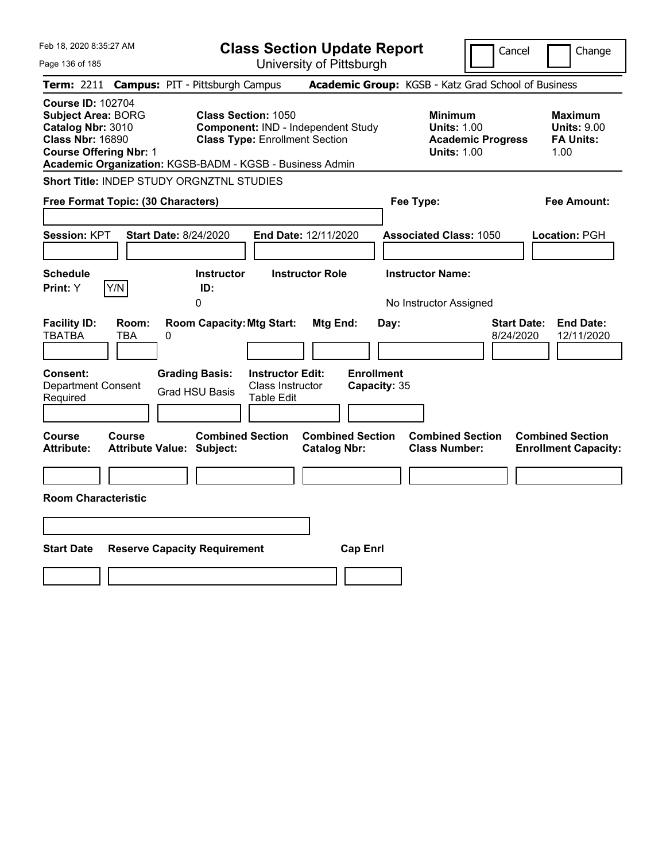| Feb 18, 2020 8:35:27 AM                                                                                                                | <b>Class Section Update Report</b>                                                                                                                                    |                                                                                        | Cancel<br>Change                                                  |
|----------------------------------------------------------------------------------------------------------------------------------------|-----------------------------------------------------------------------------------------------------------------------------------------------------------------------|----------------------------------------------------------------------------------------|-------------------------------------------------------------------|
| Page 136 of 185                                                                                                                        | University of Pittsburgh                                                                                                                                              |                                                                                        |                                                                   |
| Term: 2211                                                                                                                             | <b>Campus: PIT - Pittsburgh Campus</b>                                                                                                                                | Academic Group: KGSB - Katz Grad School of Business                                    |                                                                   |
| <b>Course ID: 102704</b><br><b>Subject Area: BORG</b><br>Catalog Nbr: 3010<br><b>Class Nbr: 16890</b><br><b>Course Offering Nbr: 1</b> | <b>Class Section: 1050</b><br>Component: IND - Independent Study<br><b>Class Type: Enrollment Section</b><br>Academic Organization: KGSB-BADM - KGSB - Business Admin | <b>Minimum</b><br><b>Units: 1.00</b><br><b>Academic Progress</b><br><b>Units: 1.00</b> | <b>Maximum</b><br><b>Units: 9.00</b><br><b>FA Units:</b><br>1.00  |
| <b>Short Title: INDEP STUDY ORGNZTNL STUDIES</b>                                                                                       |                                                                                                                                                                       |                                                                                        |                                                                   |
| Free Format Topic: (30 Characters)                                                                                                     |                                                                                                                                                                       | Fee Type:                                                                              | Fee Amount:                                                       |
| Session: KPT<br><b>Start Date: 8/24/2020</b><br><b>Schedule</b>                                                                        | End Date: 12/11/2020<br><b>Instructor Role</b><br><b>Instructor</b>                                                                                                   | <b>Associated Class: 1050</b><br><b>Instructor Name:</b>                               | Location: PGH                                                     |
| Y/N<br>Print: Y                                                                                                                        | ID:<br>0                                                                                                                                                              | No Instructor Assigned                                                                 |                                                                   |
| <b>Facility ID:</b><br>Room:<br><b>TBATBA</b><br>TBA<br>0<br><b>Consent:</b><br><b>Department Consent</b><br>Required                  | <b>Room Capacity: Mtg Start:</b><br>Mtg End:<br><b>Instructor Edit:</b><br><b>Grading Basis:</b><br>Class Instructor<br><b>Grad HSU Basis</b><br>Table Edit           | Day:<br><b>Enrollment</b><br>Capacity: 35                                              | <b>End Date:</b><br><b>Start Date:</b><br>8/24/2020<br>12/11/2020 |
| <b>Course</b><br><b>Course</b><br><b>Attribute:</b><br><b>Attribute Value: Subject:</b>                                                | <b>Combined Section</b><br><b>Combined Section</b><br><b>Catalog Nbr:</b>                                                                                             | <b>Combined Section</b><br><b>Class Number:</b>                                        | <b>Combined Section</b><br><b>Enrollment Capacity:</b>            |
|                                                                                                                                        |                                                                                                                                                                       |                                                                                        |                                                                   |
| <b>Room Characteristic</b>                                                                                                             |                                                                                                                                                                       |                                                                                        |                                                                   |
|                                                                                                                                        |                                                                                                                                                                       |                                                                                        |                                                                   |
| <b>Start Date</b><br><b>Reserve Capacity Requirement</b>                                                                               |                                                                                                                                                                       | <b>Cap Enrl</b>                                                                        |                                                                   |
|                                                                                                                                        |                                                                                                                                                                       |                                                                                        |                                                                   |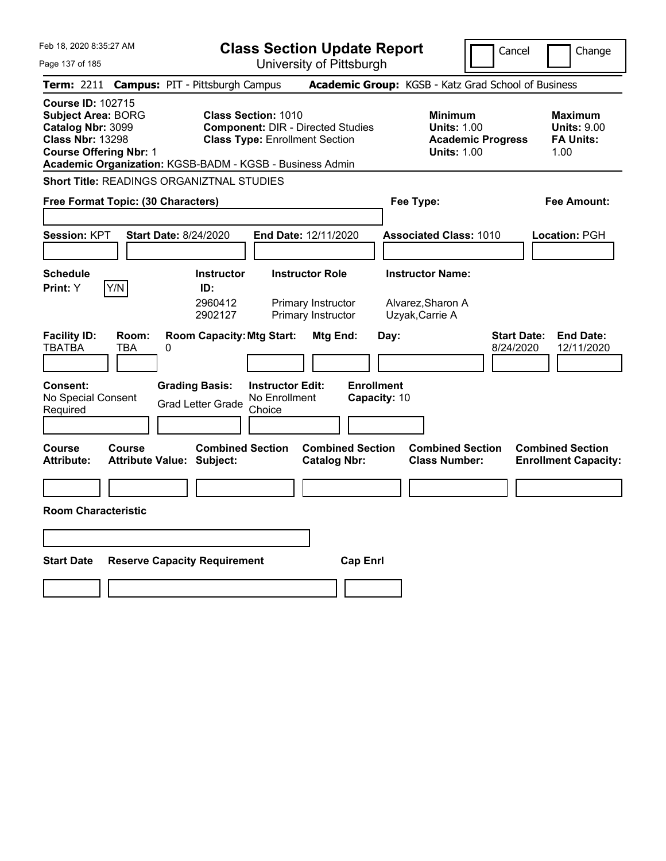| Feb 18, 2020 8:35:27 AM                                                                                                                | <b>Class Section Update Report</b>                                                                                                                                          |                                                                    |                                                                 | Cancel                          | Change                                                           |
|----------------------------------------------------------------------------------------------------------------------------------------|-----------------------------------------------------------------------------------------------------------------------------------------------------------------------------|--------------------------------------------------------------------|-----------------------------------------------------------------|---------------------------------|------------------------------------------------------------------|
| Page 137 of 185                                                                                                                        |                                                                                                                                                                             | University of Pittsburgh                                           |                                                                 |                                 |                                                                  |
| Term: 2211                                                                                                                             | <b>Campus: PIT - Pittsburgh Campus</b>                                                                                                                                      |                                                                    | Academic Group: KGSB - Katz Grad School of Business             |                                 |                                                                  |
| <b>Course ID: 102715</b><br><b>Subject Area: BORG</b><br>Catalog Nbr: 3099<br><b>Class Nbr: 13298</b><br><b>Course Offering Nbr: 1</b> | <b>Class Section: 1010</b><br><b>Component: DIR - Directed Studies</b><br><b>Class Type: Enrollment Section</b><br>Academic Organization: KGSB-BADM - KGSB - Business Admin |                                                                    | <b>Minimum</b><br><b>Units: 1.00</b><br><b>Units: 1.00</b>      | <b>Academic Progress</b>        | <b>Maximum</b><br><b>Units: 9.00</b><br><b>FA Units:</b><br>1.00 |
| <b>Short Title: READINGS ORGANIZTNAL STUDIES</b>                                                                                       |                                                                                                                                                                             |                                                                    |                                                                 |                                 |                                                                  |
| Free Format Topic: (30 Characters)                                                                                                     |                                                                                                                                                                             |                                                                    | Fee Type:                                                       |                                 | Fee Amount:                                                      |
| <b>Session: KPT</b>                                                                                                                    | <b>Start Date: 8/24/2020</b>                                                                                                                                                | <b>End Date: 12/11/2020</b>                                        | <b>Associated Class: 1010</b>                                   |                                 | Location: PGH                                                    |
| <b>Schedule</b><br>Y/N<br><b>Print: Y</b>                                                                                              | <b>Instructor</b><br>ID:<br>2960412<br>2902127                                                                                                                              | <b>Instructor Role</b><br>Primary Instructor<br>Primary Instructor | <b>Instructor Name:</b><br>Alvarez, Sharon A<br>Uzyak, Carrie A |                                 |                                                                  |
| <b>Facility ID:</b><br>Room:<br><b>TBATBA</b><br>TBA<br>0<br><b>Consent:</b><br>No Special Consent<br>Required                         | <b>Room Capacity: Mtg Start:</b><br><b>Grading Basis:</b><br><b>Instructor Edit:</b><br>No Enrollment<br><b>Grad Letter Grade</b><br>Choice                                 | Mtg End:<br><b>Enrollment</b><br>Capacity: 10                      | Day:                                                            | <b>Start Date:</b><br>8/24/2020 | <b>End Date:</b><br>12/11/2020                                   |
| Course<br><b>Course</b><br><b>Attribute:</b>                                                                                           | <b>Combined Section</b><br><b>Attribute Value: Subject:</b>                                                                                                                 | <b>Combined Section</b><br><b>Catalog Nbr:</b>                     | <b>Combined Section</b><br><b>Class Number:</b>                 |                                 | <b>Combined Section</b><br><b>Enrollment Capacity:</b>           |
|                                                                                                                                        |                                                                                                                                                                             |                                                                    |                                                                 |                                 |                                                                  |
| <b>Room Characteristic</b>                                                                                                             |                                                                                                                                                                             |                                                                    |                                                                 |                                 |                                                                  |
|                                                                                                                                        |                                                                                                                                                                             |                                                                    |                                                                 |                                 |                                                                  |
| <b>Start Date</b>                                                                                                                      | <b>Reserve Capacity Requirement</b>                                                                                                                                         | <b>Cap Enri</b>                                                    |                                                                 |                                 |                                                                  |
|                                                                                                                                        |                                                                                                                                                                             |                                                                    |                                                                 |                                 |                                                                  |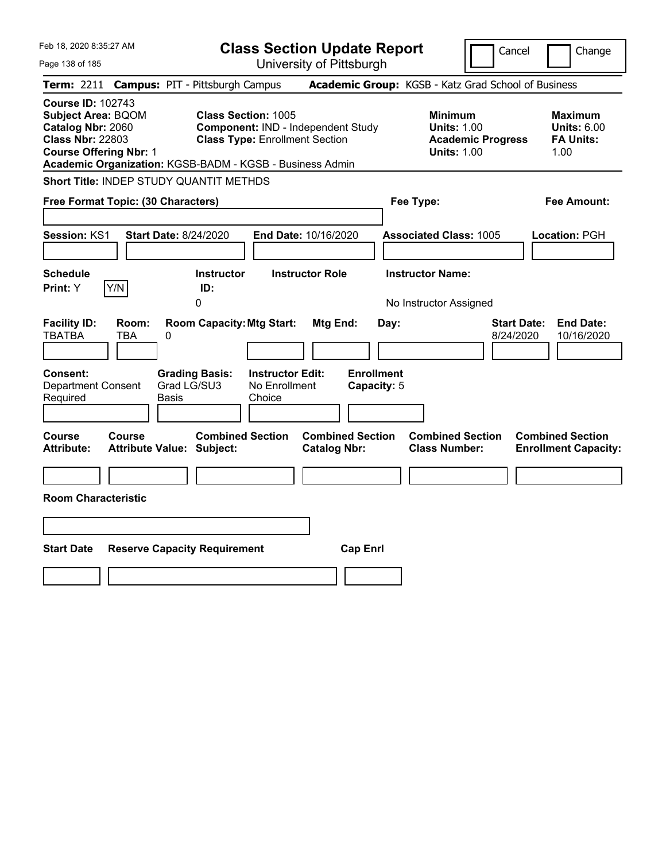| Feb 18, 2020 8:35:27 AM                                                                                                                |                                                                                                                                                                       | <b>Class Section Update Report</b>             |                                                                                        | Cancel<br>Change                                                  |
|----------------------------------------------------------------------------------------------------------------------------------------|-----------------------------------------------------------------------------------------------------------------------------------------------------------------------|------------------------------------------------|----------------------------------------------------------------------------------------|-------------------------------------------------------------------|
| Page 138 of 185                                                                                                                        |                                                                                                                                                                       | University of Pittsburgh                       |                                                                                        |                                                                   |
| Term: 2211                                                                                                                             | <b>Campus: PIT - Pittsburgh Campus</b>                                                                                                                                |                                                | Academic Group: KGSB - Katz Grad School of Business                                    |                                                                   |
| <b>Course ID: 102743</b><br><b>Subject Area: BQOM</b><br>Catalog Nbr: 2060<br><b>Class Nbr: 22803</b><br><b>Course Offering Nbr: 1</b> | <b>Class Section: 1005</b><br>Component: IND - Independent Study<br><b>Class Type: Enrollment Section</b><br>Academic Organization: KGSB-BADM - KGSB - Business Admin |                                                | <b>Minimum</b><br><b>Units: 1.00</b><br><b>Academic Progress</b><br><b>Units: 1.00</b> | <b>Maximum</b><br><b>Units: 6.00</b><br><b>FA Units:</b><br>1.00  |
| Short Title: INDEP STUDY QUANTIT METHDS                                                                                                |                                                                                                                                                                       |                                                |                                                                                        |                                                                   |
| Free Format Topic: (30 Characters)                                                                                                     |                                                                                                                                                                       |                                                | Fee Type:                                                                              | Fee Amount:                                                       |
| <b>Session: KS1</b>                                                                                                                    | <b>Start Date: 8/24/2020</b>                                                                                                                                          | <b>End Date: 10/16/2020</b>                    | <b>Associated Class: 1005</b>                                                          | Location: PGH                                                     |
| <b>Schedule</b><br>Y/N<br>Print: Y                                                                                                     | <b>Instructor</b><br>ID:                                                                                                                                              | <b>Instructor Role</b>                         | <b>Instructor Name:</b>                                                                |                                                                   |
|                                                                                                                                        | 0                                                                                                                                                                     |                                                | No Instructor Assigned                                                                 |                                                                   |
| <b>Facility ID:</b><br>Room:<br><b>TBATBA</b><br><b>TBA</b>                                                                            | <b>Room Capacity: Mtg Start:</b><br>0                                                                                                                                 | Mtg End:<br>Day:                               |                                                                                        | <b>Start Date:</b><br><b>End Date:</b><br>8/24/2020<br>10/16/2020 |
| Consent:<br><b>Department Consent</b><br>Required                                                                                      | <b>Grading Basis:</b><br><b>Instructor Edit:</b><br>Grad LG/SU3<br>No Enrollment<br>Basis<br>Choice                                                                   | <b>Enrollment</b><br>Capacity: 5               |                                                                                        |                                                                   |
| Course<br>Course<br><b>Attribute:</b>                                                                                                  | <b>Combined Section</b><br>Attribute Value: Subject:                                                                                                                  | <b>Combined Section</b><br><b>Catalog Nbr:</b> | <b>Combined Section</b><br><b>Class Number:</b>                                        | <b>Combined Section</b><br><b>Enrollment Capacity:</b>            |
|                                                                                                                                        |                                                                                                                                                                       |                                                |                                                                                        |                                                                   |
| <b>Room Characteristic</b>                                                                                                             |                                                                                                                                                                       |                                                |                                                                                        |                                                                   |
|                                                                                                                                        |                                                                                                                                                                       |                                                |                                                                                        |                                                                   |
| <b>Start Date</b>                                                                                                                      | <b>Reserve Capacity Requirement</b>                                                                                                                                   | <b>Cap Enrl</b>                                |                                                                                        |                                                                   |
|                                                                                                                                        |                                                                                                                                                                       |                                                |                                                                                        |                                                                   |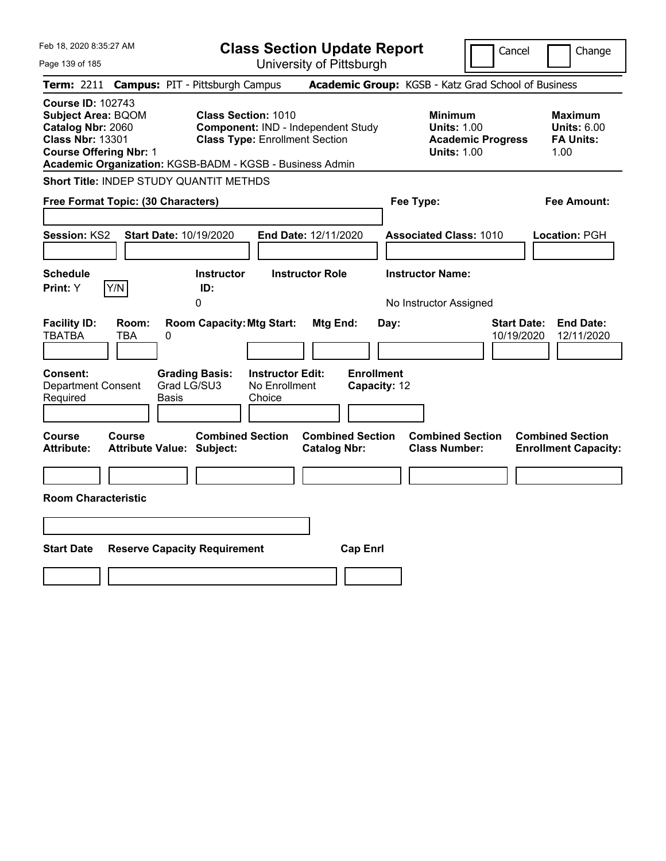| Feb 18, 2020 8:35:27 AM                                                                                                                |                                                          | <b>Class Section Update Report</b>                                                                        |                                   |                                                                                        | Cancel<br>Change                                                   |
|----------------------------------------------------------------------------------------------------------------------------------------|----------------------------------------------------------|-----------------------------------------------------------------------------------------------------------|-----------------------------------|----------------------------------------------------------------------------------------|--------------------------------------------------------------------|
| Page 139 of 185                                                                                                                        |                                                          | University of Pittsburgh                                                                                  |                                   |                                                                                        |                                                                    |
| Term: 2211                                                                                                                             | <b>Campus: PIT - Pittsburgh Campus</b>                   |                                                                                                           |                                   | Academic Group: KGSB - Katz Grad School of Business                                    |                                                                    |
| <b>Course ID: 102743</b><br><b>Subject Area: BQOM</b><br>Catalog Nbr: 2060<br><b>Class Nbr: 13301</b><br><b>Course Offering Nbr: 1</b> | Academic Organization: KGSB-BADM - KGSB - Business Admin | <b>Class Section: 1010</b><br>Component: IND - Independent Study<br><b>Class Type: Enrollment Section</b> |                                   | <b>Minimum</b><br><b>Units: 1.00</b><br><b>Academic Progress</b><br><b>Units: 1.00</b> | <b>Maximum</b><br><b>Units: 6.00</b><br><b>FA Units:</b><br>1.00   |
|                                                                                                                                        | Short Title: INDEP STUDY QUANTIT METHDS                  |                                                                                                           |                                   |                                                                                        |                                                                    |
| Free Format Topic: (30 Characters)                                                                                                     |                                                          |                                                                                                           |                                   | Fee Type:                                                                              | Fee Amount:                                                        |
| Session: KS2<br><b>Schedule</b>                                                                                                        | Start Date: 10/19/2020                                   | End Date: 12/11/2020<br><b>Instructor Role</b>                                                            |                                   | <b>Associated Class: 1010</b><br><b>Instructor Name:</b>                               | Location: PGH                                                      |
| Y/N<br>Print: Y                                                                                                                        | <b>Instructor</b><br>ID:                                 |                                                                                                           |                                   |                                                                                        |                                                                    |
|                                                                                                                                        | 0                                                        |                                                                                                           |                                   | No Instructor Assigned                                                                 |                                                                    |
| <b>Facility ID:</b><br>Room:<br><b>TBATBA</b><br>TBA                                                                                   | <b>Room Capacity: Mtg Start:</b><br>0                    | Mtg End:                                                                                                  | Day:                              |                                                                                        | <b>Start Date:</b><br><b>End Date:</b><br>10/19/2020<br>12/11/2020 |
| Consent:<br><b>Department Consent</b><br>Required                                                                                      | <b>Grading Basis:</b><br>Grad LG/SU3<br>Basis            | <b>Instructor Edit:</b><br>No Enrollment<br>Choice                                                        | <b>Enrollment</b><br>Capacity: 12 |                                                                                        |                                                                    |
| Course<br>Course<br><b>Attribute:</b>                                                                                                  | <b>Combined Section</b><br>Attribute Value: Subject:     | <b>Catalog Nbr:</b>                                                                                       | <b>Combined Section</b>           | <b>Combined Section</b><br><b>Class Number:</b>                                        | <b>Combined Section</b><br><b>Enrollment Capacity:</b>             |
|                                                                                                                                        |                                                          |                                                                                                           |                                   |                                                                                        |                                                                    |
| <b>Room Characteristic</b>                                                                                                             |                                                          |                                                                                                           |                                   |                                                                                        |                                                                    |
|                                                                                                                                        |                                                          |                                                                                                           |                                   |                                                                                        |                                                                    |
| <b>Start Date</b>                                                                                                                      | <b>Reserve Capacity Requirement</b>                      |                                                                                                           | <b>Cap Enrl</b>                   |                                                                                        |                                                                    |
|                                                                                                                                        |                                                          |                                                                                                           |                                   |                                                                                        |                                                                    |
|                                                                                                                                        |                                                          |                                                                                                           |                                   |                                                                                        |                                                                    |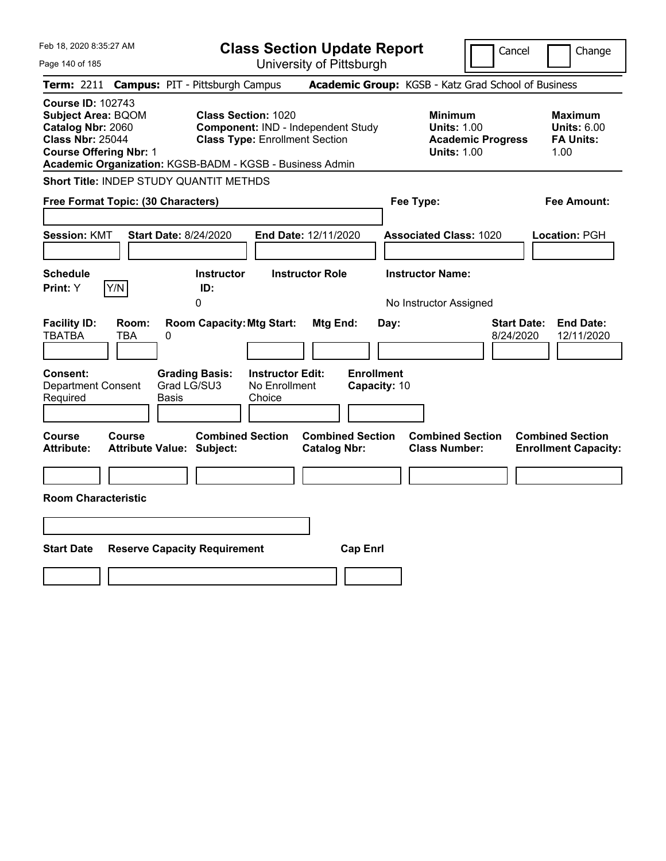| Feb 18, 2020 8:35:27 AM                                                                                                                |                                                          |                                                                     |                                                    | <b>Class Section Update Report</b>             |                                   |                                                            |                          | Cancel<br>Change                                                  |
|----------------------------------------------------------------------------------------------------------------------------------------|----------------------------------------------------------|---------------------------------------------------------------------|----------------------------------------------------|------------------------------------------------|-----------------------------------|------------------------------------------------------------|--------------------------|-------------------------------------------------------------------|
| Page 140 of 185                                                                                                                        |                                                          |                                                                     |                                                    | University of Pittsburgh                       |                                   |                                                            |                          |                                                                   |
| Term: 2211                                                                                                                             | <b>Campus: PIT - Pittsburgh Campus</b>                   |                                                                     |                                                    |                                                |                                   |                                                            |                          | Academic Group: KGSB - Katz Grad School of Business               |
| <b>Course ID: 102743</b><br><b>Subject Area: BQOM</b><br>Catalog Nbr: 2060<br><b>Class Nbr: 25044</b><br><b>Course Offering Nbr: 1</b> | Academic Organization: KGSB-BADM - KGSB - Business Admin | <b>Class Section: 1020</b><br><b>Class Type: Enrollment Section</b> |                                                    | Component: IND - Independent Study             |                                   | <b>Minimum</b><br><b>Units: 1.00</b><br><b>Units: 1.00</b> | <b>Academic Progress</b> | <b>Maximum</b><br><b>Units: 6.00</b><br><b>FA Units:</b><br>1.00  |
|                                                                                                                                        | Short Title: INDEP STUDY QUANTIT METHDS                  |                                                                     |                                                    |                                                |                                   |                                                            |                          |                                                                   |
|                                                                                                                                        | Free Format Topic: (30 Characters)                       |                                                                     |                                                    |                                                |                                   | Fee Type:                                                  |                          | Fee Amount:                                                       |
| <b>Session: KMT</b><br><b>Schedule</b><br>Print: Y                                                                                     | <b>Start Date: 8/24/2020</b><br>Y/N                      | <b>Instructor</b><br>ID:                                            |                                                    | End Date: 12/11/2020<br><b>Instructor Role</b> |                                   | <b>Associated Class: 1020</b><br><b>Instructor Name:</b>   |                          | Location: PGH                                                     |
|                                                                                                                                        |                                                          | 0                                                                   |                                                    |                                                |                                   | No Instructor Assigned                                     |                          |                                                                   |
| <b>Facility ID:</b><br><b>TBATBA</b>                                                                                                   | Room:<br>TBA<br>0                                        | <b>Room Capacity: Mtg Start:</b>                                    |                                                    | Mtg End:                                       | Day:                              |                                                            |                          | <b>Start Date:</b><br><b>End Date:</b><br>8/24/2020<br>12/11/2020 |
| Consent:<br><b>Department Consent</b><br>Required                                                                                      | Basis                                                    | <b>Grading Basis:</b><br>Grad LG/SU3                                | <b>Instructor Edit:</b><br>No Enrollment<br>Choice |                                                | <b>Enrollment</b><br>Capacity: 10 |                                                            |                          |                                                                   |
| Course<br><b>Attribute:</b>                                                                                                            | Course<br>Attribute Value: Subject:                      | <b>Combined Section</b>                                             |                                                    | <b>Combined Section</b><br><b>Catalog Nbr:</b> |                                   | <b>Combined Section</b><br><b>Class Number:</b>            |                          | <b>Combined Section</b><br><b>Enrollment Capacity:</b>            |
|                                                                                                                                        |                                                          |                                                                     |                                                    |                                                |                                   |                                                            |                          |                                                                   |
| <b>Room Characteristic</b>                                                                                                             |                                                          |                                                                     |                                                    |                                                |                                   |                                                            |                          |                                                                   |
|                                                                                                                                        |                                                          |                                                                     |                                                    |                                                |                                   |                                                            |                          |                                                                   |
|                                                                                                                                        |                                                          |                                                                     |                                                    |                                                |                                   |                                                            |                          |                                                                   |
| <b>Start Date</b>                                                                                                                      | <b>Reserve Capacity Requirement</b>                      |                                                                     |                                                    | <b>Cap Enrl</b>                                |                                   |                                                            |                          |                                                                   |
|                                                                                                                                        |                                                          |                                                                     |                                                    |                                                |                                   |                                                            |                          |                                                                   |
|                                                                                                                                        |                                                          |                                                                     |                                                    |                                                |                                   |                                                            |                          |                                                                   |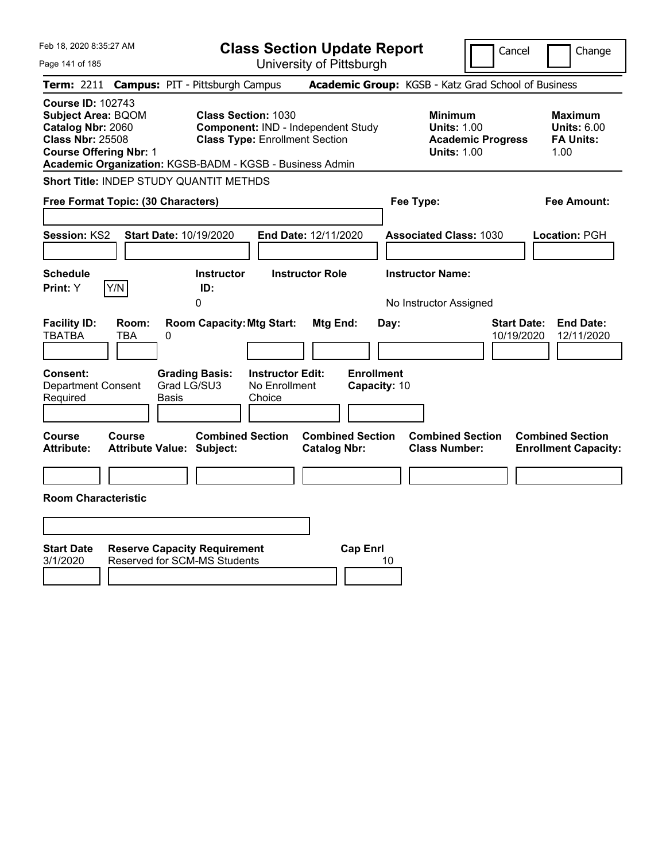| Feb 18, 2020 8:35:27 AM<br>Page 141 of 185                                                                                                                                                         | <b>Class Section Update Report</b><br>University of Pittsburgh                                            | Cancel                                                                                 | Change                                                           |
|----------------------------------------------------------------------------------------------------------------------------------------------------------------------------------------------------|-----------------------------------------------------------------------------------------------------------|----------------------------------------------------------------------------------------|------------------------------------------------------------------|
| <b>Campus: PIT - Pittsburgh Campus</b><br>Term: 2211                                                                                                                                               |                                                                                                           | Academic Group: KGSB - Katz Grad School of Business                                    |                                                                  |
| <b>Course ID: 102743</b><br><b>Subject Area: BQOM</b><br>Catalog Nbr: 2060<br><b>Class Nbr: 25508</b><br><b>Course Offering Nbr: 1</b><br>Academic Organization: KGSB-BADM - KGSB - Business Admin | <b>Class Section: 1030</b><br>Component: IND - Independent Study<br><b>Class Type: Enrollment Section</b> | <b>Minimum</b><br><b>Units: 1.00</b><br><b>Academic Progress</b><br><b>Units: 1.00</b> | <b>Maximum</b><br><b>Units: 6.00</b><br><b>FA Units:</b><br>1.00 |
| Short Title: INDEP STUDY QUANTIT METHDS                                                                                                                                                            |                                                                                                           |                                                                                        |                                                                  |
| Free Format Topic: (30 Characters)                                                                                                                                                                 |                                                                                                           | Fee Type:                                                                              | <b>Fee Amount:</b>                                               |
| Session: KS2<br>Start Date: 10/19/2020                                                                                                                                                             | End Date: 12/11/2020                                                                                      | <b>Associated Class: 1030</b>                                                          | Location: PGH                                                    |
| <b>Schedule</b>                                                                                                                                                                                    | <b>Instructor Role</b><br><b>Instructor</b>                                                               | <b>Instructor Name:</b>                                                                |                                                                  |
| Y/N<br>Print: Y<br>0                                                                                                                                                                               | ID:                                                                                                       | No Instructor Assigned                                                                 |                                                                  |
| <b>Facility ID:</b><br>Room:<br><b>TBATBA</b><br><b>TBA</b><br>0<br><b>Consent:</b><br><b>Grading Basis:</b>                                                                                       | <b>Room Capacity: Mtg Start:</b><br>Mtg End:<br><b>Instructor Edit:</b>                                   | <b>Start Date:</b><br>Day:<br>10/19/2020<br><b>Enrollment</b>                          | <b>End Date:</b><br>12/11/2020                                   |
| Grad LG/SU3<br><b>Department Consent</b><br>Required<br>Basis                                                                                                                                      | No Enrollment<br>Choice                                                                                   | Capacity: 10                                                                           |                                                                  |
|                                                                                                                                                                                                    |                                                                                                           |                                                                                        |                                                                  |
| Course<br>Course<br><b>Attribute:</b><br><b>Attribute Value: Subject:</b>                                                                                                                          | <b>Combined Section</b><br><b>Combined Section</b><br><b>Catalog Nbr:</b>                                 | <b>Combined Section</b><br><b>Class Number:</b>                                        | <b>Combined Section</b><br><b>Enrollment Capacity:</b>           |
|                                                                                                                                                                                                    |                                                                                                           |                                                                                        |                                                                  |
| <b>Room Characteristic</b>                                                                                                                                                                         |                                                                                                           |                                                                                        |                                                                  |
|                                                                                                                                                                                                    |                                                                                                           |                                                                                        |                                                                  |
| <b>Start Date</b><br><b>Reserve Capacity Requirement</b><br><b>Reserved for SCM-MS Students</b><br>3/1/2020                                                                                        | <b>Cap Enrl</b>                                                                                           | 10                                                                                     |                                                                  |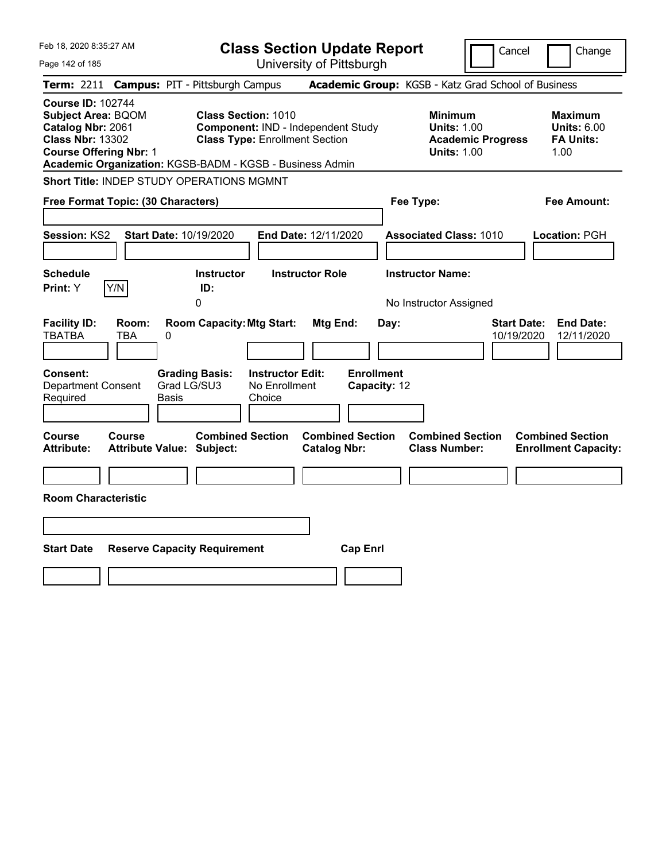| Feb 18, 2020 8:35:27 AM                                                                                                                | <b>Class Section Update Report</b>                                                                                                                                    |                                                                            | Cancel<br>Change                                                                             |
|----------------------------------------------------------------------------------------------------------------------------------------|-----------------------------------------------------------------------------------------------------------------------------------------------------------------------|----------------------------------------------------------------------------|----------------------------------------------------------------------------------------------|
| Page 142 of 185                                                                                                                        | University of Pittsburgh                                                                                                                                              |                                                                            |                                                                                              |
| Term: 2211                                                                                                                             | <b>Campus: PIT - Pittsburgh Campus</b>                                                                                                                                | Academic Group: KGSB - Katz Grad School of Business                        |                                                                                              |
| <b>Course ID: 102744</b><br><b>Subject Area: BQOM</b><br>Catalog Nbr: 2061<br><b>Class Nbr: 13302</b><br><b>Course Offering Nbr: 1</b> | <b>Class Section: 1010</b><br>Component: IND - Independent Study<br><b>Class Type: Enrollment Section</b><br>Academic Organization: KGSB-BADM - KGSB - Business Admin | <b>Minimum</b><br><b>Units: 1.00</b><br><b>Units: 1.00</b>                 | <b>Maximum</b><br><b>Units: 6.00</b><br><b>Academic Progress</b><br><b>FA Units:</b><br>1.00 |
| <b>Short Title: INDEP STUDY OPERATIONS MGMNT</b>                                                                                       |                                                                                                                                                                       |                                                                            |                                                                                              |
| Free Format Topic: (30 Characters)                                                                                                     |                                                                                                                                                                       | Fee Type:                                                                  | Fee Amount:                                                                                  |
| Session: KS2<br>Start Date: 10/19/2020                                                                                                 | End Date: 12/11/2020                                                                                                                                                  | <b>Associated Class: 1010</b>                                              | Location: PGH                                                                                |
| <b>Schedule</b><br>Y/N<br>Print: Y                                                                                                     | <b>Instructor Role</b><br><b>Instructor</b><br>ID:                                                                                                                    | <b>Instructor Name:</b>                                                    |                                                                                              |
|                                                                                                                                        | 0                                                                                                                                                                     | No Instructor Assigned                                                     |                                                                                              |
| <b>Facility ID:</b><br>Room:<br><b>TBATBA</b><br>TBA<br>0<br><b>Consent:</b>                                                           | <b>Room Capacity: Mtg Start:</b><br>Mtg End:<br><b>Instructor Edit:</b><br><b>Grading Basis:</b>                                                                      | Day:<br><b>Enrollment</b>                                                  | <b>End Date:</b><br><b>Start Date:</b><br>10/19/2020<br>12/11/2020                           |
| Department Consent                                                                                                                     | Grad LG/SU3<br>No Enrollment                                                                                                                                          | Capacity: 12                                                               |                                                                                              |
| Required<br>Basis                                                                                                                      | Choice                                                                                                                                                                |                                                                            |                                                                                              |
| <b>Course</b><br><b>Course</b><br><b>Attribute:</b><br><b>Attribute Value: Subject:</b>                                                | <b>Combined Section</b><br><b>Catalog Nbr:</b>                                                                                                                        | <b>Combined Section</b><br><b>Combined Section</b><br><b>Class Number:</b> | <b>Combined Section</b><br><b>Enrollment Capacity:</b>                                       |
|                                                                                                                                        |                                                                                                                                                                       |                                                                            |                                                                                              |
| <b>Room Characteristic</b>                                                                                                             |                                                                                                                                                                       |                                                                            |                                                                                              |
|                                                                                                                                        |                                                                                                                                                                       |                                                                            |                                                                                              |
| <b>Start Date</b><br><b>Reserve Capacity Requirement</b>                                                                               |                                                                                                                                                                       | <b>Cap Enrl</b>                                                            |                                                                                              |
|                                                                                                                                        |                                                                                                                                                                       |                                                                            |                                                                                              |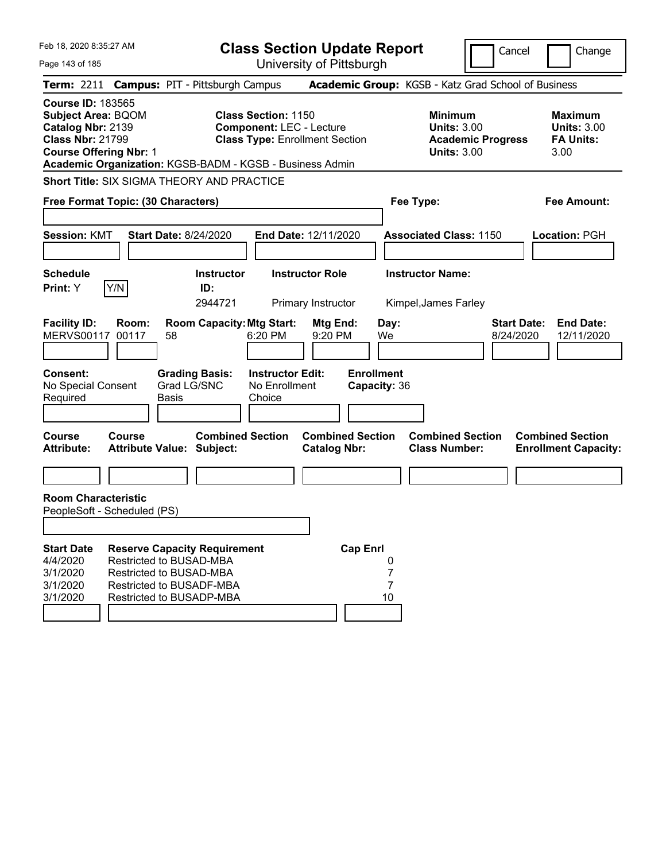| Feb 18, 2020 8:35:27 AM                                                                                                                |                                                                                | <b>Class Section Update Report</b><br>University of Pittsburgh |                                                                                                                                                                    |                                                    |                                              |                         |                                                                                        |                                                     | Cancel | Change                          |                                                                  |
|----------------------------------------------------------------------------------------------------------------------------------------|--------------------------------------------------------------------------------|----------------------------------------------------------------|--------------------------------------------------------------------------------------------------------------------------------------------------------------------|----------------------------------------------------|----------------------------------------------|-------------------------|----------------------------------------------------------------------------------------|-----------------------------------------------------|--------|---------------------------------|------------------------------------------------------------------|
| Page 143 of 185                                                                                                                        |                                                                                |                                                                |                                                                                                                                                                    |                                                    |                                              |                         |                                                                                        |                                                     |        |                                 |                                                                  |
| Term: 2211 Campus: PIT - Pittsburgh Campus                                                                                             |                                                                                |                                                                |                                                                                                                                                                    |                                                    |                                              |                         |                                                                                        | Academic Group: KGSB - Katz Grad School of Business |        |                                 |                                                                  |
| <b>Course ID: 183565</b><br><b>Subject Area: BQOM</b><br>Catalog Nbr: 2139<br><b>Class Nbr: 21799</b><br><b>Course Offering Nbr: 1</b> |                                                                                |                                                                | <b>Class Section: 1150</b><br><b>Component: LEC - Lecture</b><br><b>Class Type: Enrollment Section</b><br>Academic Organization: KGSB-BADM - KGSB - Business Admin |                                                    |                                              |                         | <b>Minimum</b><br><b>Units: 3.00</b><br><b>Academic Progress</b><br><b>Units: 3.00</b> |                                                     |        |                                 | <b>Maximum</b><br><b>Units: 3.00</b><br><b>FA Units:</b><br>3.00 |
| <b>Short Title: SIX SIGMA THEORY AND PRACTICE</b>                                                                                      |                                                                                |                                                                |                                                                                                                                                                    |                                                    |                                              |                         |                                                                                        |                                                     |        |                                 |                                                                  |
| Free Format Topic: (30 Characters)                                                                                                     |                                                                                |                                                                |                                                                                                                                                                    |                                                    |                                              |                         |                                                                                        | Fee Type:                                           |        |                                 | <b>Fee Amount:</b>                                               |
| <b>Start Date: 8/24/2020</b><br><b>Session: KMT</b>                                                                                    |                                                                                |                                                                |                                                                                                                                                                    | <b>End Date: 12/11/2020</b>                        |                                              |                         |                                                                                        | <b>Associated Class: 1150</b>                       |        |                                 | Location: PGH                                                    |
| <b>Schedule</b><br><b>Print:</b> Y                                                                                                     | Y/N                                                                            |                                                                | <b>Instructor</b><br>ID:<br>2944721                                                                                                                                |                                                    | <b>Instructor Role</b><br>Primary Instructor |                         |                                                                                        | <b>Instructor Name:</b><br>Kimpel, James Farley     |        |                                 |                                                                  |
| <b>Facility ID:</b><br><b>MERVS00117</b>                                                                                               | Room:<br>00117                                                                 | 58                                                             | <b>Room Capacity: Mtg Start:</b>                                                                                                                                   | 6:20 PM                                            | Mtg End:<br>9:20 PM                          |                         | Day:<br>We                                                                             |                                                     |        | <b>Start Date:</b><br>8/24/2020 | <b>End Date:</b><br>12/11/2020                                   |
| <b>Consent:</b><br>No Special Consent<br>Required                                                                                      |                                                                                | Grad LG/SNC<br>Basis                                           | <b>Grading Basis:</b>                                                                                                                                              | <b>Instructor Edit:</b><br>No Enrollment<br>Choice |                                              |                         | <b>Enrollment</b><br>Capacity: 36                                                      |                                                     |        |                                 |                                                                  |
| <b>Course</b><br><b>Attribute:</b>                                                                                                     | Course<br><b>Attribute Value: Subject:</b>                                     |                                                                | <b>Combined Section</b>                                                                                                                                            |                                                    | <b>Catalog Nbr:</b>                          | <b>Combined Section</b> |                                                                                        | <b>Combined Section</b><br><b>Class Number:</b>     |        |                                 | <b>Combined Section</b><br><b>Enrollment Capacity:</b>           |
|                                                                                                                                        |                                                                                |                                                                |                                                                                                                                                                    |                                                    |                                              |                         |                                                                                        |                                                     |        |                                 |                                                                  |
| <b>Room Characteristic</b><br>PeopleSoft - Scheduled (PS)                                                                              |                                                                                |                                                                |                                                                                                                                                                    |                                                    |                                              |                         |                                                                                        |                                                     |        |                                 |                                                                  |
|                                                                                                                                        |                                                                                |                                                                |                                                                                                                                                                    |                                                    |                                              |                         |                                                                                        |                                                     |        |                                 |                                                                  |
| <b>Start Date</b><br>4/4/2020<br>3/1/2020<br>3/1/2020<br>3/1/2020                                                                      | Restricted to BUSAD-MBA<br>Restricted to BUSAD-MBA<br>Restricted to BUSADF-MBA |                                                                | <b>Reserve Capacity Requirement</b><br>Restricted to BUSADP-MBA                                                                                                    |                                                    |                                              | <b>Cap Enrl</b>         | 0<br>7<br>7<br>10                                                                      |                                                     |        |                                 |                                                                  |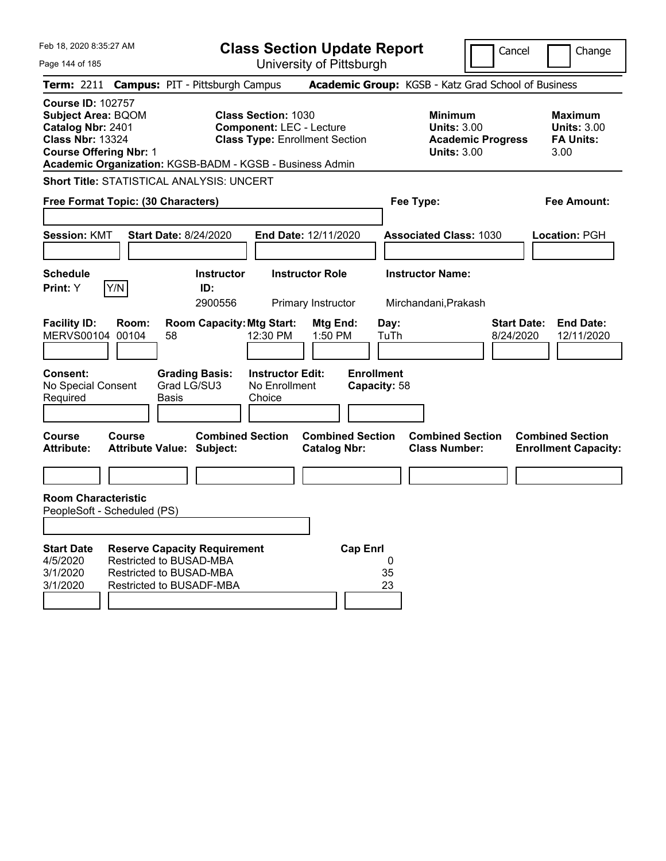| Feb 18, 2020 8:35:27 AM                                                                                                                                                                            | <b>Class Section Update Report</b>                                                                     |                                                |                                                            | Cancel                          | Change                                                           |
|----------------------------------------------------------------------------------------------------------------------------------------------------------------------------------------------------|--------------------------------------------------------------------------------------------------------|------------------------------------------------|------------------------------------------------------------|---------------------------------|------------------------------------------------------------------|
| Page 144 of 185                                                                                                                                                                                    |                                                                                                        | University of Pittsburgh                       |                                                            |                                 |                                                                  |
| Term: 2211 Campus: PIT - Pittsburgh Campus                                                                                                                                                         |                                                                                                        |                                                | Academic Group: KGSB - Katz Grad School of Business        |                                 |                                                                  |
| <b>Course ID: 102757</b><br><b>Subject Area: BQOM</b><br>Catalog Nbr: 2401<br><b>Class Nbr: 13324</b><br><b>Course Offering Nbr: 1</b><br>Academic Organization: KGSB-BADM - KGSB - Business Admin | <b>Class Section: 1030</b><br><b>Component: LEC - Lecture</b><br><b>Class Type: Enrollment Section</b> |                                                | <b>Minimum</b><br><b>Units: 3.00</b><br><b>Units: 3.00</b> | <b>Academic Progress</b>        | <b>Maximum</b><br><b>Units: 3.00</b><br><b>FA Units:</b><br>3.00 |
| <b>Short Title: STATISTICAL ANALYSIS: UNCERT</b>                                                                                                                                                   |                                                                                                        |                                                |                                                            |                                 |                                                                  |
| Free Format Topic: (30 Characters)                                                                                                                                                                 |                                                                                                        |                                                | Fee Type:                                                  |                                 | <b>Fee Amount:</b>                                               |
|                                                                                                                                                                                                    |                                                                                                        |                                                |                                                            |                                 |                                                                  |
| <b>Start Date: 8/24/2020</b><br><b>Session: KMT</b>                                                                                                                                                |                                                                                                        | <b>End Date: 12/11/2020</b>                    | <b>Associated Class: 1030</b>                              |                                 | Location: PGH                                                    |
| <b>Schedule</b>                                                                                                                                                                                    | <b>Instructor</b>                                                                                      | <b>Instructor Role</b>                         | <b>Instructor Name:</b>                                    |                                 |                                                                  |
| Y/N<br>Print: Y                                                                                                                                                                                    | ID:                                                                                                    |                                                |                                                            |                                 |                                                                  |
|                                                                                                                                                                                                    | 2900556                                                                                                | Primary Instructor                             | Mirchandani, Prakash                                       |                                 |                                                                  |
| <b>Facility ID:</b><br>Room:<br>MERVS00104 00104<br>58                                                                                                                                             | <b>Room Capacity: Mtg Start:</b><br>12:30 PM                                                           | Mtg End:<br>1:50 PM                            | Day:<br>TuTh                                               | <b>Start Date:</b><br>8/24/2020 | <b>End Date:</b><br>12/11/2020                                   |
| <b>Consent:</b><br>Grad LG/SU3<br>No Special Consent<br>Required<br><b>Basis</b>                                                                                                                   | <b>Grading Basis:</b><br><b>Instructor Edit:</b><br>No Enrollment<br>Choice                            | <b>Enrollment</b><br>Capacity: 58              |                                                            |                                 |                                                                  |
| <b>Course</b><br>Course<br><b>Attribute Value: Subject:</b><br><b>Attribute:</b>                                                                                                                   | <b>Combined Section</b>                                                                                | <b>Combined Section</b><br><b>Catalog Nbr:</b> | <b>Combined Section</b><br><b>Class Number:</b>            |                                 | <b>Combined Section</b><br><b>Enrollment Capacity:</b>           |
|                                                                                                                                                                                                    |                                                                                                        |                                                |                                                            |                                 |                                                                  |
| <b>Room Characteristic</b><br>PeopleSoft - Scheduled (PS)                                                                                                                                          |                                                                                                        |                                                |                                                            |                                 |                                                                  |
|                                                                                                                                                                                                    |                                                                                                        |                                                |                                                            |                                 |                                                                  |
| <b>Start Date</b><br><b>Reserve Capacity Requirement</b><br>4/5/2020<br>Restricted to BUSAD-MBA<br>3/1/2020<br>Restricted to BUSAD-MBA<br>3/1/2020<br>Restricted to BUSADF-MBA                     |                                                                                                        | <b>Cap Enrl</b>                                | 0<br>35<br>23                                              |                                 |                                                                  |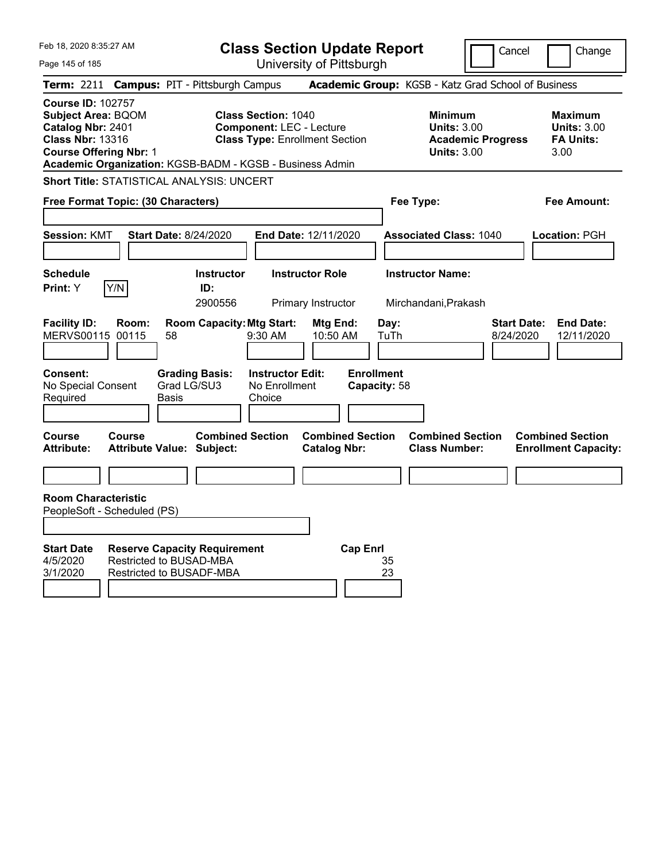| Feb 18, 2020 8:35:27 AM                                                                                                                                                                            |                                                                                                   |                                      | <b>Class Section Update Report</b>                                                                     |                                                |                 |                                   |                                                            |                          | Cancel                          | Change                                                           |  |
|----------------------------------------------------------------------------------------------------------------------------------------------------------------------------------------------------|---------------------------------------------------------------------------------------------------|--------------------------------------|--------------------------------------------------------------------------------------------------------|------------------------------------------------|-----------------|-----------------------------------|------------------------------------------------------------|--------------------------|---------------------------------|------------------------------------------------------------------|--|
| Page 145 of 185                                                                                                                                                                                    |                                                                                                   |                                      | University of Pittsburgh                                                                               |                                                |                 |                                   |                                                            |                          |                                 |                                                                  |  |
| <b>Term: 2211</b>                                                                                                                                                                                  | <b>Campus: PIT - Pittsburgh Campus</b>                                                            |                                      |                                                                                                        |                                                |                 |                                   | Academic Group: KGSB - Katz Grad School of Business        |                          |                                 |                                                                  |  |
| <b>Course ID: 102757</b><br><b>Subject Area: BQOM</b><br>Catalog Nbr: 2401<br><b>Class Nbr: 13316</b><br><b>Course Offering Nbr: 1</b><br>Academic Organization: KGSB-BADM - KGSB - Business Admin |                                                                                                   |                                      | <b>Class Section: 1040</b><br><b>Component: LEC - Lecture</b><br><b>Class Type: Enrollment Section</b> |                                                |                 |                                   | <b>Minimum</b><br><b>Units: 3.00</b><br><b>Units: 3.00</b> | <b>Academic Progress</b> |                                 | <b>Maximum</b><br><b>Units: 3.00</b><br><b>FA Units:</b><br>3.00 |  |
| <b>Short Title: STATISTICAL ANALYSIS: UNCERT</b>                                                                                                                                                   |                                                                                                   |                                      |                                                                                                        |                                                |                 |                                   |                                                            |                          |                                 |                                                                  |  |
| Free Format Topic: (30 Characters)                                                                                                                                                                 |                                                                                                   |                                      |                                                                                                        |                                                |                 |                                   | Fee Type:                                                  |                          |                                 | Fee Amount:                                                      |  |
| <b>Session: KMT</b>                                                                                                                                                                                | <b>Start Date: 8/24/2020</b>                                                                      |                                      | End Date: 12/11/2020                                                                                   |                                                |                 |                                   | <b>Associated Class: 1040</b>                              |                          |                                 | Location: PGH                                                    |  |
| <b>Schedule</b>                                                                                                                                                                                    |                                                                                                   | <b>Instructor</b>                    |                                                                                                        | <b>Instructor Role</b>                         |                 |                                   | <b>Instructor Name:</b>                                    |                          |                                 |                                                                  |  |
| Y/N<br>Print: Y                                                                                                                                                                                    |                                                                                                   | ID:<br>2900556                       |                                                                                                        | Primary Instructor                             |                 |                                   | Mirchandani, Prakash                                       |                          |                                 |                                                                  |  |
| <b>Facility ID:</b><br><b>MERVS00115</b>                                                                                                                                                           | Room:<br>00115<br>58                                                                              | <b>Room Capacity: Mtg Start:</b>     | 9:30 AM                                                                                                | Mtg End:<br>10:50 AM                           |                 | Day:<br>TuTh                      |                                                            |                          | <b>Start Date:</b><br>8/24/2020 | <b>End Date:</b><br>12/11/2020                                   |  |
| <b>Consent:</b><br>No Special Consent<br>Required                                                                                                                                                  | Basis                                                                                             | <b>Grading Basis:</b><br>Grad LG/SU3 | <b>Instructor Edit:</b><br>No Enrollment<br>Choice                                                     |                                                |                 | <b>Enrollment</b><br>Capacity: 58 |                                                            |                          |                                 |                                                                  |  |
| Course<br><b>Attribute:</b>                                                                                                                                                                        | Course<br><b>Attribute Value: Subject:</b>                                                        | <b>Combined Section</b>              |                                                                                                        | <b>Combined Section</b><br><b>Catalog Nbr:</b> |                 |                                   | <b>Combined Section</b><br><b>Class Number:</b>            |                          |                                 | <b>Combined Section</b><br><b>Enrollment Capacity:</b>           |  |
|                                                                                                                                                                                                    |                                                                                                   |                                      |                                                                                                        |                                                |                 |                                   |                                                            |                          |                                 |                                                                  |  |
| <b>Room Characteristic</b><br>PeopleSoft - Scheduled (PS)                                                                                                                                          |                                                                                                   |                                      |                                                                                                        |                                                |                 |                                   |                                                            |                          |                                 |                                                                  |  |
| <b>Start Date</b><br>4/5/2020<br>3/1/2020                                                                                                                                                          | <b>Reserve Capacity Requirement</b><br><b>Restricted to BUSAD-MBA</b><br>Restricted to BUSADF-MBA |                                      |                                                                                                        |                                                | <b>Cap Enri</b> | 35<br>23                          |                                                            |                          |                                 |                                                                  |  |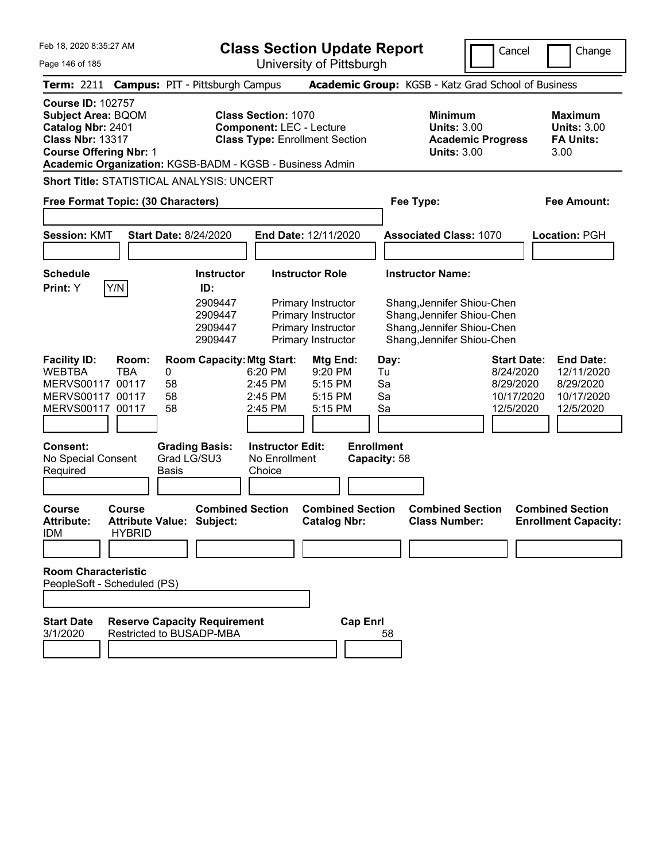|  | Feb 18, 2020 8:35:27 AM |  |
|--|-------------------------|--|
|  |                         |  |

**Class Section Update Report**

University of Pittsburgh

Cancel Change

Page 146 of 185

| Term: 2211 Campus: PIT - Pittsburgh Campus                                                                                                                                                         |                         |                             |                                                                      |                                                               |                                                                                                                |                                   | Academic Group: KGSB - Katz Grad School of Business                                                                                             |                                                                         |                                                                        |
|----------------------------------------------------------------------------------------------------------------------------------------------------------------------------------------------------|-------------------------|-----------------------------|----------------------------------------------------------------------|---------------------------------------------------------------|----------------------------------------------------------------------------------------------------------------|-----------------------------------|-------------------------------------------------------------------------------------------------------------------------------------------------|-------------------------------------------------------------------------|------------------------------------------------------------------------|
| <b>Course ID: 102757</b><br><b>Subject Area: BQOM</b><br>Catalog Nbr: 2401<br><b>Class Nbr: 13317</b><br><b>Course Offering Nbr: 1</b><br>Academic Organization: KGSB-BADM - KGSB - Business Admin |                         |                             |                                                                      | <b>Class Section: 1070</b><br><b>Component: LEC - Lecture</b> | <b>Class Type: Enrollment Section</b>                                                                          |                                   | <b>Minimum</b><br><b>Units: 3.00</b><br><b>Academic Progress</b><br><b>Units: 3.00</b>                                                          |                                                                         | <b>Maximum</b><br><b>Units: 3.00</b><br><b>FA Units:</b><br>3.00       |
| <b>Short Title: STATISTICAL ANALYSIS: UNCERT</b>                                                                                                                                                   |                         |                             |                                                                      |                                                               |                                                                                                                |                                   |                                                                                                                                                 |                                                                         |                                                                        |
| Free Format Topic: (30 Characters)                                                                                                                                                                 |                         |                             |                                                                      |                                                               |                                                                                                                | Fee Type:                         |                                                                                                                                                 |                                                                         | <b>Fee Amount:</b>                                                     |
| <b>Session: KMT</b>                                                                                                                                                                                |                         |                             | <b>Start Date: 8/24/2020</b>                                         |                                                               | End Date: 12/11/2020                                                                                           |                                   | <b>Associated Class: 1070</b>                                                                                                                   |                                                                         | Location: PGH                                                          |
| <b>Schedule</b><br>Print: Y                                                                                                                                                                        | Y/N                     |                             | <b>Instructor</b><br>ID:<br>2909447<br>2909447<br>2909447<br>2909447 |                                                               | <b>Instructor Role</b><br>Primary Instructor<br>Primary Instructor<br>Primary Instructor<br>Primary Instructor |                                   | <b>Instructor Name:</b><br>Shang, Jennifer Shiou-Chen<br>Shang, Jennifer Shiou-Chen<br>Shang, Jennifer Shiou-Chen<br>Shang, Jennifer Shiou-Chen |                                                                         |                                                                        |
| <b>Facility ID:</b><br><b>WEBTBA</b><br>MERVS00117 00117<br>MERVS00117 00117<br>MERVS00117 00117                                                                                                   | Room:<br><b>TBA</b>     | $\pmb{0}$<br>58<br>58<br>58 | <b>Room Capacity: Mtg Start:</b>                                     | 6:20 PM<br>2:45 PM<br>2:45 PM<br>2:45 PM                      | Mtg End:<br>9:20 PM<br>5:15 PM<br>$5:15$ PM<br>5:15 PM                                                         | Day:<br>Tu<br>Sa<br>Sa<br>Sa      |                                                                                                                                                 | <b>Start Date:</b><br>8/24/2020<br>8/29/2020<br>10/17/2020<br>12/5/2020 | <b>End Date:</b><br>12/11/2020<br>8/29/2020<br>10/17/2020<br>12/5/2020 |
| <b>Consent:</b><br>No Special Consent<br>Required                                                                                                                                                  |                         | <b>Basis</b>                | <b>Grading Basis:</b><br>Grad LG/SU3                                 | <b>Instructor Edit:</b><br>No Enrollment<br>Choice            |                                                                                                                | <b>Enrollment</b><br>Capacity: 58 |                                                                                                                                                 |                                                                         |                                                                        |
| Course<br><b>Attribute:</b><br><b>IDM</b>                                                                                                                                                          | Course<br><b>HYBRID</b> |                             | <b>Combined Section</b><br><b>Attribute Value: Subject:</b>          |                                                               | <b>Combined Section</b><br><b>Catalog Nbr:</b>                                                                 |                                   | <b>Combined Section</b><br><b>Class Number:</b>                                                                                                 |                                                                         | <b>Combined Section</b><br><b>Enrollment Capacity:</b>                 |
| <b>Room Characteristic</b><br>PeopleSoft - Scheduled (PS)                                                                                                                                          |                         |                             |                                                                      |                                                               |                                                                                                                |                                   |                                                                                                                                                 |                                                                         |                                                                        |
| <b>Start Date</b><br>3/1/2020                                                                                                                                                                      |                         |                             | <b>Reserve Capacity Requirement</b><br>Restricted to BUSADP-MBA      |                                                               | <b>Cap Enrl</b>                                                                                                | 58                                |                                                                                                                                                 |                                                                         |                                                                        |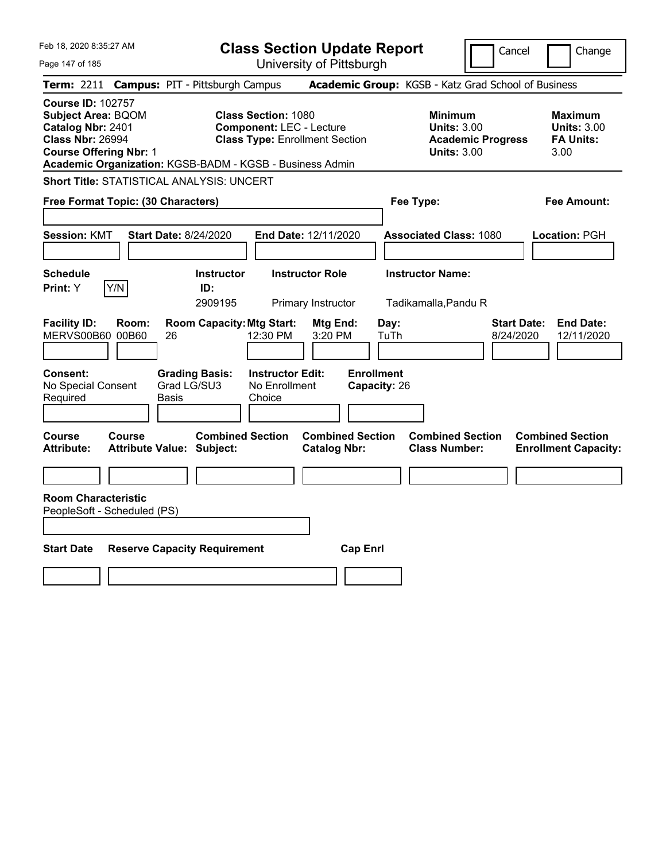| Feb 18, 2020 8:35:27 AM                                                                                                                | <b>Class Section Update Report</b>                                                                                                                                 | Cancel                                                                                 | Change                                                           |
|----------------------------------------------------------------------------------------------------------------------------------------|--------------------------------------------------------------------------------------------------------------------------------------------------------------------|----------------------------------------------------------------------------------------|------------------------------------------------------------------|
| Page 147 of 185                                                                                                                        | University of Pittsburgh                                                                                                                                           |                                                                                        |                                                                  |
| <b>Campus: PIT - Pittsburgh Campus</b><br>Term: 2211                                                                                   |                                                                                                                                                                    | Academic Group: KGSB - Katz Grad School of Business                                    |                                                                  |
| <b>Course ID: 102757</b><br><b>Subject Area: BQOM</b><br>Catalog Nbr: 2401<br><b>Class Nbr: 26994</b><br><b>Course Offering Nbr: 1</b> | <b>Class Section: 1080</b><br><b>Component: LEC - Lecture</b><br><b>Class Type: Enrollment Section</b><br>Academic Organization: KGSB-BADM - KGSB - Business Admin | <b>Minimum</b><br><b>Units: 3.00</b><br><b>Academic Progress</b><br><b>Units: 3.00</b> | <b>Maximum</b><br><b>Units: 3.00</b><br><b>FA Units:</b><br>3.00 |
| <b>Short Title: STATISTICAL ANALYSIS: UNCERT</b>                                                                                       |                                                                                                                                                                    |                                                                                        |                                                                  |
| Free Format Topic: (30 Characters)                                                                                                     |                                                                                                                                                                    | Fee Type:                                                                              | Fee Amount:                                                      |
| <b>Session: KMT</b><br><b>Start Date: 8/24/2020</b>                                                                                    | End Date: 12/11/2020                                                                                                                                               | <b>Associated Class: 1080</b>                                                          | Location: PGH                                                    |
| <b>Schedule</b><br>Y/N<br>Print: Y                                                                                                     | <b>Instructor Role</b><br><b>Instructor</b><br>ID:<br>2909195<br>Primary Instructor                                                                                | <b>Instructor Name:</b><br>Tadikamalla, Pandu R                                        |                                                                  |
| <b>Facility ID:</b><br>Room:<br>MERVS00B60 00B60<br>26                                                                                 | <b>Room Capacity: Mtg Start:</b><br>Mtg End:<br>12:30 PM<br>3:20 PM                                                                                                | <b>Start Date:</b><br>Day:<br>TuTh<br>8/24/2020                                        | <b>End Date:</b><br>12/11/2020                                   |
| <b>Consent:</b><br><b>Grading Basis:</b><br>Grad LG/SU3<br>No Special Consent<br>Required<br>Basis                                     | <b>Enrollment</b><br><b>Instructor Edit:</b><br>No Enrollment<br>Capacity: 26<br>Choice                                                                            |                                                                                        |                                                                  |
| <b>Course</b><br><b>Course</b><br><b>Attribute:</b><br><b>Attribute Value: Subject:</b>                                                | <b>Combined Section</b><br><b>Combined Section</b><br><b>Catalog Nbr:</b>                                                                                          | <b>Combined Section</b><br><b>Class Number:</b>                                        | <b>Combined Section</b><br><b>Enrollment Capacity:</b>           |
|                                                                                                                                        |                                                                                                                                                                    |                                                                                        |                                                                  |
| <b>Room Characteristic</b><br>PeopleSoft - Scheduled (PS)                                                                              |                                                                                                                                                                    |                                                                                        |                                                                  |
| <b>Start Date</b><br><b>Reserve Capacity Requirement</b>                                                                               | <b>Cap Enrl</b>                                                                                                                                                    |                                                                                        |                                                                  |
|                                                                                                                                        |                                                                                                                                                                    |                                                                                        |                                                                  |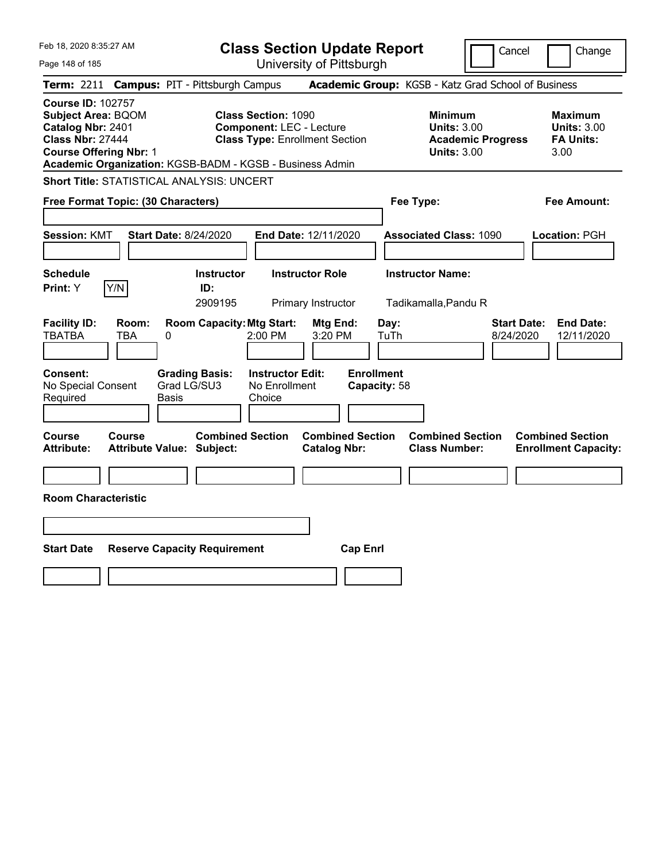| Feb 18, 2020 8:35:27 AM                                                                                                                                         | <b>Class Section Update Report</b>                                                                                                                                 | Cancel                                                                                 | Change                                                           |
|-----------------------------------------------------------------------------------------------------------------------------------------------------------------|--------------------------------------------------------------------------------------------------------------------------------------------------------------------|----------------------------------------------------------------------------------------|------------------------------------------------------------------|
| Page 148 of 185                                                                                                                                                 | University of Pittsburgh                                                                                                                                           |                                                                                        |                                                                  |
| <b>Term: 2211</b><br><b>Campus: PIT - Pittsburgh Campus</b>                                                                                                     |                                                                                                                                                                    | Academic Group: KGSB - Katz Grad School of Business                                    |                                                                  |
| <b>Course ID: 102757</b><br><b>Subject Area: BQOM</b><br>Catalog Nbr: 2401<br><b>Class Nbr: 27444</b><br><b>Course Offering Nbr: 1</b>                          | <b>Class Section: 1090</b><br><b>Component: LEC - Lecture</b><br><b>Class Type: Enrollment Section</b><br>Academic Organization: KGSB-BADM - KGSB - Business Admin | <b>Minimum</b><br><b>Units: 3.00</b><br><b>Academic Progress</b><br><b>Units: 3.00</b> | <b>Maximum</b><br><b>Units: 3.00</b><br><b>FA Units:</b><br>3.00 |
| <b>Short Title: STATISTICAL ANALYSIS: UNCERT</b>                                                                                                                |                                                                                                                                                                    |                                                                                        |                                                                  |
| Free Format Topic: (30 Characters)                                                                                                                              |                                                                                                                                                                    | Fee Type:                                                                              | Fee Amount:                                                      |
| <b>Start Date: 8/24/2020</b><br><b>Session: KMT</b>                                                                                                             | End Date: 12/11/2020                                                                                                                                               | <b>Associated Class: 1090</b>                                                          | Location: PGH                                                    |
| <b>Schedule</b>                                                                                                                                                 | <b>Instructor</b><br><b>Instructor Role</b>                                                                                                                        | <b>Instructor Name:</b>                                                                |                                                                  |
| Y/N<br><b>Print:</b> Y                                                                                                                                          | ID:<br>2909195<br>Primary Instructor                                                                                                                               | Tadikamalla, Pandu R                                                                   |                                                                  |
| <b>Facility ID:</b><br>Room:<br><b>TBATBA</b><br>TBA<br>0<br><b>Consent:</b><br><b>Grading Basis:</b><br>Grad LG/SU3<br>No Special Consent<br>Required<br>Basis | <b>Room Capacity: Mtg Start:</b><br>Mtg End:<br>2:00 PM<br>3:20 PM<br><b>Enrollment</b><br><b>Instructor Edit:</b><br>No Enrollment<br>Capacity: 58<br>Choice      | Day:<br><b>Start Date:</b><br>TuTh<br>8/24/2020                                        | <b>End Date:</b><br>12/11/2020                                   |
| Course<br>Course<br><b>Attribute:</b><br><b>Attribute Value: Subject:</b>                                                                                       | <b>Combined Section</b><br><b>Combined Section</b><br><b>Catalog Nbr:</b>                                                                                          | <b>Combined Section</b><br><b>Class Number:</b>                                        | <b>Combined Section</b><br><b>Enrollment Capacity:</b>           |
|                                                                                                                                                                 |                                                                                                                                                                    |                                                                                        |                                                                  |
| <b>Room Characteristic</b>                                                                                                                                      |                                                                                                                                                                    |                                                                                        |                                                                  |
|                                                                                                                                                                 |                                                                                                                                                                    |                                                                                        |                                                                  |
| <b>Start Date</b><br><b>Reserve Capacity Requirement</b>                                                                                                        | <b>Cap Enrl</b>                                                                                                                                                    |                                                                                        |                                                                  |
|                                                                                                                                                                 |                                                                                                                                                                    |                                                                                        |                                                                  |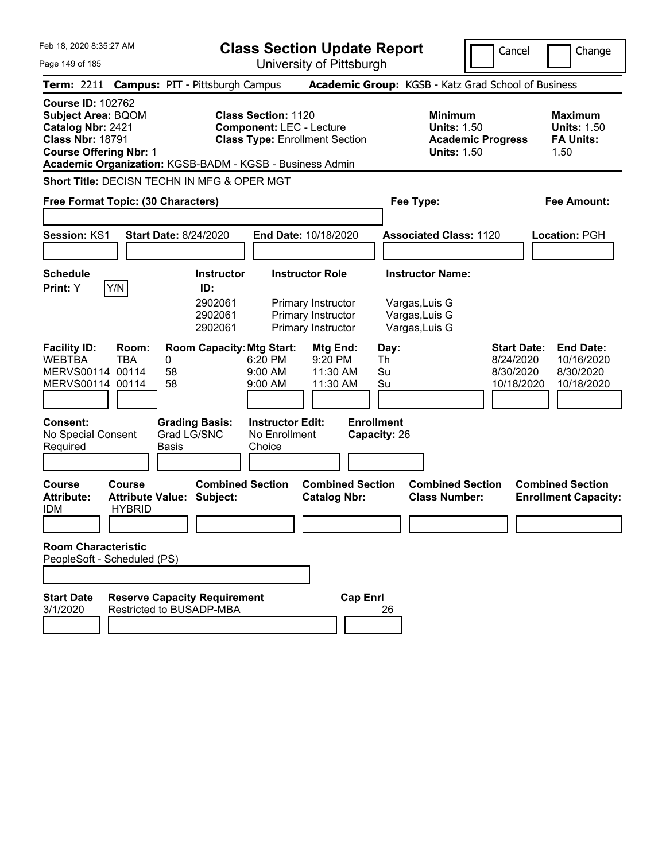| Feb 18. 2020 8:35:27 AM                                                                                                                                                                            |                                                                 |                                                           |                                                               |                                                                                          | <b>Class Section Update Report</b><br>Cancel<br>Change                        |                                                            |                                                                  |  |  |  |
|----------------------------------------------------------------------------------------------------------------------------------------------------------------------------------------------------|-----------------------------------------------------------------|-----------------------------------------------------------|---------------------------------------------------------------|------------------------------------------------------------------------------------------|-------------------------------------------------------------------------------|------------------------------------------------------------|------------------------------------------------------------------|--|--|--|
| Page 149 of 185                                                                                                                                                                                    |                                                                 |                                                           |                                                               | University of Pittsburgh                                                                 |                                                                               |                                                            |                                                                  |  |  |  |
| <b>Term: 2211</b>                                                                                                                                                                                  | <b>Campus: PIT - Pittsburgh Campus</b>                          |                                                           |                                                               |                                                                                          | Academic Group: KGSB - Katz Grad School of Business                           |                                                            |                                                                  |  |  |  |
| <b>Course ID: 102762</b><br><b>Subject Area: BQOM</b><br>Catalog Nbr: 2421<br><b>Class Nbr: 18791</b><br><b>Course Offering Nbr: 1</b><br>Academic Organization: KGSB-BADM - KGSB - Business Admin |                                                                 |                                                           | <b>Class Section: 1120</b><br><b>Component: LEC - Lecture</b> | <b>Class Type: Enrollment Section</b>                                                    | <b>Minimum</b><br><b>Units: 1.50</b><br><b>Units: 1.50</b>                    | <b>Academic Progress</b>                                   | <b>Maximum</b><br><b>Units: 1.50</b><br><b>FA Units:</b><br>1.50 |  |  |  |
| Short Title: DECISN TECHN IN MFG & OPER MGT                                                                                                                                                        |                                                                 |                                                           |                                                               |                                                                                          |                                                                               |                                                            |                                                                  |  |  |  |
| Free Format Topic: (30 Characters)                                                                                                                                                                 |                                                                 |                                                           |                                                               |                                                                                          | Fee Type:                                                                     |                                                            | <b>Fee Amount:</b>                                               |  |  |  |
|                                                                                                                                                                                                    |                                                                 |                                                           |                                                               |                                                                                          |                                                                               |                                                            |                                                                  |  |  |  |
| Session: KS1                                                                                                                                                                                       | <b>Start Date: 8/24/2020</b>                                    |                                                           |                                                               | End Date: 10/18/2020                                                                     | <b>Associated Class: 1120</b>                                                 | Location: PGH                                              |                                                                  |  |  |  |
|                                                                                                                                                                                                    |                                                                 |                                                           |                                                               |                                                                                          |                                                                               |                                                            |                                                                  |  |  |  |
| Schedule<br>Y/N<br><b>Print:</b> Y                                                                                                                                                                 |                                                                 | <b>Instructor</b><br>ID:<br>2902061<br>2902061<br>2902061 |                                                               | <b>Instructor Role</b><br>Primary Instructor<br>Primary Instructor<br>Primary Instructor | <b>Instructor Name:</b><br>Vargas, Luis G<br>Vargas, Luis G<br>Vargas, Luis G |                                                            |                                                                  |  |  |  |
| <b>Facility ID:</b><br><b>WEBTBA</b><br>MERVS00114<br>MERVS00114 00114                                                                                                                             | Room:<br><b>TBA</b><br>0<br>00114<br>58<br>58                   | <b>Room Capacity: Mtg Start:</b>                          | 6:20 PM<br>$9:00$ AM<br>9:00 AM                               | Mtg End:<br>9:20 PM<br>11:30 AM<br>11:30 AM                                              | Day:<br>Th<br>Su<br>Su                                                        | <b>Start Date:</b><br>8/24/2020<br>8/30/2020<br>10/18/2020 | <b>End Date:</b><br>10/16/2020<br>8/30/2020<br>10/18/2020        |  |  |  |
| <b>Consent:</b><br>No Special Consent<br>Required                                                                                                                                                  | Basis                                                           | <b>Grading Basis:</b><br>Grad LG/SNC                      | <b>Instructor Edit:</b><br>No Enrollment<br>Choice            |                                                                                          | <b>Enrollment</b><br>Capacity: 26                                             |                                                            |                                                                  |  |  |  |
| <b>Course</b><br><b>Attribute:</b><br><b>IDM</b>                                                                                                                                                   | Course<br><b>Attribute Value: Subject:</b><br><b>HYBRID</b>     | <b>Combined Section</b>                                   |                                                               | <b>Combined Section</b><br><b>Catalog Nbr:</b>                                           | <b>Combined Section</b><br><b>Class Number:</b>                               |                                                            | <b>Combined Section</b><br><b>Enrollment Capacity:</b>           |  |  |  |
| <b>Room Characteristic</b><br>PeopleSoft - Scheduled (PS)                                                                                                                                          |                                                                 |                                                           |                                                               |                                                                                          |                                                                               |                                                            |                                                                  |  |  |  |
| <b>Start Date</b><br>3/1/2020                                                                                                                                                                      | <b>Reserve Capacity Requirement</b><br>Restricted to BUSADP-MBA |                                                           |                                                               | <b>Cap Enrl</b>                                                                          | 26                                                                            |                                                            |                                                                  |  |  |  |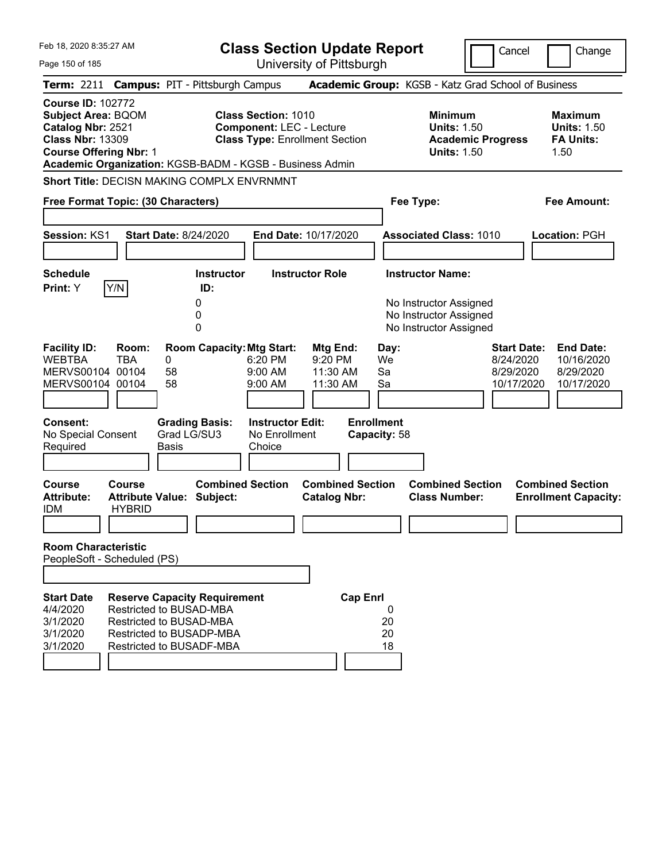| Feb 18, 2020 8:35:27 AM<br>Page 150 of 185                                                                                                                                                         |                                                                                                                                                   |                                               |                         | <b>Class Section Update Report</b>                                                                     | University of Pittsburgh                    |                         |                        |                                                            |                          | Cancel                                                     | Change                                                           |
|----------------------------------------------------------------------------------------------------------------------------------------------------------------------------------------------------|---------------------------------------------------------------------------------------------------------------------------------------------------|-----------------------------------------------|-------------------------|--------------------------------------------------------------------------------------------------------|---------------------------------------------|-------------------------|------------------------|------------------------------------------------------------|--------------------------|------------------------------------------------------------|------------------------------------------------------------------|
| Term: 2211 Campus: PIT - Pittsburgh Campus                                                                                                                                                         |                                                                                                                                                   |                                               |                         |                                                                                                        |                                             |                         |                        | Academic Group: KGSB - Katz Grad School of Business        |                          |                                                            |                                                                  |
| <b>Course ID: 102772</b><br><b>Subject Area: BQOM</b><br>Catalog Nbr: 2521<br><b>Class Nbr: 13309</b><br><b>Course Offering Nbr: 1</b><br>Academic Organization: KGSB-BADM - KGSB - Business Admin |                                                                                                                                                   |                                               |                         | <b>Class Section: 1010</b><br><b>Component: LEC - Lecture</b><br><b>Class Type: Enrollment Section</b> |                                             |                         |                        | <b>Minimum</b><br><b>Units: 1.50</b><br><b>Units: 1.50</b> | <b>Academic Progress</b> |                                                            | <b>Maximum</b><br><b>Units: 1.50</b><br><b>FA Units:</b><br>1.50 |
| <b>Short Title: DECISN MAKING COMPLX ENVRNMNT</b>                                                                                                                                                  |                                                                                                                                                   |                                               |                         |                                                                                                        |                                             |                         |                        |                                                            |                          |                                                            |                                                                  |
| Free Format Topic: (30 Characters)                                                                                                                                                                 |                                                                                                                                                   |                                               |                         |                                                                                                        |                                             |                         |                        | Fee Type:                                                  |                          |                                                            | <b>Fee Amount:</b>                                               |
| <b>Session: KS1</b><br><b>Schedule</b>                                                                                                                                                             |                                                                                                                                                   | <b>Start Date: 8/24/2020</b>                  | <b>Instructor</b>       | End Date: 10/17/2020                                                                                   | <b>Instructor Role</b>                      |                         |                        | <b>Associated Class: 1010</b><br><b>Instructor Name:</b>   |                          |                                                            | <b>Location: PGH</b>                                             |
| Print: Y                                                                                                                                                                                           | Y/N                                                                                                                                               | 0                                             | ID:                     |                                                                                                        |                                             |                         |                        | No Instructor Assigned                                     |                          |                                                            |                                                                  |
|                                                                                                                                                                                                    |                                                                                                                                                   | 0<br>0                                        |                         |                                                                                                        |                                             |                         |                        | No Instructor Assigned<br>No Instructor Assigned           |                          |                                                            |                                                                  |
| <b>Facility ID:</b><br><b>WEBTBA</b><br>MERVS00104 00104<br>MERVS00104 00104                                                                                                                       | Room:<br><b>TBA</b>                                                                                                                               | 0<br>58<br>58                                 |                         | <b>Room Capacity: Mtg Start:</b><br>6:20 PM<br>9:00 AM<br>9:00 AM                                      | Mtg End:<br>9:20 PM<br>11:30 AM<br>11:30 AM |                         | Day:<br>We<br>Sa<br>Sa |                                                            |                          | <b>Start Date:</b><br>8/24/2020<br>8/29/2020<br>10/17/2020 | <b>End Date:</b><br>10/16/2020<br>8/29/2020<br>10/17/2020        |
| <b>Consent:</b><br>No Special Consent<br>Required                                                                                                                                                  |                                                                                                                                                   | <b>Grading Basis:</b><br>Grad LG/SU3<br>Basis |                         | <b>Instructor Edit:</b><br>No Enrollment<br>Choice                                                     |                                             | <b>Enrollment</b>       | Capacity: 58           |                                                            |                          |                                                            |                                                                  |
| Course<br><b>Attribute:</b><br><b>IDM</b>                                                                                                                                                          | Course<br><b>Attribute Value: Subject:</b><br><b>HYBRID</b>                                                                                       |                                               | <b>Combined Section</b> |                                                                                                        | <b>Catalog Nbr:</b>                         | <b>Combined Section</b> |                        | <b>Combined Section</b><br><b>Class Number:</b>            |                          |                                                            | <b>Combined Section</b><br><b>Enrollment Capacity:</b>           |
| <b>Room Characteristic</b><br>PeopleSoft - Scheduled (PS)                                                                                                                                          |                                                                                                                                                   |                                               |                         |                                                                                                        |                                             |                         |                        |                                                            |                          |                                                            |                                                                  |
|                                                                                                                                                                                                    |                                                                                                                                                   |                                               |                         |                                                                                                        |                                             |                         |                        |                                                            |                          |                                                            |                                                                  |
| <b>Start Date</b><br>4/4/2020<br>3/1/2020<br>3/1/2020<br>3/1/2020                                                                                                                                  | <b>Reserve Capacity Requirement</b><br>Restricted to BUSAD-MBA<br>Restricted to BUSAD-MBA<br>Restricted to BUSADP-MBA<br>Restricted to BUSADF-MBA |                                               |                         |                                                                                                        |                                             | <b>Cap Enrl</b>         | 0<br>20<br>20<br>18    |                                                            |                          |                                                            |                                                                  |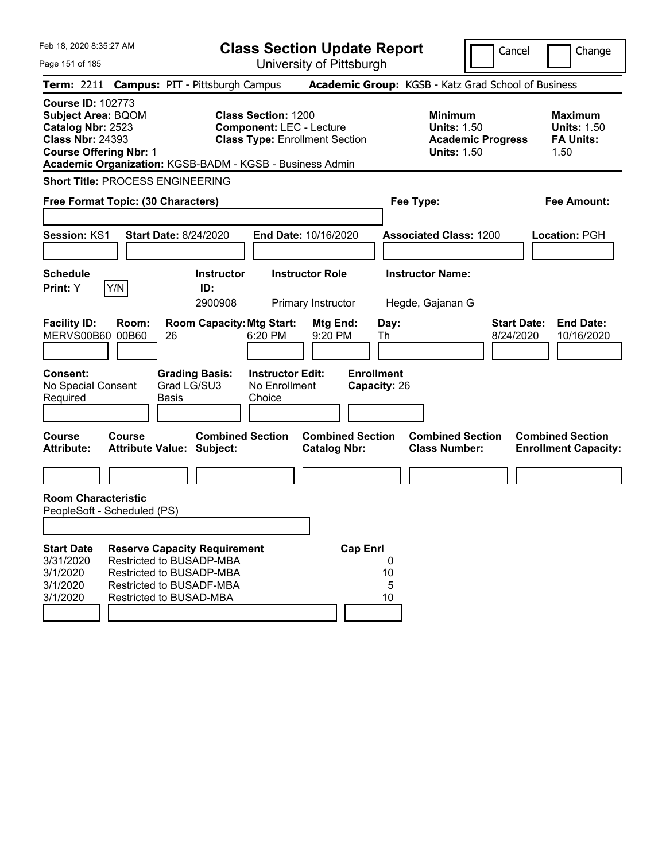| Feb 18, 2020 8:35:27 AM<br>Page 151 of 185                                                                                                                                                         |                                                                                                             |                             |                                     | <b>Class Section Update Report</b>                                                                     | University of Pittsburgh                     |                                   |                    |                                                            |                          | Cancel                          | Change                                                           |
|----------------------------------------------------------------------------------------------------------------------------------------------------------------------------------------------------|-------------------------------------------------------------------------------------------------------------|-----------------------------|-------------------------------------|--------------------------------------------------------------------------------------------------------|----------------------------------------------|-----------------------------------|--------------------|------------------------------------------------------------|--------------------------|---------------------------------|------------------------------------------------------------------|
| Term: 2211 Campus: PIT - Pittsburgh Campus                                                                                                                                                         |                                                                                                             |                             |                                     |                                                                                                        |                                              |                                   |                    | Academic Group: KGSB - Katz Grad School of Business        |                          |                                 |                                                                  |
| <b>Course ID: 102773</b><br><b>Subject Area: BQOM</b><br>Catalog Nbr: 2523<br><b>Class Nbr: 24393</b><br><b>Course Offering Nbr: 1</b><br>Academic Organization: KGSB-BADM - KGSB - Business Admin |                                                                                                             |                             |                                     | <b>Class Section: 1200</b><br><b>Component: LEC - Lecture</b><br><b>Class Type: Enrollment Section</b> |                                              |                                   |                    | <b>Minimum</b><br><b>Units: 1.50</b><br><b>Units: 1.50</b> | <b>Academic Progress</b> |                                 | <b>Maximum</b><br><b>Units: 1.50</b><br><b>FA Units:</b><br>1.50 |
| <b>Short Title: PROCESS ENGINEERING</b>                                                                                                                                                            |                                                                                                             |                             |                                     |                                                                                                        |                                              |                                   |                    |                                                            |                          |                                 |                                                                  |
| Free Format Topic: (30 Characters)                                                                                                                                                                 |                                                                                                             |                             |                                     |                                                                                                        |                                              |                                   |                    | Fee Type:                                                  |                          |                                 | <b>Fee Amount:</b>                                               |
| <b>Session: KS1</b>                                                                                                                                                                                |                                                                                                             |                             | <b>Start Date: 8/24/2020</b>        |                                                                                                        | <b>End Date: 10/16/2020</b>                  |                                   |                    | <b>Associated Class: 1200</b>                              |                          |                                 | Location: PGH                                                    |
| <b>Schedule</b><br>Print: Y                                                                                                                                                                        | Y/N                                                                                                         |                             | <b>Instructor</b><br>ID:<br>2900908 |                                                                                                        | <b>Instructor Role</b><br>Primary Instructor |                                   |                    | <b>Instructor Name:</b><br>Hegde, Gajanan G                |                          |                                 |                                                                  |
| <b>Facility ID:</b><br>MERVS00B60 00B60                                                                                                                                                            | Room:                                                                                                       | 26                          | <b>Room Capacity: Mtg Start:</b>    | 6:20 PM                                                                                                | Mtg End:<br>9:20 PM                          |                                   | Day:<br>Th         |                                                            |                          | <b>Start Date:</b><br>8/24/2020 | <b>End Date:</b><br>10/16/2020                                   |
| <b>Consent:</b><br>No Special Consent<br>Required                                                                                                                                                  |                                                                                                             | Grad LG/SU3<br><b>Basis</b> | <b>Grading Basis:</b>               | <b>Instructor Edit:</b><br>No Enrollment<br>Choice                                                     |                                              | <b>Enrollment</b><br>Capacity: 26 |                    |                                                            |                          |                                 |                                                                  |
| <b>Course</b><br><b>Attribute:</b>                                                                                                                                                                 | Course<br><b>Attribute Value: Subject:</b>                                                                  |                             | <b>Combined Section</b>             |                                                                                                        | <b>Catalog Nbr:</b>                          | <b>Combined Section</b>           |                    | <b>Combined Section</b><br><b>Class Number:</b>            |                          |                                 | <b>Combined Section</b><br><b>Enrollment Capacity:</b>           |
|                                                                                                                                                                                                    |                                                                                                             |                             |                                     |                                                                                                        |                                              |                                   |                    |                                                            |                          |                                 |                                                                  |
| <b>Room Characteristic</b><br>PeopleSoft - Scheduled (PS)                                                                                                                                          |                                                                                                             |                             |                                     |                                                                                                        |                                              |                                   |                    |                                                            |                          |                                 |                                                                  |
|                                                                                                                                                                                                    |                                                                                                             |                             |                                     |                                                                                                        |                                              |                                   |                    |                                                            |                          |                                 |                                                                  |
| <b>Start Date</b><br>3/31/2020<br>3/1/2020<br>3/1/2020<br>3/1/2020                                                                                                                                 | Restricted to BUSADP-MBA<br>Restricted to BUSADP-MBA<br>Restricted to BUSADF-MBA<br>Restricted to BUSAD-MBA |                             | <b>Reserve Capacity Requirement</b> |                                                                                                        |                                              | <b>Cap Enrl</b>                   | 0<br>10<br>5<br>10 |                                                            |                          |                                 |                                                                  |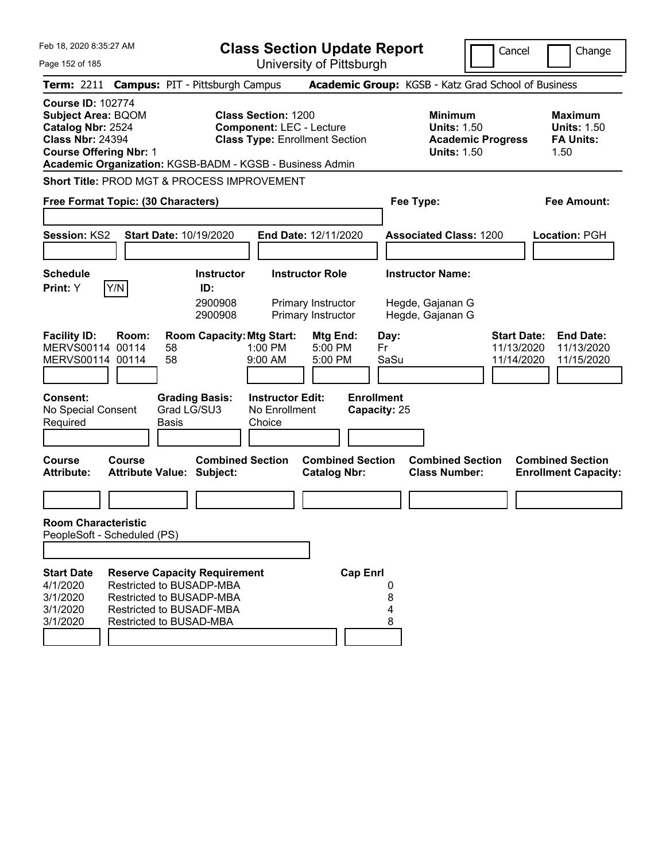| Feb 18, 2020 8:35:27 AM                                                                                                                |               |                                                                                               |                                                                          | <b>Class Section Update Report</b>                                 |                                                         |                                                                 | Cancel                   | Change                                                                                         |
|----------------------------------------------------------------------------------------------------------------------------------------|---------------|-----------------------------------------------------------------------------------------------|--------------------------------------------------------------------------|--------------------------------------------------------------------|---------------------------------------------------------|-----------------------------------------------------------------|--------------------------|------------------------------------------------------------------------------------------------|
| Page 152 of 185                                                                                                                        |               |                                                                                               |                                                                          | University of Pittsburgh                                           |                                                         |                                                                 |                          |                                                                                                |
| <b>Term: 2211</b>                                                                                                                      |               | <b>Campus: PIT - Pittsburgh Campus</b>                                                        |                                                                          |                                                                    |                                                         | Academic Group: KGSB - Katz Grad School of Business             |                          |                                                                                                |
| <b>Course ID: 102774</b><br><b>Subject Area: BQOM</b><br>Catalog Nbr: 2524<br><b>Class Nbr: 24394</b><br><b>Course Offering Nbr: 1</b> |               | Academic Organization: KGSB-BADM - KGSB - Business Admin                                      | <b>Class Section: 1200</b><br><b>Component: LEC - Lecture</b>            | <b>Class Type: Enrollment Section</b>                              |                                                         | <b>Minimum</b><br><b>Units: 1.50</b><br><b>Units: 1.50</b>      | <b>Academic Progress</b> | <b>Maximum</b><br><b>Units: 1.50</b><br><b>FA Units:</b><br>1.50                               |
|                                                                                                                                        |               | Short Title: PROD MGT & PROCESS IMPROVEMENT                                                   |                                                                          |                                                                    |                                                         |                                                                 |                          |                                                                                                |
| Free Format Topic: (30 Characters)                                                                                                     |               |                                                                                               |                                                                          |                                                                    |                                                         | Fee Type:                                                       |                          | Fee Amount:                                                                                    |
| Session: KS2                                                                                                                           |               | Start Date: 10/19/2020                                                                        |                                                                          | End Date: 12/11/2020                                               |                                                         | <b>Associated Class: 1200</b>                                   |                          | Location: PGH                                                                                  |
| <b>Schedule</b><br>Print: Y                                                                                                            | Y/N           | <b>Instructor</b><br>ID:<br>2900908<br>2900908                                                |                                                                          | <b>Instructor Role</b><br>Primary Instructor<br>Primary Instructor |                                                         | <b>Instructor Name:</b><br>Hegde, Gajanan G<br>Hegde, Gajanan G |                          |                                                                                                |
| <b>Facility ID:</b><br>MERVS00114 00114<br>MERVS00114 00114<br><b>Consent:</b><br>No Special Consent<br>Required                       | Room:         | <b>Room Capacity: Mtg Start:</b><br>58<br>58<br><b>Grading Basis:</b><br>Grad LG/SU3<br>Basis | 1:00 PM<br>9:00 AM<br><b>Instructor Edit:</b><br>No Enrollment<br>Choice | Mtg End:<br>5:00 PM<br>5:00 PM                                     | Day:<br>Fr<br>SaSu<br><b>Enrollment</b><br>Capacity: 25 |                                                                 |                          | <b>Start Date:</b><br><b>End Date:</b><br>11/13/2020<br>11/13/2020<br>11/14/2020<br>11/15/2020 |
| <b>Course</b><br><b>Attribute:</b>                                                                                                     | <b>Course</b> | <b>Combined Section</b><br><b>Attribute Value: Subject:</b>                                   |                                                                          | <b>Combined Section</b><br><b>Catalog Nbr:</b>                     |                                                         | <b>Combined Section</b><br><b>Class Number:</b>                 |                          | <b>Combined Section</b><br><b>Enrollment Capacity:</b>                                         |
|                                                                                                                                        |               |                                                                                               |                                                                          |                                                                    |                                                         |                                                                 |                          |                                                                                                |
| <b>Room Characteristic</b><br>PeopleSoft - Scheduled (PS)<br><b>Start Date</b><br>4/1/2020                                             |               | <b>Reserve Capacity Requirement</b><br>Restricted to BUSADP-MBA                               |                                                                          |                                                                    | <b>Cap Enrl</b>                                         |                                                                 |                          |                                                                                                |
| 3/1/2020<br>3/1/2020<br>3/1/2020                                                                                                       |               | Restricted to BUSADP-MBA<br><b>Restricted to BUSADF-MBA</b><br>Restricted to BUSAD-MBA        |                                                                          |                                                                    | 8<br>4<br>8                                             |                                                                 |                          |                                                                                                |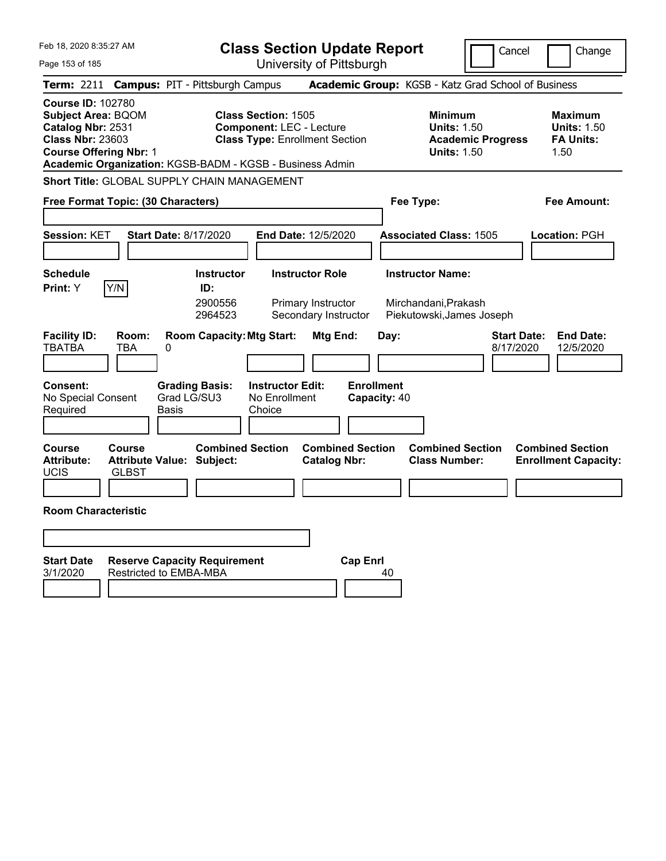| Feb 18, 2020 8:35:27 AM                                                                                                                |                        |                                                                                    | <b>Class Section Update Report</b>                                                                     |                                                                                  |                   |              |                                                                              | Cancel                   |                    | Change                                                           |
|----------------------------------------------------------------------------------------------------------------------------------------|------------------------|------------------------------------------------------------------------------------|--------------------------------------------------------------------------------------------------------|----------------------------------------------------------------------------------|-------------------|--------------|------------------------------------------------------------------------------|--------------------------|--------------------|------------------------------------------------------------------|
| Page 153 of 185                                                                                                                        |                        |                                                                                    | University of Pittsburgh                                                                               |                                                                                  |                   |              |                                                                              |                          |                    |                                                                  |
|                                                                                                                                        |                        | Term: 2211 Campus: PIT - Pittsburgh Campus                                         |                                                                                                        |                                                                                  |                   |              | Academic Group: KGSB - Katz Grad School of Business                          |                          |                    |                                                                  |
| <b>Course ID: 102780</b><br><b>Subject Area: BQOM</b><br>Catalog Nbr: 2531<br><b>Class Nbr: 23603</b><br><b>Course Offering Nbr: 1</b> |                        | Academic Organization: KGSB-BADM - KGSB - Business Admin                           | <b>Class Section: 1505</b><br><b>Component: LEC - Lecture</b><br><b>Class Type: Enrollment Section</b> |                                                                                  |                   |              | <b>Minimum</b><br><b>Units: 1.50</b><br><b>Units: 1.50</b>                   | <b>Academic Progress</b> |                    | <b>Maximum</b><br><b>Units: 1.50</b><br><b>FA Units:</b><br>1.50 |
|                                                                                                                                        |                        | Short Title: GLOBAL SUPPLY CHAIN MANAGEMENT                                        |                                                                                                        |                                                                                  |                   |              |                                                                              |                          |                    |                                                                  |
| Free Format Topic: (30 Characters)                                                                                                     |                        |                                                                                    |                                                                                                        |                                                                                  |                   |              | Fee Type:                                                                    |                          |                    | <b>Fee Amount:</b>                                               |
| <b>Session: KET</b>                                                                                                                    |                        | <b>Start Date: 8/17/2020</b>                                                       | <b>End Date: 12/5/2020</b>                                                                             |                                                                                  |                   |              | <b>Associated Class: 1505</b>                                                |                          |                    | <b>Location: PGH</b>                                             |
| <b>Schedule</b><br>Print: Y<br><b>Facility ID:</b>                                                                                     | Y/N<br>Room:           | <b>Instructor</b><br>ID:<br>2900556<br>2964523<br><b>Room Capacity: Mtg Start:</b> |                                                                                                        | <b>Instructor Role</b><br>Primary Instructor<br>Secondary Instructor<br>Mtg End: |                   | Day:         | <b>Instructor Name:</b><br>Mirchandani, Prakash<br>Piekutowski, James Joseph |                          | <b>Start Date:</b> | <b>End Date:</b>                                                 |
| <b>TBATBA</b>                                                                                                                          | TBA                    | 0                                                                                  |                                                                                                        |                                                                                  |                   |              |                                                                              |                          | 8/17/2020          | 12/5/2020                                                        |
| <b>Consent:</b><br>No Special Consent<br>Required                                                                                      |                        | <b>Grading Basis:</b><br>Grad LG/SU3<br>Basis                                      | <b>Instructor Edit:</b><br>No Enrollment<br>Choice                                                     |                                                                                  | <b>Enrollment</b> | Capacity: 40 |                                                                              |                          |                    |                                                                  |
| <b>Course</b><br><b>Attribute:</b><br><b>UCIS</b><br><b>Room Characteristic</b>                                                        | Course<br><b>GLBST</b> | <b>Combined Section</b><br><b>Attribute Value: Subject:</b>                        |                                                                                                        | <b>Combined Section</b><br><b>Catalog Nbr:</b>                                   |                   |              | <b>Combined Section</b><br><b>Class Number:</b>                              |                          |                    | <b>Combined Section</b><br><b>Enrollment Capacity:</b>           |
| <b>Start Date</b><br>3/1/2020                                                                                                          |                        | <b>Reserve Capacity Requirement</b><br>Restricted to EMBA-MBA                      |                                                                                                        |                                                                                  | <b>Cap Enrl</b>   | 40           |                                                                              |                          |                    |                                                                  |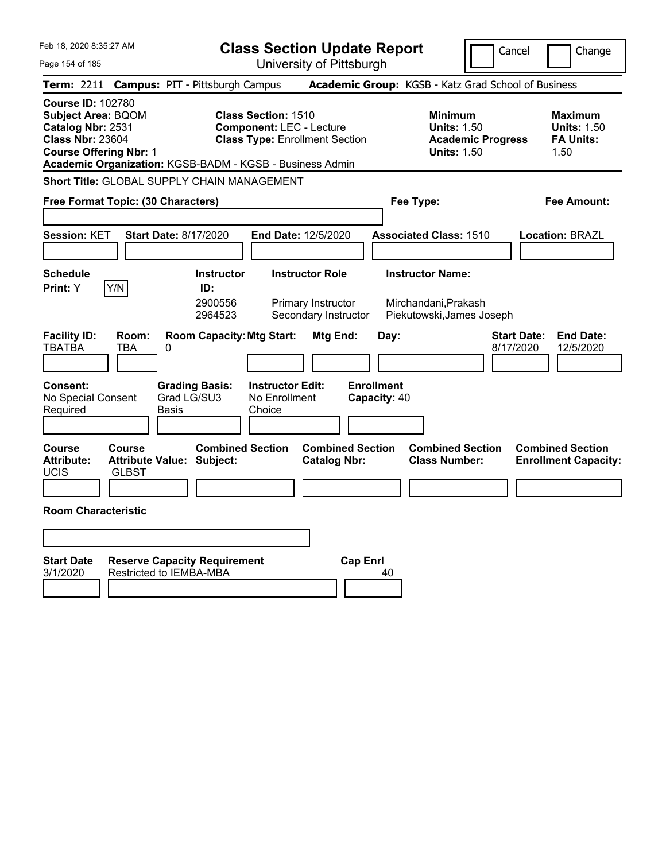| Feb 18, 2020 8:35:27 AM                                                                                                                |                                                                |                                                                      | <b>Class Section Update Report</b>                                                                     |                                                |                                   |      |                                                                                  |                          | Cancel                          | Change                                                           |
|----------------------------------------------------------------------------------------------------------------------------------------|----------------------------------------------------------------|----------------------------------------------------------------------|--------------------------------------------------------------------------------------------------------|------------------------------------------------|-----------------------------------|------|----------------------------------------------------------------------------------|--------------------------|---------------------------------|------------------------------------------------------------------|
| Page 154 of 185                                                                                                                        |                                                                |                                                                      | University of Pittsburgh                                                                               |                                                |                                   |      |                                                                                  |                          |                                 |                                                                  |
|                                                                                                                                        | Term: 2211 Campus: PIT - Pittsburgh Campus                     |                                                                      |                                                                                                        |                                                |                                   |      | Academic Group: KGSB - Katz Grad School of Business                              |                          |                                 |                                                                  |
| <b>Course ID: 102780</b><br><b>Subject Area: BQOM</b><br>Catalog Nbr: 2531<br><b>Class Nbr: 23604</b><br><b>Course Offering Nbr: 1</b> | Academic Organization: KGSB-BADM - KGSB - Business Admin       |                                                                      | <b>Class Section: 1510</b><br><b>Component: LEC - Lecture</b><br><b>Class Type: Enrollment Section</b> |                                                |                                   |      | <b>Minimum</b><br><b>Units: 1.50</b><br><b>Units: 1.50</b>                       | <b>Academic Progress</b> |                                 | <b>Maximum</b><br><b>Units: 1.50</b><br><b>FA Units:</b><br>1.50 |
|                                                                                                                                        | Short Title: GLOBAL SUPPLY CHAIN MANAGEMENT                    |                                                                      |                                                                                                        |                                                |                                   |      |                                                                                  |                          |                                 |                                                                  |
|                                                                                                                                        | Free Format Topic: (30 Characters)                             |                                                                      |                                                                                                        |                                                |                                   |      | Fee Type:                                                                        |                          |                                 | <b>Fee Amount:</b>                                               |
| <b>Session: KET</b><br><b>Schedule</b><br>Print: Y                                                                                     | <b>Start Date: 8/17/2020</b><br>Y/N                            | <b>Instructor</b><br>ID:<br>2900556                                  | End Date: 12/5/2020                                                                                    | <b>Instructor Role</b><br>Primary Instructor   |                                   |      | <b>Associated Class: 1510</b><br><b>Instructor Name:</b><br>Mirchandani, Prakash |                          |                                 | <b>Location: BRAZL</b>                                           |
| <b>Facility ID:</b><br><b>TBATBA</b><br><b>Consent:</b><br>No Special Consent<br>Required                                              | Room:<br>TBA<br>0<br>Grad LG/SU3<br>Basis                      | 2964523<br><b>Room Capacity: Mtg Start:</b><br><b>Grading Basis:</b> | <b>Instructor Edit:</b><br>No Enrollment<br>Choice                                                     | Secondary Instructor<br>Mtg End:               | <b>Enrollment</b><br>Capacity: 40 | Day: | Piekutowski, James Joseph                                                        |                          | <b>Start Date:</b><br>8/17/2020 | <b>End Date:</b><br>12/5/2020                                    |
|                                                                                                                                        |                                                                |                                                                      |                                                                                                        |                                                |                                   |      |                                                                                  |                          |                                 |                                                                  |
| <b>Course</b><br><b>Attribute:</b><br><b>UCIS</b><br><b>Room Characteristic</b>                                                        | Course<br><b>Attribute Value: Subject:</b><br><b>GLBST</b>     | <b>Combined Section</b>                                              |                                                                                                        | <b>Combined Section</b><br><b>Catalog Nbr:</b> |                                   |      | <b>Combined Section</b><br><b>Class Number:</b>                                  |                          |                                 | <b>Combined Section</b><br><b>Enrollment Capacity:</b>           |
|                                                                                                                                        |                                                                |                                                                      |                                                                                                        |                                                |                                   |      |                                                                                  |                          |                                 |                                                                  |
| <b>Start Date</b><br>3/1/2020                                                                                                          | <b>Reserve Capacity Requirement</b><br>Restricted to IEMBA-MBA |                                                                      |                                                                                                        |                                                | <b>Cap Enrl</b>                   | 40   |                                                                                  |                          |                                 |                                                                  |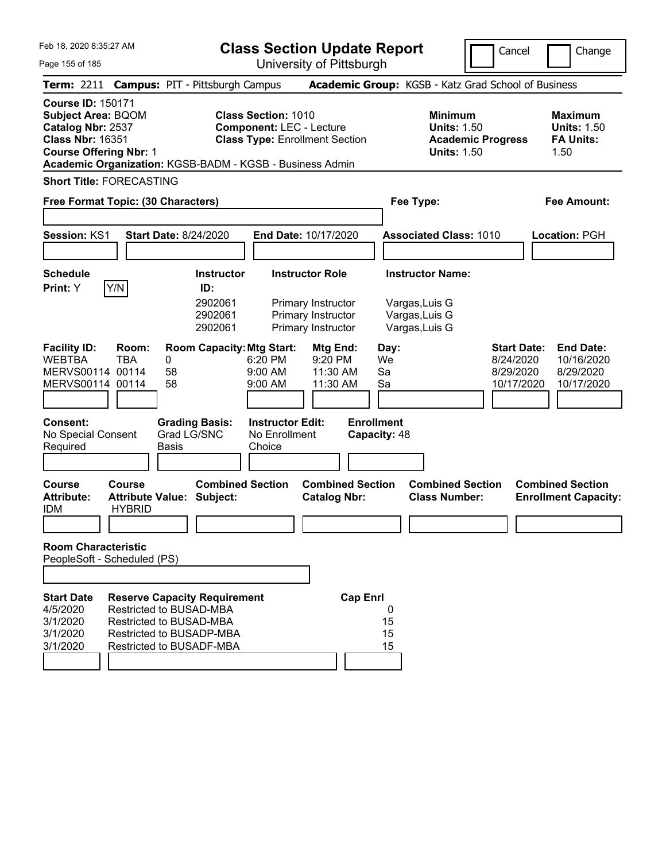|  | Feb 18, 2020 8:35:27 AM |  |
|--|-------------------------|--|
|  |                         |  |

Cancel Change

Page 155 of 185

|                                                                                                                                        |                                | Term: 2211 Campus: PIT - Pittsburgh Campus                                                                                                               |                                                               |                                                                                          |                                   | Academic Group: KGSB - Katz Grad School of Business                                    |                                                            |                                                                  |
|----------------------------------------------------------------------------------------------------------------------------------------|--------------------------------|----------------------------------------------------------------------------------------------------------------------------------------------------------|---------------------------------------------------------------|------------------------------------------------------------------------------------------|-----------------------------------|----------------------------------------------------------------------------------------|------------------------------------------------------------|------------------------------------------------------------------|
| <b>Course ID: 150171</b><br><b>Subject Area: BQOM</b><br>Catalog Nbr: 2537<br><b>Class Nbr: 16351</b><br><b>Course Offering Nbr: 1</b> |                                | Academic Organization: KGSB-BADM - KGSB - Business Admin                                                                                                 | <b>Class Section: 1010</b><br><b>Component: LEC - Lecture</b> | <b>Class Type: Enrollment Section</b>                                                    |                                   | <b>Minimum</b><br><b>Units: 1.50</b><br><b>Academic Progress</b><br><b>Units: 1.50</b> |                                                            | <b>Maximum</b><br><b>Units: 1.50</b><br><b>FA Units:</b><br>1.50 |
| <b>Short Title: FORECASTING</b>                                                                                                        |                                |                                                                                                                                                          |                                                               |                                                                                          |                                   |                                                                                        |                                                            |                                                                  |
|                                                                                                                                        |                                | Free Format Topic: (30 Characters)                                                                                                                       |                                                               |                                                                                          |                                   | Fee Type:                                                                              |                                                            | Fee Amount:                                                      |
| Session: KS1                                                                                                                           |                                | <b>Start Date: 8/24/2020</b>                                                                                                                             |                                                               | End Date: 10/17/2020                                                                     |                                   | <b>Associated Class: 1010</b>                                                          |                                                            | Location: PGH                                                    |
| <b>Schedule</b><br>Print: Y                                                                                                            | Y/N                            | <b>Instructor</b><br>ID:<br>2902061<br>2902061<br>2902061                                                                                                |                                                               | <b>Instructor Role</b><br>Primary Instructor<br>Primary Instructor<br>Primary Instructor |                                   | <b>Instructor Name:</b><br>Vargas, Luis G<br>Vargas, Luis G<br>Vargas, Luis G          |                                                            |                                                                  |
| <b>Facility ID:</b><br><b>WEBTBA</b><br>MERVS00114 00114<br>MERVS00114 00114                                                           | Room:<br><b>TBA</b>            | <b>Room Capacity: Mtg Start:</b><br>0<br>58<br>58                                                                                                        | 6:20 PM<br>9:00 AM<br>9:00 AM                                 | <b>Mtg End:</b><br>9:20 PM<br>11:30 AM<br>11:30 AM                                       | Day:<br>We<br>Sa<br>Sa            |                                                                                        | <b>Start Date:</b><br>8/24/2020<br>8/29/2020<br>10/17/2020 | <b>End Date:</b><br>10/16/2020<br>8/29/2020<br>10/17/2020        |
| <b>Consent:</b><br>No Special Consent<br>Required                                                                                      |                                | <b>Grading Basis:</b><br>Grad LG/SNC<br><b>Basis</b>                                                                                                     | <b>Instructor Edit:</b><br>No Enrollment<br>Choice            |                                                                                          | <b>Enrollment</b><br>Capacity: 48 |                                                                                        |                                                            |                                                                  |
| <b>Course</b><br><b>Attribute:</b><br><b>IDM</b><br><b>Room Characteristic</b><br>PeopleSoft - Scheduled (PS)                          | <b>Course</b><br><b>HYBRID</b> | <b>Combined Section</b><br><b>Attribute Value: Subject:</b>                                                                                              |                                                               | <b>Combined Section</b><br><b>Catalog Nbr:</b>                                           |                                   | <b>Combined Section</b><br><b>Class Number:</b>                                        |                                                            | <b>Combined Section</b><br><b>Enrollment Capacity:</b>           |
| <b>Start Date</b><br>4/5/2020<br>3/1/2020<br>3/1/2020<br>3/1/2020                                                                      |                                | <b>Reserve Capacity Requirement</b><br>Restricted to BUSAD-MBA<br><b>Restricted to BUSAD-MBA</b><br>Restricted to BUSADP-MBA<br>Restricted to BUSADF-MBA |                                                               | <b>Cap Enrl</b>                                                                          | 0<br>15<br>15<br>15               |                                                                                        |                                                            |                                                                  |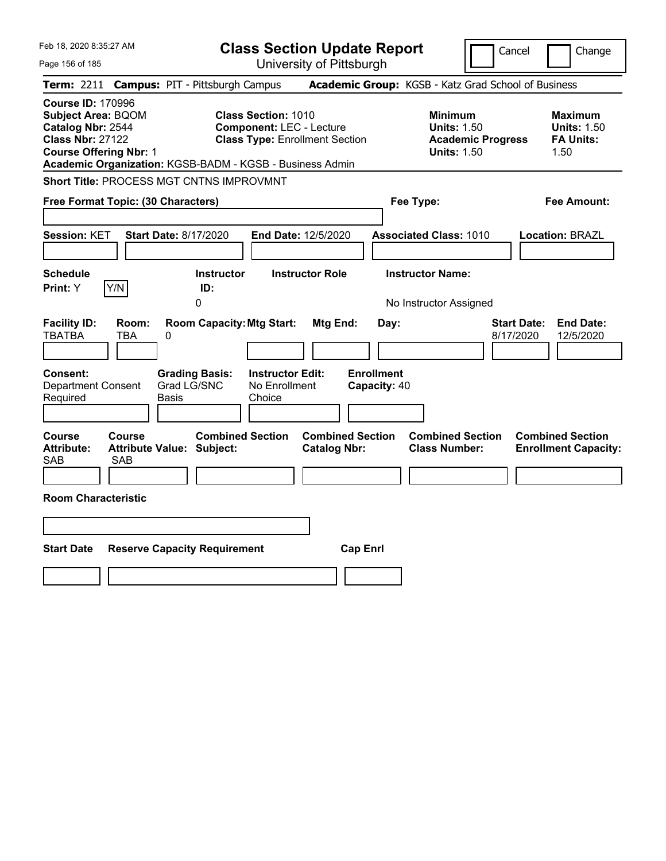| Feb 18, 2020 8:35:27 AM                                                                                                                                                                            | <b>Class Section Update Report</b>                                                                     |                                                                                                   | Cancel<br>Change                                                                             |
|----------------------------------------------------------------------------------------------------------------------------------------------------------------------------------------------------|--------------------------------------------------------------------------------------------------------|---------------------------------------------------------------------------------------------------|----------------------------------------------------------------------------------------------|
| Page 156 of 185                                                                                                                                                                                    | University of Pittsburgh                                                                               |                                                                                                   |                                                                                              |
| <b>Term: 2211</b>                                                                                                                                                                                  | <b>Campus: PIT - Pittsburgh Campus</b>                                                                 | Academic Group: KGSB - Katz Grad School of Business                                               |                                                                                              |
| <b>Course ID: 170996</b><br><b>Subject Area: BQOM</b><br>Catalog Nbr: 2544<br><b>Class Nbr: 27122</b><br><b>Course Offering Nbr: 1</b><br>Academic Organization: KGSB-BADM - KGSB - Business Admin | <b>Class Section: 1010</b><br><b>Component: LEC - Lecture</b><br><b>Class Type: Enrollment Section</b> | <b>Minimum</b><br><b>Units: 1.50</b><br><b>Units: 1.50</b>                                        | <b>Maximum</b><br><b>Units: 1.50</b><br><b>FA Units:</b><br><b>Academic Progress</b><br>1.50 |
| Short Title: PROCESS MGT CNTNS IMPROVMNT                                                                                                                                                           |                                                                                                        |                                                                                                   |                                                                                              |
| Free Format Topic: (30 Characters)                                                                                                                                                                 |                                                                                                        | Fee Type:                                                                                         | Fee Amount:                                                                                  |
| Session: KET<br><b>Start Date: 8/17/2020</b>                                                                                                                                                       | End Date: 12/5/2020                                                                                    | <b>Associated Class: 1010</b>                                                                     | Location: BRAZL                                                                              |
| <b>Schedule</b><br>Y/N<br>Print: Y                                                                                                                                                                 | <b>Instructor</b><br><b>Instructor Role</b><br>ID:<br>0                                                | <b>Instructor Name:</b><br>No Instructor Assigned                                                 |                                                                                              |
| <b>Facility ID:</b><br>Room:<br><b>TBATBA</b><br>TBA<br>0                                                                                                                                          | <b>Room Capacity: Mtg Start:</b>                                                                       | <b>Mtg End:</b><br>Day:                                                                           | <b>Start Date:</b><br><b>End Date:</b><br>8/17/2020<br>12/5/2020                             |
| Consent:<br><b>Department Consent</b><br>Required<br>Basis                                                                                                                                         | <b>Grading Basis:</b><br><b>Instructor Edit:</b><br>Grad LG/SNC<br>No Enrollment<br>Choice             | <b>Enrollment</b><br>Capacity: 40                                                                 |                                                                                              |
| Course<br><b>Course</b><br><b>Attribute:</b><br>Attribute Value: Subject:<br>SAB<br><b>SAB</b>                                                                                                     | <b>Combined Section</b>                                                                                | <b>Combined Section</b><br><b>Combined Section</b><br><b>Class Number:</b><br><b>Catalog Nbr:</b> | <b>Combined Section</b><br><b>Enrollment Capacity:</b>                                       |
| <b>Room Characteristic</b>                                                                                                                                                                         |                                                                                                        |                                                                                                   |                                                                                              |
|                                                                                                                                                                                                    |                                                                                                        |                                                                                                   |                                                                                              |
| <b>Start Date</b><br><b>Reserve Capacity Requirement</b>                                                                                                                                           |                                                                                                        | <b>Cap Enrl</b>                                                                                   |                                                                                              |
|                                                                                                                                                                                                    |                                                                                                        |                                                                                                   |                                                                                              |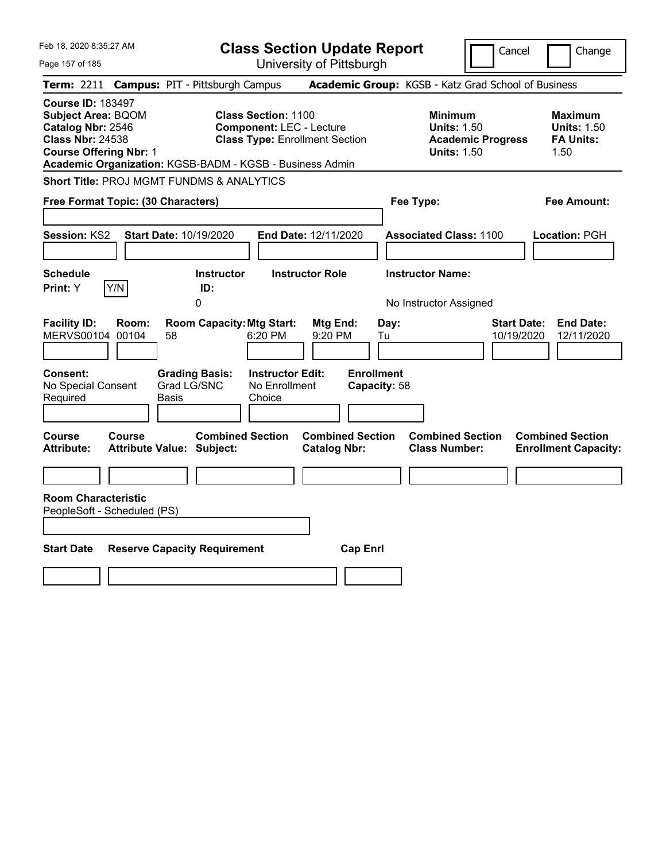| Feb 18, 2020 8:35:27 AM                                                                                                                                                                            | <b>Class Section Update Report</b>                                                                                                                |                                                                            | Cancel<br>Change                                                                             |
|----------------------------------------------------------------------------------------------------------------------------------------------------------------------------------------------------|---------------------------------------------------------------------------------------------------------------------------------------------------|----------------------------------------------------------------------------|----------------------------------------------------------------------------------------------|
| Page 157 of 185                                                                                                                                                                                    | University of Pittsburgh                                                                                                                          |                                                                            |                                                                                              |
| <b>Term: 2211</b>                                                                                                                                                                                  | <b>Campus: PIT - Pittsburgh Campus</b>                                                                                                            | Academic Group: KGSB - Katz Grad School of Business                        |                                                                                              |
| <b>Course ID: 183497</b><br><b>Subject Area: BQOM</b><br>Catalog Nbr: 2546<br><b>Class Nbr: 24538</b><br><b>Course Offering Nbr: 1</b><br>Academic Organization: KGSB-BADM - KGSB - Business Admin | <b>Class Section: 1100</b><br><b>Component: LEC - Lecture</b><br><b>Class Type: Enrollment Section</b>                                            | <b>Minimum</b><br><b>Units: 1.50</b><br><b>Units: 1.50</b>                 | <b>Maximum</b><br><b>Units: 1.50</b><br><b>FA Units:</b><br><b>Academic Progress</b><br>1.50 |
| <b>Short Title: PROJ MGMT FUNDMS &amp; ANALYTICS</b>                                                                                                                                               |                                                                                                                                                   |                                                                            |                                                                                              |
| Free Format Topic: (30 Characters)                                                                                                                                                                 |                                                                                                                                                   | Fee Type:                                                                  | Fee Amount:                                                                                  |
| <b>Session: KS2</b><br><b>Start Date: 10/19/2020</b>                                                                                                                                               | End Date: 12/11/2020                                                                                                                              | <b>Associated Class: 1100</b>                                              | Location: PGH                                                                                |
| <b>Schedule</b><br>Y/N<br>Print: Y                                                                                                                                                                 | <b>Instructor Role</b><br><b>Instructor</b><br>ID:                                                                                                | <b>Instructor Name:</b>                                                    |                                                                                              |
|                                                                                                                                                                                                    | 0                                                                                                                                                 | No Instructor Assigned                                                     |                                                                                              |
| <b>Facility ID:</b><br>Room:<br>MERVS00104 00104<br>58<br>Consent:<br>Grad LG/SNC<br>No Special Consent<br>Required<br>Basis                                                                       | <b>Room Capacity: Mtg Start:</b><br>Mtg End:<br>6:20 PM<br>9:20 PM<br><b>Instructor Edit:</b><br><b>Grading Basis:</b><br>No Enrollment<br>Choice | Day:<br>Tu<br><b>Enrollment</b><br>Capacity: 58                            | <b>End Date:</b><br><b>Start Date:</b><br>10/19/2020<br>12/11/2020                           |
| Course<br>Course<br><b>Attribute:</b><br><b>Attribute Value: Subject:</b><br><b>Room Characteristic</b>                                                                                            | <b>Combined Section</b><br><b>Catalog Nbr:</b>                                                                                                    | <b>Combined Section</b><br><b>Combined Section</b><br><b>Class Number:</b> | <b>Combined Section</b><br><b>Enrollment Capacity:</b>                                       |
| PeopleSoft - Scheduled (PS)                                                                                                                                                                        |                                                                                                                                                   |                                                                            |                                                                                              |
| <b>Start Date</b><br><b>Reserve Capacity Requirement</b>                                                                                                                                           |                                                                                                                                                   | <b>Cap Enrl</b>                                                            |                                                                                              |
|                                                                                                                                                                                                    |                                                                                                                                                   |                                                                            |                                                                                              |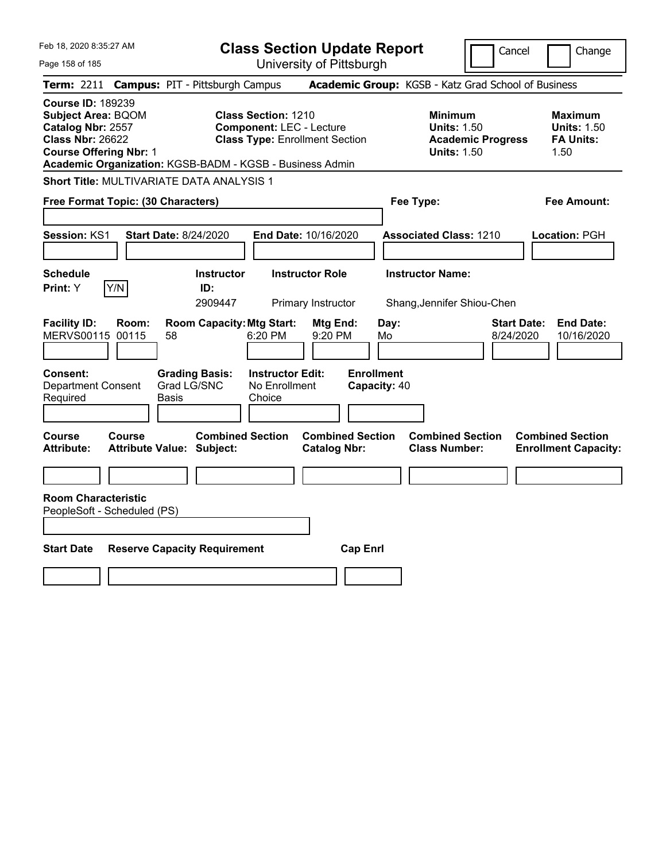| Feb 18, 2020 8:35:27 AM                                                                                                                                                                            | <b>Class Section Update Report</b>                                                                     |                                                                            | Cancel<br>Change                                                                             |
|----------------------------------------------------------------------------------------------------------------------------------------------------------------------------------------------------|--------------------------------------------------------------------------------------------------------|----------------------------------------------------------------------------|----------------------------------------------------------------------------------------------|
| Page 158 of 185                                                                                                                                                                                    | University of Pittsburgh                                                                               |                                                                            |                                                                                              |
| <b>Term: 2211</b>                                                                                                                                                                                  | <b>Campus: PIT - Pittsburgh Campus</b>                                                                 | Academic Group: KGSB - Katz Grad School of Business                        |                                                                                              |
| <b>Course ID: 189239</b><br><b>Subject Area: BQOM</b><br>Catalog Nbr: 2557<br><b>Class Nbr: 26622</b><br><b>Course Offering Nbr: 1</b><br>Academic Organization: KGSB-BADM - KGSB - Business Admin | <b>Class Section: 1210</b><br><b>Component: LEC - Lecture</b><br><b>Class Type: Enrollment Section</b> | <b>Minimum</b><br><b>Units: 1.50</b><br><b>Units: 1.50</b>                 | <b>Maximum</b><br><b>Units: 1.50</b><br><b>FA Units:</b><br><b>Academic Progress</b><br>1.50 |
| <b>Short Title: MULTIVARIATE DATA ANALYSIS 1</b>                                                                                                                                                   |                                                                                                        |                                                                            |                                                                                              |
| Free Format Topic: (30 Characters)                                                                                                                                                                 |                                                                                                        | Fee Type:                                                                  | Fee Amount:                                                                                  |
| <b>Session: KS1</b><br><b>Start Date: 8/24/2020</b>                                                                                                                                                | <b>End Date: 10/16/2020</b>                                                                            | <b>Associated Class: 1210</b>                                              | Location: PGH                                                                                |
| <b>Schedule</b><br>Y/N<br>Print: Y                                                                                                                                                                 | <b>Instructor Role</b><br><b>Instructor</b><br>ID:<br>2909447<br>Primary Instructor                    | <b>Instructor Name:</b><br>Shang, Jennifer Shiou-Chen                      |                                                                                              |
| <b>Facility ID:</b><br>Room:<br>MERVS00115 00115<br>58                                                                                                                                             | <b>Room Capacity: Mtg Start:</b><br>Mtg End:<br>6:20 PM<br>9:20 PM                                     | Day:<br>Mo                                                                 | <b>End Date:</b><br><b>Start Date:</b><br>10/16/2020<br>8/24/2020                            |
| <b>Consent:</b><br><b>Grading Basis:</b><br>Grad LG/SNC<br><b>Department Consent</b><br>Required<br>Basis                                                                                          | <b>Instructor Edit:</b><br>No Enrollment<br>Choice                                                     | <b>Enrollment</b><br>Capacity: 40                                          |                                                                                              |
| Course<br>Course<br><b>Attribute:</b><br><b>Attribute Value: Subject:</b>                                                                                                                          | <b>Combined Section</b><br><b>Catalog Nbr:</b>                                                         | <b>Combined Section</b><br><b>Combined Section</b><br><b>Class Number:</b> | <b>Combined Section</b><br><b>Enrollment Capacity:</b>                                       |
|                                                                                                                                                                                                    |                                                                                                        |                                                                            |                                                                                              |
| <b>Room Characteristic</b><br>PeopleSoft - Scheduled (PS)                                                                                                                                          |                                                                                                        |                                                                            |                                                                                              |
| <b>Start Date</b><br><b>Reserve Capacity Requirement</b>                                                                                                                                           |                                                                                                        | <b>Cap Enrl</b>                                                            |                                                                                              |
|                                                                                                                                                                                                    |                                                                                                        |                                                                            |                                                                                              |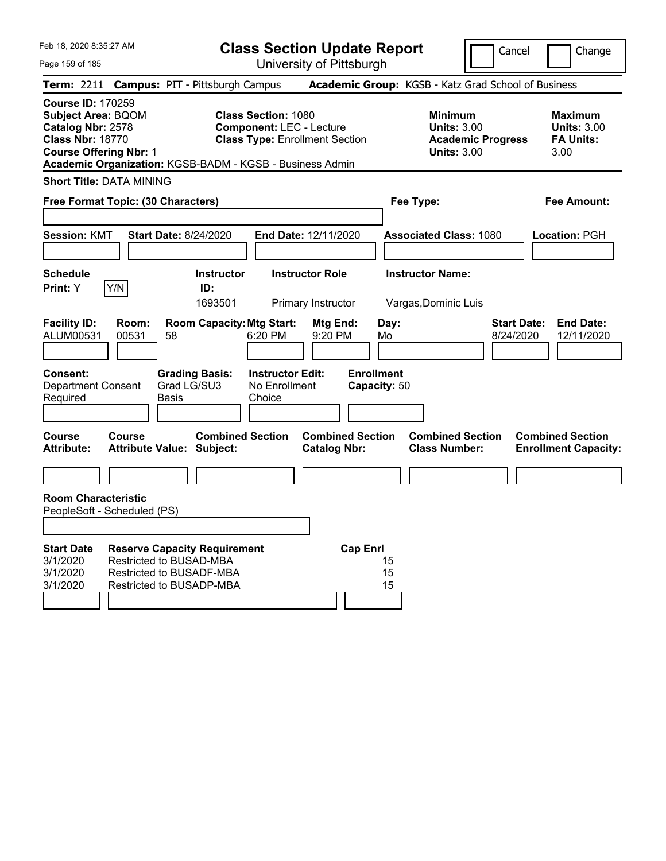Feb 18, 2020 8:35:27 AM

Page 159 of 185

**Class Section Update Report**

University of Pittsburgh

Cancel **Change** 

|                                                                                                                                        | Term: 2211 Campus: PIT - Pittsburgh Campus                                                                                                                         |                                                | Academic Group: KGSB - Katz Grad School of Business                                    |                                                             |
|----------------------------------------------------------------------------------------------------------------------------------------|--------------------------------------------------------------------------------------------------------------------------------------------------------------------|------------------------------------------------|----------------------------------------------------------------------------------------|-------------------------------------------------------------|
| <b>Course ID: 170259</b><br><b>Subject Area: BQOM</b><br>Catalog Nbr: 2578<br><b>Class Nbr: 18770</b><br><b>Course Offering Nbr: 1</b> | <b>Class Section: 1080</b><br><b>Component: LEC - Lecture</b><br><b>Class Type: Enrollment Section</b><br>Academic Organization: KGSB-BADM - KGSB - Business Admin |                                                | <b>Minimum</b><br><b>Units: 3.00</b><br><b>Academic Progress</b><br><b>Units: 3.00</b> | <b>Maximum</b><br>Units: $3.00$<br><b>FA Units:</b><br>3.00 |
| <b>Short Title: DATA MINING</b>                                                                                                        |                                                                                                                                                                    |                                                |                                                                                        |                                                             |
| Free Format Topic: (30 Characters)                                                                                                     |                                                                                                                                                                    |                                                | Fee Type:                                                                              | Fee Amount:                                                 |
| <b>Session: KMT</b>                                                                                                                    | <b>Start Date: 8/24/2020</b>                                                                                                                                       | End Date: 12/11/2020                           | <b>Associated Class: 1080</b>                                                          | Location: PGH                                               |
| Schedule<br>Y/N<br>Print: Y                                                                                                            | <b>Instructor</b><br>ID:                                                                                                                                           | <b>Instructor Role</b>                         | <b>Instructor Name:</b>                                                                |                                                             |
| <b>Facility ID:</b><br>Room:                                                                                                           | 1693501<br><b>Room Capacity: Mtg Start:</b>                                                                                                                        | Primary Instructor<br>Mtg End:<br>Day:         | Vargas, Dominic Luis<br><b>Start Date:</b>                                             | <b>End Date:</b>                                            |
| ALUM00531<br>00531                                                                                                                     | 58<br>6:20 PM                                                                                                                                                      | 9:20 PM<br>Mo                                  | 8/24/2020                                                                              | 12/11/2020                                                  |
| Consent:<br>Department Consent<br>Required                                                                                             | <b>Grading Basis:</b><br><b>Instructor Edit:</b><br>Grad LG/SU3<br>No Enrollment<br>Basis<br>Choice                                                                | <b>Enrollment</b><br>Capacity: 50              |                                                                                        |                                                             |
| Course<br>Course<br>Attribute:                                                                                                         | <b>Combined Section</b><br><b>Attribute Value: Subject:</b>                                                                                                        | <b>Combined Section</b><br><b>Catalog Nbr:</b> | <b>Combined Section</b><br><b>Class Number:</b>                                        | <b>Combined Section</b><br><b>Enrollment Capacity:</b>      |
|                                                                                                                                        |                                                                                                                                                                    |                                                |                                                                                        |                                                             |
| <b>Room Characteristic</b><br>PeopleSoft - Scheduled (PS)                                                                              |                                                                                                                                                                    |                                                |                                                                                        |                                                             |
| <b>Start Date</b><br>3/1/2020<br>3/1/2020<br>3/1/2020                                                                                  | <b>Reserve Capacity Requirement</b><br>Restricted to BUSAD-MBA<br>Restricted to BUSADF-MBA<br>Restricted to BUSADP-MBA                                             | <b>Cap Enrl</b><br>15<br>15<br>15              |                                                                                        |                                                             |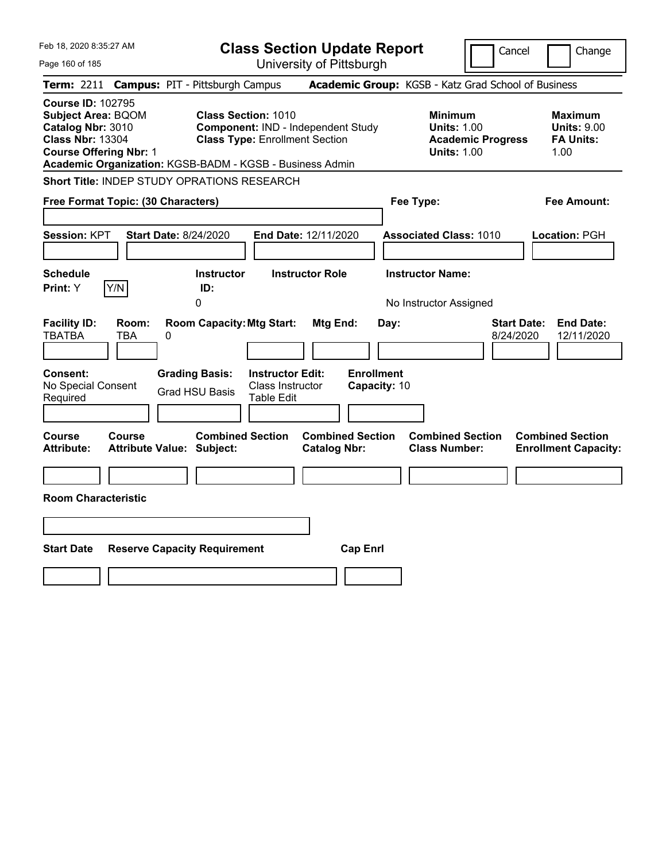| Feb 18, 2020 8:35:27 AM                                                                                                                                                                            |                                                   |                                                                                    |                                                           | <b>Class Section Update Report</b>                  |                                           |                                                            | Cancel                   | Change                                                           |
|----------------------------------------------------------------------------------------------------------------------------------------------------------------------------------------------------|---------------------------------------------------|------------------------------------------------------------------------------------|-----------------------------------------------------------|-----------------------------------------------------|-------------------------------------------|------------------------------------------------------------|--------------------------|------------------------------------------------------------------|
| Page 160 of 185                                                                                                                                                                                    |                                                   |                                                                                    |                                                           | University of Pittsburgh                            |                                           |                                                            |                          |                                                                  |
| <b>Term: 2211</b>                                                                                                                                                                                  | <b>Campus: PIT - Pittsburgh Campus</b>            |                                                                                    |                                                           | Academic Group: KGSB - Katz Grad School of Business |                                           |                                                            |                          |                                                                  |
| <b>Course ID: 102795</b><br><b>Subject Area: BQOM</b><br>Catalog Nbr: 3010<br><b>Class Nbr: 13304</b><br><b>Course Offering Nbr: 1</b><br>Academic Organization: KGSB-BADM - KGSB - Business Admin |                                                   | <b>Class Section: 1010</b><br><b>Class Type: Enrollment Section</b>                |                                                           | Component: IND - Independent Study                  |                                           | <b>Minimum</b><br><b>Units: 1.00</b><br><b>Units: 1.00</b> | <b>Academic Progress</b> | <b>Maximum</b><br><b>Units: 9.00</b><br><b>FA Units:</b><br>1.00 |
| <b>Short Title: INDEP STUDY OPRATIONS RESEARCH</b>                                                                                                                                                 |                                                   |                                                                                    |                                                           |                                                     |                                           |                                                            |                          |                                                                  |
| Free Format Topic: (30 Characters)                                                                                                                                                                 |                                                   |                                                                                    |                                                           |                                                     |                                           | Fee Type:                                                  |                          | Fee Amount:                                                      |
| Session: KPT<br><b>Schedule</b>                                                                                                                                                                    | <b>Start Date: 8/24/2020</b>                      | <b>Instructor</b>                                                                  |                                                           | End Date: 12/11/2020<br><b>Instructor Role</b>      |                                           | <b>Associated Class: 1010</b><br><b>Instructor Name:</b>   |                          | Location: PGH                                                    |
| Y/N<br><b>Print:</b> Y                                                                                                                                                                             |                                                   | ID:<br>0                                                                           |                                                           |                                                     |                                           | No Instructor Assigned                                     |                          |                                                                  |
| <b>Facility ID:</b><br><b>TBATBA</b><br><b>Consent:</b><br>No Special Consent<br>Required                                                                                                          | Room:<br>TBA<br>0                                 | <b>Room Capacity: Mtg Start:</b><br><b>Grading Basis:</b><br><b>Grad HSU Basis</b> | <b>Instructor Edit:</b><br>Class Instructor<br>Table Edit | Mtg End:                                            | Day:<br><b>Enrollment</b><br>Capacity: 10 |                                                            | 8/24/2020                | <b>Start Date:</b><br><b>End Date:</b><br>12/11/2020             |
| Course<br><b>Attribute:</b>                                                                                                                                                                        | <b>Course</b><br><b>Attribute Value: Subject:</b> | <b>Combined Section</b>                                                            |                                                           | <b>Combined Section</b><br><b>Catalog Nbr:</b>      |                                           | <b>Combined Section</b><br><b>Class Number:</b>            |                          | <b>Combined Section</b><br><b>Enrollment Capacity:</b>           |
|                                                                                                                                                                                                    |                                                   |                                                                                    |                                                           |                                                     |                                           |                                                            |                          |                                                                  |
| <b>Room Characteristic</b>                                                                                                                                                                         |                                                   |                                                                                    |                                                           |                                                     |                                           |                                                            |                          |                                                                  |
|                                                                                                                                                                                                    |                                                   |                                                                                    |                                                           |                                                     |                                           |                                                            |                          |                                                                  |
| <b>Start Date</b>                                                                                                                                                                                  | <b>Reserve Capacity Requirement</b>               |                                                                                    |                                                           | <b>Cap Enrl</b>                                     |                                           |                                                            |                          |                                                                  |
|                                                                                                                                                                                                    |                                                   |                                                                                    |                                                           |                                                     |                                           |                                                            |                          |                                                                  |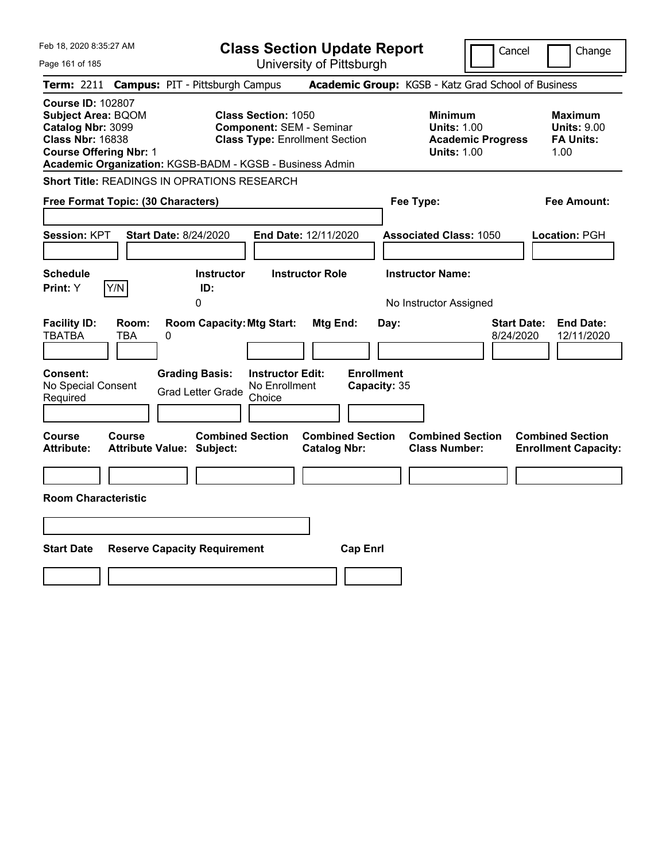| Feb 18, 2020 8:35:27 AM                                                                                                                |                                                                                                                                                                    | <b>Class Section Update Report</b>                    | Cancel                                                                                 | Change                                                           |
|----------------------------------------------------------------------------------------------------------------------------------------|--------------------------------------------------------------------------------------------------------------------------------------------------------------------|-------------------------------------------------------|----------------------------------------------------------------------------------------|------------------------------------------------------------------|
| Page 161 of 185                                                                                                                        |                                                                                                                                                                    | University of Pittsburgh                              |                                                                                        |                                                                  |
| <b>Term:</b> 2211                                                                                                                      | <b>Campus: PIT - Pittsburgh Campus</b>                                                                                                                             |                                                       | Academic Group: KGSB - Katz Grad School of Business                                    |                                                                  |
| <b>Course ID: 102807</b><br><b>Subject Area: BQOM</b><br>Catalog Nbr: 3099<br><b>Class Nbr: 16838</b><br><b>Course Offering Nbr: 1</b> | <b>Class Section: 1050</b><br><b>Component: SEM - Seminar</b><br><b>Class Type: Enrollment Section</b><br>Academic Organization: KGSB-BADM - KGSB - Business Admin |                                                       | <b>Minimum</b><br><b>Units: 1.00</b><br><b>Academic Progress</b><br><b>Units: 1.00</b> | <b>Maximum</b><br><b>Units: 9.00</b><br><b>FA Units:</b><br>1.00 |
|                                                                                                                                        | <b>Short Title: READINGS IN OPRATIONS RESEARCH</b>                                                                                                                 |                                                       |                                                                                        |                                                                  |
| Free Format Topic: (30 Characters)                                                                                                     |                                                                                                                                                                    |                                                       | Fee Type:                                                                              | Fee Amount:                                                      |
| <b>Session: KPT</b><br><b>Schedule</b><br>Y/N<br>Print: Y                                                                              | Start Date: 8/24/2020<br><b>Instructor</b><br>ID:<br>0                                                                                                             | End Date: 12/11/2020<br><b>Instructor Role</b>        | <b>Associated Class: 1050</b><br><b>Instructor Name:</b><br>No Instructor Assigned     | Location: PGH                                                    |
| <b>Facility ID:</b><br>Room:<br><b>TBATBA</b><br>TBA<br><b>Consent:</b><br>No Special Consent<br>Required                              | <b>Room Capacity: Mtg Start:</b><br>0<br><b>Grading Basis:</b><br><b>Instructor Edit:</b><br>No Enrollment<br><b>Grad Letter Grade</b><br>Choice                   | Mtg End:<br>Day:<br><b>Enrollment</b><br>Capacity: 35 | 8/24/2020                                                                              | <b>End Date:</b><br><b>Start Date:</b><br>12/11/2020             |
| Course<br><b>Course</b><br><b>Attribute:</b><br><b>Room Characteristic</b>                                                             | <b>Combined Section</b><br>Attribute Value: Subject:                                                                                                               | <b>Combined Section</b><br><b>Catalog Nbr:</b>        | <b>Combined Section</b><br><b>Class Number:</b>                                        | <b>Combined Section</b><br><b>Enrollment Capacity:</b>           |
|                                                                                                                                        |                                                                                                                                                                    |                                                       |                                                                                        |                                                                  |
| <b>Start Date</b>                                                                                                                      | <b>Reserve Capacity Requirement</b>                                                                                                                                | <b>Cap Enrl</b>                                       |                                                                                        |                                                                  |
|                                                                                                                                        |                                                                                                                                                                    |                                                       |                                                                                        |                                                                  |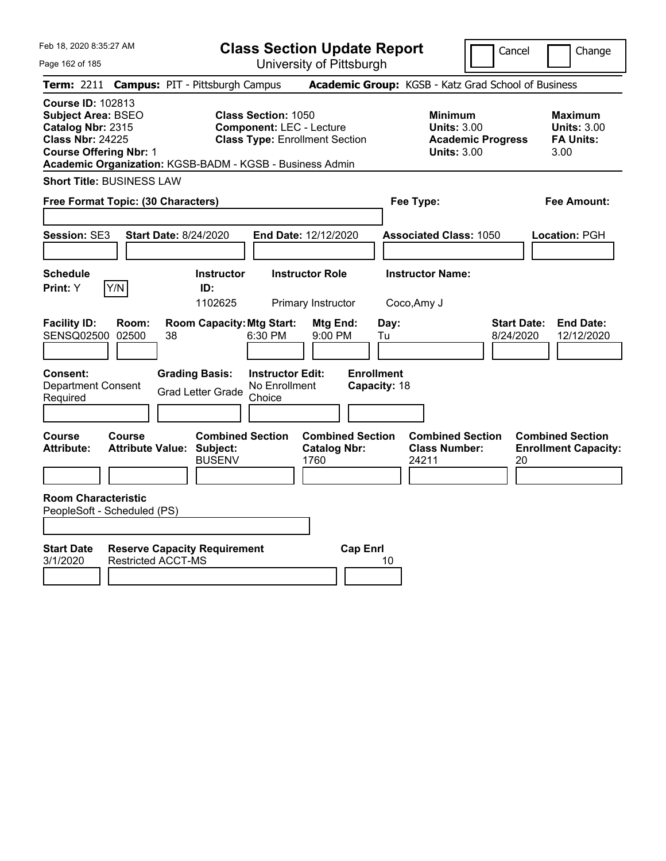| Feb 18, 2020 8:35:27 AM |  |
|-------------------------|--|
|                         |  |

Page 162 of 185

**Class Section Update Report**

University of Pittsburgh

Cancel Change

|                                                                                                                                 | Term: 2211 Campus: PIT - Pittsburgh Campus                                                                                                                         |                                                        | Academic Group: KGSB - Katz Grad School of Business                                    |                                                                  |
|---------------------------------------------------------------------------------------------------------------------------------|--------------------------------------------------------------------------------------------------------------------------------------------------------------------|--------------------------------------------------------|----------------------------------------------------------------------------------------|------------------------------------------------------------------|
| Course ID: 102813<br><b>Subject Area: BSEO</b><br>Catalog Nbr: 2315<br><b>Class Nbr: 24225</b><br><b>Course Offering Nbr: 1</b> | <b>Class Section: 1050</b><br><b>Component: LEC - Lecture</b><br><b>Class Type: Enrollment Section</b><br>Academic Organization: KGSB-BADM - KGSB - Business Admin |                                                        | <b>Minimum</b><br><b>Units: 3.00</b><br><b>Academic Progress</b><br><b>Units: 3.00</b> | <b>Maximum</b><br><b>Units: 3.00</b><br><b>FA Units:</b><br>3.00 |
| <b>Short Title: BUSINESS LAW</b>                                                                                                |                                                                                                                                                                    |                                                        |                                                                                        |                                                                  |
| Free Format Topic: (30 Characters)                                                                                              |                                                                                                                                                                    |                                                        | Fee Type:                                                                              | <b>Fee Amount:</b>                                               |
| Session: SE3                                                                                                                    | <b>Start Date: 8/24/2020</b>                                                                                                                                       | End Date: 12/12/2020                                   | <b>Associated Class: 1050</b>                                                          | Location: PGH                                                    |
| Schedule<br>Y/N<br>Print: Y                                                                                                     | <b>Instructor</b><br>ID:<br>1102625                                                                                                                                | <b>Instructor Role</b><br>Primary Instructor           | <b>Instructor Name:</b><br>Coco, Amy J                                                 |                                                                  |
| <b>Facility ID:</b><br>Room:<br>SENSQ02500 02500                                                                                | <b>Room Capacity: Mtg Start:</b><br>38<br>6:30 PM                                                                                                                  | Mtg End:<br>Day:<br>9:00 PM<br>Tu                      | <b>Start Date:</b><br>8/24/2020                                                        | <b>End Date:</b><br>12/12/2020                                   |
| <b>Consent:</b><br>Department Consent<br>Required                                                                               | <b>Grading Basis:</b><br><b>Instructor Edit:</b><br>No Enrollment<br><b>Grad Letter Grade</b><br>Choice                                                            | <b>Enrollment</b><br>Capacity: 18                      |                                                                                        |                                                                  |
| Course<br>Course<br><b>Attribute Value:</b><br>Attribute:                                                                       | <b>Combined Section</b><br>Subject:<br><b>BUSENV</b>                                                                                                               | <b>Combined Section</b><br><b>Catalog Nbr:</b><br>1760 | <b>Combined Section</b><br><b>Class Number:</b><br>24211                               | <b>Combined Section</b><br><b>Enrollment Capacity:</b><br>20     |
| <b>Room Characteristic</b><br>PeopleSoft - Scheduled (PS)                                                                       |                                                                                                                                                                    |                                                        |                                                                                        |                                                                  |
| <b>Start Date</b><br>3/1/2020<br><b>Restricted ACCT-MS</b>                                                                      | <b>Reserve Capacity Requirement</b>                                                                                                                                | <b>Cap Enrl</b><br>10                                  |                                                                                        |                                                                  |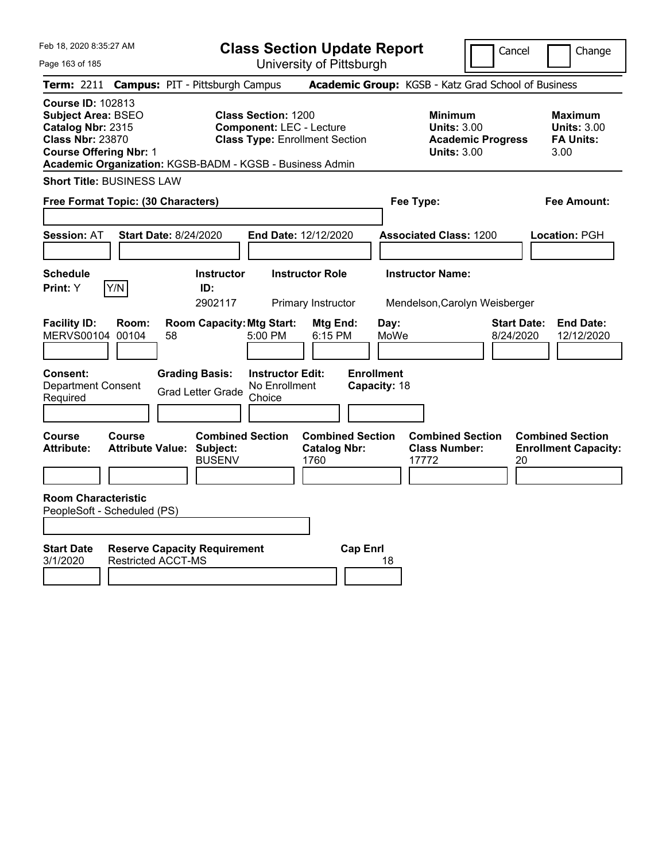|  | Feb 18, 2020 8:35:27 AM |  |
|--|-------------------------|--|
|  |                         |  |

Cancel Change

Page 163 of 185

|                                                                                                                                        |                           | <b>Term: 2211 Campus: PIT - Pittsburgh Campus</b>                            |                                                               |                                                        |                                   | <b>Academic Group:</b> KGSB - Katz Grad School of Business                             |                                 |                                                                  |
|----------------------------------------------------------------------------------------------------------------------------------------|---------------------------|------------------------------------------------------------------------------|---------------------------------------------------------------|--------------------------------------------------------|-----------------------------------|----------------------------------------------------------------------------------------|---------------------------------|------------------------------------------------------------------|
| <b>Course ID: 102813</b><br><b>Subject Area: BSEO</b><br>Catalog Nbr: 2315<br><b>Class Nbr: 23870</b><br><b>Course Offering Nbr: 1</b> |                           | Academic Organization: KGSB-BADM - KGSB - Business Admin                     | <b>Class Section: 1200</b><br><b>Component: LEC - Lecture</b> | <b>Class Type: Enrollment Section</b>                  |                                   | <b>Minimum</b><br><b>Units: 3.00</b><br><b>Academic Progress</b><br><b>Units: 3.00</b> |                                 | <b>Maximum</b><br><b>Units: 3.00</b><br><b>FA Units:</b><br>3.00 |
| <b>Short Title: BUSINESS LAW</b>                                                                                                       |                           |                                                                              |                                                               |                                                        |                                   |                                                                                        |                                 |                                                                  |
| Free Format Topic: (30 Characters)                                                                                                     |                           |                                                                              |                                                               |                                                        |                                   | Fee Type:                                                                              |                                 | <b>Fee Amount:</b>                                               |
| Session: AT                                                                                                                            |                           | <b>Start Date: 8/24/2020</b>                                                 | End Date: 12/12/2020                                          |                                                        |                                   | <b>Associated Class: 1200</b>                                                          |                                 | Location: PGH                                                    |
| <b>Schedule</b><br>Print: Y                                                                                                            | Y/N                       | <b>Instructor</b><br>ID:<br>2902117                                          |                                                               | <b>Instructor Role</b><br>Primary Instructor           |                                   | <b>Instructor Name:</b><br>Mendelson, Carolyn Weisberger                               |                                 |                                                                  |
| <b>Facility ID:</b><br>MERVS00104 00104                                                                                                | Room:                     | <b>Room Capacity: Mtg Start:</b><br>58                                       | 5:00 PM                                                       | Mtg End:<br>6:15 PM                                    | Day:<br>MoWe                      |                                                                                        | <b>Start Date:</b><br>8/24/2020 | <b>End Date:</b><br>12/12/2020                                   |
| <b>Consent:</b><br><b>Department Consent</b><br>Required                                                                               |                           | <b>Grading Basis:</b><br><b>Grad Letter Grade</b>                            | <b>Instructor Edit:</b><br>No Enrollment<br>Choice            |                                                        | <b>Enrollment</b><br>Capacity: 18 |                                                                                        |                                 |                                                                  |
| Course<br><b>Attribute:</b>                                                                                                            | <b>Course</b>             | <b>Combined Section</b><br><b>Attribute Value: Subject:</b><br><b>BUSENV</b> |                                                               | <b>Combined Section</b><br><b>Catalog Nbr:</b><br>1760 |                                   | <b>Combined Section</b><br><b>Class Number:</b><br>17772                               | 20                              | <b>Combined Section</b><br><b>Enrollment Capacity:</b>           |
| <b>Room Characteristic</b><br>PeopleSoft - Scheduled (PS)                                                                              |                           |                                                                              |                                                               |                                                        |                                   |                                                                                        |                                 |                                                                  |
| <b>Start Date</b><br>3/1/2020                                                                                                          | <b>Restricted ACCT-MS</b> | <b>Reserve Capacity Requirement</b>                                          |                                                               | <b>Cap Enrl</b>                                        | 18                                |                                                                                        |                                 |                                                                  |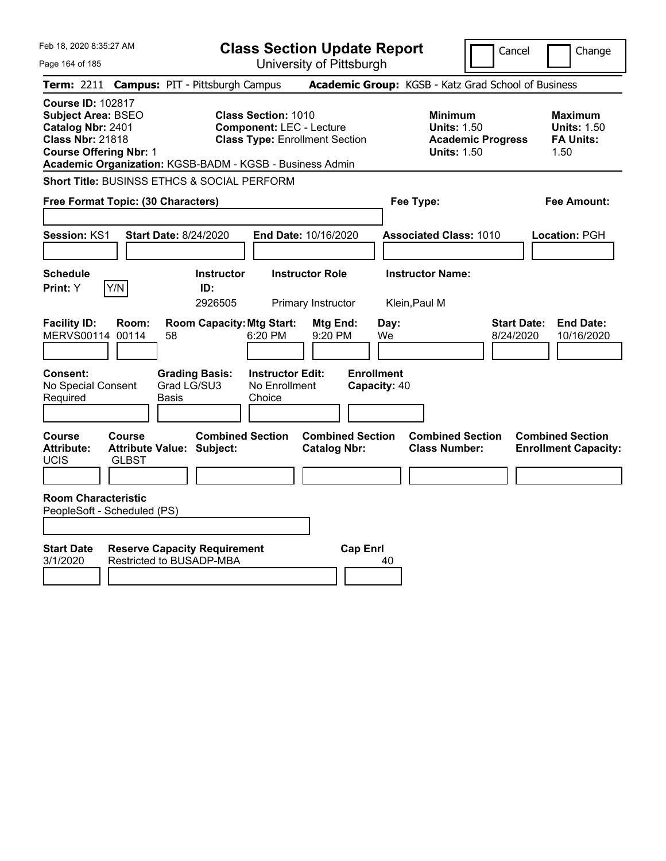| Feb 18, 2020 8:35:27 AM                                                                                                                |                                                                                                                                                                    | <b>Class Section Update Report</b>             |                                                                                        | Cancel<br>Change                                                  |
|----------------------------------------------------------------------------------------------------------------------------------------|--------------------------------------------------------------------------------------------------------------------------------------------------------------------|------------------------------------------------|----------------------------------------------------------------------------------------|-------------------------------------------------------------------|
| Page 164 of 185                                                                                                                        |                                                                                                                                                                    | University of Pittsburgh                       |                                                                                        |                                                                   |
| <b>Term: 2211</b>                                                                                                                      | <b>Campus: PIT - Pittsburgh Campus</b>                                                                                                                             |                                                | Academic Group: KGSB - Katz Grad School of Business                                    |                                                                   |
| <b>Course ID: 102817</b><br><b>Subject Area: BSEO</b><br>Catalog Nbr: 2401<br><b>Class Nbr: 21818</b><br><b>Course Offering Nbr: 1</b> | <b>Class Section: 1010</b><br><b>Component: LEC - Lecture</b><br><b>Class Type: Enrollment Section</b><br>Academic Organization: KGSB-BADM - KGSB - Business Admin |                                                | <b>Minimum</b><br><b>Units: 1.50</b><br><b>Academic Progress</b><br><b>Units: 1.50</b> | <b>Maximum</b><br><b>Units: 1.50</b><br><b>FA Units:</b><br>1.50  |
|                                                                                                                                        | Short Title: BUSINSS ETHCS & SOCIAL PERFORM                                                                                                                        |                                                |                                                                                        |                                                                   |
| Free Format Topic: (30 Characters)                                                                                                     |                                                                                                                                                                    |                                                | Fee Type:                                                                              | Fee Amount:                                                       |
| Session: KS1                                                                                                                           | <b>Start Date: 8/24/2020</b>                                                                                                                                       | End Date: 10/16/2020                           | <b>Associated Class: 1010</b>                                                          | Location: PGH                                                     |
| <b>Schedule</b><br>Y/N<br>Print: Y                                                                                                     | <b>Instructor</b><br>ID:<br>2926505                                                                                                                                | <b>Instructor Role</b><br>Primary Instructor   | <b>Instructor Name:</b><br>Klein, Paul M                                               |                                                                   |
| <b>Facility ID:</b><br>Room:<br>MERVS00114 00114                                                                                       | <b>Room Capacity: Mtg Start:</b><br>58<br>6:20 PM                                                                                                                  | Mtg End:<br>Day:<br>9:20 PM<br>We              |                                                                                        | <b>Start Date:</b><br><b>End Date:</b><br>8/24/2020<br>10/16/2020 |
| Consent:<br>No Special Consent<br>Required                                                                                             | <b>Instructor Edit:</b><br><b>Grading Basis:</b><br>Grad LG/SU3<br>No Enrollment<br>Basis<br>Choice                                                                | <b>Enrollment</b><br>Capacity: 40              |                                                                                        |                                                                   |
| <b>Course</b><br><b>Course</b><br><b>Attribute:</b><br>UCIS<br><b>GLBST</b>                                                            | <b>Combined Section</b><br><b>Attribute Value: Subject:</b>                                                                                                        | <b>Combined Section</b><br><b>Catalog Nbr:</b> | <b>Combined Section</b><br><b>Class Number:</b>                                        | <b>Combined Section</b><br><b>Enrollment Capacity:</b>            |
| <b>Room Characteristic</b><br>PeopleSoft - Scheduled (PS)                                                                              |                                                                                                                                                                    |                                                |                                                                                        |                                                                   |
| <b>Start Date</b><br>3/1/2020                                                                                                          | <b>Reserve Capacity Requirement</b><br>Restricted to BUSADP-MBA                                                                                                    | <b>Cap Enrl</b><br>40                          |                                                                                        |                                                                   |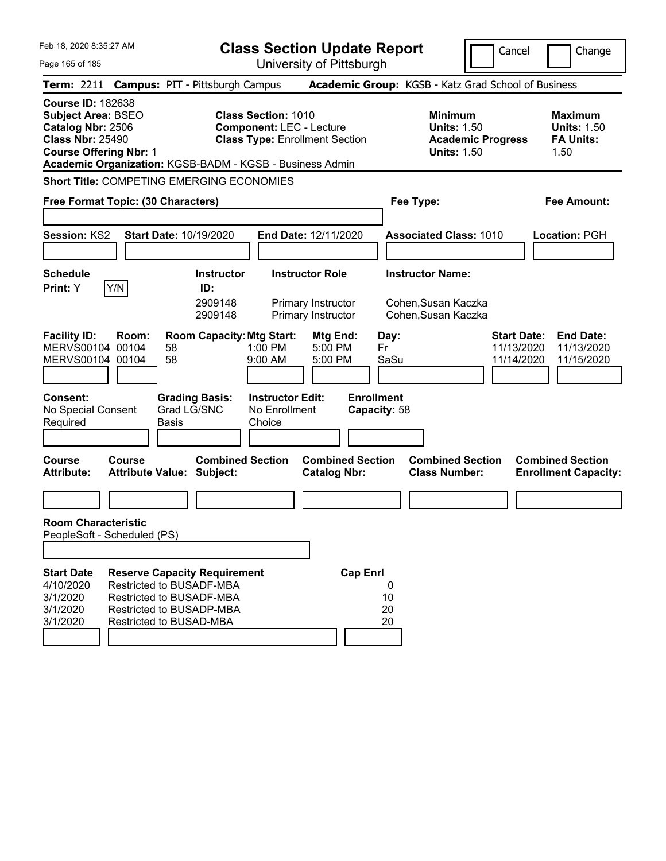| Feb 18, 2020 8:35:27 AM                                                                                                                |        |                                                                                                                                                           |                                                                          | <b>Class Section Update Report</b>                                 |                                                                       |                                                                                        | Cancel<br>Change                                                                               |
|----------------------------------------------------------------------------------------------------------------------------------------|--------|-----------------------------------------------------------------------------------------------------------------------------------------------------------|--------------------------------------------------------------------------|--------------------------------------------------------------------|-----------------------------------------------------------------------|----------------------------------------------------------------------------------------|------------------------------------------------------------------------------------------------|
| Page 165 of 185                                                                                                                        |        |                                                                                                                                                           |                                                                          | University of Pittsburgh                                           |                                                                       |                                                                                        |                                                                                                |
|                                                                                                                                        |        | Term: 2211 Campus: PIT - Pittsburgh Campus                                                                                                                |                                                                          |                                                                    |                                                                       | Academic Group: KGSB - Katz Grad School of Business                                    |                                                                                                |
| <b>Course ID: 182638</b><br><b>Subject Area: BSEO</b><br>Catalog Nbr: 2506<br><b>Class Nbr: 25490</b><br><b>Course Offering Nbr: 1</b> |        | Academic Organization: KGSB-BADM - KGSB - Business Admin                                                                                                  | <b>Class Section: 1010</b><br><b>Component: LEC - Lecture</b>            | <b>Class Type: Enrollment Section</b>                              |                                                                       | <b>Minimum</b><br><b>Units: 1.50</b><br><b>Academic Progress</b><br><b>Units: 1.50</b> | <b>Maximum</b><br><b>Units: 1.50</b><br><b>FA Units:</b><br>1.50                               |
|                                                                                                                                        |        | <b>Short Title: COMPETING EMERGING ECONOMIES</b>                                                                                                          |                                                                          |                                                                    |                                                                       |                                                                                        |                                                                                                |
| Free Format Topic: (30 Characters)                                                                                                     |        |                                                                                                                                                           |                                                                          |                                                                    | Fee Type:                                                             |                                                                                        | Fee Amount:                                                                                    |
| Session: KS2                                                                                                                           |        | Start Date: 10/19/2020                                                                                                                                    |                                                                          | End Date: 12/11/2020                                               |                                                                       | <b>Associated Class: 1010</b>                                                          | Location: PGH                                                                                  |
| <b>Schedule</b><br>Print: Y                                                                                                            | Y/N    | <b>Instructor</b><br>ID:<br>2909148<br>2909148                                                                                                            |                                                                          | <b>Instructor Role</b><br>Primary Instructor<br>Primary Instructor | <b>Instructor Name:</b><br>Cohen, Susan Kaczka<br>Cohen, Susan Kaczka |                                                                                        |                                                                                                |
| <b>Facility ID:</b><br>MERVS00104 00104<br>MERVS00104 00104<br><b>Consent:</b><br>No Special Consent<br>Required                       | Room:  | <b>Room Capacity: Mtg Start:</b><br>58<br>58<br><b>Grading Basis:</b><br>Grad LG/SNC<br>Basis                                                             | 1:00 PM<br>9:00 AM<br><b>Instructor Edit:</b><br>No Enrollment<br>Choice | Mtg End:<br>5:00 PM<br>5:00 PM                                     | Day:<br>Fr<br>SaSu<br><b>Enrollment</b><br>Capacity: 58               |                                                                                        | <b>Start Date:</b><br><b>End Date:</b><br>11/13/2020<br>11/13/2020<br>11/15/2020<br>11/14/2020 |
| <b>Course</b><br><b>Attribute:</b>                                                                                                     | Course | <b>Combined Section</b><br><b>Attribute Value: Subject:</b>                                                                                               |                                                                          | <b>Combined Section</b><br><b>Catalog Nbr:</b>                     |                                                                       | <b>Combined Section</b><br><b>Class Number:</b>                                        | <b>Combined Section</b><br><b>Enrollment Capacity:</b>                                         |
| <b>Room Characteristic</b><br>PeopleSoft - Scheduled (PS)                                                                              |        |                                                                                                                                                           |                                                                          |                                                                    |                                                                       |                                                                                        |                                                                                                |
| <b>Start Date</b><br>4/10/2020<br>3/1/2020<br>3/1/2020<br>3/1/2020                                                                     |        | <b>Reserve Capacity Requirement</b><br><b>Restricted to BUSADF-MBA</b><br>Restricted to BUSADF-MBA<br>Restricted to BUSADP-MBA<br>Restricted to BUSAD-MBA |                                                                          | <b>Cap Enrl</b>                                                    | 0<br>10<br>20<br>20                                                   |                                                                                        |                                                                                                |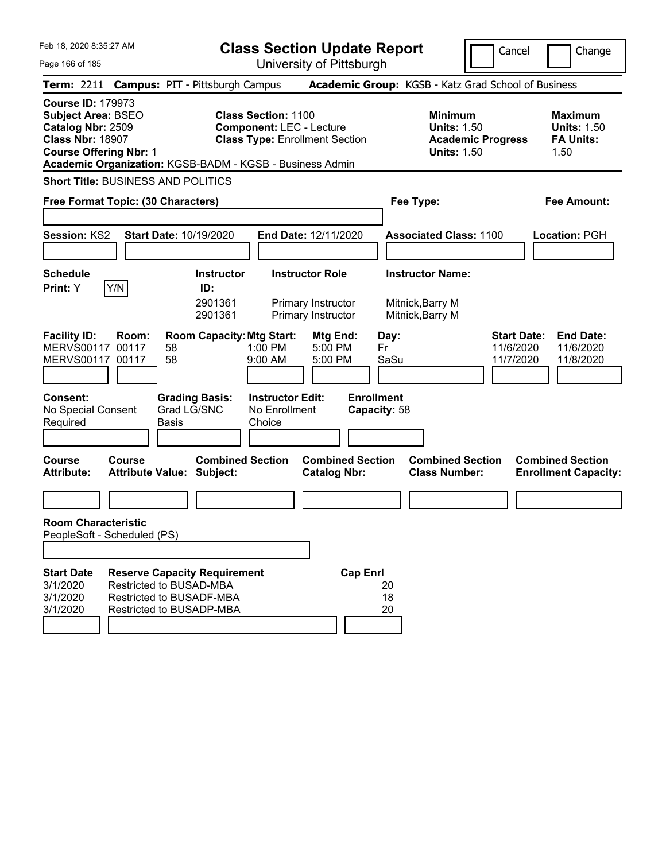|  | Feb 18, 2020 8:35:27 AM |  |
|--|-------------------------|--|
|  |                         |  |

Cancel Change

Page 166 of 185

|                                                                                                                                        |        | <b>Term: 2211 Campus: PIT - Pittsburgh Campus</b>                                                                             |                                                               |                                                                    |                                   | <b>Academic Group:</b> KGSB - Katz Grad School of Business                             |                                              |                                                                  |
|----------------------------------------------------------------------------------------------------------------------------------------|--------|-------------------------------------------------------------------------------------------------------------------------------|---------------------------------------------------------------|--------------------------------------------------------------------|-----------------------------------|----------------------------------------------------------------------------------------|----------------------------------------------|------------------------------------------------------------------|
| <b>Course ID: 179973</b><br><b>Subject Area: BSEO</b><br>Catalog Nbr: 2509<br><b>Class Nbr: 18907</b><br><b>Course Offering Nbr: 1</b> |        | Academic Organization: KGSB-BADM - KGSB - Business Admin                                                                      | <b>Class Section: 1100</b><br><b>Component: LEC - Lecture</b> | <b>Class Type: Enrollment Section</b>                              |                                   | <b>Minimum</b><br><b>Units: 1.50</b><br><b>Academic Progress</b><br><b>Units: 1.50</b> |                                              | <b>Maximum</b><br><b>Units: 1.50</b><br><b>FA Units:</b><br>1.50 |
|                                                                                                                                        |        | <b>Short Title: BUSINESS AND POLITICS</b>                                                                                     |                                                               |                                                                    |                                   |                                                                                        |                                              |                                                                  |
| Free Format Topic: (30 Characters)                                                                                                     |        |                                                                                                                               |                                                               |                                                                    |                                   | Fee Type:                                                                              |                                              | <b>Fee Amount:</b>                                               |
| Session: KS2                                                                                                                           |        | Start Date: 10/19/2020                                                                                                        |                                                               | End Date: 12/11/2020                                               |                                   | <b>Associated Class: 1100</b>                                                          |                                              | Location: PGH                                                    |
| <b>Schedule</b><br>Print: Y                                                                                                            | Y/N    | Instructor<br>ID:<br>2901361<br>2901361                                                                                       |                                                               | <b>Instructor Role</b><br>Primary Instructor<br>Primary Instructor |                                   | <b>Instructor Name:</b><br>Mitnick, Barry M<br>Mitnick, Barry M                        |                                              |                                                                  |
| <b>Facility ID:</b><br>MERVS00117 00117<br>MERVS00117 00117                                                                            | Room:  | <b>Room Capacity: Mtg Start:</b><br>58<br>58                                                                                  | $1:00$ PM<br>9:00 AM                                          | Mtg End:<br>5:00 PM<br>5:00 PM                                     | Day:<br>Fr<br>SaSu                |                                                                                        | <b>Start Date:</b><br>11/6/2020<br>11/7/2020 | <b>End Date:</b><br>11/6/2020<br>11/8/2020                       |
| <b>Consent:</b><br>No Special Consent<br>Required                                                                                      |        | <b>Grading Basis:</b><br>Grad LG/SNC<br>Basis                                                                                 | <b>Instructor Edit:</b><br>No Enrollment<br>Choice            |                                                                    | <b>Enrollment</b><br>Capacity: 58 |                                                                                        |                                              |                                                                  |
| <b>Course</b><br><b>Attribute:</b>                                                                                                     | Course | <b>Combined Section</b><br><b>Attribute Value: Subject:</b>                                                                   |                                                               | <b>Combined Section</b><br><b>Catalog Nbr:</b>                     |                                   | <b>Combined Section</b><br><b>Class Number:</b>                                        |                                              | <b>Combined Section</b><br><b>Enrollment Capacity:</b>           |
| <b>Room Characteristic</b><br>PeopleSoft - Scheduled (PS)                                                                              |        |                                                                                                                               |                                                               |                                                                    |                                   |                                                                                        |                                              |                                                                  |
| Start Date<br>3/1/2020<br>3/1/2020<br>3/1/2020                                                                                         |        | <b>Reserve Capacity Requirement</b><br><b>Restricted to BUSAD-MBA</b><br>Restricted to BUSADF-MBA<br>Restricted to BUSADP-MBA |                                                               | <b>Cap Enrl</b>                                                    | 20<br>18<br>20                    |                                                                                        |                                              |                                                                  |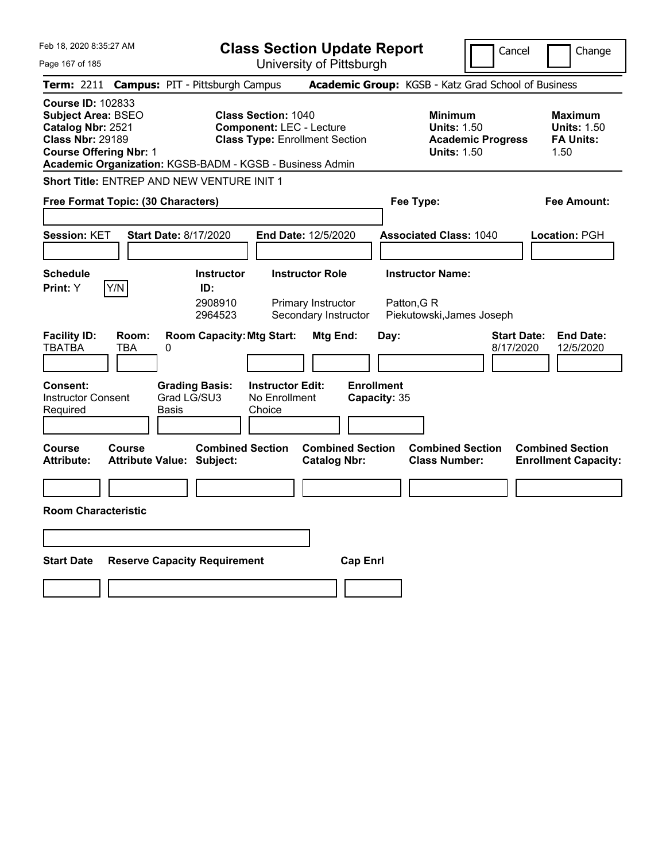| Feb 18, 2020 8:35:27 AM                                                                                                                                                       | <b>Class Section Update Report</b>                                                                                                                                 |                                                                                        | Cancel<br>Change                                                 |
|-------------------------------------------------------------------------------------------------------------------------------------------------------------------------------|--------------------------------------------------------------------------------------------------------------------------------------------------------------------|----------------------------------------------------------------------------------------|------------------------------------------------------------------|
| Page 167 of 185                                                                                                                                                               | University of Pittsburgh                                                                                                                                           |                                                                                        |                                                                  |
| <b>Campus: PIT - Pittsburgh Campus</b><br>Term: 2211                                                                                                                          |                                                                                                                                                                    | Academic Group: KGSB - Katz Grad School of Business                                    |                                                                  |
| <b>Course ID: 102833</b><br><b>Subject Area: BSEO</b><br>Catalog Nbr: 2521<br><b>Class Nbr: 29189</b><br><b>Course Offering Nbr: 1</b>                                        | <b>Class Section: 1040</b><br><b>Component: LEC - Lecture</b><br><b>Class Type: Enrollment Section</b><br>Academic Organization: KGSB-BADM - KGSB - Business Admin | <b>Minimum</b><br><b>Units: 1.50</b><br><b>Academic Progress</b><br><b>Units: 1.50</b> | <b>Maximum</b><br><b>Units: 1.50</b><br><b>FA Units:</b><br>1.50 |
| Short Title: ENTREP AND NEW VENTURE INIT 1                                                                                                                                    |                                                                                                                                                                    |                                                                                        |                                                                  |
| Free Format Topic: (30 Characters)                                                                                                                                            |                                                                                                                                                                    | Fee Type:                                                                              | Fee Amount:                                                      |
| Session: KET<br><b>Start Date: 8/17/2020</b>                                                                                                                                  | End Date: 12/5/2020                                                                                                                                                | <b>Associated Class: 1040</b>                                                          | Location: PGH                                                    |
| <b>Schedule</b><br>Y/N<br>Print: Y                                                                                                                                            | <b>Instructor Role</b><br><b>Instructor</b><br>ID:<br>2908910<br>Primary Instructor<br>Secondary Instructor<br>2964523                                             | <b>Instructor Name:</b><br>Patton, G R<br>Piekutowski, James Joseph                    |                                                                  |
| <b>Facility ID:</b><br>Room:<br><b>TBATBA</b><br>TBA<br>0<br><b>Grading Basis:</b><br><b>Consent:</b><br>Grad LG/SU3<br><b>Instructor Consent</b><br><b>Basis</b><br>Required | <b>Room Capacity: Mtg Start:</b><br>Mtg End:<br><b>Instructor Edit:</b><br>No Enrollment<br>Choice                                                                 | Day:<br><b>Enrollment</b><br>Capacity: 35                                              | <b>End Date:</b><br><b>Start Date:</b><br>8/17/2020<br>12/5/2020 |
| Course<br>Course<br><b>Attribute:</b><br><b>Attribute Value: Subject:</b>                                                                                                     | <b>Combined Section</b><br><b>Combined Section</b><br><b>Catalog Nbr:</b>                                                                                          | <b>Combined Section</b><br><b>Class Number:</b>                                        | <b>Combined Section</b><br><b>Enrollment Capacity:</b>           |
|                                                                                                                                                                               |                                                                                                                                                                    |                                                                                        |                                                                  |
| <b>Room Characteristic</b>                                                                                                                                                    |                                                                                                                                                                    |                                                                                        |                                                                  |
|                                                                                                                                                                               |                                                                                                                                                                    |                                                                                        |                                                                  |
| <b>Start Date</b><br><b>Reserve Capacity Requirement</b>                                                                                                                      |                                                                                                                                                                    | <b>Cap Enri</b>                                                                        |                                                                  |
|                                                                                                                                                                               |                                                                                                                                                                    |                                                                                        |                                                                  |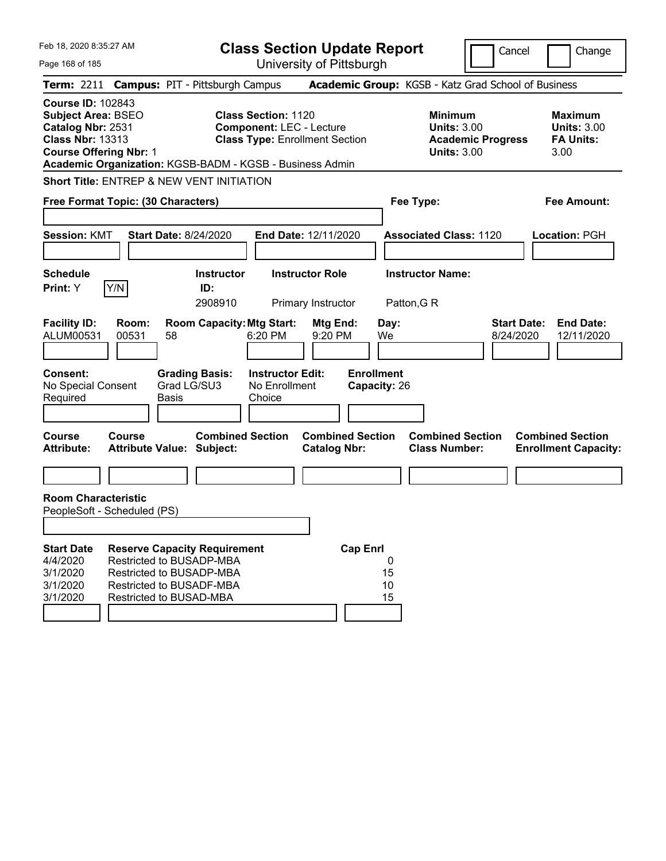| Feb 18, 2020 8:35:27 AM                                                                                                                                                                            |                                            |                             |                                                                                                                                | <b>Class Section Update Report</b>                                                                     |                                              |                                   |                     |                                                                                        | Cancel                          | Change                                                           |
|----------------------------------------------------------------------------------------------------------------------------------------------------------------------------------------------------|--------------------------------------------|-----------------------------|--------------------------------------------------------------------------------------------------------------------------------|--------------------------------------------------------------------------------------------------------|----------------------------------------------|-----------------------------------|---------------------|----------------------------------------------------------------------------------------|---------------------------------|------------------------------------------------------------------|
| Page 168 of 185                                                                                                                                                                                    |                                            |                             |                                                                                                                                |                                                                                                        | University of Pittsburgh                     |                                   |                     |                                                                                        |                                 |                                                                  |
| Term: 2211 Campus: PIT - Pittsburgh Campus                                                                                                                                                         |                                            |                             |                                                                                                                                |                                                                                                        |                                              |                                   |                     | Academic Group: KGSB - Katz Grad School of Business                                    |                                 |                                                                  |
| <b>Course ID: 102843</b><br><b>Subject Area: BSEO</b><br>Catalog Nbr: 2531<br><b>Class Nbr: 13313</b><br><b>Course Offering Nbr: 1</b><br>Academic Organization: KGSB-BADM - KGSB - Business Admin |                                            |                             |                                                                                                                                | <b>Class Section: 1120</b><br><b>Component: LEC - Lecture</b><br><b>Class Type: Enrollment Section</b> |                                              |                                   |                     | <b>Minimum</b><br><b>Units: 3.00</b><br><b>Academic Progress</b><br><b>Units: 3.00</b> |                                 | <b>Maximum</b><br><b>Units: 3.00</b><br><b>FA Units:</b><br>3.00 |
| <b>Short Title: ENTREP &amp; NEW VENT INITIATION</b>                                                                                                                                               |                                            |                             |                                                                                                                                |                                                                                                        |                                              |                                   |                     |                                                                                        |                                 |                                                                  |
| Free Format Topic: (30 Characters)                                                                                                                                                                 |                                            |                             |                                                                                                                                |                                                                                                        |                                              |                                   |                     | Fee Type:                                                                              |                                 | <b>Fee Amount:</b>                                               |
| Session: KMT                                                                                                                                                                                       |                                            |                             | <b>Start Date: 8/24/2020</b>                                                                                                   |                                                                                                        | End Date: 12/11/2020                         |                                   |                     | <b>Associated Class: 1120</b>                                                          |                                 | Location: PGH                                                    |
| <b>Schedule</b><br>Print: Y                                                                                                                                                                        | Y/N                                        |                             | <b>Instructor</b><br>ID:<br>2908910                                                                                            |                                                                                                        | <b>Instructor Role</b><br>Primary Instructor |                                   |                     | <b>Instructor Name:</b><br>Patton, G R                                                 |                                 |                                                                  |
| <b>Facility ID:</b><br>ALUM00531                                                                                                                                                                   | Room:<br>00531                             | 58                          | <b>Room Capacity: Mtg Start:</b>                                                                                               | 6:20 PM                                                                                                | Mtg End:<br>9:20 PM                          |                                   | Day:<br>We          |                                                                                        | <b>Start Date:</b><br>8/24/2020 | <b>End Date:</b><br>12/11/2020                                   |
| <b>Consent:</b><br>No Special Consent<br>Required                                                                                                                                                  |                                            | Grad LG/SU3<br><b>Basis</b> | <b>Grading Basis:</b>                                                                                                          | <b>Instructor Edit:</b><br>No Enrollment<br>Choice                                                     |                                              | <b>Enrollment</b><br>Capacity: 26 |                     |                                                                                        |                                 |                                                                  |
| Course<br><b>Attribute:</b>                                                                                                                                                                        | Course<br><b>Attribute Value: Subject:</b> |                             | <b>Combined Section</b>                                                                                                        |                                                                                                        | <b>Catalog Nbr:</b>                          | <b>Combined Section</b>           |                     | <b>Combined Section</b><br><b>Class Number:</b>                                        |                                 | <b>Combined Section</b><br><b>Enrollment Capacity:</b>           |
|                                                                                                                                                                                                    |                                            |                             |                                                                                                                                |                                                                                                        |                                              |                                   |                     |                                                                                        |                                 |                                                                  |
| <b>Room Characteristic</b><br>PeopleSoft - Scheduled (PS)                                                                                                                                          |                                            |                             |                                                                                                                                |                                                                                                        |                                              |                                   |                     |                                                                                        |                                 |                                                                  |
|                                                                                                                                                                                                    |                                            |                             |                                                                                                                                |                                                                                                        |                                              |                                   |                     |                                                                                        |                                 |                                                                  |
| <b>Start Date</b><br>4/4/2020<br>3/1/2020<br>3/1/2020<br>3/1/2020                                                                                                                                  | Restricted to BUSAD-MBA                    |                             | <b>Reserve Capacity Requirement</b><br>Restricted to BUSADP-MBA<br>Restricted to BUSADP-MBA<br><b>Restricted to BUSADF-MBA</b> |                                                                                                        |                                              | <b>Cap Enrl</b>                   | 0<br>15<br>10<br>15 |                                                                                        |                                 |                                                                  |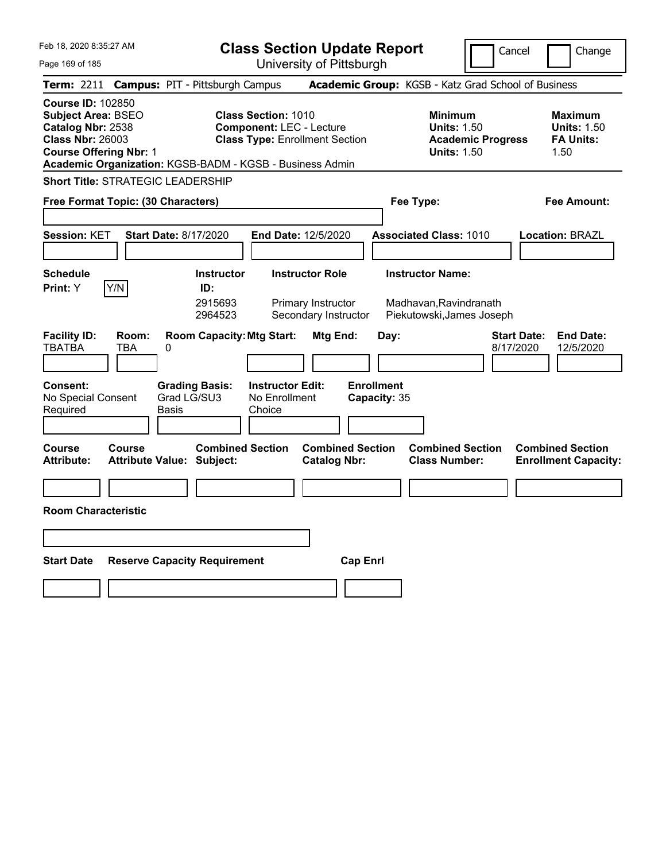| Feb 18, 2020 8:35:27 AM                                                                                                                                                                            | <b>Class Section Update Report</b>                                                                                                              | Cancel<br>Change                                                                                                                                           |
|----------------------------------------------------------------------------------------------------------------------------------------------------------------------------------------------------|-------------------------------------------------------------------------------------------------------------------------------------------------|------------------------------------------------------------------------------------------------------------------------------------------------------------|
| Page 169 of 185                                                                                                                                                                                    | University of Pittsburgh                                                                                                                        |                                                                                                                                                            |
| <b>Campus: PIT - Pittsburgh Campus</b><br><b>Term: 2211</b>                                                                                                                                        |                                                                                                                                                 | Academic Group: KGSB - Katz Grad School of Business                                                                                                        |
| <b>Course ID: 102850</b><br><b>Subject Area: BSEO</b><br>Catalog Nbr: 2538<br><b>Class Nbr: 26003</b><br><b>Course Offering Nbr: 1</b><br>Academic Organization: KGSB-BADM - KGSB - Business Admin | <b>Class Section: 1010</b><br><b>Component: LEC - Lecture</b><br><b>Class Type: Enrollment Section</b>                                          | <b>Minimum</b><br><b>Maximum</b><br><b>Units: 1.50</b><br><b>Units: 1.50</b><br><b>Academic Progress</b><br><b>FA Units:</b><br><b>Units: 1.50</b><br>1.50 |
| <b>Short Title: STRATEGIC LEADERSHIP</b>                                                                                                                                                           |                                                                                                                                                 |                                                                                                                                                            |
| Free Format Topic: (30 Characters)                                                                                                                                                                 |                                                                                                                                                 | Fee Type:<br>Fee Amount:                                                                                                                                   |
| Session: KET<br><b>Start Date: 8/17/2020</b>                                                                                                                                                       | End Date: 12/5/2020                                                                                                                             | <b>Associated Class: 1010</b><br>Location: BRAZL                                                                                                           |
| <b>Schedule</b><br>Y/N<br>Print: Y                                                                                                                                                                 | <b>Instructor</b><br><b>Instructor Role</b><br>ID:<br>2915693<br>Primary Instructor<br>2964523<br>Secondary Instructor                          | <b>Instructor Name:</b><br>Madhavan, Ravindranath<br>Piekutowski, James Joseph                                                                             |
| <b>Facility ID:</b><br>Room:<br><b>TBATBA</b><br>TBA<br>0<br><b>Consent:</b><br><b>Grading Basis:</b><br>Grad LG/SU3<br>No Special Consent<br>Required<br>Basis                                    | <b>Room Capacity: Mtg Start:</b><br>Mtg End:<br>Day:<br><b>Enrollment</b><br><b>Instructor Edit:</b><br>No Enrollment<br>Capacity: 35<br>Choice | <b>Start Date:</b><br><b>End Date:</b><br>8/17/2020<br>12/5/2020                                                                                           |
| Course<br>Course<br><b>Attribute:</b><br><b>Attribute Value: Subject:</b>                                                                                                                          | <b>Combined Section</b><br><b>Combined Section</b><br><b>Catalog Nbr:</b>                                                                       | <b>Combined Section</b><br><b>Combined Section</b><br><b>Class Number:</b><br><b>Enrollment Capacity:</b>                                                  |
|                                                                                                                                                                                                    |                                                                                                                                                 |                                                                                                                                                            |
| <b>Room Characteristic</b>                                                                                                                                                                         |                                                                                                                                                 |                                                                                                                                                            |
|                                                                                                                                                                                                    |                                                                                                                                                 |                                                                                                                                                            |
| <b>Start Date</b><br><b>Reserve Capacity Requirement</b>                                                                                                                                           | <b>Cap Enri</b>                                                                                                                                 |                                                                                                                                                            |
|                                                                                                                                                                                                    |                                                                                                                                                 |                                                                                                                                                            |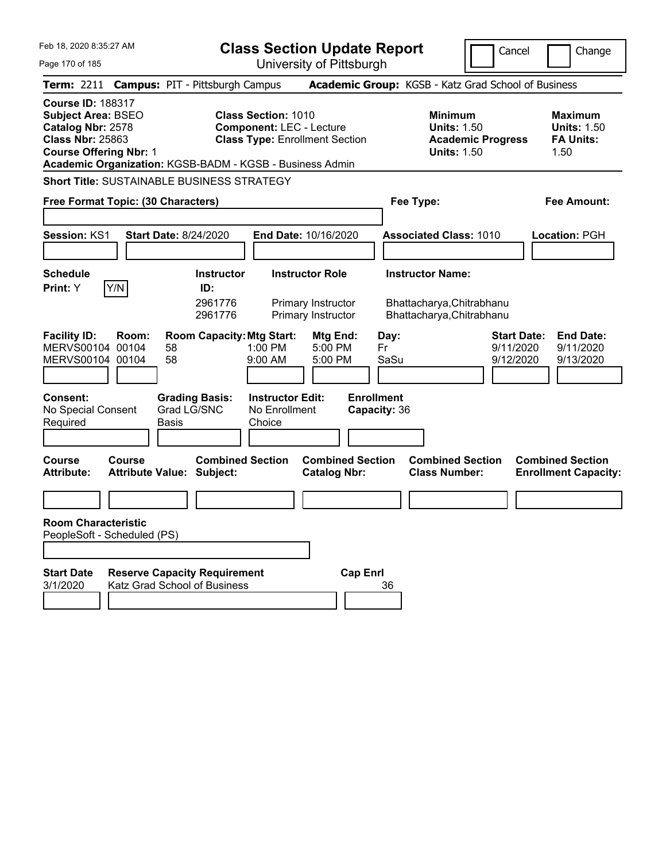| Feb 18, 2020 8:35:27 AM                                                                                                                | <b>Class Section Update Report</b>                                                                                                                                 |                                                                            | Cancel<br>Change                                                                             |
|----------------------------------------------------------------------------------------------------------------------------------------|--------------------------------------------------------------------------------------------------------------------------------------------------------------------|----------------------------------------------------------------------------|----------------------------------------------------------------------------------------------|
| Page 170 of 185                                                                                                                        | University of Pittsburgh                                                                                                                                           |                                                                            |                                                                                              |
| <b>Term: 2211</b>                                                                                                                      | <b>Campus: PIT - Pittsburgh Campus</b>                                                                                                                             | Academic Group: KGSB - Katz Grad School of Business                        |                                                                                              |
| <b>Course ID: 188317</b><br><b>Subject Area: BSEO</b><br>Catalog Nbr: 2578<br><b>Class Nbr: 25863</b><br><b>Course Offering Nbr: 1</b> | <b>Class Section: 1010</b><br><b>Component: LEC - Lecture</b><br><b>Class Type: Enrollment Section</b><br>Academic Organization: KGSB-BADM - KGSB - Business Admin | Minimum<br><b>Units: 1.50</b><br><b>Units: 1.50</b>                        | <b>Maximum</b><br><b>Units: 1.50</b><br><b>FA Units:</b><br><b>Academic Progress</b><br>1.50 |
| <b>Short Title: SUSTAINABLE BUSINESS STRATEGY</b>                                                                                      |                                                                                                                                                                    |                                                                            |                                                                                              |
| Free Format Topic: (30 Characters)                                                                                                     |                                                                                                                                                                    | Fee Type:                                                                  | Fee Amount:                                                                                  |
|                                                                                                                                        |                                                                                                                                                                    |                                                                            |                                                                                              |
| Session: KS1<br><b>Start Date: 8/24/2020</b>                                                                                           | End Date: 10/16/2020                                                                                                                                               | <b>Associated Class: 1010</b>                                              | Location: PGH                                                                                |
|                                                                                                                                        |                                                                                                                                                                    |                                                                            |                                                                                              |
| <b>Schedule</b>                                                                                                                        | <b>Instructor Role</b><br><b>Instructor</b>                                                                                                                        | <b>Instructor Name:</b>                                                    |                                                                                              |
| Y/N<br>Print: Y                                                                                                                        | ID:<br>2961776<br>Primary Instructor<br>2961776<br>Primary Instructor                                                                                              | Bhattacharya, Chitrabhanu<br>Bhattacharya, Chitrabhanu                     |                                                                                              |
| <b>Facility ID:</b><br>Room:<br>MERVS00104 00104<br>58<br>MERVS00104 00104<br>58<br><b>Consent:</b>                                    | <b>Room Capacity: Mtg Start:</b><br>Mtg End:<br>$1:00$ PM<br>5:00 PM<br>9:00 AM<br>5:00 PM<br><b>Instructor Edit:</b><br><b>Grading Basis:</b>                     | Day:<br>Fr<br>SaSu<br><b>Enrollment</b>                                    | <b>Start Date:</b><br><b>End Date:</b><br>9/11/2020<br>9/11/2020<br>9/12/2020<br>9/13/2020   |
| No Special Consent<br>Required<br>Basis                                                                                                | Grad LG/SNC<br>No Enrollment<br>Choice                                                                                                                             | Capacity: 36                                                               |                                                                                              |
| <b>Course</b><br>Course<br><b>Attribute Value: Subject:</b><br><b>Attribute:</b>                                                       | <b>Combined Section</b><br><b>Catalog Nbr:</b>                                                                                                                     | <b>Combined Section</b><br><b>Combined Section</b><br><b>Class Number:</b> | <b>Combined Section</b><br><b>Enrollment Capacity:</b>                                       |
|                                                                                                                                        |                                                                                                                                                                    |                                                                            |                                                                                              |
| <b>Room Characteristic</b><br>PeopleSoft - Scheduled (PS)                                                                              |                                                                                                                                                                    |                                                                            |                                                                                              |
| <b>Start Date</b><br>3/1/2020<br>Katz Grad School of Business                                                                          | <b>Reserve Capacity Requirement</b>                                                                                                                                | <b>Cap Enrl</b><br>36                                                      |                                                                                              |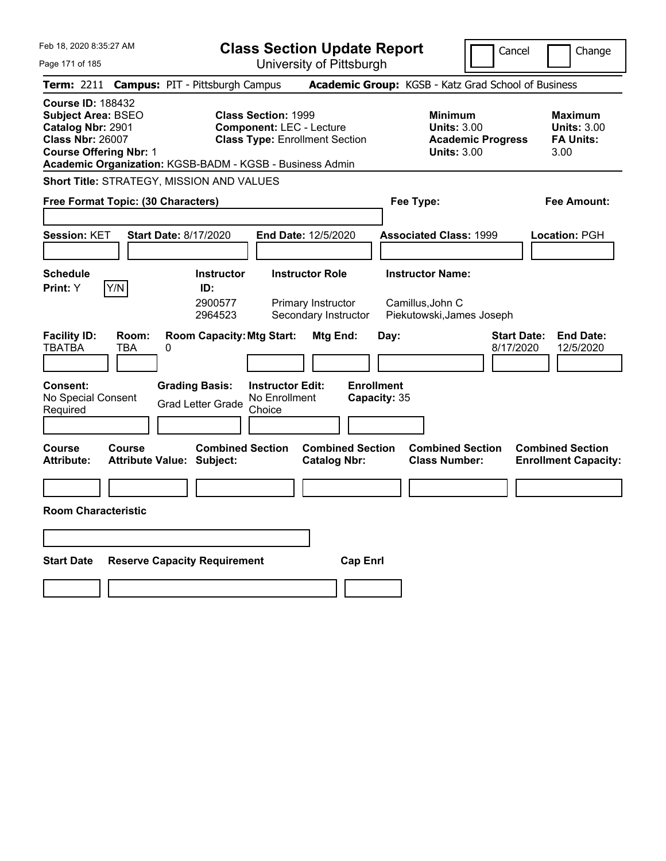| Feb 18, 2020 8:35:27 AM                                                                                                                                                                     | <b>Class Section Update Report</b>                                                                                             |                                                                            | Cancel<br>Change                                                                             |
|---------------------------------------------------------------------------------------------------------------------------------------------------------------------------------------------|--------------------------------------------------------------------------------------------------------------------------------|----------------------------------------------------------------------------|----------------------------------------------------------------------------------------------|
| Page 171 of 185                                                                                                                                                                             | University of Pittsburgh                                                                                                       |                                                                            |                                                                                              |
| <b>Campus: PIT - Pittsburgh Campus</b><br>Term: 2211                                                                                                                                        |                                                                                                                                | Academic Group: KGSB - Katz Grad School of Business                        |                                                                                              |
| <b>Course ID: 188432</b><br>Subject Area: BSEO<br>Catalog Nbr: 2901<br><b>Class Nbr: 26007</b><br><b>Course Offering Nbr: 1</b><br>Academic Organization: KGSB-BADM - KGSB - Business Admin | <b>Class Section: 1999</b><br><b>Component: LEC - Lecture</b><br><b>Class Type: Enrollment Section</b>                         | <b>Minimum</b><br><b>Units: 3.00</b><br><b>Units: 3.00</b>                 | <b>Maximum</b><br><b>Units: 3.00</b><br><b>FA Units:</b><br><b>Academic Progress</b><br>3.00 |
| Short Title: STRATEGY, MISSION AND VALUES                                                                                                                                                   |                                                                                                                                |                                                                            |                                                                                              |
| Free Format Topic: (30 Characters)                                                                                                                                                          |                                                                                                                                | Fee Type:                                                                  | Fee Amount:                                                                                  |
| Session: KET<br><b>Start Date: 8/17/2020</b>                                                                                                                                                | End Date: 12/5/2020                                                                                                            | <b>Associated Class: 1999</b>                                              | Location: PGH                                                                                |
| <b>Schedule</b><br>Y/N<br>Print: Y                                                                                                                                                          | <b>Instructor Role</b><br><b>Instructor</b><br>ID:<br>2900577<br>Primary Instructor<br>Secondary Instructor<br>2964523         | <b>Instructor Name:</b><br>Camillus, John C<br>Piekutowski, James Joseph   |                                                                                              |
| <b>Facility ID:</b><br>Room:<br><b>TBATBA</b><br>TBA<br>0<br><b>Grading Basis:</b><br><b>Consent:</b><br>No Special Consent<br>Required                                                     | <b>Room Capacity: Mtg Start:</b><br>Mtg End:<br><b>Instructor Edit:</b><br>No Enrollment<br><b>Grad Letter Grade</b><br>Choice | Day:<br><b>Enrollment</b><br>Capacity: 35                                  | <b>End Date:</b><br><b>Start Date:</b><br>8/17/2020<br>12/5/2020                             |
| Course<br>Course<br><b>Attribute:</b><br><b>Attribute Value: Subject:</b>                                                                                                                   | <b>Combined Section</b><br><b>Catalog Nbr:</b>                                                                                 | <b>Combined Section</b><br><b>Combined Section</b><br><b>Class Number:</b> | <b>Combined Section</b><br><b>Enrollment Capacity:</b>                                       |
|                                                                                                                                                                                             |                                                                                                                                |                                                                            |                                                                                              |
| <b>Room Characteristic</b>                                                                                                                                                                  |                                                                                                                                |                                                                            |                                                                                              |
|                                                                                                                                                                                             |                                                                                                                                |                                                                            |                                                                                              |
| <b>Start Date</b><br><b>Reserve Capacity Requirement</b>                                                                                                                                    |                                                                                                                                | <b>Cap Enri</b>                                                            |                                                                                              |
|                                                                                                                                                                                             |                                                                                                                                |                                                                            |                                                                                              |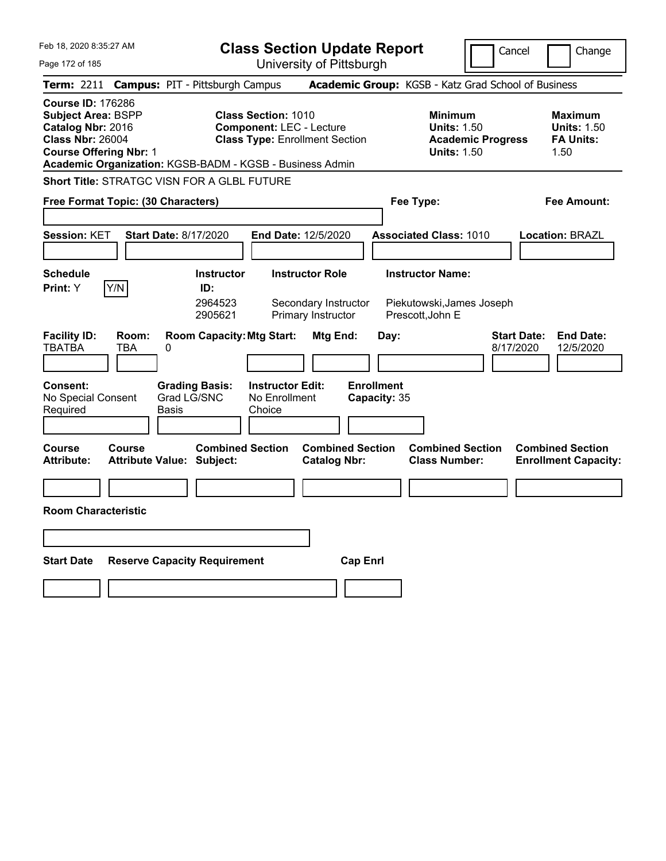| Feb 18, 2020 8:35:27 AM                                                                                                                                                                     | <b>Class Section Update Report</b>                                                                     | Cancel                                                                                 | Change                                                           |
|---------------------------------------------------------------------------------------------------------------------------------------------------------------------------------------------|--------------------------------------------------------------------------------------------------------|----------------------------------------------------------------------------------------|------------------------------------------------------------------|
| Page 172 of 185                                                                                                                                                                             | University of Pittsburgh                                                                               |                                                                                        |                                                                  |
| <b>Campus: PIT - Pittsburgh Campus</b><br>Term: 2211                                                                                                                                        |                                                                                                        | Academic Group: KGSB - Katz Grad School of Business                                    |                                                                  |
| <b>Course ID: 176286</b><br>Subject Area: BSPP<br>Catalog Nbr: 2016<br><b>Class Nbr: 26004</b><br><b>Course Offering Nbr: 1</b><br>Academic Organization: KGSB-BADM - KGSB - Business Admin | <b>Class Section: 1010</b><br><b>Component: LEC - Lecture</b><br><b>Class Type: Enrollment Section</b> | <b>Minimum</b><br><b>Units: 1.50</b><br><b>Academic Progress</b><br><b>Units: 1.50</b> | <b>Maximum</b><br><b>Units: 1.50</b><br><b>FA Units:</b><br>1.50 |
| <b>Short Title: STRATGC VISN FOR A GLBL FUTURE</b>                                                                                                                                          |                                                                                                        |                                                                                        |                                                                  |
| Free Format Topic: (30 Characters)                                                                                                                                                          |                                                                                                        | Fee Type:                                                                              | Fee Amount:                                                      |
| Session: KET<br><b>Start Date: 8/17/2020</b>                                                                                                                                                | End Date: 12/5/2020                                                                                    | <b>Associated Class: 1010</b>                                                          | <b>Location: BRAZL</b>                                           |
| <b>Schedule</b>                                                                                                                                                                             | <b>Instructor</b><br><b>Instructor Role</b>                                                            | <b>Instructor Name:</b>                                                                |                                                                  |
| Y/N<br><b>Print: Y</b>                                                                                                                                                                      | ID:<br>2964523<br>Secondary Instructor<br>2905621<br>Primary Instructor                                | Piekutowski, James Joseph<br>Prescott, John E                                          |                                                                  |
| <b>Facility ID:</b><br>Room:<br><b>TBATBA</b><br>TBA<br>0                                                                                                                                   | <b>Room Capacity: Mtg Start:</b><br>Mtg End:                                                           | <b>Start Date:</b><br>Day:<br>8/17/2020                                                | <b>End Date:</b><br>12/5/2020                                    |
| <b>Grading Basis:</b><br><b>Consent:</b><br>Grad LG/SNC<br>No Special Consent<br>Required<br>Basis                                                                                          | <b>Instructor Edit:</b><br>No Enrollment<br>Choice                                                     | <b>Enrollment</b><br>Capacity: 35                                                      |                                                                  |
| Course<br>Course<br><b>Attribute:</b><br><b>Attribute Value: Subject:</b>                                                                                                                   | <b>Combined Section</b><br><b>Combined Section</b><br><b>Catalog Nbr:</b>                              | <b>Combined Section</b><br><b>Class Number:</b>                                        | <b>Combined Section</b><br><b>Enrollment Capacity:</b>           |
|                                                                                                                                                                                             |                                                                                                        |                                                                                        |                                                                  |
| <b>Room Characteristic</b>                                                                                                                                                                  |                                                                                                        |                                                                                        |                                                                  |
|                                                                                                                                                                                             |                                                                                                        |                                                                                        |                                                                  |
| <b>Start Date</b><br><b>Reserve Capacity Requirement</b>                                                                                                                                    | <b>Cap Enrl</b>                                                                                        |                                                                                        |                                                                  |
|                                                                                                                                                                                             |                                                                                                        |                                                                                        |                                                                  |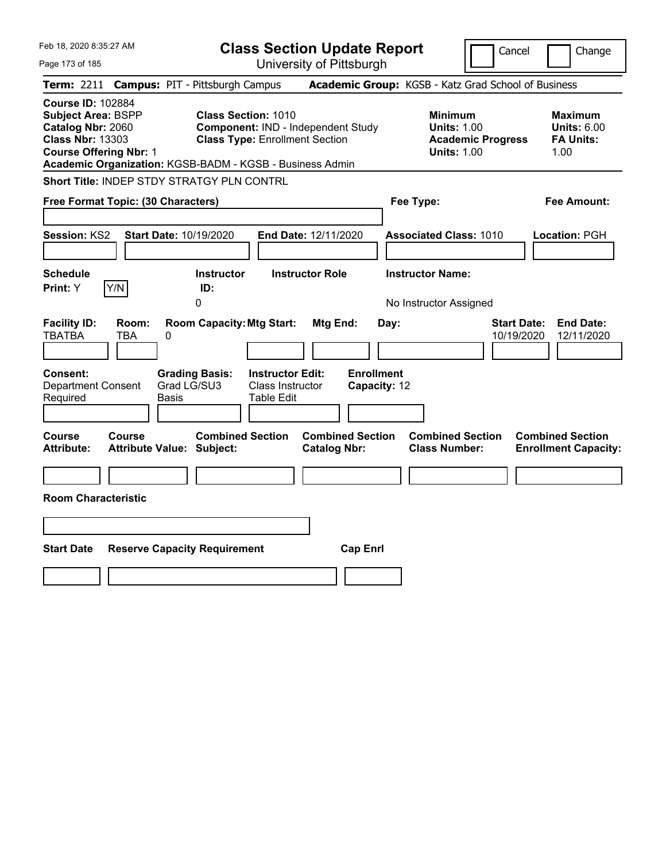| Feb 18, 2020 8:35:27 AM                                                                                                                                                                            | <b>Class Section Update Report</b>                                                                        | Cancel                                                                                 | Change                                                           |
|----------------------------------------------------------------------------------------------------------------------------------------------------------------------------------------------------|-----------------------------------------------------------------------------------------------------------|----------------------------------------------------------------------------------------|------------------------------------------------------------------|
| Page 173 of 185                                                                                                                                                                                    | University of Pittsburgh                                                                                  |                                                                                        |                                                                  |
| <b>Campus: PIT - Pittsburgh Campus</b><br>Term: 2211                                                                                                                                               |                                                                                                           | Academic Group: KGSB - Katz Grad School of Business                                    |                                                                  |
| <b>Course ID: 102884</b><br><b>Subject Area: BSPP</b><br>Catalog Nbr: 2060<br><b>Class Nbr: 13303</b><br><b>Course Offering Nbr: 1</b><br>Academic Organization: KGSB-BADM - KGSB - Business Admin | <b>Class Section: 1010</b><br>Component: IND - Independent Study<br><b>Class Type: Enrollment Section</b> | <b>Minimum</b><br><b>Units: 1.00</b><br><b>Academic Progress</b><br><b>Units: 1.00</b> | <b>Maximum</b><br><b>Units: 6.00</b><br><b>FA Units:</b><br>1.00 |
| <b>Short Title: INDEP STDY STRATGY PLN CONTRL</b>                                                                                                                                                  |                                                                                                           |                                                                                        |                                                                  |
| Free Format Topic: (30 Characters)                                                                                                                                                                 |                                                                                                           | Fee Type:                                                                              | Fee Amount:                                                      |
| Session: KS2<br>Start Date: 10/19/2020<br><b>Schedule</b>                                                                                                                                          | End Date: 12/11/2020<br><b>Instructor Role</b><br><b>Instructor</b>                                       | <b>Associated Class: 1010</b><br><b>Instructor Name:</b>                               | Location: PGH                                                    |
| Y/N<br>Print: Y<br>ID:                                                                                                                                                                             |                                                                                                           |                                                                                        |                                                                  |
| 0                                                                                                                                                                                                  |                                                                                                           | No Instructor Assigned                                                                 |                                                                  |
| <b>Facility ID:</b><br>Room:<br><b>TBATBA</b><br>TBA<br>0                                                                                                                                          | <b>Room Capacity: Mtg Start:</b><br>Mtg End:<br>Day:                                                      | <b>Start Date:</b><br>10/19/2020                                                       | <b>End Date:</b><br>12/11/2020                                   |
| <b>Consent:</b><br><b>Grading Basis:</b><br>Grad LG/SU3<br>Department Consent<br>Required<br>Basis                                                                                                 | <b>Enrollment</b><br><b>Instructor Edit:</b><br>Class Instructor<br>Capacity: 12<br>Table Edit            |                                                                                        |                                                                  |
| <b>Course</b><br>Course<br><b>Attribute:</b><br><b>Attribute Value: Subject:</b>                                                                                                                   | <b>Combined Section</b><br><b>Combined Section</b><br><b>Catalog Nbr:</b>                                 | <b>Combined Section</b><br><b>Class Number:</b>                                        | <b>Combined Section</b><br><b>Enrollment Capacity:</b>           |
|                                                                                                                                                                                                    |                                                                                                           |                                                                                        |                                                                  |
| <b>Room Characteristic</b>                                                                                                                                                                         |                                                                                                           |                                                                                        |                                                                  |
|                                                                                                                                                                                                    |                                                                                                           |                                                                                        |                                                                  |
| <b>Start Date</b><br><b>Reserve Capacity Requirement</b>                                                                                                                                           | <b>Cap Enrl</b>                                                                                           |                                                                                        |                                                                  |
|                                                                                                                                                                                                    |                                                                                                           |                                                                                        |                                                                  |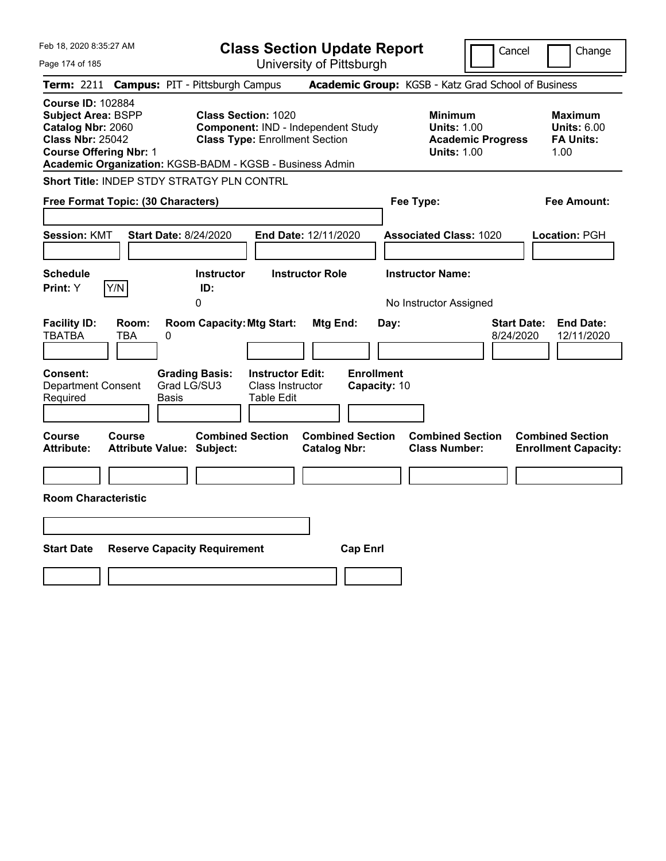| Feb 18, 2020 8:35:27 AM                                                                                                                | <b>Class Section Update Report</b>                                                                                                                                    |                                                |                                                                                        | Cancel<br>Change                                                  |
|----------------------------------------------------------------------------------------------------------------------------------------|-----------------------------------------------------------------------------------------------------------------------------------------------------------------------|------------------------------------------------|----------------------------------------------------------------------------------------|-------------------------------------------------------------------|
| Page 174 of 185                                                                                                                        |                                                                                                                                                                       | University of Pittsburgh                       |                                                                                        |                                                                   |
| Term: 2211                                                                                                                             | <b>Campus: PIT - Pittsburgh Campus</b>                                                                                                                                |                                                | Academic Group: KGSB - Katz Grad School of Business                                    |                                                                   |
| <b>Course ID: 102884</b><br><b>Subject Area: BSPP</b><br>Catalog Nbr: 2060<br><b>Class Nbr: 25042</b><br><b>Course Offering Nbr: 1</b> | <b>Class Section: 1020</b><br>Component: IND - Independent Study<br><b>Class Type: Enrollment Section</b><br>Academic Organization: KGSB-BADM - KGSB - Business Admin |                                                | <b>Minimum</b><br><b>Units: 1.00</b><br><b>Academic Progress</b><br><b>Units: 1.00</b> | <b>Maximum</b><br><b>Units: 6.00</b><br><b>FA Units:</b><br>1.00  |
| Short Title: INDEP STDY STRATGY PLN CONTRL                                                                                             |                                                                                                                                                                       |                                                |                                                                                        |                                                                   |
| Free Format Topic: (30 Characters)                                                                                                     |                                                                                                                                                                       |                                                | Fee Type:                                                                              | Fee Amount:                                                       |
| <b>Session: KMT</b><br><b>Schedule</b>                                                                                                 | <b>Start Date: 8/24/2020</b><br><b>End Date: 12/11/2020</b><br><b>Instructor</b><br><b>Instructor Role</b>                                                            |                                                | <b>Associated Class: 1020</b><br><b>Instructor Name:</b>                               | Location: PGH                                                     |
| Y/N<br>Print: Y                                                                                                                        | ID:                                                                                                                                                                   |                                                |                                                                                        |                                                                   |
|                                                                                                                                        | 0                                                                                                                                                                     |                                                | No Instructor Assigned                                                                 |                                                                   |
| <b>Facility ID:</b><br>Room:<br><b>TBATBA</b><br><b>TBA</b><br>0                                                                       | <b>Room Capacity: Mtg Start:</b>                                                                                                                                      | Mtg End:<br>Day:                               |                                                                                        | <b>Start Date:</b><br><b>End Date:</b><br>8/24/2020<br>12/11/2020 |
| Consent:<br><b>Department Consent</b><br>Required<br>Basis                                                                             | <b>Grading Basis:</b><br><b>Instructor Edit:</b><br>Grad LG/SU3<br>Class Instructor<br>Table Edit                                                                     | <b>Enrollment</b><br>Capacity: 10              |                                                                                        |                                                                   |
| Course<br>Course<br>Attribute Value: Subject:<br><b>Attribute:</b>                                                                     | <b>Combined Section</b>                                                                                                                                               | <b>Combined Section</b><br><b>Catalog Nbr:</b> | <b>Combined Section</b><br><b>Class Number:</b>                                        | <b>Combined Section</b><br><b>Enrollment Capacity:</b>            |
|                                                                                                                                        |                                                                                                                                                                       |                                                |                                                                                        |                                                                   |
| <b>Room Characteristic</b>                                                                                                             |                                                                                                                                                                       |                                                |                                                                                        |                                                                   |
|                                                                                                                                        |                                                                                                                                                                       |                                                |                                                                                        |                                                                   |
| <b>Start Date</b>                                                                                                                      | <b>Reserve Capacity Requirement</b>                                                                                                                                   | <b>Cap Enrl</b>                                |                                                                                        |                                                                   |
|                                                                                                                                        |                                                                                                                                                                       |                                                |                                                                                        |                                                                   |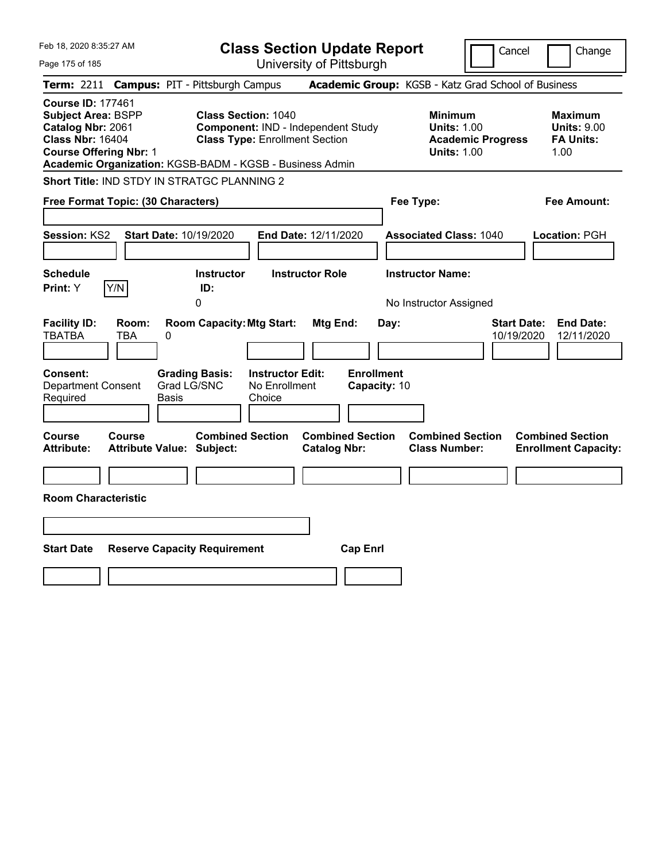| Feb 18, 2020 8:35:27 AM                                                                                                                |                                                          | <b>Class Section Update Report</b>                                                                        |                                                |                                                                                        | Cancel<br>Change                                                   |
|----------------------------------------------------------------------------------------------------------------------------------------|----------------------------------------------------------|-----------------------------------------------------------------------------------------------------------|------------------------------------------------|----------------------------------------------------------------------------------------|--------------------------------------------------------------------|
| Page 175 of 185                                                                                                                        |                                                          | University of Pittsburgh                                                                                  |                                                |                                                                                        |                                                                    |
| Term: 2211                                                                                                                             | <b>Campus: PIT - Pittsburgh Campus</b>                   |                                                                                                           |                                                | Academic Group: KGSB - Katz Grad School of Business                                    |                                                                    |
| <b>Course ID: 177461</b><br><b>Subject Area: BSPP</b><br>Catalog Nbr: 2061<br><b>Class Nbr: 16404</b><br><b>Course Offering Nbr: 1</b> | Academic Organization: KGSB-BADM - KGSB - Business Admin | <b>Class Section: 1040</b><br>Component: IND - Independent Study<br><b>Class Type: Enrollment Section</b> |                                                | <b>Minimum</b><br><b>Units: 1.00</b><br><b>Academic Progress</b><br><b>Units: 1.00</b> | <b>Maximum</b><br><b>Units: 9.00</b><br><b>FA Units:</b><br>1.00   |
|                                                                                                                                        | Short Title: IND STDY IN STRATGC PLANNING 2              |                                                                                                           |                                                |                                                                                        |                                                                    |
| Free Format Topic: (30 Characters)                                                                                                     |                                                          |                                                                                                           |                                                | Fee Type:                                                                              | Fee Amount:                                                        |
| <b>Session: KS2</b><br><b>Schedule</b>                                                                                                 | <b>Start Date: 10/19/2020</b><br><b>Instructor</b>       | <b>End Date: 12/11/2020</b><br><b>Instructor Role</b>                                                     |                                                | <b>Associated Class: 1040</b><br><b>Instructor Name:</b>                               | Location: PGH                                                      |
| Y/N<br>Print: Y                                                                                                                        | ID:                                                      |                                                                                                           |                                                |                                                                                        |                                                                    |
|                                                                                                                                        | 0                                                        |                                                                                                           |                                                | No Instructor Assigned                                                                 |                                                                    |
| <b>Facility ID:</b><br>Room:<br><b>TBATBA</b><br><b>TBA</b>                                                                            | <b>Room Capacity: Mtg Start:</b><br>0                    |                                                                                                           | Mtg End:<br>Day:                               |                                                                                        | <b>Start Date:</b><br><b>End Date:</b><br>10/19/2020<br>12/11/2020 |
| Consent:<br><b>Department Consent</b><br>Required                                                                                      | <b>Grading Basis:</b><br>Grad LG/SNC<br>Basis            | <b>Instructor Edit:</b><br>No Enrollment<br>Choice                                                        | <b>Enrollment</b><br>Capacity: 10              |                                                                                        |                                                                    |
| Course<br>Course<br><b>Attribute:</b>                                                                                                  | <b>Combined Section</b><br>Attribute Value: Subject:     |                                                                                                           | <b>Combined Section</b><br><b>Catalog Nbr:</b> | <b>Combined Section</b><br><b>Class Number:</b>                                        | <b>Combined Section</b><br><b>Enrollment Capacity:</b>             |
|                                                                                                                                        |                                                          |                                                                                                           |                                                |                                                                                        |                                                                    |
| <b>Room Characteristic</b>                                                                                                             |                                                          |                                                                                                           |                                                |                                                                                        |                                                                    |
|                                                                                                                                        |                                                          |                                                                                                           |                                                |                                                                                        |                                                                    |
| <b>Start Date</b>                                                                                                                      | <b>Reserve Capacity Requirement</b>                      |                                                                                                           | <b>Cap Enrl</b>                                |                                                                                        |                                                                    |
|                                                                                                                                        |                                                          |                                                                                                           |                                                |                                                                                        |                                                                    |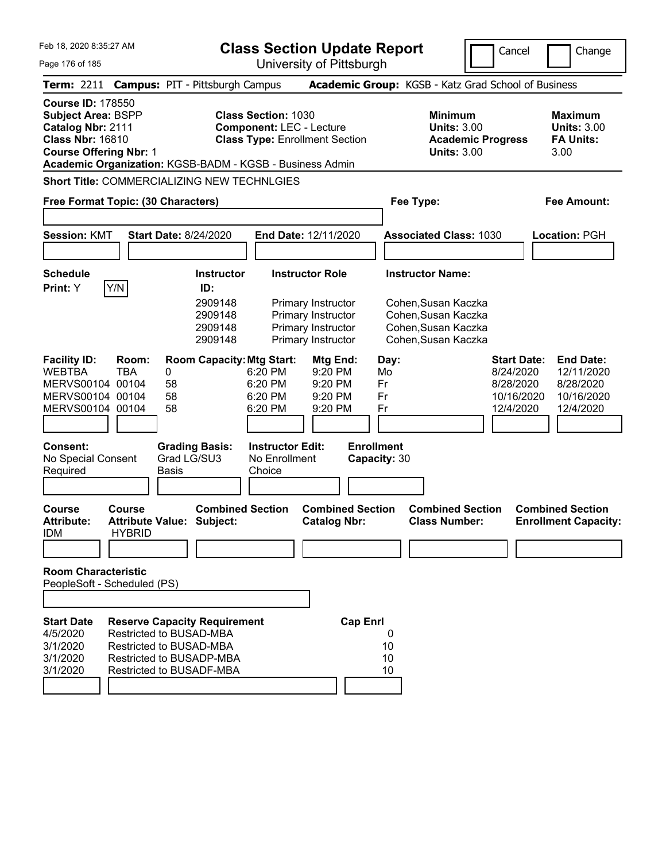|  | Feb 18, 2020 8:35:27 AM |  |
|--|-------------------------|--|
|  |                         |  |

Cancel Change

Page 176 of 185

| Term: 2211 Campus: PIT - Pittsburgh Campus                                                                                                                                                         |                         |                              |                                                                                                                                                   |                                                    |                                                                                      |                                   | Academic Group: KGSB - Katz Grad School of Business                                      |                                                                         |                                                                        |
|----------------------------------------------------------------------------------------------------------------------------------------------------------------------------------------------------|-------------------------|------------------------------|---------------------------------------------------------------------------------------------------------------------------------------------------|----------------------------------------------------|--------------------------------------------------------------------------------------|-----------------------------------|------------------------------------------------------------------------------------------|-------------------------------------------------------------------------|------------------------------------------------------------------------|
| <b>Course ID: 178550</b><br><b>Subject Area: BSPP</b><br>Catalog Nbr: 2111<br><b>Class Nbr: 16810</b><br><b>Course Offering Nbr: 1</b><br>Academic Organization: KGSB-BADM - KGSB - Business Admin |                         |                              |                                                                                                                                                   | <b>Class Section: 1030</b>                         | <b>Component: LEC - Lecture</b><br><b>Class Type: Enrollment Section</b>             |                                   | <b>Minimum</b><br><b>Units: 3.00</b><br><b>Academic Progress</b><br><b>Units: 3.00</b>   |                                                                         | <b>Maximum</b><br><b>Units: 3.00</b><br><b>FA Units:</b><br>3.00       |
| Short Title: COMMERCIALIZING NEW TECHNLGIES                                                                                                                                                        |                         |                              |                                                                                                                                                   |                                                    |                                                                                      |                                   |                                                                                          |                                                                         |                                                                        |
| <b>Free Format Topic: (30 Characters)</b>                                                                                                                                                          |                         |                              |                                                                                                                                                   |                                                    |                                                                                      |                                   | Fee Type:                                                                                |                                                                         | <b>Fee Amount:</b>                                                     |
| <b>Session: KMT</b>                                                                                                                                                                                |                         | <b>Start Date: 8/24/2020</b> |                                                                                                                                                   |                                                    | End Date: 12/11/2020                                                                 |                                   | <b>Associated Class: 1030</b>                                                            |                                                                         | Location: PGH                                                          |
| <b>Schedule</b><br>Print: Y                                                                                                                                                                        | Y/N                     |                              | <b>Instructor</b><br>ID:                                                                                                                          |                                                    | <b>Instructor Role</b>                                                               |                                   | <b>Instructor Name:</b>                                                                  |                                                                         |                                                                        |
|                                                                                                                                                                                                    |                         |                              | 2909148<br>2909148<br>2909148<br>2909148                                                                                                          |                                                    | Primary Instructor<br>Primary Instructor<br>Primary Instructor<br>Primary Instructor |                                   | Cohen, Susan Kaczka<br>Cohen, Susan Kaczka<br>Cohen, Susan Kaczka<br>Cohen, Susan Kaczka |                                                                         |                                                                        |
| <b>Facility ID:</b><br><b>WEBTBA</b><br>MERVS00104 00104<br>MERVS00104 00104<br>MERVS00104 00104                                                                                                   | Room:<br><b>TBA</b>     | 0<br>58<br>58<br>58          | <b>Room Capacity: Mtg Start:</b>                                                                                                                  | 6:20 PM<br>6:20 PM<br>6:20 PM<br>6:20 PM           | Mtg End:<br>9:20 PM<br>9:20 PM<br>9:20 PM<br>9:20 PM                                 | Day:<br>Mo<br>Fr<br>Fr<br>Fr      |                                                                                          | <b>Start Date:</b><br>8/24/2020<br>8/28/2020<br>10/16/2020<br>12/4/2020 | <b>End Date:</b><br>12/11/2020<br>8/28/2020<br>10/16/2020<br>12/4/2020 |
| <b>Consent:</b><br>No Special Consent<br>Required                                                                                                                                                  |                         | Grad LG/SU3<br><b>Basis</b>  | <b>Grading Basis:</b>                                                                                                                             | <b>Instructor Edit:</b><br>No Enrollment<br>Choice |                                                                                      | <b>Enrollment</b><br>Capacity: 30 |                                                                                          |                                                                         |                                                                        |
| Course<br><b>Attribute:</b><br><b>IDM</b>                                                                                                                                                          | Course<br><b>HYBRID</b> |                              | <b>Combined Section</b><br><b>Attribute Value: Subject:</b>                                                                                       |                                                    | <b>Combined Section</b><br><b>Catalog Nbr:</b>                                       |                                   | <b>Combined Section</b><br><b>Class Number:</b>                                          |                                                                         | <b>Combined Section</b><br><b>Enrollment Capacity:</b>                 |
| <b>Room Characteristic</b><br>PeopleSoft - Scheduled (PS)                                                                                                                                          |                         |                              |                                                                                                                                                   |                                                    |                                                                                      |                                   |                                                                                          |                                                                         |                                                                        |
| <b>Start Date</b><br>4/5/2020<br>3/1/2020<br>3/1/2020<br>3/1/2020                                                                                                                                  |                         |                              | <b>Reserve Capacity Requirement</b><br>Restricted to BUSAD-MBA<br>Restricted to BUSAD-MBA<br>Restricted to BUSADP-MBA<br>Restricted to BUSADF-MBA |                                                    | <b>Cap Enrl</b>                                                                      | 0<br>10<br>10<br>10               |                                                                                          |                                                                         |                                                                        |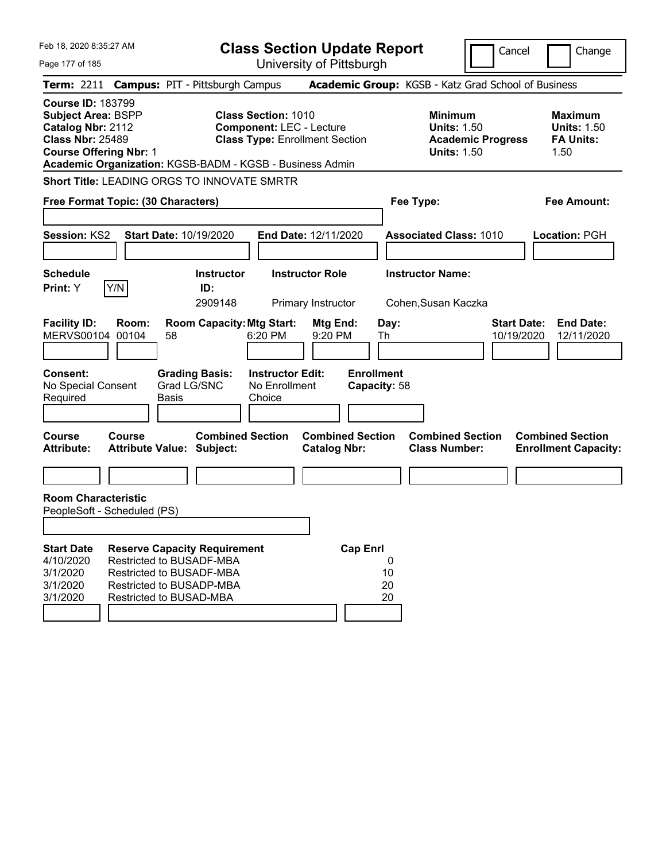| Feb 18, 2020 8:35:27 AM                                                                                                                                                                            |                                                                                 |              |                                                                 | <b>Class Section Update Report</b>                                                                     |                                                |                   |                     |                                                            |                          | Cancel                           | Change                                                           |
|----------------------------------------------------------------------------------------------------------------------------------------------------------------------------------------------------|---------------------------------------------------------------------------------|--------------|-----------------------------------------------------------------|--------------------------------------------------------------------------------------------------------|------------------------------------------------|-------------------|---------------------|------------------------------------------------------------|--------------------------|----------------------------------|------------------------------------------------------------------|
| Page 177 of 185                                                                                                                                                                                    |                                                                                 |              |                                                                 |                                                                                                        | University of Pittsburgh                       |                   |                     |                                                            |                          |                                  |                                                                  |
| Term: 2211 Campus: PIT - Pittsburgh Campus                                                                                                                                                         |                                                                                 |              |                                                                 |                                                                                                        |                                                |                   |                     | Academic Group: KGSB - Katz Grad School of Business        |                          |                                  |                                                                  |
| <b>Course ID: 183799</b><br><b>Subject Area: BSPP</b><br>Catalog Nbr: 2112<br><b>Class Nbr: 25489</b><br><b>Course Offering Nbr: 1</b><br>Academic Organization: KGSB-BADM - KGSB - Business Admin |                                                                                 |              |                                                                 | <b>Class Section: 1010</b><br><b>Component: LEC - Lecture</b><br><b>Class Type: Enrollment Section</b> |                                                |                   |                     | <b>Minimum</b><br><b>Units: 1.50</b><br><b>Units: 1.50</b> | <b>Academic Progress</b> |                                  | <b>Maximum</b><br><b>Units: 1.50</b><br><b>FA Units:</b><br>1.50 |
| Short Title: LEADING ORGS TO INNOVATE SMRTR                                                                                                                                                        |                                                                                 |              |                                                                 |                                                                                                        |                                                |                   |                     |                                                            |                          |                                  |                                                                  |
| Free Format Topic: (30 Characters)                                                                                                                                                                 |                                                                                 |              |                                                                 |                                                                                                        |                                                |                   |                     | Fee Type:                                                  |                          |                                  | <b>Fee Amount:</b>                                               |
| Session: KS2                                                                                                                                                                                       |                                                                                 |              | <b>Start Date: 10/19/2020</b>                                   |                                                                                                        | End Date: 12/11/2020                           |                   |                     | <b>Associated Class: 1010</b>                              |                          |                                  | <b>Location: PGH</b>                                             |
| <b>Schedule</b><br>Print: Y                                                                                                                                                                        | Y/N                                                                             |              | <b>Instructor</b><br>ID:<br>2909148                             |                                                                                                        | <b>Instructor Role</b><br>Primary Instructor   |                   |                     | <b>Instructor Name:</b><br>Cohen, Susan Kaczka             |                          |                                  |                                                                  |
| <b>Facility ID:</b><br>MERVS00104 00104                                                                                                                                                            | Room:                                                                           | 58           | <b>Room Capacity: Mtg Start:</b>                                | 6:20 PM                                                                                                | Mtg End:<br>9:20 PM                            |                   | Day:<br>Th          |                                                            |                          | <b>Start Date:</b><br>10/19/2020 | <b>End Date:</b><br>12/11/2020                                   |
| <b>Consent:</b><br>No Special Consent<br>Required                                                                                                                                                  |                                                                                 | <b>Basis</b> | <b>Grading Basis:</b><br>Grad LG/SNC                            | <b>Instructor Edit:</b><br>No Enrollment<br>Choice                                                     |                                                | <b>Enrollment</b> | Capacity: 58        |                                                            |                          |                                  |                                                                  |
| Course<br><b>Attribute:</b>                                                                                                                                                                        | Course<br><b>Attribute Value: Subject:</b>                                      |              | <b>Combined Section</b>                                         |                                                                                                        | <b>Combined Section</b><br><b>Catalog Nbr:</b> |                   |                     | <b>Combined Section</b><br><b>Class Number:</b>            |                          |                                  | <b>Combined Section</b><br><b>Enrollment Capacity:</b>           |
|                                                                                                                                                                                                    |                                                                                 |              |                                                                 |                                                                                                        |                                                |                   |                     |                                                            |                          |                                  |                                                                  |
| <b>Room Characteristic</b><br>PeopleSoft - Scheduled (PS)                                                                                                                                          |                                                                                 |              |                                                                 |                                                                                                        |                                                |                   |                     |                                                            |                          |                                  |                                                                  |
|                                                                                                                                                                                                    |                                                                                 |              |                                                                 |                                                                                                        |                                                |                   |                     |                                                            |                          |                                  |                                                                  |
| <b>Start Date</b><br>4/10/2020<br>3/1/2020<br>3/1/2020<br>3/1/2020                                                                                                                                 | Restricted to BUSADF-MBA<br>Restricted to BUSADF-MBA<br>Restricted to BUSAD-MBA |              | <b>Reserve Capacity Requirement</b><br>Restricted to BUSADP-MBA |                                                                                                        |                                                | <b>Cap Enrl</b>   | 0<br>10<br>20<br>20 |                                                            |                          |                                  |                                                                  |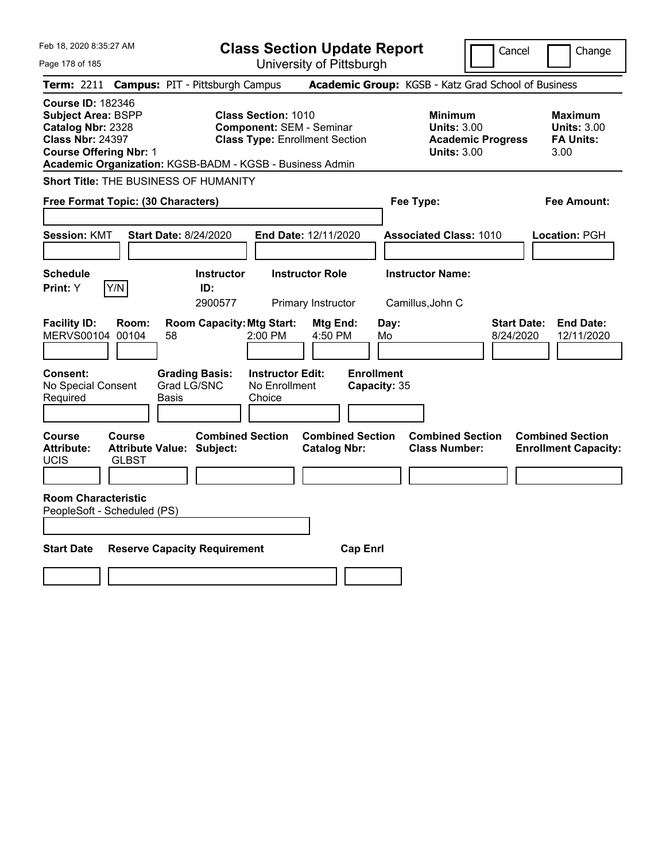| Feb 18, 2020 8:35:27 AM                                                                                                                | <b>Class Section Update Report</b>                                                                                                                                 | Cancel                                                                                 | Change                                                           |  |  |
|----------------------------------------------------------------------------------------------------------------------------------------|--------------------------------------------------------------------------------------------------------------------------------------------------------------------|----------------------------------------------------------------------------------------|------------------------------------------------------------------|--|--|
| Page 178 of 185                                                                                                                        | University of Pittsburgh                                                                                                                                           |                                                                                        |                                                                  |  |  |
| Term: 2211<br><b>Campus: PIT - Pittsburgh Campus</b>                                                                                   |                                                                                                                                                                    | Academic Group: KGSB - Katz Grad School of Business                                    |                                                                  |  |  |
| <b>Course ID: 182346</b><br><b>Subject Area: BSPP</b><br>Catalog Nbr: 2328<br><b>Class Nbr: 24397</b><br><b>Course Offering Nbr: 1</b> | <b>Class Section: 1010</b><br><b>Component: SEM - Seminar</b><br><b>Class Type: Enrollment Section</b><br>Academic Organization: KGSB-BADM - KGSB - Business Admin | <b>Minimum</b><br><b>Units: 3.00</b><br><b>Academic Progress</b><br><b>Units: 3.00</b> | <b>Maximum</b><br><b>Units: 3.00</b><br><b>FA Units:</b><br>3.00 |  |  |
| Short Title: THE BUSINESS OF HUMANITY                                                                                                  |                                                                                                                                                                    |                                                                                        |                                                                  |  |  |
| Free Format Topic: (30 Characters)                                                                                                     |                                                                                                                                                                    | Fee Type:                                                                              | Fee Amount:                                                      |  |  |
| <b>Start Date: 8/24/2020</b><br><b>Session: KMT</b>                                                                                    | End Date: 12/11/2020                                                                                                                                               | <b>Associated Class: 1010</b>                                                          | Location: PGH                                                    |  |  |
| <b>Schedule</b><br>Y/N<br>Print: Y                                                                                                     | <b>Instructor</b><br><b>Instructor Role</b><br>ID:<br>2900577<br>Primary Instructor                                                                                | <b>Instructor Name:</b><br>Camillus, John C                                            |                                                                  |  |  |
| <b>Facility ID:</b><br>Room:<br>MERVS00104 00104<br>58                                                                                 | <b>Room Capacity: Mtg Start:</b><br>Mtg End:<br>2:00 PM<br>4:50 PM<br>Mo                                                                                           | <b>Start Date:</b><br>Day:<br>8/24/2020                                                | <b>End Date:</b><br>12/11/2020                                   |  |  |
| Consent:<br><b>Grading Basis:</b><br>Grad LG/SNC<br>No Special Consent<br>Required<br>Basis                                            | <b>Enrollment</b><br><b>Instructor Edit:</b><br>No Enrollment<br>Capacity: 35<br>Choice                                                                            |                                                                                        |                                                                  |  |  |
| <b>Course</b><br>Course<br><b>Attribute:</b><br><b>Attribute Value: Subject:</b><br>UCIS<br><b>GLBST</b>                               | <b>Combined Section</b><br><b>Combined Section</b><br><b>Catalog Nbr:</b>                                                                                          | <b>Combined Section</b><br><b>Class Number:</b>                                        | <b>Combined Section</b><br><b>Enrollment Capacity:</b>           |  |  |
|                                                                                                                                        |                                                                                                                                                                    |                                                                                        |                                                                  |  |  |
| <b>Room Characteristic</b><br>PeopleSoft - Scheduled (PS)                                                                              |                                                                                                                                                                    |                                                                                        |                                                                  |  |  |
| <b>Start Date</b><br><b>Cap Enrl</b><br><b>Reserve Capacity Requirement</b>                                                            |                                                                                                                                                                    |                                                                                        |                                                                  |  |  |
|                                                                                                                                        |                                                                                                                                                                    |                                                                                        |                                                                  |  |  |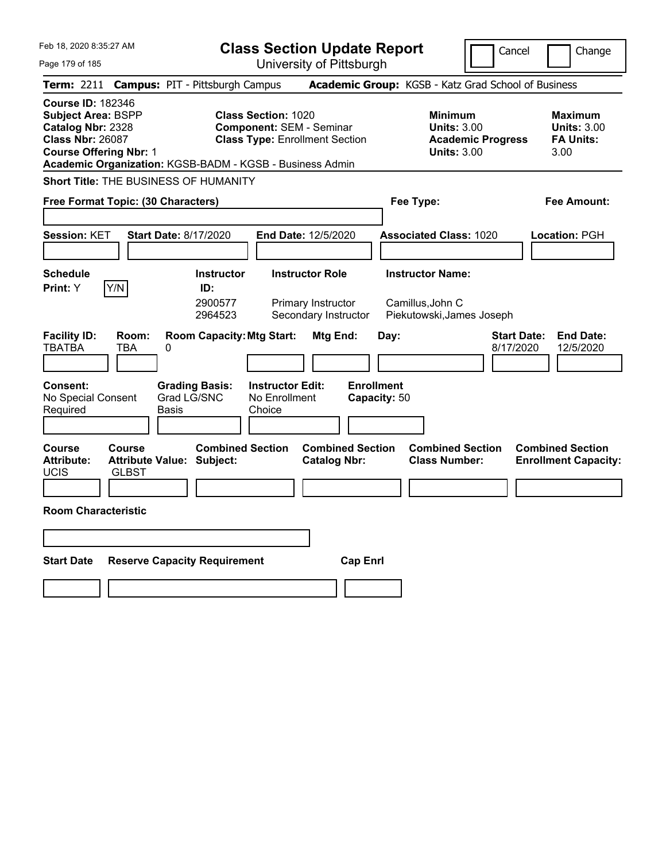| Feb 18, 2020 8:35:27 AM                                                                                                                                                                            | <b>Class Section Update Report</b>                                                                                      | Cancel                                                                                 | Change                                                           |
|----------------------------------------------------------------------------------------------------------------------------------------------------------------------------------------------------|-------------------------------------------------------------------------------------------------------------------------|----------------------------------------------------------------------------------------|------------------------------------------------------------------|
| Page 179 of 185                                                                                                                                                                                    | University of Pittsburgh                                                                                                |                                                                                        |                                                                  |
| <b>Campus: PIT - Pittsburgh Campus</b><br>Term: 2211                                                                                                                                               |                                                                                                                         | Academic Group: KGSB - Katz Grad School of Business                                    |                                                                  |
| <b>Course ID: 182346</b><br><b>Subject Area: BSPP</b><br>Catalog Nbr: 2328<br><b>Class Nbr: 26087</b><br><b>Course Offering Nbr: 1</b><br>Academic Organization: KGSB-BADM - KGSB - Business Admin | <b>Class Section: 1020</b><br><b>Component: SEM - Seminar</b><br><b>Class Type: Enrollment Section</b>                  | <b>Minimum</b><br><b>Units: 3.00</b><br><b>Academic Progress</b><br><b>Units: 3.00</b> | <b>Maximum</b><br><b>Units: 3.00</b><br><b>FA Units:</b><br>3.00 |
| <b>Short Title: THE BUSINESS OF HUMANITY</b>                                                                                                                                                       |                                                                                                                         |                                                                                        |                                                                  |
| Free Format Topic: (30 Characters)                                                                                                                                                                 |                                                                                                                         | Fee Type:                                                                              | <b>Fee Amount:</b>                                               |
| <b>Session: KET</b><br><b>Start Date: 8/17/2020</b>                                                                                                                                                | End Date: 12/5/2020                                                                                                     | <b>Associated Class: 1020</b>                                                          | <b>Location: PGH</b>                                             |
| <b>Schedule</b><br>Y/N<br>Print: Y                                                                                                                                                                 | <b>Instructor Role</b><br><b>Instructor</b><br>ID:<br>2900577<br>Primary Instructor<br>Secondary Instructor<br>2964523  | <b>Instructor Name:</b><br>Camillus, John C<br>Piekutowski, James Joseph               |                                                                  |
| <b>Facility ID:</b><br>Room:<br><b>TBATBA</b><br>TBA<br>0<br><b>Grading Basis:</b><br><b>Consent:</b><br>Grad LG/SNC<br>No Special Consent<br>Required<br>Basis                                    | <b>Room Capacity: Mtg Start:</b><br>Mtg End:<br><b>Enrollment</b><br><b>Instructor Edit:</b><br>No Enrollment<br>Choice | <b>Start Date:</b><br>Day:<br>8/17/2020<br>Capacity: 50                                | <b>End Date:</b><br>12/5/2020                                    |
| <b>Course</b><br>Course<br><b>Attribute:</b><br><b>Attribute Value: Subject:</b><br><b>UCIS</b><br><b>GLBST</b><br><b>Room Characteristic</b>                                                      | <b>Combined Section</b><br><b>Combined Section</b><br><b>Catalog Nbr:</b>                                               | <b>Combined Section</b><br><b>Class Number:</b>                                        | <b>Combined Section</b><br><b>Enrollment Capacity:</b>           |
|                                                                                                                                                                                                    |                                                                                                                         |                                                                                        |                                                                  |
| <b>Start Date</b><br><b>Reserve Capacity Requirement</b>                                                                                                                                           | <b>Cap Enrl</b>                                                                                                         |                                                                                        |                                                                  |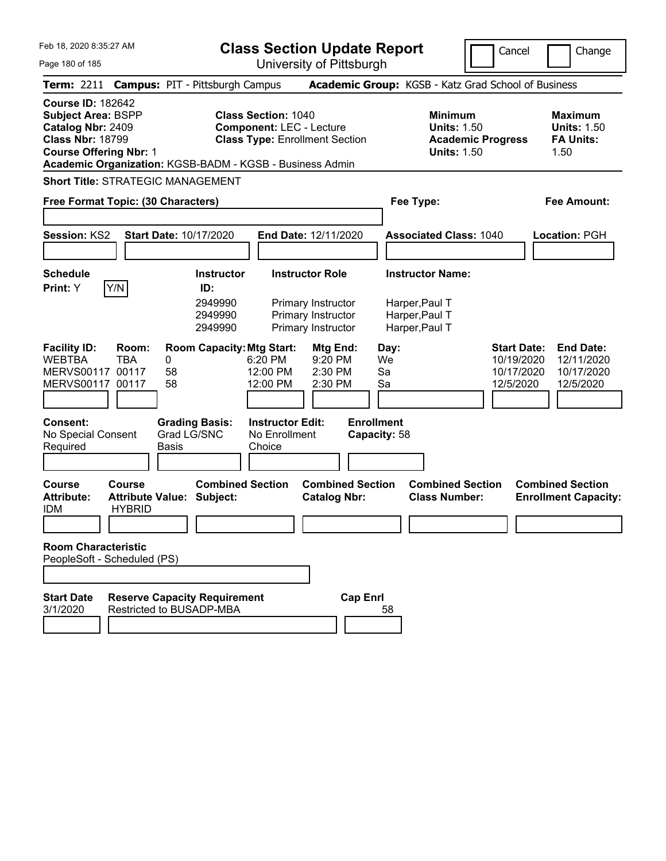|  | Feb 18, 2020 8:35:27 AM |  |
|--|-------------------------|--|
|  |                         |  |

**Class Section Update Report** University of Pittsburgh

Cancel Change

Page 180 of 185

|                                                                                                                                        | Term: 2211 Campus: PIT - Pittsburgh Campus                             |                                                           |                                                               |                                                                |                                   | Academic Group: KGSB - Katz Grad School of Business                                    |                                                             |                                                                  |
|----------------------------------------------------------------------------------------------------------------------------------------|------------------------------------------------------------------------|-----------------------------------------------------------|---------------------------------------------------------------|----------------------------------------------------------------|-----------------------------------|----------------------------------------------------------------------------------------|-------------------------------------------------------------|------------------------------------------------------------------|
| <b>Course ID: 182642</b><br><b>Subject Area: BSPP</b><br>Catalog Nbr: 2409<br><b>Class Nbr: 18799</b><br><b>Course Offering Nbr: 1</b> | Academic Organization: KGSB-BADM - KGSB - Business Admin               |                                                           | <b>Class Section: 1040</b><br><b>Component: LEC - Lecture</b> | <b>Class Type: Enrollment Section</b>                          |                                   | <b>Minimum</b><br><b>Units: 1.50</b><br><b>Academic Progress</b><br><b>Units: 1.50</b> |                                                             | <b>Maximum</b><br><b>Units: 1.50</b><br><b>FA Units:</b><br>1.50 |
|                                                                                                                                        | <b>Short Title: STRATEGIC MANAGEMENT</b>                               |                                                           |                                                               |                                                                |                                   |                                                                                        |                                                             |                                                                  |
|                                                                                                                                        | Free Format Topic: (30 Characters)                                     |                                                           |                                                               |                                                                |                                   | Fee Type:                                                                              |                                                             | <b>Fee Amount:</b>                                               |
| Session: KS2                                                                                                                           | Start Date: 10/17/2020                                                 |                                                           | End Date: 12/11/2020                                          |                                                                |                                   | <b>Associated Class: 1040</b>                                                          |                                                             | Location: PGH                                                    |
| <b>Schedule</b><br>Print: Y                                                                                                            | Y/N                                                                    | <b>Instructor</b><br>ID:<br>2949990<br>2949990<br>2949990 | <b>Instructor Role</b>                                        | Primary Instructor<br>Primary Instructor<br>Primary Instructor |                                   | <b>Instructor Name:</b><br>Harper, Paul T<br>Harper, Paul T<br>Harper, Paul T          |                                                             |                                                                  |
| <b>Facility ID:</b><br><b>WEBTBA</b><br>MERVS00117 00117<br>MERVS00117 00117                                                           | Room:<br><b>TBA</b><br>0<br>58<br>58                                   | <b>Room Capacity: Mtg Start:</b>                          | 6:20 PM<br>12:00 PM<br>12:00 PM                               | Mtg End:<br>9:20 PM<br>2:30 PM<br>2:30 PM                      | Day:<br>We<br>Sa<br>Sa            |                                                                                        | <b>Start Date:</b><br>10/19/2020<br>10/17/2020<br>12/5/2020 | <b>End Date:</b><br>12/11/2020<br>10/17/2020<br>12/5/2020        |
| <b>Consent:</b><br>No Special Consent<br>Required                                                                                      | Basis                                                                  | <b>Grading Basis:</b><br>Grad LG/SNC                      | <b>Instructor Edit:</b><br>No Enrollment<br>Choice            |                                                                | <b>Enrollment</b><br>Capacity: 58 |                                                                                        |                                                             |                                                                  |
| <b>Course</b><br><b>Attribute:</b><br>IDM                                                                                              | Course<br><b>Attribute Value: Subject:</b><br><b>HYBRID</b>            | <b>Combined Section</b>                                   |                                                               | <b>Combined Section</b><br><b>Catalog Nbr:</b>                 |                                   | <b>Combined Section</b><br><b>Class Number:</b>                                        |                                                             | <b>Combined Section</b><br><b>Enrollment Capacity:</b>           |
| <b>Room Characteristic</b>                                                                                                             | PeopleSoft - Scheduled (PS)                                            |                                                           |                                                               |                                                                |                                   |                                                                                        |                                                             |                                                                  |
| <b>Start Date</b><br>3/1/2020                                                                                                          | <b>Reserve Capacity Requirement</b><br><b>Restricted to BUSADP-MBA</b> |                                                           |                                                               | <b>Cap Enrl</b>                                                | 58                                |                                                                                        |                                                             |                                                                  |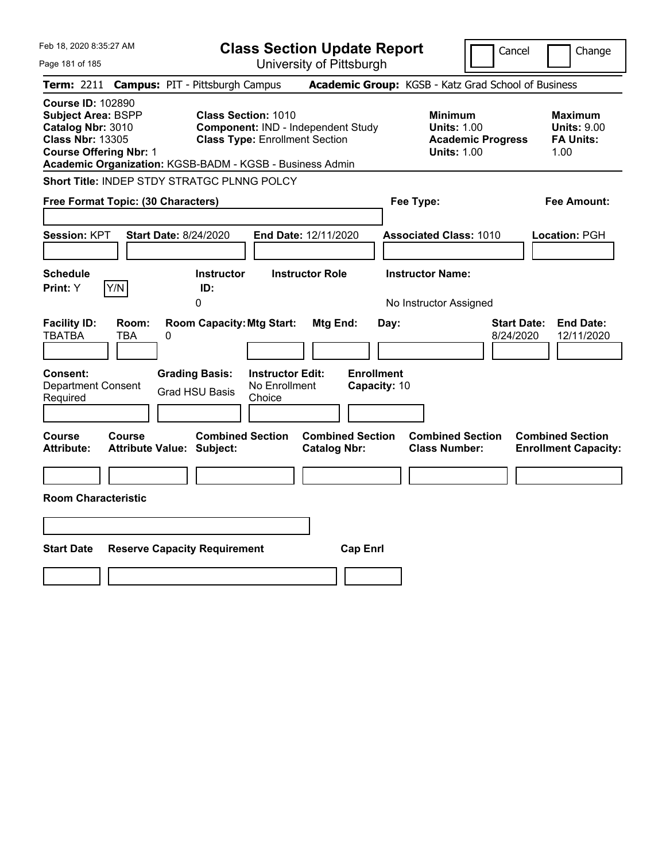| Feb 18, 2020 8:35:27 AM                                                                                                                |                                                                                                                                                                       | <b>Class Section Update Report</b>                           | Cancel                                                                                 | Change                                                           |
|----------------------------------------------------------------------------------------------------------------------------------------|-----------------------------------------------------------------------------------------------------------------------------------------------------------------------|--------------------------------------------------------------|----------------------------------------------------------------------------------------|------------------------------------------------------------------|
| Page 181 of 185                                                                                                                        |                                                                                                                                                                       | University of Pittsburgh                                     |                                                                                        |                                                                  |
| <b>Term: 2211</b>                                                                                                                      | <b>Campus: PIT - Pittsburgh Campus</b>                                                                                                                                |                                                              | Academic Group: KGSB - Katz Grad School of Business                                    |                                                                  |
| <b>Course ID: 102890</b><br><b>Subject Area: BSPP</b><br>Catalog Nbr: 3010<br><b>Class Nbr: 13305</b><br><b>Course Offering Nbr: 1</b> | <b>Class Section: 1010</b><br>Component: IND - Independent Study<br><b>Class Type: Enrollment Section</b><br>Academic Organization: KGSB-BADM - KGSB - Business Admin |                                                              | <b>Minimum</b><br><b>Units: 1.00</b><br><b>Academic Progress</b><br><b>Units: 1.00</b> | <b>Maximum</b><br><b>Units: 9.00</b><br><b>FA Units:</b><br>1.00 |
|                                                                                                                                        | Short Title: INDEP STDY STRATGC PLNNG POLCY                                                                                                                           |                                                              |                                                                                        |                                                                  |
| Free Format Topic: (30 Characters)                                                                                                     |                                                                                                                                                                       |                                                              | Fee Type:                                                                              | Fee Amount:                                                      |
| Session: KPT<br><b>Schedule</b>                                                                                                        | <b>Start Date: 8/24/2020</b><br><b>Instructor</b>                                                                                                                     | End Date: 12/11/2020<br><b>Instructor Role</b>               | <b>Associated Class: 1010</b><br><b>Instructor Name:</b>                               | Location: PGH                                                    |
| Y/N<br>Print: Y                                                                                                                        | ID:<br>0                                                                                                                                                              |                                                              | No Instructor Assigned                                                                 |                                                                  |
| <b>Facility ID:</b><br>Room:<br><b>TBATBA</b><br>TBA<br>0<br>Consent:<br><b>Department Consent</b><br>Required                         | <b>Room Capacity: Mtg Start:</b><br><b>Grading Basis:</b><br><b>Instructor Edit:</b><br>No Enrollment<br><b>Grad HSU Basis</b><br>Choice                              | <b>Mtg End:</b><br>Day:<br><b>Enrollment</b><br>Capacity: 10 | <b>Start Date:</b><br>8/24/2020                                                        | <b>End Date:</b><br>12/11/2020                                   |
| Course<br><b>Course</b><br><b>Attribute:</b>                                                                                           | <b>Combined Section</b><br><b>Attribute Value: Subject:</b>                                                                                                           | <b>Combined Section</b><br><b>Catalog Nbr:</b>               | <b>Combined Section</b><br><b>Class Number:</b>                                        | <b>Combined Section</b><br><b>Enrollment Capacity:</b>           |
|                                                                                                                                        |                                                                                                                                                                       |                                                              |                                                                                        |                                                                  |
| <b>Room Characteristic</b>                                                                                                             |                                                                                                                                                                       |                                                              |                                                                                        |                                                                  |
|                                                                                                                                        |                                                                                                                                                                       |                                                              |                                                                                        |                                                                  |
| <b>Start Date</b>                                                                                                                      | <b>Reserve Capacity Requirement</b>                                                                                                                                   | <b>Cap Enrl</b>                                              |                                                                                        |                                                                  |
|                                                                                                                                        |                                                                                                                                                                       |                                                              |                                                                                        |                                                                  |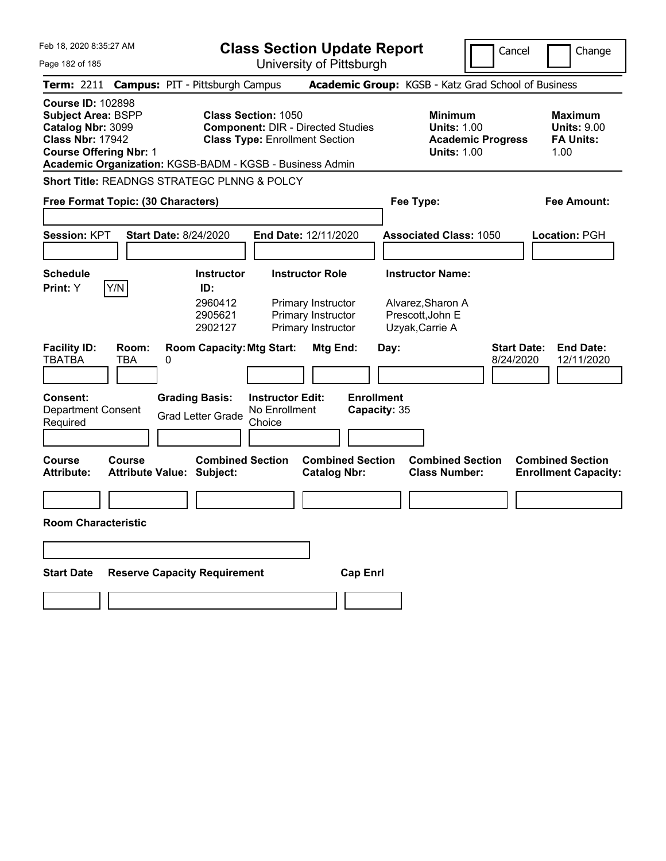| Feb 18, 2020 8:35:27 AM<br><b>Class Section Update Report</b><br>University of Pittsburgh<br>Page 182 of 185                                                                                       |                                        |                                                           |                                                                                                                 |                                                                                          |                                   | Cancel                          |                                                                                     | Change                                   |                                 |  |                                                                  |
|----------------------------------------------------------------------------------------------------------------------------------------------------------------------------------------------------|----------------------------------------|-----------------------------------------------------------|-----------------------------------------------------------------------------------------------------------------|------------------------------------------------------------------------------------------|-----------------------------------|---------------------------------|-------------------------------------------------------------------------------------|------------------------------------------|---------------------------------|--|------------------------------------------------------------------|
| <b>Term: 2211</b>                                                                                                                                                                                  | <b>Campus: PIT - Pittsburgh Campus</b> |                                                           |                                                                                                                 |                                                                                          |                                   |                                 | Academic Group: KGSB - Katz Grad School of Business                                 |                                          |                                 |  |                                                                  |
| <b>Course ID: 102898</b><br><b>Subject Area: BSPP</b><br>Catalog Nbr: 3099<br><b>Class Nbr: 17942</b><br><b>Course Offering Nbr: 1</b><br>Academic Organization: KGSB-BADM - KGSB - Business Admin |                                        |                                                           | <b>Class Section: 1050</b><br><b>Component: DIR - Directed Studies</b><br><b>Class Type: Enrollment Section</b> |                                                                                          |                                   |                                 | Minimum                                                                             | <b>Units: 1.00</b><br><b>Units: 1.00</b> | <b>Academic Progress</b>        |  | <b>Maximum</b><br><b>Units: 9.00</b><br><b>FA Units:</b><br>1.00 |
| Short Title: READNGS STRATEGC PLNNG & POLCY                                                                                                                                                        |                                        |                                                           |                                                                                                                 |                                                                                          |                                   |                                 |                                                                                     |                                          |                                 |  |                                                                  |
| Free Format Topic: (30 Characters)                                                                                                                                                                 |                                        |                                                           |                                                                                                                 |                                                                                          |                                   | <b>Fee Amount:</b><br>Fee Type: |                                                                                     |                                          |                                 |  |                                                                  |
| <b>Session: KPT</b>                                                                                                                                                                                | <b>Start Date: 8/24/2020</b>           |                                                           | End Date: 12/11/2020                                                                                            |                                                                                          |                                   |                                 | <b>Associated Class: 1050</b>                                                       |                                          |                                 |  | Location: PGH                                                    |
| <b>Schedule</b><br>Y/N<br>Print: Y                                                                                                                                                                 |                                        | <b>Instructor</b><br>ID:<br>2960412<br>2905621<br>2902127 |                                                                                                                 | <b>Instructor Role</b><br>Primary Instructor<br>Primary Instructor<br>Primary Instructor |                                   |                                 | <b>Instructor Name:</b><br>Alvarez, Sharon A<br>Prescott, John E<br>Uzyak, Carrie A |                                          |                                 |  |                                                                  |
| <b>Facility ID:</b><br><b>TBATBA</b><br>TBA                                                                                                                                                        | Room:<br>0                             | <b>Room Capacity: Mtg Start:</b>                          |                                                                                                                 | Mtg End:                                                                                 |                                   | Day:                            |                                                                                     |                                          | <b>Start Date:</b><br>8/24/2020 |  | <b>End Date:</b><br>12/11/2020                                   |
| <b>Consent:</b><br><b>Department Consent</b><br>Required                                                                                                                                           |                                        | <b>Grading Basis:</b><br><b>Grad Letter Grade</b>         | <b>Instructor Edit:</b><br>No Enrollment<br>Choice                                                              |                                                                                          | <b>Enrollment</b><br>Capacity: 35 |                                 |                                                                                     |                                          |                                 |  |                                                                  |
| <b>Course</b><br>Course<br><b>Attribute:</b>                                                                                                                                                       | <b>Attribute Value: Subject:</b>       | <b>Combined Section</b>                                   |                                                                                                                 | <b>Catalog Nbr:</b>                                                                      | <b>Combined Section</b>           |                                 | <b>Combined Section</b><br><b>Class Number:</b>                                     |                                          |                                 |  | <b>Combined Section</b><br><b>Enrollment Capacity:</b>           |
|                                                                                                                                                                                                    |                                        |                                                           |                                                                                                                 |                                                                                          |                                   |                                 |                                                                                     |                                          |                                 |  |                                                                  |
| <b>Room Characteristic</b>                                                                                                                                                                         |                                        |                                                           |                                                                                                                 |                                                                                          |                                   |                                 |                                                                                     |                                          |                                 |  |                                                                  |
|                                                                                                                                                                                                    |                                        |                                                           |                                                                                                                 |                                                                                          |                                   |                                 |                                                                                     |                                          |                                 |  |                                                                  |
| <b>Start Date</b>                                                                                                                                                                                  | <b>Reserve Capacity Requirement</b>    |                                                           |                                                                                                                 |                                                                                          | <b>Cap Enrl</b>                   |                                 |                                                                                     |                                          |                                 |  |                                                                  |
|                                                                                                                                                                                                    |                                        |                                                           |                                                                                                                 |                                                                                          |                                   |                                 |                                                                                     |                                          |                                 |  |                                                                  |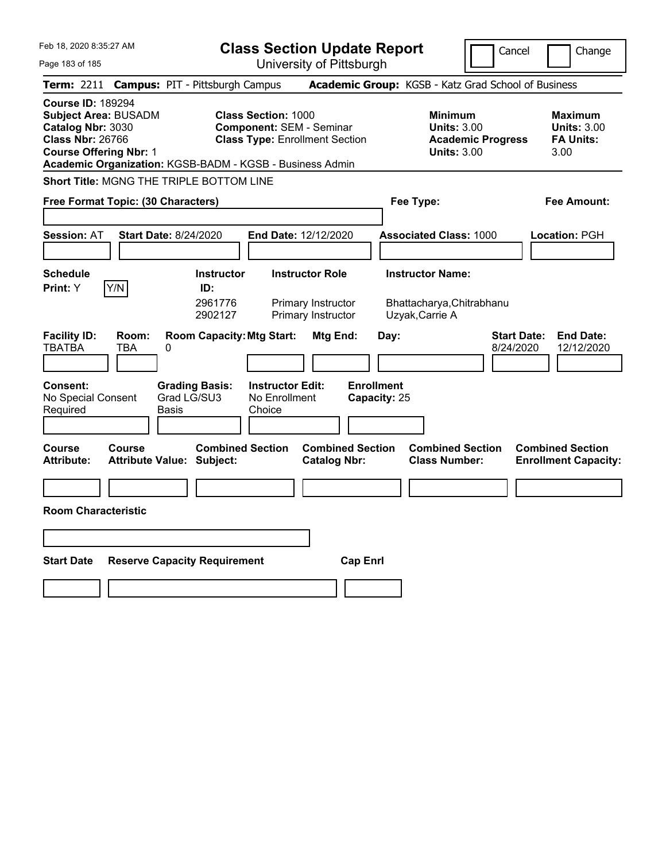| Feb 18, 2020 8:35:27 AM                                                                                                                                                                              | <b>Class Section Update Report</b>                                                                     |                                                                    |                                                                                        | Cancel<br>Change                                                  |
|------------------------------------------------------------------------------------------------------------------------------------------------------------------------------------------------------|--------------------------------------------------------------------------------------------------------|--------------------------------------------------------------------|----------------------------------------------------------------------------------------|-------------------------------------------------------------------|
| Page 183 of 185                                                                                                                                                                                      |                                                                                                        | University of Pittsburgh                                           |                                                                                        |                                                                   |
| <b>Term: 2211</b>                                                                                                                                                                                    | <b>Campus: PIT - Pittsburgh Campus</b>                                                                 |                                                                    | Academic Group: KGSB - Katz Grad School of Business                                    |                                                                   |
| <b>Course ID: 189294</b><br><b>Subject Area: BUSADM</b><br>Catalog Nbr: 3030<br><b>Class Nbr: 26766</b><br><b>Course Offering Nbr: 1</b><br>Academic Organization: KGSB-BADM - KGSB - Business Admin | <b>Class Section: 1000</b><br><b>Component: SEM - Seminar</b><br><b>Class Type: Enrollment Section</b> |                                                                    | <b>Minimum</b><br><b>Units: 3.00</b><br><b>Academic Progress</b><br><b>Units: 3.00</b> | <b>Maximum</b><br><b>Units: 3.00</b><br><b>FA Units:</b><br>3.00  |
| Short Title: MGNG THE TRIPLE BOTTOM LINE                                                                                                                                                             |                                                                                                        |                                                                    |                                                                                        |                                                                   |
| Free Format Topic: (30 Characters)                                                                                                                                                                   |                                                                                                        |                                                                    | Fee Type:                                                                              | Fee Amount:                                                       |
| <b>Session: AT</b><br><b>Start Date: 8/24/2020</b>                                                                                                                                                   | End Date: 12/12/2020                                                                                   |                                                                    | <b>Associated Class: 1000</b>                                                          | <b>Location: PGH</b>                                              |
| <b>Schedule</b><br>Y/N<br><b>Print:</b> Y                                                                                                                                                            | <b>Instructor</b><br>ID:<br>2961776<br>2902127                                                         | <b>Instructor Role</b><br>Primary Instructor<br>Primary Instructor | <b>Instructor Name:</b><br>Bhattacharya, Chitrabhanu<br>Uzyak, Carrie A                |                                                                   |
| <b>Facility ID:</b><br>Room:<br><b>TBATBA</b><br>TBA<br>0<br><b>Consent:</b><br>Grad LG/SU3                                                                                                          | <b>Room Capacity: Mtg Start:</b><br><b>Grading Basis:</b><br><b>Instructor Edit:</b>                   | Mtg End:<br>Day:<br><b>Enrollment</b>                              |                                                                                        | <b>Start Date:</b><br><b>End Date:</b><br>8/24/2020<br>12/12/2020 |
| No Special Consent<br>Required<br>Basis                                                                                                                                                              | No Enrollment<br>Choice                                                                                | Capacity: 25                                                       |                                                                                        |                                                                   |
|                                                                                                                                                                                                      |                                                                                                        |                                                                    |                                                                                        |                                                                   |
| Course<br>Course<br><b>Attribute:</b><br><b>Attribute Value: Subject:</b>                                                                                                                            | <b>Combined Section</b>                                                                                | <b>Combined Section</b><br><b>Catalog Nbr:</b>                     | <b>Combined Section</b><br><b>Class Number:</b>                                        | <b>Combined Section</b><br><b>Enrollment Capacity:</b>            |
|                                                                                                                                                                                                      |                                                                                                        |                                                                    |                                                                                        |                                                                   |
| <b>Room Characteristic</b>                                                                                                                                                                           |                                                                                                        |                                                                    |                                                                                        |                                                                   |
|                                                                                                                                                                                                      |                                                                                                        |                                                                    |                                                                                        |                                                                   |
| <b>Start Date</b><br><b>Reserve Capacity Requirement</b>                                                                                                                                             |                                                                                                        | <b>Cap Enrl</b>                                                    |                                                                                        |                                                                   |
|                                                                                                                                                                                                      |                                                                                                        |                                                                    |                                                                                        |                                                                   |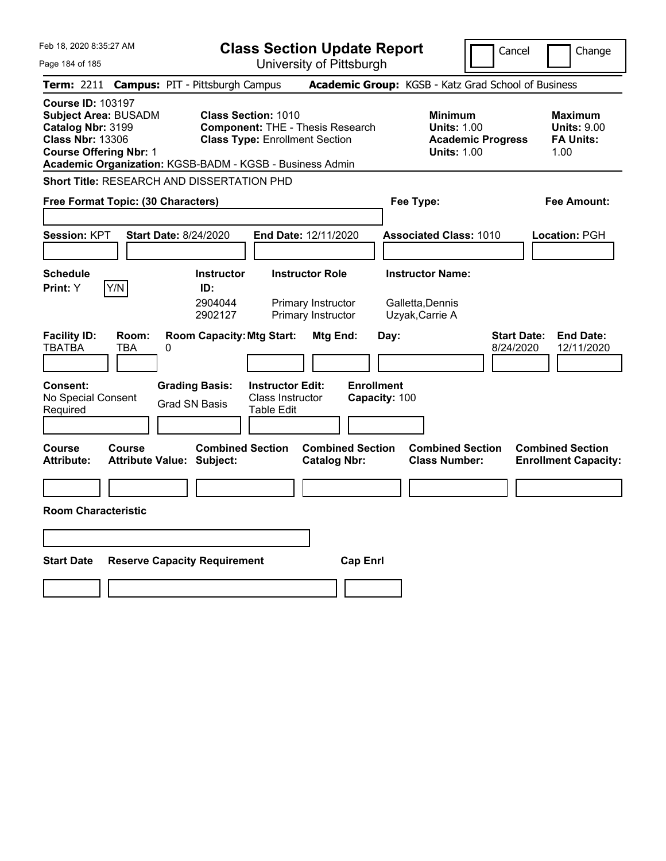| Feb 18, 2020 8:35:27 AM                                                                                                                                                                              | <b>Class Section Update Report</b>                                                                                                                    |                                                        |                                                                                        | Cancel                          | Change                                                           |
|------------------------------------------------------------------------------------------------------------------------------------------------------------------------------------------------------|-------------------------------------------------------------------------------------------------------------------------------------------------------|--------------------------------------------------------|----------------------------------------------------------------------------------------|---------------------------------|------------------------------------------------------------------|
| Page 184 of 185                                                                                                                                                                                      |                                                                                                                                                       | University of Pittsburgh                               |                                                                                        |                                 |                                                                  |
| Term: 2211                                                                                                                                                                                           | <b>Campus: PIT - Pittsburgh Campus</b>                                                                                                                |                                                        | Academic Group: KGSB - Katz Grad School of Business                                    |                                 |                                                                  |
| <b>Course ID: 103197</b><br><b>Subject Area: BUSADM</b><br>Catalog Nbr: 3199<br><b>Class Nbr: 13306</b><br><b>Course Offering Nbr: 1</b><br>Academic Organization: KGSB-BADM - KGSB - Business Admin | <b>Class Section: 1010</b><br><b>Component: THE - Thesis Research</b><br><b>Class Type: Enrollment Section</b>                                        |                                                        | <b>Minimum</b><br><b>Units: 1.00</b><br><b>Academic Progress</b><br><b>Units: 1.00</b> |                                 | <b>Maximum</b><br><b>Units: 9.00</b><br><b>FA Units:</b><br>1.00 |
| Short Title: RESEARCH AND DISSERTATION PHD                                                                                                                                                           |                                                                                                                                                       |                                                        |                                                                                        |                                 |                                                                  |
| Free Format Topic: (30 Characters)                                                                                                                                                                   |                                                                                                                                                       |                                                        | Fee Type:                                                                              |                                 | Fee Amount:                                                      |
| Session: KPT                                                                                                                                                                                         | <b>Start Date: 8/24/2020</b><br>End Date: 12/11/2020                                                                                                  |                                                        | <b>Associated Class: 1010</b>                                                          |                                 | <b>Location: PGH</b>                                             |
| <b>Schedule</b><br>Y/N<br><b>Print:</b> Y                                                                                                                                                            | <b>Instructor Role</b><br><b>Instructor</b><br>ID:<br>2904044<br>2902127                                                                              | Primary Instructor<br>Primary Instructor               | <b>Instructor Name:</b><br>Galletta,Dennis<br>Uzyak, Carrie A                          |                                 |                                                                  |
| <b>Facility ID:</b><br>Room:<br><b>TBATBA</b><br>TBA<br>0<br><b>Consent:</b><br>No Special Consent<br>Required                                                                                       | <b>Room Capacity: Mtg Start:</b><br><b>Grading Basis:</b><br><b>Instructor Edit:</b><br>Class Instructor<br><b>Grad SN Basis</b><br><b>Table Edit</b> | Mtg End:<br>Day:<br><b>Enrollment</b><br>Capacity: 100 |                                                                                        | <b>Start Date:</b><br>8/24/2020 | <b>End Date:</b><br>12/11/2020                                   |
| Course<br>Course<br><b>Attribute:</b><br>Attribute Value: Subject:                                                                                                                                   | <b>Combined Section</b>                                                                                                                               | <b>Combined Section</b><br><b>Catalog Nbr:</b>         | <b>Combined Section</b><br><b>Class Number:</b>                                        |                                 | <b>Combined Section</b><br><b>Enrollment Capacity:</b>           |
|                                                                                                                                                                                                      |                                                                                                                                                       |                                                        |                                                                                        |                                 |                                                                  |
| <b>Room Characteristic</b>                                                                                                                                                                           |                                                                                                                                                       |                                                        |                                                                                        |                                 |                                                                  |
|                                                                                                                                                                                                      |                                                                                                                                                       |                                                        |                                                                                        |                                 |                                                                  |
| <b>Start Date</b>                                                                                                                                                                                    | <b>Reserve Capacity Requirement</b>                                                                                                                   | <b>Cap Enrl</b>                                        |                                                                                        |                                 |                                                                  |